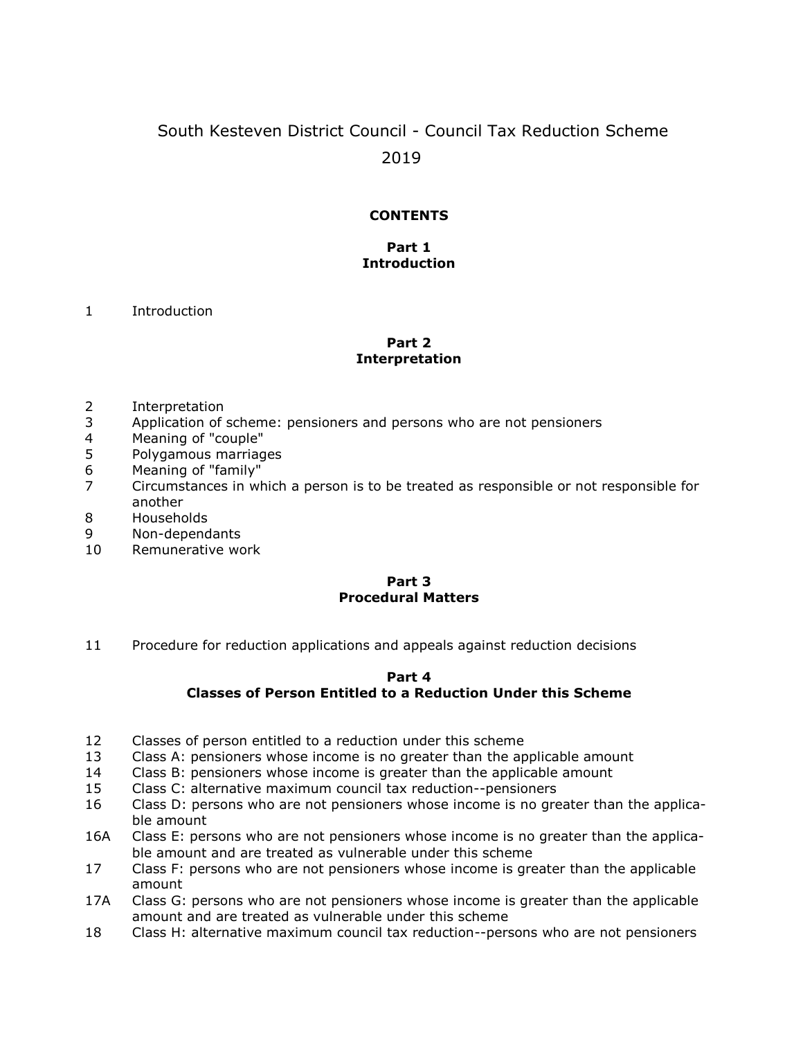# South Kesteven District Council - Council Tax Reduction Scheme 2019

## **CONTENTS**

## **Part 1 Introduction**

1 Introduction

#### **Part 2 Interpretation**

- 2 Interpretation
- 3 Application of scheme: pensioners and persons who are not pensioners
- 4 Meaning of "couple"
- 5 Polygamous marriages
- 6 Meaning of "family"
- 7 Circumstances in which a person is to be treated as responsible or not responsible for another
- 8 Households
- 9 Non-dependants
- 10 Remunerative work

#### **Part 3 Procedural Matters**

11 Procedure for reduction applications and appeals against reduction decisions

## **Part 4 Classes of Person Entitled to a Reduction Under this Scheme**

- 12 Classes of person entitled to a reduction under this scheme
- 13 Class A: pensioners whose income is no greater than the applicable amount
- 14 Class B: pensioners whose income is greater than the applicable amount
- 15 Class C: alternative maximum council tax reduction--pensioners
- 16 Class D: persons who are not pensioners whose income is no greater than the applicable amount
- 16A Class E: persons who are not pensioners whose income is no greater than the applicable amount and are treated as vulnerable under this scheme
- 17 Class F: persons who are not pensioners whose income is greater than the applicable amount
- 17A Class G: persons who are not pensioners whose income is greater than the applicable amount and are treated as vulnerable under this scheme
- 18 Class H: alternative maximum council tax reduction--persons who are not pensioners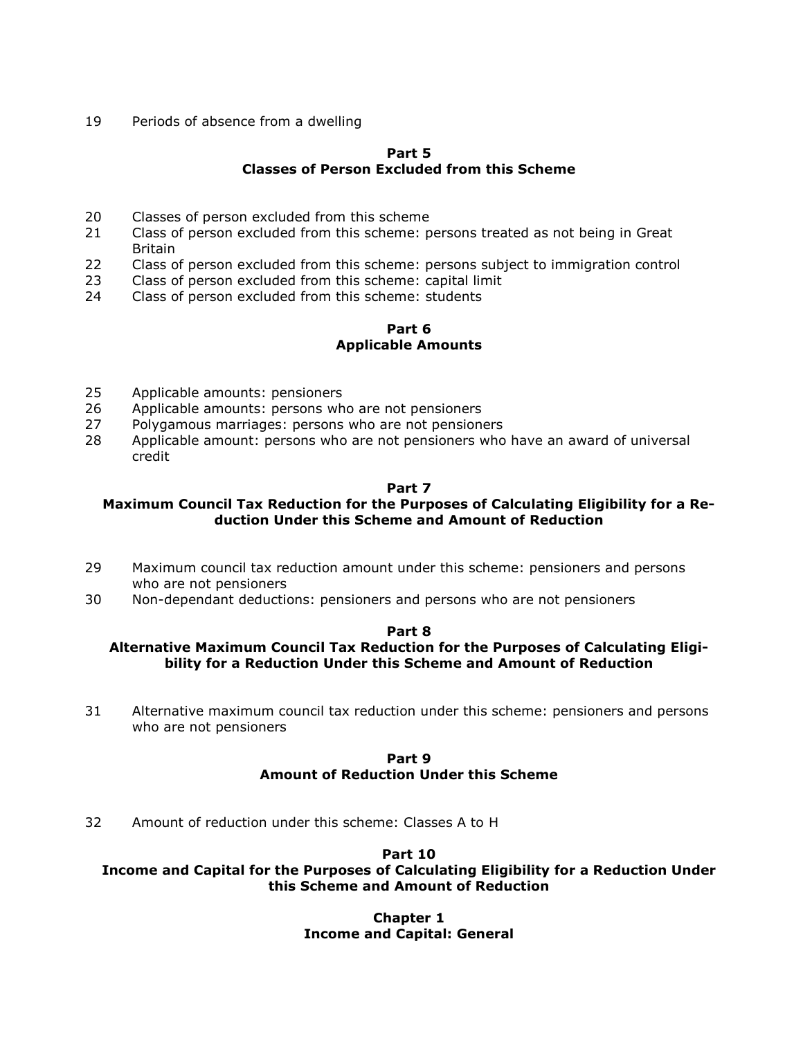19 Periods of absence from a dwelling

#### **Part 5 Classes of Person Excluded from this Scheme**

- 20 Classes of person excluded from this scheme
- 21 Class of person excluded from this scheme: persons treated as not being in Great Britain
- 22 Class of person excluded from this scheme: persons subject to immigration control
- 23 Class of person excluded from this scheme: capital limit
- 24 Class of person excluded from this scheme: students

## **Part 6 Applicable Amounts**

- 25 Applicable amounts: pensioners
- 26 Applicable amounts: persons who are not pensioners
- 27 Polygamous marriages: persons who are not pensioners
- 28 Applicable amount: persons who are not pensioners who have an award of universal credit

#### **Part 7**

## **Maximum Council Tax Reduction for the Purposes of Calculating Eligibility for a Reduction Under this Scheme and Amount of Reduction**

- 29 Maximum council tax reduction amount under this scheme: pensioners and persons who are not pensioners
- 30 Non-dependant deductions: pensioners and persons who are not pensioners

#### **Part 8 Alternative Maximum Council Tax Reduction for the Purposes of Calculating Eligibility for a Reduction Under this Scheme and Amount of Reduction**

31 Alternative maximum council tax reduction under this scheme: pensioners and persons who are not pensioners

#### **Part 9 Amount of Reduction Under this Scheme**

32 Amount of reduction under this scheme: Classes A to H

#### **Part 10**

## **Income and Capital for the Purposes of Calculating Eligibility for a Reduction Under this Scheme and Amount of Reduction**

#### **Chapter 1 Income and Capital: General**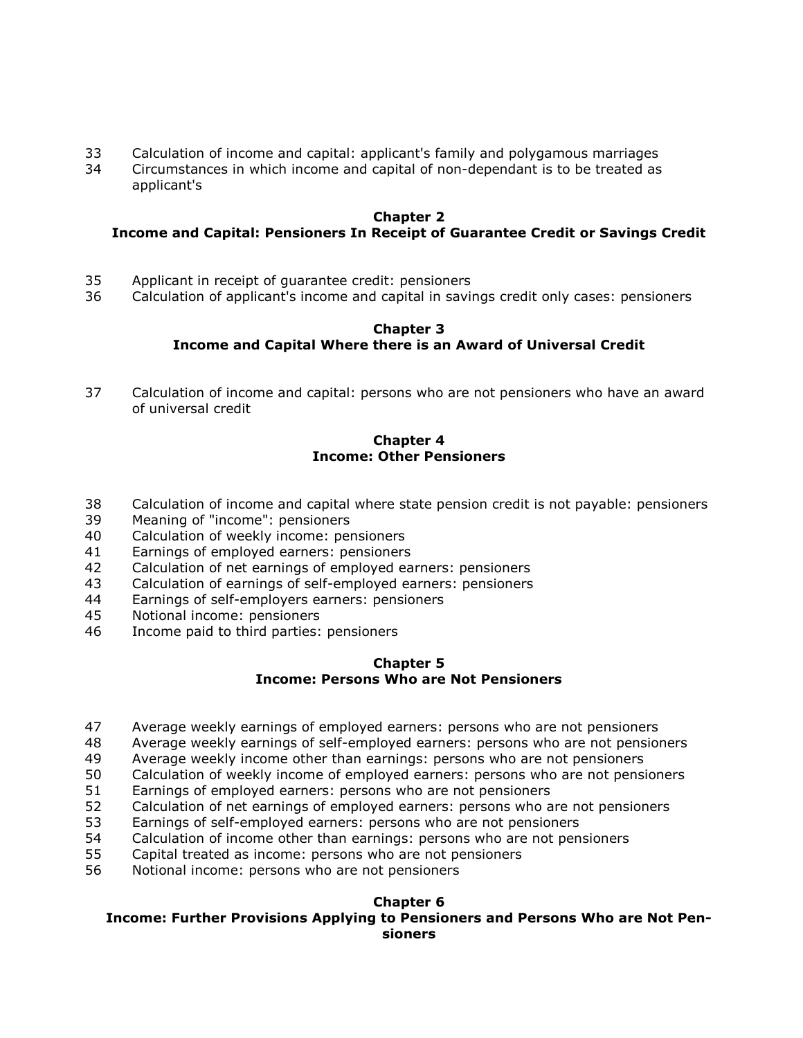Calculation of income and capital: applicant's family and polygamous marriages Circumstances in which income and capital of non-dependant is to be treated as applicant's

# **Chapter 2**

# **Income and Capital: Pensioners In Receipt of Guarantee Credit or Savings Credit**

- Applicant in receipt of guarantee credit: pensioners
- Calculation of applicant's income and capital in savings credit only cases: pensioners

## **Chapter 3 Income and Capital Where there is an Award of Universal Credit**

 Calculation of income and capital: persons who are not pensioners who have an award of universal credit

## **Chapter 4 Income: Other Pensioners**

- Calculation of income and capital where state pension credit is not payable: pensioners
- Meaning of "income": pensioners
- Calculation of weekly income: pensioners
- Earnings of employed earners: pensioners
- Calculation of net earnings of employed earners: pensioners
- Calculation of earnings of self-employed earners: pensioners
- Earnings of self-employers earners: pensioners
- Notional income: pensioners
- Income paid to third parties: pensioners

#### **Chapter 5 Income: Persons Who are Not Pensioners**

- Average weekly earnings of employed earners: persons who are not pensioners
- Average weekly earnings of self-employed earners: persons who are not pensioners
- Average weekly income other than earnings: persons who are not pensioners
- Calculation of weekly income of employed earners: persons who are not pensioners
- Earnings of employed earners: persons who are not pensioners
- Calculation of net earnings of employed earners: persons who are not pensioners
- Earnings of self-employed earners: persons who are not pensioners
- Calculation of income other than earnings: persons who are not pensioners
- Capital treated as income: persons who are not pensioners
- Notional income: persons who are not pensioners

#### **Chapter 6 Income: Further Provisions Applying to Pensioners and Persons Who are Not Pensioners**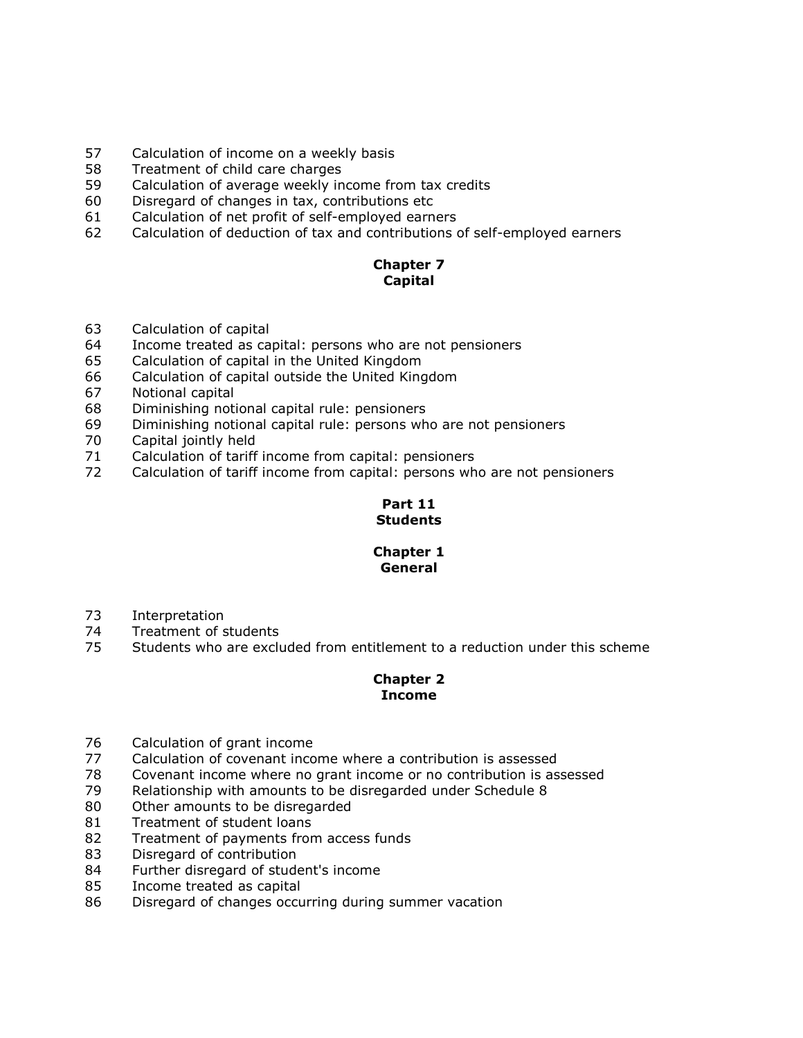- Calculation of income on a weekly basis
- Treatment of child care charges
- Calculation of average weekly income from tax credits
- Disregard of changes in tax, contributions etc
- Calculation of net profit of self-employed earners
- Calculation of deduction of tax and contributions of self-employed earners

## **Chapter 7 Capital**

- Calculation of capital
- Income treated as capital: persons who are not pensioners
- Calculation of capital in the United Kingdom
- Calculation of capital outside the United Kingdom
- Notional capital
- Diminishing notional capital rule: pensioners
- Diminishing notional capital rule: persons who are not pensioners
- Capital jointly held
- Calculation of tariff income from capital: pensioners
- Calculation of tariff income from capital: persons who are not pensioners

## **Part 11 Students**

#### **Chapter 1 General**

- Interpretation
- Treatment of students
- Students who are excluded from entitlement to a reduction under this scheme

#### **Chapter 2 Income**

- Calculation of grant income
- Calculation of covenant income where a contribution is assessed
- Covenant income where no grant income or no contribution is assessed
- Relationship with amounts to be disregarded under Schedule 8
- Other amounts to be disregarded
- Treatment of student loans
- Treatment of payments from access funds
- Disregard of contribution
- Further disregard of student's income
- Income treated as capital
- Disregard of changes occurring during summer vacation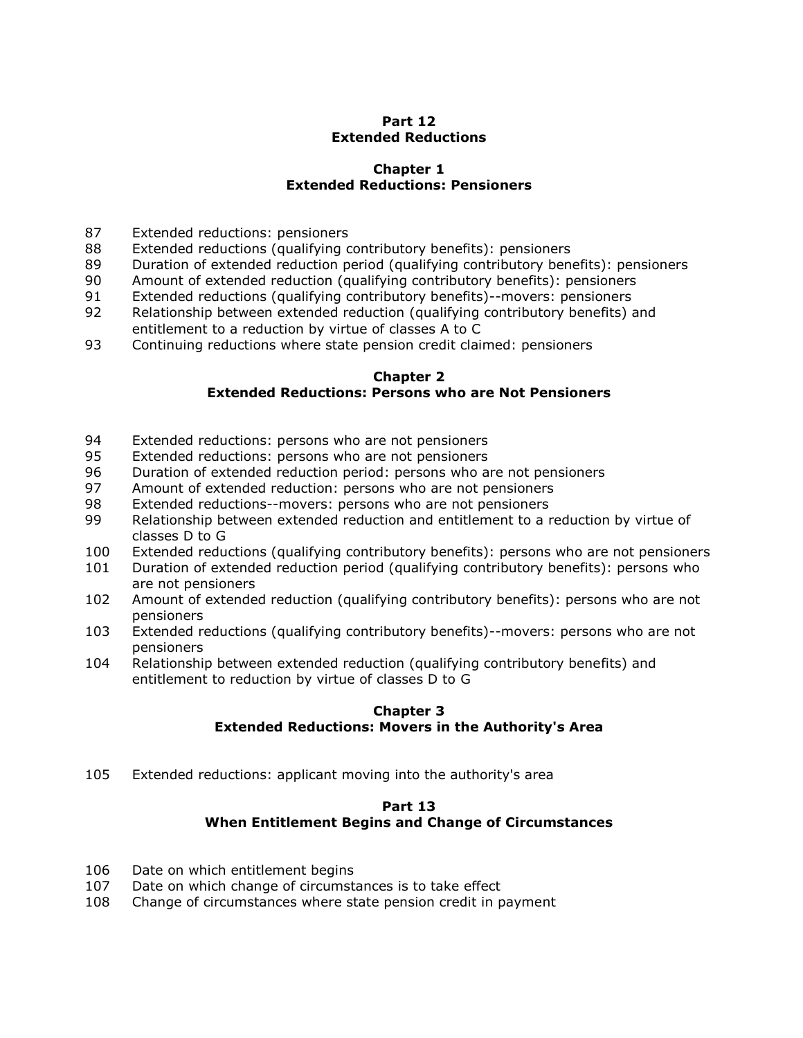## **Part 12 Extended Reductions**

## **Chapter 1 Extended Reductions: Pensioners**

- 87 Extended reductions: pensioners
- 88 Extended reductions (qualifying contributory benefits): pensioners
- 89 Duration of extended reduction period (qualifying contributory benefits): pensioners
- 90 Amount of extended reduction (qualifying contributory benefits): pensioners
- 91 Extended reductions (qualifying contributory benefits)--movers: pensioners
- 92 Relationship between extended reduction (qualifying contributory benefits) and entitlement to a reduction by virtue of classes A to C
- 93 Continuing reductions where state pension credit claimed: pensioners

#### **Chapter 2 Extended Reductions: Persons who are Not Pensioners**

- 94 Extended reductions: persons who are not pensioners
- 95 Extended reductions: persons who are not pensioners
- 96 Duration of extended reduction period: persons who are not pensioners
- 97 Amount of extended reduction: persons who are not pensioners
- 98 Extended reductions--movers: persons who are not pensioners
- 99 Relationship between extended reduction and entitlement to a reduction by virtue of classes D to G
- 100 Extended reductions (qualifying contributory benefits): persons who are not pensioners
- 101 Duration of extended reduction period (qualifying contributory benefits): persons who are not pensioners
- 102 Amount of extended reduction (qualifying contributory benefits): persons who are not pensioners
- 103 Extended reductions (qualifying contributory benefits)--movers: persons who are not pensioners
- 104 Relationship between extended reduction (qualifying contributory benefits) and entitlement to reduction by virtue of classes D to G

## **Chapter 3 Extended Reductions: Movers in the Authority's Area**

105 Extended reductions: applicant moving into the authority's area

## **Part 13 When Entitlement Begins and Change of Circumstances**

- 106 Date on which entitlement begins
- 107 Date on which change of circumstances is to take effect
- 108 Change of circumstances where state pension credit in payment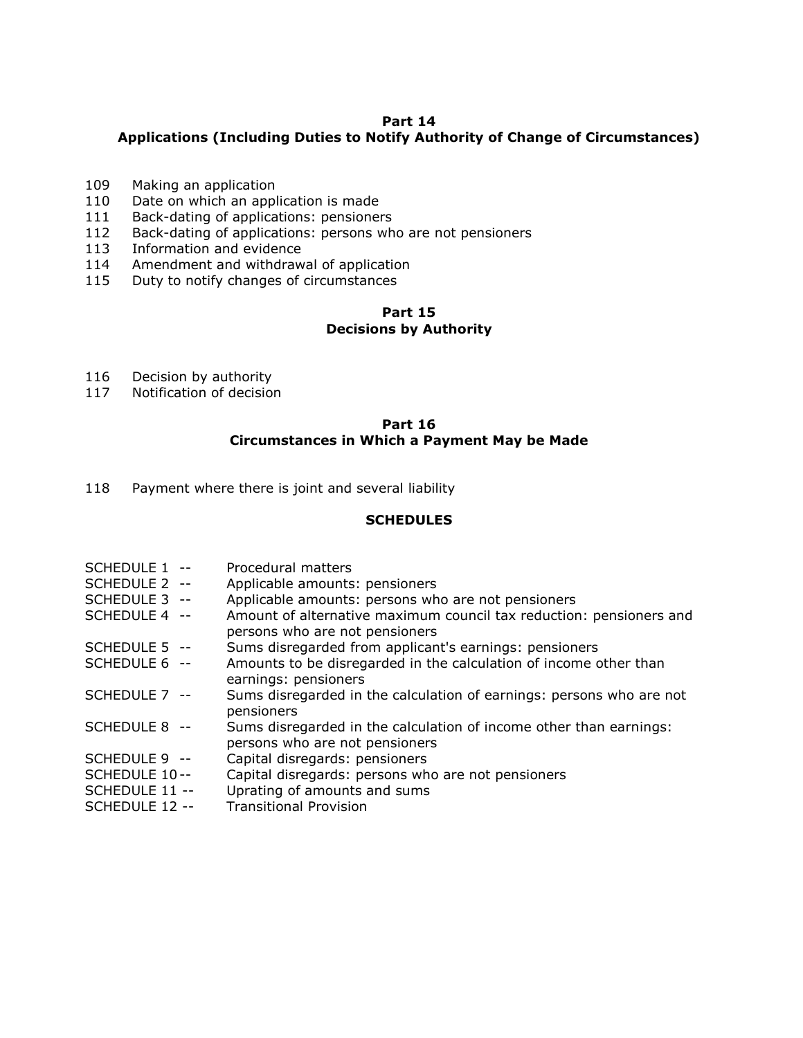## **Part 14**

# **Applications (Including Duties to Notify Authority of Change of Circumstances)**

- 109 Making an application
- 110 Date on which an application is made
- 111 Back-dating of applications: pensioners
- 112 Back-dating of applications: persons who are not pensioners
- 113 Information and evidence
- 114 Amendment and withdrawal of application
- 115 Duty to notify changes of circumstances

## **Part 15 Decisions by Authority**

- 116 Decision by authority
- 117 Notification of decision

## **Part 16 Circumstances in Which a Payment May be Made**

118 Payment where there is joint and several liability

## **SCHEDULES**

| SCHEDULE 1 --  | Procedural matters                                                                                    |
|----------------|-------------------------------------------------------------------------------------------------------|
| SCHEDULE 2 --  | Applicable amounts: pensioners                                                                        |
| SCHEDULE 3 --  | Applicable amounts: persons who are not pensioners                                                    |
| SCHEDULE 4 --  | Amount of alternative maximum council tax reduction: pensioners and<br>persons who are not pensioners |
| SCHEDULE 5 --  | Sums disregarded from applicant's earnings: pensioners                                                |
| SCHEDULE 6 --  | Amounts to be disregarded in the calculation of income other than                                     |
|                | earnings: pensioners                                                                                  |
| SCHEDULE 7 --  | Sums disregarded in the calculation of earnings: persons who are not<br>pensioners                    |
| SCHEDULE 8 --  | Sums disregarded in the calculation of income other than earnings:                                    |
|                | persons who are not pensioners                                                                        |
| SCHEDULE 9 --  | Capital disregards: pensioners                                                                        |
| SCHEDULE 10--  | Capital disregards: persons who are not pensioners                                                    |
| SCHEDULE 11 -- | Uprating of amounts and sums                                                                          |
| SCHEDULE 12 -- | <b>Transitional Provision</b>                                                                         |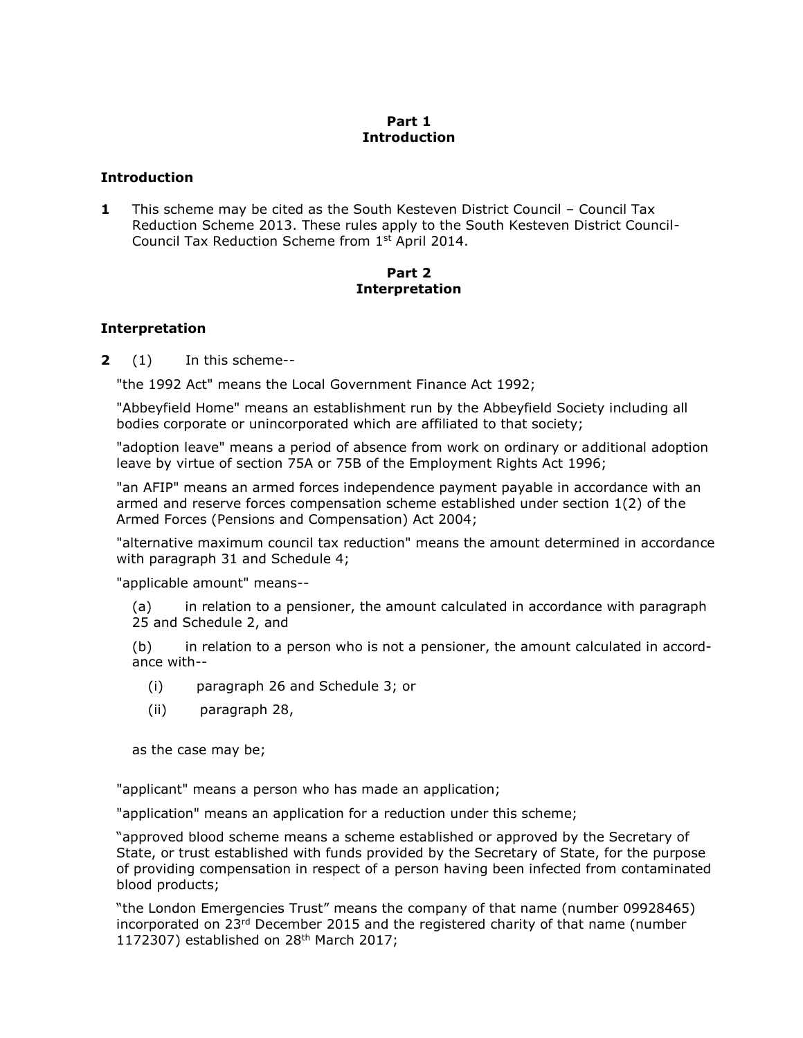## **Part 1 Introduction**

#### **Introduction**

**1** This scheme may be cited as the South Kesteven District Council – Council Tax Reduction Scheme 2013. These rules apply to the South Kesteven District Council-Council Tax Reduction Scheme from 1st April 2014.

#### **Part 2 Interpretation**

#### **Interpretation**

**2** (1) In this scheme--

"the 1992 Act" means the Local Government Finance Act 1992;

"Abbeyfield Home" means an establishment run by the Abbeyfield Society including all bodies corporate or unincorporated which are affiliated to that society;

"adoption leave" means a period of absence from work on ordinary or additional adoption leave by virtue of section 75A or 75B of the Employment Rights Act 1996;

"an AFIP" means an armed forces independence payment payable in accordance with an armed and reserve forces compensation scheme established under section 1(2) of the Armed Forces (Pensions and Compensation) Act 2004;

"alternative maximum council tax reduction" means the amount determined in accordance with paragraph 31 and Schedule 4;

"applicable amount" means--

(a) in relation to a pensioner, the amount calculated in accordance with paragraph 25 and Schedule 2, and

(b) in relation to a person who is not a pensioner, the amount calculated in accordance with--

- (i) paragraph 26 and Schedule 3; or
- (ii) paragraph 28,

as the case may be;

"applicant" means a person who has made an application;

"application" means an application for a reduction under this scheme;

"approved blood scheme means a scheme established or approved by the Secretary of State, or trust established with funds provided by the Secretary of State, for the purpose of providing compensation in respect of a person having been infected from contaminated blood products;

"the London Emergencies Trust" means the company of that name (number 09928465) incorporated on  $23<sup>rd</sup>$  December 2015 and the registered charity of that name (number 1172307) established on  $28<sup>th</sup>$  March 2017;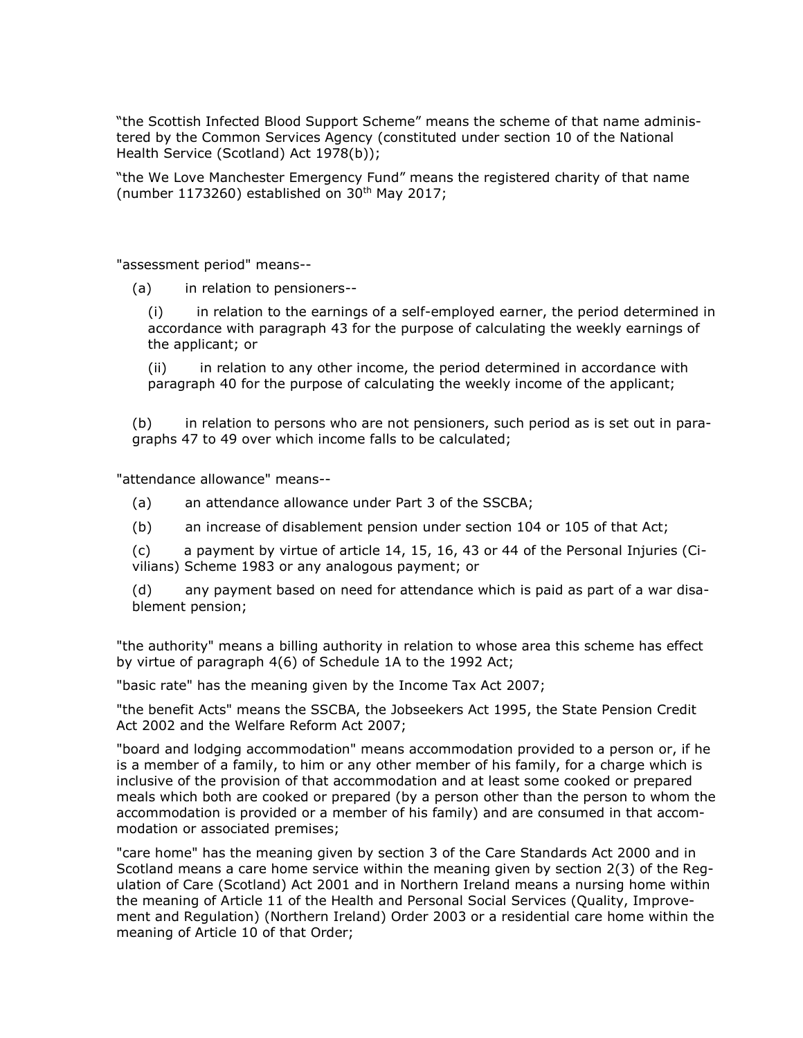"the Scottish Infected Blood Support Scheme" means the scheme of that name administered by the Common Services Agency (constituted under section 10 of the National Health Service (Scotland) Act 1978(b));

"the We Love Manchester Emergency Fund" means the registered charity of that name (number 1173260) established on  $30<sup>th</sup>$  May 2017;

"assessment period" means--

(a) in relation to pensioners--

(i) in relation to the earnings of a self-employed earner, the period determined in accordance with paragraph 43 for the purpose of calculating the weekly earnings of the applicant; or

(ii) in relation to any other income, the period determined in accordance with paragraph 40 for the purpose of calculating the weekly income of the applicant;

(b) in relation to persons who are not pensioners, such period as is set out in paragraphs 47 to 49 over which income falls to be calculated;

"attendance allowance" means--

(a) an attendance allowance under Part 3 of the SSCBA;

(b) an increase of disablement pension under section 104 or 105 of that Act;

(c) a payment by virtue of article 14, 15, 16, 43 or 44 of the Personal Injuries (Civilians) Scheme 1983 or any analogous payment; or

(d) any payment based on need for attendance which is paid as part of a war disablement pension;

"the authority" means a billing authority in relation to whose area this scheme has effect by virtue of paragraph 4(6) of Schedule 1A to the 1992 Act;

"basic rate" has the meaning given by the Income Tax Act 2007;

"the benefit Acts" means the SSCBA, the Jobseekers Act 1995, the State Pension Credit Act 2002 and the Welfare Reform Act 2007;

"board and lodging accommodation" means accommodation provided to a person or, if he is a member of a family, to him or any other member of his family, for a charge which is inclusive of the provision of that accommodation and at least some cooked or prepared meals which both are cooked or prepared (by a person other than the person to whom the accommodation is provided or a member of his family) and are consumed in that accommodation or associated premises;

"care home" has the meaning given by section 3 of the Care Standards Act 2000 and in Scotland means a care home service within the meaning given by section 2(3) of the Regulation of Care (Scotland) Act 2001 and in Northern Ireland means a nursing home within the meaning of Article 11 of the Health and Personal Social Services (Quality, Improvement and Regulation) (Northern Ireland) Order 2003 or a residential care home within the meaning of Article 10 of that Order;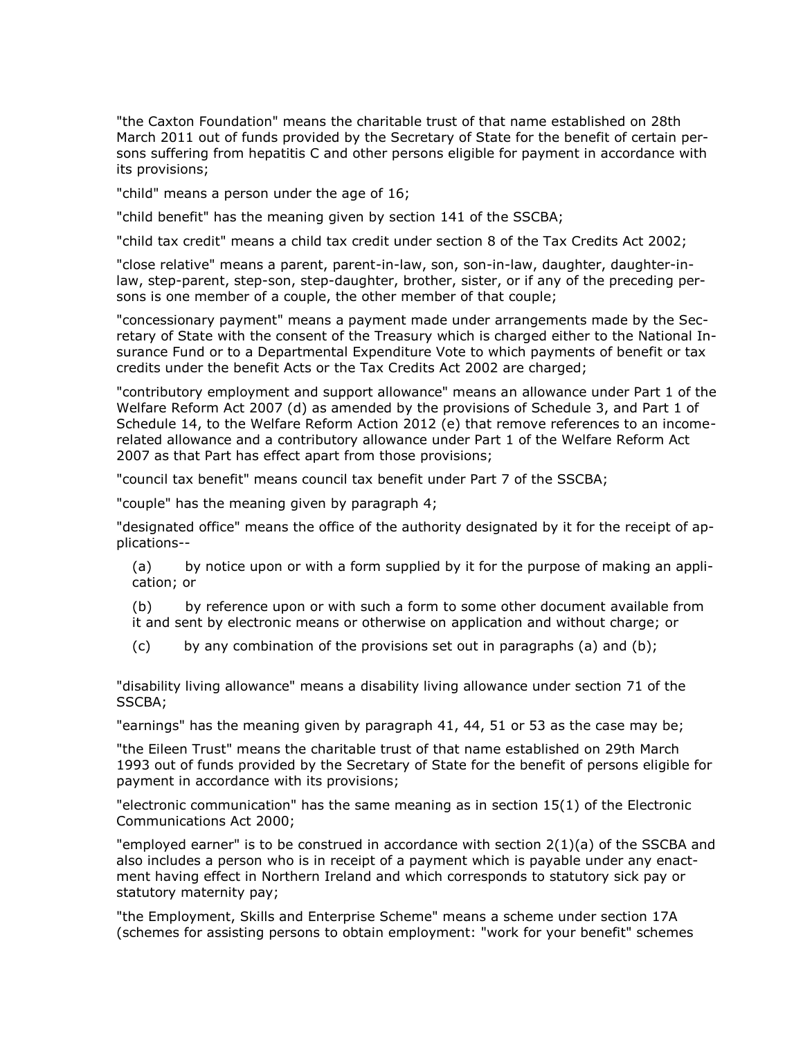"the Caxton Foundation" means the charitable trust of that name established on 28th March 2011 out of funds provided by the Secretary of State for the benefit of certain persons suffering from hepatitis C and other persons eligible for payment in accordance with its provisions;

"child" means a person under the age of 16;

"child benefit" has the meaning given by section 141 of the SSCBA;

"child tax credit" means a child tax credit under section 8 of the Tax Credits Act 2002;

"close relative" means a parent, parent-in-law, son, son-in-law, daughter, daughter-inlaw, step-parent, step-son, step-daughter, brother, sister, or if any of the preceding persons is one member of a couple, the other member of that couple;

"concessionary payment" means a payment made under arrangements made by the Secretary of State with the consent of the Treasury which is charged either to the National Insurance Fund or to a Departmental Expenditure Vote to which payments of benefit or tax credits under the benefit Acts or the Tax Credits Act 2002 are charged;

"contributory employment and support allowance" means an allowance under Part 1 of the Welfare Reform Act 2007 (d) as amended by the provisions of Schedule 3, and Part 1 of Schedule 14, to the Welfare Reform Action 2012 (e) that remove references to an incomerelated allowance and a contributory allowance under Part 1 of the Welfare Reform Act 2007 as that Part has effect apart from those provisions;

"council tax benefit" means council tax benefit under Part 7 of the SSCBA;

"couple" has the meaning given by paragraph 4;

"designated office" means the office of the authority designated by it for the receipt of applications--

(a) by notice upon or with a form supplied by it for the purpose of making an application; or

(b) by reference upon or with such a form to some other document available from it and sent by electronic means or otherwise on application and without charge; or

(c) by any combination of the provisions set out in paragraphs (a) and (b);

"disability living allowance" means a disability living allowance under section 71 of the SSCBA;

"earnings" has the meaning given by paragraph 41, 44, 51 or 53 as the case may be;

"the Eileen Trust" means the charitable trust of that name established on 29th March 1993 out of funds provided by the Secretary of State for the benefit of persons eligible for payment in accordance with its provisions;

"electronic communication" has the same meaning as in section 15(1) of the Electronic Communications Act 2000;

"employed earner" is to be construed in accordance with section 2(1)(a) of the SSCBA and also includes a person who is in receipt of a payment which is payable under any enactment having effect in Northern Ireland and which corresponds to statutory sick pay or statutory maternity pay;

"the Employment, Skills and Enterprise Scheme" means a scheme under section 17A (schemes for assisting persons to obtain employment: "work for your benefit" schemes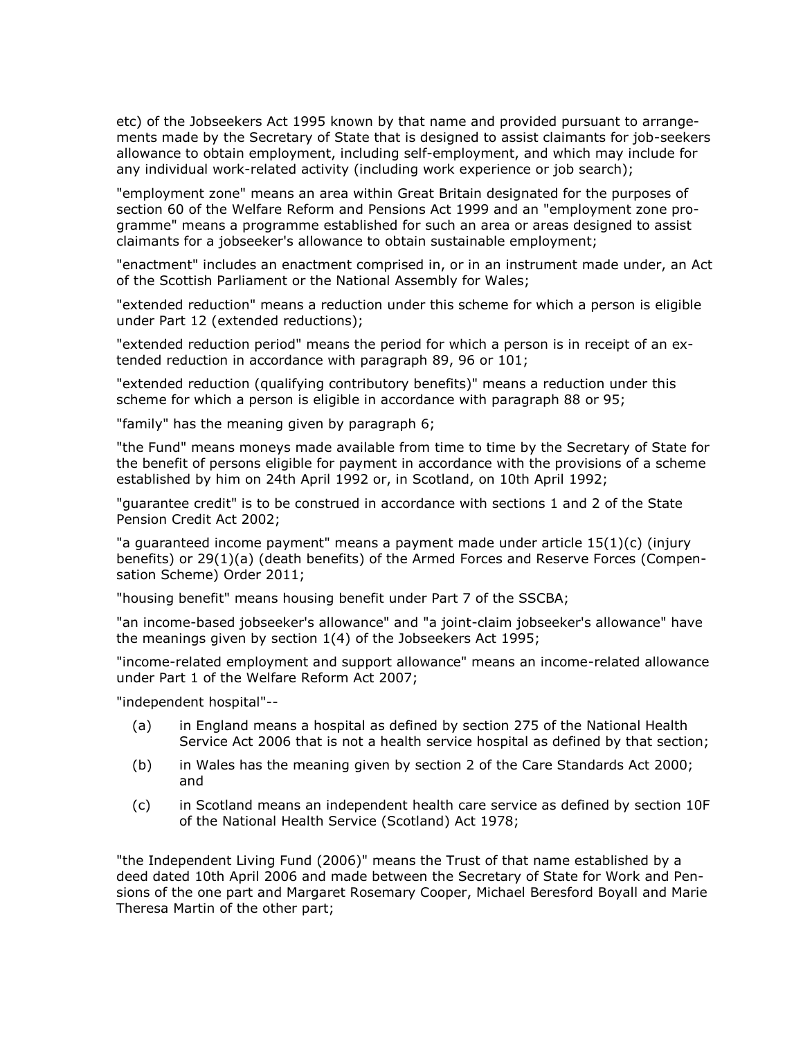etc) of the Jobseekers Act 1995 known by that name and provided pursuant to arrangements made by the Secretary of State that is designed to assist claimants for job-seekers allowance to obtain employment, including self-employment, and which may include for any individual work-related activity (including work experience or job search);

"employment zone" means an area within Great Britain designated for the purposes of section 60 of the Welfare Reform and Pensions Act 1999 and an "employment zone programme" means a programme established for such an area or areas designed to assist claimants for a jobseeker's allowance to obtain sustainable employment;

"enactment" includes an enactment comprised in, or in an instrument made under, an Act of the Scottish Parliament or the National Assembly for Wales;

"extended reduction" means a reduction under this scheme for which a person is eligible under Part 12 (extended reductions);

"extended reduction period" means the period for which a person is in receipt of an extended reduction in accordance with paragraph 89, 96 or 101;

"extended reduction (qualifying contributory benefits)" means a reduction under this scheme for which a person is eligible in accordance with paragraph 88 or 95;

"family" has the meaning given by paragraph 6;

"the Fund" means moneys made available from time to time by the Secretary of State for the benefit of persons eligible for payment in accordance with the provisions of a scheme established by him on 24th April 1992 or, in Scotland, on 10th April 1992;

"guarantee credit" is to be construed in accordance with sections 1 and 2 of the State Pension Credit Act 2002;

"a guaranteed income payment" means a payment made under article 15(1)(c) (injury benefits) or 29(1)(a) (death benefits) of the Armed Forces and Reserve Forces (Compensation Scheme) Order 2011;

"housing benefit" means housing benefit under Part 7 of the SSCBA;

"an income-based jobseeker's allowance" and "a joint-claim jobseeker's allowance" have the meanings given by section 1(4) of the Jobseekers Act 1995;

"income-related employment and support allowance" means an income-related allowance under Part 1 of the Welfare Reform Act 2007;

"independent hospital"--

- (a) in England means a hospital as defined by section 275 of the National Health Service Act 2006 that is not a health service hospital as defined by that section;
- (b) in Wales has the meaning given by section 2 of the Care Standards Act 2000; and
- (c) in Scotland means an independent health care service as defined by section 10F of the National Health Service (Scotland) Act 1978;

"the Independent Living Fund (2006)" means the Trust of that name established by a deed dated 10th April 2006 and made between the Secretary of State for Work and Pensions of the one part and Margaret Rosemary Cooper, Michael Beresford Boyall and Marie Theresa Martin of the other part;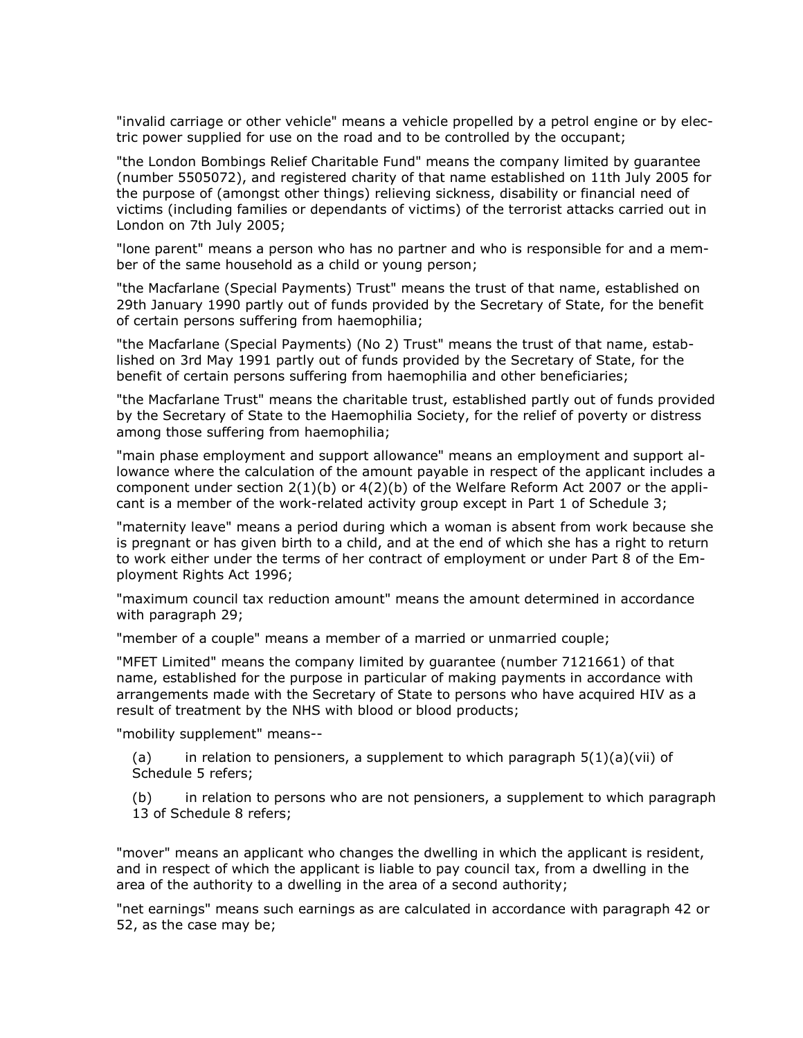"invalid carriage or other vehicle" means a vehicle propelled by a petrol engine or by electric power supplied for use on the road and to be controlled by the occupant;

"the London Bombings Relief Charitable Fund" means the company limited by guarantee (number 5505072), and registered charity of that name established on 11th July 2005 for the purpose of (amongst other things) relieving sickness, disability or financial need of victims (including families or dependants of victims) of the terrorist attacks carried out in London on 7th July 2005;

"lone parent" means a person who has no partner and who is responsible for and a member of the same household as a child or young person;

"the Macfarlane (Special Payments) Trust" means the trust of that name, established on 29th January 1990 partly out of funds provided by the Secretary of State, for the benefit of certain persons suffering from haemophilia;

"the Macfarlane (Special Payments) (No 2) Trust" means the trust of that name, established on 3rd May 1991 partly out of funds provided by the Secretary of State, for the benefit of certain persons suffering from haemophilia and other beneficiaries;

"the Macfarlane Trust" means the charitable trust, established partly out of funds provided by the Secretary of State to the Haemophilia Society, for the relief of poverty or distress among those suffering from haemophilia;

"main phase employment and support allowance" means an employment and support allowance where the calculation of the amount payable in respect of the applicant includes a component under section  $2(1)(b)$  or  $4(2)(b)$  of the Welfare Reform Act 2007 or the applicant is a member of the work-related activity group except in Part 1 of Schedule 3;

"maternity leave" means a period during which a woman is absent from work because she is pregnant or has given birth to a child, and at the end of which she has a right to return to work either under the terms of her contract of employment or under Part 8 of the Employment Rights Act 1996;

"maximum council tax reduction amount" means the amount determined in accordance with paragraph 29;

"member of a couple" means a member of a married or unmarried couple;

"MFET Limited" means the company limited by guarantee (number 7121661) of that name, established for the purpose in particular of making payments in accordance with arrangements made with the Secretary of State to persons who have acquired HIV as a result of treatment by the NHS with blood or blood products;

"mobility supplement" means--

(a) in relation to pensioners, a supplement to which paragraph  $5(1)(a)(vi)$  of Schedule 5 refers;

(b) in relation to persons who are not pensioners, a supplement to which paragraph 13 of Schedule 8 refers;

"mover" means an applicant who changes the dwelling in which the applicant is resident, and in respect of which the applicant is liable to pay council tax, from a dwelling in the area of the authority to a dwelling in the area of a second authority;

"net earnings" means such earnings as are calculated in accordance with paragraph 42 or 52, as the case may be;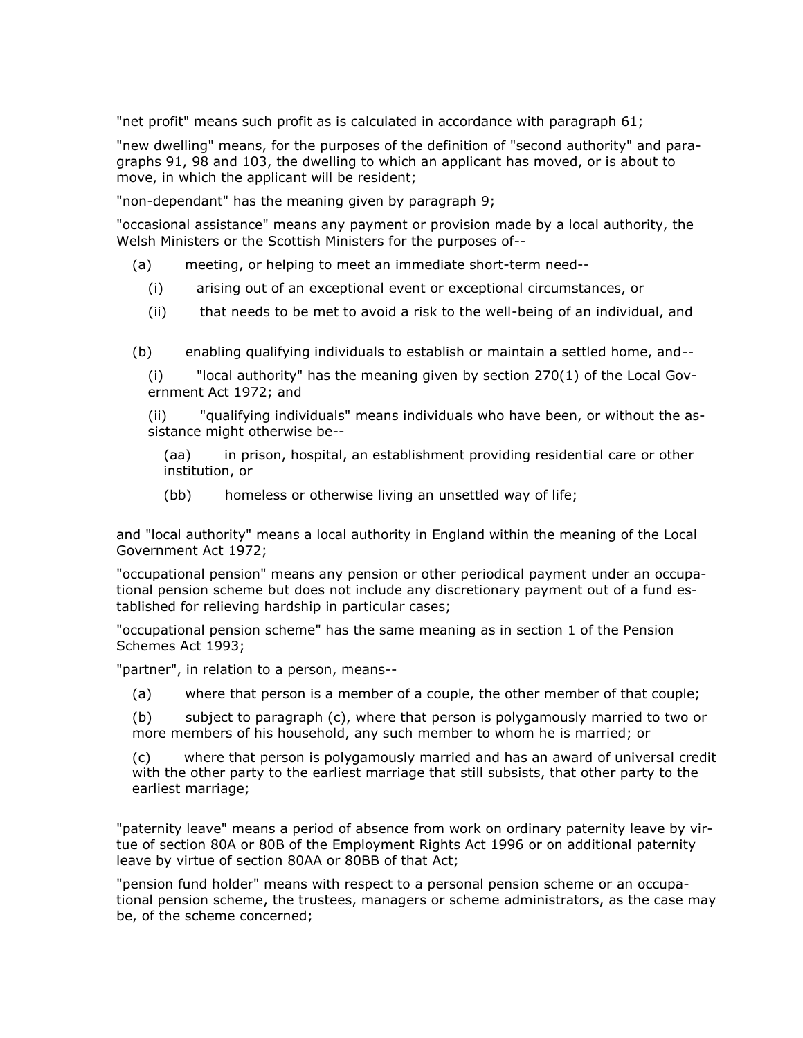"net profit" means such profit as is calculated in accordance with paragraph 61;

"new dwelling" means, for the purposes of the definition of "second authority" and paragraphs 91, 98 and 103, the dwelling to which an applicant has moved, or is about to move, in which the applicant will be resident;

"non-dependant" has the meaning given by paragraph 9;

"occasional assistance" means any payment or provision made by a local authority, the Welsh Ministers or the Scottish Ministers for the purposes of--

- (a) meeting, or helping to meet an immediate short-term need--
	- (i) arising out of an exceptional event or exceptional circumstances, or
	- (ii) that needs to be met to avoid a risk to the well-being of an individual, and
- (b) enabling qualifying individuals to establish or maintain a settled home, and--

(i) "local authority" has the meaning given by section 270(1) of the Local Government Act 1972; and

(ii) "qualifying individuals" means individuals who have been, or without the assistance might otherwise be--

(aa) in prison, hospital, an establishment providing residential care or other institution, or

(bb) homeless or otherwise living an unsettled way of life;

and "local authority" means a local authority in England within the meaning of the Local Government Act 1972;

"occupational pension" means any pension or other periodical payment under an occupational pension scheme but does not include any discretionary payment out of a fund established for relieving hardship in particular cases;

"occupational pension scheme" has the same meaning as in section 1 of the Pension Schemes Act 1993;

"partner", in relation to a person, means--

(a) where that person is a member of a couple, the other member of that couple;

(b) subject to paragraph (c), where that person is polygamously married to two or more members of his household, any such member to whom he is married; or

(c) where that person is polygamously married and has an award of universal credit with the other party to the earliest marriage that still subsists, that other party to the earliest marriage;

"paternity leave" means a period of absence from work on ordinary paternity leave by virtue of section 80A or 80B of the Employment Rights Act 1996 or on additional paternity leave by virtue of section 80AA or 80BB of that Act;

"pension fund holder" means with respect to a personal pension scheme or an occupational pension scheme, the trustees, managers or scheme administrators, as the case may be, of the scheme concerned;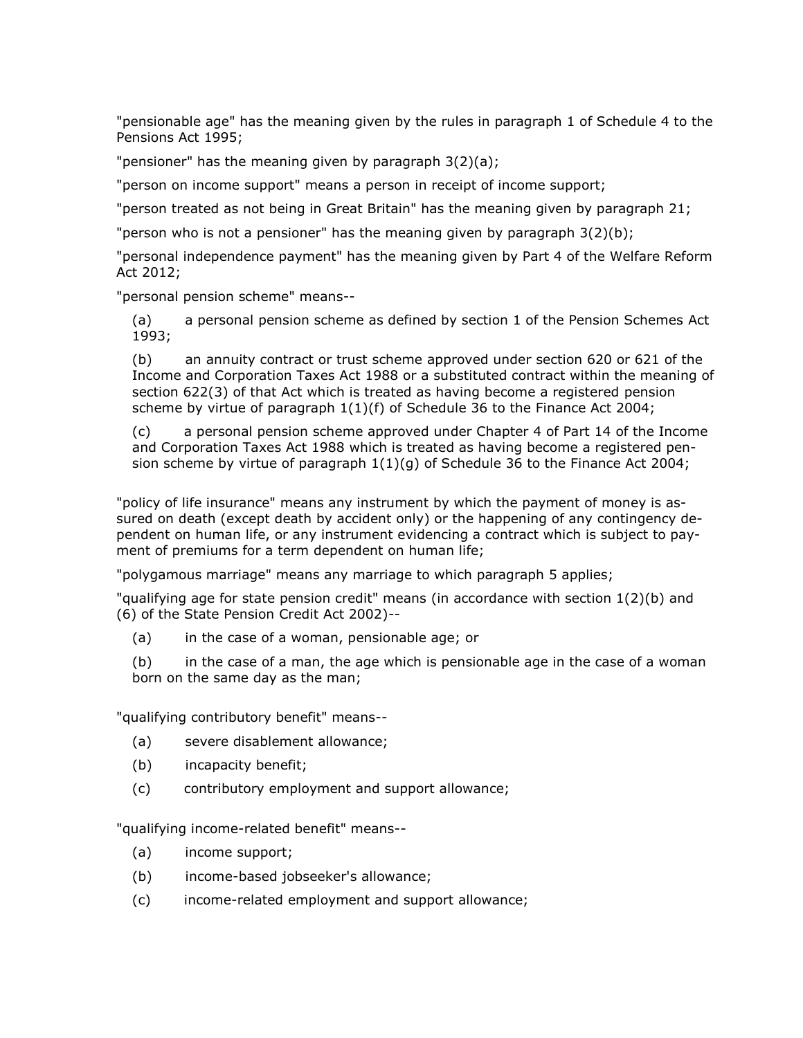"pensionable age" has the meaning given by the rules in paragraph 1 of Schedule 4 to the Pensions Act 1995;

"pensioner" has the meaning given by paragraph 3(2)(a);

"person on income support" means a person in receipt of income support;

"person treated as not being in Great Britain" has the meaning given by paragraph 21;

"person who is not a pensioner" has the meaning given by paragraph  $3(2)(b)$ ;

"personal independence payment" has the meaning given by Part 4 of the Welfare Reform Act 2012;

"personal pension scheme" means--

(a) a personal pension scheme as defined by section 1 of the Pension Schemes Act 1993;

(b) an annuity contract or trust scheme approved under section 620 or 621 of the Income and Corporation Taxes Act 1988 or a substituted contract within the meaning of section 622(3) of that Act which is treated as having become a registered pension scheme by virtue of paragraph 1(1)(f) of Schedule 36 to the Finance Act 2004;

(c) a personal pension scheme approved under Chapter 4 of Part 14 of the Income and Corporation Taxes Act 1988 which is treated as having become a registered pension scheme by virtue of paragraph  $1(1)(q)$  of Schedule 36 to the Finance Act 2004;

"policy of life insurance" means any instrument by which the payment of money is assured on death (except death by accident only) or the happening of any contingency dependent on human life, or any instrument evidencing a contract which is subject to payment of premiums for a term dependent on human life;

"polygamous marriage" means any marriage to which paragraph 5 applies;

"qualifying age for state pension credit" means (in accordance with section 1(2)(b) and (6) of the State Pension Credit Act 2002)--

(a) in the case of a woman, pensionable age; or

(b) in the case of a man, the age which is pensionable age in the case of a woman born on the same day as the man;

"qualifying contributory benefit" means--

- (a) severe disablement allowance;
- (b) incapacity benefit;
- (c) contributory employment and support allowance;

"qualifying income-related benefit" means--

- (a) income support;
- (b) income-based jobseeker's allowance;
- (c) income-related employment and support allowance;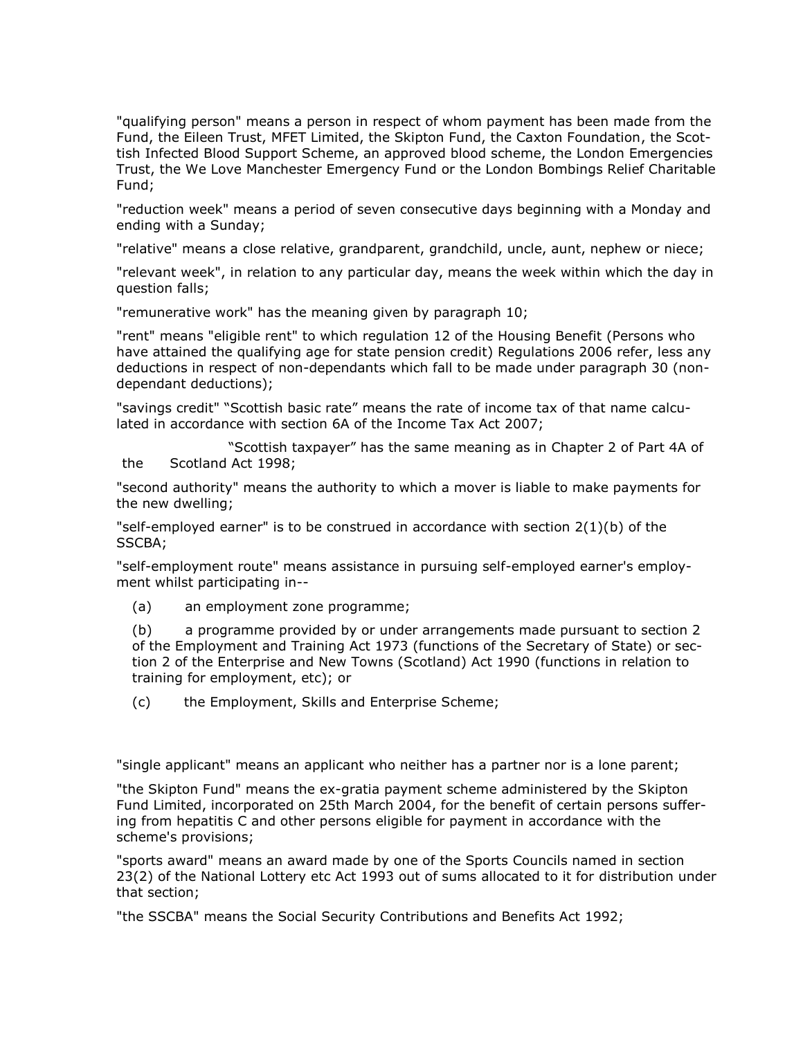"qualifying person" means a person in respect of whom payment has been made from the Fund, the Eileen Trust, MFET Limited, the Skipton Fund, the Caxton Foundation, the Scottish Infected Blood Support Scheme, an approved blood scheme, the London Emergencies Trust, the We Love Manchester Emergency Fund or the London Bombings Relief Charitable Fund;

"reduction week" means a period of seven consecutive days beginning with a Monday and ending with a Sunday;

"relative" means a close relative, grandparent, grandchild, uncle, aunt, nephew or niece;

"relevant week", in relation to any particular day, means the week within which the day in question falls;

"remunerative work" has the meaning given by paragraph 10;

"rent" means "eligible rent" to which regulation 12 of the Housing Benefit (Persons who have attained the qualifying age for state pension credit) Regulations 2006 refer, less any deductions in respect of non-dependants which fall to be made under paragraph 30 (nondependant deductions);

"savings credit" "Scottish basic rate" means the rate of income tax of that name calculated in accordance with section 6A of the Income Tax Act 2007;

 "Scottish taxpayer" has the same meaning as in Chapter 2 of Part 4A of the Scotland Act 1998;

"second authority" means the authority to which a mover is liable to make payments for the new dwelling;

"self-employed earner" is to be construed in accordance with section  $2(1)(b)$  of the SSCBA;

"self-employment route" means assistance in pursuing self-employed earner's employment whilst participating in--

(a) an employment zone programme;

(b) a programme provided by or under arrangements made pursuant to section 2 of the Employment and Training Act 1973 (functions of the Secretary of State) or section 2 of the Enterprise and New Towns (Scotland) Act 1990 (functions in relation to training for employment, etc); or

(c) the Employment, Skills and Enterprise Scheme;

"single applicant" means an applicant who neither has a partner nor is a lone parent;

"the Skipton Fund" means the ex-gratia payment scheme administered by the Skipton Fund Limited, incorporated on 25th March 2004, for the benefit of certain persons suffering from hepatitis C and other persons eligible for payment in accordance with the scheme's provisions;

"sports award" means an award made by one of the Sports Councils named in section 23(2) of the National Lottery etc Act 1993 out of sums allocated to it for distribution under that section;

"the SSCBA" means the Social Security Contributions and Benefits Act 1992;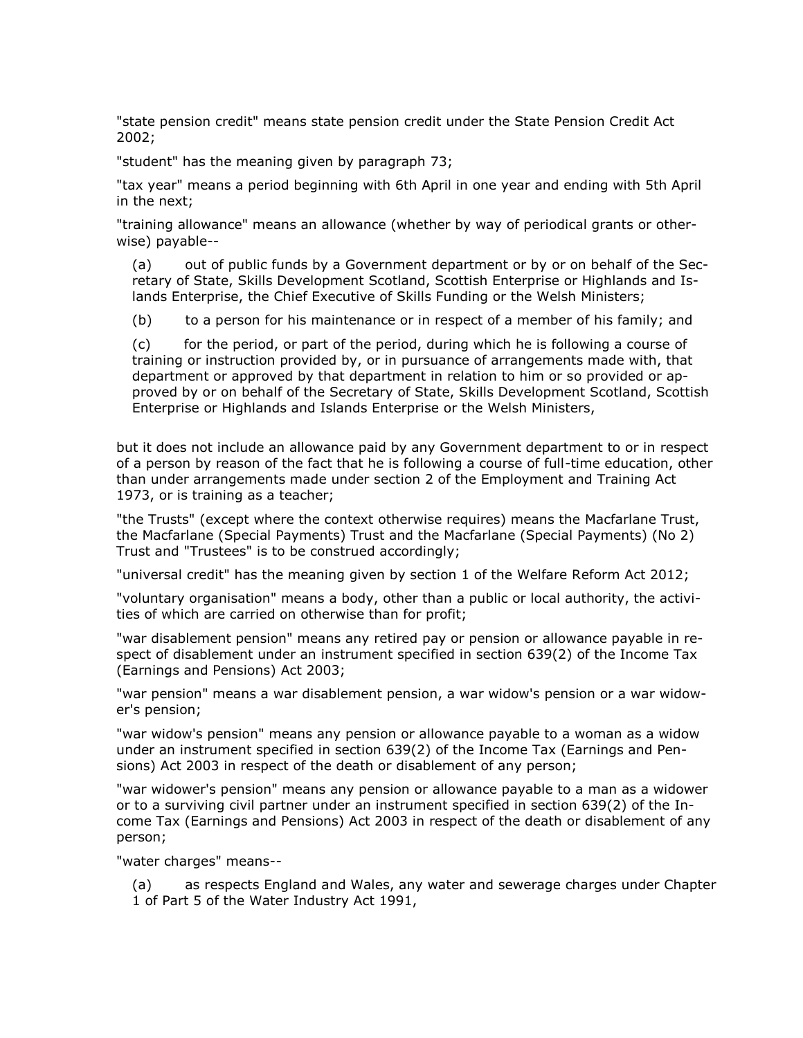"state pension credit" means state pension credit under the State Pension Credit Act 2002;

"student" has the meaning given by paragraph 73;

"tax year" means a period beginning with 6th April in one year and ending with 5th April in the next;

"training allowance" means an allowance (whether by way of periodical grants or otherwise) payable--

(a) out of public funds by a Government department or by or on behalf of the Secretary of State, Skills Development Scotland, Scottish Enterprise or Highlands and Islands Enterprise, the Chief Executive of Skills Funding or the Welsh Ministers;

(b) to a person for his maintenance or in respect of a member of his family; and

(c) for the period, or part of the period, during which he is following a course of training or instruction provided by, or in pursuance of arrangements made with, that department or approved by that department in relation to him or so provided or approved by or on behalf of the Secretary of State, Skills Development Scotland, Scottish Enterprise or Highlands and Islands Enterprise or the Welsh Ministers,

but it does not include an allowance paid by any Government department to or in respect of a person by reason of the fact that he is following a course of full-time education, other than under arrangements made under section 2 of the Employment and Training Act 1973, or is training as a teacher;

"the Trusts" (except where the context otherwise requires) means the Macfarlane Trust, the Macfarlane (Special Payments) Trust and the Macfarlane (Special Payments) (No 2) Trust and "Trustees" is to be construed accordingly;

"universal credit" has the meaning given by section 1 of the Welfare Reform Act 2012;

"voluntary organisation" means a body, other than a public or local authority, the activities of which are carried on otherwise than for profit;

"war disablement pension" means any retired pay or pension or allowance payable in respect of disablement under an instrument specified in section 639(2) of the Income Tax (Earnings and Pensions) Act 2003;

"war pension" means a war disablement pension, a war widow's pension or a war widower's pension;

"war widow's pension" means any pension or allowance payable to a woman as a widow under an instrument specified in section 639(2) of the Income Tax (Earnings and Pensions) Act 2003 in respect of the death or disablement of any person;

"war widower's pension" means any pension or allowance payable to a man as a widower or to a surviving civil partner under an instrument specified in section 639(2) of the Income Tax (Earnings and Pensions) Act 2003 in respect of the death or disablement of any person;

"water charges" means--

(a) as respects England and Wales, any water and sewerage charges under Chapter 1 of Part 5 of the Water Industry Act 1991,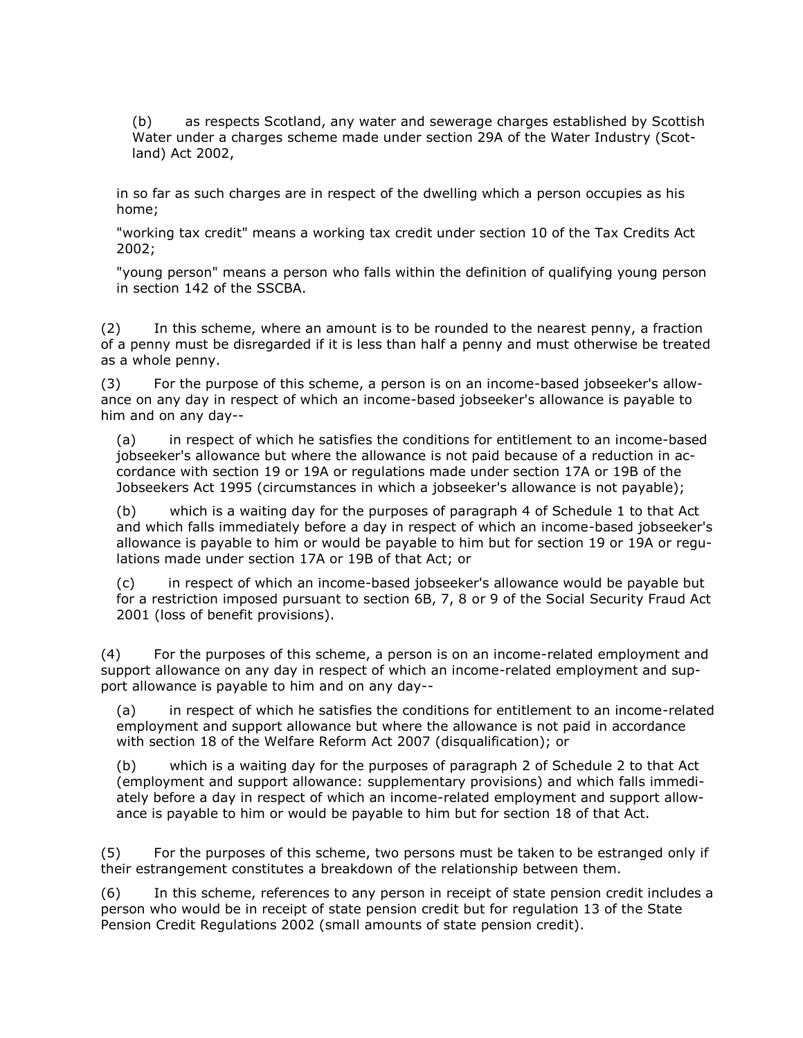(b) as respects Scotland, any water and sewerage charges established by Scottish Water under a charges scheme made under section 29A of the Water Industry (Scotland) Act 2002,

in so far as such charges are in respect of the dwelling which a person occupies as his home;

"working tax credit" means a working tax credit under section 10 of the Tax Credits Act 2002;

"young person" means a person who falls within the definition of qualifying young person in section 142 of the SSCBA.

(2) In this scheme, where an amount is to be rounded to the nearest penny, a fraction of a penny must be disregarded if it is less than half a penny and must otherwise be treated as a whole penny.

(3) For the purpose of this scheme, a person is on an income-based jobseeker's allowance on any day in respect of which an income-based jobseeker's allowance is payable to him and on any day--

(a) in respect of which he satisfies the conditions for entitlement to an income-based jobseeker's allowance but where the allowance is not paid because of a reduction in accordance with section 19 or 19A or regulations made under section 17A or 19B of the Jobseekers Act 1995 (circumstances in which a jobseeker's allowance is not payable);

(b) which is a waiting day for the purposes of paragraph 4 of Schedule 1 to that Act and which falls immediately before a day in respect of which an income-based jobseeker's allowance is payable to him or would be payable to him but for section 19 or 19A or regulations made under section 17A or 19B of that Act; or

(c) in respect of which an income-based jobseeker's allowance would be payable but for a restriction imposed pursuant to section 6B, 7, 8 or 9 of the Social Security Fraud Act 2001 (loss of benefit provisions).

(4) For the purposes of this scheme, a person is on an income-related employment and support allowance on any day in respect of which an income-related employment and support allowance is payable to him and on any day--

(a) in respect of which he satisfies the conditions for entitlement to an income-related employment and support allowance but where the allowance is not paid in accordance with section 18 of the Welfare Reform Act 2007 (disqualification); or

(b) which is a waiting day for the purposes of paragraph 2 of Schedule 2 to that Act (employment and support allowance: supplementary provisions) and which falls immediately before a day in respect of which an income-related employment and support allowance is payable to him or would be payable to him but for section 18 of that Act.

(5) For the purposes of this scheme, two persons must be taken to be estranged only if their estrangement constitutes a breakdown of the relationship between them.

(6) In this scheme, references to any person in receipt of state pension credit includes a person who would be in receipt of state pension credit but for regulation 13 of the State Pension Credit Regulations 2002 (small amounts of state pension credit).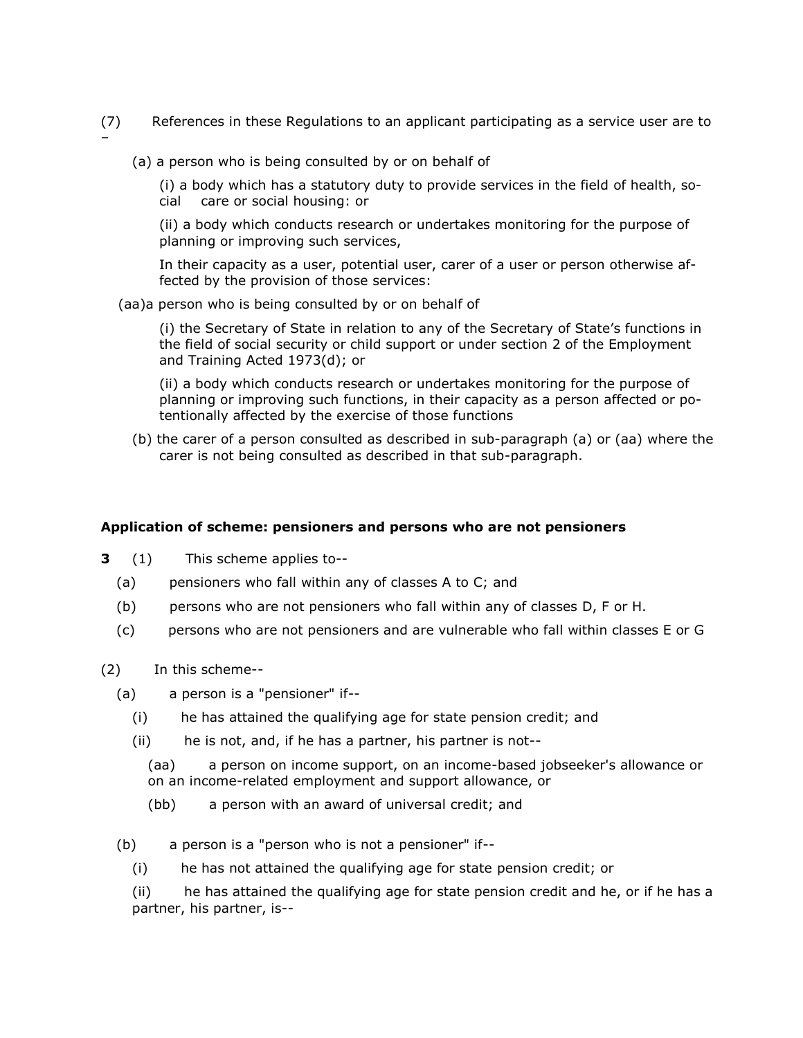- (7) References in these Regulations to an applicant participating as a service user are to
	- (a) a person who is being consulted by or on behalf of

(i) a body which has a statutory duty to provide services in the field of health, social care or social housing: or

(ii) a body which conducts research or undertakes monitoring for the purpose of planning or improving such services,

In their capacity as a user, potential user, carer of a user or person otherwise affected by the provision of those services:

(aa)a person who is being consulted by or on behalf of

(i) the Secretary of State in relation to any of the Secretary of State's functions in the field of social security or child support or under section 2 of the Employment and Training Acted 1973(d); or

(ii) a body which conducts research or undertakes monitoring for the purpose of planning or improving such functions, in their capacity as a person affected or potentionally affected by the exercise of those functions

(b) the carer of a person consulted as described in sub-paragraph (a) or (aa) where the carer is not being consulted as described in that sub-paragraph.

#### **Application of scheme: pensioners and persons who are not pensioners**

- **3** (1) This scheme applies to--
	- (a) pensioners who fall within any of classes A to C; and
	- (b) persons who are not pensioners who fall within any of classes D, F or H.
	- (c) persons who are not pensioners and are vulnerable who fall within classes E or G
- (2) In this scheme--

–

- (a) a person is a "pensioner" if--
	- (i) he has attained the qualifying age for state pension credit; and
	- (ii) he is not, and, if he has a partner, his partner is not--

(aa) a person on income support, on an income-based jobseeker's allowance or on an income-related employment and support allowance, or

- (bb) a person with an award of universal credit; and
- (b) a person is a "person who is not a pensioner" if--
	- (i) he has not attained the qualifying age for state pension credit; or

(ii) he has attained the qualifying age for state pension credit and he, or if he has a partner, his partner, is--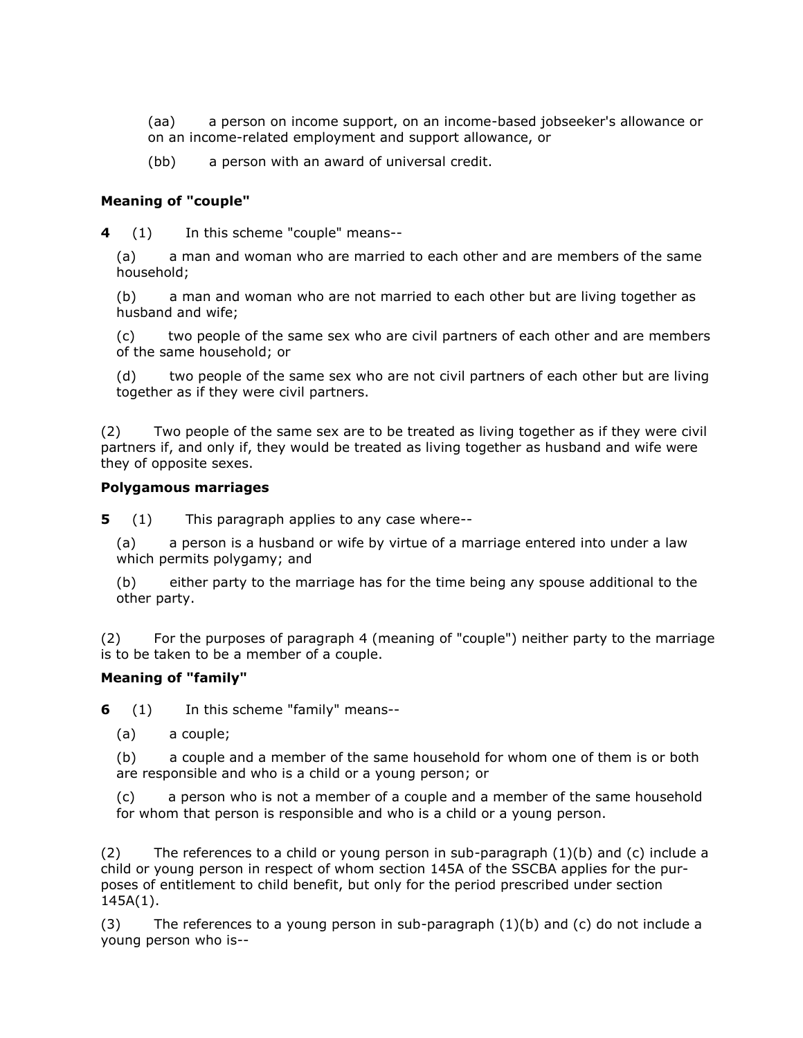(aa) a person on income support, on an income-based jobseeker's allowance or on an income-related employment and support allowance, or

(bb) a person with an award of universal credit.

## **Meaning of "couple"**

**4** (1) In this scheme "couple" means--

(a) a man and woman who are married to each other and are members of the same household;

(b) a man and woman who are not married to each other but are living together as husband and wife;

(c) two people of the same sex who are civil partners of each other and are members of the same household; or

(d) two people of the same sex who are not civil partners of each other but are living together as if they were civil partners.

(2) Two people of the same sex are to be treated as living together as if they were civil partners if, and only if, they would be treated as living together as husband and wife were they of opposite sexes.

#### **Polygamous marriages**

**5** (1) This paragraph applies to any case where--

(a) a person is a husband or wife by virtue of a marriage entered into under a law which permits polygamy; and

(b) either party to the marriage has for the time being any spouse additional to the other party.

(2) For the purposes of paragraph 4 (meaning of "couple") neither party to the marriage is to be taken to be a member of a couple.

#### **Meaning of "family"**

**6** (1) In this scheme "family" means--

(a) a couple;

(b) a couple and a member of the same household for whom one of them is or both are responsible and who is a child or a young person; or

(c) a person who is not a member of a couple and a member of the same household for whom that person is responsible and who is a child or a young person.

(2) The references to a child or young person in sub-paragraph  $(1)(b)$  and  $(c)$  include a child or young person in respect of whom section 145A of the SSCBA applies for the purposes of entitlement to child benefit, but only for the period prescribed under section 145A(1).

(3) The references to a young person in sub-paragraph  $(1)(b)$  and  $(c)$  do not include a young person who is--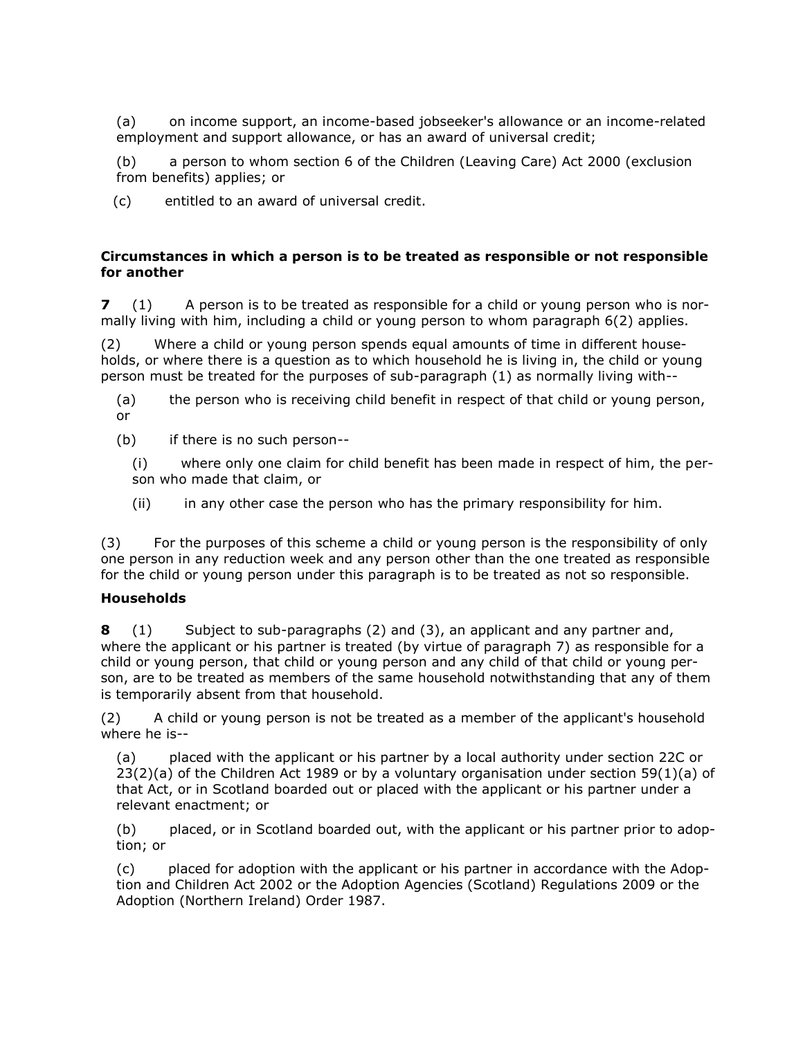(a) on income support, an income-based jobseeker's allowance or an income-related employment and support allowance, or has an award of universal credit;

(b) a person to whom section 6 of the Children (Leaving Care) Act 2000 (exclusion from benefits) applies; or

(c) entitled to an award of universal credit.

## **Circumstances in which a person is to be treated as responsible or not responsible for another**

**7** (1) A person is to be treated as responsible for a child or young person who is normally living with him, including a child or young person to whom paragraph 6(2) applies.

(2) Where a child or young person spends equal amounts of time in different households, or where there is a question as to which household he is living in, the child or young person must be treated for the purposes of sub-paragraph (1) as normally living with--

(a) the person who is receiving child benefit in respect of that child or young person, or

(b) if there is no such person--

(i) where only one claim for child benefit has been made in respect of him, the person who made that claim, or

(ii) in any other case the person who has the primary responsibility for him.

(3) For the purposes of this scheme a child or young person is the responsibility of only one person in any reduction week and any person other than the one treated as responsible for the child or young person under this paragraph is to be treated as not so responsible.

#### **Households**

**8** (1) Subject to sub-paragraphs (2) and (3), an applicant and any partner and, where the applicant or his partner is treated (by virtue of paragraph 7) as responsible for a child or young person, that child or young person and any child of that child or young person, are to be treated as members of the same household notwithstanding that any of them is temporarily absent from that household.

(2) A child or young person is not be treated as a member of the applicant's household where he is--

(a) placed with the applicant or his partner by a local authority under section 22C or  $23(2)(a)$  of the Children Act 1989 or by a voluntary organisation under section 59(1)(a) of that Act, or in Scotland boarded out or placed with the applicant or his partner under a relevant enactment; or

(b) placed, or in Scotland boarded out, with the applicant or his partner prior to adoption; or

(c) placed for adoption with the applicant or his partner in accordance with the Adoption and Children Act 2002 or the Adoption Agencies (Scotland) Regulations 2009 or the Adoption (Northern Ireland) Order 1987.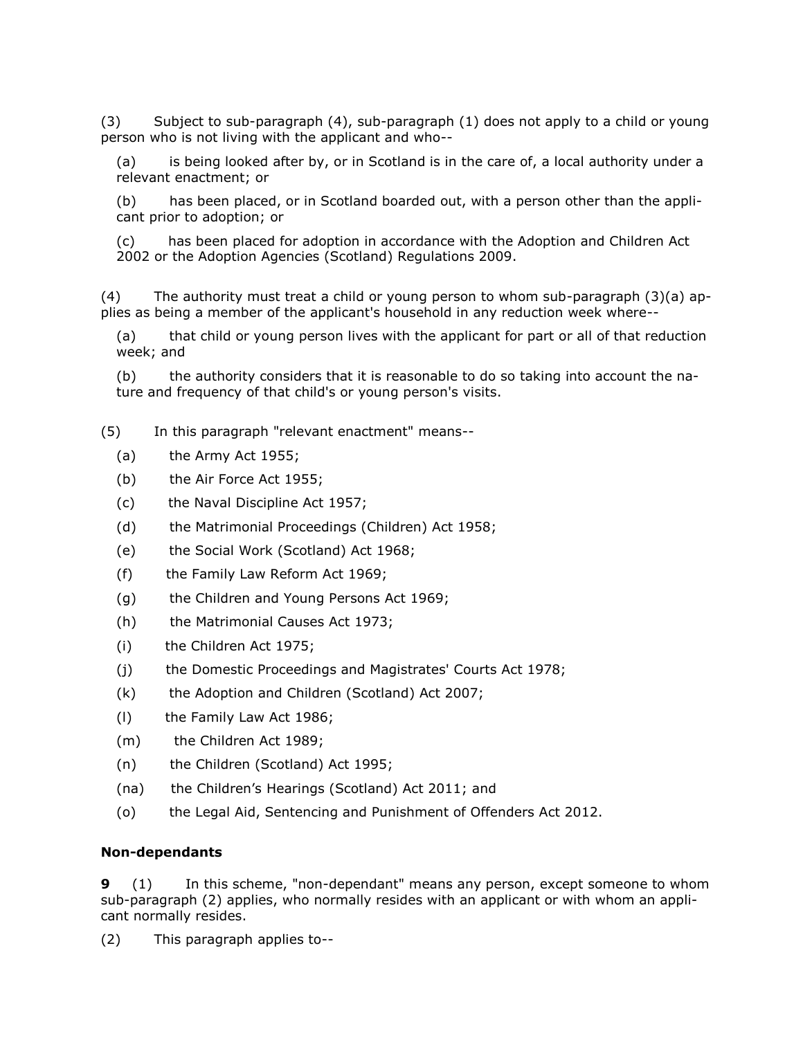(3) Subject to sub-paragraph (4), sub-paragraph (1) does not apply to a child or young person who is not living with the applicant and who--

(a) is being looked after by, or in Scotland is in the care of, a local authority under a relevant enactment; or

(b) has been placed, or in Scotland boarded out, with a person other than the applicant prior to adoption; or

(c) has been placed for adoption in accordance with the Adoption and Children Act 2002 or the Adoption Agencies (Scotland) Regulations 2009.

(4) The authority must treat a child or young person to whom sub-paragraph (3)(a) applies as being a member of the applicant's household in any reduction week where--

(a) that child or young person lives with the applicant for part or all of that reduction week; and

(b) the authority considers that it is reasonable to do so taking into account the nature and frequency of that child's or young person's visits.

- (5) In this paragraph "relevant enactment" means--
	- (a) the Army Act 1955;
	- (b) the Air Force Act 1955;
	- (c) the Naval Discipline Act 1957;
	- (d) the Matrimonial Proceedings (Children) Act 1958;
	- (e) the Social Work (Scotland) Act 1968;
	- (f) the Family Law Reform Act 1969;
	- (g) the Children and Young Persons Act 1969;
	- (h) the Matrimonial Causes Act 1973;
	- (i) the Children Act 1975;
	- (j) the Domestic Proceedings and Magistrates' Courts Act 1978;
	- (k) the Adoption and Children (Scotland) Act 2007;
	- (l) the Family Law Act 1986;
	- (m) the Children Act 1989;
	- (n) the Children (Scotland) Act 1995;
	- (na) the Children's Hearings (Scotland) Act 2011; and
	- (o) the Legal Aid, Sentencing and Punishment of Offenders Act 2012.

#### **Non-dependants**

**9** (1) In this scheme, "non-dependant" means any person, except someone to whom sub-paragraph (2) applies, who normally resides with an applicant or with whom an applicant normally resides.

(2) This paragraph applies to--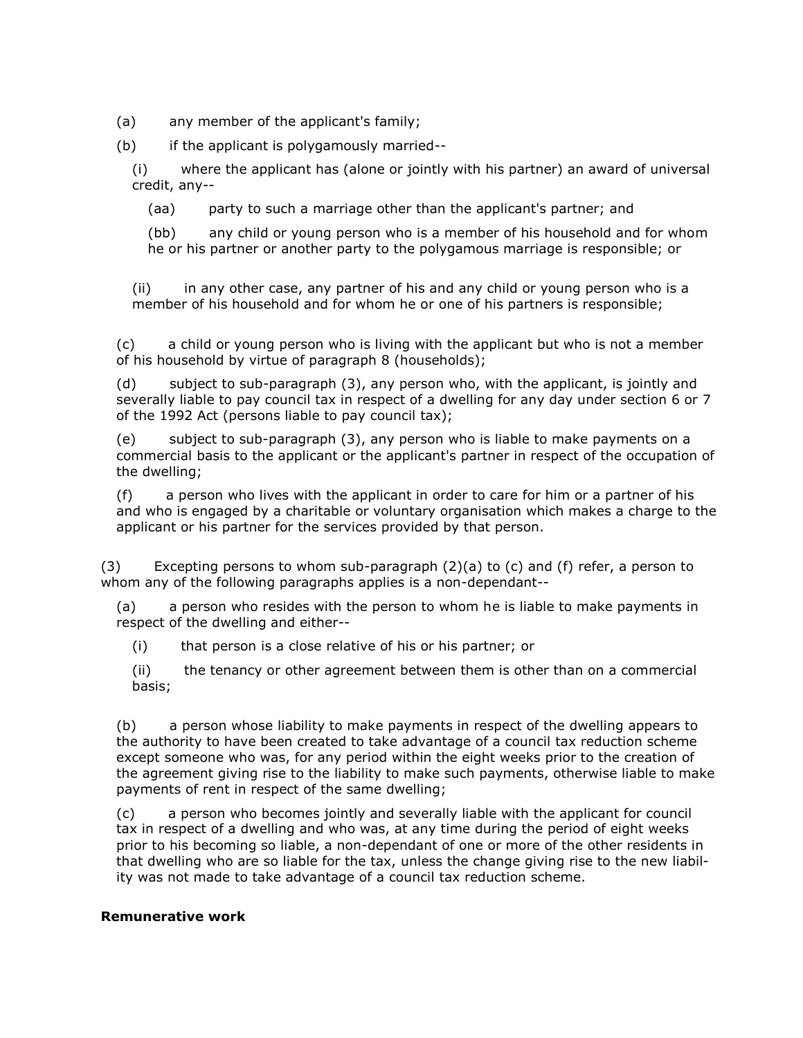(a) any member of the applicant's family;

(b) if the applicant is polygamously married--

(i) where the applicant has (alone or jointly with his partner) an award of universal credit, any--

(aa) party to such a marriage other than the applicant's partner; and

(bb) any child or young person who is a member of his household and for whom he or his partner or another party to the polygamous marriage is responsible; or

(ii) in any other case, any partner of his and any child or young person who is a member of his household and for whom he or one of his partners is responsible;

(c) a child or young person who is living with the applicant but who is not a member of his household by virtue of paragraph 8 (households);

(d) subject to sub-paragraph (3), any person who, with the applicant, is jointly and severally liable to pay council tax in respect of a dwelling for any day under section 6 or 7 of the 1992 Act (persons liable to pay council tax);

(e) subject to sub-paragraph (3), any person who is liable to make payments on a commercial basis to the applicant or the applicant's partner in respect of the occupation of the dwelling;

(f) a person who lives with the applicant in order to care for him or a partner of his and who is engaged by a charitable or voluntary organisation which makes a charge to the applicant or his partner for the services provided by that person.

 $(3)$  Excepting persons to whom sub-paragraph  $(2)(a)$  to  $(c)$  and  $(f)$  refer, a person to whom any of the following paragraphs applies is a non-dependant--

(a) a person who resides with the person to whom he is liable to make payments in respect of the dwelling and either--

(i) that person is a close relative of his or his partner; or

(ii) the tenancy or other agreement between them is other than on a commercial basis;

(b) a person whose liability to make payments in respect of the dwelling appears to the authority to have been created to take advantage of a council tax reduction scheme except someone who was, for any period within the eight weeks prior to the creation of the agreement giving rise to the liability to make such payments, otherwise liable to make payments of rent in respect of the same dwelling;

(c) a person who becomes jointly and severally liable with the applicant for council tax in respect of a dwelling and who was, at any time during the period of eight weeks prior to his becoming so liable, a non-dependant of one or more of the other residents in that dwelling who are so liable for the tax, unless the change giving rise to the new liability was not made to take advantage of a council tax reduction scheme.

#### **Remunerative work**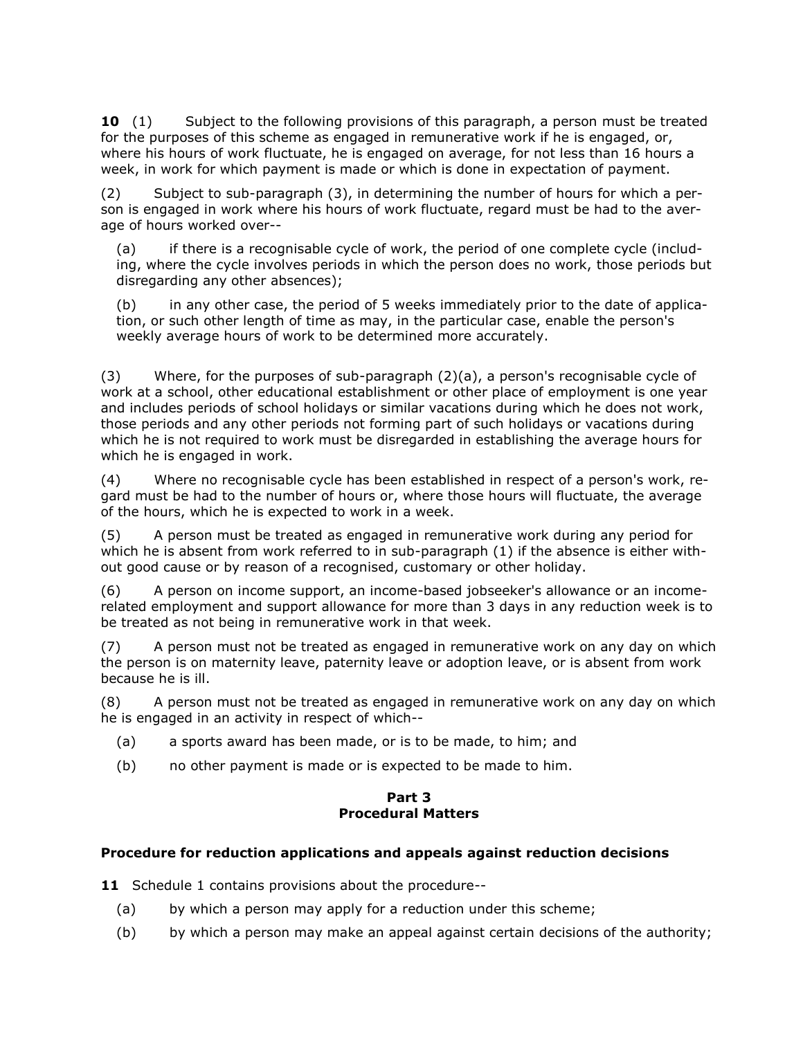**10** (1) Subject to the following provisions of this paragraph, a person must be treated for the purposes of this scheme as engaged in remunerative work if he is engaged, or, where his hours of work fluctuate, he is engaged on average, for not less than 16 hours a week, in work for which payment is made or which is done in expectation of payment.

(2) Subject to sub-paragraph (3), in determining the number of hours for which a person is engaged in work where his hours of work fluctuate, regard must be had to the average of hours worked over--

(a) if there is a recognisable cycle of work, the period of one complete cycle (including, where the cycle involves periods in which the person does no work, those periods but disregarding any other absences);

(b) in any other case, the period of 5 weeks immediately prior to the date of application, or such other length of time as may, in the particular case, enable the person's weekly average hours of work to be determined more accurately.

(3) Where, for the purposes of sub-paragraph (2)(a), a person's recognisable cycle of work at a school, other educational establishment or other place of employment is one year and includes periods of school holidays or similar vacations during which he does not work, those periods and any other periods not forming part of such holidays or vacations during which he is not required to work must be disregarded in establishing the average hours for which he is engaged in work.

(4) Where no recognisable cycle has been established in respect of a person's work, regard must be had to the number of hours or, where those hours will fluctuate, the average of the hours, which he is expected to work in a week.

(5) A person must be treated as engaged in remunerative work during any period for which he is absent from work referred to in sub-paragraph (1) if the absence is either without good cause or by reason of a recognised, customary or other holiday.

(6) A person on income support, an income-based jobseeker's allowance or an incomerelated employment and support allowance for more than 3 days in any reduction week is to be treated as not being in remunerative work in that week.

(7) A person must not be treated as engaged in remunerative work on any day on which the person is on maternity leave, paternity leave or adoption leave, or is absent from work because he is ill.

(8) A person must not be treated as engaged in remunerative work on any day on which he is engaged in an activity in respect of which--

- (a) a sports award has been made, or is to be made, to him; and
- (b) no other payment is made or is expected to be made to him.

## **Part 3 Procedural Matters**

## **Procedure for reduction applications and appeals against reduction decisions**

**11** Schedule 1 contains provisions about the procedure--

- (a) by which a person may apply for a reduction under this scheme;
- (b) by which a person may make an appeal against certain decisions of the authority;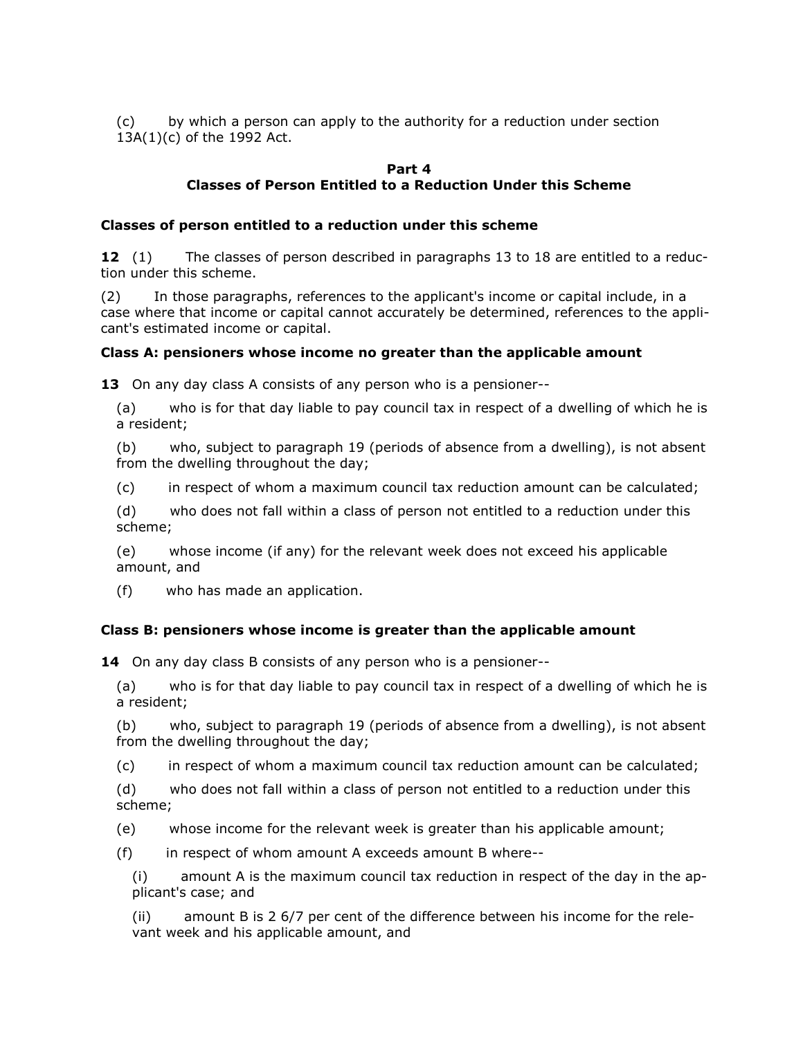(c) by which a person can apply to the authority for a reduction under section 13A(1)(c) of the 1992 Act.

#### **Part 4 Classes of Person Entitled to a Reduction Under this Scheme**

#### **Classes of person entitled to a reduction under this scheme**

**12** (1) The classes of person described in paragraphs 13 to 18 are entitled to a reduction under this scheme.

(2) In those paragraphs, references to the applicant's income or capital include, in a case where that income or capital cannot accurately be determined, references to the applicant's estimated income or capital.

#### **Class A: pensioners whose income no greater than the applicable amount**

**13** On any day class A consists of any person who is a pensioner--

(a) who is for that day liable to pay council tax in respect of a dwelling of which he is a resident;

(b) who, subject to paragraph 19 (periods of absence from a dwelling), is not absent from the dwelling throughout the day;

(c) in respect of whom a maximum council tax reduction amount can be calculated;

(d) who does not fall within a class of person not entitled to a reduction under this scheme;

(e) whose income (if any) for the relevant week does not exceed his applicable amount, and

(f) who has made an application.

#### **Class B: pensioners whose income is greater than the applicable amount**

**14** On any day class B consists of any person who is a pensioner--

(a) who is for that day liable to pay council tax in respect of a dwelling of which he is a resident;

(b) who, subject to paragraph 19 (periods of absence from a dwelling), is not absent from the dwelling throughout the day;

(c) in respect of whom a maximum council tax reduction amount can be calculated;

(d) who does not fall within a class of person not entitled to a reduction under this scheme;

(e) whose income for the relevant week is greater than his applicable amount;

(f) in respect of whom amount A exceeds amount B where--

(i) amount A is the maximum council tax reduction in respect of the day in the applicant's case; and

(ii) amount B is 2 6/7 per cent of the difference between his income for the relevant week and his applicable amount, and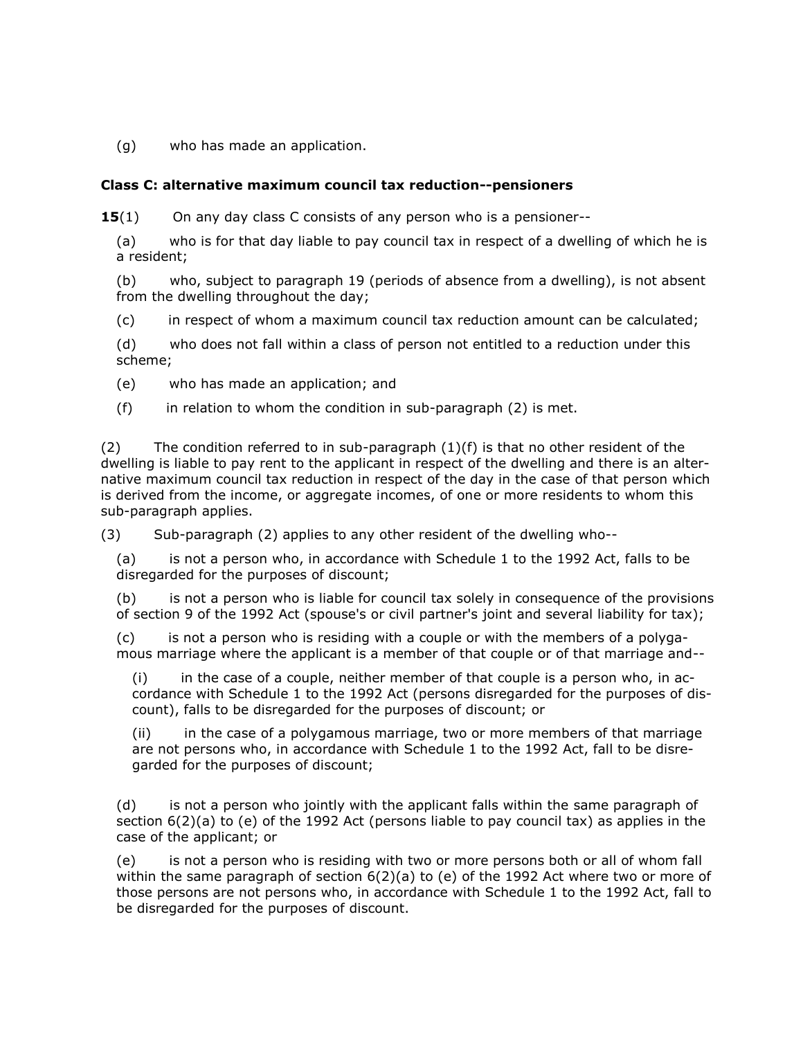(g) who has made an application.

## **Class C: alternative maximum council tax reduction--pensioners**

**15**(1) On any day class C consists of any person who is a pensioner--

(a) who is for that day liable to pay council tax in respect of a dwelling of which he is a resident;

(b) who, subject to paragraph 19 (periods of absence from a dwelling), is not absent from the dwelling throughout the day;

(c) in respect of whom a maximum council tax reduction amount can be calculated;

(d) who does not fall within a class of person not entitled to a reduction under this scheme;

(e) who has made an application; and

 $(f)$  in relation to whom the condition in sub-paragraph (2) is met.

(2) The condition referred to in sub-paragraph  $(1)(f)$  is that no other resident of the dwelling is liable to pay rent to the applicant in respect of the dwelling and there is an alternative maximum council tax reduction in respect of the day in the case of that person which is derived from the income, or aggregate incomes, of one or more residents to whom this sub-paragraph applies.

(3) Sub-paragraph (2) applies to any other resident of the dwelling who--

(a) is not a person who, in accordance with Schedule 1 to the 1992 Act, falls to be disregarded for the purposes of discount;

(b) is not a person who is liable for council tax solely in consequence of the provisions of section 9 of the 1992 Act (spouse's or civil partner's joint and several liability for tax);

(c) is not a person who is residing with a couple or with the members of a polygamous marriage where the applicant is a member of that couple or of that marriage and--

 $(i)$  in the case of a couple, neither member of that couple is a person who, in accordance with Schedule 1 to the 1992 Act (persons disregarded for the purposes of discount), falls to be disregarded for the purposes of discount; or

(ii) in the case of a polygamous marriage, two or more members of that marriage are not persons who, in accordance with Schedule 1 to the 1992 Act, fall to be disregarded for the purposes of discount;

(d) is not a person who jointly with the applicant falls within the same paragraph of section 6(2)(a) to (e) of the 1992 Act (persons liable to pay council tax) as applies in the case of the applicant; or

(e) is not a person who is residing with two or more persons both or all of whom fall within the same paragraph of section  $6(2)(a)$  to (e) of the 1992 Act where two or more of those persons are not persons who, in accordance with Schedule 1 to the 1992 Act, fall to be disregarded for the purposes of discount.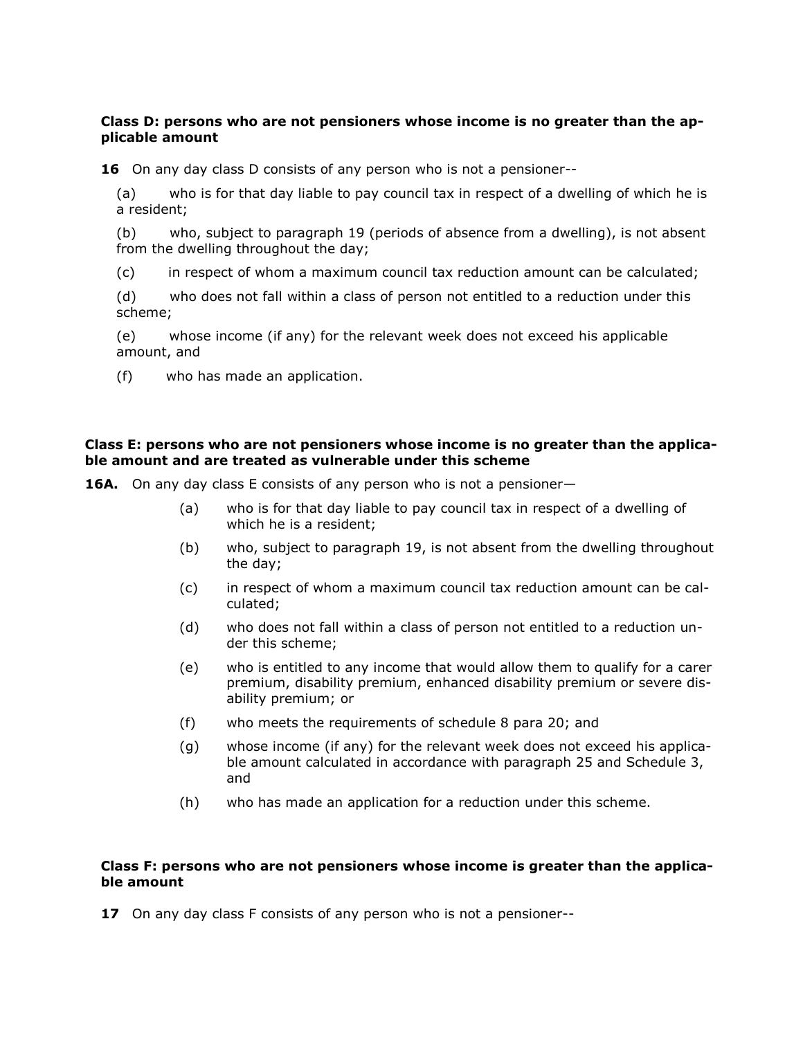## **Class D: persons who are not pensioners whose income is no greater than the applicable amount**

**16** On any day class D consists of any person who is not a pensioner--

(a) who is for that day liable to pay council tax in respect of a dwelling of which he is a resident;

(b) who, subject to paragraph 19 (periods of absence from a dwelling), is not absent from the dwelling throughout the day;

(c) in respect of whom a maximum council tax reduction amount can be calculated;

(d) who does not fall within a class of person not entitled to a reduction under this scheme;

(e) whose income (if any) for the relevant week does not exceed his applicable amount, and

(f) who has made an application.

#### **Class E: persons who are not pensioners whose income is no greater than the applicable amount and are treated as vulnerable under this scheme**

**16A.** On any day class E consists of any person who is not a pensioner-

- (a) who is for that day liable to pay council tax in respect of a dwelling of which he is a resident;
- (b) who, subject to paragraph 19, is not absent from the dwelling throughout the day;
- (c) in respect of whom a maximum council tax reduction amount can be calculated;
- (d) who does not fall within a class of person not entitled to a reduction under this scheme;
- (e) who is entitled to any income that would allow them to qualify for a carer premium, disability premium, enhanced disability premium or severe disability premium; or
- (f) who meets the requirements of schedule 8 para 20; and
- (g) whose income (if any) for the relevant week does not exceed his applicable amount calculated in accordance with paragraph 25 and Schedule 3, and
- (h) who has made an application for a reduction under this scheme.

#### **Class F: persons who are not pensioners whose income is greater than the applicable amount**

**17** On any day class F consists of any person who is not a pensioner--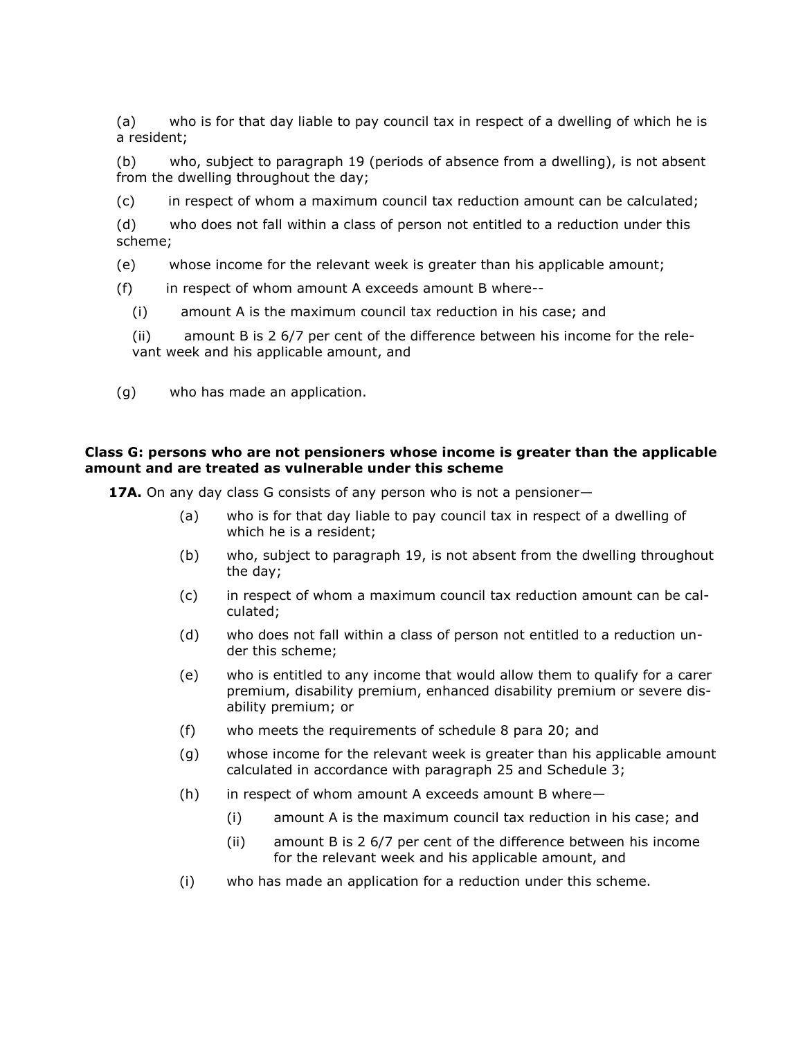(a) who is for that day liable to pay council tax in respect of a dwelling of which he is a resident;

(b) who, subject to paragraph 19 (periods of absence from a dwelling), is not absent from the dwelling throughout the day;

(c) in respect of whom a maximum council tax reduction amount can be calculated;

(d) who does not fall within a class of person not entitled to a reduction under this scheme;

- (e) whose income for the relevant week is greater than his applicable amount;
- (f) in respect of whom amount A exceeds amount B where--
	- (i) amount A is the maximum council tax reduction in his case; and

(ii) amount B is 2 6/7 per cent of the difference between his income for the relevant week and his applicable amount, and

(g) who has made an application.

#### **Class G: persons who are not pensioners whose income is greater than the applicable amount and are treated as vulnerable under this scheme**

**17A.** On any day class G consists of any person who is not a pensioner—

- (a) who is for that day liable to pay council tax in respect of a dwelling of which he is a resident;
- (b) who, subject to paragraph 19, is not absent from the dwelling throughout the day;
- (c) in respect of whom a maximum council tax reduction amount can be calculated;
- (d) who does not fall within a class of person not entitled to a reduction under this scheme;
- (e) who is entitled to any income that would allow them to qualify for a carer premium, disability premium, enhanced disability premium or severe disability premium; or
- (f) who meets the requirements of schedule 8 para 20; and
- (g) whose income for the relevant week is greater than his applicable amount calculated in accordance with paragraph 25 and Schedule 3;
- (h) in respect of whom amount A exceeds amount B where—
	- (i) amount A is the maximum council tax reduction in his case; and
	- (ii) amount B is 2 6/7 per cent of the difference between his income for the relevant week and his applicable amount, and
- (i) who has made an application for a reduction under this scheme.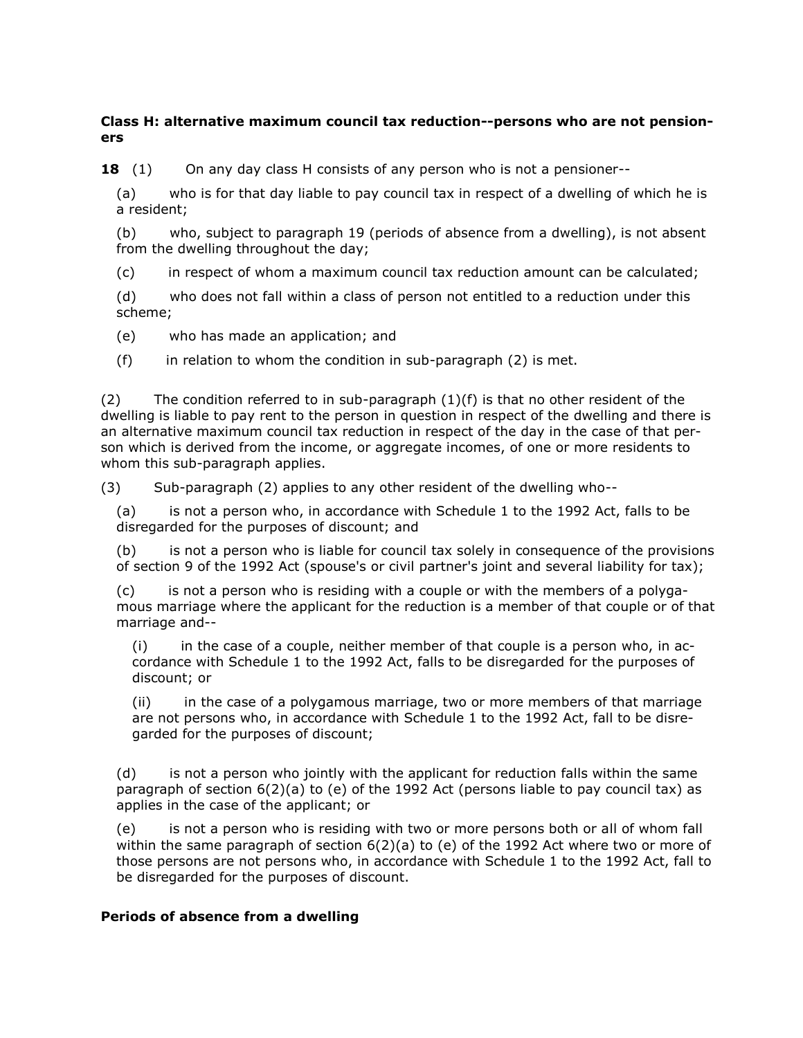## **Class H: alternative maximum council tax reduction--persons who are not pensioners**

**18** (1) On any day class H consists of any person who is not a pensioner--

(a) who is for that day liable to pay council tax in respect of a dwelling of which he is a resident;

(b) who, subject to paragraph 19 (periods of absence from a dwelling), is not absent from the dwelling throughout the day;

(c) in respect of whom a maximum council tax reduction amount can be calculated;

(d) who does not fall within a class of person not entitled to a reduction under this scheme;

(e) who has made an application; and

 $(f)$  in relation to whom the condition in sub-paragraph  $(2)$  is met.

(2) The condition referred to in sub-paragraph  $(1)(f)$  is that no other resident of the dwelling is liable to pay rent to the person in question in respect of the dwelling and there is an alternative maximum council tax reduction in respect of the day in the case of that person which is derived from the income, or aggregate incomes, of one or more residents to whom this sub-paragraph applies.

(3) Sub-paragraph (2) applies to any other resident of the dwelling who--

(a) is not a person who, in accordance with Schedule 1 to the 1992 Act, falls to be disregarded for the purposes of discount; and

(b) is not a person who is liable for council tax solely in consequence of the provisions of section 9 of the 1992 Act (spouse's or civil partner's joint and several liability for tax);

(c) is not a person who is residing with a couple or with the members of a polygamous marriage where the applicant for the reduction is a member of that couple or of that marriage and--

 $(i)$  in the case of a couple, neither member of that couple is a person who, in accordance with Schedule 1 to the 1992 Act, falls to be disregarded for the purposes of discount; or

(ii) in the case of a polygamous marriage, two or more members of that marriage are not persons who, in accordance with Schedule 1 to the 1992 Act, fall to be disregarded for the purposes of discount;

(d) is not a person who jointly with the applicant for reduction falls within the same paragraph of section  $6(2)(a)$  to (e) of the 1992 Act (persons liable to pay council tax) as applies in the case of the applicant; or

(e) is not a person who is residing with two or more persons both or all of whom fall within the same paragraph of section  $6(2)(a)$  to (e) of the 1992 Act where two or more of those persons are not persons who, in accordance with Schedule 1 to the 1992 Act, fall to be disregarded for the purposes of discount.

#### **Periods of absence from a dwelling**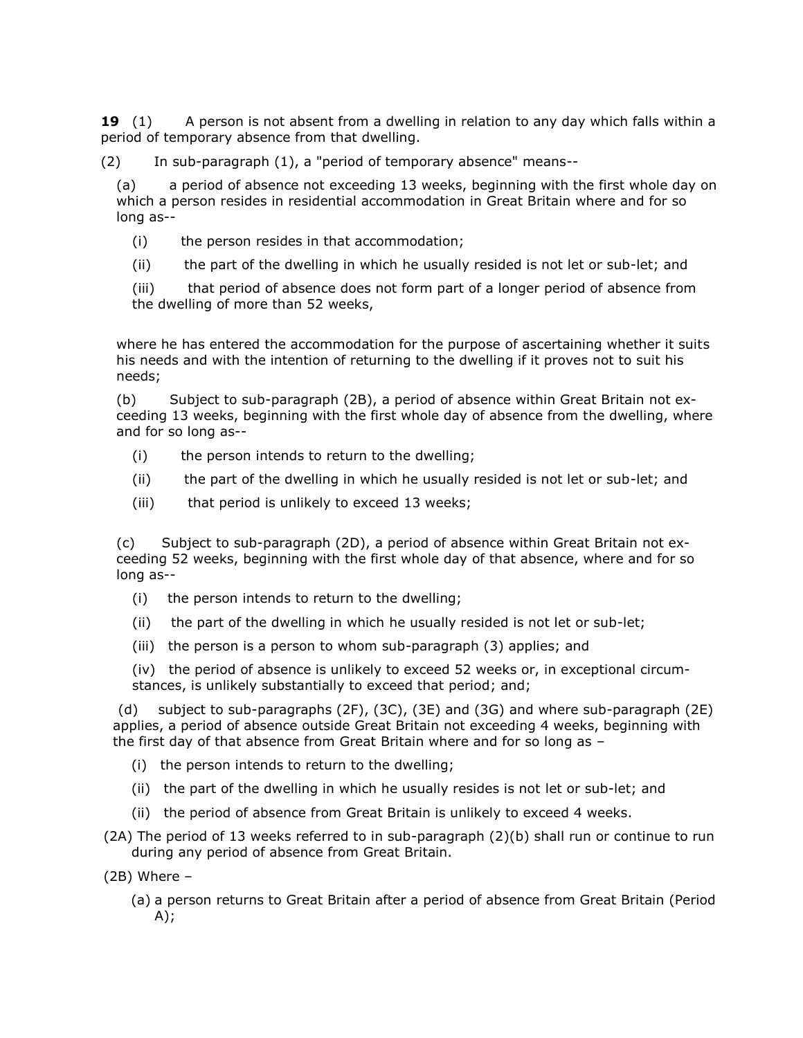**19** (1) A person is not absent from a dwelling in relation to any day which falls within a period of temporary absence from that dwelling.

(2) In sub-paragraph (1), a "period of temporary absence" means--

(a) a period of absence not exceeding 13 weeks, beginning with the first whole day on which a person resides in residential accommodation in Great Britain where and for so long as--

- (i) the person resides in that accommodation;
- (ii) the part of the dwelling in which he usually resided is not let or sub-let; and

(iii) that period of absence does not form part of a longer period of absence from the dwelling of more than 52 weeks,

where he has entered the accommodation for the purpose of ascertaining whether it suits his needs and with the intention of returning to the dwelling if it proves not to suit his needs;

(b) Subject to sub-paragraph (2B), a period of absence within Great Britain not exceeding 13 weeks, beginning with the first whole day of absence from the dwelling, where and for so long as--

- (i) the person intends to return to the dwelling;
- (ii) the part of the dwelling in which he usually resided is not let or sub-let; and
- (iii) that period is unlikely to exceed 13 weeks;

(c) Subject to sub-paragraph (2D), a period of absence within Great Britain not exceeding 52 weeks, beginning with the first whole day of that absence, where and for so long as--

- (i) the person intends to return to the dwelling;
- (ii) the part of the dwelling in which he usually resided is not let or sub-let;
- (iii) the person is a person to whom sub-paragraph (3) applies; and

(iv) the period of absence is unlikely to exceed 52 weeks or, in exceptional circumstances, is unlikely substantially to exceed that period; and;

 (d) subject to sub-paragraphs (2F), (3C), (3E) and (3G) and where sub-paragraph (2E) applies, a period of absence outside Great Britain not exceeding 4 weeks, beginning with the first day of that absence from Great Britain where and for so long as –

- (i) the person intends to return to the dwelling;
- (ii) the part of the dwelling in which he usually resides is not let or sub-let; and
- (ii) the period of absence from Great Britain is unlikely to exceed 4 weeks.

(2A) The period of 13 weeks referred to in sub-paragraph (2)(b) shall run or continue to run during any period of absence from Great Britain.

- (2B) Where
	- (a) a person returns to Great Britain after a period of absence from Great Britain (Period A);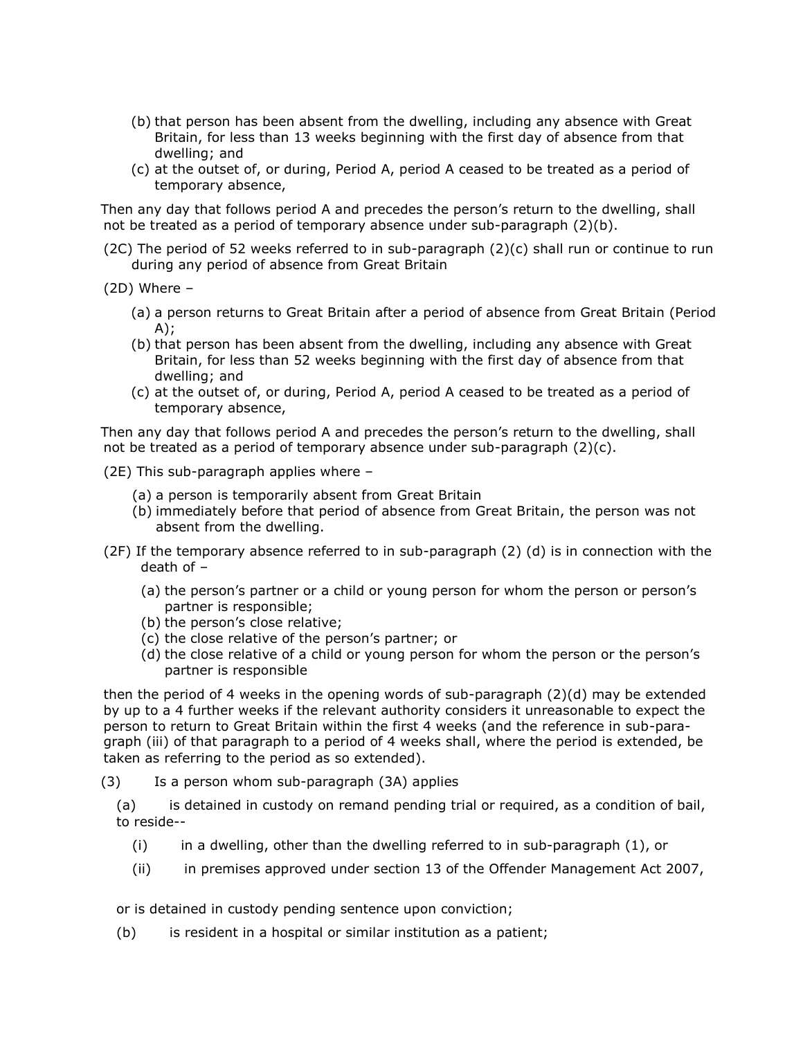- (b) that person has been absent from the dwelling, including any absence with Great Britain, for less than 13 weeks beginning with the first day of absence from that dwelling; and
- (c) at the outset of, or during, Period A, period A ceased to be treated as a period of temporary absence,

 Then any day that follows period A and precedes the person's return to the dwelling, shall not be treated as a period of temporary absence under sub-paragraph (2)(b).

- (2C) The period of 52 weeks referred to in sub-paragraph  $(2)(c)$  shall run or continue to run during any period of absence from Great Britain
- (2D) Where
	- (a) a person returns to Great Britain after a period of absence from Great Britain (Period A);
	- (b) that person has been absent from the dwelling, including any absence with Great Britain, for less than 52 weeks beginning with the first day of absence from that dwelling; and
	- (c) at the outset of, or during, Period A, period A ceased to be treated as a period of temporary absence,

 Then any day that follows period A and precedes the person's return to the dwelling, shall not be treated as a period of temporary absence under sub-paragraph (2)(c).

(2E) This sub-paragraph applies where –

- (a) a person is temporarily absent from Great Britain
- (b) immediately before that period of absence from Great Britain, the person was not absent from the dwelling.
- (2F) If the temporary absence referred to in sub-paragraph (2) (d) is in connection with the death of –
	- (a) the person's partner or a child or young person for whom the person or person's partner is responsible;
	- (b) the person's close relative;
	- (c) the close relative of the person's partner; or
	- (d) the close relative of a child or young person for whom the person or the person's partner is responsible

then the period of 4 weeks in the opening words of sub-paragraph (2)(d) may be extended by up to a 4 further weeks if the relevant authority considers it unreasonable to expect the person to return to Great Britain within the first 4 weeks (and the reference in sub-paragraph (iii) of that paragraph to a period of 4 weeks shall, where the period is extended, be taken as referring to the period as so extended).

(3) Is a person whom sub-paragraph (3A) applies

(a) is detained in custody on remand pending trial or required, as a condition of bail, to reside--

- $(i)$  in a dwelling, other than the dwelling referred to in sub-paragraph  $(1)$ , or
- (ii) in premises approved under section 13 of the Offender Management Act 2007,

or is detained in custody pending sentence upon conviction;

(b) is resident in a hospital or similar institution as a patient;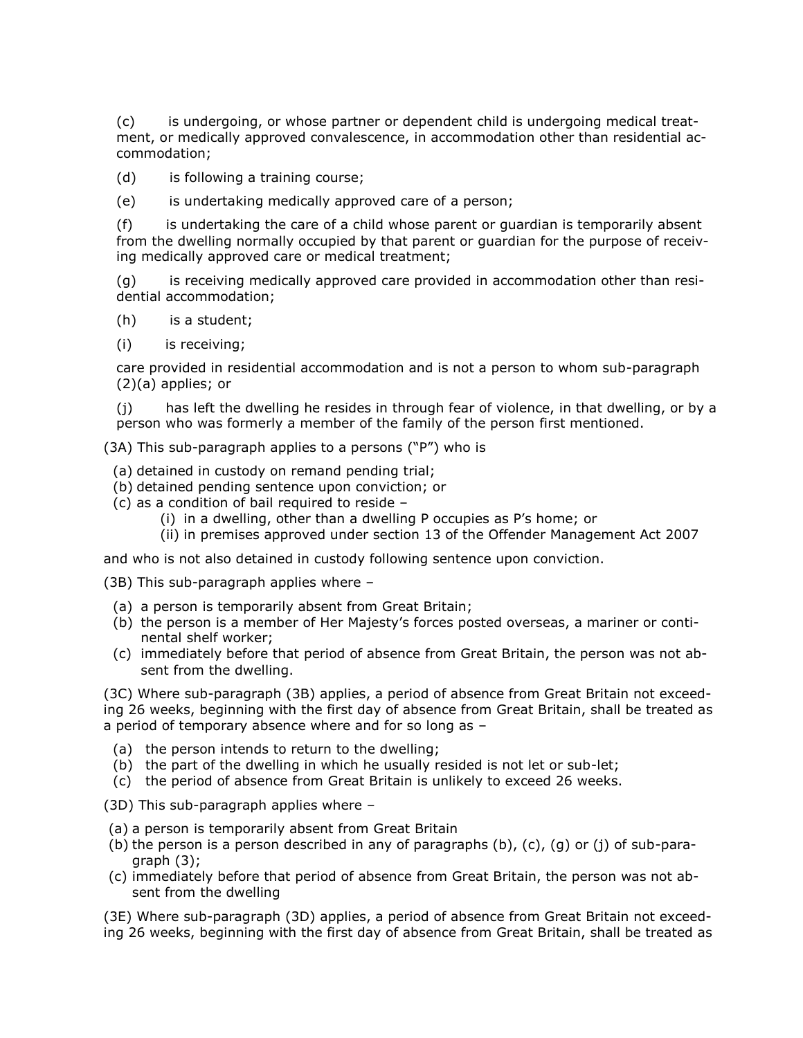(c) is undergoing, or whose partner or dependent child is undergoing medical treatment, or medically approved convalescence, in accommodation other than residential accommodation;

(d) is following a training course;

(e) is undertaking medically approved care of a person;

(f) is undertaking the care of a child whose parent or guardian is temporarily absent from the dwelling normally occupied by that parent or guardian for the purpose of receiving medically approved care or medical treatment;

(g) is receiving medically approved care provided in accommodation other than residential accommodation;

- (h) is a student;
- (i) is receiving;

care provided in residential accommodation and is not a person to whom sub-paragraph (2)(a) applies; or

(j) has left the dwelling he resides in through fear of violence, in that dwelling, or by a person who was formerly a member of the family of the person first mentioned.

(3A) This sub-paragraph applies to a persons ("P") who is

- (a) detained in custody on remand pending trial;
- (b) detained pending sentence upon conviction; or
- (c) as a condition of bail required to reside
	- (i) in a dwelling, other than a dwelling P occupies as P's home; or
	- (ii) in premises approved under section 13 of the Offender Management Act 2007

and who is not also detained in custody following sentence upon conviction.

- (3B) This sub-paragraph applies where
	- (a) a person is temporarily absent from Great Britain;
	- (b) the person is a member of Her Majesty's forces posted overseas, a mariner or continental shelf worker;
	- (c) immediately before that period of absence from Great Britain, the person was not absent from the dwelling.

(3C) Where sub-paragraph (3B) applies, a period of absence from Great Britain not exceeding 26 weeks, beginning with the first day of absence from Great Britain, shall be treated as a period of temporary absence where and for so long as –

- (a) the person intends to return to the dwelling;
- (b) the part of the dwelling in which he usually resided is not let or sub-let;
- (c) the period of absence from Great Britain is unlikely to exceed 26 weeks.

(3D) This sub-paragraph applies where –

- (a) a person is temporarily absent from Great Britain
- (b) the person is a person described in any of paragraphs  $(b)$ ,  $(c)$ ,  $(q)$  or  $(i)$  of sub-paragraph (3);
- (c) immediately before that period of absence from Great Britain, the person was not absent from the dwelling

(3E) Where sub-paragraph (3D) applies, a period of absence from Great Britain not exceeding 26 weeks, beginning with the first day of absence from Great Britain, shall be treated as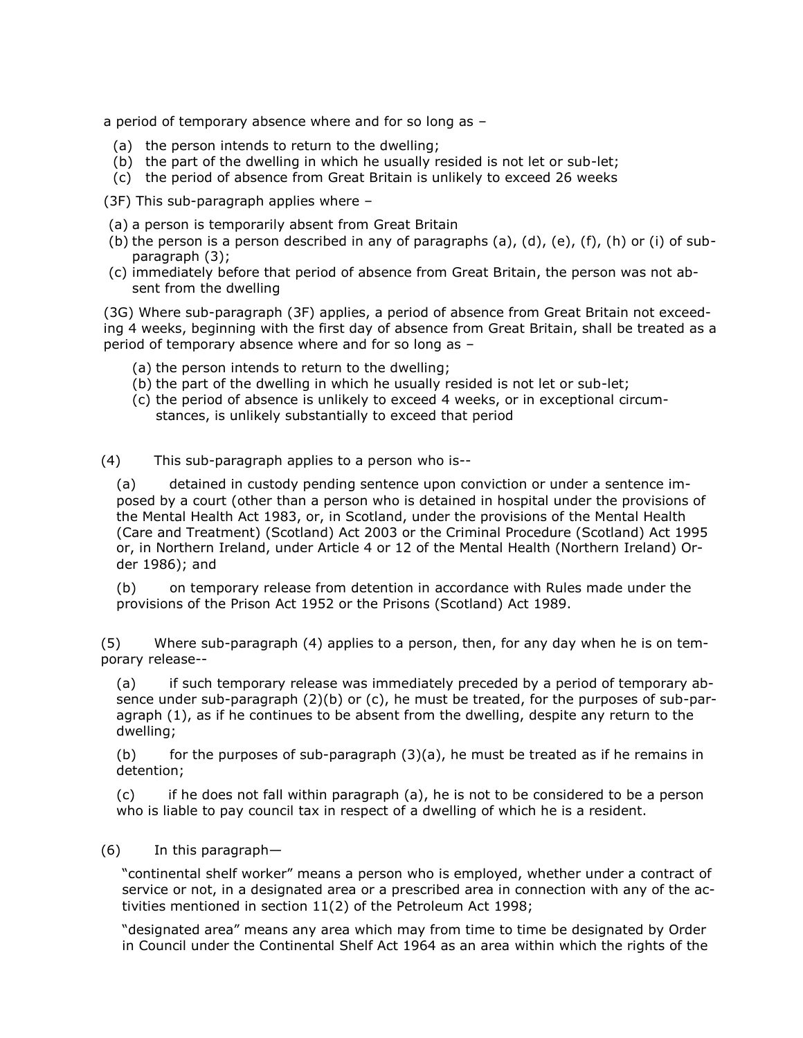a period of temporary absence where and for so long as –

- (a) the person intends to return to the dwelling;
- (b) the part of the dwelling in which he usually resided is not let or sub-let;
- (c) the period of absence from Great Britain is unlikely to exceed 26 weeks

(3F) This sub-paragraph applies where –

- (a) a person is temporarily absent from Great Britain
- (b) the person is a person described in any of paragraphs  $(a)$ ,  $(d)$ ,  $(e)$ ,  $(f)$ ,  $(h)$  or  $(i)$  of subparagraph (3);
- (c) immediately before that period of absence from Great Britain, the person was not absent from the dwelling

(3G) Where sub-paragraph (3F) applies, a period of absence from Great Britain not exceeding 4 weeks, beginning with the first day of absence from Great Britain, shall be treated as a period of temporary absence where and for so long as –

- (a) the person intends to return to the dwelling;
- (b) the part of the dwelling in which he usually resided is not let or sub-let;
- (c) the period of absence is unlikely to exceed 4 weeks, or in exceptional circumstances, is unlikely substantially to exceed that period

#### (4) This sub-paragraph applies to a person who is--

(a) detained in custody pending sentence upon conviction or under a sentence imposed by a court (other than a person who is detained in hospital under the provisions of the Mental Health Act 1983, or, in Scotland, under the provisions of the Mental Health (Care and Treatment) (Scotland) Act 2003 or the Criminal Procedure (Scotland) Act 1995 or, in Northern Ireland, under Article 4 or 12 of the Mental Health (Northern Ireland) Order 1986); and

(b) on temporary release from detention in accordance with Rules made under the provisions of the Prison Act 1952 or the Prisons (Scotland) Act 1989.

(5) Where sub-paragraph (4) applies to a person, then, for any day when he is on temporary release--

(a) if such temporary release was immediately preceded by a period of temporary absence under sub-paragraph (2)(b) or (c), he must be treated, for the purposes of sub-paragraph (1), as if he continues to be absent from the dwelling, despite any return to the dwelling;

(b) for the purposes of sub-paragraph  $(3)(a)$ , he must be treated as if he remains in detention;

(c) if he does not fall within paragraph (a), he is not to be considered to be a person who is liable to pay council tax in respect of a dwelling of which he is a resident.

#### (6) In this paragraph—

"continental shelf worker" means a person who is employed, whether under a contract of service or not, in a designated area or a prescribed area in connection with any of the activities mentioned in section 11(2) of the Petroleum Act 1998;

"designated area" means any area which may from time to time be designated by Order in Council under the Continental Shelf Act 1964 as an area within which the rights of the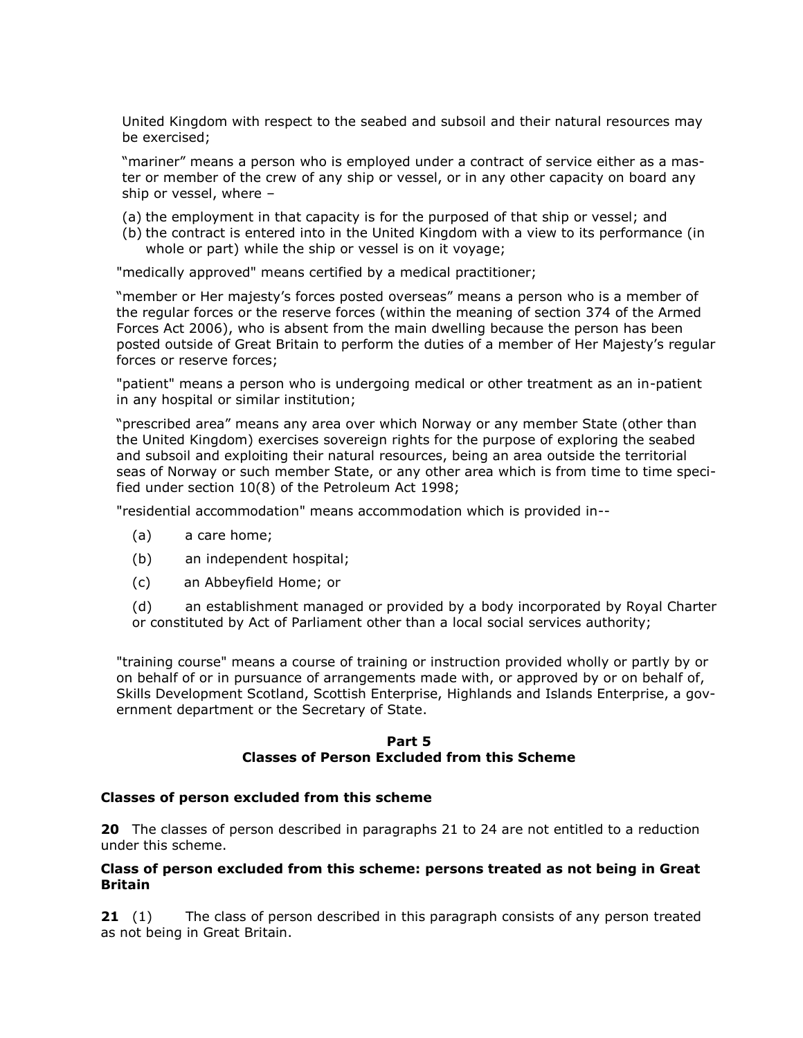United Kingdom with respect to the seabed and subsoil and their natural resources may be exercised;

"mariner" means a person who is employed under a contract of service either as a master or member of the crew of any ship or vessel, or in any other capacity on board any ship or vessel, where –

- (a) the employment in that capacity is for the purposed of that ship or vessel; and
- (b) the contract is entered into in the United Kingdom with a view to its performance (in whole or part) while the ship or vessel is on it voyage;

"medically approved" means certified by a medical practitioner;

"member or Her majesty's forces posted overseas" means a person who is a member of the regular forces or the reserve forces (within the meaning of section 374 of the Armed Forces Act 2006), who is absent from the main dwelling because the person has been posted outside of Great Britain to perform the duties of a member of Her Majesty's regular forces or reserve forces;

"patient" means a person who is undergoing medical or other treatment as an in-patient in any hospital or similar institution;

"prescribed area" means any area over which Norway or any member State (other than the United Kingdom) exercises sovereign rights for the purpose of exploring the seabed and subsoil and exploiting their natural resources, being an area outside the territorial seas of Norway or such member State, or any other area which is from time to time specified under section 10(8) of the Petroleum Act 1998;

"residential accommodation" means accommodation which is provided in--

- (a) a care home;
- (b) an independent hospital;
- (c) an Abbeyfield Home; or

(d) an establishment managed or provided by a body incorporated by Royal Charter or constituted by Act of Parliament other than a local social services authority;

"training course" means a course of training or instruction provided wholly or partly by or on behalf of or in pursuance of arrangements made with, or approved by or on behalf of, Skills Development Scotland, Scottish Enterprise, Highlands and Islands Enterprise, a government department or the Secretary of State.

#### **Part 5 Classes of Person Excluded from this Scheme**

#### **Classes of person excluded from this scheme**

**20** The classes of person described in paragraphs 21 to 24 are not entitled to a reduction under this scheme.

#### **Class of person excluded from this scheme: persons treated as not being in Great Britain**

**21** (1) The class of person described in this paragraph consists of any person treated as not being in Great Britain.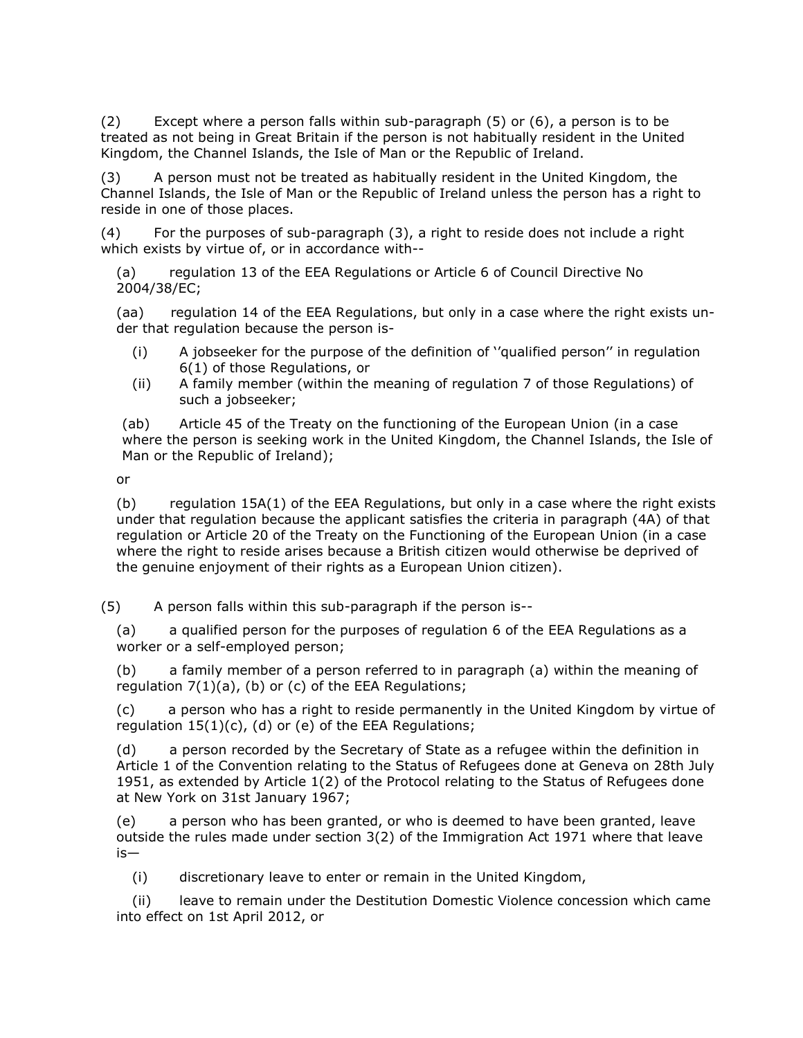(2) Except where a person falls within sub-paragraph (5) or (6), a person is to be treated as not being in Great Britain if the person is not habitually resident in the United Kingdom, the Channel Islands, the Isle of Man or the Republic of Ireland.

(3) A person must not be treated as habitually resident in the United Kingdom, the Channel Islands, the Isle of Man or the Republic of Ireland unless the person has a right to reside in one of those places.

(4) For the purposes of sub-paragraph (3), a right to reside does not include a right which exists by virtue of, or in accordance with--

(a) regulation 13 of the EEA Regulations or Article 6 of Council Directive No 2004/38/EC;

(aa) regulation 14 of the EEA Regulations, but only in a case where the right exists under that regulation because the person is-

- (i) A jobseeker for the purpose of the definition of ''qualified person'' in regulation 6(1) of those Regulations, or
- (ii) A family member (within the meaning of regulation 7 of those Regulations) of such a jobseeker;

(ab) Article 45 of the Treaty on the functioning of the European Union (in a case where the person is seeking work in the United Kingdom, the Channel Islands, the Isle of Man or the Republic of Ireland);

or

(b) regulation  $15A(1)$  of the EEA Regulations, but only in a case where the right exists under that regulation because the applicant satisfies the criteria in paragraph (4A) of that regulation or Article 20 of the Treaty on the Functioning of the European Union (in a case where the right to reside arises because a British citizen would otherwise be deprived of the genuine enjoyment of their rights as a European Union citizen).

(5) A person falls within this sub-paragraph if the person is--

(a) a qualified person for the purposes of regulation 6 of the EEA Regulations as a worker or a self-employed person;

(b) a family member of a person referred to in paragraph (a) within the meaning of regulation  $7(1)(a)$ , (b) or (c) of the EEA Regulations;

(c) a person who has a right to reside permanently in the United Kingdom by virtue of regulation  $15(1)(c)$ , (d) or (e) of the EEA Regulations;

(d) a person recorded by the Secretary of State as a refugee within the definition in Article 1 of the Convention relating to the Status of Refugees done at Geneva on 28th July 1951, as extended by Article 1(2) of the Protocol relating to the Status of Refugees done at New York on 31st January 1967;

(e) a person who has been granted, or who is deemed to have been granted, leave outside the rules made under section 3(2) of the Immigration Act 1971 where that leave is—

(i) discretionary leave to enter or remain in the United Kingdom,

(ii) leave to remain under the Destitution Domestic Violence concession which came into effect on 1st April 2012, or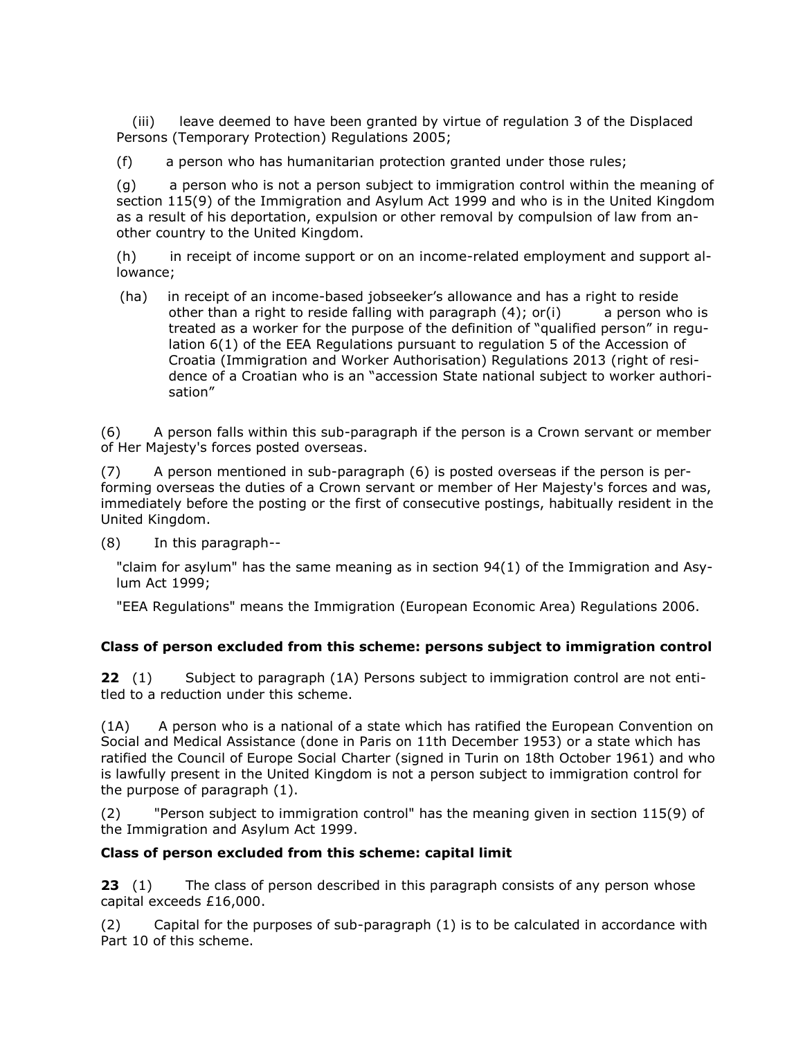(iii) leave deemed to have been granted by virtue of regulation 3 of the Displaced Persons (Temporary Protection) Regulations 2005;

(f) a person who has humanitarian protection granted under those rules;

(g) a person who is not a person subject to immigration control within the meaning of section 115(9) of the Immigration and Asylum Act 1999 and who is in the United Kingdom as a result of his deportation, expulsion or other removal by compulsion of law from another country to the United Kingdom.

(h) in receipt of income support or on an income-related employment and support allowance;

(ha) in receipt of an income-based jobseeker's allowance and has a right to reside other than a right to reside falling with paragraph  $(4)$ ; or $(i)$  a person who is treated as a worker for the purpose of the definition of "qualified person" in regulation 6(1) of the EEA Regulations pursuant to regulation 5 of the Accession of Croatia (Immigration and Worker Authorisation) Regulations 2013 (right of residence of a Croatian who is an "accession State national subject to worker authorisation"

(6) A person falls within this sub-paragraph if the person is a Crown servant or member of Her Majesty's forces posted overseas.

(7) A person mentioned in sub-paragraph (6) is posted overseas if the person is performing overseas the duties of a Crown servant or member of Her Majesty's forces and was, immediately before the posting or the first of consecutive postings, habitually resident in the United Kingdom.

(8) In this paragraph--

"claim for asylum" has the same meaning as in section 94(1) of the Immigration and Asylum Act 1999;

"EEA Regulations" means the Immigration (European Economic Area) Regulations 2006.

## **Class of person excluded from this scheme: persons subject to immigration control**

**22** (1) Subject to paragraph (1A) Persons subject to immigration control are not entitled to a reduction under this scheme.

(1A) A person who is a national of a state which has ratified the European Convention on Social and Medical Assistance (done in Paris on 11th December 1953) or a state which has ratified the Council of Europe Social Charter (signed in Turin on 18th October 1961) and who is lawfully present in the United Kingdom is not a person subject to immigration control for the purpose of paragraph (1).

(2) "Person subject to immigration control" has the meaning given in section 115(9) of the Immigration and Asylum Act 1999.

#### **Class of person excluded from this scheme: capital limit**

**23** (1) The class of person described in this paragraph consists of any person whose capital exceeds £16,000.

(2) Capital for the purposes of sub-paragraph (1) is to be calculated in accordance with Part 10 of this scheme.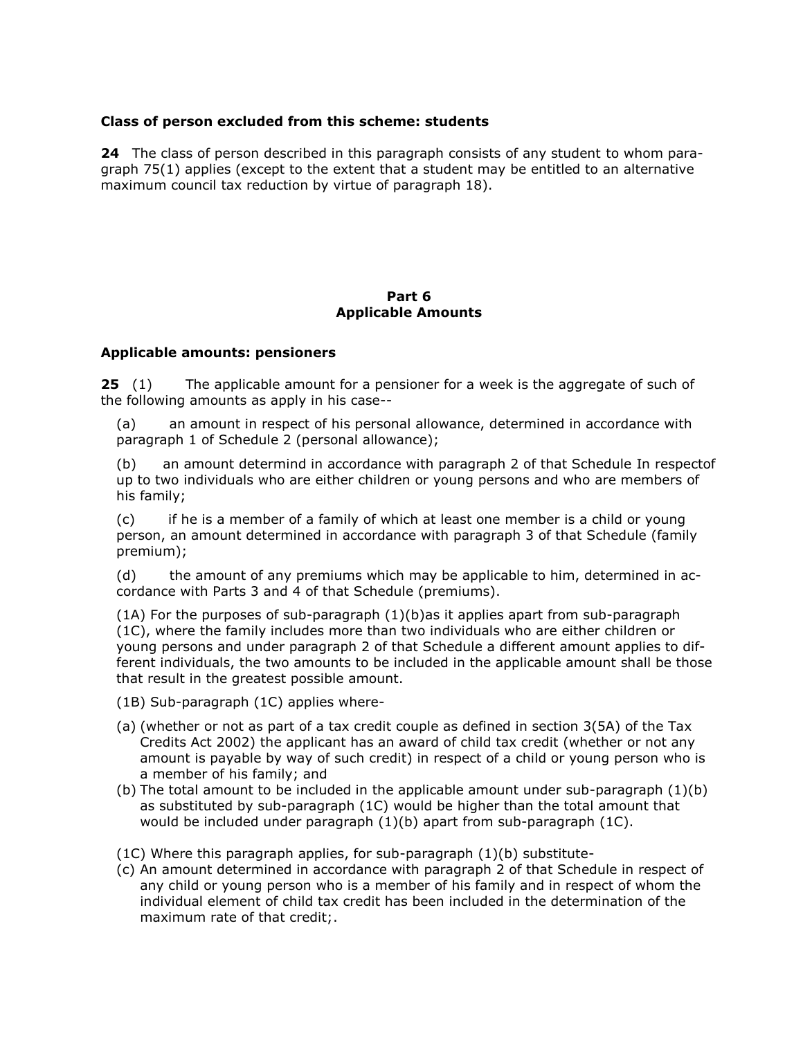## **Class of person excluded from this scheme: students**

**24** The class of person described in this paragraph consists of any student to whom paragraph 75(1) applies (except to the extent that a student may be entitled to an alternative maximum council tax reduction by virtue of paragraph 18).

## **Part 6 Applicable Amounts**

#### **Applicable amounts: pensioners**

**25** (1) The applicable amount for a pensioner for a week is the aggregate of such of the following amounts as apply in his case--

(a) an amount in respect of his personal allowance, determined in accordance with paragraph 1 of Schedule 2 (personal allowance);

(b) an amount determind in accordance with paragraph 2 of that Schedule In respectof up to two individuals who are either children or young persons and who are members of his family;

(c) if he is a member of a family of which at least one member is a child or young person, an amount determined in accordance with paragraph 3 of that Schedule (family premium);

(d) the amount of any premiums which may be applicable to him, determined in accordance with Parts 3 and 4 of that Schedule (premiums).

 $(1)$  For the purposes of sub-paragraph  $(1)(b)$  as it applies apart from sub-paragraph (1C), where the family includes more than two individuals who are either children or young persons and under paragraph 2 of that Schedule a different amount applies to different individuals, the two amounts to be included in the applicable amount shall be those that result in the greatest possible amount.

- (1B) Sub-paragraph (1C) applies where-
- (a) (whether or not as part of a tax credit couple as defined in section 3(5A) of the Tax Credits Act 2002) the applicant has an award of child tax credit (whether or not any amount is payable by way of such credit) in respect of a child or young person who is a member of his family; and
- (b) The total amount to be included in the applicable amount under sub-paragraph (1)(b) as substituted by sub-paragraph (1C) would be higher than the total amount that would be included under paragraph (1)(b) apart from sub-paragraph (1C).
- (1C) Where this paragraph applies, for sub-paragraph (1)(b) substitute-
- (c) An amount determined in accordance with paragraph 2 of that Schedule in respect of any child or young person who is a member of his family and in respect of whom the individual element of child tax credit has been included in the determination of the maximum rate of that credit;.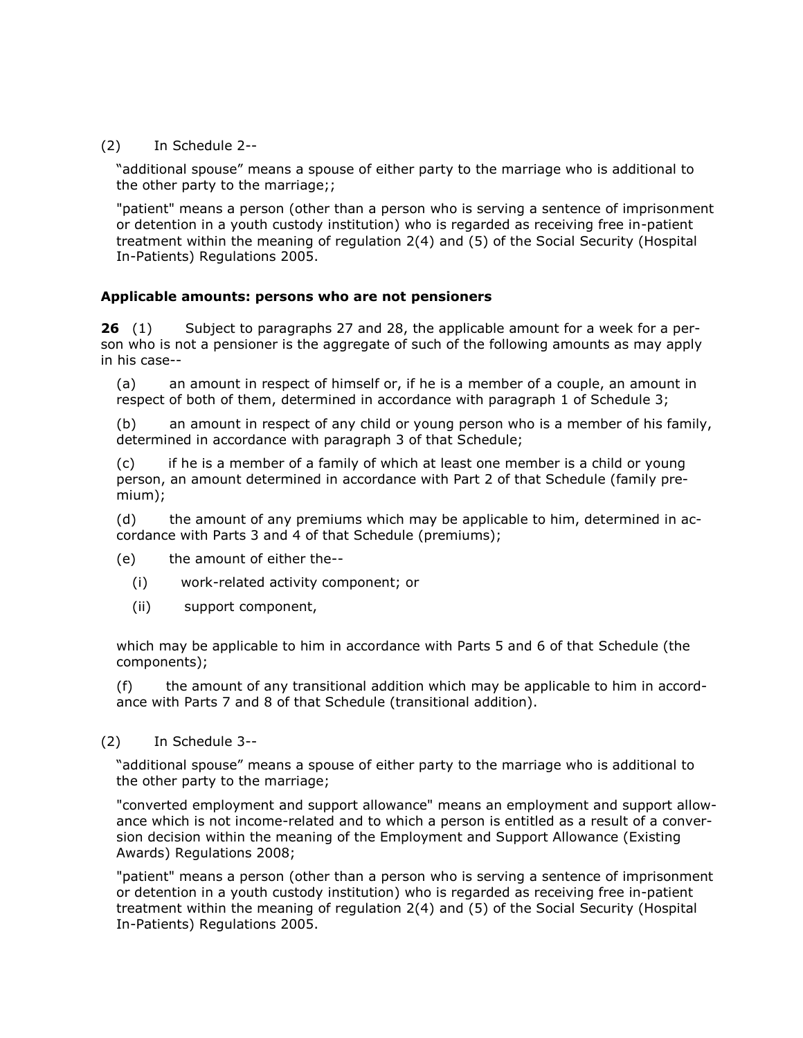(2) In Schedule 2--

"additional spouse" means a spouse of either party to the marriage who is additional to the other party to the marriage;;

"patient" means a person (other than a person who is serving a sentence of imprisonment or detention in a youth custody institution) who is regarded as receiving free in-patient treatment within the meaning of regulation 2(4) and (5) of the Social Security (Hospital In-Patients) Regulations 2005.

## **Applicable amounts: persons who are not pensioners**

**26** (1) Subject to paragraphs 27 and 28, the applicable amount for a week for a person who is not a pensioner is the aggregate of such of the following amounts as may apply in his case--

(a) an amount in respect of himself or, if he is a member of a couple, an amount in respect of both of them, determined in accordance with paragraph 1 of Schedule 3;

(b) an amount in respect of any child or young person who is a member of his family, determined in accordance with paragraph 3 of that Schedule;

(c) if he is a member of a family of which at least one member is a child or young person, an amount determined in accordance with Part 2 of that Schedule (family premium);

(d) the amount of any premiums which may be applicable to him, determined in accordance with Parts 3 and 4 of that Schedule (premiums);

(e) the amount of either the--

- (i) work-related activity component; or
- (ii) support component,

which may be applicable to him in accordance with Parts 5 and 6 of that Schedule (the components);

(f) the amount of any transitional addition which may be applicable to him in accordance with Parts 7 and 8 of that Schedule (transitional addition).

(2) In Schedule 3--

"additional spouse" means a spouse of either party to the marriage who is additional to the other party to the marriage;

"converted employment and support allowance" means an employment and support allowance which is not income-related and to which a person is entitled as a result of a conversion decision within the meaning of the Employment and Support Allowance (Existing Awards) Regulations 2008;

"patient" means a person (other than a person who is serving a sentence of imprisonment or detention in a youth custody institution) who is regarded as receiving free in-patient treatment within the meaning of regulation 2(4) and (5) of the Social Security (Hospital In-Patients) Regulations 2005.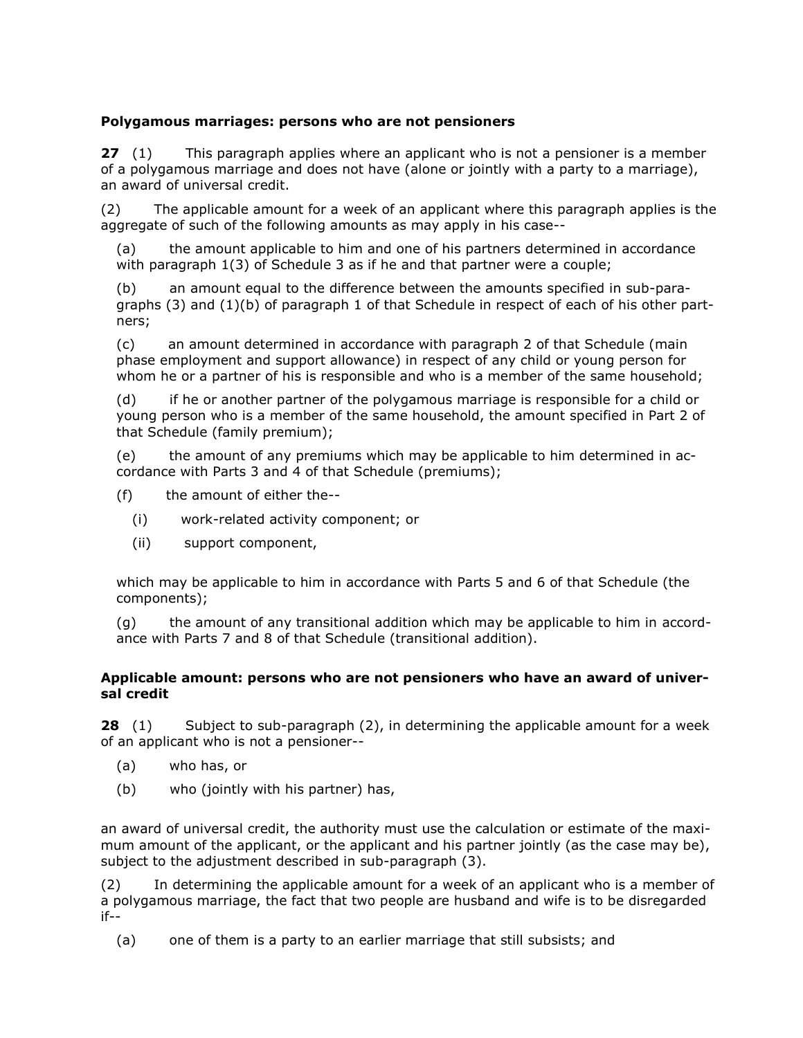# **Polygamous marriages: persons who are not pensioners**

**27** (1) This paragraph applies where an applicant who is not a pensioner is a member of a polygamous marriage and does not have (alone or jointly with a party to a marriage), an award of universal credit.

(2) The applicable amount for a week of an applicant where this paragraph applies is the aggregate of such of the following amounts as may apply in his case--

(a) the amount applicable to him and one of his partners determined in accordance with paragraph 1(3) of Schedule 3 as if he and that partner were a couple;

(b) an amount equal to the difference between the amounts specified in sub-paragraphs (3) and (1)(b) of paragraph 1 of that Schedule in respect of each of his other partners;

(c) an amount determined in accordance with paragraph 2 of that Schedule (main phase employment and support allowance) in respect of any child or young person for whom he or a partner of his is responsible and who is a member of the same household;

(d) if he or another partner of the polygamous marriage is responsible for a child or young person who is a member of the same household, the amount specified in Part 2 of that Schedule (family premium);

(e) the amount of any premiums which may be applicable to him determined in accordance with Parts 3 and 4 of that Schedule (premiums);

(f) the amount of either the--

- (i) work-related activity component; or
- (ii) support component,

which may be applicable to him in accordance with Parts 5 and 6 of that Schedule (the components);

(g) the amount of any transitional addition which may be applicable to him in accordance with Parts 7 and 8 of that Schedule (transitional addition).

### **Applicable amount: persons who are not pensioners who have an award of universal credit**

**28** (1) Subject to sub-paragraph (2), in determining the applicable amount for a week of an applicant who is not a pensioner--

- (a) who has, or
- (b) who (jointly with his partner) has,

an award of universal credit, the authority must use the calculation or estimate of the maximum amount of the applicant, or the applicant and his partner jointly (as the case may be), subject to the adjustment described in sub-paragraph (3).

(2) In determining the applicable amount for a week of an applicant who is a member of a polygamous marriage, the fact that two people are husband and wife is to be disregarded if--

(a) one of them is a party to an earlier marriage that still subsists; and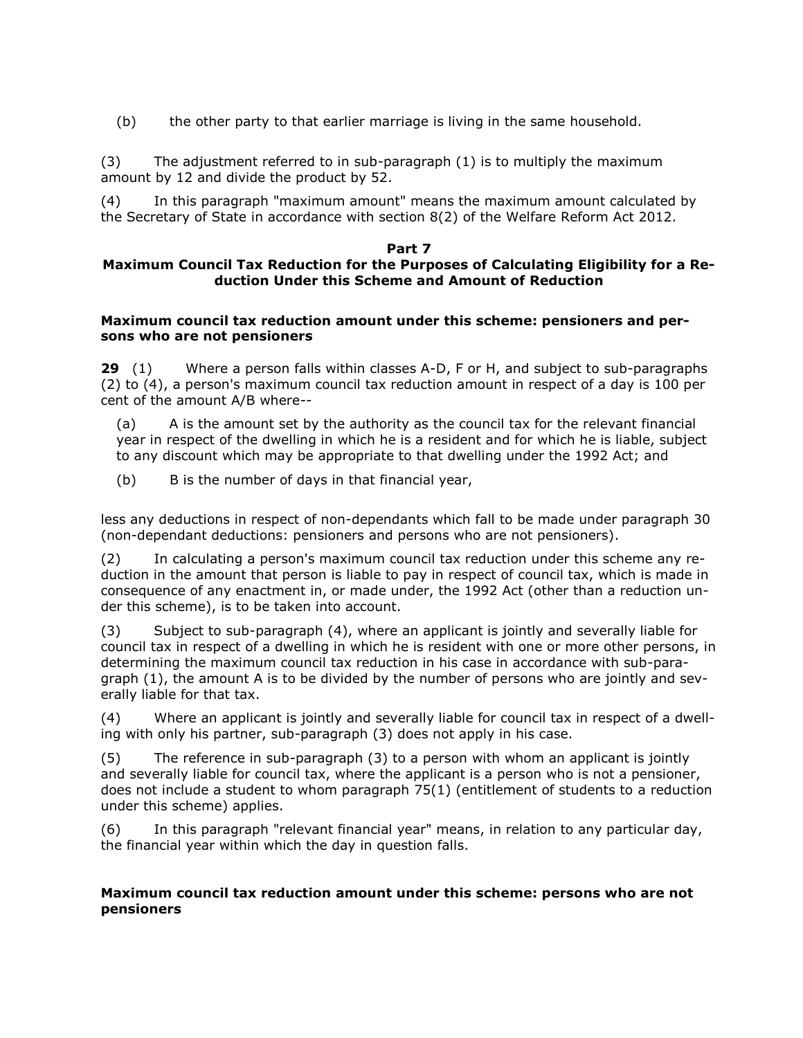(b) the other party to that earlier marriage is living in the same household.

(3) The adjustment referred to in sub-paragraph (1) is to multiply the maximum amount by 12 and divide the product by 52.

(4) In this paragraph "maximum amount" means the maximum amount calculated by the Secretary of State in accordance with section 8(2) of the Welfare Reform Act 2012.

#### **Part 7**

## **Maximum Council Tax Reduction for the Purposes of Calculating Eligibility for a Reduction Under this Scheme and Amount of Reduction**

### **Maximum council tax reduction amount under this scheme: pensioners and persons who are not pensioners**

**29** (1) Where a person falls within classes A-D, F or H, and subject to sub-paragraphs (2) to (4), a person's maximum council tax reduction amount in respect of a day is 100 per cent of the amount A/B where--

(a) A is the amount set by the authority as the council tax for the relevant financial year in respect of the dwelling in which he is a resident and for which he is liable, subject to any discount which may be appropriate to that dwelling under the 1992 Act; and

(b) B is the number of days in that financial year,

less any deductions in respect of non-dependants which fall to be made under paragraph 30 (non-dependant deductions: pensioners and persons who are not pensioners).

(2) In calculating a person's maximum council tax reduction under this scheme any reduction in the amount that person is liable to pay in respect of council tax, which is made in consequence of any enactment in, or made under, the 1992 Act (other than a reduction under this scheme), is to be taken into account.

(3) Subject to sub-paragraph (4), where an applicant is jointly and severally liable for council tax in respect of a dwelling in which he is resident with one or more other persons, in determining the maximum council tax reduction in his case in accordance with sub-paragraph (1), the amount A is to be divided by the number of persons who are jointly and severally liable for that tax.

(4) Where an applicant is jointly and severally liable for council tax in respect of a dwelling with only his partner, sub-paragraph (3) does not apply in his case.

(5) The reference in sub-paragraph (3) to a person with whom an applicant is jointly and severally liable for council tax, where the applicant is a person who is not a pensioner, does not include a student to whom paragraph 75(1) (entitlement of students to a reduction under this scheme) applies.

(6) In this paragraph "relevant financial year" means, in relation to any particular day, the financial year within which the day in question falls.

### **Maximum council tax reduction amount under this scheme: persons who are not pensioners**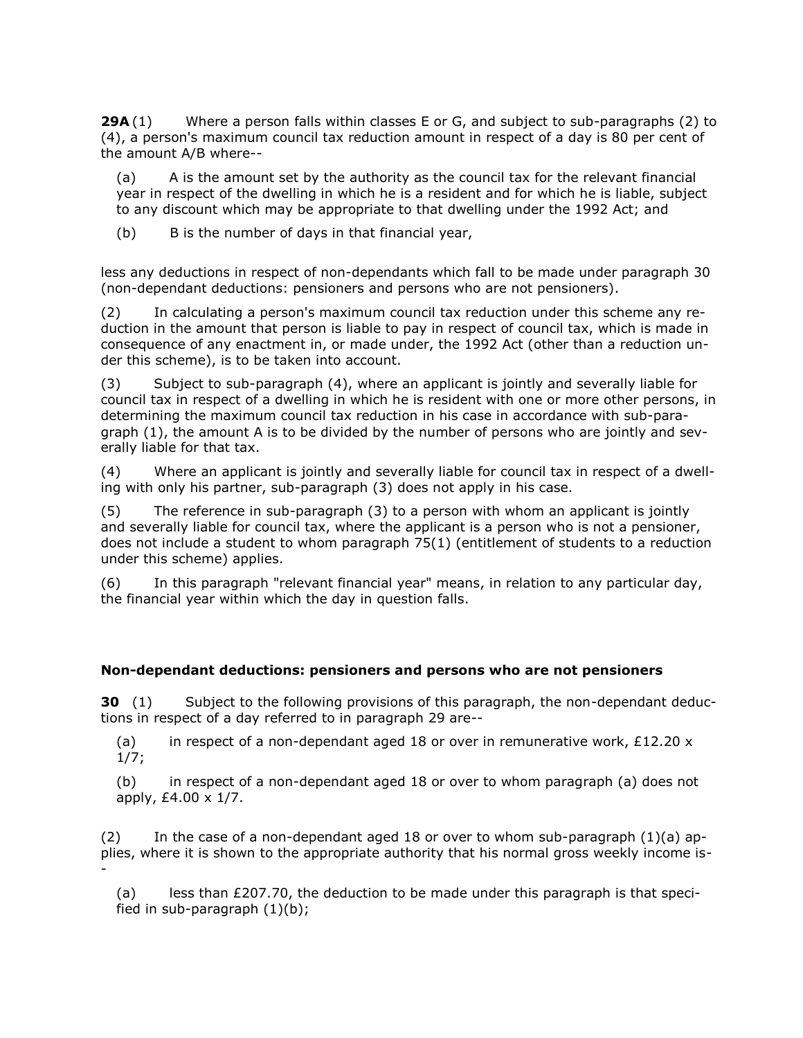**29A** (1) Where a person falls within classes E or G, and subject to sub-paragraphs (2) to (4), a person's maximum council tax reduction amount in respect of a day is 80 per cent of the amount A/B where--

(a) A is the amount set by the authority as the council tax for the relevant financial year in respect of the dwelling in which he is a resident and for which he is liable, subject to any discount which may be appropriate to that dwelling under the 1992 Act; and

(b) B is the number of days in that financial year,

less any deductions in respect of non-dependants which fall to be made under paragraph 30 (non-dependant deductions: pensioners and persons who are not pensioners).

(2) In calculating a person's maximum council tax reduction under this scheme any reduction in the amount that person is liable to pay in respect of council tax, which is made in consequence of any enactment in, or made under, the 1992 Act (other than a reduction under this scheme), is to be taken into account.

(3) Subject to sub-paragraph (4), where an applicant is jointly and severally liable for council tax in respect of a dwelling in which he is resident with one or more other persons, in determining the maximum council tax reduction in his case in accordance with sub-paragraph (1), the amount A is to be divided by the number of persons who are jointly and severally liable for that tax.

(4) Where an applicant is jointly and severally liable for council tax in respect of a dwelling with only his partner, sub-paragraph (3) does not apply in his case.

(5) The reference in sub-paragraph (3) to a person with whom an applicant is jointly and severally liable for council tax, where the applicant is a person who is not a pensioner, does not include a student to whom paragraph 75(1) (entitlement of students to a reduction under this scheme) applies.

(6) In this paragraph "relevant financial year" means, in relation to any particular day, the financial year within which the day in question falls.

### **Non-dependant deductions: pensioners and persons who are not pensioners**

**30** (1) Subject to the following provisions of this paragraph, the non-dependant deductions in respect of a day referred to in paragraph 29 are--

(a) in respect of a non-dependant aged 18 or over in remunerative work, £12.20  $\times$ 1/7;

(b) in respect of a non-dependant aged 18 or over to whom paragraph (a) does not apply, £4.00 x 1/7.

 $(2)$  In the case of a non-dependant aged 18 or over to whom sub-paragraph  $(1)(a)$  applies, where it is shown to the appropriate authority that his normal gross weekly income is- -

(a) less than  $£207.70$ , the deduction to be made under this paragraph is that specified in sub-paragraph (1)(b);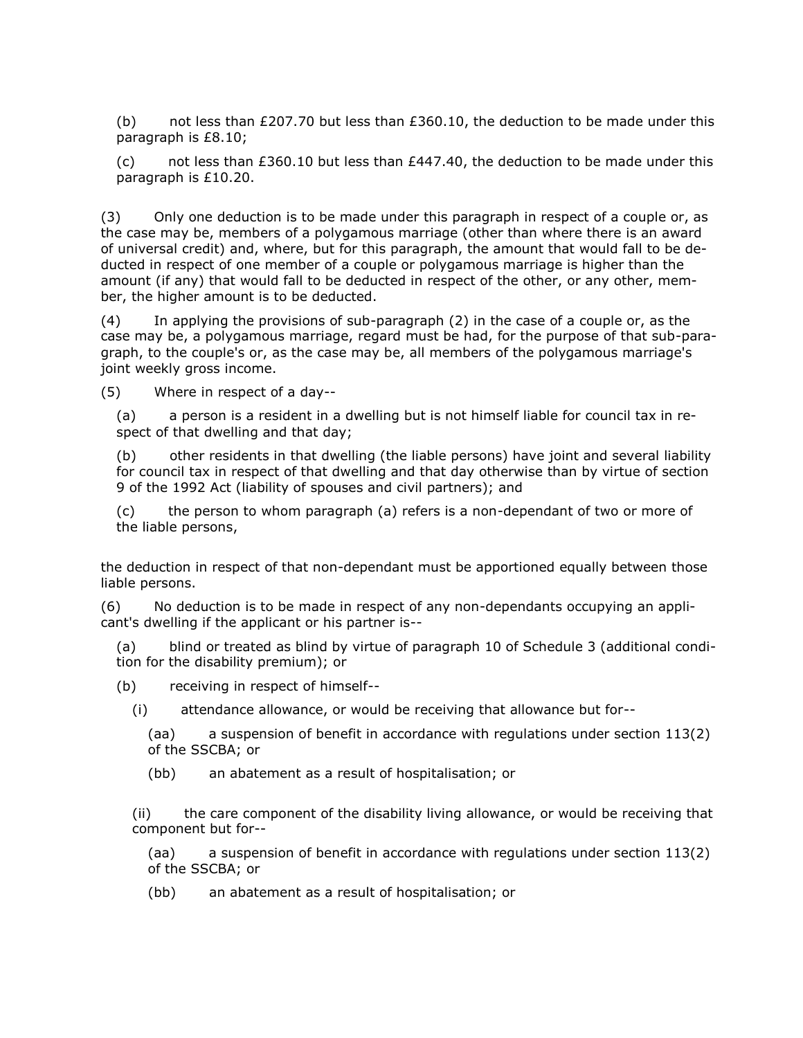(b) not less than £207.70 but less than £360.10, the deduction to be made under this paragraph is £8.10;

(c) not less than  $£360.10$  but less than  $£447.40$ , the deduction to be made under this paragraph is £10.20.

(3) Only one deduction is to be made under this paragraph in respect of a couple or, as the case may be, members of a polygamous marriage (other than where there is an award of universal credit) and, where, but for this paragraph, the amount that would fall to be deducted in respect of one member of a couple or polygamous marriage is higher than the amount (if any) that would fall to be deducted in respect of the other, or any other, member, the higher amount is to be deducted.

(4) In applying the provisions of sub-paragraph (2) in the case of a couple or, as the case may be, a polygamous marriage, regard must be had, for the purpose of that sub-paragraph, to the couple's or, as the case may be, all members of the polygamous marriage's joint weekly gross income.

(5) Where in respect of a day--

(a) a person is a resident in a dwelling but is not himself liable for council tax in respect of that dwelling and that day;

(b) other residents in that dwelling (the liable persons) have joint and several liability for council tax in respect of that dwelling and that day otherwise than by virtue of section 9 of the 1992 Act (liability of spouses and civil partners); and

(c) the person to whom paragraph (a) refers is a non-dependant of two or more of the liable persons,

the deduction in respect of that non-dependant must be apportioned equally between those liable persons.

(6) No deduction is to be made in respect of any non-dependants occupying an applicant's dwelling if the applicant or his partner is--

(a) blind or treated as blind by virtue of paragraph 10 of Schedule 3 (additional condition for the disability premium); or

(b) receiving in respect of himself--

(i) attendance allowance, or would be receiving that allowance but for--

(aa) a suspension of benefit in accordance with regulations under section 113(2) of the SSCBA; or

(bb) an abatement as a result of hospitalisation; or

(ii) the care component of the disability living allowance, or would be receiving that component but for--

(aa) a suspension of benefit in accordance with regulations under section 113(2) of the SSCBA; or

(bb) an abatement as a result of hospitalisation; or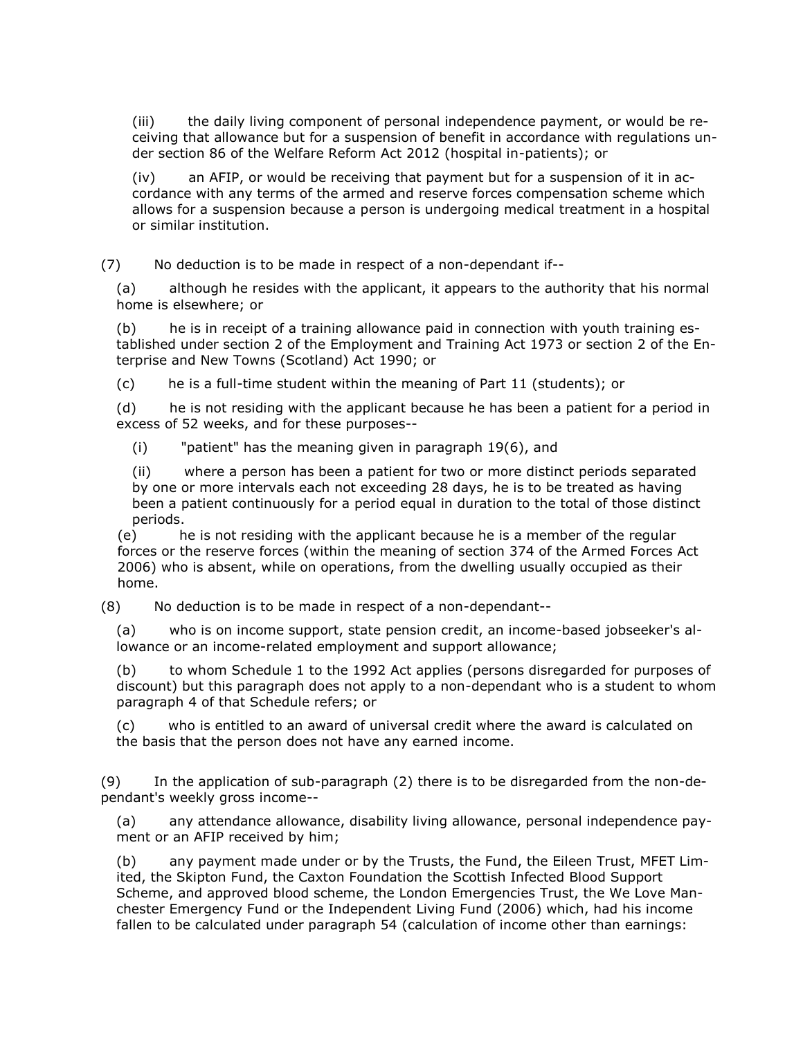(iii) the daily living component of personal independence payment, or would be receiving that allowance but for a suspension of benefit in accordance with regulations under section 86 of the Welfare Reform Act 2012 (hospital in-patients); or

(iv) an AFIP, or would be receiving that payment but for a suspension of it in accordance with any terms of the armed and reserve forces compensation scheme which allows for a suspension because a person is undergoing medical treatment in a hospital or similar institution.

(7) No deduction is to be made in respect of a non-dependant if--

(a) although he resides with the applicant, it appears to the authority that his normal home is elsewhere; or

(b) he is in receipt of a training allowance paid in connection with youth training established under section 2 of the Employment and Training Act 1973 or section 2 of the Enterprise and New Towns (Scotland) Act 1990; or

(c) he is a full-time student within the meaning of Part 11 (students); or

(d) he is not residing with the applicant because he has been a patient for a period in excess of 52 weeks, and for these purposes--

(i) "patient" has the meaning given in paragraph 19(6), and

(ii) where a person has been a patient for two or more distinct periods separated by one or more intervals each not exceeding 28 days, he is to be treated as having been a patient continuously for a period equal in duration to the total of those distinct periods.

(e) he is not residing with the applicant because he is a member of the regular forces or the reserve forces (within the meaning of section 374 of the Armed Forces Act 2006) who is absent, while on operations, from the dwelling usually occupied as their home.

(8) No deduction is to be made in respect of a non-dependant--

(a) who is on income support, state pension credit, an income-based jobseeker's allowance or an income-related employment and support allowance;

(b) to whom Schedule 1 to the 1992 Act applies (persons disregarded for purposes of discount) but this paragraph does not apply to a non-dependant who is a student to whom paragraph 4 of that Schedule refers; or

(c) who is entitled to an award of universal credit where the award is calculated on the basis that the person does not have any earned income.

(9) In the application of sub-paragraph (2) there is to be disregarded from the non-dependant's weekly gross income--

(a) any attendance allowance, disability living allowance, personal independence payment or an AFIP received by him;

(b) any payment made under or by the Trusts, the Fund, the Eileen Trust, MFET Limited, the Skipton Fund, the Caxton Foundation the Scottish Infected Blood Support Scheme, and approved blood scheme, the London Emergencies Trust, the We Love Manchester Emergency Fund or the Independent Living Fund (2006) which, had his income fallen to be calculated under paragraph 54 (calculation of income other than earnings: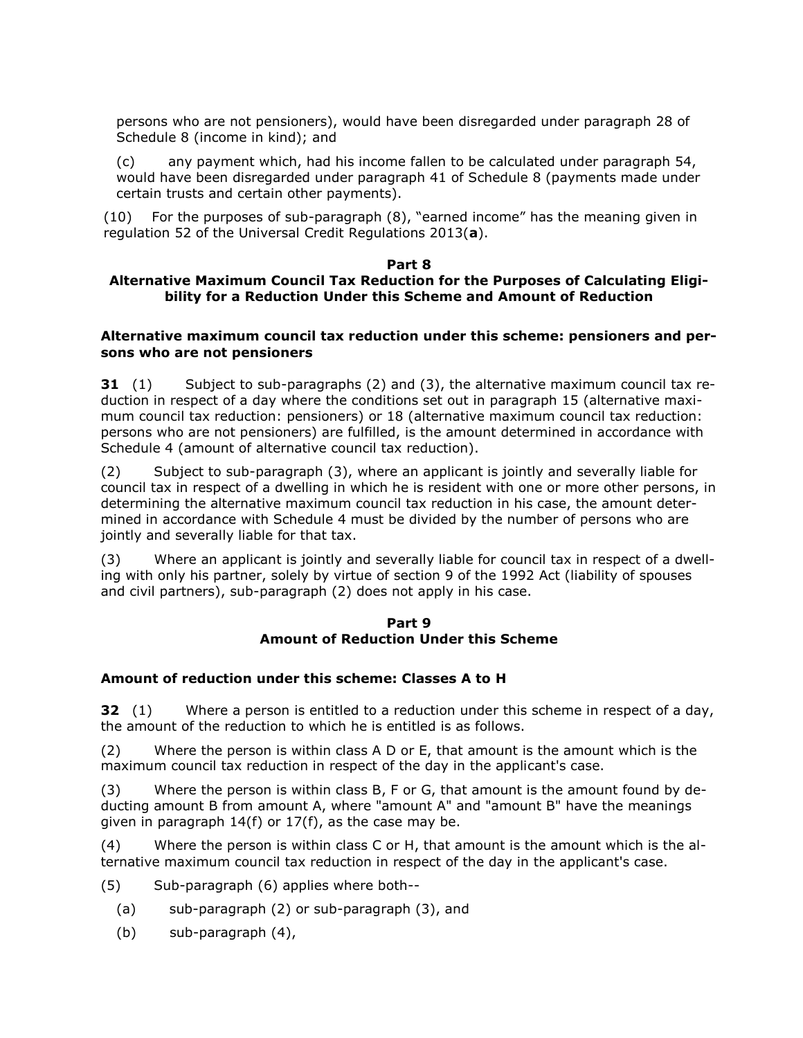persons who are not pensioners), would have been disregarded under paragraph 28 of Schedule 8 (income in kind); and

(c) any payment which, had his income fallen to be calculated under paragraph 54, would have been disregarded under paragraph 41 of Schedule 8 (payments made under certain trusts and certain other payments).

(10) For the purposes of sub-paragraph (8), "earned income" has the meaning given in regulation 52 of the Universal Credit Regulations 2013(**a**).

#### **Part 8**

## **Alternative Maximum Council Tax Reduction for the Purposes of Calculating Eligibility for a Reduction Under this Scheme and Amount of Reduction**

#### **Alternative maximum council tax reduction under this scheme: pensioners and persons who are not pensioners**

**31** (1) Subject to sub-paragraphs (2) and (3), the alternative maximum council tax reduction in respect of a day where the conditions set out in paragraph 15 (alternative maximum council tax reduction: pensioners) or 18 (alternative maximum council tax reduction: persons who are not pensioners) are fulfilled, is the amount determined in accordance with Schedule 4 (amount of alternative council tax reduction).

(2) Subject to sub-paragraph (3), where an applicant is jointly and severally liable for council tax in respect of a dwelling in which he is resident with one or more other persons, in determining the alternative maximum council tax reduction in his case, the amount determined in accordance with Schedule 4 must be divided by the number of persons who are jointly and severally liable for that tax.

(3) Where an applicant is jointly and severally liable for council tax in respect of a dwelling with only his partner, solely by virtue of section 9 of the 1992 Act (liability of spouses and civil partners), sub-paragraph (2) does not apply in his case.

#### **Part 9 Amount of Reduction Under this Scheme**

### **Amount of reduction under this scheme: Classes A to H**

**32** (1) Where a person is entitled to a reduction under this scheme in respect of a day, the amount of the reduction to which he is entitled is as follows.

(2) Where the person is within class A D or E, that amount is the amount which is the maximum council tax reduction in respect of the day in the applicant's case.

(3) Where the person is within class B, F or G, that amount is the amount found by deducting amount B from amount A, where "amount A" and "amount B" have the meanings given in paragraph 14(f) or 17(f), as the case may be.

(4) Where the person is within class C or H, that amount is the amount which is the alternative maximum council tax reduction in respect of the day in the applicant's case.

(5) Sub-paragraph (6) applies where both--

- (a) sub-paragraph (2) or sub-paragraph (3), and
- (b) sub-paragraph (4),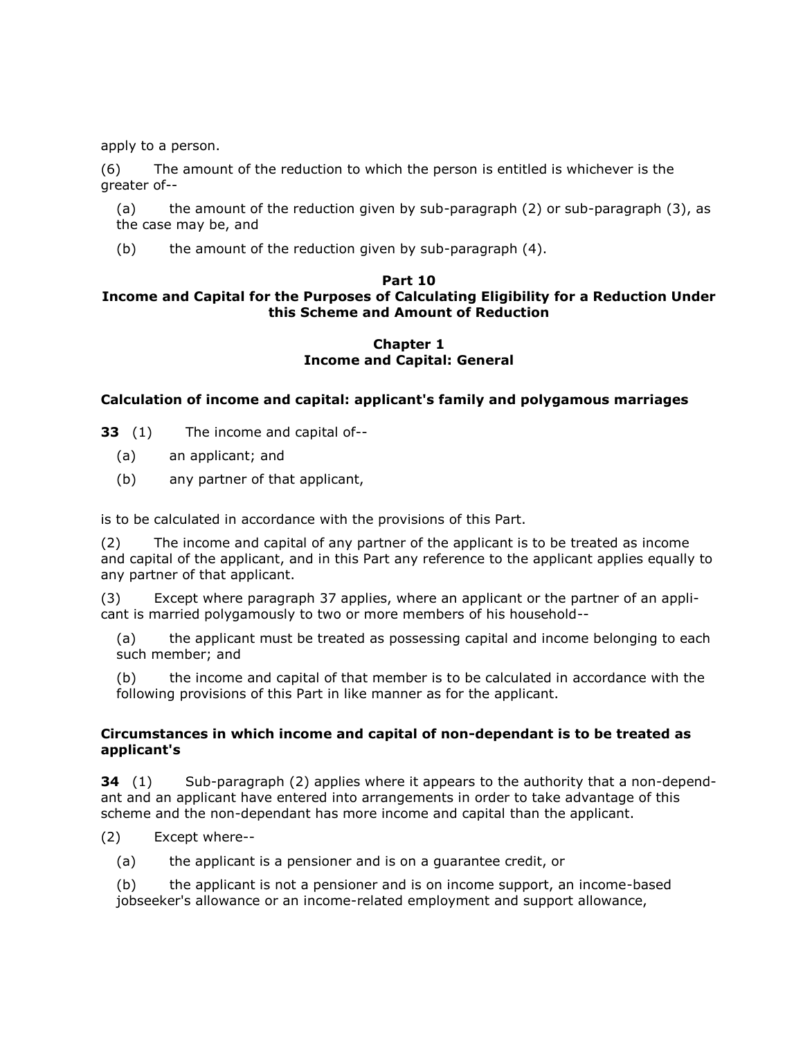apply to a person.

(6) The amount of the reduction to which the person is entitled is whichever is the greater of--

- (a) the amount of the reduction given by sub-paragraph (2) or sub-paragraph (3), as the case may be, and
- (b) the amount of the reduction given by sub-paragraph (4).

#### **Part 10 Income and Capital for the Purposes of Calculating Eligibility for a Reduction Under this Scheme and Amount of Reduction**

**Chapter 1 Income and Capital: General**

# **Calculation of income and capital: applicant's family and polygamous marriages**

**33** (1) The income and capital of--

- (a) an applicant; and
- (b) any partner of that applicant,

is to be calculated in accordance with the provisions of this Part.

(2) The income and capital of any partner of the applicant is to be treated as income and capital of the applicant, and in this Part any reference to the applicant applies equally to any partner of that applicant.

(3) Except where paragraph 37 applies, where an applicant or the partner of an applicant is married polygamously to two or more members of his household--

(a) the applicant must be treated as possessing capital and income belonging to each such member; and

(b) the income and capital of that member is to be calculated in accordance with the following provisions of this Part in like manner as for the applicant.

### **Circumstances in which income and capital of non-dependant is to be treated as applicant's**

**34** (1) Sub-paragraph (2) applies where it appears to the authority that a non-dependant and an applicant have entered into arrangements in order to take advantage of this scheme and the non-dependant has more income and capital than the applicant.

- (2) Except where--
	- (a) the applicant is a pensioner and is on a guarantee credit, or

(b) the applicant is not a pensioner and is on income support, an income-based jobseeker's allowance or an income-related employment and support allowance,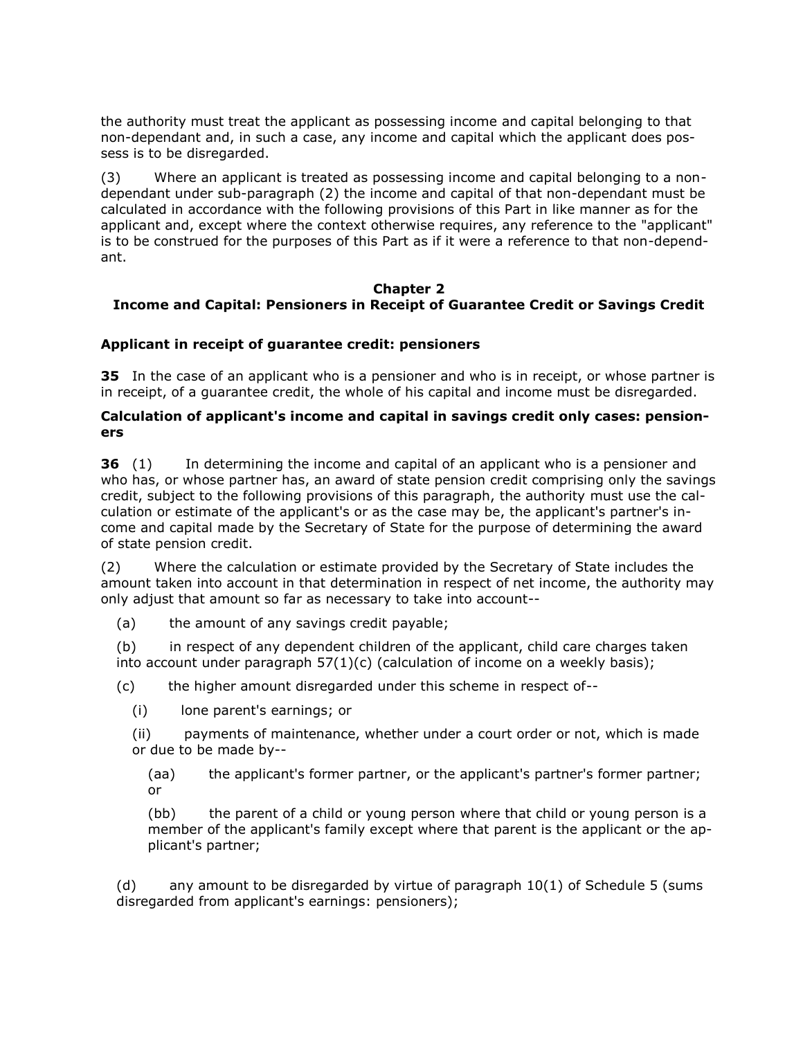the authority must treat the applicant as possessing income and capital belonging to that non-dependant and, in such a case, any income and capital which the applicant does possess is to be disregarded.

(3) Where an applicant is treated as possessing income and capital belonging to a nondependant under sub-paragraph (2) the income and capital of that non-dependant must be calculated in accordance with the following provisions of this Part in like manner as for the applicant and, except where the context otherwise requires, any reference to the "applicant" is to be construed for the purposes of this Part as if it were a reference to that non-dependant.

#### **Chapter 2 Income and Capital: Pensioners in Receipt of Guarantee Credit or Savings Credit**

## **Applicant in receipt of guarantee credit: pensioners**

**35** In the case of an applicant who is a pensioner and who is in receipt, or whose partner is in receipt, of a guarantee credit, the whole of his capital and income must be disregarded.

### **Calculation of applicant's income and capital in savings credit only cases: pensioners**

**36** (1) In determining the income and capital of an applicant who is a pensioner and who has, or whose partner has, an award of state pension credit comprising only the savings credit, subject to the following provisions of this paragraph, the authority must use the calculation or estimate of the applicant's or as the case may be, the applicant's partner's income and capital made by the Secretary of State for the purpose of determining the award of state pension credit.

(2) Where the calculation or estimate provided by the Secretary of State includes the amount taken into account in that determination in respect of net income, the authority may only adjust that amount so far as necessary to take into account--

(a) the amount of any savings credit payable;

(b) in respect of any dependent children of the applicant, child care charges taken into account under paragraph  $57(1)(c)$  (calculation of income on a weekly basis);

(c) the higher amount disregarded under this scheme in respect of--

(i) lone parent's earnings; or

(ii) payments of maintenance, whether under a court order or not, which is made or due to be made by--

(aa) the applicant's former partner, or the applicant's partner's former partner; or

(bb) the parent of a child or young person where that child or young person is a member of the applicant's family except where that parent is the applicant or the applicant's partner;

(d) any amount to be disregarded by virtue of paragraph  $10(1)$  of Schedule 5 (sums disregarded from applicant's earnings: pensioners);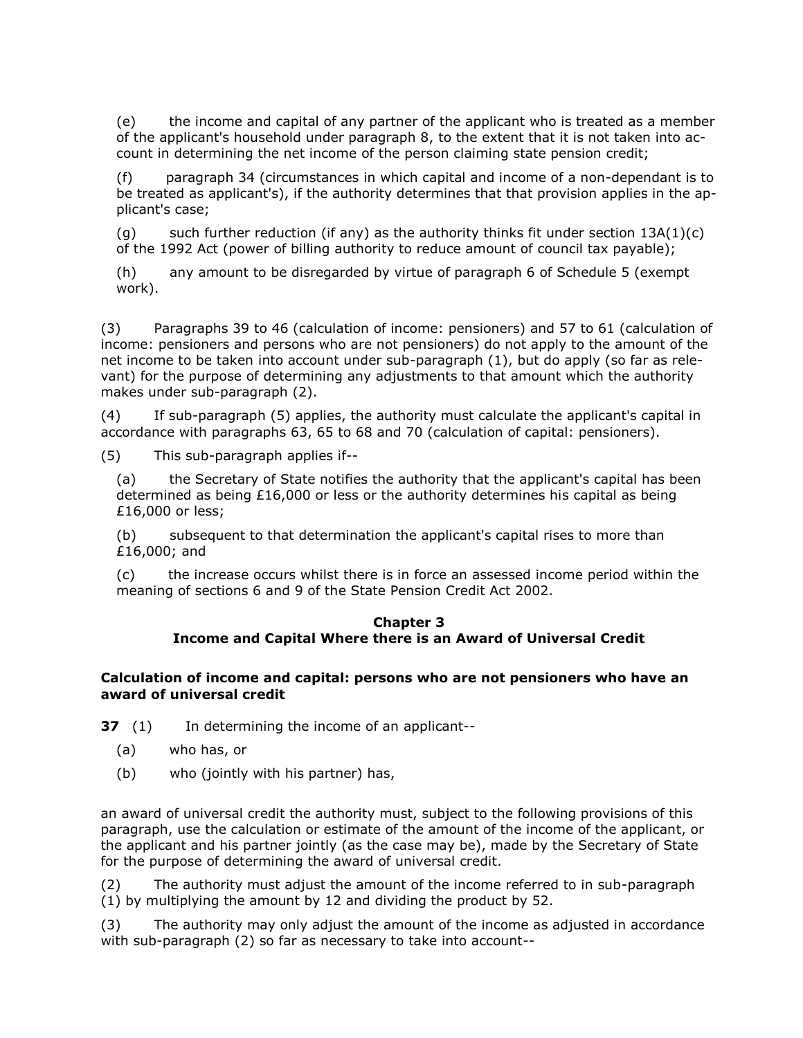(e) the income and capital of any partner of the applicant who is treated as a member of the applicant's household under paragraph 8, to the extent that it is not taken into account in determining the net income of the person claiming state pension credit;

(f) paragraph 34 (circumstances in which capital and income of a non-dependant is to be treated as applicant's), if the authority determines that that provision applies in the applicant's case;

(g) such further reduction (if any) as the authority thinks fit under section  $13A(1)(c)$ of the 1992 Act (power of billing authority to reduce amount of council tax payable);

(h) any amount to be disregarded by virtue of paragraph 6 of Schedule 5 (exempt work).

(3) Paragraphs 39 to 46 (calculation of income: pensioners) and 57 to 61 (calculation of income: pensioners and persons who are not pensioners) do not apply to the amount of the net income to be taken into account under sub-paragraph (1), but do apply (so far as relevant) for the purpose of determining any adjustments to that amount which the authority makes under sub-paragraph (2).

(4) If sub-paragraph (5) applies, the authority must calculate the applicant's capital in accordance with paragraphs 63, 65 to 68 and 70 (calculation of capital: pensioners).

(5) This sub-paragraph applies if--

(a) the Secretary of State notifies the authority that the applicant's capital has been determined as being £16,000 or less or the authority determines his capital as being £16,000 or less;

(b) subsequent to that determination the applicant's capital rises to more than £16,000; and

(c) the increase occurs whilst there is in force an assessed income period within the meaning of sections 6 and 9 of the State Pension Credit Act 2002.

# **Chapter 3 Income and Capital Where there is an Award of Universal Credit**

#### **Calculation of income and capital: persons who are not pensioners who have an award of universal credit**

**37** (1) In determining the income of an applicant--

- (a) who has, or
- (b) who (jointly with his partner) has,

an award of universal credit the authority must, subject to the following provisions of this paragraph, use the calculation or estimate of the amount of the income of the applicant, or the applicant and his partner jointly (as the case may be), made by the Secretary of State for the purpose of determining the award of universal credit.

(2) The authority must adjust the amount of the income referred to in sub-paragraph (1) by multiplying the amount by 12 and dividing the product by 52.

(3) The authority may only adjust the amount of the income as adjusted in accordance with sub-paragraph (2) so far as necessary to take into account--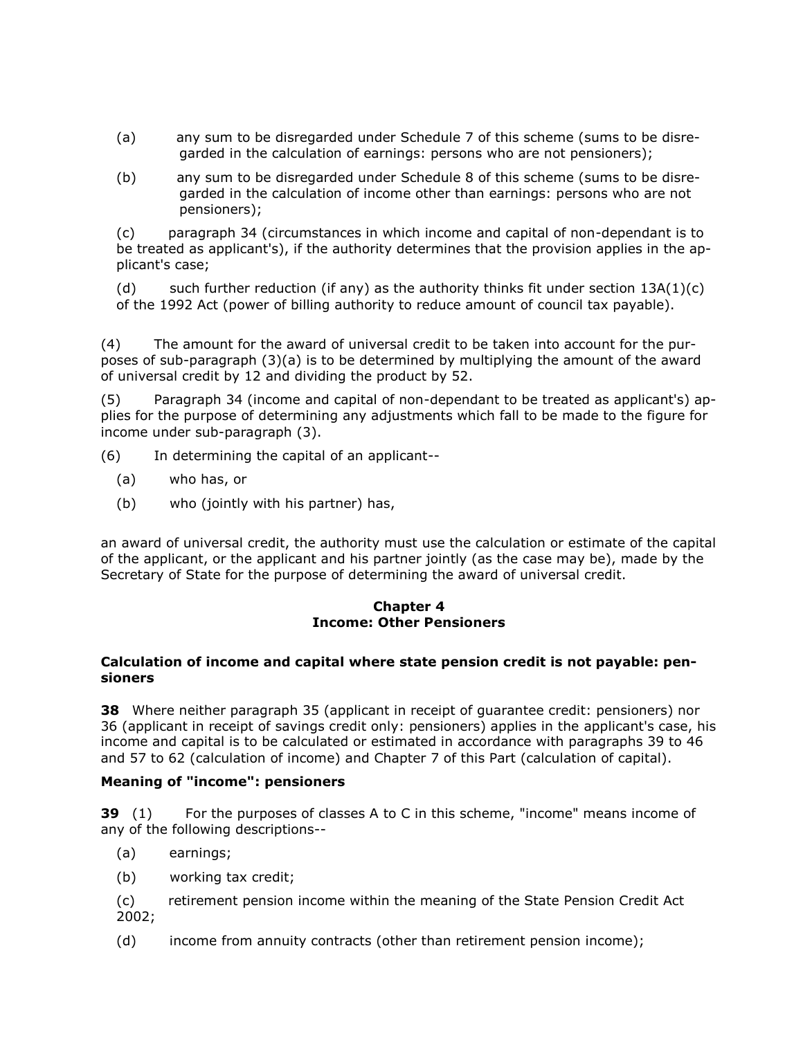- (a) any sum to be disregarded under Schedule 7 of this scheme (sums to be disregarded in the calculation of earnings: persons who are not pensioners);
- (b) any sum to be disregarded under Schedule 8 of this scheme (sums to be disregarded in the calculation of income other than earnings: persons who are not pensioners);

(c) paragraph 34 (circumstances in which income and capital of non-dependant is to be treated as applicant's), if the authority determines that the provision applies in the applicant's case;

(d) such further reduction (if any) as the authority thinks fit under section  $13A(1)(c)$ of the 1992 Act (power of billing authority to reduce amount of council tax payable).

(4) The amount for the award of universal credit to be taken into account for the purposes of sub-paragraph (3)(a) is to be determined by multiplying the amount of the award of universal credit by 12 and dividing the product by 52.

(5) Paragraph 34 (income and capital of non-dependant to be treated as applicant's) applies for the purpose of determining any adjustments which fall to be made to the figure for income under sub-paragraph (3).

- (6) In determining the capital of an applicant--
	- (a) who has, or
	- (b) who (jointly with his partner) has,

an award of universal credit, the authority must use the calculation or estimate of the capital of the applicant, or the applicant and his partner jointly (as the case may be), made by the Secretary of State for the purpose of determining the award of universal credit.

### **Chapter 4 Income: Other Pensioners**

### **Calculation of income and capital where state pension credit is not payable: pensioners**

**38** Where neither paragraph 35 (applicant in receipt of guarantee credit: pensioners) nor 36 (applicant in receipt of savings credit only: pensioners) applies in the applicant's case, his income and capital is to be calculated or estimated in accordance with paragraphs 39 to 46 and 57 to 62 (calculation of income) and Chapter 7 of this Part (calculation of capital).

### **Meaning of "income": pensioners**

**39** (1) For the purposes of classes A to C in this scheme, "income" means income of any of the following descriptions--

- (a) earnings;
- (b) working tax credit;
- (c) retirement pension income within the meaning of the State Pension Credit Act 2002;
- (d) income from annuity contracts (other than retirement pension income);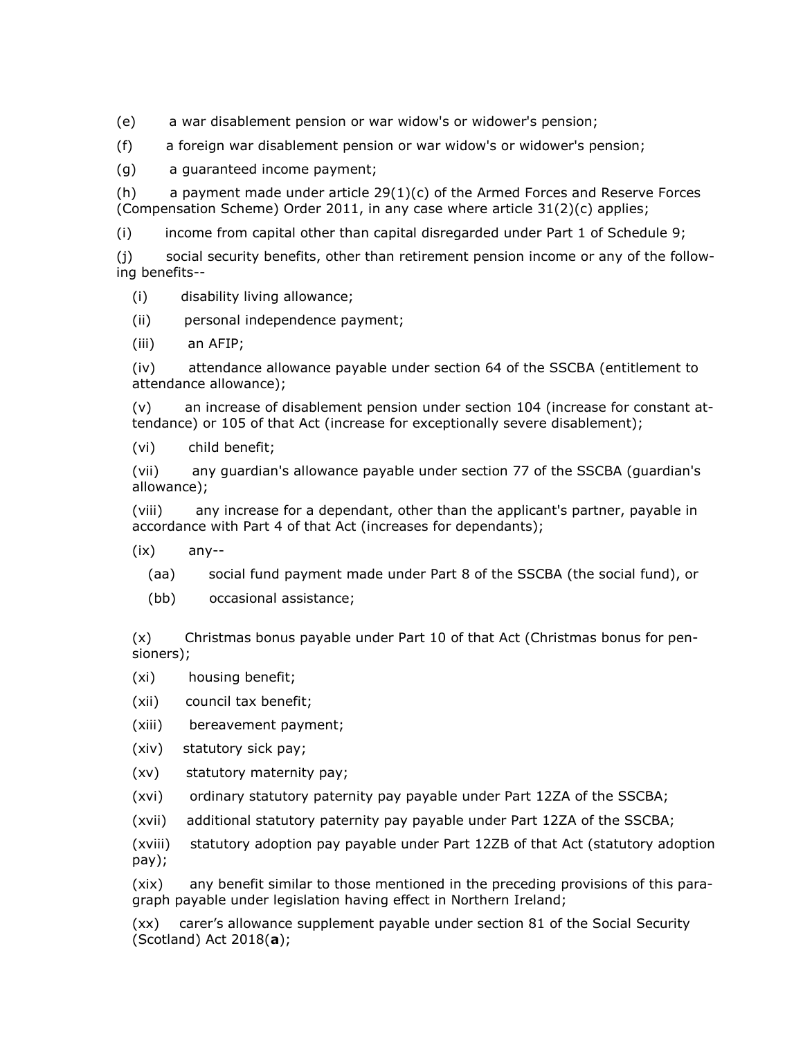(e) a war disablement pension or war widow's or widower's pension;

(f) a foreign war disablement pension or war widow's or widower's pension;

(g) a guaranteed income payment;

(h) a payment made under article  $29(1)(c)$  of the Armed Forces and Reserve Forces (Compensation Scheme) Order 2011, in any case where article 31(2)(c) applies;

(i) income from capital other than capital disregarded under Part 1 of Schedule 9;

(j) social security benefits, other than retirement pension income or any of the following benefits--

- (i) disability living allowance;
- (ii) personal independence payment;
- (iii) an AFIP;

(iv) attendance allowance payable under section 64 of the SSCBA (entitlement to attendance allowance);

(v) an increase of disablement pension under section 104 (increase for constant attendance) or 105 of that Act (increase for exceptionally severe disablement);

(vi) child benefit;

(vii) any guardian's allowance payable under section 77 of the SSCBA (guardian's allowance);

(viii) any increase for a dependant, other than the applicant's partner, payable in accordance with Part 4 of that Act (increases for dependants);

- $(ix)$  any--
	- (aa) social fund payment made under Part 8 of the SSCBA (the social fund), or
	- (bb) occasional assistance;

(x) Christmas bonus payable under Part 10 of that Act (Christmas bonus for pensioners);

- (xi) housing benefit;
- (xii) council tax benefit;
- (xiii) bereavement payment;
- (xiv) statutory sick pay;
- (xv) statutory maternity pay;
- (xvi) ordinary statutory paternity pay payable under Part 12ZA of the SSCBA;
- (xvii) additional statutory paternity pay payable under Part 12ZA of the SSCBA;

(xviii) statutory adoption pay payable under Part 12ZB of that Act (statutory adoption pay);

(xix) any benefit similar to those mentioned in the preceding provisions of this paragraph payable under legislation having effect in Northern Ireland;

(xx) carer's allowance supplement payable under section 81 of the Social Security (Scotland) Act 2018(**a**);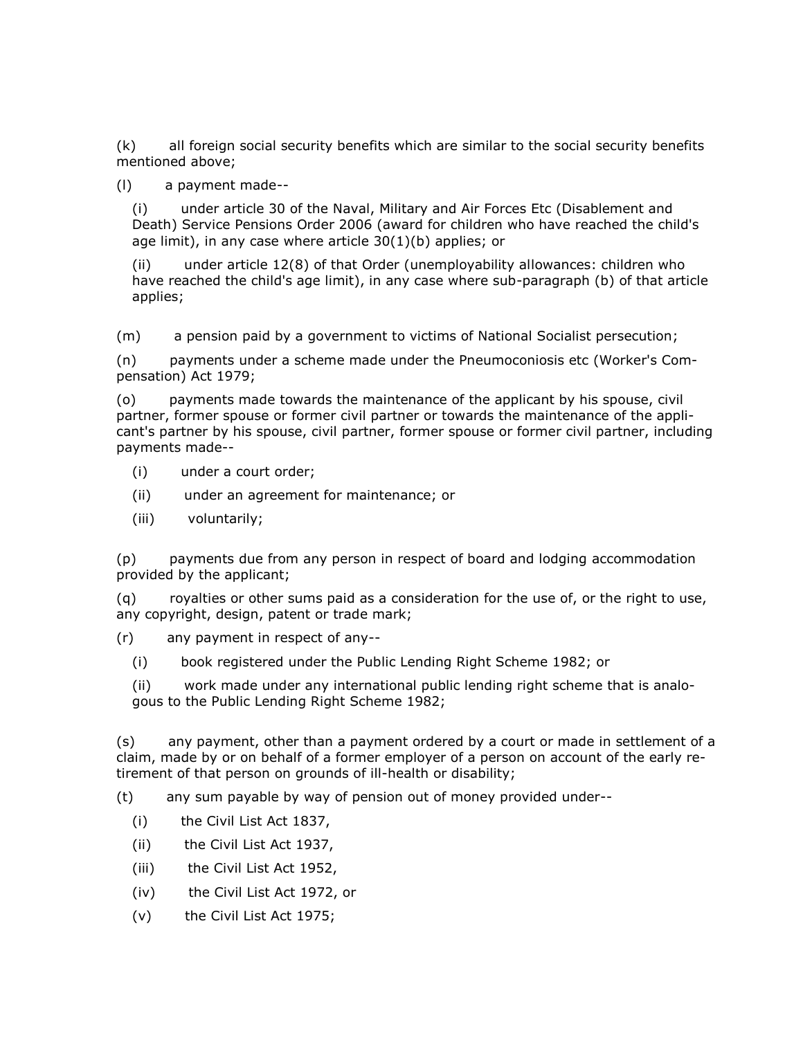(k) all foreign social security benefits which are similar to the social security benefits mentioned above;

(l) a payment made--

(i) under article 30 of the Naval, Military and Air Forces Etc (Disablement and Death) Service Pensions Order 2006 (award for children who have reached the child's age limit), in any case where article 30(1)(b) applies; or

(ii) under article 12(8) of that Order (unemployability allowances: children who have reached the child's age limit), in any case where sub-paragraph (b) of that article applies;

(m) a pension paid by a government to victims of National Socialist persecution;

(n) payments under a scheme made under the Pneumoconiosis etc (Worker's Compensation) Act 1979;

(o) payments made towards the maintenance of the applicant by his spouse, civil partner, former spouse or former civil partner or towards the maintenance of the applicant's partner by his spouse, civil partner, former spouse or former civil partner, including payments made--

- (i) under a court order;
- (ii) under an agreement for maintenance; or
- (iii) voluntarily;

(p) payments due from any person in respect of board and lodging accommodation provided by the applicant;

(q) royalties or other sums paid as a consideration for the use of, or the right to use, any copyright, design, patent or trade mark;

(r) any payment in respect of any--

(i) book registered under the Public Lending Right Scheme 1982; or

(ii) work made under any international public lending right scheme that is analogous to the Public Lending Right Scheme 1982;

(s) any payment, other than a payment ordered by a court or made in settlement of a claim, made by or on behalf of a former employer of a person on account of the early retirement of that person on grounds of ill-health or disability;

(t) any sum payable by way of pension out of money provided under--

- (i) the Civil List Act 1837,
- (ii) the Civil List Act 1937,
- (iii) the Civil List Act 1952,
- (iv) the Civil List Act 1972, or
- (v) the Civil List Act 1975;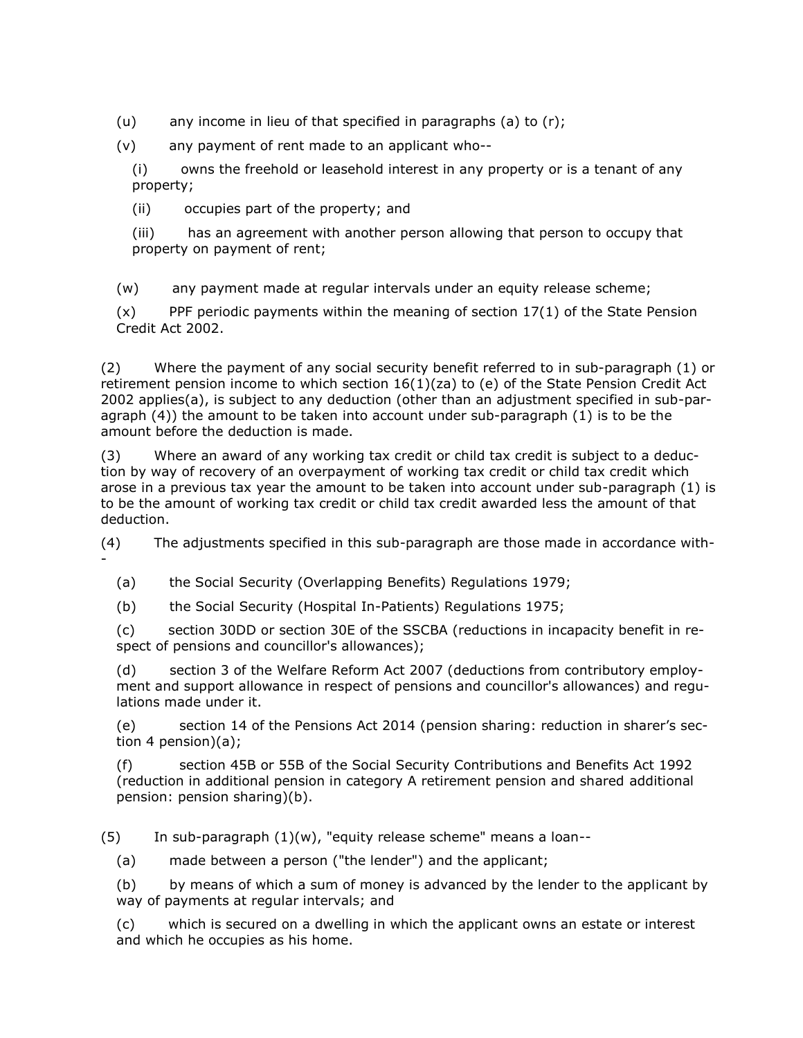(u) any income in lieu of that specified in paragraphs (a) to (r);

(v) any payment of rent made to an applicant who--

(i) owns the freehold or leasehold interest in any property or is a tenant of any property;

(ii) occupies part of the property; and

(iii) has an agreement with another person allowing that person to occupy that property on payment of rent;

(w) any payment made at regular intervals under an equity release scheme;

 $(x)$  PPF periodic payments within the meaning of section 17(1) of the State Pension Credit Act 2002.

(2) Where the payment of any social security benefit referred to in sub-paragraph (1) or retirement pension income to which section 16(1)(za) to (e) of the State Pension Credit Act 2002 applies(a), is subject to any deduction (other than an adjustment specified in sub-paragraph (4)) the amount to be taken into account under sub-paragraph (1) is to be the amount before the deduction is made.

(3) Where an award of any working tax credit or child tax credit is subject to a deduction by way of recovery of an overpayment of working tax credit or child tax credit which arose in a previous tax year the amount to be taken into account under sub-paragraph (1) is to be the amount of working tax credit or child tax credit awarded less the amount of that deduction.

(4) The adjustments specified in this sub-paragraph are those made in accordance with- -

(a) the Social Security (Overlapping Benefits) Regulations 1979;

(b) the Social Security (Hospital In-Patients) Regulations 1975;

(c) section 30DD or section 30E of the SSCBA (reductions in incapacity benefit in respect of pensions and councillor's allowances);

(d) section 3 of the Welfare Reform Act 2007 (deductions from contributory employment and support allowance in respect of pensions and councillor's allowances) and regulations made under it.

(e) section 14 of the Pensions Act 2014 (pension sharing: reduction in sharer's section 4 pension)(a);

(f) section 45B or 55B of the Social Security Contributions and Benefits Act 1992 (reduction in additional pension in category A retirement pension and shared additional pension: pension sharing)(b).

 $(5)$  In sub-paragraph  $(1)(w)$ , "equity release scheme" means a loan--

(a) made between a person ("the lender") and the applicant;

(b) by means of which a sum of money is advanced by the lender to the applicant by way of payments at regular intervals; and

(c) which is secured on a dwelling in which the applicant owns an estate or interest and which he occupies as his home.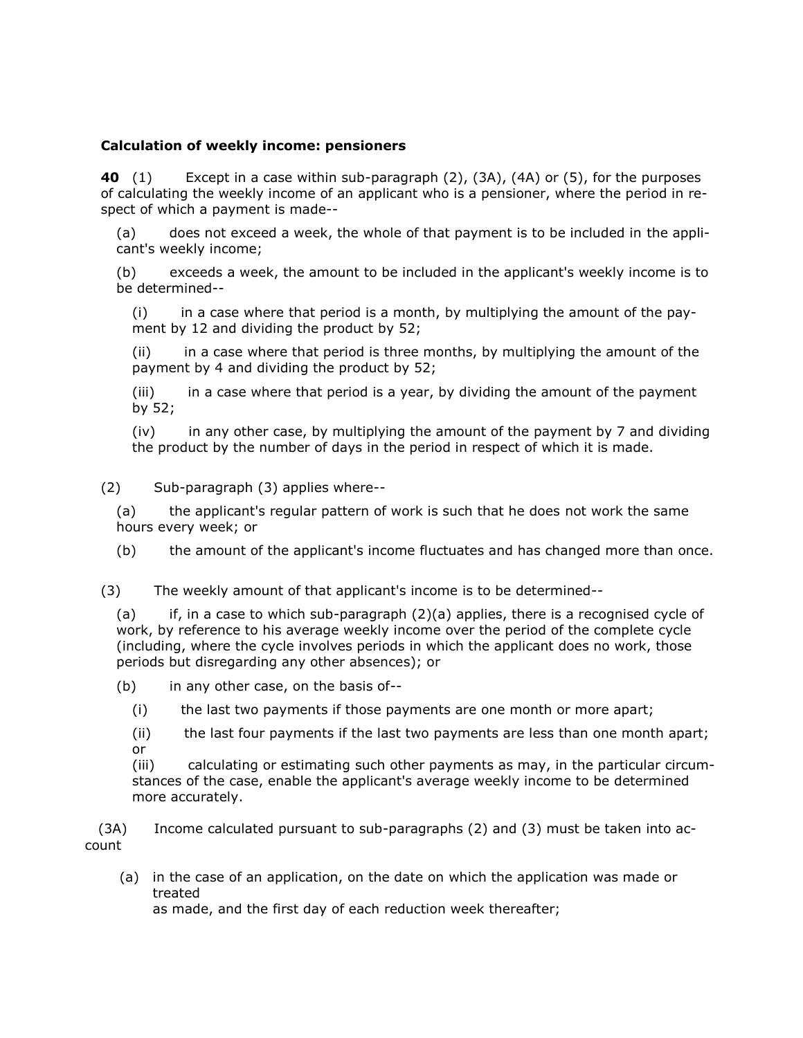### **Calculation of weekly income: pensioners**

**40** (1) Except in a case within sub-paragraph (2), (3A), (4A) or (5), for the purposes of calculating the weekly income of an applicant who is a pensioner, where the period in respect of which a payment is made--

(a) does not exceed a week, the whole of that payment is to be included in the applicant's weekly income;

(b) exceeds a week, the amount to be included in the applicant's weekly income is to be determined--

 $(i)$  in a case where that period is a month, by multiplying the amount of the payment by 12 and dividing the product by 52;

(ii) in a case where that period is three months, by multiplying the amount of the payment by 4 and dividing the product by 52;

(iii) in a case where that period is a year, by dividing the amount of the payment by 52;

(iv) in any other case, by multiplying the amount of the payment by 7 and dividing the product by the number of days in the period in respect of which it is made.

(2) Sub-paragraph (3) applies where--

(a) the applicant's regular pattern of work is such that he does not work the same hours every week; or

(b) the amount of the applicant's income fluctuates and has changed more than once.

(3) The weekly amount of that applicant's income is to be determined--

(a) if, in a case to which sub-paragraph  $(2)(a)$  applies, there is a recognised cycle of work, by reference to his average weekly income over the period of the complete cycle (including, where the cycle involves periods in which the applicant does no work, those periods but disregarding any other absences); or

(b) in any other case, on the basis of--

(i) the last two payments if those payments are one month or more apart;

(ii) the last four payments if the last two payments are less than one month apart; or

(iii) calculating or estimating such other payments as may, in the particular circumstances of the case, enable the applicant's average weekly income to be determined more accurately.

 (3A) Income calculated pursuant to sub-paragraphs (2) and (3) must be taken into account

(a) in the case of an application, on the date on which the application was made or treated

as made, and the first day of each reduction week thereafter;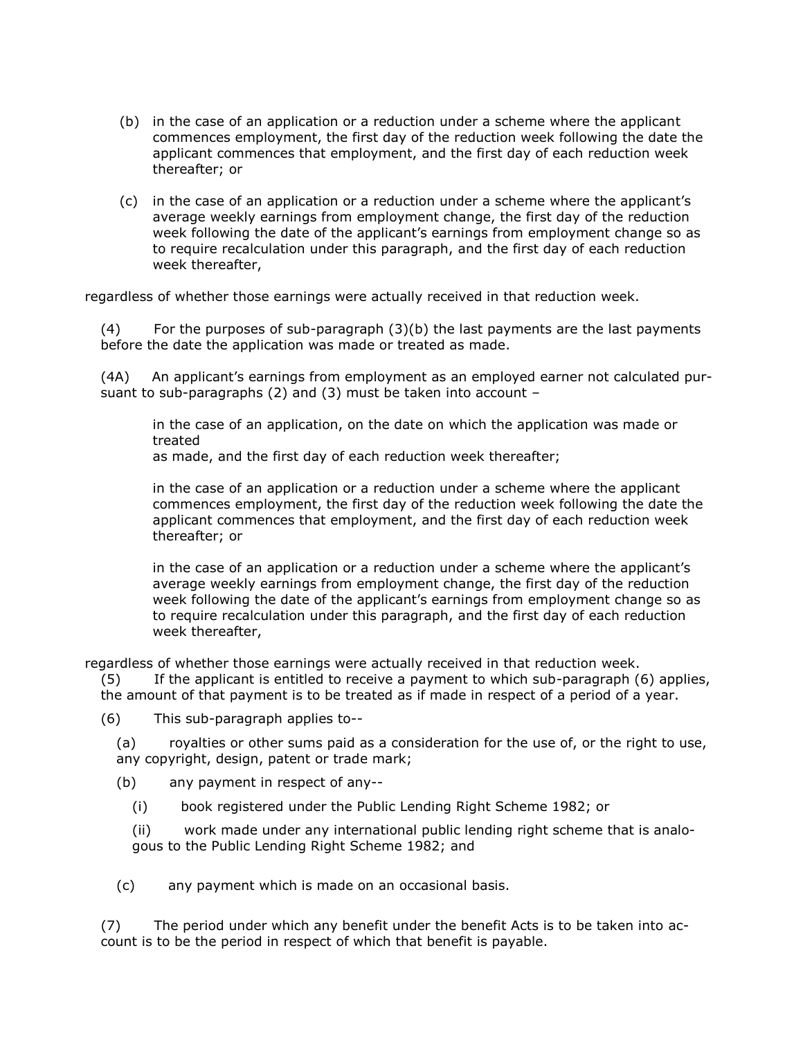- (b) in the case of an application or a reduction under a scheme where the applicant commences employment, the first day of the reduction week following the date the applicant commences that employment, and the first day of each reduction week thereafter; or
- (c) in the case of an application or a reduction under a scheme where the applicant's average weekly earnings from employment change, the first day of the reduction week following the date of the applicant's earnings from employment change so as to require recalculation under this paragraph, and the first day of each reduction week thereafter,

regardless of whether those earnings were actually received in that reduction week.

 $(4)$  For the purposes of sub-paragraph  $(3)(b)$  the last payments are the last payments before the date the application was made or treated as made.

(4A) An applicant's earnings from employment as an employed earner not calculated pursuant to sub-paragraphs (2) and (3) must be taken into account –

in the case of an application, on the date on which the application was made or treated

as made, and the first day of each reduction week thereafter;

in the case of an application or a reduction under a scheme where the applicant commences employment, the first day of the reduction week following the date the applicant commences that employment, and the first day of each reduction week thereafter; or

in the case of an application or a reduction under a scheme where the applicant's average weekly earnings from employment change, the first day of the reduction week following the date of the applicant's earnings from employment change so as to require recalculation under this paragraph, and the first day of each reduction week thereafter,

regardless of whether those earnings were actually received in that reduction week.

(5) If the applicant is entitled to receive a payment to which sub-paragraph (6) applies, the amount of that payment is to be treated as if made in respect of a period of a year.

(6) This sub-paragraph applies to--

(a) royalties or other sums paid as a consideration for the use of, or the right to use, any copyright, design, patent or trade mark;

- (b) any payment in respect of any--
	- (i) book registered under the Public Lending Right Scheme 1982; or

(ii) work made under any international public lending right scheme that is analogous to the Public Lending Right Scheme 1982; and

(c) any payment which is made on an occasional basis.

(7) The period under which any benefit under the benefit Acts is to be taken into account is to be the period in respect of which that benefit is payable.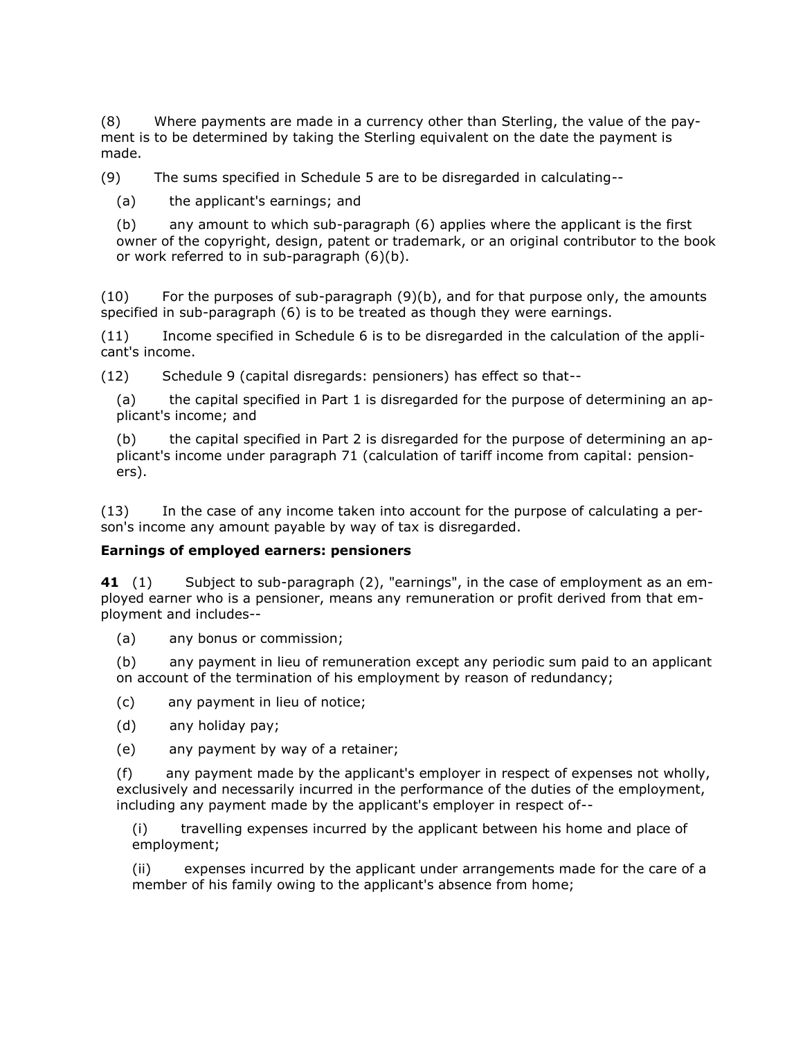(8) Where payments are made in a currency other than Sterling, the value of the payment is to be determined by taking the Sterling equivalent on the date the payment is made.

(9) The sums specified in Schedule 5 are to be disregarded in calculating--

(a) the applicant's earnings; and

(b) any amount to which sub-paragraph (6) applies where the applicant is the first owner of the copyright, design, patent or trademark, or an original contributor to the book or work referred to in sub-paragraph (6)(b).

(10) For the purposes of sub-paragraph (9)(b), and for that purpose only, the amounts specified in sub-paragraph (6) is to be treated as though they were earnings.

(11) Income specified in Schedule 6 is to be disregarded in the calculation of the applicant's income.

(12) Schedule 9 (capital disregards: pensioners) has effect so that--

(a) the capital specified in Part 1 is disregarded for the purpose of determining an applicant's income; and

(b) the capital specified in Part 2 is disregarded for the purpose of determining an applicant's income under paragraph 71 (calculation of tariff income from capital: pensioners).

(13) In the case of any income taken into account for the purpose of calculating a person's income any amount payable by way of tax is disregarded.

### **Earnings of employed earners: pensioners**

**41** (1) Subject to sub-paragraph (2), "earnings", in the case of employment as an employed earner who is a pensioner, means any remuneration or profit derived from that employment and includes--

(a) any bonus or commission;

(b) any payment in lieu of remuneration except any periodic sum paid to an applicant on account of the termination of his employment by reason of redundancy;

(c) any payment in lieu of notice;

(d) any holiday pay;

(e) any payment by way of a retainer;

(f) any payment made by the applicant's employer in respect of expenses not wholly, exclusively and necessarily incurred in the performance of the duties of the employment, including any payment made by the applicant's employer in respect of--

(i) travelling expenses incurred by the applicant between his home and place of employment;

(ii) expenses incurred by the applicant under arrangements made for the care of a member of his family owing to the applicant's absence from home;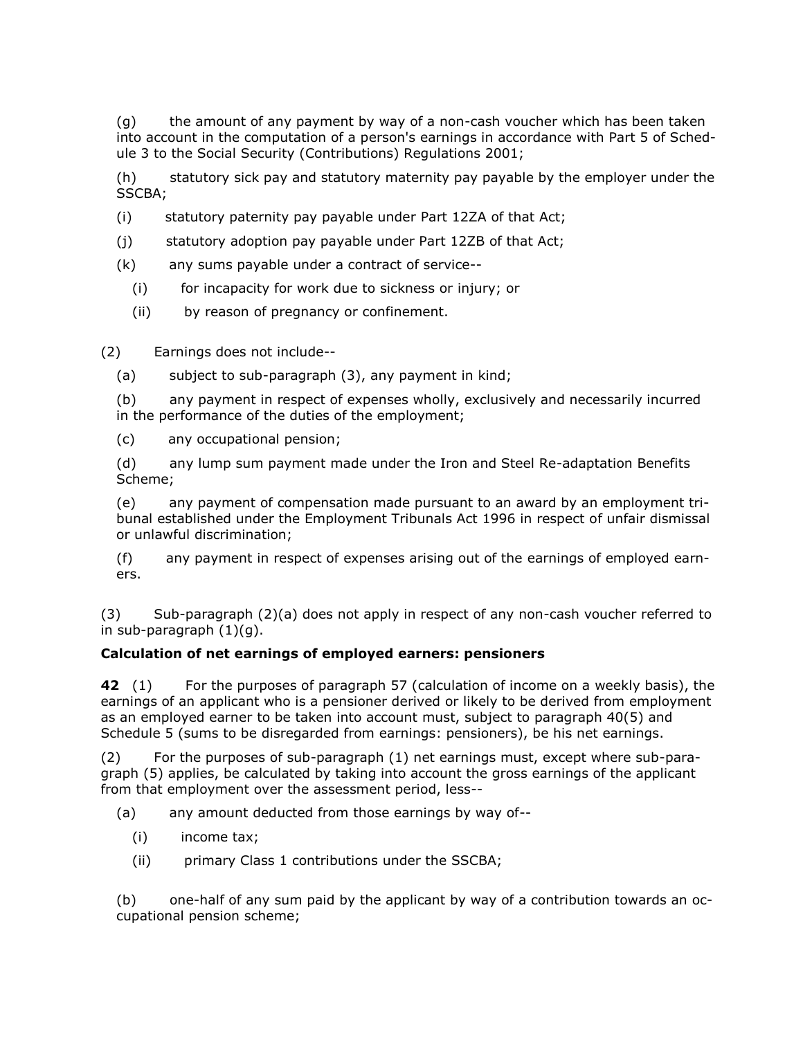(g) the amount of any payment by way of a non-cash voucher which has been taken into account in the computation of a person's earnings in accordance with Part 5 of Schedule 3 to the Social Security (Contributions) Regulations 2001;

(h) statutory sick pay and statutory maternity pay payable by the employer under the SSCBA;

- (i) statutory paternity pay payable under Part 12ZA of that Act;
- (j) statutory adoption pay payable under Part 12ZB of that Act;
- (k) any sums payable under a contract of service--
	- (i) for incapacity for work due to sickness or injury; or
	- (ii) by reason of pregnancy or confinement.

(2) Earnings does not include--

(a) subject to sub-paragraph (3), any payment in kind;

(b) any payment in respect of expenses wholly, exclusively and necessarily incurred in the performance of the duties of the employment;

(c) any occupational pension;

(d) any lump sum payment made under the Iron and Steel Re-adaptation Benefits Scheme;

(e) any payment of compensation made pursuant to an award by an employment tribunal established under the Employment Tribunals Act 1996 in respect of unfair dismissal or unlawful discrimination;

(f) any payment in respect of expenses arising out of the earnings of employed earners.

(3) Sub-paragraph (2)(a) does not apply in respect of any non-cash voucher referred to in sub-paragraph (1)(g).

### **Calculation of net earnings of employed earners: pensioners**

**42** (1) For the purposes of paragraph 57 (calculation of income on a weekly basis), the earnings of an applicant who is a pensioner derived or likely to be derived from employment as an employed earner to be taken into account must, subject to paragraph 40(5) and Schedule 5 (sums to be disregarded from earnings: pensioners), be his net earnings.

(2) For the purposes of sub-paragraph (1) net earnings must, except where sub-paragraph (5) applies, be calculated by taking into account the gross earnings of the applicant from that employment over the assessment period, less--

(a) any amount deducted from those earnings by way of--

- (i) income tax;
- (ii) primary Class 1 contributions under the SSCBA;

(b) one-half of any sum paid by the applicant by way of a contribution towards an occupational pension scheme;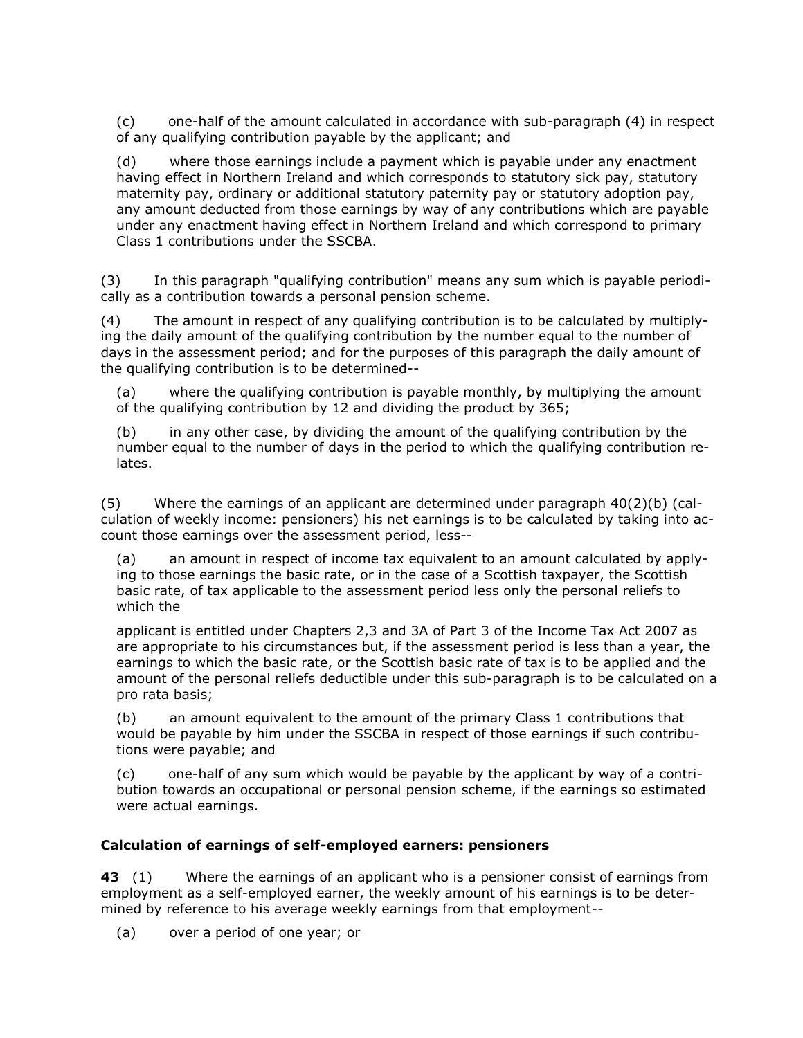(c) one-half of the amount calculated in accordance with sub-paragraph (4) in respect of any qualifying contribution payable by the applicant; and

(d) where those earnings include a payment which is payable under any enactment having effect in Northern Ireland and which corresponds to statutory sick pay, statutory maternity pay, ordinary or additional statutory paternity pay or statutory adoption pay, any amount deducted from those earnings by way of any contributions which are payable under any enactment having effect in Northern Ireland and which correspond to primary Class 1 contributions under the SSCBA.

(3) In this paragraph "qualifying contribution" means any sum which is payable periodically as a contribution towards a personal pension scheme.

(4) The amount in respect of any qualifying contribution is to be calculated by multiplying the daily amount of the qualifying contribution by the number equal to the number of days in the assessment period; and for the purposes of this paragraph the daily amount of the qualifying contribution is to be determined--

(a) where the qualifying contribution is payable monthly, by multiplying the amount of the qualifying contribution by 12 and dividing the product by 365;

(b) in any other case, by dividing the amount of the qualifying contribution by the number equal to the number of days in the period to which the qualifying contribution relates.

(5) Where the earnings of an applicant are determined under paragraph 40(2)(b) (calculation of weekly income: pensioners) his net earnings is to be calculated by taking into account those earnings over the assessment period, less--

(a) an amount in respect of income tax equivalent to an amount calculated by applying to those earnings the basic rate, or in the case of a Scottish taxpayer, the Scottish basic rate, of tax applicable to the assessment period less only the personal reliefs to which the

applicant is entitled under Chapters 2,3 and 3A of Part 3 of the Income Tax Act 2007 as are appropriate to his circumstances but, if the assessment period is less than a year, the earnings to which the basic rate, or the Scottish basic rate of tax is to be applied and the amount of the personal reliefs deductible under this sub-paragraph is to be calculated on a pro rata basis;

(b) an amount equivalent to the amount of the primary Class 1 contributions that would be payable by him under the SSCBA in respect of those earnings if such contributions were payable; and

(c) one-half of any sum which would be payable by the applicant by way of a contribution towards an occupational or personal pension scheme, if the earnings so estimated were actual earnings.

### **Calculation of earnings of self-employed earners: pensioners**

**43** (1) Where the earnings of an applicant who is a pensioner consist of earnings from employment as a self-employed earner, the weekly amount of his earnings is to be determined by reference to his average weekly earnings from that employment--

(a) over a period of one year; or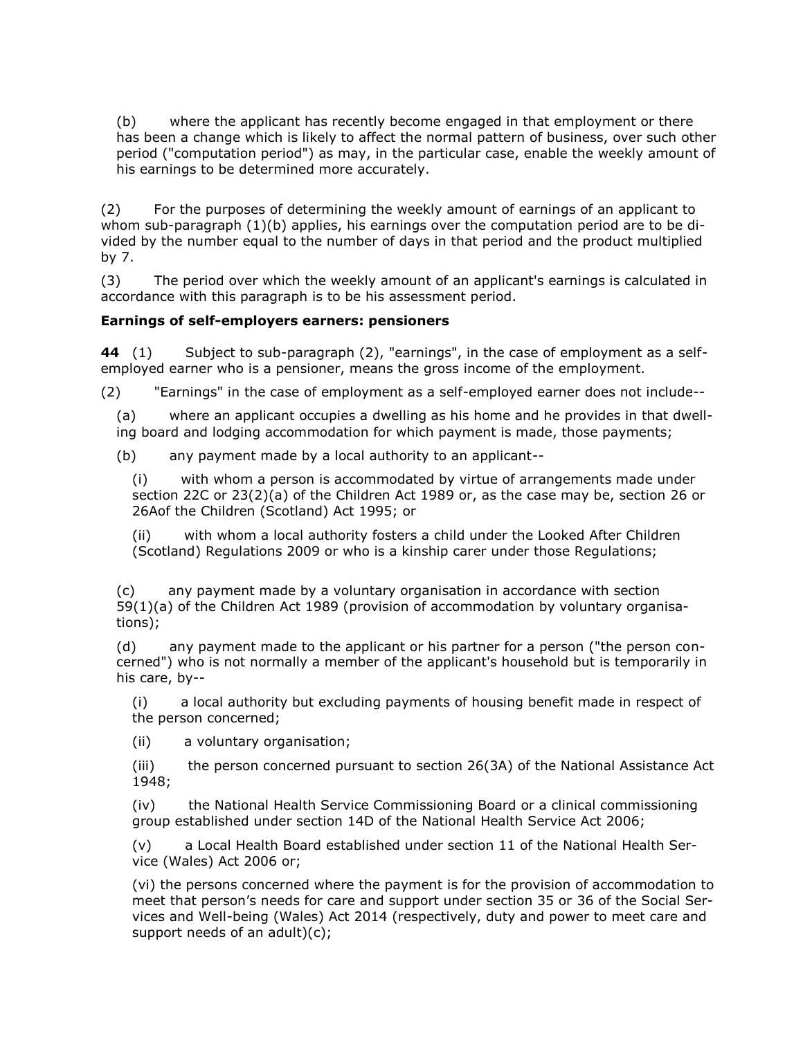(b) where the applicant has recently become engaged in that employment or there has been a change which is likely to affect the normal pattern of business, over such other period ("computation period") as may, in the particular case, enable the weekly amount of his earnings to be determined more accurately.

(2) For the purposes of determining the weekly amount of earnings of an applicant to whom sub-paragraph (1)(b) applies, his earnings over the computation period are to be divided by the number equal to the number of days in that period and the product multiplied by 7.

(3) The period over which the weekly amount of an applicant's earnings is calculated in accordance with this paragraph is to be his assessment period.

## **Earnings of self-employers earners: pensioners**

**44** (1) Subject to sub-paragraph (2), "earnings", in the case of employment as a selfemployed earner who is a pensioner, means the gross income of the employment.

(2) "Earnings" in the case of employment as a self-employed earner does not include--

(a) where an applicant occupies a dwelling as his home and he provides in that dwelling board and lodging accommodation for which payment is made, those payments;

(b) any payment made by a local authority to an applicant--

(i) with whom a person is accommodated by virtue of arrangements made under section 22C or 23(2)(a) of the Children Act 1989 or, as the case may be, section 26 or 26Aof the Children (Scotland) Act 1995; or

(ii) with whom a local authority fosters a child under the Looked After Children (Scotland) Regulations 2009 or who is a kinship carer under those Regulations;

(c) any payment made by a voluntary organisation in accordance with section 59(1)(a) of the Children Act 1989 (provision of accommodation by voluntary organisations);

(d) any payment made to the applicant or his partner for a person ("the person concerned") who is not normally a member of the applicant's household but is temporarily in his care, by--

(i) a local authority but excluding payments of housing benefit made in respect of the person concerned;

(ii) a voluntary organisation;

(iii) the person concerned pursuant to section 26(3A) of the National Assistance Act 1948;

(iv) the National Health Service Commissioning Board or a clinical commissioning group established under section 14D of the National Health Service Act 2006;

(v) a Local Health Board established under section 11 of the National Health Service (Wales) Act 2006 or;

(vi) the persons concerned where the payment is for the provision of accommodation to meet that person's needs for care and support under section 35 or 36 of the Social Services and Well-being (Wales) Act 2014 (respectively, duty and power to meet care and support needs of an adult)(c);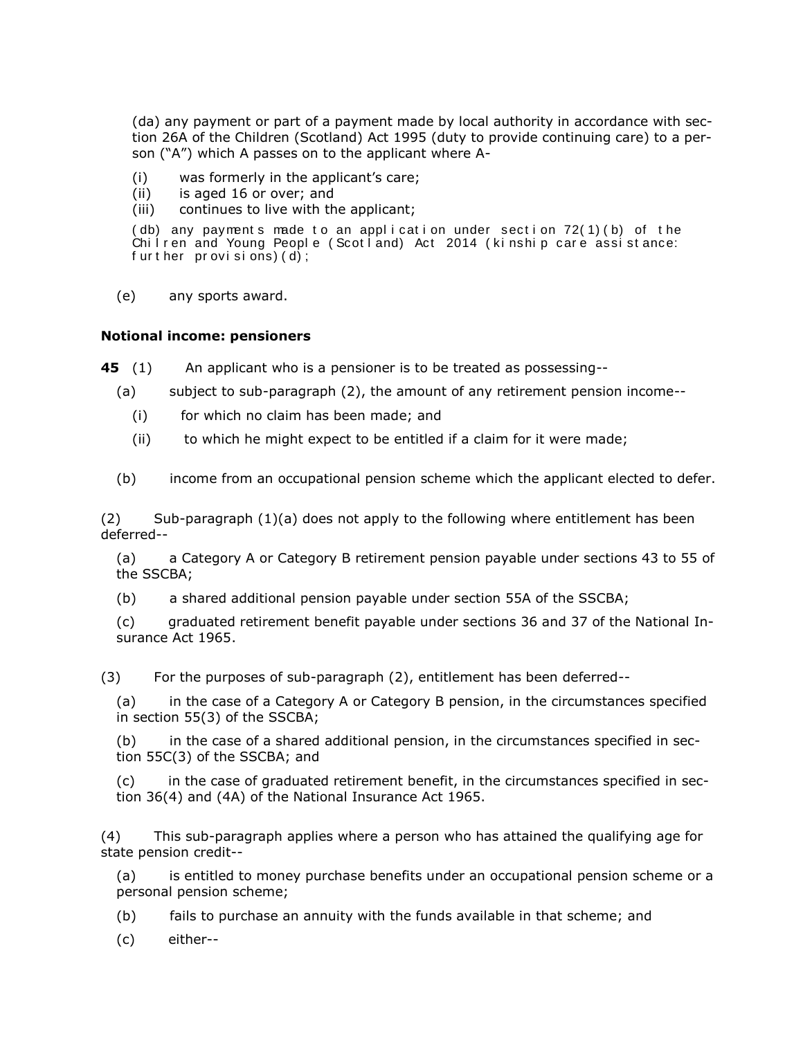(da) any payment or part of a payment made by local authority in accordance with section 26A of the Children (Scotland) Act 1995 (duty to provide continuing care) to a person ("A") which A passes on to the applicant where A-

- (i) was formerly in the applicant's care;
- (ii) is aged 16 or over; and
- (iii) continues to live with the applicant;

(db) any payments made to an application under section 72(1)(b) of the Chi ren and Young People (Scotland) Act 2014 (kinship care assistance: fur ther provisions)  $(d)$ ;

(e) any sports award.

#### **Notional income: pensioners**

**45** (1) An applicant who is a pensioner is to be treated as possessing--

- (a) subject to sub-paragraph (2), the amount of any retirement pension income--
	- (i) for which no claim has been made; and
	- (ii) to which he might expect to be entitled if a claim for it were made;
- (b) income from an occupational pension scheme which the applicant elected to defer.

 $(2)$  Sub-paragraph  $(1)(a)$  does not apply to the following where entitlement has been deferred--

(a) a Category A or Category B retirement pension payable under sections 43 to 55 of the SSCBA;

(b) a shared additional pension payable under section 55A of the SSCBA;

(c) graduated retirement benefit payable under sections 36 and 37 of the National Insurance Act 1965.

(3) For the purposes of sub-paragraph (2), entitlement has been deferred--

(a) in the case of a Category A or Category B pension, in the circumstances specified in section 55(3) of the SSCBA;

(b) in the case of a shared additional pension, in the circumstances specified in section 55C(3) of the SSCBA; and

(c) in the case of graduated retirement benefit, in the circumstances specified in section 36(4) and (4A) of the National Insurance Act 1965.

(4) This sub-paragraph applies where a person who has attained the qualifying age for state pension credit--

(a) is entitled to money purchase benefits under an occupational pension scheme or a personal pension scheme;

(b) fails to purchase an annuity with the funds available in that scheme; and

(c) either--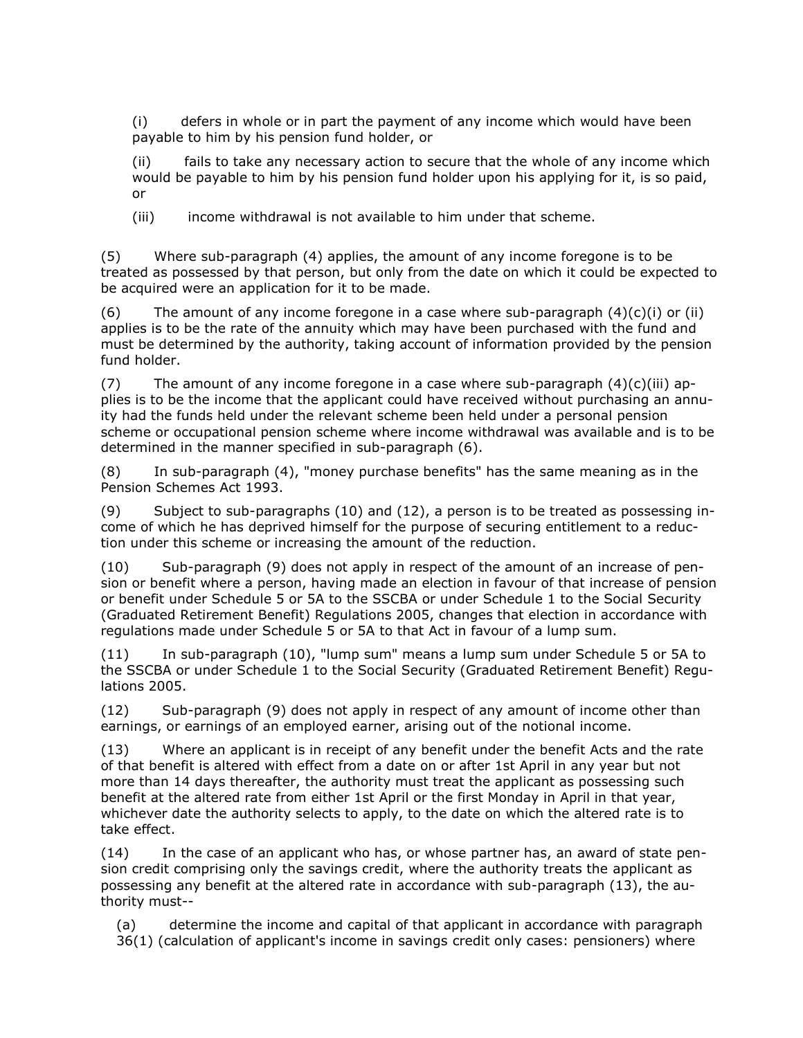(i) defers in whole or in part the payment of any income which would have been payable to him by his pension fund holder, or

(ii) fails to take any necessary action to secure that the whole of any income which would be payable to him by his pension fund holder upon his applying for it, is so paid, or

(iii) income withdrawal is not available to him under that scheme.

(5) Where sub-paragraph (4) applies, the amount of any income foregone is to be treated as possessed by that person, but only from the date on which it could be expected to be acquired were an application for it to be made.

(6) The amount of any income foregone in a case where sub-paragraph  $(4)(c)(i)$  or (ii) applies is to be the rate of the annuity which may have been purchased with the fund and must be determined by the authority, taking account of information provided by the pension fund holder.

(7) The amount of any income foregone in a case where sub-paragraph  $(4)(c)(iii)$  applies is to be the income that the applicant could have received without purchasing an annuity had the funds held under the relevant scheme been held under a personal pension scheme or occupational pension scheme where income withdrawal was available and is to be determined in the manner specified in sub-paragraph (6).

(8) In sub-paragraph (4), "money purchase benefits" has the same meaning as in the Pension Schemes Act 1993.

(9) Subject to sub-paragraphs (10) and (12), a person is to be treated as possessing income of which he has deprived himself for the purpose of securing entitlement to a reduction under this scheme or increasing the amount of the reduction.

(10) Sub-paragraph (9) does not apply in respect of the amount of an increase of pension or benefit where a person, having made an election in favour of that increase of pension or benefit under Schedule 5 or 5A to the SSCBA or under Schedule 1 to the Social Security (Graduated Retirement Benefit) Regulations 2005, changes that election in accordance with regulations made under Schedule 5 or 5A to that Act in favour of a lump sum.

(11) In sub-paragraph (10), "lump sum" means a lump sum under Schedule 5 or 5A to the SSCBA or under Schedule 1 to the Social Security (Graduated Retirement Benefit) Regulations 2005.

(12) Sub-paragraph (9) does not apply in respect of any amount of income other than earnings, or earnings of an employed earner, arising out of the notional income.

(13) Where an applicant is in receipt of any benefit under the benefit Acts and the rate of that benefit is altered with effect from a date on or after 1st April in any year but not more than 14 days thereafter, the authority must treat the applicant as possessing such benefit at the altered rate from either 1st April or the first Monday in April in that year, whichever date the authority selects to apply, to the date on which the altered rate is to take effect.

(14) In the case of an applicant who has, or whose partner has, an award of state pension credit comprising only the savings credit, where the authority treats the applicant as possessing any benefit at the altered rate in accordance with sub-paragraph (13), the authority must--

(a) determine the income and capital of that applicant in accordance with paragraph 36(1) (calculation of applicant's income in savings credit only cases: pensioners) where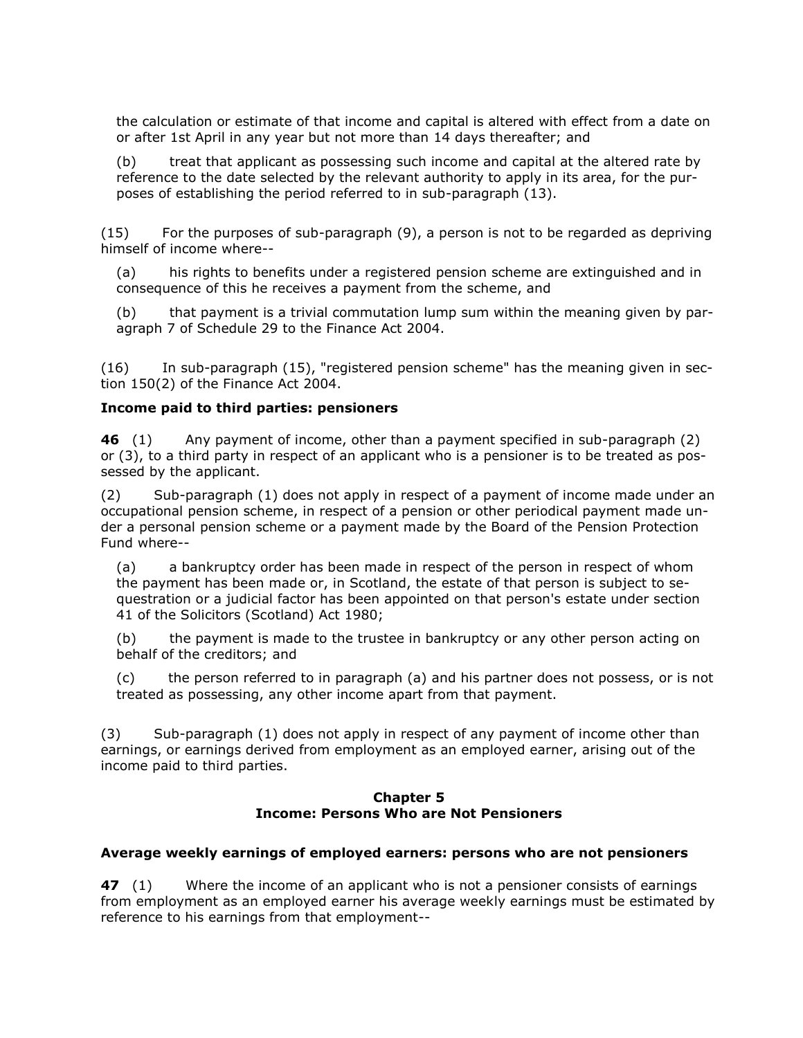the calculation or estimate of that income and capital is altered with effect from a date on or after 1st April in any year but not more than 14 days thereafter; and

(b) treat that applicant as possessing such income and capital at the altered rate by reference to the date selected by the relevant authority to apply in its area, for the purposes of establishing the period referred to in sub-paragraph (13).

(15) For the purposes of sub-paragraph (9), a person is not to be regarded as depriving himself of income where--

(a) his rights to benefits under a registered pension scheme are extinguished and in consequence of this he receives a payment from the scheme, and

(b) that payment is a trivial commutation lump sum within the meaning given by paragraph 7 of Schedule 29 to the Finance Act 2004.

(16) In sub-paragraph (15), "registered pension scheme" has the meaning given in section 150(2) of the Finance Act 2004.

### **Income paid to third parties: pensioners**

**46** (1) Any payment of income, other than a payment specified in sub-paragraph (2) or (3), to a third party in respect of an applicant who is a pensioner is to be treated as possessed by the applicant.

(2) Sub-paragraph (1) does not apply in respect of a payment of income made under an occupational pension scheme, in respect of a pension or other periodical payment made under a personal pension scheme or a payment made by the Board of the Pension Protection Fund where--

(a) a bankruptcy order has been made in respect of the person in respect of whom the payment has been made or, in Scotland, the estate of that person is subject to sequestration or a judicial factor has been appointed on that person's estate under section 41 of the Solicitors (Scotland) Act 1980;

(b) the payment is made to the trustee in bankruptcy or any other person acting on behalf of the creditors; and

(c) the person referred to in paragraph (a) and his partner does not possess, or is not treated as possessing, any other income apart from that payment.

(3) Sub-paragraph (1) does not apply in respect of any payment of income other than earnings, or earnings derived from employment as an employed earner, arising out of the income paid to third parties.

## **Chapter 5 Income: Persons Who are Not Pensioners**

### **Average weekly earnings of employed earners: persons who are not pensioners**

**47** (1) Where the income of an applicant who is not a pensioner consists of earnings from employment as an employed earner his average weekly earnings must be estimated by reference to his earnings from that employment--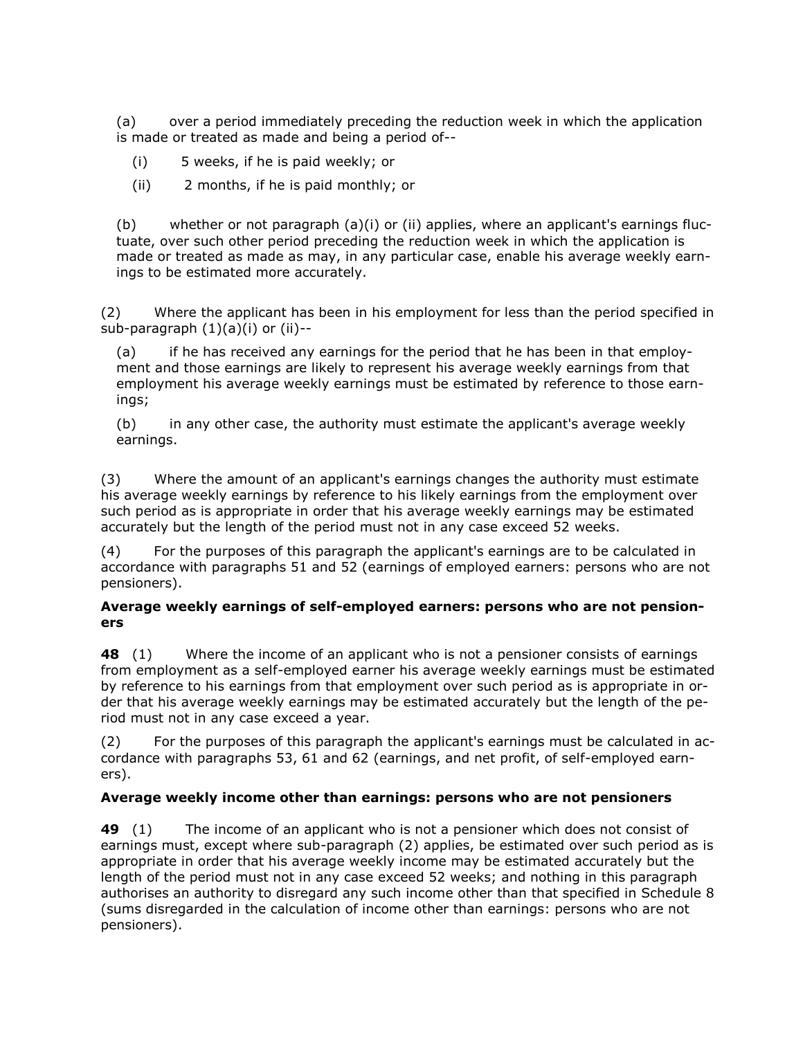(a) over a period immediately preceding the reduction week in which the application is made or treated as made and being a period of--

- (i) 5 weeks, if he is paid weekly; or
- (ii) 2 months, if he is paid monthly; or

(b) whether or not paragraph (a)(i) or (ii) applies, where an applicant's earnings fluctuate, over such other period preceding the reduction week in which the application is made or treated as made as may, in any particular case, enable his average weekly earnings to be estimated more accurately.

(2) Where the applicant has been in his employment for less than the period specified in sub-paragraph  $(1)(a)(i)$  or  $(ii)$ --

(a) if he has received any earnings for the period that he has been in that employment and those earnings are likely to represent his average weekly earnings from that employment his average weekly earnings must be estimated by reference to those earnings;

(b) in any other case, the authority must estimate the applicant's average weekly earnings.

(3) Where the amount of an applicant's earnings changes the authority must estimate his average weekly earnings by reference to his likely earnings from the employment over such period as is appropriate in order that his average weekly earnings may be estimated accurately but the length of the period must not in any case exceed 52 weeks.

(4) For the purposes of this paragraph the applicant's earnings are to be calculated in accordance with paragraphs 51 and 52 (earnings of employed earners: persons who are not pensioners).

### **Average weekly earnings of self-employed earners: persons who are not pensioners**

**48** (1) Where the income of an applicant who is not a pensioner consists of earnings from employment as a self-employed earner his average weekly earnings must be estimated by reference to his earnings from that employment over such period as is appropriate in order that his average weekly earnings may be estimated accurately but the length of the period must not in any case exceed a year.

(2) For the purposes of this paragraph the applicant's earnings must be calculated in accordance with paragraphs 53, 61 and 62 (earnings, and net profit, of self-employed earners).

### **Average weekly income other than earnings: persons who are not pensioners**

**49** (1) The income of an applicant who is not a pensioner which does not consist of earnings must, except where sub-paragraph (2) applies, be estimated over such period as is appropriate in order that his average weekly income may be estimated accurately but the length of the period must not in any case exceed 52 weeks; and nothing in this paragraph authorises an authority to disregard any such income other than that specified in Schedule 8 (sums disregarded in the calculation of income other than earnings: persons who are not pensioners).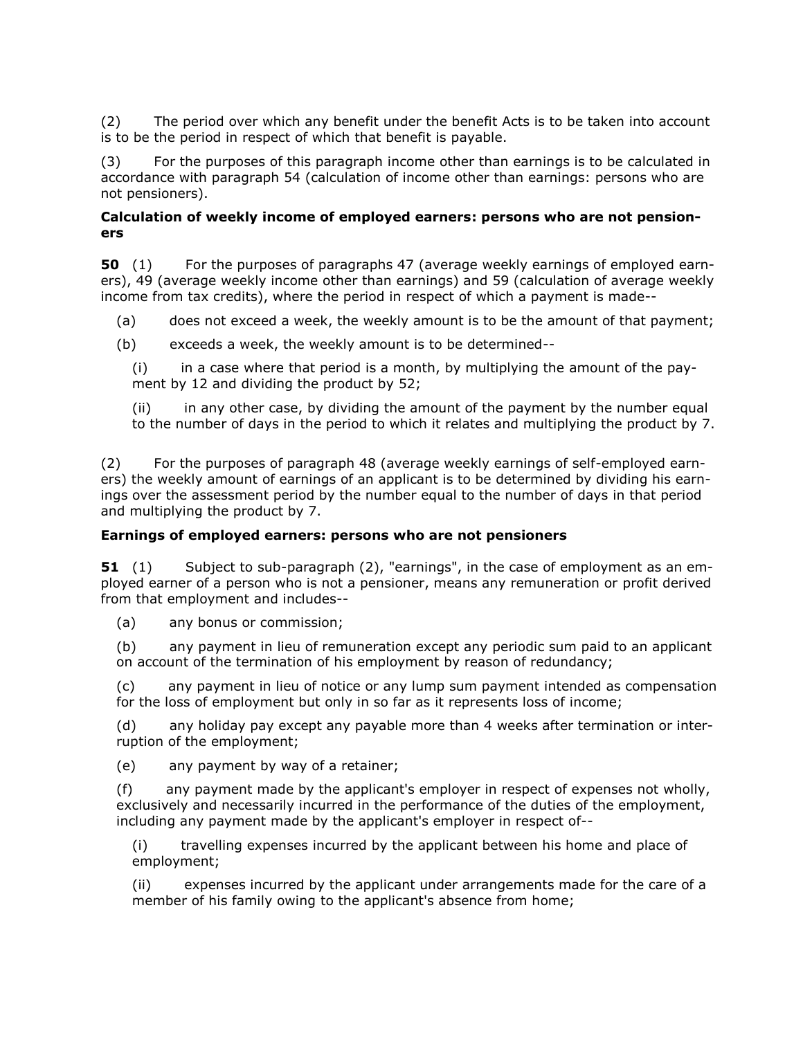(2) The period over which any benefit under the benefit Acts is to be taken into account is to be the period in respect of which that benefit is payable.

(3) For the purposes of this paragraph income other than earnings is to be calculated in accordance with paragraph 54 (calculation of income other than earnings: persons who are not pensioners).

#### **Calculation of weekly income of employed earners: persons who are not pensioners**

**50** (1) For the purposes of paragraphs 47 (average weekly earnings of employed earners), 49 (average weekly income other than earnings) and 59 (calculation of average weekly income from tax credits), where the period in respect of which a payment is made--

(a) does not exceed a week, the weekly amount is to be the amount of that payment;

(b) exceeds a week, the weekly amount is to be determined--

 $(i)$  in a case where that period is a month, by multiplying the amount of the payment by 12 and dividing the product by 52;

(ii) in any other case, by dividing the amount of the payment by the number equal to the number of days in the period to which it relates and multiplying the product by 7.

(2) For the purposes of paragraph 48 (average weekly earnings of self-employed earners) the weekly amount of earnings of an applicant is to be determined by dividing his earnings over the assessment period by the number equal to the number of days in that period and multiplying the product by 7.

### **Earnings of employed earners: persons who are not pensioners**

**51** (1) Subject to sub-paragraph (2), "earnings", in the case of employment as an employed earner of a person who is not a pensioner, means any remuneration or profit derived from that employment and includes--

(a) any bonus or commission;

(b) any payment in lieu of remuneration except any periodic sum paid to an applicant on account of the termination of his employment by reason of redundancy;

(c) any payment in lieu of notice or any lump sum payment intended as compensation for the loss of employment but only in so far as it represents loss of income;

(d) any holiday pay except any payable more than 4 weeks after termination or interruption of the employment;

(e) any payment by way of a retainer;

(f) any payment made by the applicant's employer in respect of expenses not wholly, exclusively and necessarily incurred in the performance of the duties of the employment, including any payment made by the applicant's employer in respect of--

(i) travelling expenses incurred by the applicant between his home and place of employment;

(ii) expenses incurred by the applicant under arrangements made for the care of a member of his family owing to the applicant's absence from home;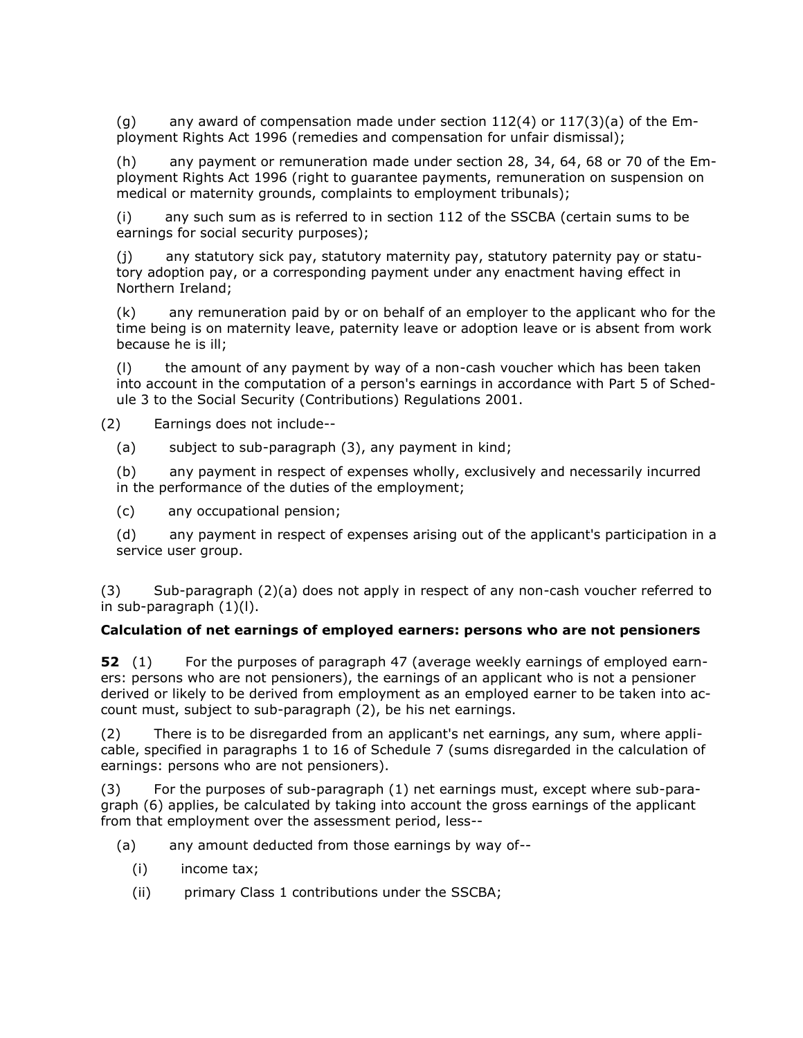(g) any award of compensation made under section 112(4) or 117(3)(a) of the Employment Rights Act 1996 (remedies and compensation for unfair dismissal);

(h) any payment or remuneration made under section 28, 34, 64, 68 or 70 of the Employment Rights Act 1996 (right to guarantee payments, remuneration on suspension on medical or maternity grounds, complaints to employment tribunals);

(i) any such sum as is referred to in section 112 of the SSCBA (certain sums to be earnings for social security purposes);

(j) any statutory sick pay, statutory maternity pay, statutory paternity pay or statutory adoption pay, or a corresponding payment under any enactment having effect in Northern Ireland;

(k) any remuneration paid by or on behalf of an employer to the applicant who for the time being is on maternity leave, paternity leave or adoption leave or is absent from work because he is ill;

(l) the amount of any payment by way of a non-cash voucher which has been taken into account in the computation of a person's earnings in accordance with Part 5 of Schedule 3 to the Social Security (Contributions) Regulations 2001.

(2) Earnings does not include--

(a) subject to sub-paragraph (3), any payment in kind;

(b) any payment in respect of expenses wholly, exclusively and necessarily incurred in the performance of the duties of the employment;

(c) any occupational pension;

(d) any payment in respect of expenses arising out of the applicant's participation in a service user group.

(3) Sub-paragraph (2)(a) does not apply in respect of any non-cash voucher referred to in sub-paragraph (1)(l).

### **Calculation of net earnings of employed earners: persons who are not pensioners**

**52** (1) For the purposes of paragraph 47 (average weekly earnings of employed earners: persons who are not pensioners), the earnings of an applicant who is not a pensioner derived or likely to be derived from employment as an employed earner to be taken into account must, subject to sub-paragraph (2), be his net earnings.

(2) There is to be disregarded from an applicant's net earnings, any sum, where applicable, specified in paragraphs 1 to 16 of Schedule 7 (sums disregarded in the calculation of earnings: persons who are not pensioners).

(3) For the purposes of sub-paragraph (1) net earnings must, except where sub-paragraph (6) applies, be calculated by taking into account the gross earnings of the applicant from that employment over the assessment period, less--

(a) any amount deducted from those earnings by way of--

- (i) income tax;
- (ii) primary Class 1 contributions under the SSCBA;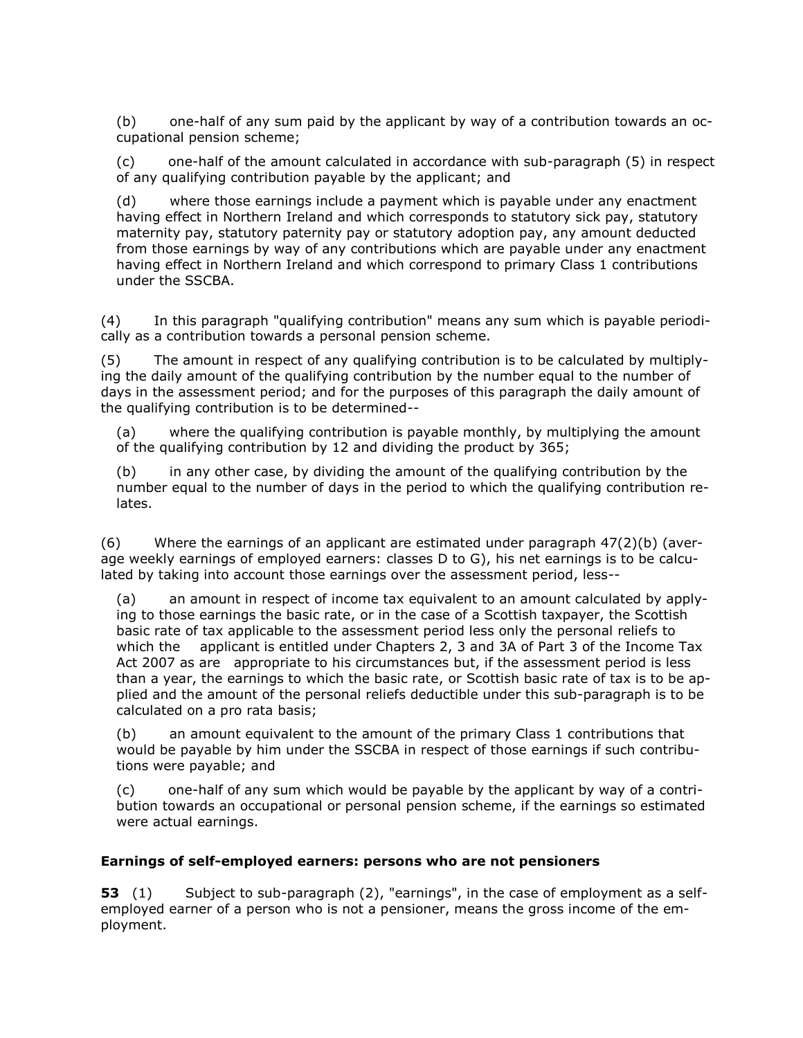(b) one-half of any sum paid by the applicant by way of a contribution towards an occupational pension scheme;

(c) one-half of the amount calculated in accordance with sub-paragraph (5) in respect of any qualifying contribution payable by the applicant; and

(d) where those earnings include a payment which is payable under any enactment having effect in Northern Ireland and which corresponds to statutory sick pay, statutory maternity pay, statutory paternity pay or statutory adoption pay, any amount deducted from those earnings by way of any contributions which are payable under any enactment having effect in Northern Ireland and which correspond to primary Class 1 contributions under the SSCBA.

(4) In this paragraph "qualifying contribution" means any sum which is payable periodically as a contribution towards a personal pension scheme.

(5) The amount in respect of any qualifying contribution is to be calculated by multiplying the daily amount of the qualifying contribution by the number equal to the number of days in the assessment period; and for the purposes of this paragraph the daily amount of the qualifying contribution is to be determined--

(a) where the qualifying contribution is payable monthly, by multiplying the amount of the qualifying contribution by 12 and dividing the product by 365;

(b) in any other case, by dividing the amount of the qualifying contribution by the number equal to the number of days in the period to which the qualifying contribution relates.

(6) Where the earnings of an applicant are estimated under paragraph 47(2)(b) (average weekly earnings of employed earners: classes D to G), his net earnings is to be calculated by taking into account those earnings over the assessment period, less--

(a) an amount in respect of income tax equivalent to an amount calculated by applying to those earnings the basic rate, or in the case of a Scottish taxpayer, the Scottish basic rate of tax applicable to the assessment period less only the personal reliefs to which the applicant is entitled under Chapters 2, 3 and 3A of Part 3 of the Income Tax Act 2007 as are appropriate to his circumstances but, if the assessment period is less than a year, the earnings to which the basic rate, or Scottish basic rate of tax is to be applied and the amount of the personal reliefs deductible under this sub-paragraph is to be calculated on a pro rata basis;

(b) an amount equivalent to the amount of the primary Class 1 contributions that would be payable by him under the SSCBA in respect of those earnings if such contributions were payable; and

(c) one-half of any sum which would be payable by the applicant by way of a contribution towards an occupational or personal pension scheme, if the earnings so estimated were actual earnings.

### **Earnings of self-employed earners: persons who are not pensioners**

**53** (1) Subject to sub-paragraph (2), "earnings", in the case of employment as a selfemployed earner of a person who is not a pensioner, means the gross income of the employment.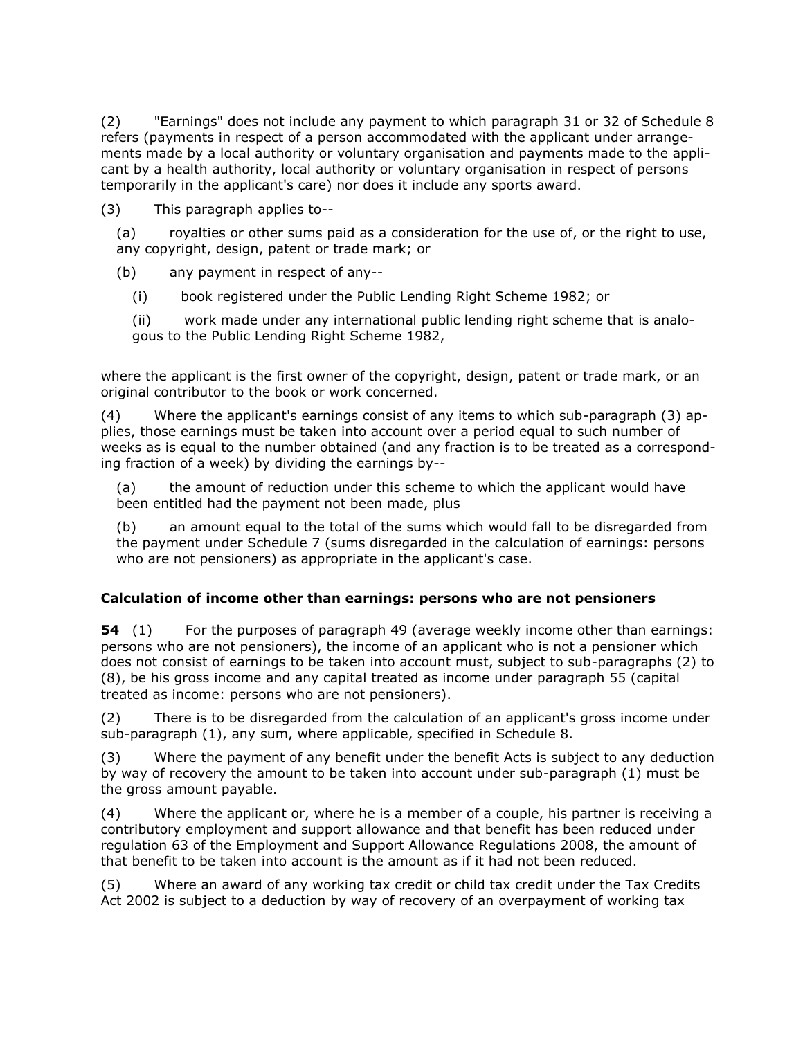(2) "Earnings" does not include any payment to which paragraph 31 or 32 of Schedule 8 refers (payments in respect of a person accommodated with the applicant under arrangements made by a local authority or voluntary organisation and payments made to the applicant by a health authority, local authority or voluntary organisation in respect of persons temporarily in the applicant's care) nor does it include any sports award.

(3) This paragraph applies to--

(a) royalties or other sums paid as a consideration for the use of, or the right to use, any copyright, design, patent or trade mark; or

(b) any payment in respect of any--

(i) book registered under the Public Lending Right Scheme 1982; or

(ii) work made under any international public lending right scheme that is analogous to the Public Lending Right Scheme 1982,

where the applicant is the first owner of the copyright, design, patent or trade mark, or an original contributor to the book or work concerned.

(4) Where the applicant's earnings consist of any items to which sub-paragraph (3) applies, those earnings must be taken into account over a period equal to such number of weeks as is equal to the number obtained (and any fraction is to be treated as a corresponding fraction of a week) by dividing the earnings by--

(a) the amount of reduction under this scheme to which the applicant would have been entitled had the payment not been made, plus

(b) an amount equal to the total of the sums which would fall to be disregarded from the payment under Schedule 7 (sums disregarded in the calculation of earnings: persons who are not pensioners) as appropriate in the applicant's case.

# **Calculation of income other than earnings: persons who are not pensioners**

**54** (1) For the purposes of paragraph 49 (average weekly income other than earnings: persons who are not pensioners), the income of an applicant who is not a pensioner which does not consist of earnings to be taken into account must, subject to sub-paragraphs (2) to (8), be his gross income and any capital treated as income under paragraph 55 (capital treated as income: persons who are not pensioners).

(2) There is to be disregarded from the calculation of an applicant's gross income under sub-paragraph (1), any sum, where applicable, specified in Schedule 8.

(3) Where the payment of any benefit under the benefit Acts is subject to any deduction by way of recovery the amount to be taken into account under sub-paragraph (1) must be the gross amount payable.

(4) Where the applicant or, where he is a member of a couple, his partner is receiving a contributory employment and support allowance and that benefit has been reduced under regulation 63 of the Employment and Support Allowance Regulations 2008, the amount of that benefit to be taken into account is the amount as if it had not been reduced.

(5) Where an award of any working tax credit or child tax credit under the Tax Credits Act 2002 is subject to a deduction by way of recovery of an overpayment of working tax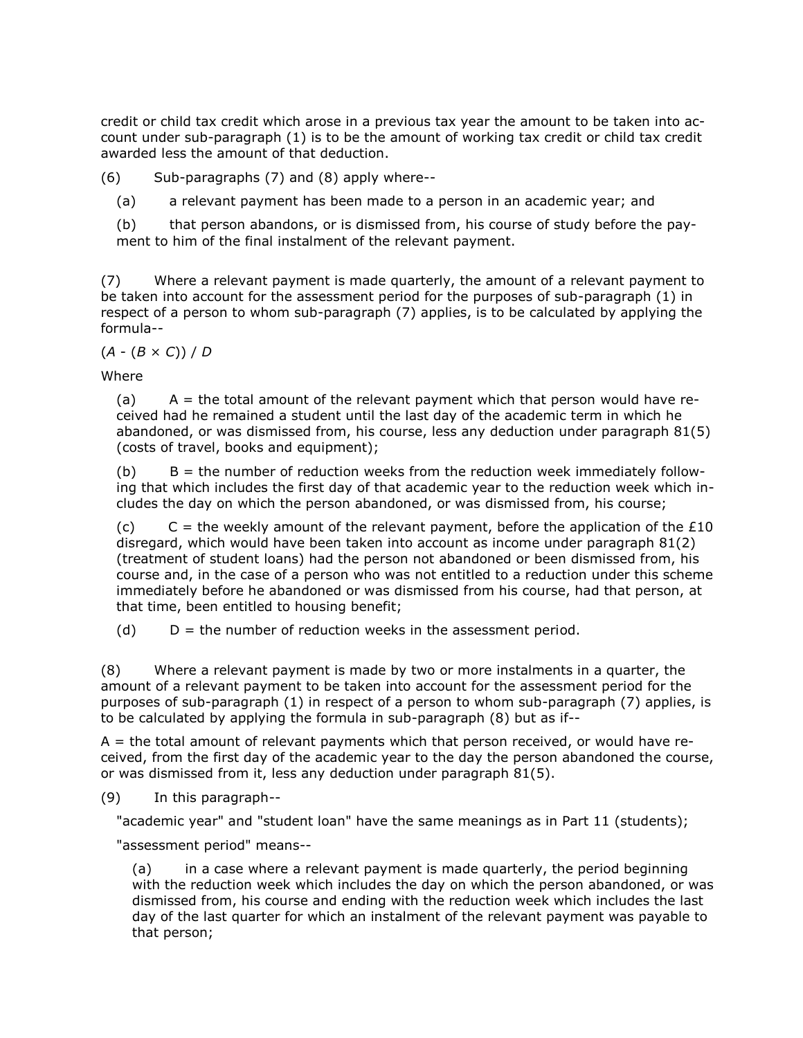credit or child tax credit which arose in a previous tax year the amount to be taken into account under sub-paragraph (1) is to be the amount of working tax credit or child tax credit awarded less the amount of that deduction.

(6) Sub-paragraphs (7) and (8) apply where--

(a) a relevant payment has been made to a person in an academic year; and

(b) that person abandons, or is dismissed from, his course of study before the payment to him of the final instalment of the relevant payment.

(7) Where a relevant payment is made quarterly, the amount of a relevant payment to be taken into account for the assessment period for the purposes of sub-paragraph (1) in respect of a person to whom sub-paragraph (7) applies, is to be calculated by applying the formula--

 $(A - (B \times C)) / D$ 

Where

(a)  $A =$  the total amount of the relevant payment which that person would have received had he remained a student until the last day of the academic term in which he abandoned, or was dismissed from, his course, less any deduction under paragraph 81(5) (costs of travel, books and equipment);

 $(b)$  B = the number of reduction weeks from the reduction week immediately following that which includes the first day of that academic year to the reduction week which includes the day on which the person abandoned, or was dismissed from, his course;

(c)  $C =$  the weekly amount of the relevant payment, before the application of the £10 disregard, which would have been taken into account as income under paragraph 81(2) (treatment of student loans) had the person not abandoned or been dismissed from, his course and, in the case of a person who was not entitled to a reduction under this scheme immediately before he abandoned or was dismissed from his course, had that person, at that time, been entitled to housing benefit;

 $(d)$  D = the number of reduction weeks in the assessment period.

(8) Where a relevant payment is made by two or more instalments in a quarter, the amount of a relevant payment to be taken into account for the assessment period for the purposes of sub-paragraph (1) in respect of a person to whom sub-paragraph (7) applies, is to be calculated by applying the formula in sub-paragraph (8) but as if--

 $A =$  the total amount of relevant payments which that person received, or would have received, from the first day of the academic year to the day the person abandoned the course, or was dismissed from it, less any deduction under paragraph 81(5).

(9) In this paragraph--

"academic year" and "student loan" have the same meanings as in Part 11 (students);

"assessment period" means--

(a) in a case where a relevant payment is made quarterly, the period beginning with the reduction week which includes the day on which the person abandoned, or was dismissed from, his course and ending with the reduction week which includes the last day of the last quarter for which an instalment of the relevant payment was payable to that person;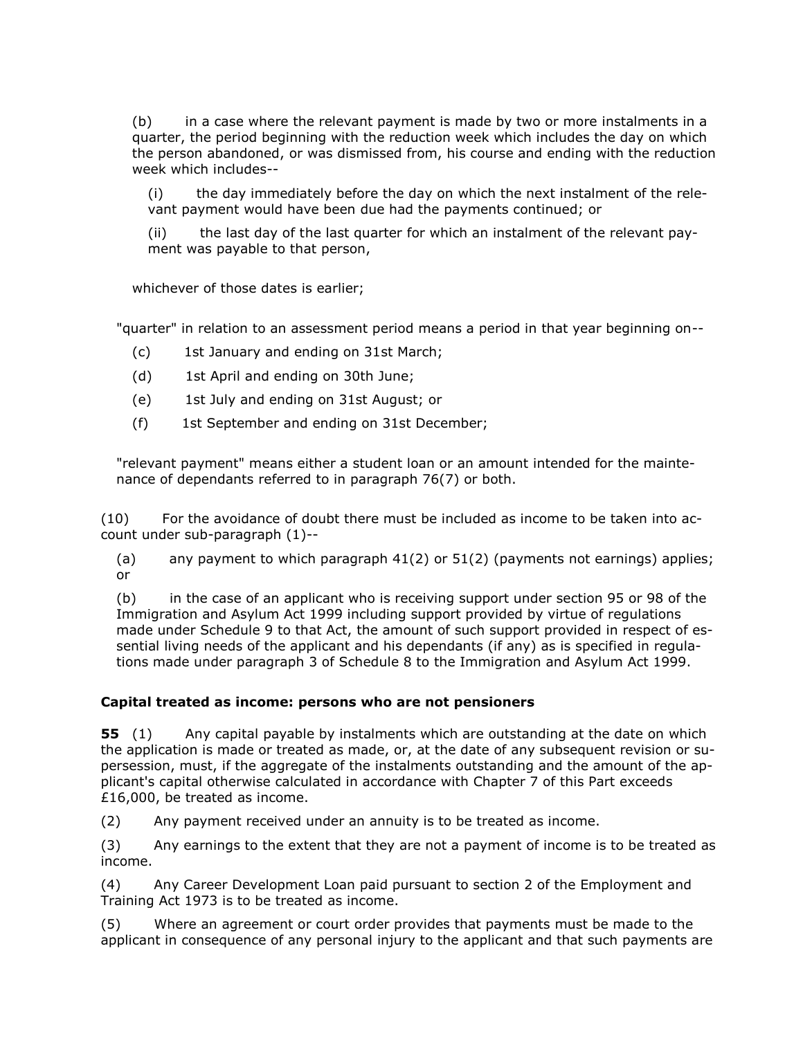(b) in a case where the relevant payment is made by two or more instalments in a quarter, the period beginning with the reduction week which includes the day on which the person abandoned, or was dismissed from, his course and ending with the reduction week which includes--

(i) the day immediately before the day on which the next instalment of the relevant payment would have been due had the payments continued; or

(ii) the last day of the last quarter for which an instalment of the relevant payment was payable to that person,

whichever of those dates is earlier;

"quarter" in relation to an assessment period means a period in that year beginning on--

- (c) 1st January and ending on 31st March;
- (d) 1st April and ending on 30th June;
- (e) 1st July and ending on 31st August; or
- (f) 1st September and ending on 31st December;

"relevant payment" means either a student loan or an amount intended for the maintenance of dependants referred to in paragraph 76(7) or both.

(10) For the avoidance of doubt there must be included as income to be taken into account under sub-paragraph (1)--

(a) any payment to which paragraph 41(2) or 51(2) (payments not earnings) applies; or

(b) in the case of an applicant who is receiving support under section 95 or 98 of the Immigration and Asylum Act 1999 including support provided by virtue of regulations made under Schedule 9 to that Act, the amount of such support provided in respect of essential living needs of the applicant and his dependants (if any) as is specified in regulations made under paragraph 3 of Schedule 8 to the Immigration and Asylum Act 1999.

### **Capital treated as income: persons who are not pensioners**

**55** (1) Any capital payable by instalments which are outstanding at the date on which the application is made or treated as made, or, at the date of any subsequent revision or supersession, must, if the aggregate of the instalments outstanding and the amount of the applicant's capital otherwise calculated in accordance with Chapter 7 of this Part exceeds £16,000, be treated as income.

(2) Any payment received under an annuity is to be treated as income.

(3) Any earnings to the extent that they are not a payment of income is to be treated as income.

(4) Any Career Development Loan paid pursuant to section 2 of the Employment and Training Act 1973 is to be treated as income.

(5) Where an agreement or court order provides that payments must be made to the applicant in consequence of any personal injury to the applicant and that such payments are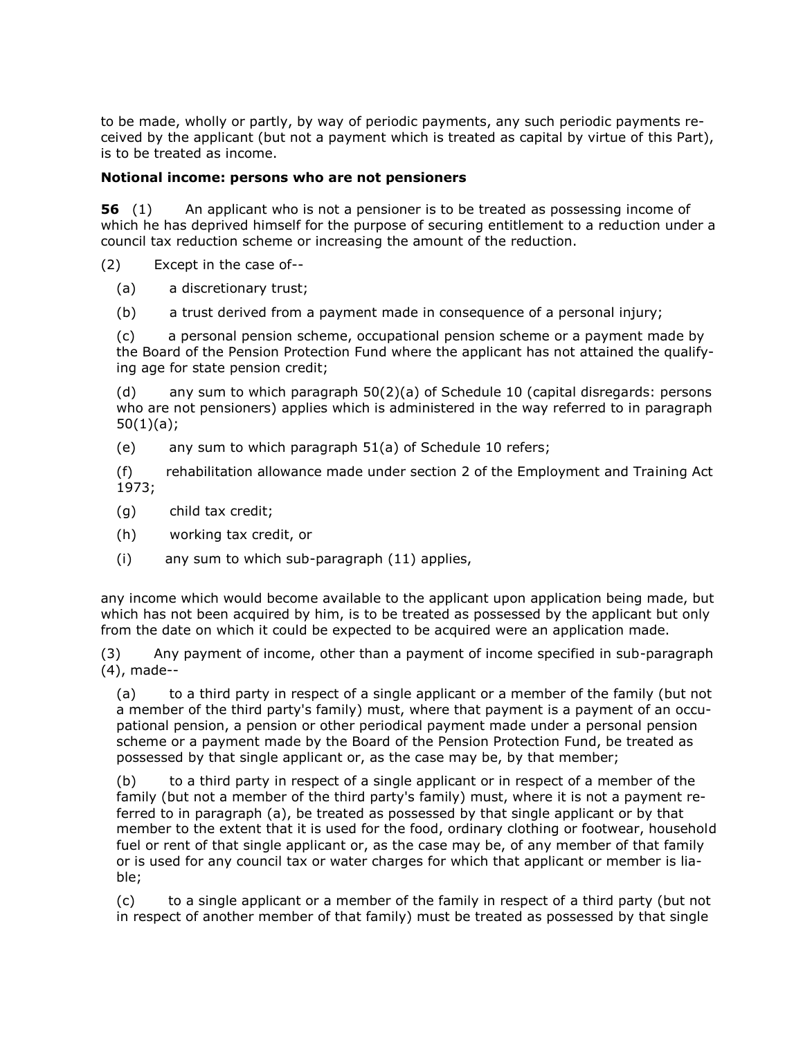to be made, wholly or partly, by way of periodic payments, any such periodic payments received by the applicant (but not a payment which is treated as capital by virtue of this Part), is to be treated as income.

## **Notional income: persons who are not pensioners**

**56** (1) An applicant who is not a pensioner is to be treated as possessing income of which he has deprived himself for the purpose of securing entitlement to a reduction under a council tax reduction scheme or increasing the amount of the reduction.

(2) Except in the case of--

- (a) a discretionary trust;
- (b) a trust derived from a payment made in consequence of a personal injury;

(c) a personal pension scheme, occupational pension scheme or a payment made by the Board of the Pension Protection Fund where the applicant has not attained the qualifying age for state pension credit;

(d) any sum to which paragraph 50(2)(a) of Schedule 10 (capital disregards: persons who are not pensioners) applies which is administered in the way referred to in paragraph  $50(1)(a);$ 

(e) any sum to which paragraph 51(a) of Schedule 10 refers;

(f) rehabilitation allowance made under section 2 of the Employment and Training Act 1973;

- (g) child tax credit;
- (h) working tax credit, or
- (i) any sum to which sub-paragraph (11) applies,

any income which would become available to the applicant upon application being made, but which has not been acquired by him, is to be treated as possessed by the applicant but only from the date on which it could be expected to be acquired were an application made.

(3) Any payment of income, other than a payment of income specified in sub-paragraph (4), made--

(a) to a third party in respect of a single applicant or a member of the family (but not a member of the third party's family) must, where that payment is a payment of an occupational pension, a pension or other periodical payment made under a personal pension scheme or a payment made by the Board of the Pension Protection Fund, be treated as possessed by that single applicant or, as the case may be, by that member;

(b) to a third party in respect of a single applicant or in respect of a member of the family (but not a member of the third party's family) must, where it is not a payment referred to in paragraph (a), be treated as possessed by that single applicant or by that member to the extent that it is used for the food, ordinary clothing or footwear, household fuel or rent of that single applicant or, as the case may be, of any member of that family or is used for any council tax or water charges for which that applicant or member is liable;

(c) to a single applicant or a member of the family in respect of a third party (but not in respect of another member of that family) must be treated as possessed by that single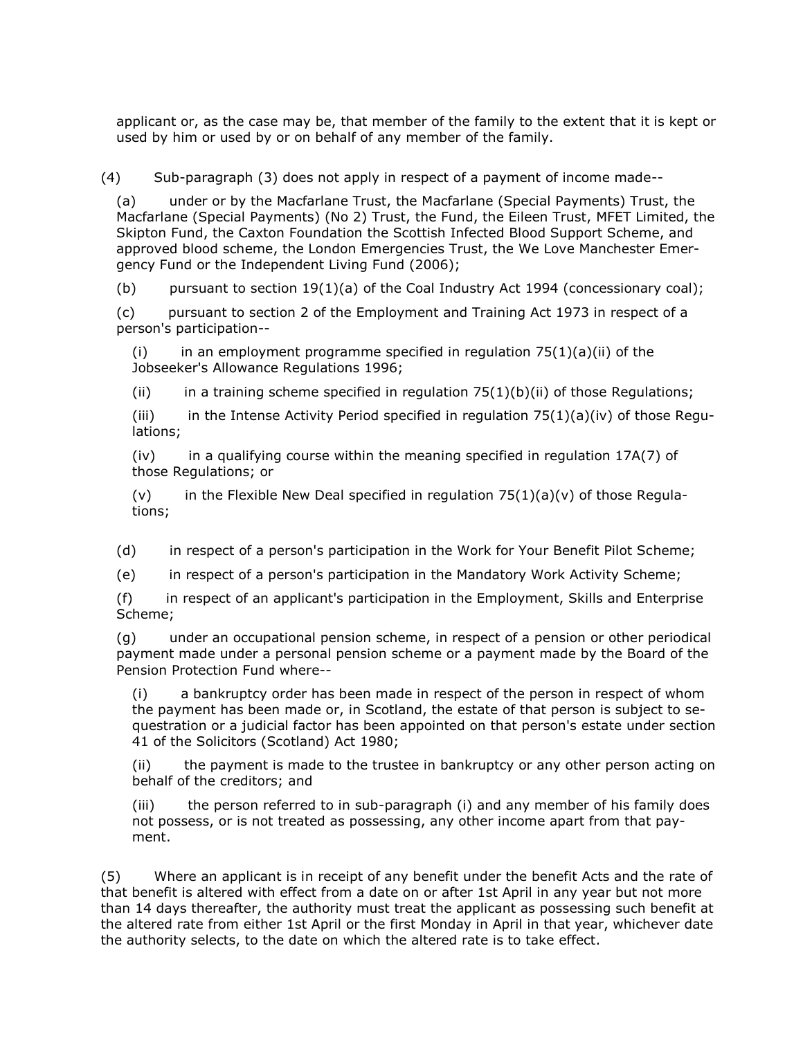applicant or, as the case may be, that member of the family to the extent that it is kept or used by him or used by or on behalf of any member of the family.

(4) Sub-paragraph (3) does not apply in respect of a payment of income made--

(a) under or by the Macfarlane Trust, the Macfarlane (Special Payments) Trust, the Macfarlane (Special Payments) (No 2) Trust, the Fund, the Eileen Trust, MFET Limited, the Skipton Fund, the Caxton Foundation the Scottish Infected Blood Support Scheme, and approved blood scheme, the London Emergencies Trust, the We Love Manchester Emergency Fund or the Independent Living Fund (2006);

(b) pursuant to section  $19(1)(a)$  of the Coal Industry Act 1994 (concessionary coal);

(c) pursuant to section 2 of the Employment and Training Act 1973 in respect of a person's participation--

(i) in an employment programme specified in regulation  $75(1)(a)(ii)$  of the Jobseeker's Allowance Regulations 1996;

(ii) in a training scheme specified in regulation  $75(1)(b)(ii)$  of those Regulations;

(iii) in the Intense Activity Period specified in regulation  $75(1)(a)(iv)$  of those Regulations;

 $(iv)$  in a qualifying course within the meaning specified in regulation 17A(7) of those Regulations; or

(v) in the Flexible New Deal specified in regulation  $75(1)(a)(v)$  of those Regulations;

(d) in respect of a person's participation in the Work for Your Benefit Pilot Scheme;

(e) in respect of a person's participation in the Mandatory Work Activity Scheme;

(f) in respect of an applicant's participation in the Employment, Skills and Enterprise Scheme;

(g) under an occupational pension scheme, in respect of a pension or other periodical payment made under a personal pension scheme or a payment made by the Board of the Pension Protection Fund where--

(i) a bankruptcy order has been made in respect of the person in respect of whom the payment has been made or, in Scotland, the estate of that person is subject to sequestration or a judicial factor has been appointed on that person's estate under section 41 of the Solicitors (Scotland) Act 1980;

(ii) the payment is made to the trustee in bankruptcy or any other person acting on behalf of the creditors; and

(iii) the person referred to in sub-paragraph (i) and any member of his family does not possess, or is not treated as possessing, any other income apart from that payment.

(5) Where an applicant is in receipt of any benefit under the benefit Acts and the rate of that benefit is altered with effect from a date on or after 1st April in any year but not more than 14 days thereafter, the authority must treat the applicant as possessing such benefit at the altered rate from either 1st April or the first Monday in April in that year, whichever date the authority selects, to the date on which the altered rate is to take effect.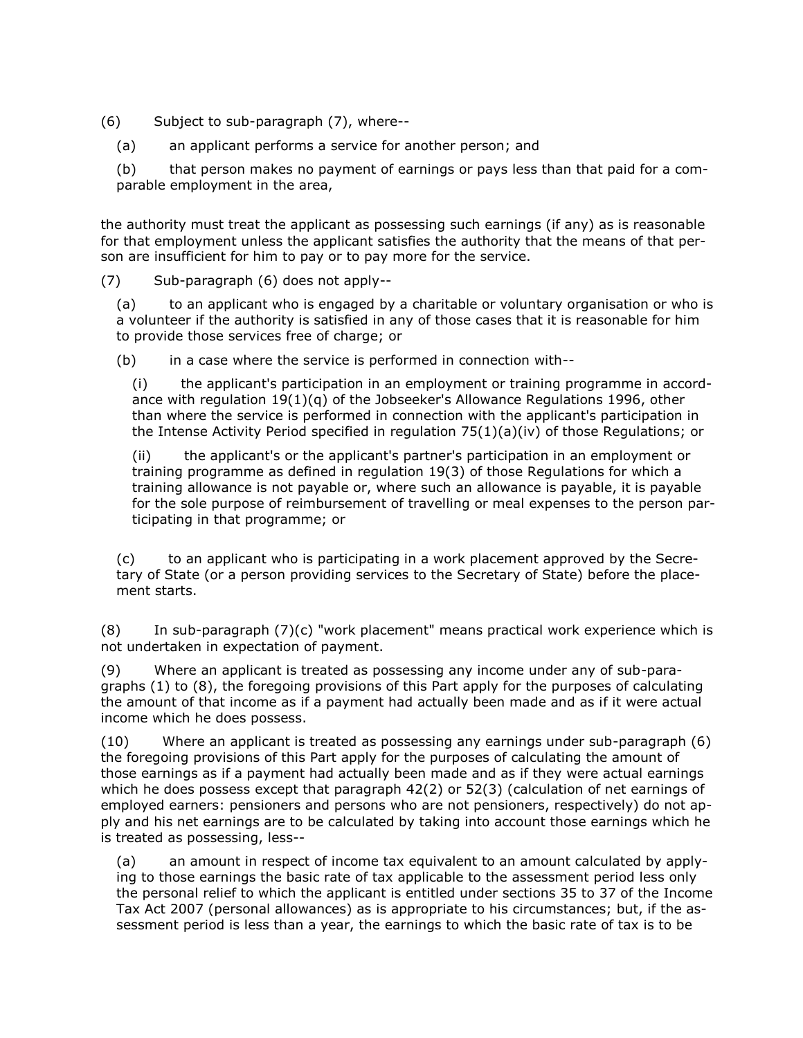(6) Subject to sub-paragraph (7), where--

(a) an applicant performs a service for another person; and

(b) that person makes no payment of earnings or pays less than that paid for a comparable employment in the area,

the authority must treat the applicant as possessing such earnings (if any) as is reasonable for that employment unless the applicant satisfies the authority that the means of that person are insufficient for him to pay or to pay more for the service.

(7) Sub-paragraph (6) does not apply--

(a) to an applicant who is engaged by a charitable or voluntary organisation or who is a volunteer if the authority is satisfied in any of those cases that it is reasonable for him to provide those services free of charge; or

(b) in a case where the service is performed in connection with--

(i) the applicant's participation in an employment or training programme in accordance with regulation  $19(1)(q)$  of the Jobseeker's Allowance Regulations 1996, other than where the service is performed in connection with the applicant's participation in the Intense Activity Period specified in regulation 75(1)(a)(iv) of those Regulations; or

(ii) the applicant's or the applicant's partner's participation in an employment or training programme as defined in regulation 19(3) of those Regulations for which a training allowance is not payable or, where such an allowance is payable, it is payable for the sole purpose of reimbursement of travelling or meal expenses to the person participating in that programme; or

(c) to an applicant who is participating in a work placement approved by the Secretary of State (or a person providing services to the Secretary of State) before the placement starts.

 $(8)$  In sub-paragraph  $(7)(c)$  "work placement" means practical work experience which is not undertaken in expectation of payment.

(9) Where an applicant is treated as possessing any income under any of sub-paragraphs (1) to (8), the foregoing provisions of this Part apply for the purposes of calculating the amount of that income as if a payment had actually been made and as if it were actual income which he does possess.

(10) Where an applicant is treated as possessing any earnings under sub-paragraph (6) the foregoing provisions of this Part apply for the purposes of calculating the amount of those earnings as if a payment had actually been made and as if they were actual earnings which he does possess except that paragraph 42(2) or 52(3) (calculation of net earnings of employed earners: pensioners and persons who are not pensioners, respectively) do not apply and his net earnings are to be calculated by taking into account those earnings which he is treated as possessing, less--

(a) an amount in respect of income tax equivalent to an amount calculated by applying to those earnings the basic rate of tax applicable to the assessment period less only the personal relief to which the applicant is entitled under sections 35 to 37 of the Income Tax Act 2007 (personal allowances) as is appropriate to his circumstances; but, if the assessment period is less than a year, the earnings to which the basic rate of tax is to be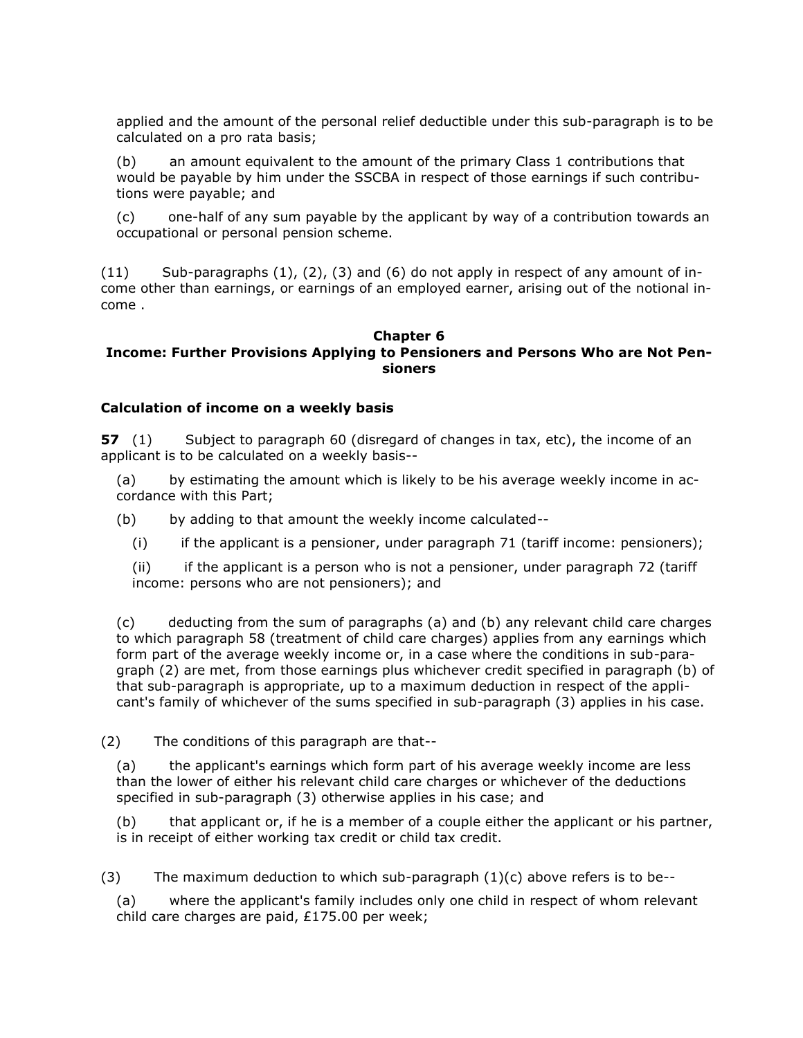applied and the amount of the personal relief deductible under this sub-paragraph is to be calculated on a pro rata basis;

(b) an amount equivalent to the amount of the primary Class 1 contributions that would be payable by him under the SSCBA in respect of those earnings if such contributions were payable; and

(c) one-half of any sum payable by the applicant by way of a contribution towards an occupational or personal pension scheme.

 $(11)$  Sub-paragraphs  $(1)$ ,  $(2)$ ,  $(3)$  and  $(6)$  do not apply in respect of any amount of income other than earnings, or earnings of an employed earner, arising out of the notional income .

#### **Chapter 6 Income: Further Provisions Applying to Pensioners and Persons Who are Not Pensioners**

### **Calculation of income on a weekly basis**

**57** (1) Subject to paragraph 60 (disregard of changes in tax, etc), the income of an applicant is to be calculated on a weekly basis--

(a) by estimating the amount which is likely to be his average weekly income in accordance with this Part;

(b) by adding to that amount the weekly income calculated--

 $(i)$  if the applicant is a pensioner, under paragraph 71 (tariff income: pensioners);

(ii) if the applicant is a person who is not a pensioner, under paragraph 72 (tariff income: persons who are not pensioners); and

(c) deducting from the sum of paragraphs (a) and (b) any relevant child care charges to which paragraph 58 (treatment of child care charges) applies from any earnings which form part of the average weekly income or, in a case where the conditions in sub-paragraph (2) are met, from those earnings plus whichever credit specified in paragraph (b) of that sub-paragraph is appropriate, up to a maximum deduction in respect of the applicant's family of whichever of the sums specified in sub-paragraph (3) applies in his case.

(2) The conditions of this paragraph are that--

(a) the applicant's earnings which form part of his average weekly income are less than the lower of either his relevant child care charges or whichever of the deductions specified in sub-paragraph (3) otherwise applies in his case; and

(b) that applicant or, if he is a member of a couple either the applicant or his partner, is in receipt of either working tax credit or child tax credit.

(3) The maximum deduction to which sub-paragraph  $(1)(c)$  above refers is to be--

(a) where the applicant's family includes only one child in respect of whom relevant child care charges are paid, £175.00 per week;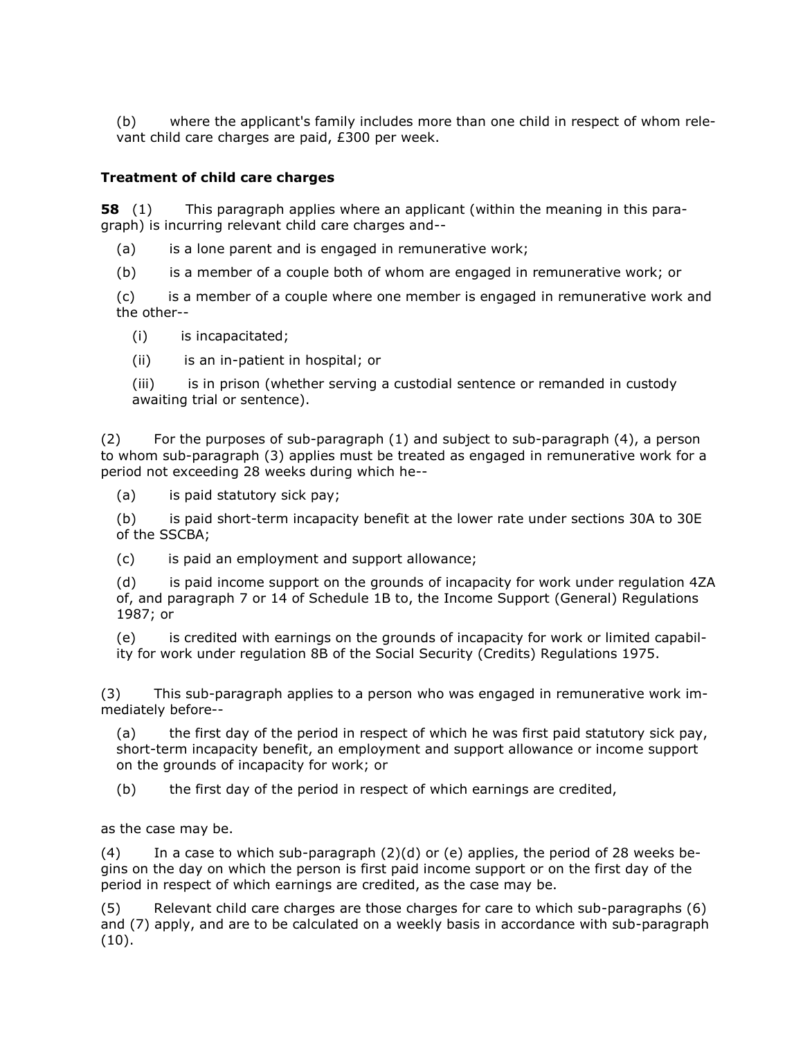(b) where the applicant's family includes more than one child in respect of whom relevant child care charges are paid, £300 per week.

# **Treatment of child care charges**

**58** (1) This paragraph applies where an applicant (within the meaning in this paragraph) is incurring relevant child care charges and--

- (a) is a lone parent and is engaged in remunerative work;
- (b) is a member of a couple both of whom are engaged in remunerative work; or

(c) is a member of a couple where one member is engaged in remunerative work and the other--

- (i) is incapacitated;
- (ii) is an in-patient in hospital; or

(iii) is in prison (whether serving a custodial sentence or remanded in custody awaiting trial or sentence).

(2) For the purposes of sub-paragraph (1) and subject to sub-paragraph (4), a person to whom sub-paragraph (3) applies must be treated as engaged in remunerative work for a period not exceeding 28 weeks during which he--

(a) is paid statutory sick pay;

(b) is paid short-term incapacity benefit at the lower rate under sections 30A to 30E of the SSCBA;

(c) is paid an employment and support allowance;

(d) is paid income support on the grounds of incapacity for work under regulation 4ZA of, and paragraph 7 or 14 of Schedule 1B to, the Income Support (General) Regulations 1987; or

(e) is credited with earnings on the grounds of incapacity for work or limited capability for work under regulation 8B of the Social Security (Credits) Regulations 1975.

(3) This sub-paragraph applies to a person who was engaged in remunerative work immediately before--

(a) the first day of the period in respect of which he was first paid statutory sick pay, short-term incapacity benefit, an employment and support allowance or income support on the grounds of incapacity for work; or

(b) the first day of the period in respect of which earnings are credited,

as the case may be.

 $(4)$  In a case to which sub-paragraph  $(2)(d)$  or  $(e)$  applies, the period of 28 weeks begins on the day on which the person is first paid income support or on the first day of the period in respect of which earnings are credited, as the case may be.

(5) Relevant child care charges are those charges for care to which sub-paragraphs (6) and (7) apply, and are to be calculated on a weekly basis in accordance with sub-paragraph  $(10).$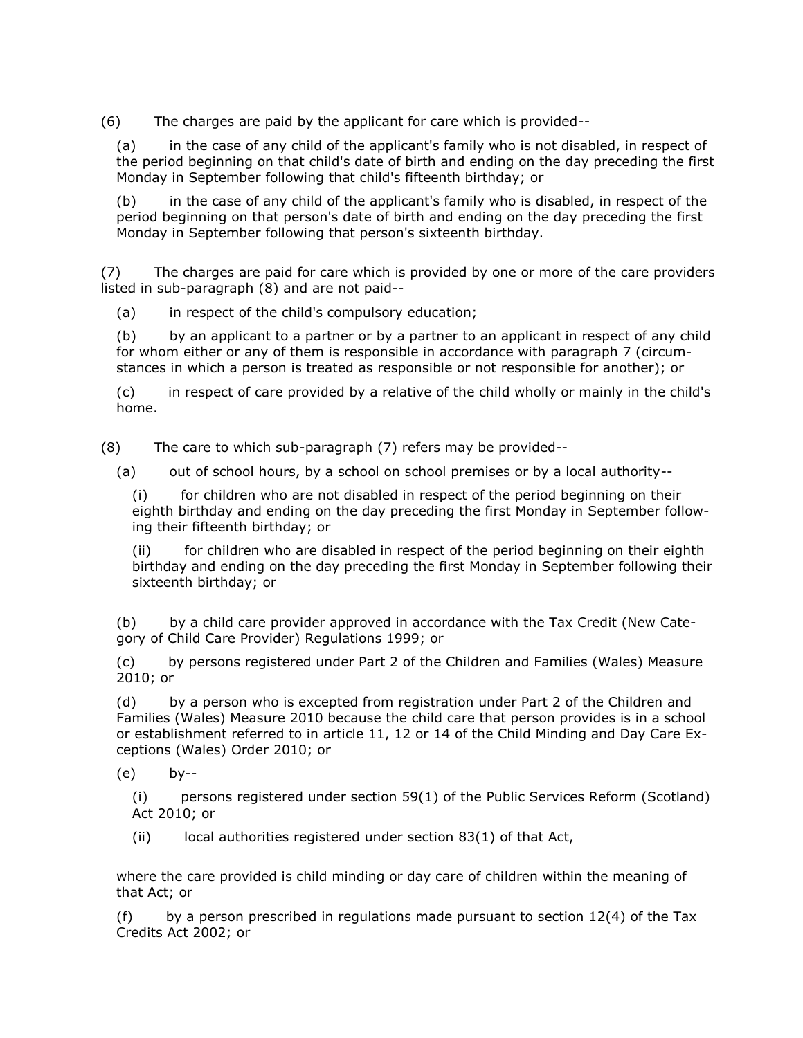(6) The charges are paid by the applicant for care which is provided--

(a) in the case of any child of the applicant's family who is not disabled, in respect of the period beginning on that child's date of birth and ending on the day preceding the first Monday in September following that child's fifteenth birthday; or

(b) in the case of any child of the applicant's family who is disabled, in respect of the period beginning on that person's date of birth and ending on the day preceding the first Monday in September following that person's sixteenth birthday.

(7) The charges are paid for care which is provided by one or more of the care providers listed in sub-paragraph (8) and are not paid--

(a) in respect of the child's compulsory education;

(b) by an applicant to a partner or by a partner to an applicant in respect of any child for whom either or any of them is responsible in accordance with paragraph 7 (circumstances in which a person is treated as responsible or not responsible for another); or

(c) in respect of care provided by a relative of the child wholly or mainly in the child's home.

(8) The care to which sub-paragraph (7) refers may be provided--

(a) out of school hours, by a school on school premises or by a local authority--

(i) for children who are not disabled in respect of the period beginning on their eighth birthday and ending on the day preceding the first Monday in September following their fifteenth birthday; or

(ii) for children who are disabled in respect of the period beginning on their eighth birthday and ending on the day preceding the first Monday in September following their sixteenth birthday; or

(b) by a child care provider approved in accordance with the Tax Credit (New Category of Child Care Provider) Regulations 1999; or

(c) by persons registered under Part 2 of the Children and Families (Wales) Measure 2010; or

(d) by a person who is excepted from registration under Part 2 of the Children and Families (Wales) Measure 2010 because the child care that person provides is in a school or establishment referred to in article 11, 12 or 14 of the Child Minding and Day Care Exceptions (Wales) Order 2010; or

(e) by--

(i) persons registered under section 59(1) of the Public Services Reform (Scotland) Act 2010; or

(ii) local authorities registered under section 83(1) of that Act,

where the care provided is child minding or day care of children within the meaning of that Act; or

(f) by a person prescribed in regulations made pursuant to section  $12(4)$  of the Tax Credits Act 2002; or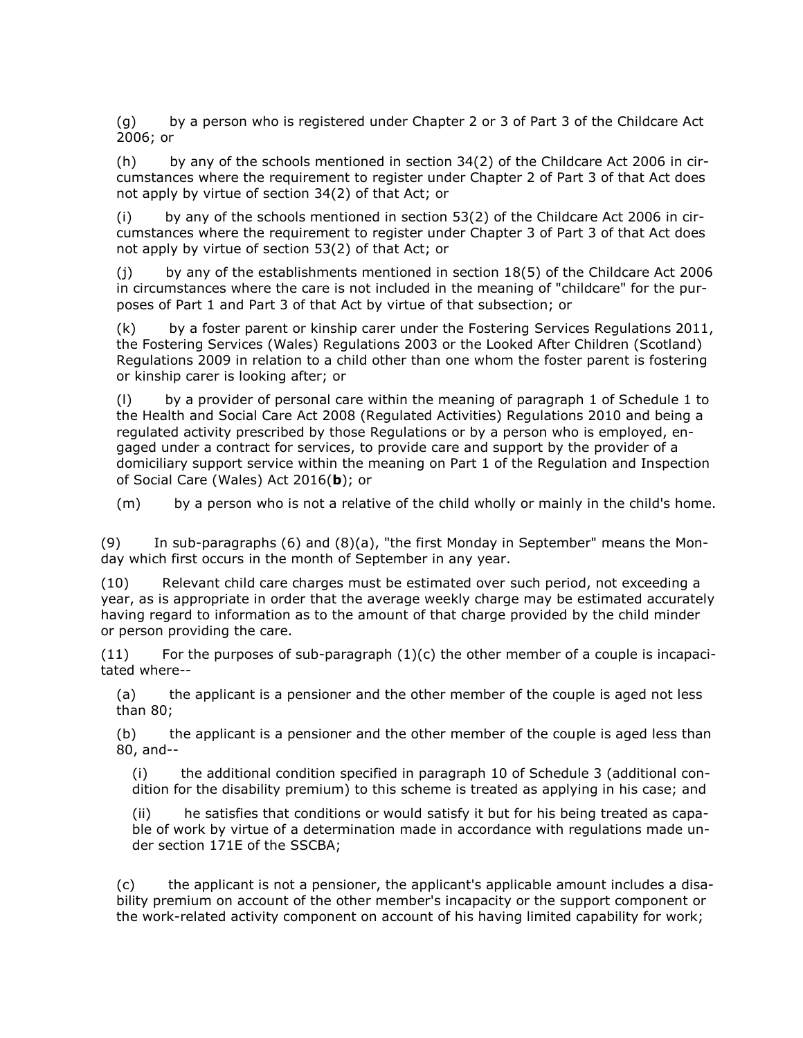(g) by a person who is registered under Chapter 2 or 3 of Part 3 of the Childcare Act 2006; or

(h) by any of the schools mentioned in section 34(2) of the Childcare Act 2006 in circumstances where the requirement to register under Chapter 2 of Part 3 of that Act does not apply by virtue of section 34(2) of that Act; or

 $(i)$  by any of the schools mentioned in section 53(2) of the Childcare Act 2006 in circumstances where the requirement to register under Chapter 3 of Part 3 of that Act does not apply by virtue of section 53(2) of that Act; or

(j) by any of the establishments mentioned in section 18(5) of the Childcare Act 2006 in circumstances where the care is not included in the meaning of "childcare" for the purposes of Part 1 and Part 3 of that Act by virtue of that subsection; or

(k) by a foster parent or kinship carer under the Fostering Services Regulations 2011, the Fostering Services (Wales) Regulations 2003 or the Looked After Children (Scotland) Regulations 2009 in relation to a child other than one whom the foster parent is fostering or kinship carer is looking after; or

(l) by a provider of personal care within the meaning of paragraph 1 of Schedule 1 to the Health and Social Care Act 2008 (Regulated Activities) Regulations 2010 and being a regulated activity prescribed by those Regulations or by a person who is employed, engaged under a contract for services, to provide care and support by the provider of a domiciliary support service within the meaning on Part 1 of the Regulation and Inspection of Social Care (Wales) Act 2016(**b**); or

(m) by a person who is not a relative of the child wholly or mainly in the child's home.

(9) In sub-paragraphs (6) and (8)(a), "the first Monday in September" means the Monday which first occurs in the month of September in any year.

(10) Relevant child care charges must be estimated over such period, not exceeding a year, as is appropriate in order that the average weekly charge may be estimated accurately having regard to information as to the amount of that charge provided by the child minder or person providing the care.

 $(11)$  For the purposes of sub-paragraph  $(1)(c)$  the other member of a couple is incapacitated where--

(a) the applicant is a pensioner and the other member of the couple is aged not less than 80;

(b) the applicant is a pensioner and the other member of the couple is aged less than 80, and--

(i) the additional condition specified in paragraph 10 of Schedule 3 (additional condition for the disability premium) to this scheme is treated as applying in his case; and

(ii) he satisfies that conditions or would satisfy it but for his being treated as capable of work by virtue of a determination made in accordance with regulations made under section 171E of the SSCBA;

(c) the applicant is not a pensioner, the applicant's applicable amount includes a disability premium on account of the other member's incapacity or the support component or the work-related activity component on account of his having limited capability for work;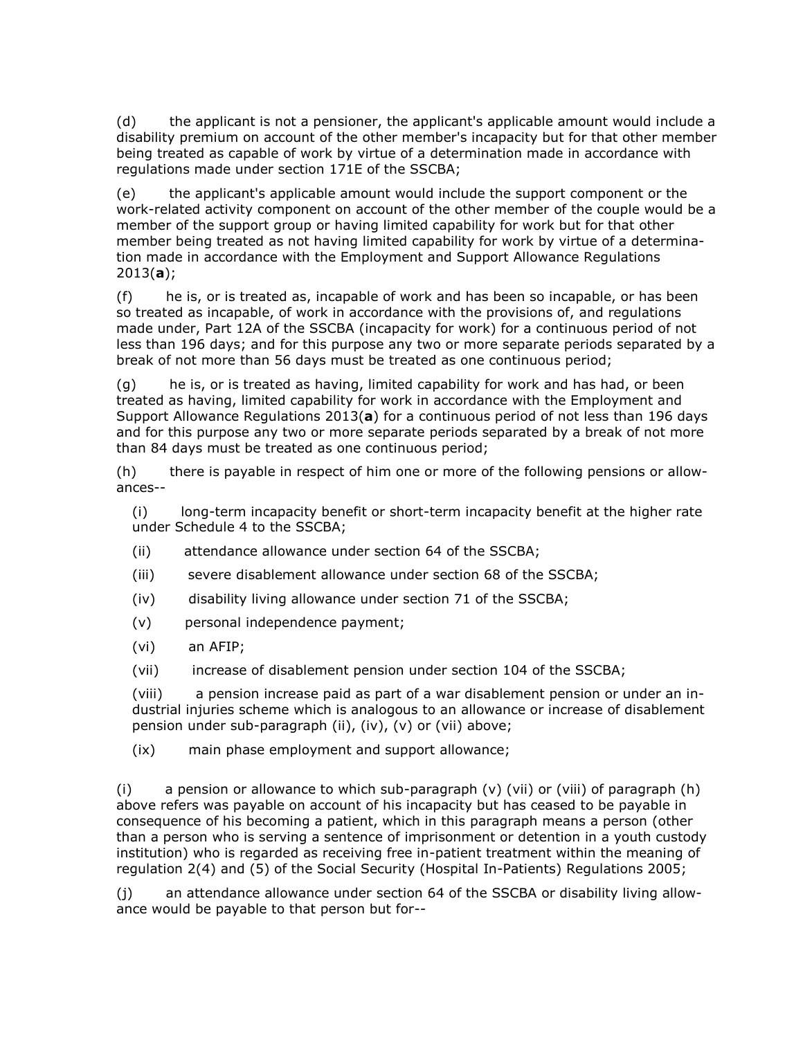(d) the applicant is not a pensioner, the applicant's applicable amount would include a disability premium on account of the other member's incapacity but for that other member being treated as capable of work by virtue of a determination made in accordance with regulations made under section 171E of the SSCBA;

(e) the applicant's applicable amount would include the support component or the work-related activity component on account of the other member of the couple would be a member of the support group or having limited capability for work but for that other member being treated as not having limited capability for work by virtue of a determination made in accordance with the Employment and Support Allowance Regulations 2013(**a**);

(f) he is, or is treated as, incapable of work and has been so incapable, or has been so treated as incapable, of work in accordance with the provisions of, and regulations made under, Part 12A of the SSCBA (incapacity for work) for a continuous period of not less than 196 days; and for this purpose any two or more separate periods separated by a break of not more than 56 days must be treated as one continuous period;

(g) he is, or is treated as having, limited capability for work and has had, or been treated as having, limited capability for work in accordance with the Employment and Support Allowance Regulations 2013(**a**) for a continuous period of not less than 196 days and for this purpose any two or more separate periods separated by a break of not more than 84 days must be treated as one continuous period;

(h) there is payable in respect of him one or more of the following pensions or allowances--

(i) long-term incapacity benefit or short-term incapacity benefit at the higher rate under Schedule 4 to the SSCBA;

- (ii) attendance allowance under section 64 of the SSCBA;
- (iii) severe disablement allowance under section 68 of the SSCBA;
- (iv) disability living allowance under section 71 of the SSCBA;
- (v) personal independence payment;
- (vi) an AFIP;

(vii) increase of disablement pension under section 104 of the SSCBA;

(viii) a pension increase paid as part of a war disablement pension or under an industrial injuries scheme which is analogous to an allowance or increase of disablement pension under sub-paragraph (ii), (iv), (v) or (vii) above;

(ix) main phase employment and support allowance;

(i) a pension or allowance to which sub-paragraph  $(v)$  (vii) or (viii) of paragraph  $(h)$ above refers was payable on account of his incapacity but has ceased to be payable in consequence of his becoming a patient, which in this paragraph means a person (other than a person who is serving a sentence of imprisonment or detention in a youth custody institution) who is regarded as receiving free in-patient treatment within the meaning of regulation 2(4) and (5) of the Social Security (Hospital In-Patients) Regulations 2005;

(j) an attendance allowance under section 64 of the SSCBA or disability living allowance would be payable to that person but for--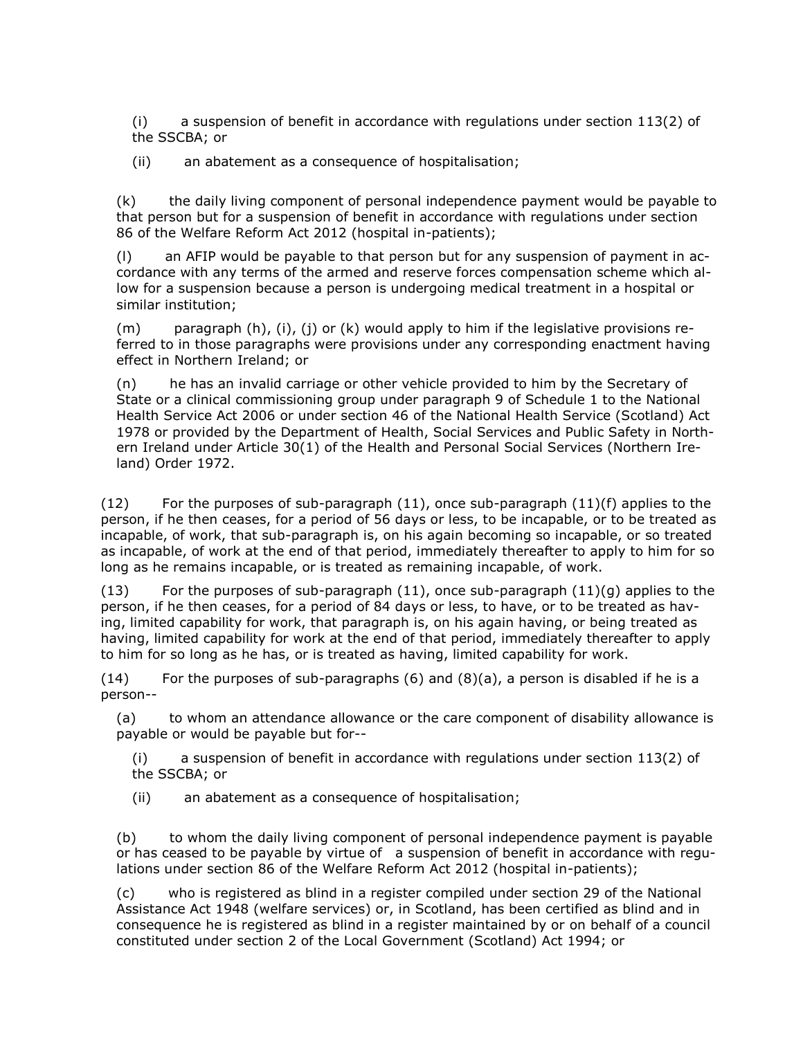(i) a suspension of benefit in accordance with regulations under section 113(2) of the SSCBA; or

(ii) an abatement as a consequence of hospitalisation;

(k) the daily living component of personal independence payment would be payable to that person but for a suspension of benefit in accordance with regulations under section 86 of the Welfare Reform Act 2012 (hospital in-patients);

(l) an AFIP would be payable to that person but for any suspension of payment in accordance with any terms of the armed and reserve forces compensation scheme which allow for a suspension because a person is undergoing medical treatment in a hospital or similar institution;

 $(m)$  paragraph  $(h)$ ,  $(i)$ ,  $(j)$  or  $(k)$  would apply to him if the legislative provisions referred to in those paragraphs were provisions under any corresponding enactment having effect in Northern Ireland; or

(n) he has an invalid carriage or other vehicle provided to him by the Secretary of State or a clinical commissioning group under paragraph 9 of Schedule 1 to the National Health Service Act 2006 or under section 46 of the National Health Service (Scotland) Act 1978 or provided by the Department of Health, Social Services and Public Safety in Northern Ireland under Article 30(1) of the Health and Personal Social Services (Northern Ireland) Order 1972.

 $(12)$  For the purposes of sub-paragraph  $(11)$ , once sub-paragraph  $(11)(f)$  applies to the person, if he then ceases, for a period of 56 days or less, to be incapable, or to be treated as incapable, of work, that sub-paragraph is, on his again becoming so incapable, or so treated as incapable, of work at the end of that period, immediately thereafter to apply to him for so long as he remains incapable, or is treated as remaining incapable, of work.

 $(13)$  For the purposes of sub-paragraph  $(11)$ , once sub-paragraph  $(11)(q)$  applies to the person, if he then ceases, for a period of 84 days or less, to have, or to be treated as having, limited capability for work, that paragraph is, on his again having, or being treated as having, limited capability for work at the end of that period, immediately thereafter to apply to him for so long as he has, or is treated as having, limited capability for work.

 $(14)$  For the purposes of sub-paragraphs  $(6)$  and  $(8)(a)$ , a person is disabled if he is a person--

(a) to whom an attendance allowance or the care component of disability allowance is payable or would be payable but for--

(i) a suspension of benefit in accordance with regulations under section 113(2) of the SSCBA; or

(ii) an abatement as a consequence of hospitalisation;

(b) to whom the daily living component of personal independence payment is payable or has ceased to be payable by virtue of a suspension of benefit in accordance with regulations under section 86 of the Welfare Reform Act 2012 (hospital in-patients);

(c) who is registered as blind in a register compiled under section 29 of the National Assistance Act 1948 (welfare services) or, in Scotland, has been certified as blind and in consequence he is registered as blind in a register maintained by or on behalf of a council constituted under section 2 of the Local Government (Scotland) Act 1994; or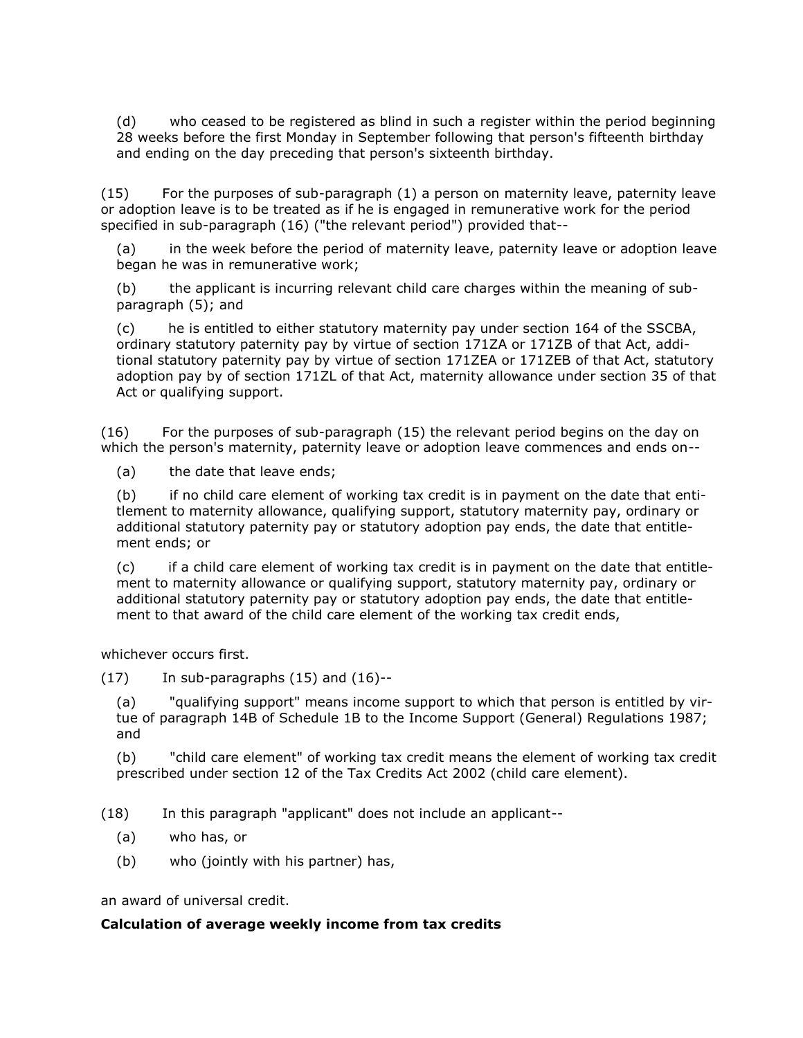(d) who ceased to be registered as blind in such a register within the period beginning 28 weeks before the first Monday in September following that person's fifteenth birthday and ending on the day preceding that person's sixteenth birthday.

(15) For the purposes of sub-paragraph (1) a person on maternity leave, paternity leave or adoption leave is to be treated as if he is engaged in remunerative work for the period specified in sub-paragraph (16) ("the relevant period") provided that--

(a) in the week before the period of maternity leave, paternity leave or adoption leave began he was in remunerative work;

(b) the applicant is incurring relevant child care charges within the meaning of subparagraph (5); and

(c) he is entitled to either statutory maternity pay under section 164 of the SSCBA, ordinary statutory paternity pay by virtue of section 171ZA or 171ZB of that Act, additional statutory paternity pay by virtue of section 171ZEA or 171ZEB of that Act, statutory adoption pay by of section 171ZL of that Act, maternity allowance under section 35 of that Act or qualifying support.

(16) For the purposes of sub-paragraph (15) the relevant period begins on the day on which the person's maternity, paternity leave or adoption leave commences and ends on--

(a) the date that leave ends;

(b) if no child care element of working tax credit is in payment on the date that entitlement to maternity allowance, qualifying support, statutory maternity pay, ordinary or additional statutory paternity pay or statutory adoption pay ends, the date that entitlement ends; or

(c) if a child care element of working tax credit is in payment on the date that entitlement to maternity allowance or qualifying support, statutory maternity pay, ordinary or additional statutory paternity pay or statutory adoption pay ends, the date that entitlement to that award of the child care element of the working tax credit ends,

whichever occurs first.

(17) In sub-paragraphs (15) and (16)--

(a) "qualifying support" means income support to which that person is entitled by virtue of paragraph 14B of Schedule 1B to the Income Support (General) Regulations 1987; and

(b) "child care element" of working tax credit means the element of working tax credit prescribed under section 12 of the Tax Credits Act 2002 (child care element).

(18) In this paragraph "applicant" does not include an applicant--

- (a) who has, or
- (b) who (jointly with his partner) has,

an award of universal credit.

#### **Calculation of average weekly income from tax credits**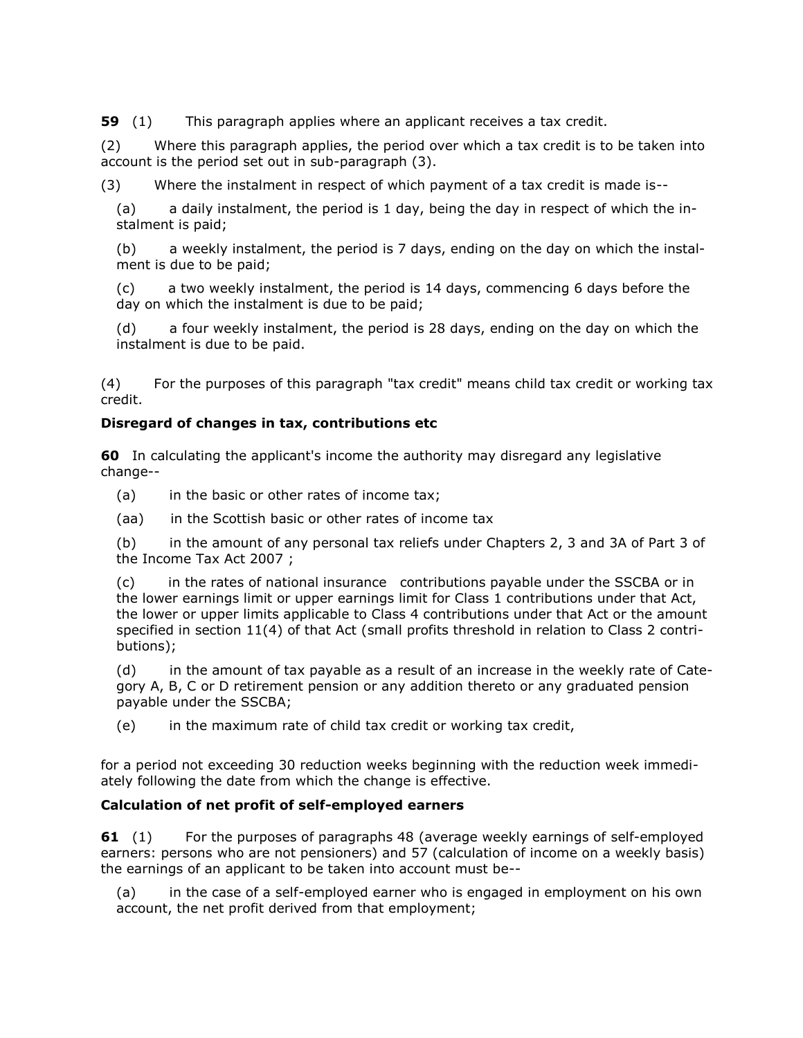**59** (1) This paragraph applies where an applicant receives a tax credit.

(2) Where this paragraph applies, the period over which a tax credit is to be taken into account is the period set out in sub-paragraph (3).

(3) Where the instalment in respect of which payment of a tax credit is made is--

(a) a daily instalment, the period is 1 day, being the day in respect of which the instalment is paid;

(b) a weekly instalment, the period is 7 days, ending on the day on which the instalment is due to be paid;

(c) a two weekly instalment, the period is 14 days, commencing 6 days before the day on which the instalment is due to be paid;

(d) a four weekly instalment, the period is 28 days, ending on the day on which the instalment is due to be paid.

(4) For the purposes of this paragraph "tax credit" means child tax credit or working tax credit.

## **Disregard of changes in tax, contributions etc**

**60** In calculating the applicant's income the authority may disregard any legislative change--

(a) in the basic or other rates of income tax;

(aa) in the Scottish basic or other rates of income tax

(b) in the amount of any personal tax reliefs under Chapters 2, 3 and 3A of Part 3 of the Income Tax Act 2007 ;

(c) in the rates of national insurance contributions payable under the SSCBA or in the lower earnings limit or upper earnings limit for Class 1 contributions under that Act, the lower or upper limits applicable to Class 4 contributions under that Act or the amount specified in section 11(4) of that Act (small profits threshold in relation to Class 2 contributions);

(d) in the amount of tax payable as a result of an increase in the weekly rate of Category A, B, C or D retirement pension or any addition thereto or any graduated pension payable under the SSCBA;

(e) in the maximum rate of child tax credit or working tax credit,

for a period not exceeding 30 reduction weeks beginning with the reduction week immediately following the date from which the change is effective.

## **Calculation of net profit of self-employed earners**

**61** (1) For the purposes of paragraphs 48 (average weekly earnings of self-employed earners: persons who are not pensioners) and 57 (calculation of income on a weekly basis) the earnings of an applicant to be taken into account must be--

(a) in the case of a self-employed earner who is engaged in employment on his own account, the net profit derived from that employment;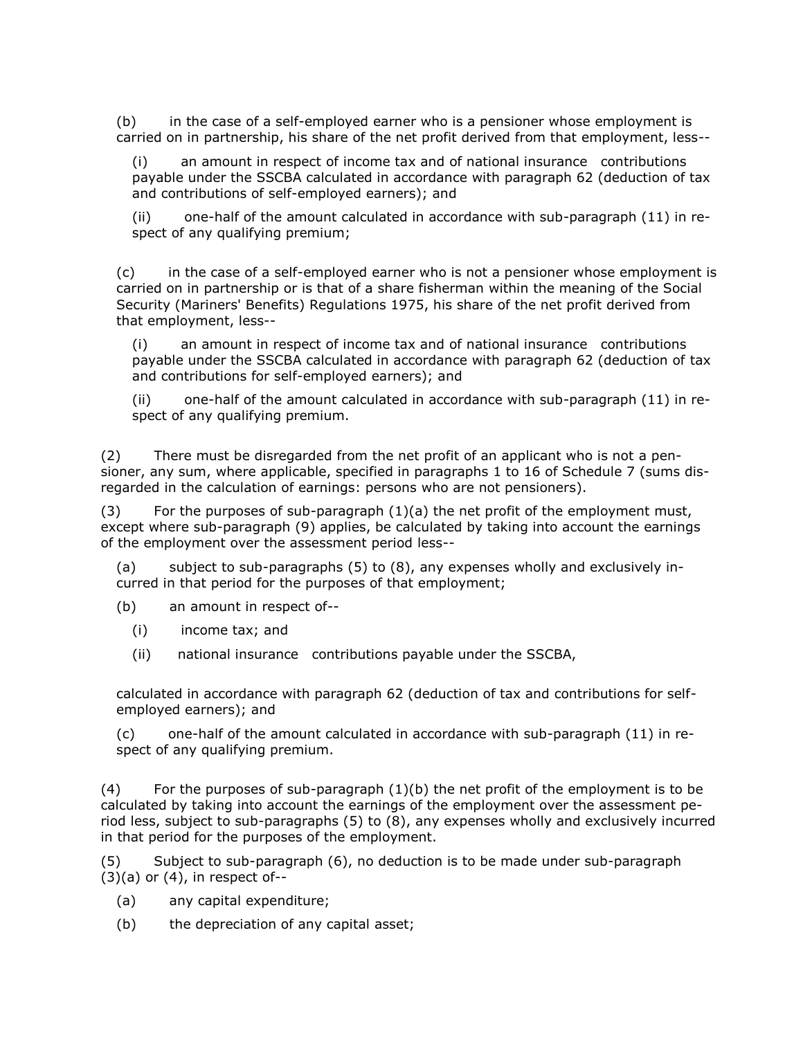(b) in the case of a self-employed earner who is a pensioner whose employment is carried on in partnership, his share of the net profit derived from that employment, less--

(i) an amount in respect of income tax and of national insurance contributions payable under the SSCBA calculated in accordance with paragraph 62 (deduction of tax and contributions of self-employed earners); and

(ii) one-half of the amount calculated in accordance with sub-paragraph (11) in respect of any qualifying premium;

(c) in the case of a self-employed earner who is not a pensioner whose employment is carried on in partnership or is that of a share fisherman within the meaning of the Social Security (Mariners' Benefits) Regulations 1975, his share of the net profit derived from that employment, less--

(i) an amount in respect of income tax and of national insurance contributions payable under the SSCBA calculated in accordance with paragraph 62 (deduction of tax and contributions for self-employed earners); and

(ii) one-half of the amount calculated in accordance with sub-paragraph (11) in respect of any qualifying premium.

(2) There must be disregarded from the net profit of an applicant who is not a pensioner, any sum, where applicable, specified in paragraphs 1 to 16 of Schedule 7 (sums disregarded in the calculation of earnings: persons who are not pensioners).

(3) For the purposes of sub-paragraph  $(1)(a)$  the net profit of the employment must, except where sub-paragraph (9) applies, be calculated by taking into account the earnings of the employment over the assessment period less--

(a) subject to sub-paragraphs (5) to (8), any expenses wholly and exclusively incurred in that period for the purposes of that employment;

(b) an amount in respect of--

- (i) income tax; and
- (ii) national insurance contributions payable under the SSCBA,

calculated in accordance with paragraph 62 (deduction of tax and contributions for selfemployed earners); and

(c) one-half of the amount calculated in accordance with sub-paragraph (11) in respect of any qualifying premium.

(4) For the purposes of sub-paragraph  $(1)(b)$  the net profit of the employment is to be calculated by taking into account the earnings of the employment over the assessment period less, subject to sub-paragraphs (5) to (8), any expenses wholly and exclusively incurred in that period for the purposes of the employment.

(5) Subject to sub-paragraph (6), no deduction is to be made under sub-paragraph  $(3)(a)$  or  $(4)$ , in respect of--

- (a) any capital expenditure;
- (b) the depreciation of any capital asset;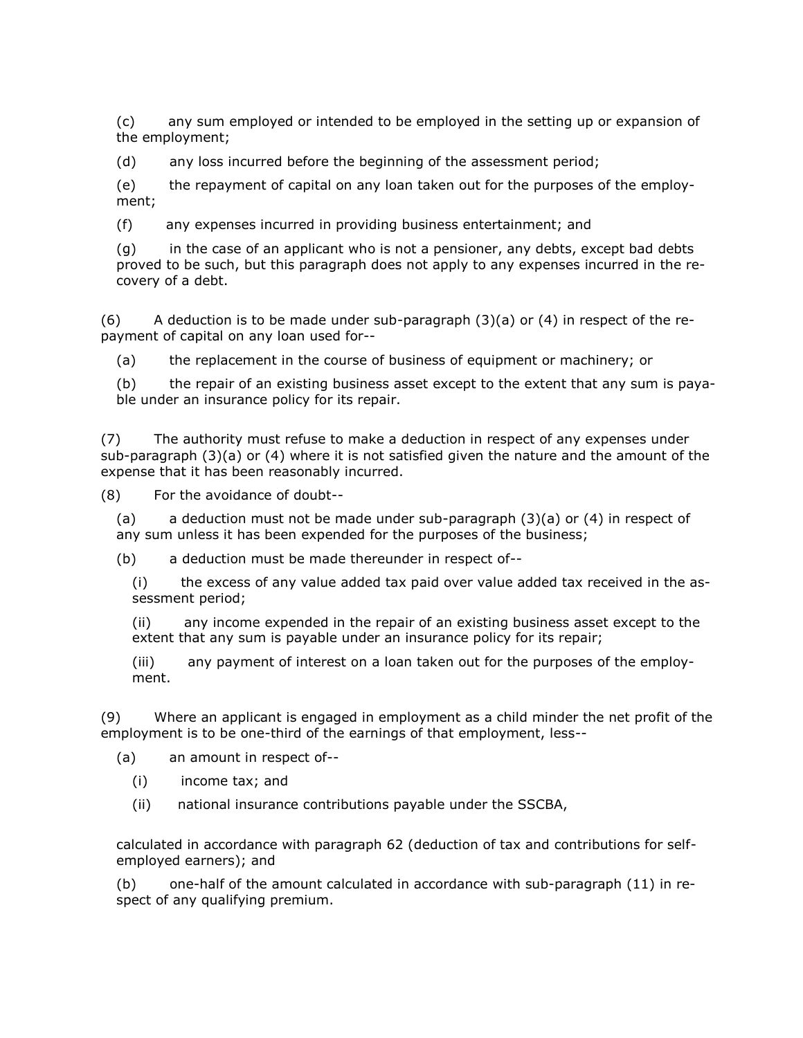(c) any sum employed or intended to be employed in the setting up or expansion of the employment;

(d) any loss incurred before the beginning of the assessment period;

(e) the repayment of capital on any loan taken out for the purposes of the employment;

(f) any expenses incurred in providing business entertainment; and

(g) in the case of an applicant who is not a pensioner, any debts, except bad debts proved to be such, but this paragraph does not apply to any expenses incurred in the recovery of a debt.

 $(6)$  A deduction is to be made under sub-paragraph  $(3)(a)$  or  $(4)$  in respect of the repayment of capital on any loan used for--

(a) the replacement in the course of business of equipment or machinery; or

(b) the repair of an existing business asset except to the extent that any sum is payable under an insurance policy for its repair.

(7) The authority must refuse to make a deduction in respect of any expenses under sub-paragraph (3)(a) or (4) where it is not satisfied given the nature and the amount of the expense that it has been reasonably incurred.

(8) For the avoidance of doubt--

(a) a deduction must not be made under sub-paragraph (3)(a) or (4) in respect of any sum unless it has been expended for the purposes of the business;

(b) a deduction must be made thereunder in respect of--

(i) the excess of any value added tax paid over value added tax received in the assessment period;

(ii) any income expended in the repair of an existing business asset except to the extent that any sum is payable under an insurance policy for its repair;

(iii) any payment of interest on a loan taken out for the purposes of the employment.

(9) Where an applicant is engaged in employment as a child minder the net profit of the employment is to be one-third of the earnings of that employment, less--

(a) an amount in respect of--

(i) income tax; and

(ii) national insurance contributions payable under the SSCBA,

calculated in accordance with paragraph 62 (deduction of tax and contributions for selfemployed earners); and

(b) one-half of the amount calculated in accordance with sub-paragraph (11) in respect of any qualifying premium.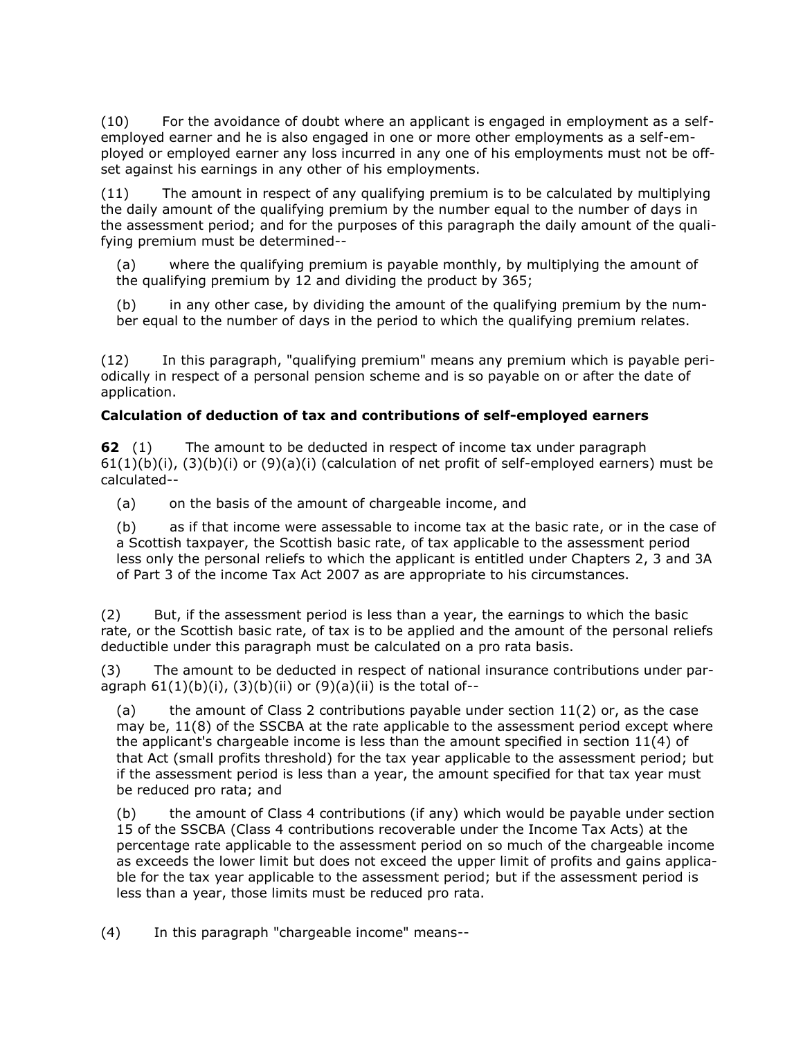(10) For the avoidance of doubt where an applicant is engaged in employment as a selfemployed earner and he is also engaged in one or more other employments as a self-employed or employed earner any loss incurred in any one of his employments must not be offset against his earnings in any other of his employments.

(11) The amount in respect of any qualifying premium is to be calculated by multiplying the daily amount of the qualifying premium by the number equal to the number of days in the assessment period; and for the purposes of this paragraph the daily amount of the qualifying premium must be determined--

(a) where the qualifying premium is payable monthly, by multiplying the amount of the qualifying premium by 12 and dividing the product by 365;

(b) in any other case, by dividing the amount of the qualifying premium by the number equal to the number of days in the period to which the qualifying premium relates.

(12) In this paragraph, "qualifying premium" means any premium which is payable periodically in respect of a personal pension scheme and is so payable on or after the date of application.

## **Calculation of deduction of tax and contributions of self-employed earners**

**62** (1) The amount to be deducted in respect of income tax under paragraph  $61(1)(b)(i)$ ,  $(3)(b)(i)$  or  $(9)(a)(i)$  (calculation of net profit of self-employed earners) must be calculated--

(a) on the basis of the amount of chargeable income, and

(b) as if that income were assessable to income tax at the basic rate, or in the case of a Scottish taxpayer, the Scottish basic rate, of tax applicable to the assessment period less only the personal reliefs to which the applicant is entitled under Chapters 2, 3 and 3A of Part 3 of the income Tax Act 2007 as are appropriate to his circumstances.

(2) But, if the assessment period is less than a year, the earnings to which the basic rate, or the Scottish basic rate, of tax is to be applied and the amount of the personal reliefs deductible under this paragraph must be calculated on a pro rata basis.

(3) The amount to be deducted in respect of national insurance contributions under paragraph  $61(1)(b)(i)$ ,  $(3)(b)(ii)$  or  $(9)(a)(ii)$  is the total of--

(a) the amount of Class 2 contributions payable under section  $11(2)$  or, as the case may be, 11(8) of the SSCBA at the rate applicable to the assessment period except where the applicant's chargeable income is less than the amount specified in section 11(4) of that Act (small profits threshold) for the tax year applicable to the assessment period; but if the assessment period is less than a year, the amount specified for that tax year must be reduced pro rata; and

(b) the amount of Class 4 contributions (if any) which would be payable under section 15 of the SSCBA (Class 4 contributions recoverable under the Income Tax Acts) at the percentage rate applicable to the assessment period on so much of the chargeable income as exceeds the lower limit but does not exceed the upper limit of profits and gains applicable for the tax year applicable to the assessment period; but if the assessment period is less than a year, those limits must be reduced pro rata.

(4) In this paragraph "chargeable income" means--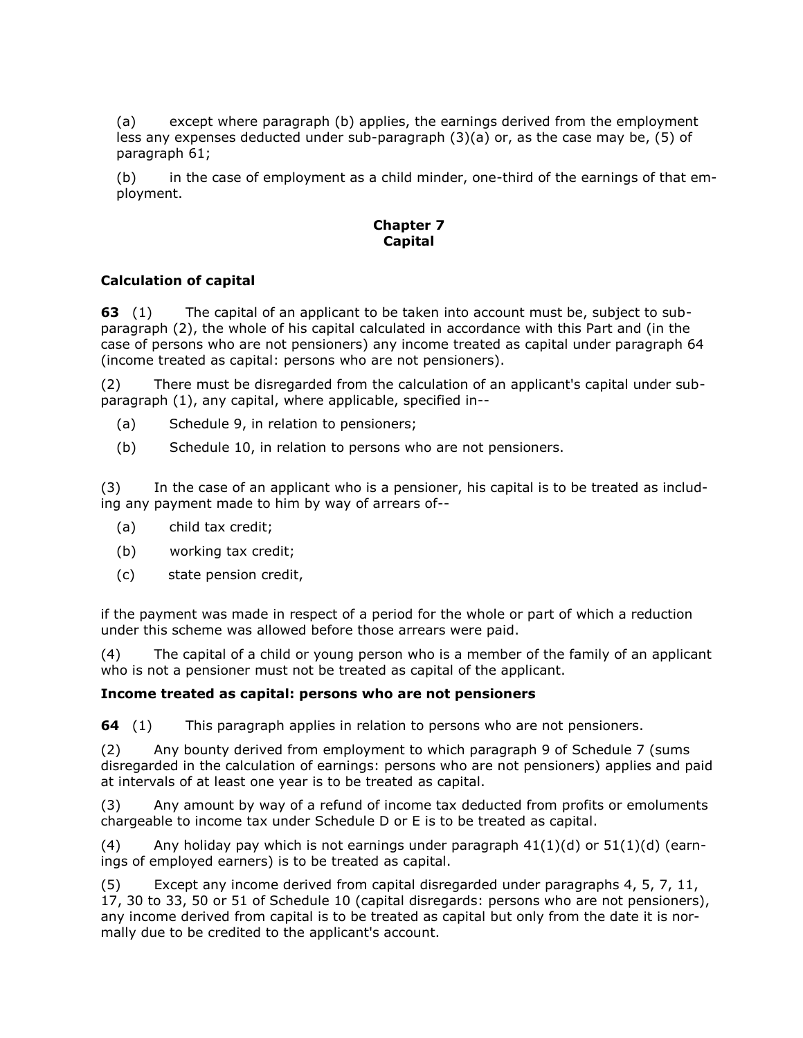(a) except where paragraph (b) applies, the earnings derived from the employment less any expenses deducted under sub-paragraph (3)(a) or, as the case may be, (5) of paragraph 61;

(b) in the case of employment as a child minder, one-third of the earnings of that employment.

# **Chapter 7 Capital**

# **Calculation of capital**

**63** (1) The capital of an applicant to be taken into account must be, subject to subparagraph (2), the whole of his capital calculated in accordance with this Part and (in the case of persons who are not pensioners) any income treated as capital under paragraph 64 (income treated as capital: persons who are not pensioners).

(2) There must be disregarded from the calculation of an applicant's capital under subparagraph (1), any capital, where applicable, specified in--

- (a) Schedule 9, in relation to pensioners;
- (b) Schedule 10, in relation to persons who are not pensioners.

(3) In the case of an applicant who is a pensioner, his capital is to be treated as including any payment made to him by way of arrears of--

- (a) child tax credit;
- (b) working tax credit;
- (c) state pension credit,

if the payment was made in respect of a period for the whole or part of which a reduction under this scheme was allowed before those arrears were paid.

(4) The capital of a child or young person who is a member of the family of an applicant who is not a pensioner must not be treated as capital of the applicant.

## **Income treated as capital: persons who are not pensioners**

**64** (1) This paragraph applies in relation to persons who are not pensioners.

(2) Any bounty derived from employment to which paragraph 9 of Schedule 7 (sums disregarded in the calculation of earnings: persons who are not pensioners) applies and paid at intervals of at least one year is to be treated as capital.

(3) Any amount by way of a refund of income tax deducted from profits or emoluments chargeable to income tax under Schedule D or E is to be treated as capital.

(4) Any holiday pay which is not earnings under paragraph  $41(1)(d)$  or  $51(1)(d)$  (earnings of employed earners) is to be treated as capital.

(5) Except any income derived from capital disregarded under paragraphs 4, 5, 7, 11, 17, 30 to 33, 50 or 51 of Schedule 10 (capital disregards: persons who are not pensioners), any income derived from capital is to be treated as capital but only from the date it is normally due to be credited to the applicant's account.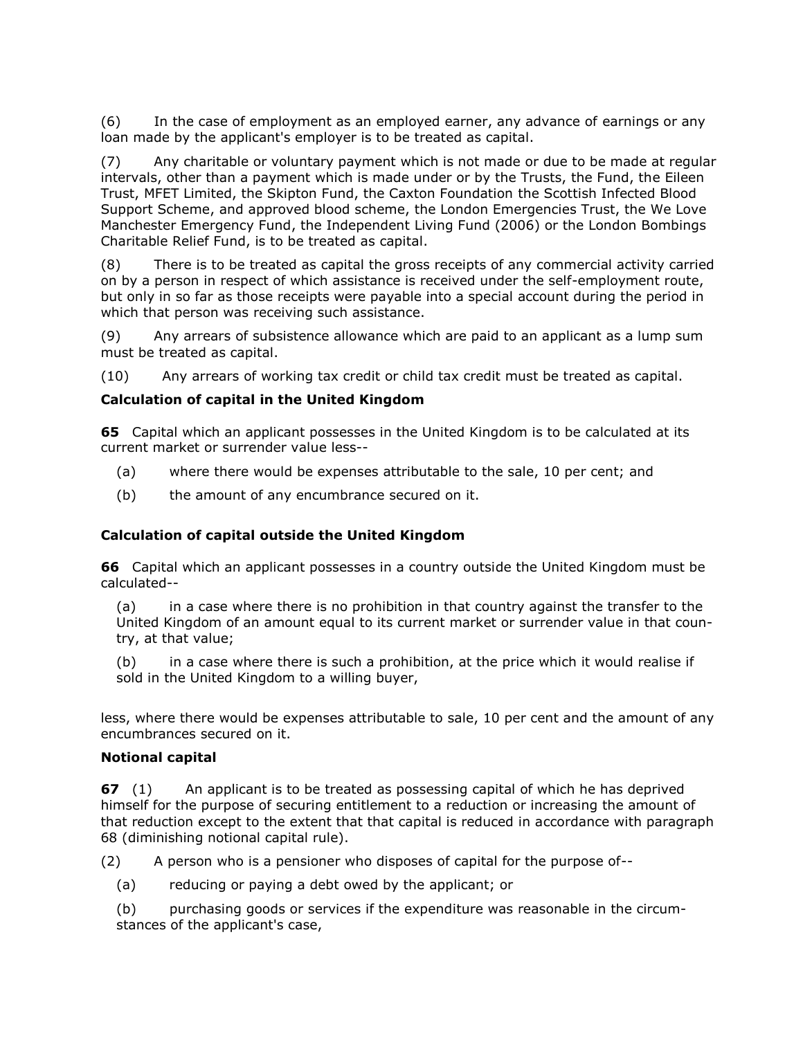(6) In the case of employment as an employed earner, any advance of earnings or any loan made by the applicant's employer is to be treated as capital.

(7) Any charitable or voluntary payment which is not made or due to be made at regular intervals, other than a payment which is made under or by the Trusts, the Fund, the Eileen Trust, MFET Limited, the Skipton Fund, the Caxton Foundation the Scottish Infected Blood Support Scheme, and approved blood scheme, the London Emergencies Trust, the We Love Manchester Emergency Fund, the Independent Living Fund (2006) or the London Bombings Charitable Relief Fund, is to be treated as capital.

(8) There is to be treated as capital the gross receipts of any commercial activity carried on by a person in respect of which assistance is received under the self-employment route, but only in so far as those receipts were payable into a special account during the period in which that person was receiving such assistance.

(9) Any arrears of subsistence allowance which are paid to an applicant as a lump sum must be treated as capital.

(10) Any arrears of working tax credit or child tax credit must be treated as capital.

# **Calculation of capital in the United Kingdom**

**65** Capital which an applicant possesses in the United Kingdom is to be calculated at its current market or surrender value less--

- (a) where there would be expenses attributable to the sale, 10 per cent; and
- (b) the amount of any encumbrance secured on it.

# **Calculation of capital outside the United Kingdom**

**66** Capital which an applicant possesses in a country outside the United Kingdom must be calculated--

(a) in a case where there is no prohibition in that country against the transfer to the United Kingdom of an amount equal to its current market or surrender value in that country, at that value;

(b) in a case where there is such a prohibition, at the price which it would realise if sold in the United Kingdom to a willing buyer,

less, where there would be expenses attributable to sale, 10 per cent and the amount of any encumbrances secured on it.

## **Notional capital**

**67** (1) An applicant is to be treated as possessing capital of which he has deprived himself for the purpose of securing entitlement to a reduction or increasing the amount of that reduction except to the extent that that capital is reduced in accordance with paragraph 68 (diminishing notional capital rule).

(2) A person who is a pensioner who disposes of capital for the purpose of--

(a) reducing or paying a debt owed by the applicant; or

(b) purchasing goods or services if the expenditure was reasonable in the circumstances of the applicant's case,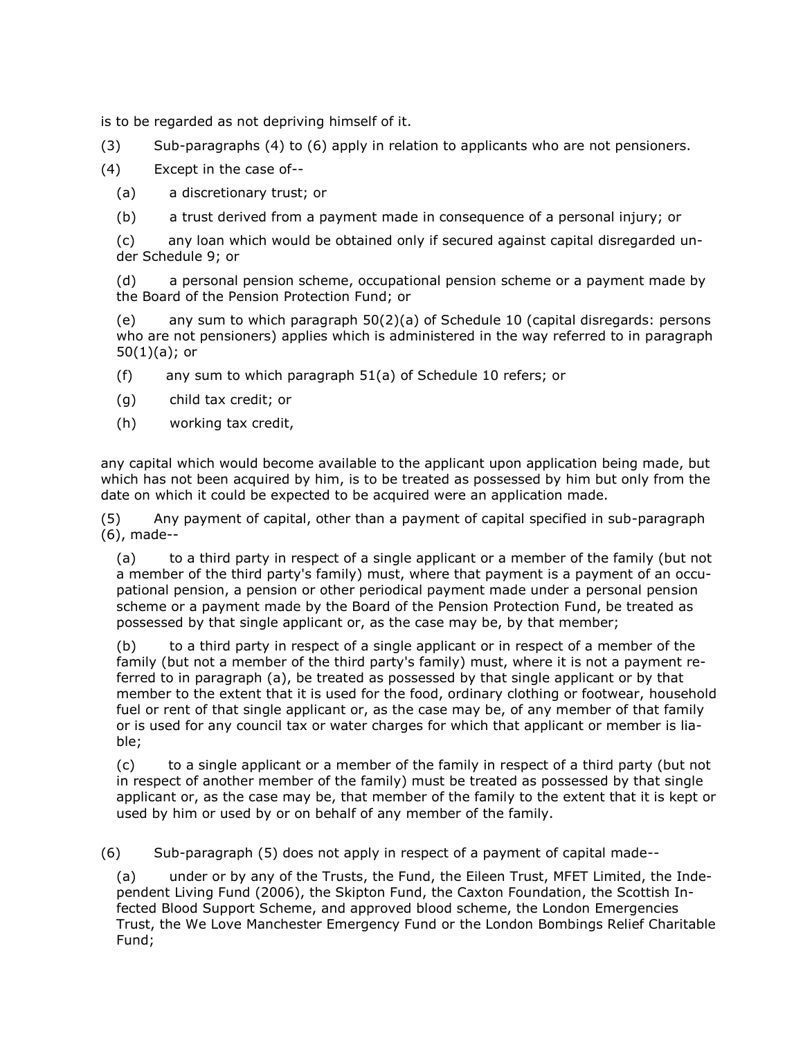is to be regarded as not depriving himself of it.

(3) Sub-paragraphs (4) to (6) apply in relation to applicants who are not pensioners.

(4) Except in the case of--

- (a) a discretionary trust; or
- (b) a trust derived from a payment made in consequence of a personal injury; or

(c) any loan which would be obtained only if secured against capital disregarded under Schedule 9; or

(d) a personal pension scheme, occupational pension scheme or a payment made by the Board of the Pension Protection Fund; or

(e) any sum to which paragraph 50(2)(a) of Schedule 10 (capital disregards: persons who are not pensioners) applies which is administered in the way referred to in paragraph 50(1)(a); or

- (f) any sum to which paragraph 51(a) of Schedule 10 refers; or
- (g) child tax credit; or
- (h) working tax credit,

any capital which would become available to the applicant upon application being made, but which has not been acquired by him, is to be treated as possessed by him but only from the date on which it could be expected to be acquired were an application made.

(5) Any payment of capital, other than a payment of capital specified in sub-paragraph (6), made--

(a) to a third party in respect of a single applicant or a member of the family (but not a member of the third party's family) must, where that payment is a payment of an occupational pension, a pension or other periodical payment made under a personal pension scheme or a payment made by the Board of the Pension Protection Fund, be treated as possessed by that single applicant or, as the case may be, by that member;

(b) to a third party in respect of a single applicant or in respect of a member of the family (but not a member of the third party's family) must, where it is not a payment referred to in paragraph (a), be treated as possessed by that single applicant or by that member to the extent that it is used for the food, ordinary clothing or footwear, household fuel or rent of that single applicant or, as the case may be, of any member of that family or is used for any council tax or water charges for which that applicant or member is liable;

(c) to a single applicant or a member of the family in respect of a third party (but not in respect of another member of the family) must be treated as possessed by that single applicant or, as the case may be, that member of the family to the extent that it is kept or used by him or used by or on behalf of any member of the family.

(6) Sub-paragraph (5) does not apply in respect of a payment of capital made--

(a) under or by any of the Trusts, the Fund, the Eileen Trust, MFET Limited, the Independent Living Fund (2006), the Skipton Fund, the Caxton Foundation, the Scottish Infected Blood Support Scheme, and approved blood scheme, the London Emergencies Trust, the We Love Manchester Emergency Fund or the London Bombings Relief Charitable Fund;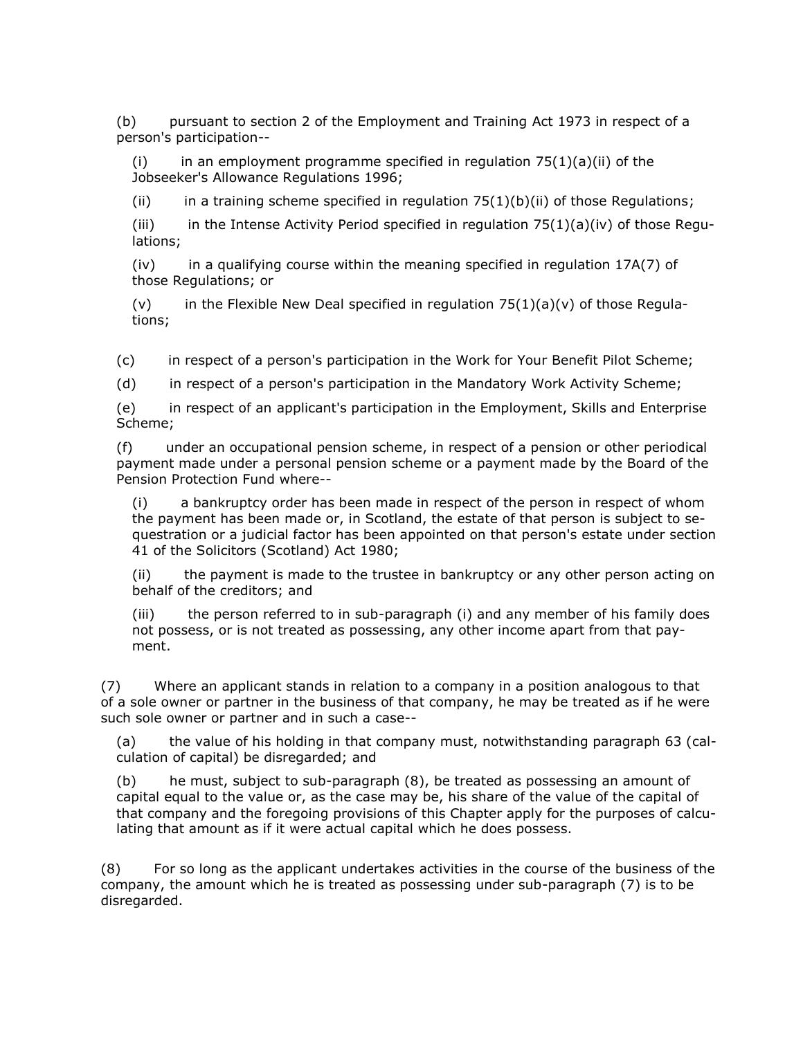(b) pursuant to section 2 of the Employment and Training Act 1973 in respect of a person's participation--

(i) in an employment programme specified in regulation  $75(1)(a)(ii)$  of the Jobseeker's Allowance Regulations 1996;

(ii) in a training scheme specified in regulation  $75(1)(b)(ii)$  of those Regulations;

(iii) in the Intense Activity Period specified in regulation  $75(1)(a)(iv)$  of those Regulations;

(iv) in a qualifying course within the meaning specified in regulation 17A(7) of those Regulations; or

(v) in the Flexible New Deal specified in regulation  $75(1)(a)(v)$  of those Regulations;

(c) in respect of a person's participation in the Work for Your Benefit Pilot Scheme;

(d) in respect of a person's participation in the Mandatory Work Activity Scheme;

(e) in respect of an applicant's participation in the Employment, Skills and Enterprise Scheme;

(f) under an occupational pension scheme, in respect of a pension or other periodical payment made under a personal pension scheme or a payment made by the Board of the Pension Protection Fund where--

(i) a bankruptcy order has been made in respect of the person in respect of whom the payment has been made or, in Scotland, the estate of that person is subject to sequestration or a judicial factor has been appointed on that person's estate under section 41 of the Solicitors (Scotland) Act 1980;

(ii) the payment is made to the trustee in bankruptcy or any other person acting on behalf of the creditors; and

(iii) the person referred to in sub-paragraph (i) and any member of his family does not possess, or is not treated as possessing, any other income apart from that payment.

(7) Where an applicant stands in relation to a company in a position analogous to that of a sole owner or partner in the business of that company, he may be treated as if he were such sole owner or partner and in such a case--

(a) the value of his holding in that company must, notwithstanding paragraph 63 (calculation of capital) be disregarded; and

(b) he must, subject to sub-paragraph (8), be treated as possessing an amount of capital equal to the value or, as the case may be, his share of the value of the capital of that company and the foregoing provisions of this Chapter apply for the purposes of calculating that amount as if it were actual capital which he does possess.

(8) For so long as the applicant undertakes activities in the course of the business of the company, the amount which he is treated as possessing under sub-paragraph (7) is to be disregarded.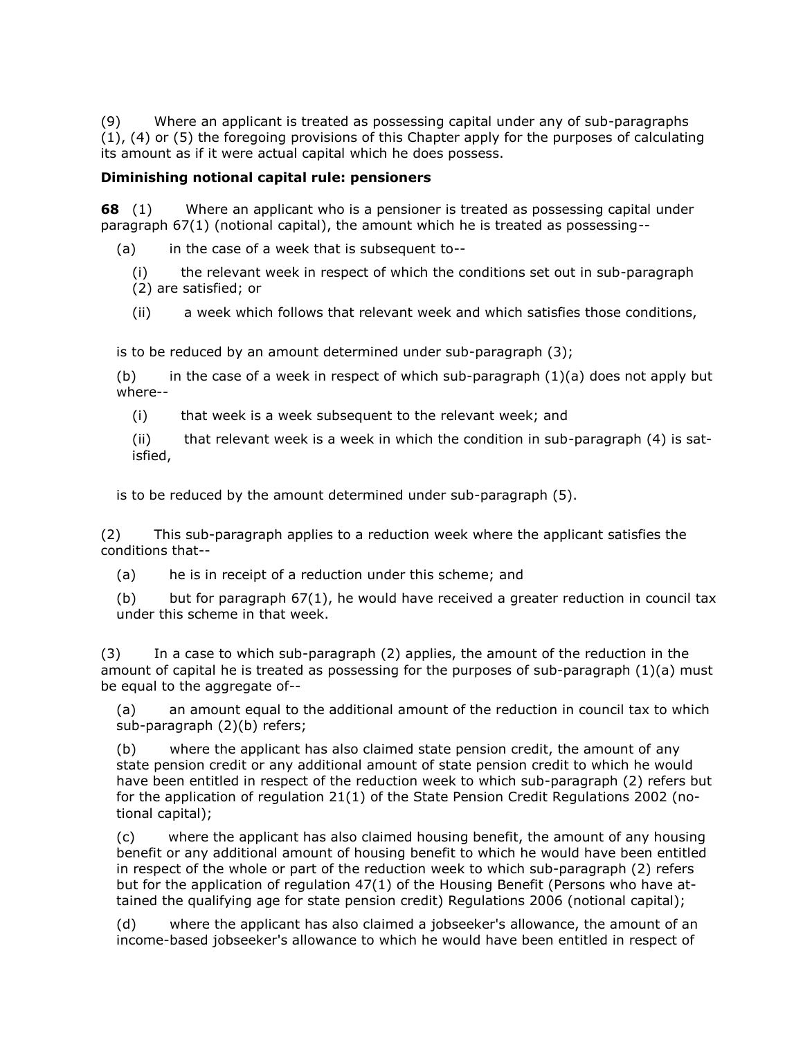(9) Where an applicant is treated as possessing capital under any of sub-paragraphs (1), (4) or (5) the foregoing provisions of this Chapter apply for the purposes of calculating its amount as if it were actual capital which he does possess.

## **Diminishing notional capital rule: pensioners**

**68** (1) Where an applicant who is a pensioner is treated as possessing capital under paragraph 67(1) (notional capital), the amount which he is treated as possessing--

(a) in the case of a week that is subsequent to--

- (i) the relevant week in respect of which the conditions set out in sub-paragraph (2) are satisfied; or
- (ii) a week which follows that relevant week and which satisfies those conditions,

is to be reduced by an amount determined under sub-paragraph (3);

(b) in the case of a week in respect of which sub-paragraph  $(1)(a)$  does not apply but where--

(i) that week is a week subsequent to the relevant week; and

(ii) that relevant week is a week in which the condition in sub-paragraph (4) is satisfied,

is to be reduced by the amount determined under sub-paragraph (5).

(2) This sub-paragraph applies to a reduction week where the applicant satisfies the conditions that--

(a) he is in receipt of a reduction under this scheme; and

(b) but for paragraph  $67(1)$ , he would have received a greater reduction in council tax under this scheme in that week.

(3) In a case to which sub-paragraph (2) applies, the amount of the reduction in the amount of capital he is treated as possessing for the purposes of sub-paragraph (1)(a) must be equal to the aggregate of--

(a) an amount equal to the additional amount of the reduction in council tax to which sub-paragraph (2)(b) refers;

(b) where the applicant has also claimed state pension credit, the amount of any state pension credit or any additional amount of state pension credit to which he would have been entitled in respect of the reduction week to which sub-paragraph (2) refers but for the application of regulation 21(1) of the State Pension Credit Regulations 2002 (notional capital);

(c) where the applicant has also claimed housing benefit, the amount of any housing benefit or any additional amount of housing benefit to which he would have been entitled in respect of the whole or part of the reduction week to which sub-paragraph (2) refers but for the application of regulation 47(1) of the Housing Benefit (Persons who have attained the qualifying age for state pension credit) Regulations 2006 (notional capital);

(d) where the applicant has also claimed a jobseeker's allowance, the amount of an income-based jobseeker's allowance to which he would have been entitled in respect of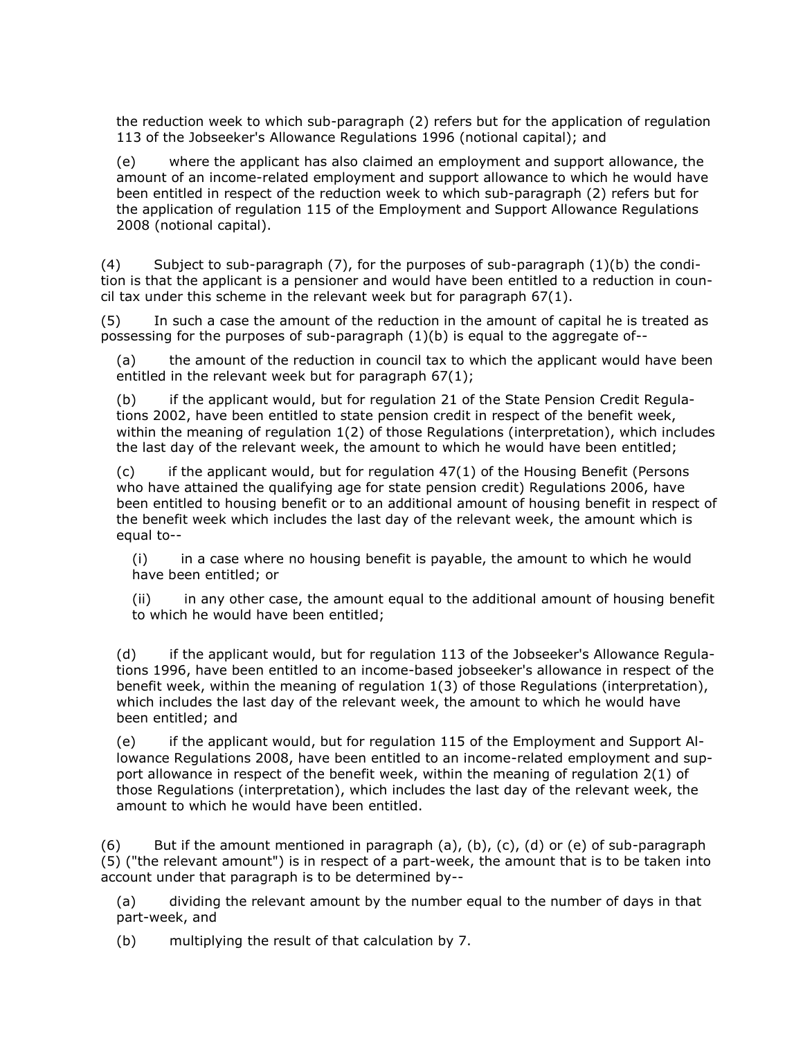the reduction week to which sub-paragraph (2) refers but for the application of regulation 113 of the Jobseeker's Allowance Regulations 1996 (notional capital); and

(e) where the applicant has also claimed an employment and support allowance, the amount of an income-related employment and support allowance to which he would have been entitled in respect of the reduction week to which sub-paragraph (2) refers but for the application of regulation 115 of the Employment and Support Allowance Regulations 2008 (notional capital).

(4) Subject to sub-paragraph (7), for the purposes of sub-paragraph (1)(b) the condition is that the applicant is a pensioner and would have been entitled to a reduction in council tax under this scheme in the relevant week but for paragraph 67(1).

(5) In such a case the amount of the reduction in the amount of capital he is treated as possessing for the purposes of sub-paragraph (1)(b) is equal to the aggregate of--

(a) the amount of the reduction in council tax to which the applicant would have been entitled in the relevant week but for paragraph 67(1);

(b) if the applicant would, but for regulation 21 of the State Pension Credit Regulations 2002, have been entitled to state pension credit in respect of the benefit week, within the meaning of regulation 1(2) of those Regulations (interpretation), which includes the last day of the relevant week, the amount to which he would have been entitled;

 $(c)$  if the applicant would, but for regulation  $47(1)$  of the Housing Benefit (Persons who have attained the qualifying age for state pension credit) Regulations 2006, have been entitled to housing benefit or to an additional amount of housing benefit in respect of the benefit week which includes the last day of the relevant week, the amount which is equal to--

(i) in a case where no housing benefit is payable, the amount to which he would have been entitled; or

(ii) in any other case, the amount equal to the additional amount of housing benefit to which he would have been entitled;

(d) if the applicant would, but for regulation 113 of the Jobseeker's Allowance Regulations 1996, have been entitled to an income-based jobseeker's allowance in respect of the benefit week, within the meaning of regulation 1(3) of those Regulations (interpretation), which includes the last day of the relevant week, the amount to which he would have been entitled; and

(e) if the applicant would, but for regulation 115 of the Employment and Support Allowance Regulations 2008, have been entitled to an income-related employment and support allowance in respect of the benefit week, within the meaning of regulation 2(1) of those Regulations (interpretation), which includes the last day of the relevant week, the amount to which he would have been entitled.

 $(6)$  But if the amount mentioned in paragraph  $(a)$ ,  $(b)$ ,  $(c)$ ,  $(d)$  or  $(e)$  of sub-paragraph (5) ("the relevant amount") is in respect of a part-week, the amount that is to be taken into account under that paragraph is to be determined by--

(a) dividing the relevant amount by the number equal to the number of days in that part-week, and

(b) multiplying the result of that calculation by 7.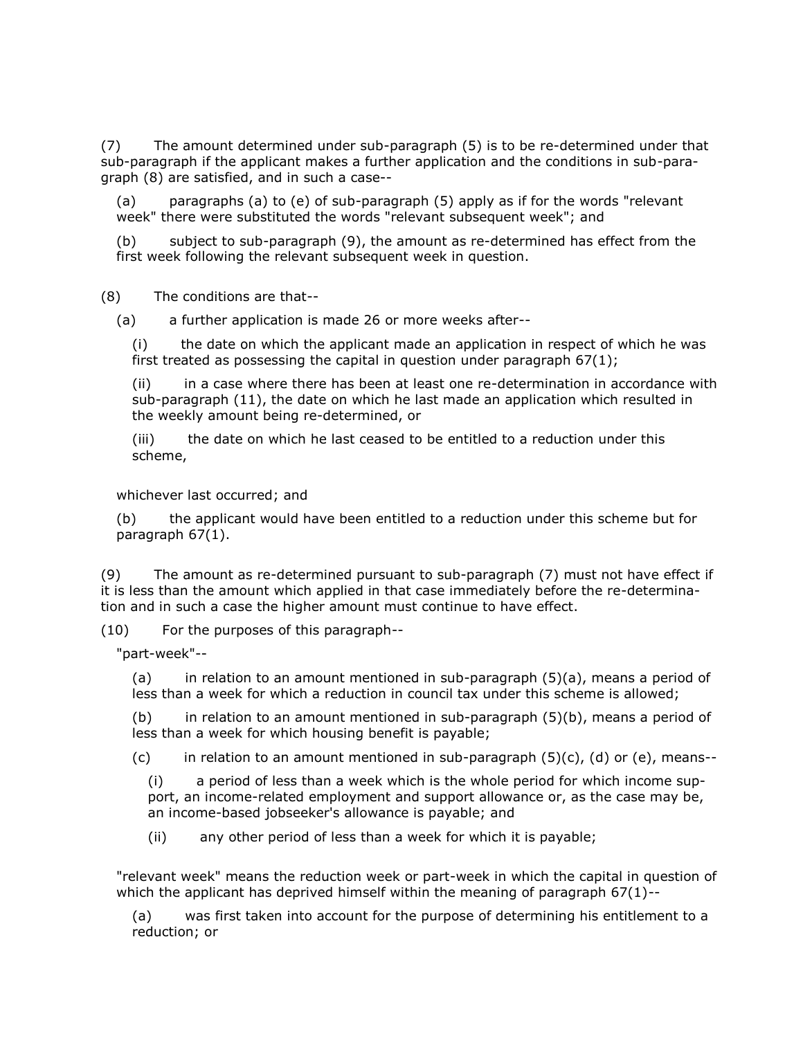(7) The amount determined under sub-paragraph (5) is to be re-determined under that sub-paragraph if the applicant makes a further application and the conditions in sub-paragraph (8) are satisfied, and in such a case--

(a) paragraphs (a) to (e) of sub-paragraph (5) apply as if for the words "relevant week" there were substituted the words "relevant subsequent week"; and

(b) subject to sub-paragraph (9), the amount as re-determined has effect from the first week following the relevant subsequent week in question.

(8) The conditions are that--

(a) a further application is made 26 or more weeks after--

(i) the date on which the applicant made an application in respect of which he was first treated as possessing the capital in question under paragraph  $67(1)$ ;

(ii) in a case where there has been at least one re-determination in accordance with sub-paragraph (11), the date on which he last made an application which resulted in the weekly amount being re-determined, or

(iii) the date on which he last ceased to be entitled to a reduction under this scheme,

whichever last occurred; and

(b) the applicant would have been entitled to a reduction under this scheme but for paragraph 67(1).

(9) The amount as re-determined pursuant to sub-paragraph (7) must not have effect if it is less than the amount which applied in that case immediately before the re-determination and in such a case the higher amount must continue to have effect.

(10) For the purposes of this paragraph--

"part-week"--

(a) in relation to an amount mentioned in sub-paragraph  $(5)(a)$ , means a period of less than a week for which a reduction in council tax under this scheme is allowed;

(b) in relation to an amount mentioned in sub-paragraph  $(5)(b)$ , means a period of less than a week for which housing benefit is payable;

(c) in relation to an amount mentioned in sub-paragraph  $(5)(c)$ ,  $(d)$  or  $(e)$ , means--

(i) a period of less than a week which is the whole period for which income support, an income-related employment and support allowance or, as the case may be, an income-based jobseeker's allowance is payable; and

(ii) any other period of less than a week for which it is payable;

"relevant week" means the reduction week or part-week in which the capital in question of which the applicant has deprived himself within the meaning of paragraph 67(1)--

(a) was first taken into account for the purpose of determining his entitlement to a reduction; or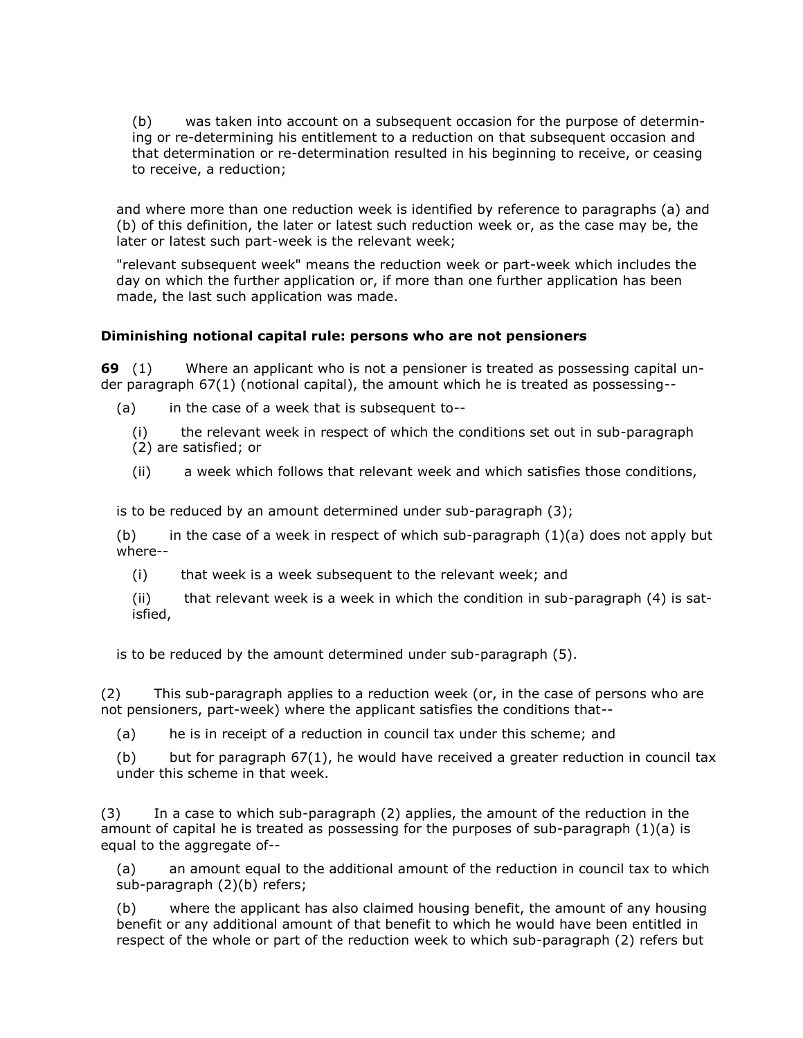(b) was taken into account on a subsequent occasion for the purpose of determining or re-determining his entitlement to a reduction on that subsequent occasion and that determination or re-determination resulted in his beginning to receive, or ceasing to receive, a reduction;

and where more than one reduction week is identified by reference to paragraphs (a) and (b) of this definition, the later or latest such reduction week or, as the case may be, the later or latest such part-week is the relevant week;

"relevant subsequent week" means the reduction week or part-week which includes the day on which the further application or, if more than one further application has been made, the last such application was made.

## **Diminishing notional capital rule: persons who are not pensioners**

**69** (1) Where an applicant who is not a pensioner is treated as possessing capital under paragraph 67(1) (notional capital), the amount which he is treated as possessing--

(a) in the case of a week that is subsequent to--

(i) the relevant week in respect of which the conditions set out in sub-paragraph (2) are satisfied; or

(ii) a week which follows that relevant week and which satisfies those conditions,

is to be reduced by an amount determined under sub-paragraph (3);

(b) in the case of a week in respect of which sub-paragraph  $(1)(a)$  does not apply but where--

(i) that week is a week subsequent to the relevant week; and

(ii) that relevant week is a week in which the condition in sub-paragraph (4) is satisfied,

is to be reduced by the amount determined under sub-paragraph (5).

(2) This sub-paragraph applies to a reduction week (or, in the case of persons who are not pensioners, part-week) where the applicant satisfies the conditions that--

(a) he is in receipt of a reduction in council tax under this scheme; and

(b) but for paragraph  $67(1)$ , he would have received a greater reduction in council tax under this scheme in that week.

(3) In a case to which sub-paragraph (2) applies, the amount of the reduction in the amount of capital he is treated as possessing for the purposes of sub-paragraph (1)(a) is equal to the aggregate of--

(a) an amount equal to the additional amount of the reduction in council tax to which sub-paragraph (2)(b) refers;

(b) where the applicant has also claimed housing benefit, the amount of any housing benefit or any additional amount of that benefit to which he would have been entitled in respect of the whole or part of the reduction week to which sub-paragraph (2) refers but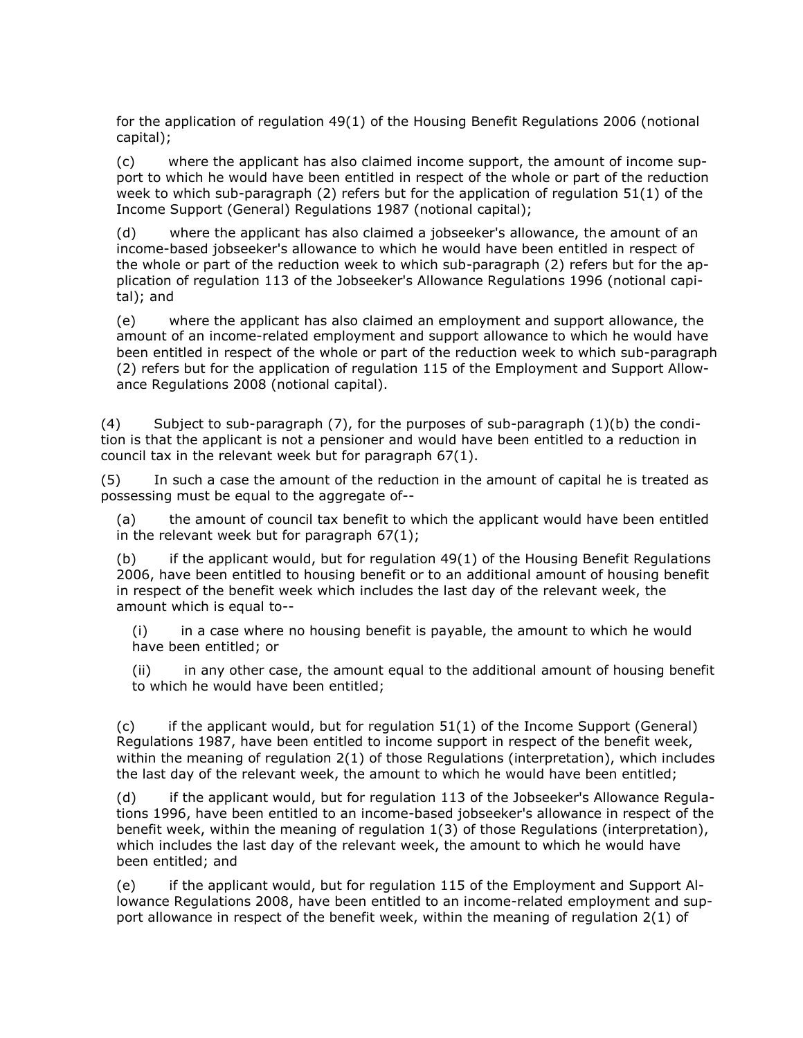for the application of regulation 49(1) of the Housing Benefit Regulations 2006 (notional capital);

(c) where the applicant has also claimed income support, the amount of income support to which he would have been entitled in respect of the whole or part of the reduction week to which sub-paragraph (2) refers but for the application of regulation  $51(1)$  of the Income Support (General) Regulations 1987 (notional capital);

(d) where the applicant has also claimed a jobseeker's allowance, the amount of an income-based jobseeker's allowance to which he would have been entitled in respect of the whole or part of the reduction week to which sub-paragraph (2) refers but for the application of regulation 113 of the Jobseeker's Allowance Regulations 1996 (notional capital); and

(e) where the applicant has also claimed an employment and support allowance, the amount of an income-related employment and support allowance to which he would have been entitled in respect of the whole or part of the reduction week to which sub-paragraph (2) refers but for the application of regulation 115 of the Employment and Support Allowance Regulations 2008 (notional capital).

(4) Subject to sub-paragraph (7), for the purposes of sub-paragraph (1)(b) the condition is that the applicant is not a pensioner and would have been entitled to a reduction in council tax in the relevant week but for paragraph 67(1).

(5) In such a case the amount of the reduction in the amount of capital he is treated as possessing must be equal to the aggregate of--

(a) the amount of council tax benefit to which the applicant would have been entitled in the relevant week but for paragraph  $67(1)$ ;

(b) if the applicant would, but for regulation  $49(1)$  of the Housing Benefit Regulations 2006, have been entitled to housing benefit or to an additional amount of housing benefit in respect of the benefit week which includes the last day of the relevant week, the amount which is equal to--

(i) in a case where no housing benefit is payable, the amount to which he would have been entitled; or

(ii) in any other case, the amount equal to the additional amount of housing benefit to which he would have been entitled;

 $(c)$  if the applicant would, but for regulation  $51(1)$  of the Income Support (General) Regulations 1987, have been entitled to income support in respect of the benefit week, within the meaning of regulation 2(1) of those Regulations (interpretation), which includes the last day of the relevant week, the amount to which he would have been entitled;

(d) if the applicant would, but for regulation 113 of the Jobseeker's Allowance Regulations 1996, have been entitled to an income-based jobseeker's allowance in respect of the benefit week, within the meaning of regulation 1(3) of those Regulations (interpretation), which includes the last day of the relevant week, the amount to which he would have been entitled; and

(e) if the applicant would, but for regulation 115 of the Employment and Support Allowance Regulations 2008, have been entitled to an income-related employment and support allowance in respect of the benefit week, within the meaning of regulation 2(1) of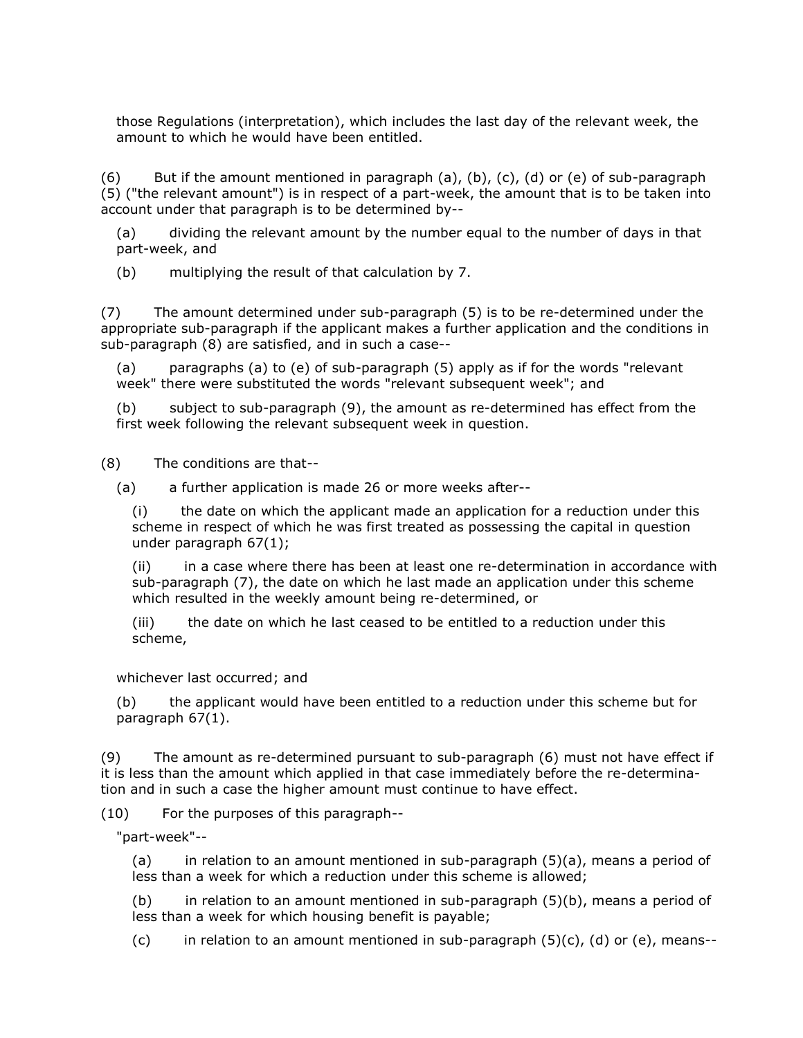those Regulations (interpretation), which includes the last day of the relevant week, the amount to which he would have been entitled.

 $(6)$  But if the amount mentioned in paragraph  $(a)$ ,  $(b)$ ,  $(c)$ ,  $(d)$  or  $(e)$  of sub-paragraph (5) ("the relevant amount") is in respect of a part-week, the amount that is to be taken into account under that paragraph is to be determined by--

(a) dividing the relevant amount by the number equal to the number of days in that part-week, and

(b) multiplying the result of that calculation by 7.

(7) The amount determined under sub-paragraph (5) is to be re-determined under the appropriate sub-paragraph if the applicant makes a further application and the conditions in sub-paragraph (8) are satisfied, and in such a case--

(a) paragraphs (a) to (e) of sub-paragraph (5) apply as if for the words "relevant week" there were substituted the words "relevant subsequent week"; and

(b) subject to sub-paragraph (9), the amount as re-determined has effect from the first week following the relevant subsequent week in question.

(8) The conditions are that--

(a) a further application is made 26 or more weeks after--

(i) the date on which the applicant made an application for a reduction under this scheme in respect of which he was first treated as possessing the capital in question under paragraph 67(1);

(ii) in a case where there has been at least one re-determination in accordance with sub-paragraph (7), the date on which he last made an application under this scheme which resulted in the weekly amount being re-determined, or

(iii) the date on which he last ceased to be entitled to a reduction under this scheme,

whichever last occurred; and

(b) the applicant would have been entitled to a reduction under this scheme but for paragraph 67(1).

(9) The amount as re-determined pursuant to sub-paragraph (6) must not have effect if it is less than the amount which applied in that case immediately before the re-determination and in such a case the higher amount must continue to have effect.

(10) For the purposes of this paragraph--

"part-week"--

(a) in relation to an amount mentioned in sub-paragraph (5)(a), means a period of less than a week for which a reduction under this scheme is allowed;

(b) in relation to an amount mentioned in sub-paragraph (5)(b), means a period of less than a week for which housing benefit is payable;

(c) in relation to an amount mentioned in sub-paragraph  $(5)(c)$ ,  $(d)$  or  $(e)$ , means--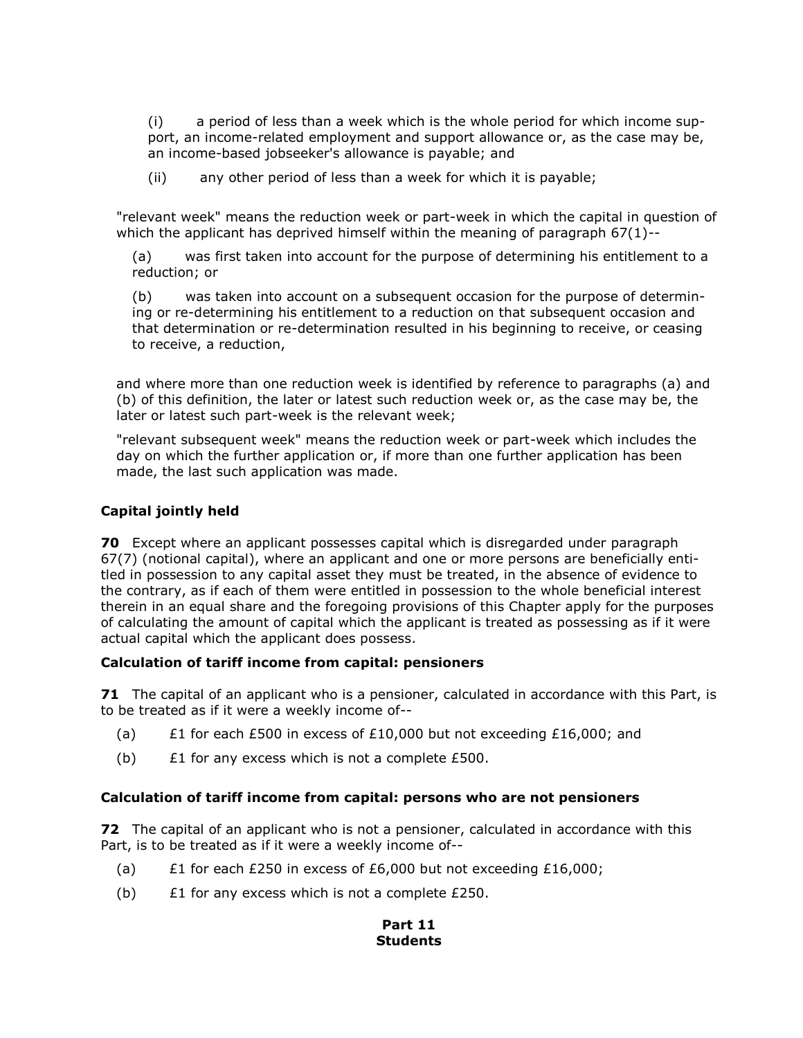(i) a period of less than a week which is the whole period for which income support, an income-related employment and support allowance or, as the case may be, an income-based jobseeker's allowance is payable; and

(ii) any other period of less than a week for which it is payable;

"relevant week" means the reduction week or part-week in which the capital in question of which the applicant has deprived himself within the meaning of paragraph  $67(1)$ --

(a) was first taken into account for the purpose of determining his entitlement to a reduction; or

(b) was taken into account on a subsequent occasion for the purpose of determining or re-determining his entitlement to a reduction on that subsequent occasion and that determination or re-determination resulted in his beginning to receive, or ceasing to receive, a reduction,

and where more than one reduction week is identified by reference to paragraphs (a) and (b) of this definition, the later or latest such reduction week or, as the case may be, the later or latest such part-week is the relevant week;

"relevant subsequent week" means the reduction week or part-week which includes the day on which the further application or, if more than one further application has been made, the last such application was made.

# **Capital jointly held**

**70** Except where an applicant possesses capital which is disregarded under paragraph 67(7) (notional capital), where an applicant and one or more persons are beneficially entitled in possession to any capital asset they must be treated, in the absence of evidence to the contrary, as if each of them were entitled in possession to the whole beneficial interest therein in an equal share and the foregoing provisions of this Chapter apply for the purposes of calculating the amount of capital which the applicant is treated as possessing as if it were actual capital which the applicant does possess.

# **Calculation of tariff income from capital: pensioners**

**71** The capital of an applicant who is a pensioner, calculated in accordance with this Part, is to be treated as if it were a weekly income of--

- (a) £1 for each £500 in excess of £10,000 but not exceeding £16,000; and
- (b)  $E1$  for any excess which is not a complete  $E500$ .

## **Calculation of tariff income from capital: persons who are not pensioners**

**72** The capital of an applicant who is not a pensioner, calculated in accordance with this Part, is to be treated as if it were a weekly income of--

- (a)  $\angle$  £1 for each £250 in excess of £6,000 but not exceeding £16,000;
- (b) £1 for any excess which is not a complete £250.

# **Part 11 Students**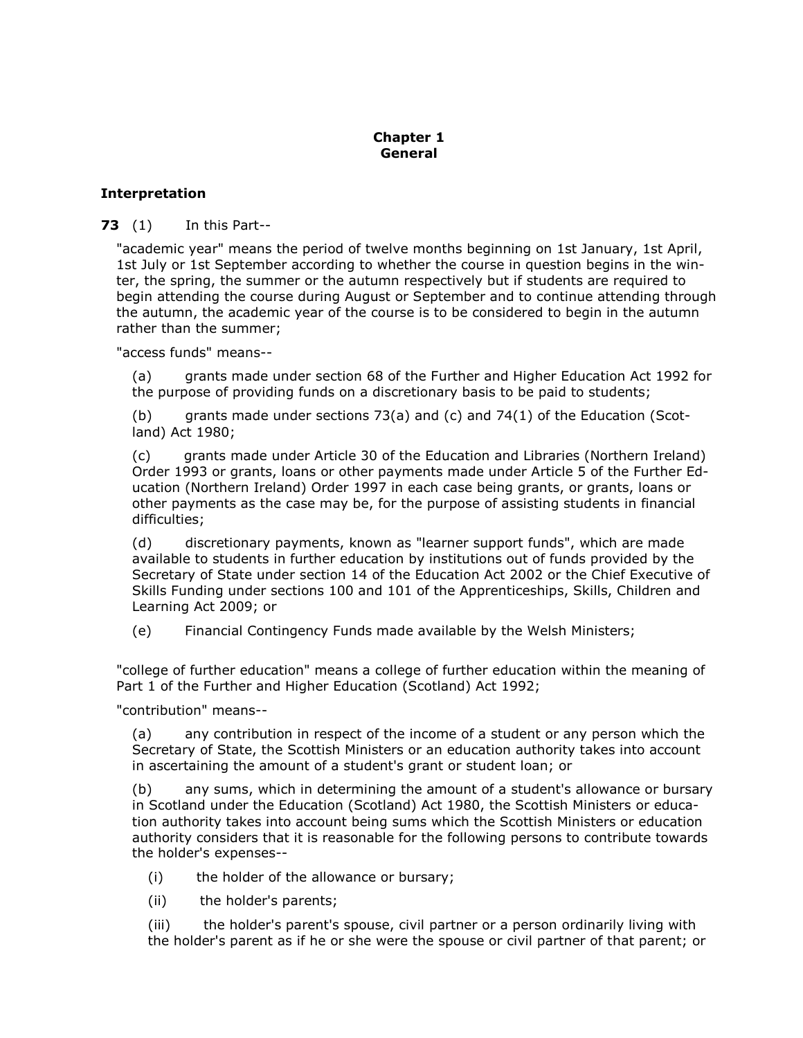#### **Chapter 1 General**

# **Interpretation**

**73** (1) In this Part--

"academic year" means the period of twelve months beginning on 1st January, 1st April, 1st July or 1st September according to whether the course in question begins in the winter, the spring, the summer or the autumn respectively but if students are required to begin attending the course during August or September and to continue attending through the autumn, the academic year of the course is to be considered to begin in the autumn rather than the summer;

"access funds" means--

(a) grants made under section 68 of the Further and Higher Education Act 1992 for the purpose of providing funds on a discretionary basis to be paid to students;

(b) grants made under sections 73(a) and (c) and 74(1) of the Education (Scotland) Act 1980;

(c) grants made under Article 30 of the Education and Libraries (Northern Ireland) Order 1993 or grants, loans or other payments made under Article 5 of the Further Education (Northern Ireland) Order 1997 in each case being grants, or grants, loans or other payments as the case may be, for the purpose of assisting students in financial difficulties;

(d) discretionary payments, known as "learner support funds", which are made available to students in further education by institutions out of funds provided by the Secretary of State under section 14 of the Education Act 2002 or the Chief Executive of Skills Funding under sections 100 and 101 of the Apprenticeships, Skills, Children and Learning Act 2009; or

(e) Financial Contingency Funds made available by the Welsh Ministers;

"college of further education" means a college of further education within the meaning of Part 1 of the Further and Higher Education (Scotland) Act 1992;

"contribution" means--

(a) any contribution in respect of the income of a student or any person which the Secretary of State, the Scottish Ministers or an education authority takes into account in ascertaining the amount of a student's grant or student loan; or

(b) any sums, which in determining the amount of a student's allowance or bursary in Scotland under the Education (Scotland) Act 1980, the Scottish Ministers or education authority takes into account being sums which the Scottish Ministers or education authority considers that it is reasonable for the following persons to contribute towards the holder's expenses--

(i) the holder of the allowance or bursary;

(ii) the holder's parents;

(iii) the holder's parent's spouse, civil partner or a person ordinarily living with the holder's parent as if he or she were the spouse or civil partner of that parent; or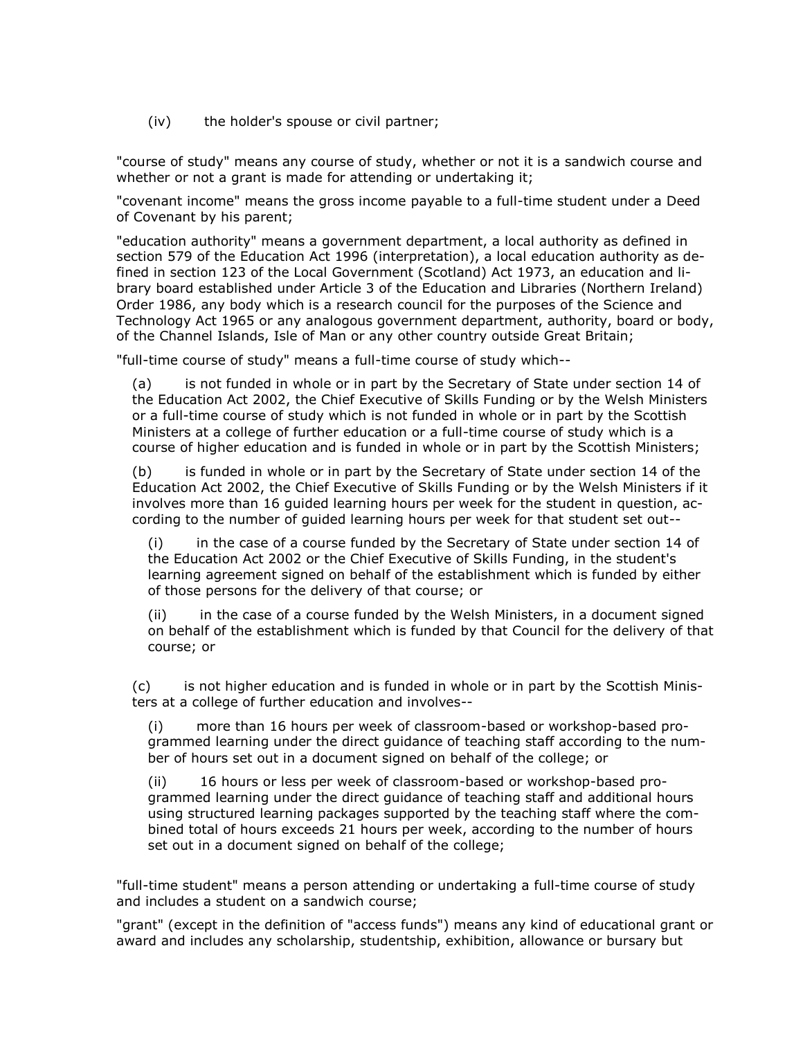(iv) the holder's spouse or civil partner;

"course of study" means any course of study, whether or not it is a sandwich course and whether or not a grant is made for attending or undertaking it;

"covenant income" means the gross income payable to a full-time student under a Deed of Covenant by his parent;

"education authority" means a government department, a local authority as defined in section 579 of the Education Act 1996 (interpretation), a local education authority as defined in section 123 of the Local Government (Scotland) Act 1973, an education and library board established under Article 3 of the Education and Libraries (Northern Ireland) Order 1986, any body which is a research council for the purposes of the Science and Technology Act 1965 or any analogous government department, authority, board or body, of the Channel Islands, Isle of Man or any other country outside Great Britain;

"full-time course of study" means a full-time course of study which--

(a) is not funded in whole or in part by the Secretary of State under section 14 of the Education Act 2002, the Chief Executive of Skills Funding or by the Welsh Ministers or a full-time course of study which is not funded in whole or in part by the Scottish Ministers at a college of further education or a full-time course of study which is a course of higher education and is funded in whole or in part by the Scottish Ministers;

(b) is funded in whole or in part by the Secretary of State under section 14 of the Education Act 2002, the Chief Executive of Skills Funding or by the Welsh Ministers if it involves more than 16 guided learning hours per week for the student in question, according to the number of guided learning hours per week for that student set out--

in the case of a course funded by the Secretary of State under section 14 of the Education Act 2002 or the Chief Executive of Skills Funding, in the student's learning agreement signed on behalf of the establishment which is funded by either of those persons for the delivery of that course; or

(ii) in the case of a course funded by the Welsh Ministers, in a document signed on behalf of the establishment which is funded by that Council for the delivery of that course; or

(c) is not higher education and is funded in whole or in part by the Scottish Ministers at a college of further education and involves--

(i) more than 16 hours per week of classroom-based or workshop-based programmed learning under the direct guidance of teaching staff according to the number of hours set out in a document signed on behalf of the college; or

(ii) 16 hours or less per week of classroom-based or workshop-based programmed learning under the direct guidance of teaching staff and additional hours using structured learning packages supported by the teaching staff where the combined total of hours exceeds 21 hours per week, according to the number of hours set out in a document signed on behalf of the college;

"full-time student" means a person attending or undertaking a full-time course of study and includes a student on a sandwich course;

"grant" (except in the definition of "access funds") means any kind of educational grant or award and includes any scholarship, studentship, exhibition, allowance or bursary but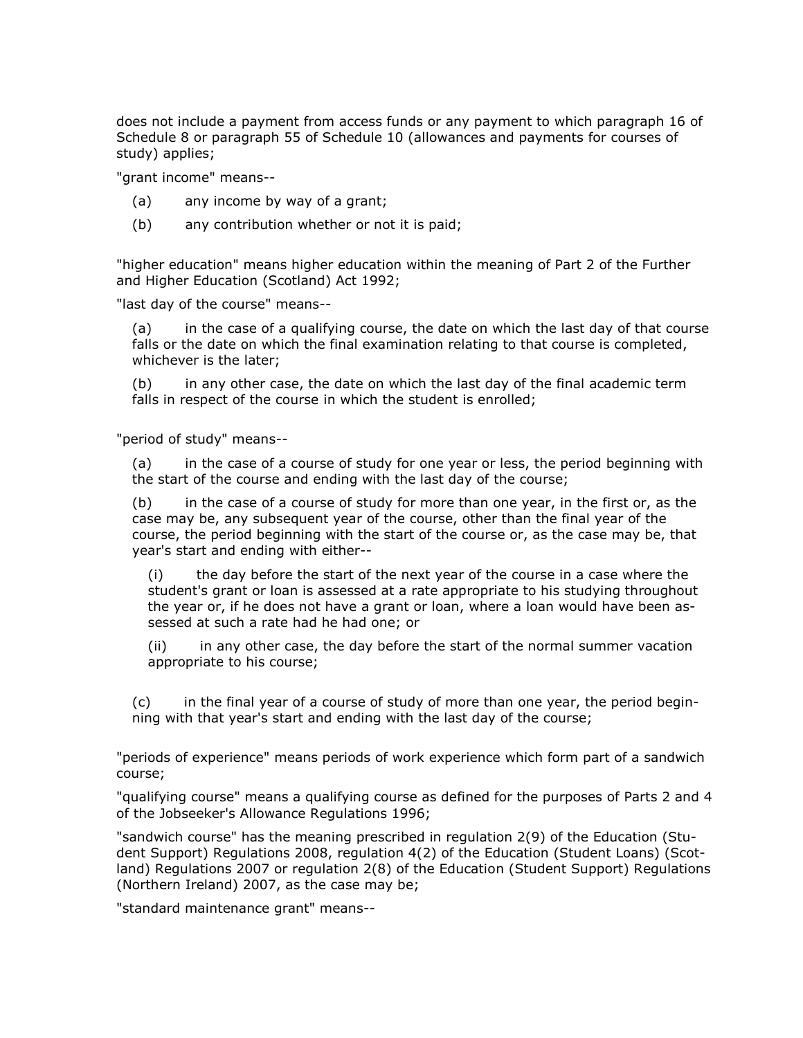does not include a payment from access funds or any payment to which paragraph 16 of Schedule 8 or paragraph 55 of Schedule 10 (allowances and payments for courses of study) applies;

"grant income" means--

- (a) any income by way of a grant;
- (b) any contribution whether or not it is paid;

"higher education" means higher education within the meaning of Part 2 of the Further and Higher Education (Scotland) Act 1992;

"last day of the course" means--

(a) in the case of a qualifying course, the date on which the last day of that course falls or the date on which the final examination relating to that course is completed, whichever is the later;

(b) in any other case, the date on which the last day of the final academic term falls in respect of the course in which the student is enrolled;

"period of study" means--

(a) in the case of a course of study for one year or less, the period beginning with the start of the course and ending with the last day of the course;

(b) in the case of a course of study for more than one year, in the first or, as the case may be, any subsequent year of the course, other than the final year of the course, the period beginning with the start of the course or, as the case may be, that year's start and ending with either--

(i) the day before the start of the next year of the course in a case where the student's grant or loan is assessed at a rate appropriate to his studying throughout the year or, if he does not have a grant or loan, where a loan would have been assessed at such a rate had he had one; or

(ii) in any other case, the day before the start of the normal summer vacation appropriate to his course;

(c) in the final year of a course of study of more than one year, the period beginning with that year's start and ending with the last day of the course;

"periods of experience" means periods of work experience which form part of a sandwich course;

"qualifying course" means a qualifying course as defined for the purposes of Parts 2 and 4 of the Jobseeker's Allowance Regulations 1996;

"sandwich course" has the meaning prescribed in regulation 2(9) of the Education (Student Support) Regulations 2008, regulation 4(2) of the Education (Student Loans) (Scotland) Regulations 2007 or regulation 2(8) of the Education (Student Support) Regulations (Northern Ireland) 2007, as the case may be;

"standard maintenance grant" means--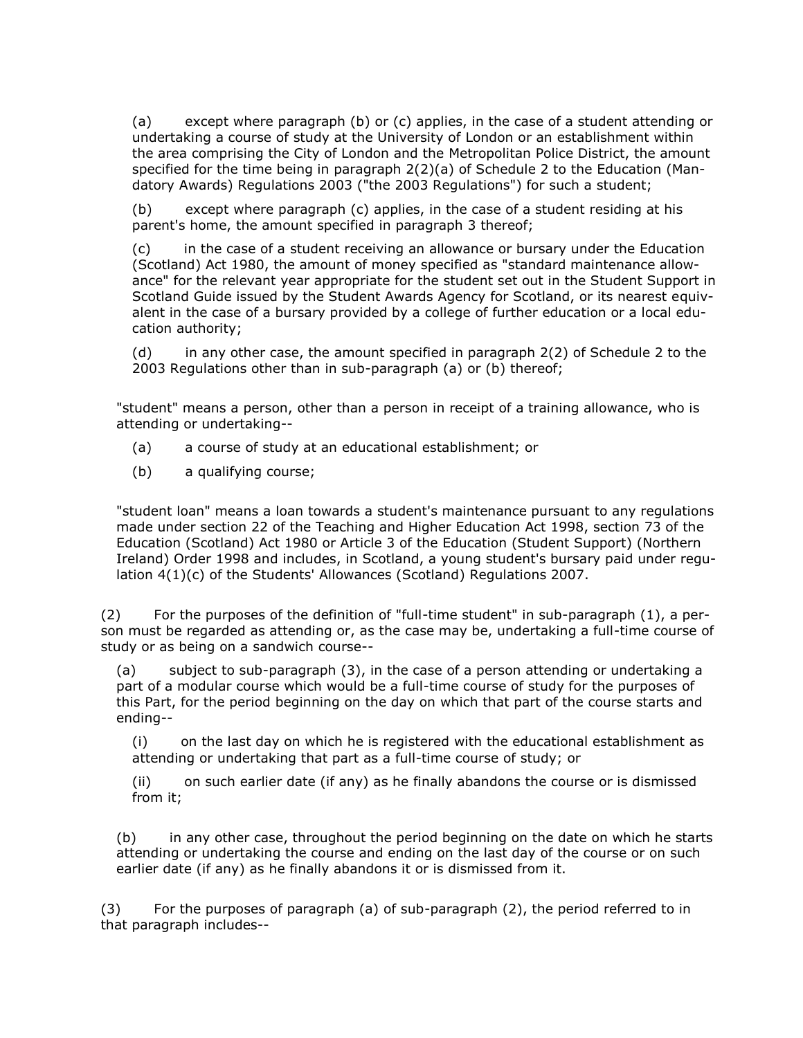(a) except where paragraph (b) or (c) applies, in the case of a student attending or undertaking a course of study at the University of London or an establishment within the area comprising the City of London and the Metropolitan Police District, the amount specified for the time being in paragraph 2(2)(a) of Schedule 2 to the Education (Mandatory Awards) Regulations 2003 ("the 2003 Regulations") for such a student;

(b) except where paragraph (c) applies, in the case of a student residing at his parent's home, the amount specified in paragraph 3 thereof;

(c) in the case of a student receiving an allowance or bursary under the Education (Scotland) Act 1980, the amount of money specified as "standard maintenance allowance" for the relevant year appropriate for the student set out in the Student Support in Scotland Guide issued by the Student Awards Agency for Scotland, or its nearest equivalent in the case of a bursary provided by a college of further education or a local education authority;

(d) in any other case, the amount specified in paragraph 2(2) of Schedule 2 to the 2003 Regulations other than in sub-paragraph (a) or (b) thereof;

"student" means a person, other than a person in receipt of a training allowance, who is attending or undertaking--

- (a) a course of study at an educational establishment; or
- (b) a qualifying course;

"student loan" means a loan towards a student's maintenance pursuant to any regulations made under section 22 of the Teaching and Higher Education Act 1998, section 73 of the Education (Scotland) Act 1980 or Article 3 of the Education (Student Support) (Northern Ireland) Order 1998 and includes, in Scotland, a young student's bursary paid under regulation 4(1)(c) of the Students' Allowances (Scotland) Regulations 2007.

(2) For the purposes of the definition of "full-time student" in sub-paragraph (1), a person must be regarded as attending or, as the case may be, undertaking a full-time course of study or as being on a sandwich course--

(a) subject to sub-paragraph (3), in the case of a person attending or undertaking a part of a modular course which would be a full-time course of study for the purposes of this Part, for the period beginning on the day on which that part of the course starts and ending--

(i) on the last day on which he is registered with the educational establishment as attending or undertaking that part as a full-time course of study; or

(ii) on such earlier date (if any) as he finally abandons the course or is dismissed from it;

(b) in any other case, throughout the period beginning on the date on which he starts attending or undertaking the course and ending on the last day of the course or on such earlier date (if any) as he finally abandons it or is dismissed from it.

(3) For the purposes of paragraph (a) of sub-paragraph (2), the period referred to in that paragraph includes--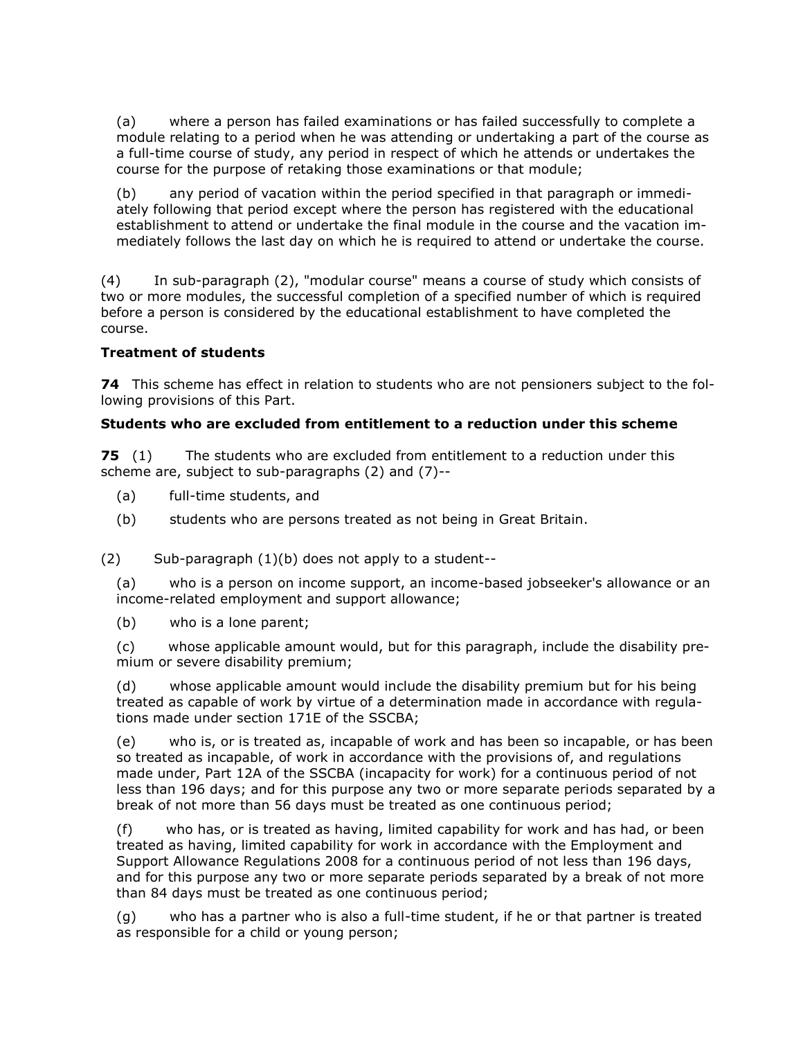(a) where a person has failed examinations or has failed successfully to complete a module relating to a period when he was attending or undertaking a part of the course as a full-time course of study, any period in respect of which he attends or undertakes the course for the purpose of retaking those examinations or that module;

(b) any period of vacation within the period specified in that paragraph or immediately following that period except where the person has registered with the educational establishment to attend or undertake the final module in the course and the vacation immediately follows the last day on which he is required to attend or undertake the course.

(4) In sub-paragraph (2), "modular course" means a course of study which consists of two or more modules, the successful completion of a specified number of which is required before a person is considered by the educational establishment to have completed the course.

# **Treatment of students**

**74** This scheme has effect in relation to students who are not pensioners subject to the following provisions of this Part.

# **Students who are excluded from entitlement to a reduction under this scheme**

**75** (1) The students who are excluded from entitlement to a reduction under this scheme are, subject to sub-paragraphs (2) and (7)--

- (a) full-time students, and
- (b) students who are persons treated as not being in Great Britain.
- $(2)$  Sub-paragraph  $(1)(b)$  does not apply to a student--

(a) who is a person on income support, an income-based jobseeker's allowance or an income-related employment and support allowance;

(b) who is a lone parent;

(c) whose applicable amount would, but for this paragraph, include the disability premium or severe disability premium;

(d) whose applicable amount would include the disability premium but for his being treated as capable of work by virtue of a determination made in accordance with regulations made under section 171E of the SSCBA;

(e) who is, or is treated as, incapable of work and has been so incapable, or has been so treated as incapable, of work in accordance with the provisions of, and regulations made under, Part 12A of the SSCBA (incapacity for work) for a continuous period of not less than 196 days; and for this purpose any two or more separate periods separated by a break of not more than 56 days must be treated as one continuous period;

(f) who has, or is treated as having, limited capability for work and has had, or been treated as having, limited capability for work in accordance with the Employment and Support Allowance Regulations 2008 for a continuous period of not less than 196 days, and for this purpose any two or more separate periods separated by a break of not more than 84 days must be treated as one continuous period;

(g) who has a partner who is also a full-time student, if he or that partner is treated as responsible for a child or young person;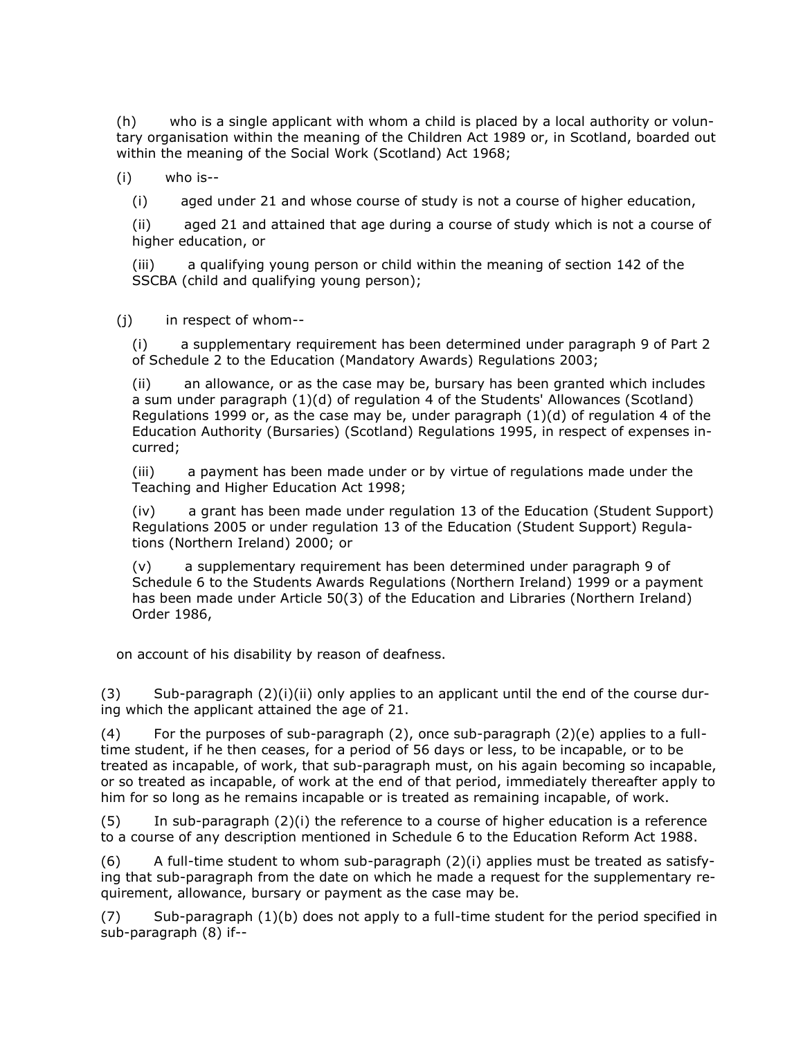(h) who is a single applicant with whom a child is placed by a local authority or voluntary organisation within the meaning of the Children Act 1989 or, in Scotland, boarded out within the meaning of the Social Work (Scotland) Act 1968;

(i) who is--

(i) aged under 21 and whose course of study is not a course of higher education,

(ii) aged 21 and attained that age during a course of study which is not a course of higher education, or

(iii) a qualifying young person or child within the meaning of section 142 of the SSCBA (child and qualifying young person);

(j) in respect of whom--

(i) a supplementary requirement has been determined under paragraph 9 of Part 2 of Schedule 2 to the Education (Mandatory Awards) Regulations 2003;

(ii) an allowance, or as the case may be, bursary has been granted which includes a sum under paragraph (1)(d) of regulation 4 of the Students' Allowances (Scotland) Regulations 1999 or, as the case may be, under paragraph  $(1)(d)$  of regulation 4 of the Education Authority (Bursaries) (Scotland) Regulations 1995, in respect of expenses incurred;

(iii) a payment has been made under or by virtue of regulations made under the Teaching and Higher Education Act 1998;

(iv) a grant has been made under regulation 13 of the Education (Student Support) Regulations 2005 or under regulation 13 of the Education (Student Support) Regulations (Northern Ireland) 2000; or

(v) a supplementary requirement has been determined under paragraph 9 of Schedule 6 to the Students Awards Regulations (Northern Ireland) 1999 or a payment has been made under Article 50(3) of the Education and Libraries (Northern Ireland) Order 1986,

on account of his disability by reason of deafness.

 $(3)$  Sub-paragraph  $(2)(i)(ii)$  only applies to an applicant until the end of the course during which the applicant attained the age of 21.

(4) For the purposes of sub-paragraph  $(2)$ , once sub-paragraph  $(2)(e)$  applies to a fulltime student, if he then ceases, for a period of 56 days or less, to be incapable, or to be treated as incapable, of work, that sub-paragraph must, on his again becoming so incapable, or so treated as incapable, of work at the end of that period, immediately thereafter apply to him for so long as he remains incapable or is treated as remaining incapable, of work.

(5) In sub-paragraph (2)(i) the reference to a course of higher education is a reference to a course of any description mentioned in Schedule 6 to the Education Reform Act 1988.

 $(6)$  A full-time student to whom sub-paragraph  $(2)(i)$  applies must be treated as satisfying that sub-paragraph from the date on which he made a request for the supplementary requirement, allowance, bursary or payment as the case may be.

(7) Sub-paragraph (1)(b) does not apply to a full-time student for the period specified in sub-paragraph (8) if--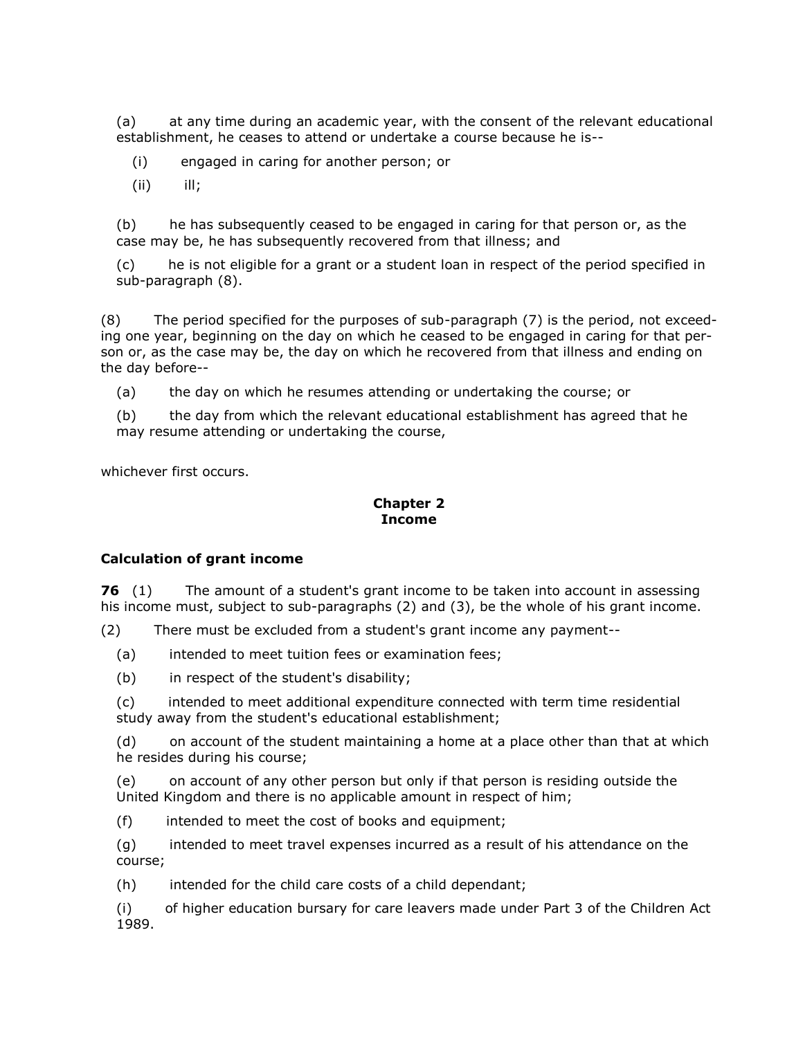(a) at any time during an academic year, with the consent of the relevant educational establishment, he ceases to attend or undertake a course because he is--

(i) engaged in caring for another person; or

 $(ii)$  ill;

(b) he has subsequently ceased to be engaged in caring for that person or, as the case may be, he has subsequently recovered from that illness; and

(c) he is not eligible for a grant or a student loan in respect of the period specified in sub-paragraph (8).

(8) The period specified for the purposes of sub-paragraph (7) is the period, not exceeding one year, beginning on the day on which he ceased to be engaged in caring for that person or, as the case may be, the day on which he recovered from that illness and ending on the day before--

(a) the day on which he resumes attending or undertaking the course; or

(b) the day from which the relevant educational establishment has agreed that he may resume attending or undertaking the course,

whichever first occurs.

# **Chapter 2 Income**

# **Calculation of grant income**

**76** (1) The amount of a student's grant income to be taken into account in assessing his income must, subject to sub-paragraphs (2) and (3), be the whole of his grant income.

(2) There must be excluded from a student's grant income any payment--

(a) intended to meet tuition fees or examination fees;

(b) in respect of the student's disability;

(c) intended to meet additional expenditure connected with term time residential study away from the student's educational establishment;

(d) on account of the student maintaining a home at a place other than that at which he resides during his course;

(e) on account of any other person but only if that person is residing outside the United Kingdom and there is no applicable amount in respect of him;

(f) intended to meet the cost of books and equipment;

(g) intended to meet travel expenses incurred as a result of his attendance on the course;

(h) intended for the child care costs of a child dependant;

(i) of higher education bursary for care leavers made under Part 3 of the Children Act 1989.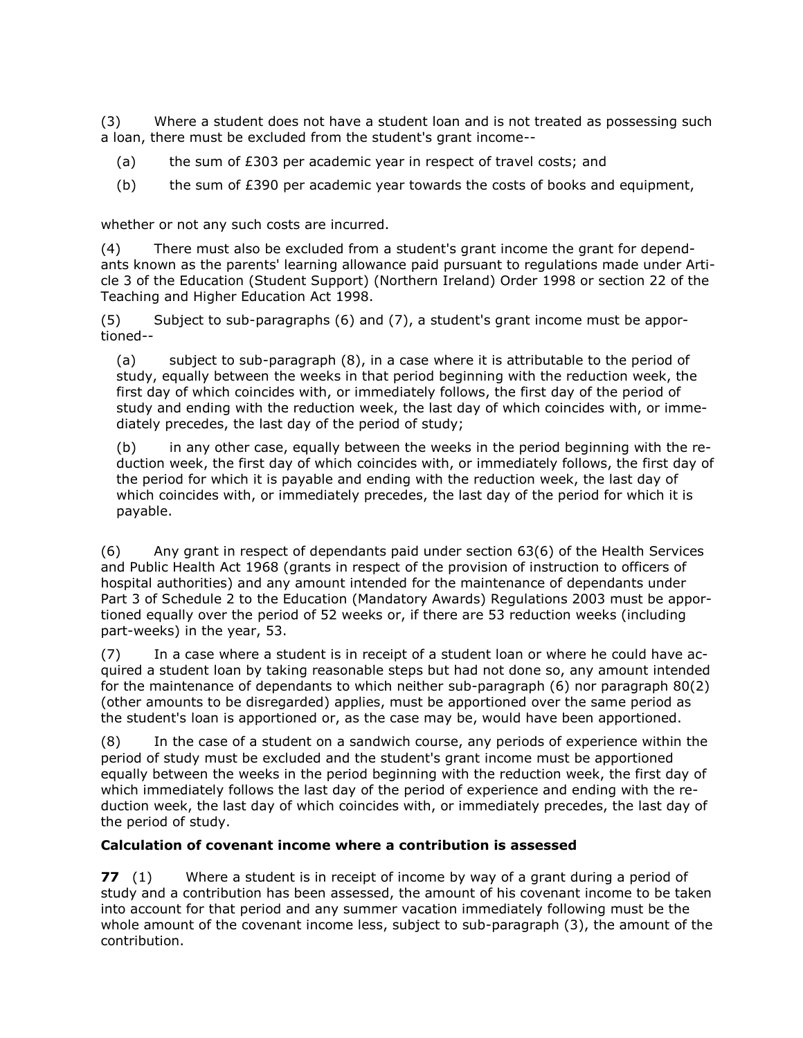(3) Where a student does not have a student loan and is not treated as possessing such a loan, there must be excluded from the student's grant income--

- (a) the sum of £303 per academic year in respect of travel costs; and
- (b) the sum of £390 per academic year towards the costs of books and equipment,

whether or not any such costs are incurred.

(4) There must also be excluded from a student's grant income the grant for dependants known as the parents' learning allowance paid pursuant to regulations made under Article 3 of the Education (Student Support) (Northern Ireland) Order 1998 or section 22 of the Teaching and Higher Education Act 1998.

(5) Subject to sub-paragraphs (6) and (7), a student's grant income must be apportioned--

(a) subject to sub-paragraph (8), in a case where it is attributable to the period of study, equally between the weeks in that period beginning with the reduction week, the first day of which coincides with, or immediately follows, the first day of the period of study and ending with the reduction week, the last day of which coincides with, or immediately precedes, the last day of the period of study;

(b) in any other case, equally between the weeks in the period beginning with the reduction week, the first day of which coincides with, or immediately follows, the first day of the period for which it is payable and ending with the reduction week, the last day of which coincides with, or immediately precedes, the last day of the period for which it is payable.

(6) Any grant in respect of dependants paid under section 63(6) of the Health Services and Public Health Act 1968 (grants in respect of the provision of instruction to officers of hospital authorities) and any amount intended for the maintenance of dependants under Part 3 of Schedule 2 to the Education (Mandatory Awards) Regulations 2003 must be apportioned equally over the period of 52 weeks or, if there are 53 reduction weeks (including part-weeks) in the year, 53.

(7) In a case where a student is in receipt of a student loan or where he could have acquired a student loan by taking reasonable steps but had not done so, any amount intended for the maintenance of dependants to which neither sub-paragraph (6) nor paragraph 80(2) (other amounts to be disregarded) applies, must be apportioned over the same period as the student's loan is apportioned or, as the case may be, would have been apportioned.

(8) In the case of a student on a sandwich course, any periods of experience within the period of study must be excluded and the student's grant income must be apportioned equally between the weeks in the period beginning with the reduction week, the first day of which immediately follows the last day of the period of experience and ending with the reduction week, the last day of which coincides with, or immediately precedes, the last day of the period of study.

## **Calculation of covenant income where a contribution is assessed**

**77** (1) Where a student is in receipt of income by way of a grant during a period of study and a contribution has been assessed, the amount of his covenant income to be taken into account for that period and any summer vacation immediately following must be the whole amount of the covenant income less, subject to sub-paragraph (3), the amount of the contribution.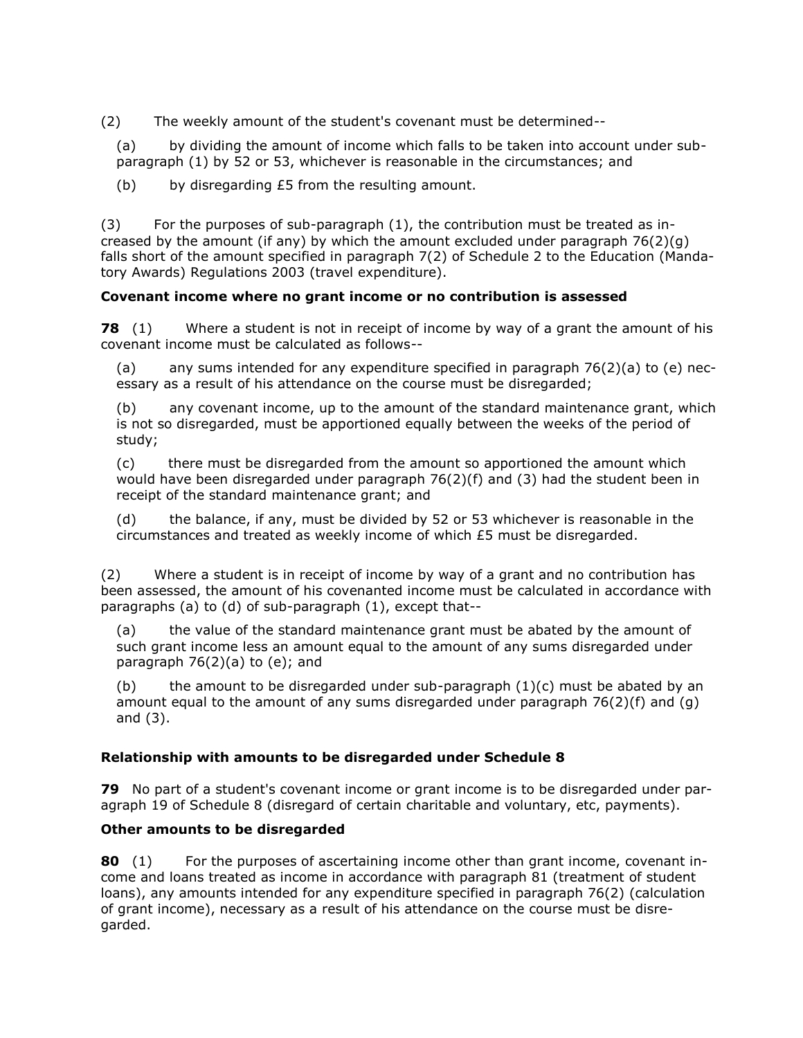(2) The weekly amount of the student's covenant must be determined--

(a) by dividing the amount of income which falls to be taken into account under subparagraph (1) by 52 or 53, whichever is reasonable in the circumstances; and

(b) by disregarding £5 from the resulting amount.

(3) For the purposes of sub-paragraph (1), the contribution must be treated as increased by the amount (if any) by which the amount excluded under paragraph  $76(2)(q)$ falls short of the amount specified in paragraph 7(2) of Schedule 2 to the Education (Mandatory Awards) Regulations 2003 (travel expenditure).

# **Covenant income where no grant income or no contribution is assessed**

**78** (1) Where a student is not in receipt of income by way of a grant the amount of his covenant income must be calculated as follows--

(a) any sums intended for any expenditure specified in paragraph  $76(2)(a)$  to (e) necessary as a result of his attendance on the course must be disregarded;

(b) any covenant income, up to the amount of the standard maintenance grant, which is not so disregarded, must be apportioned equally between the weeks of the period of study;

(c) there must be disregarded from the amount so apportioned the amount which would have been disregarded under paragraph 76(2)(f) and (3) had the student been in receipt of the standard maintenance grant; and

(d) the balance, if any, must be divided by 52 or 53 whichever is reasonable in the circumstances and treated as weekly income of which £5 must be disregarded.

(2) Where a student is in receipt of income by way of a grant and no contribution has been assessed, the amount of his covenanted income must be calculated in accordance with paragraphs (a) to (d) of sub-paragraph (1), except that--

(a) the value of the standard maintenance grant must be abated by the amount of such grant income less an amount equal to the amount of any sums disregarded under paragraph 76(2)(a) to (e); and

(b) the amount to be disregarded under sub-paragraph  $(1)(c)$  must be abated by an amount equal to the amount of any sums disregarded under paragraph  $76(2)(f)$  and  $(q)$ and (3).

# **Relationship with amounts to be disregarded under Schedule 8**

**79** No part of a student's covenant income or grant income is to be disregarded under paragraph 19 of Schedule 8 (disregard of certain charitable and voluntary, etc, payments).

# **Other amounts to be disregarded**

**80** (1) For the purposes of ascertaining income other than grant income, covenant income and loans treated as income in accordance with paragraph 81 (treatment of student loans), any amounts intended for any expenditure specified in paragraph 76(2) (calculation of grant income), necessary as a result of his attendance on the course must be disregarded.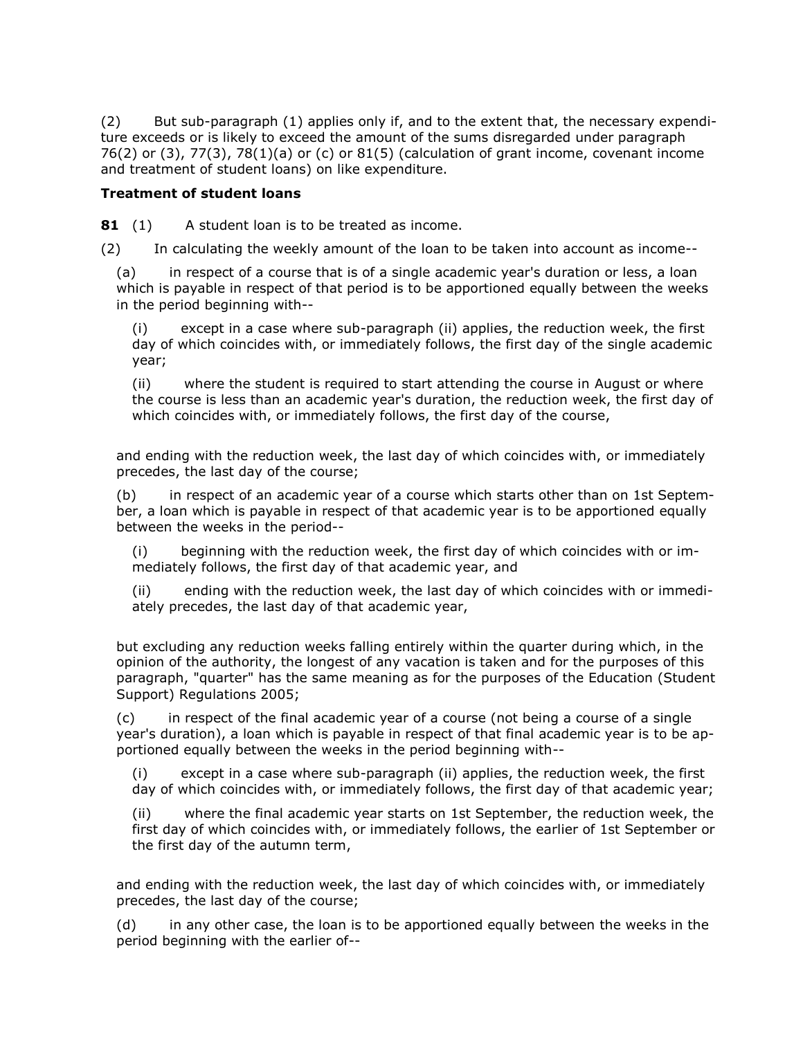(2) But sub-paragraph (1) applies only if, and to the extent that, the necessary expenditure exceeds or is likely to exceed the amount of the sums disregarded under paragraph 76(2) or (3), 77(3), 78(1)(a) or (c) or 81(5) (calculation of grant income, covenant income and treatment of student loans) on like expenditure.

# **Treatment of student loans**

**81** (1) A student loan is to be treated as income.

(2) In calculating the weekly amount of the loan to be taken into account as income--

(a) in respect of a course that is of a single academic year's duration or less, a loan which is payable in respect of that period is to be apportioned equally between the weeks in the period beginning with--

(i) except in a case where sub-paragraph (ii) applies, the reduction week, the first day of which coincides with, or immediately follows, the first day of the single academic year;

(ii) where the student is required to start attending the course in August or where the course is less than an academic year's duration, the reduction week, the first day of which coincides with, or immediately follows, the first day of the course,

and ending with the reduction week, the last day of which coincides with, or immediately precedes, the last day of the course;

(b) in respect of an academic year of a course which starts other than on 1st September, a loan which is payable in respect of that academic year is to be apportioned equally between the weeks in the period--

(i) beginning with the reduction week, the first day of which coincides with or immediately follows, the first day of that academic year, and

(ii) ending with the reduction week, the last day of which coincides with or immediately precedes, the last day of that academic year,

but excluding any reduction weeks falling entirely within the quarter during which, in the opinion of the authority, the longest of any vacation is taken and for the purposes of this paragraph, "quarter" has the same meaning as for the purposes of the Education (Student Support) Regulations 2005;

(c) in respect of the final academic year of a course (not being a course of a single year's duration), a loan which is payable in respect of that final academic year is to be apportioned equally between the weeks in the period beginning with--

(i) except in a case where sub-paragraph (ii) applies, the reduction week, the first day of which coincides with, or immediately follows, the first day of that academic year;

(ii) where the final academic year starts on 1st September, the reduction week, the first day of which coincides with, or immediately follows, the earlier of 1st September or the first day of the autumn term,

and ending with the reduction week, the last day of which coincides with, or immediately precedes, the last day of the course;

(d) in any other case, the loan is to be apportioned equally between the weeks in the period beginning with the earlier of--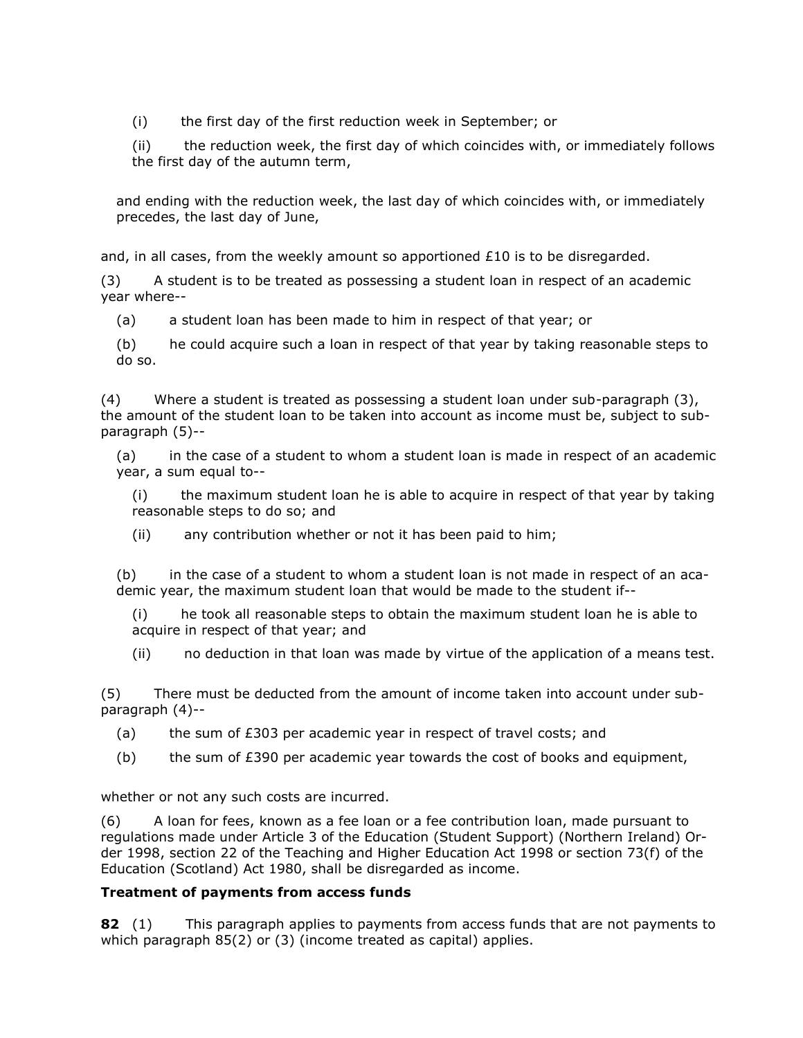(i) the first day of the first reduction week in September; or

(ii) the reduction week, the first day of which coincides with, or immediately follows the first day of the autumn term,

and ending with the reduction week, the last day of which coincides with, or immediately precedes, the last day of June,

and, in all cases, from the weekly amount so apportioned  $£10$  is to be disregarded.

(3) A student is to be treated as possessing a student loan in respect of an academic year where--

(a) a student loan has been made to him in respect of that year; or

(b) he could acquire such a loan in respect of that year by taking reasonable steps to do so.

(4) Where a student is treated as possessing a student loan under sub-paragraph (3), the amount of the student loan to be taken into account as income must be, subject to subparagraph (5)--

(a) in the case of a student to whom a student loan is made in respect of an academic year, a sum equal to--

(i) the maximum student loan he is able to acquire in respect of that year by taking reasonable steps to do so; and

(ii) any contribution whether or not it has been paid to him;

(b) in the case of a student to whom a student loan is not made in respect of an academic year, the maximum student loan that would be made to the student if--

(i) he took all reasonable steps to obtain the maximum student loan he is able to acquire in respect of that year; and

(ii) no deduction in that loan was made by virtue of the application of a means test.

(5) There must be deducted from the amount of income taken into account under subparagraph (4)--

- (a) the sum of £303 per academic year in respect of travel costs; and
- (b) the sum of £390 per academic year towards the cost of books and equipment,

whether or not any such costs are incurred.

(6) A loan for fees, known as a fee loan or a fee contribution loan, made pursuant to regulations made under Article 3 of the Education (Student Support) (Northern Ireland) Order 1998, section 22 of the Teaching and Higher Education Act 1998 or section 73(f) of the Education (Scotland) Act 1980, shall be disregarded as income.

## **Treatment of payments from access funds**

**82** (1) This paragraph applies to payments from access funds that are not payments to which paragraph 85(2) or (3) (income treated as capital) applies.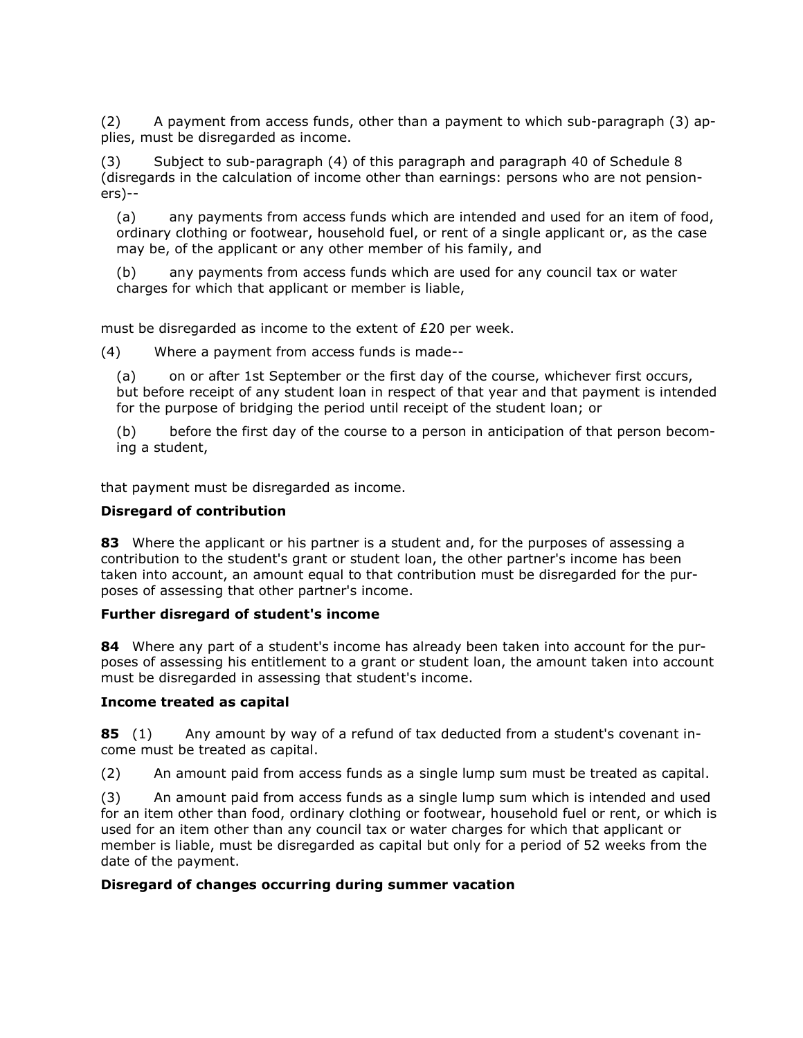(2) A payment from access funds, other than a payment to which sub-paragraph (3) applies, must be disregarded as income.

(3) Subject to sub-paragraph (4) of this paragraph and paragraph 40 of Schedule 8 (disregards in the calculation of income other than earnings: persons who are not pensioners)--

(a) any payments from access funds which are intended and used for an item of food, ordinary clothing or footwear, household fuel, or rent of a single applicant or, as the case may be, of the applicant or any other member of his family, and

(b) any payments from access funds which are used for any council tax or water charges for which that applicant or member is liable,

must be disregarded as income to the extent of £20 per week.

(4) Where a payment from access funds is made--

(a) on or after 1st September or the first day of the course, whichever first occurs, but before receipt of any student loan in respect of that year and that payment is intended for the purpose of bridging the period until receipt of the student loan; or

(b) before the first day of the course to a person in anticipation of that person becoming a student,

that payment must be disregarded as income.

#### **Disregard of contribution**

**83** Where the applicant or his partner is a student and, for the purposes of assessing a contribution to the student's grant or student loan, the other partner's income has been taken into account, an amount equal to that contribution must be disregarded for the purposes of assessing that other partner's income.

#### **Further disregard of student's income**

**84** Where any part of a student's income has already been taken into account for the purposes of assessing his entitlement to a grant or student loan, the amount taken into account must be disregarded in assessing that student's income.

#### **Income treated as capital**

**85** (1) Any amount by way of a refund of tax deducted from a student's covenant income must be treated as capital.

(2) An amount paid from access funds as a single lump sum must be treated as capital.

(3) An amount paid from access funds as a single lump sum which is intended and used for an item other than food, ordinary clothing or footwear, household fuel or rent, or which is used for an item other than any council tax or water charges for which that applicant or member is liable, must be disregarded as capital but only for a period of 52 weeks from the date of the payment.

#### **Disregard of changes occurring during summer vacation**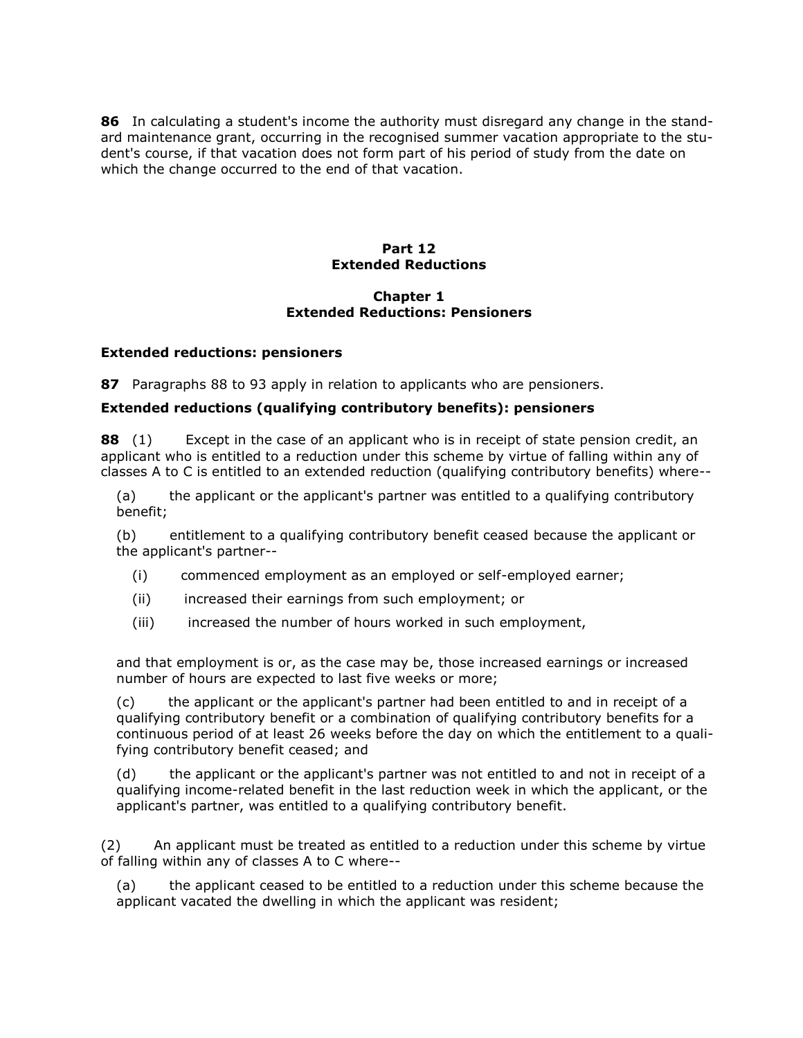**86** In calculating a student's income the authority must disregard any change in the standard maintenance grant, occurring in the recognised summer vacation appropriate to the student's course, if that vacation does not form part of his period of study from the date on which the change occurred to the end of that vacation.

# **Part 12 Extended Reductions**

#### **Chapter 1 Extended Reductions: Pensioners**

## **Extended reductions: pensioners**

**87** Paragraphs 88 to 93 apply in relation to applicants who are pensioners.

# **Extended reductions (qualifying contributory benefits): pensioners**

**88** (1) Except in the case of an applicant who is in receipt of state pension credit, an applicant who is entitled to a reduction under this scheme by virtue of falling within any of classes A to C is entitled to an extended reduction (qualifying contributory benefits) where--

(a) the applicant or the applicant's partner was entitled to a qualifying contributory benefit;

(b) entitlement to a qualifying contributory benefit ceased because the applicant or the applicant's partner--

- (i) commenced employment as an employed or self-employed earner;
- (ii) increased their earnings from such employment; or
- (iii) increased the number of hours worked in such employment,

and that employment is or, as the case may be, those increased earnings or increased number of hours are expected to last five weeks or more;

(c) the applicant or the applicant's partner had been entitled to and in receipt of a qualifying contributory benefit or a combination of qualifying contributory benefits for a continuous period of at least 26 weeks before the day on which the entitlement to a qualifying contributory benefit ceased; and

(d) the applicant or the applicant's partner was not entitled to and not in receipt of a qualifying income-related benefit in the last reduction week in which the applicant, or the applicant's partner, was entitled to a qualifying contributory benefit.

(2) An applicant must be treated as entitled to a reduction under this scheme by virtue of falling within any of classes A to C where--

(a) the applicant ceased to be entitled to a reduction under this scheme because the applicant vacated the dwelling in which the applicant was resident;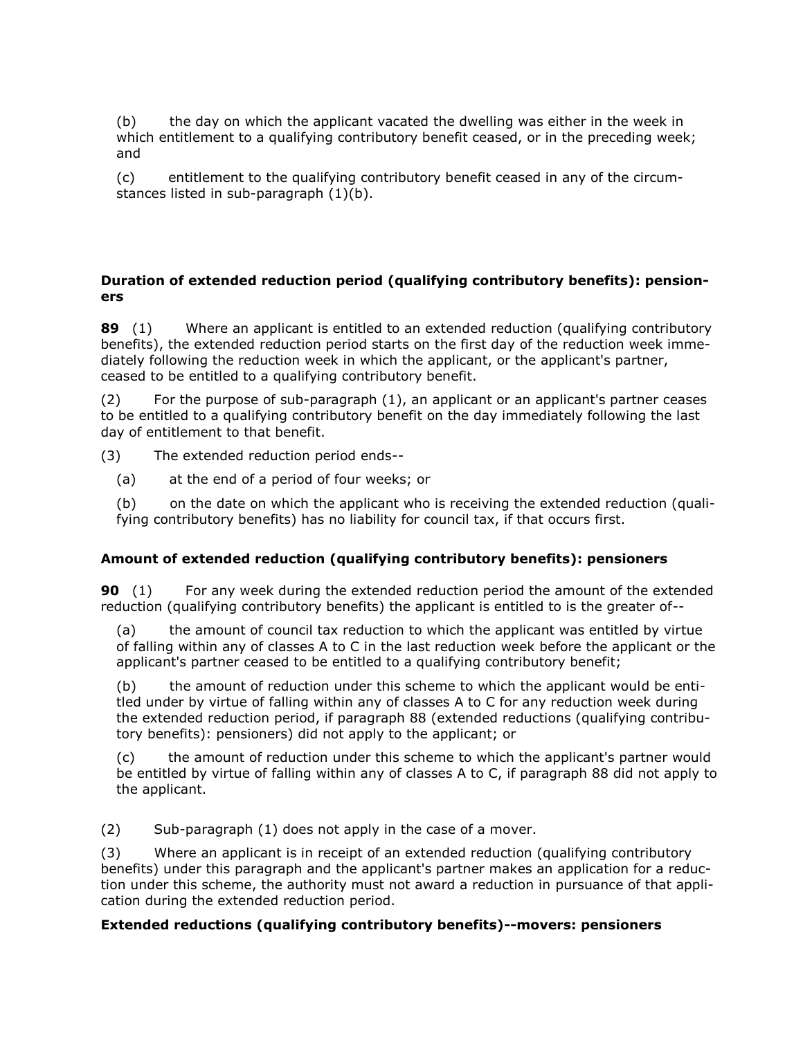(b) the day on which the applicant vacated the dwelling was either in the week in which entitlement to a qualifying contributory benefit ceased, or in the preceding week; and

(c) entitlement to the qualifying contributory benefit ceased in any of the circumstances listed in sub-paragraph (1)(b).

# **Duration of extended reduction period (qualifying contributory benefits): pensioners**

**89** (1) Where an applicant is entitled to an extended reduction (qualifying contributory benefits), the extended reduction period starts on the first day of the reduction week immediately following the reduction week in which the applicant, or the applicant's partner, ceased to be entitled to a qualifying contributory benefit.

(2) For the purpose of sub-paragraph (1), an applicant or an applicant's partner ceases to be entitled to a qualifying contributory benefit on the day immediately following the last day of entitlement to that benefit.

(3) The extended reduction period ends--

(a) at the end of a period of four weeks; or

(b) on the date on which the applicant who is receiving the extended reduction (qualifying contributory benefits) has no liability for council tax, if that occurs first.

## **Amount of extended reduction (qualifying contributory benefits): pensioners**

**90** (1) For any week during the extended reduction period the amount of the extended reduction (qualifying contributory benefits) the applicant is entitled to is the greater of--

(a) the amount of council tax reduction to which the applicant was entitled by virtue of falling within any of classes A to C in the last reduction week before the applicant or the applicant's partner ceased to be entitled to a qualifying contributory benefit;

(b) the amount of reduction under this scheme to which the applicant would be entitled under by virtue of falling within any of classes A to C for any reduction week during the extended reduction period, if paragraph 88 (extended reductions (qualifying contributory benefits): pensioners) did not apply to the applicant; or

(c) the amount of reduction under this scheme to which the applicant's partner would be entitled by virtue of falling within any of classes A to C, if paragraph 88 did not apply to the applicant.

(2) Sub-paragraph (1) does not apply in the case of a mover.

(3) Where an applicant is in receipt of an extended reduction (qualifying contributory benefits) under this paragraph and the applicant's partner makes an application for a reduction under this scheme, the authority must not award a reduction in pursuance of that application during the extended reduction period.

#### **Extended reductions (qualifying contributory benefits)--movers: pensioners**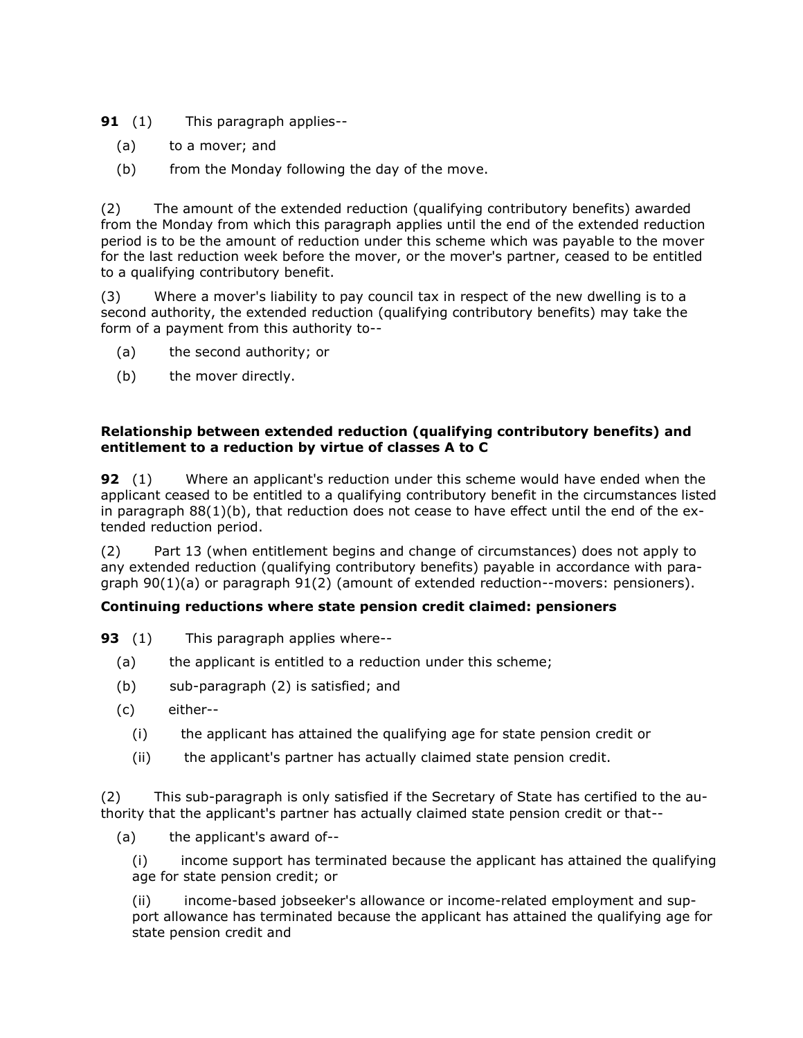- **91** (1) This paragraph applies--
	- (a) to a mover; and
	- (b) from the Monday following the day of the move.

(2) The amount of the extended reduction (qualifying contributory benefits) awarded from the Monday from which this paragraph applies until the end of the extended reduction period is to be the amount of reduction under this scheme which was payable to the mover for the last reduction week before the mover, or the mover's partner, ceased to be entitled to a qualifying contributory benefit.

(3) Where a mover's liability to pay council tax in respect of the new dwelling is to a second authority, the extended reduction (qualifying contributory benefits) may take the form of a payment from this authority to--

- (a) the second authority; or
- (b) the mover directly.

# **Relationship between extended reduction (qualifying contributory benefits) and entitlement to a reduction by virtue of classes A to C**

**92** (1) Where an applicant's reduction under this scheme would have ended when the applicant ceased to be entitled to a qualifying contributory benefit in the circumstances listed in paragraph 88(1)(b), that reduction does not cease to have effect until the end of the extended reduction period.

(2) Part 13 (when entitlement begins and change of circumstances) does not apply to any extended reduction (qualifying contributory benefits) payable in accordance with paragraph 90(1)(a) or paragraph 91(2) (amount of extended reduction--movers: pensioners).

# **Continuing reductions where state pension credit claimed: pensioners**

- **93** (1) This paragraph applies where--
	- (a) the applicant is entitled to a reduction under this scheme;
	- (b) sub-paragraph (2) is satisfied; and
	- (c) either--
		- (i) the applicant has attained the qualifying age for state pension credit or
		- (ii) the applicant's partner has actually claimed state pension credit.

(2) This sub-paragraph is only satisfied if the Secretary of State has certified to the authority that the applicant's partner has actually claimed state pension credit or that--

(a) the applicant's award of--

(i) income support has terminated because the applicant has attained the qualifying age for state pension credit; or

(ii) income-based jobseeker's allowance or income-related employment and support allowance has terminated because the applicant has attained the qualifying age for state pension credit and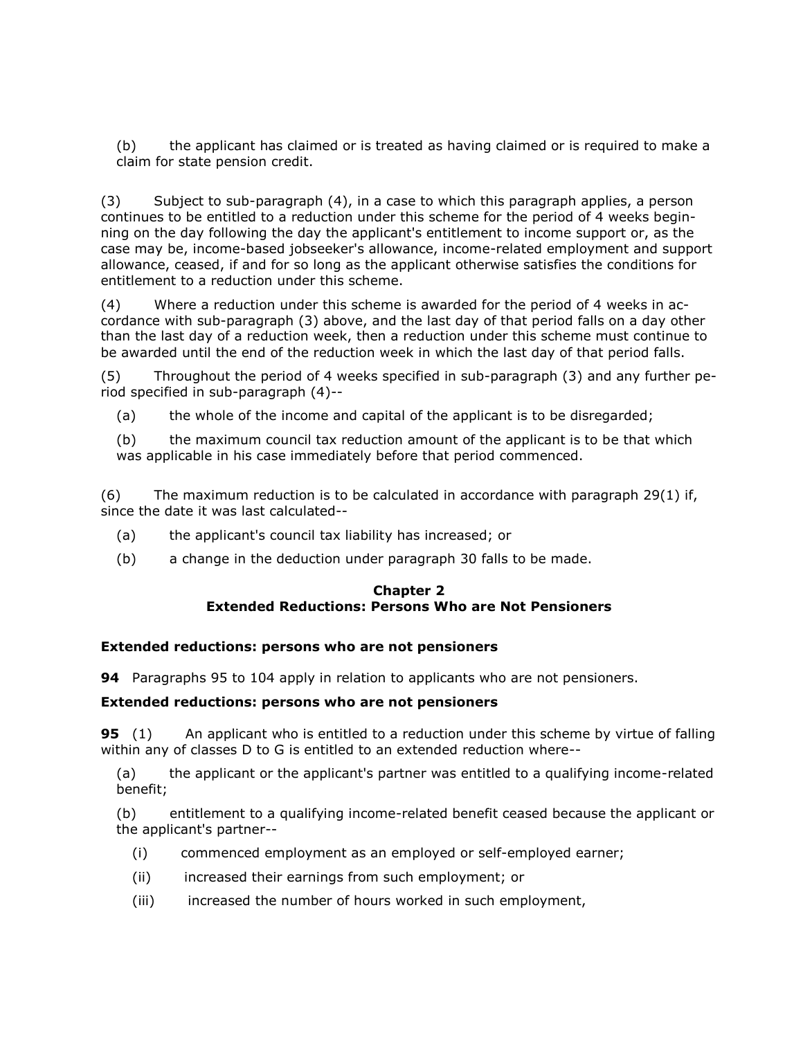(b) the applicant has claimed or is treated as having claimed or is required to make a claim for state pension credit.

(3) Subject to sub-paragraph (4), in a case to which this paragraph applies, a person continues to be entitled to a reduction under this scheme for the period of 4 weeks beginning on the day following the day the applicant's entitlement to income support or, as the case may be, income-based jobseeker's allowance, income-related employment and support allowance, ceased, if and for so long as the applicant otherwise satisfies the conditions for entitlement to a reduction under this scheme.

(4) Where a reduction under this scheme is awarded for the period of 4 weeks in accordance with sub-paragraph (3) above, and the last day of that period falls on a day other than the last day of a reduction week, then a reduction under this scheme must continue to be awarded until the end of the reduction week in which the last day of that period falls.

(5) Throughout the period of 4 weeks specified in sub-paragraph (3) and any further period specified in sub-paragraph (4)--

(a) the whole of the income and capital of the applicant is to be disregarded;

(b) the maximum council tax reduction amount of the applicant is to be that which was applicable in his case immediately before that period commenced.

 $(6)$  The maximum reduction is to be calculated in accordance with paragraph 29(1) if, since the date it was last calculated--

- (a) the applicant's council tax liability has increased; or
- (b) a change in the deduction under paragraph 30 falls to be made.

#### **Chapter 2 Extended Reductions: Persons Who are Not Pensioners**

## **Extended reductions: persons who are not pensioners**

**94** Paragraphs 95 to 104 apply in relation to applicants who are not pensioners.

#### **Extended reductions: persons who are not pensioners**

**95** (1) An applicant who is entitled to a reduction under this scheme by virtue of falling within any of classes D to G is entitled to an extended reduction where--

(a) the applicant or the applicant's partner was entitled to a qualifying income-related benefit;

(b) entitlement to a qualifying income-related benefit ceased because the applicant or the applicant's partner--

- (i) commenced employment as an employed or self-employed earner;
- (ii) increased their earnings from such employment; or
- (iii) increased the number of hours worked in such employment,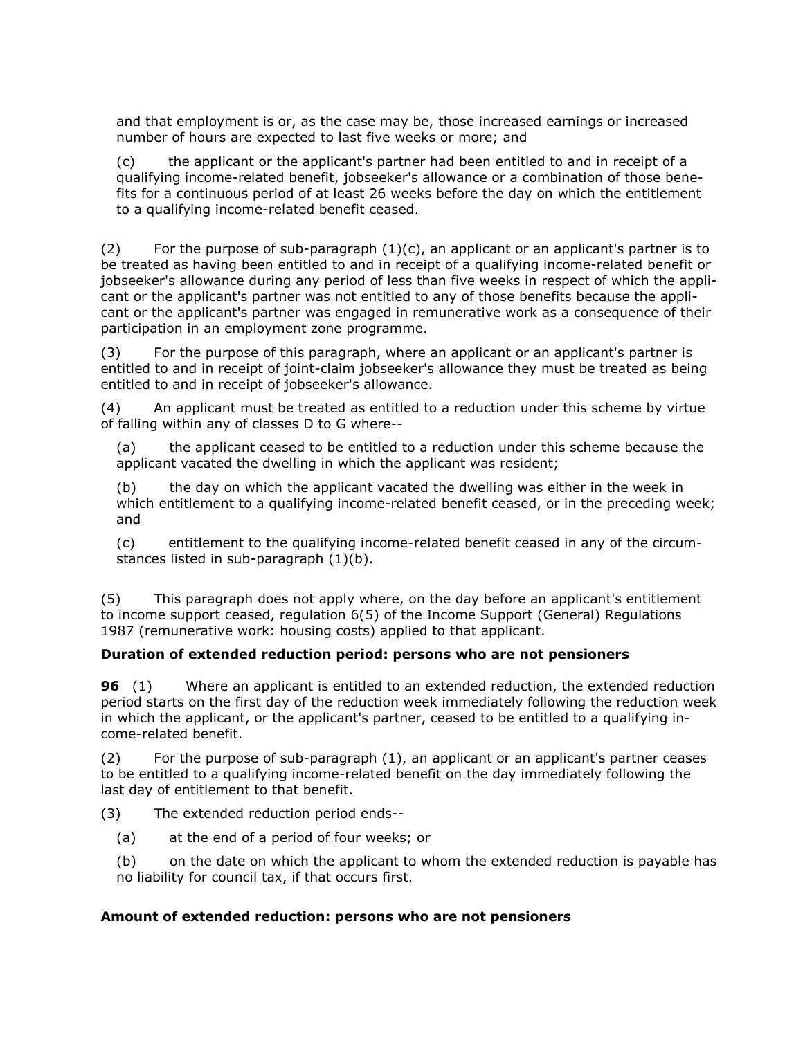and that employment is or, as the case may be, those increased earnings or increased number of hours are expected to last five weeks or more; and

(c) the applicant or the applicant's partner had been entitled to and in receipt of a qualifying income-related benefit, jobseeker's allowance or a combination of those benefits for a continuous period of at least 26 weeks before the day on which the entitlement to a qualifying income-related benefit ceased.

(2) For the purpose of sub-paragraph  $(1)(c)$ , an applicant or an applicant's partner is to be treated as having been entitled to and in receipt of a qualifying income-related benefit or jobseeker's allowance during any period of less than five weeks in respect of which the applicant or the applicant's partner was not entitled to any of those benefits because the applicant or the applicant's partner was engaged in remunerative work as a consequence of their participation in an employment zone programme.

(3) For the purpose of this paragraph, where an applicant or an applicant's partner is entitled to and in receipt of joint-claim jobseeker's allowance they must be treated as being entitled to and in receipt of jobseeker's allowance.

(4) An applicant must be treated as entitled to a reduction under this scheme by virtue of falling within any of classes D to G where--

(a) the applicant ceased to be entitled to a reduction under this scheme because the applicant vacated the dwelling in which the applicant was resident;

(b) the day on which the applicant vacated the dwelling was either in the week in which entitlement to a qualifying income-related benefit ceased, or in the preceding week; and

(c) entitlement to the qualifying income-related benefit ceased in any of the circumstances listed in sub-paragraph (1)(b).

(5) This paragraph does not apply where, on the day before an applicant's entitlement to income support ceased, regulation 6(5) of the Income Support (General) Regulations 1987 (remunerative work: housing costs) applied to that applicant.

## **Duration of extended reduction period: persons who are not pensioners**

**96** (1) Where an applicant is entitled to an extended reduction, the extended reduction period starts on the first day of the reduction week immediately following the reduction week in which the applicant, or the applicant's partner, ceased to be entitled to a qualifying income-related benefit.

(2) For the purpose of sub-paragraph (1), an applicant or an applicant's partner ceases to be entitled to a qualifying income-related benefit on the day immediately following the last day of entitlement to that benefit.

(3) The extended reduction period ends--

(a) at the end of a period of four weeks; or

(b) on the date on which the applicant to whom the extended reduction is payable has no liability for council tax, if that occurs first.

## **Amount of extended reduction: persons who are not pensioners**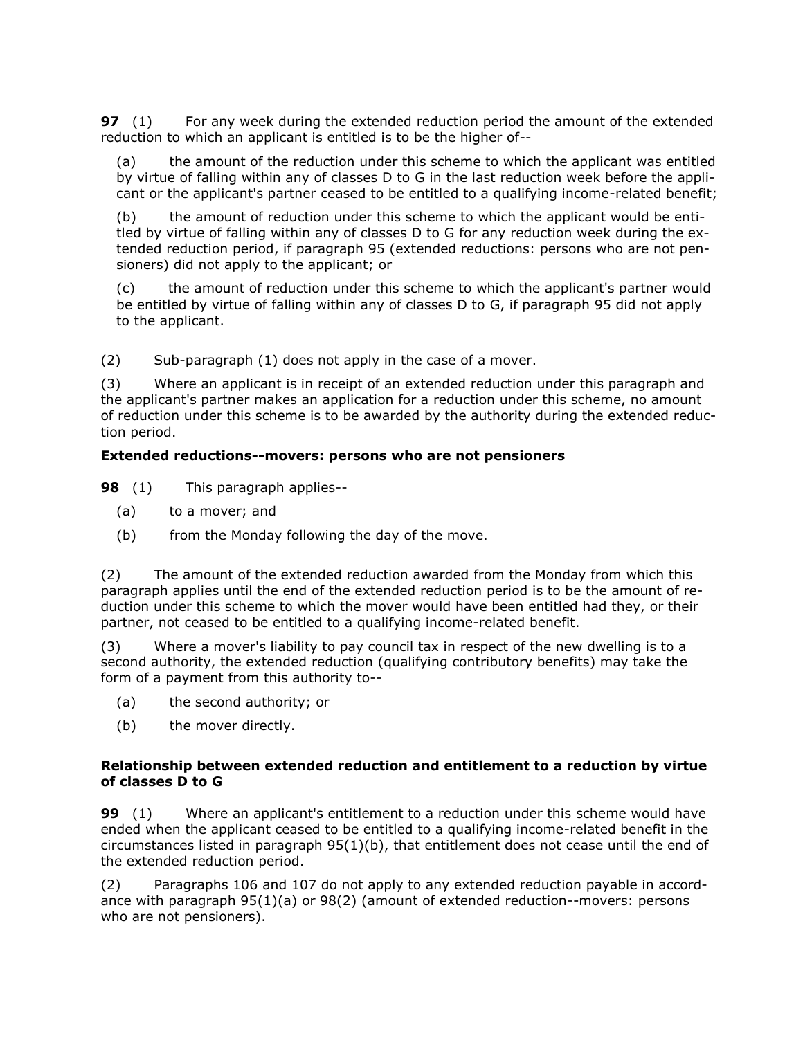**97** (1) For any week during the extended reduction period the amount of the extended reduction to which an applicant is entitled is to be the higher of--

(a) the amount of the reduction under this scheme to which the applicant was entitled by virtue of falling within any of classes D to G in the last reduction week before the applicant or the applicant's partner ceased to be entitled to a qualifying income-related benefit;

(b) the amount of reduction under this scheme to which the applicant would be entitled by virtue of falling within any of classes D to G for any reduction week during the extended reduction period, if paragraph 95 (extended reductions: persons who are not pensioners) did not apply to the applicant; or

(c) the amount of reduction under this scheme to which the applicant's partner would be entitled by virtue of falling within any of classes D to G, if paragraph 95 did not apply to the applicant.

(2) Sub-paragraph (1) does not apply in the case of a mover.

(3) Where an applicant is in receipt of an extended reduction under this paragraph and the applicant's partner makes an application for a reduction under this scheme, no amount of reduction under this scheme is to be awarded by the authority during the extended reduction period.

## **Extended reductions--movers: persons who are not pensioners**

**98** (1) This paragraph applies--

- (a) to a mover; and
- (b) from the Monday following the day of the move.

(2) The amount of the extended reduction awarded from the Monday from which this paragraph applies until the end of the extended reduction period is to be the amount of reduction under this scheme to which the mover would have been entitled had they, or their partner, not ceased to be entitled to a qualifying income-related benefit.

(3) Where a mover's liability to pay council tax in respect of the new dwelling is to a second authority, the extended reduction (qualifying contributory benefits) may take the form of a payment from this authority to--

- (a) the second authority; or
- (b) the mover directly.

## **Relationship between extended reduction and entitlement to a reduction by virtue of classes D to G**

**99** (1) Where an applicant's entitlement to a reduction under this scheme would have ended when the applicant ceased to be entitled to a qualifying income-related benefit in the circumstances listed in paragraph  $95(1)(b)$ , that entitlement does not cease until the end of the extended reduction period.

(2) Paragraphs 106 and 107 do not apply to any extended reduction payable in accordance with paragraph 95(1)(a) or 98(2) (amount of extended reduction--movers: persons who are not pensioners).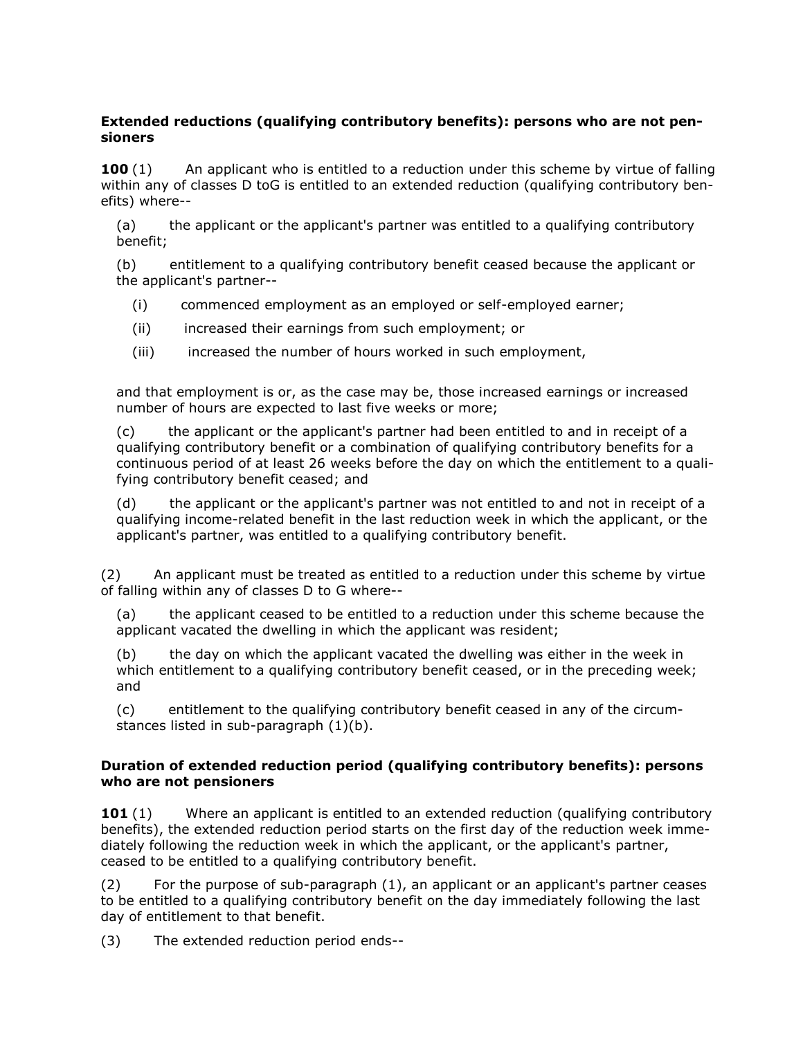## **Extended reductions (qualifying contributory benefits): persons who are not pensioners**

**100** (1) An applicant who is entitled to a reduction under this scheme by virtue of falling within any of classes D toG is entitled to an extended reduction (qualifying contributory benefits) where--

(a) the applicant or the applicant's partner was entitled to a qualifying contributory benefit;

(b) entitlement to a qualifying contributory benefit ceased because the applicant or the applicant's partner--

- (i) commenced employment as an employed or self-employed earner;
- (ii) increased their earnings from such employment; or
- (iii) increased the number of hours worked in such employment,

and that employment is or, as the case may be, those increased earnings or increased number of hours are expected to last five weeks or more;

(c) the applicant or the applicant's partner had been entitled to and in receipt of a qualifying contributory benefit or a combination of qualifying contributory benefits for a continuous period of at least 26 weeks before the day on which the entitlement to a qualifying contributory benefit ceased; and

(d) the applicant or the applicant's partner was not entitled to and not in receipt of a qualifying income-related benefit in the last reduction week in which the applicant, or the applicant's partner, was entitled to a qualifying contributory benefit.

(2) An applicant must be treated as entitled to a reduction under this scheme by virtue of falling within any of classes D to G where--

(a) the applicant ceased to be entitled to a reduction under this scheme because the applicant vacated the dwelling in which the applicant was resident;

(b) the day on which the applicant vacated the dwelling was either in the week in which entitlement to a qualifying contributory benefit ceased, or in the preceding week; and

(c) entitlement to the qualifying contributory benefit ceased in any of the circumstances listed in sub-paragraph (1)(b).

## **Duration of extended reduction period (qualifying contributory benefits): persons who are not pensioners**

**101** (1) Where an applicant is entitled to an extended reduction (qualifying contributory benefits), the extended reduction period starts on the first day of the reduction week immediately following the reduction week in which the applicant, or the applicant's partner, ceased to be entitled to a qualifying contributory benefit.

(2) For the purpose of sub-paragraph (1), an applicant or an applicant's partner ceases to be entitled to a qualifying contributory benefit on the day immediately following the last day of entitlement to that benefit.

(3) The extended reduction period ends--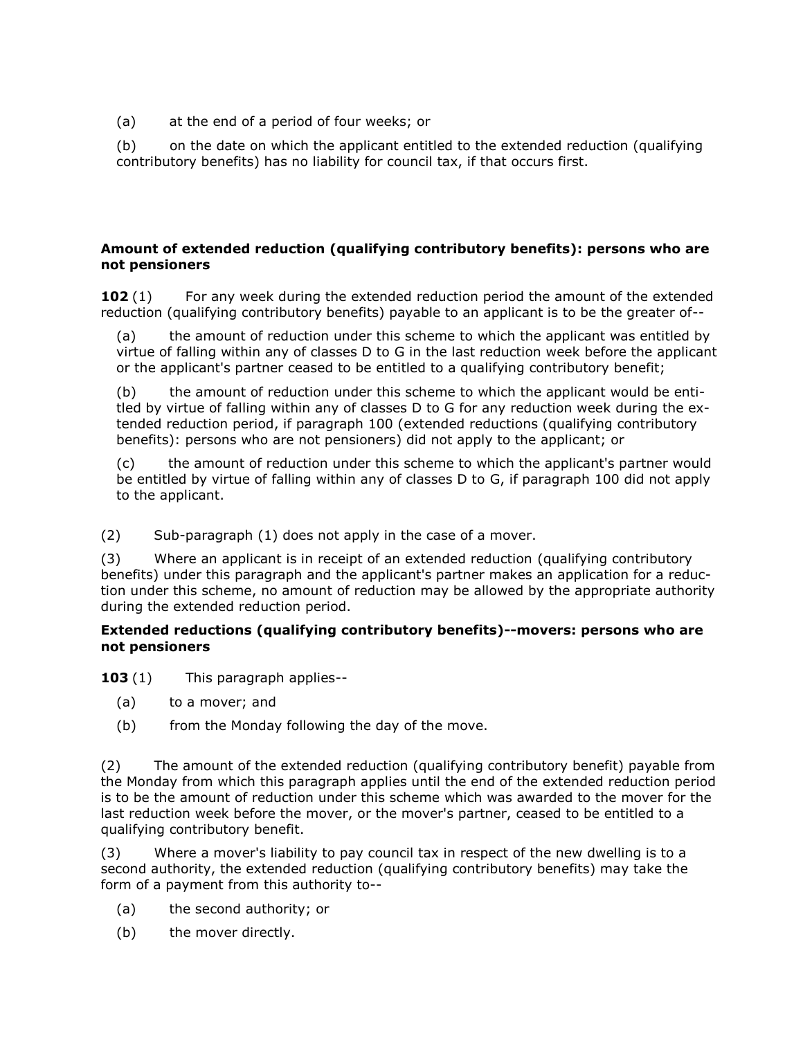(a) at the end of a period of four weeks; or

(b) on the date on which the applicant entitled to the extended reduction (qualifying contributory benefits) has no liability for council tax, if that occurs first.

## **Amount of extended reduction (qualifying contributory benefits): persons who are not pensioners**

**102** (1) For any week during the extended reduction period the amount of the extended reduction (qualifying contributory benefits) payable to an applicant is to be the greater of--

(a) the amount of reduction under this scheme to which the applicant was entitled by virtue of falling within any of classes D to G in the last reduction week before the applicant or the applicant's partner ceased to be entitled to a qualifying contributory benefit;

(b) the amount of reduction under this scheme to which the applicant would be entitled by virtue of falling within any of classes D to G for any reduction week during the extended reduction period, if paragraph 100 (extended reductions (qualifying contributory benefits): persons who are not pensioners) did not apply to the applicant; or

(c) the amount of reduction under this scheme to which the applicant's partner would be entitled by virtue of falling within any of classes D to G, if paragraph 100 did not apply to the applicant.

(2) Sub-paragraph (1) does not apply in the case of a mover.

(3) Where an applicant is in receipt of an extended reduction (qualifying contributory benefits) under this paragraph and the applicant's partner makes an application for a reduction under this scheme, no amount of reduction may be allowed by the appropriate authority during the extended reduction period.

## **Extended reductions (qualifying contributory benefits)--movers: persons who are not pensioners**

**103** (1) This paragraph applies--

- (a) to a mover; and
- (b) from the Monday following the day of the move.

(2) The amount of the extended reduction (qualifying contributory benefit) payable from the Monday from which this paragraph applies until the end of the extended reduction period is to be the amount of reduction under this scheme which was awarded to the mover for the last reduction week before the mover, or the mover's partner, ceased to be entitled to a qualifying contributory benefit.

(3) Where a mover's liability to pay council tax in respect of the new dwelling is to a second authority, the extended reduction (qualifying contributory benefits) may take the form of a payment from this authority to--

- (a) the second authority; or
- (b) the mover directly.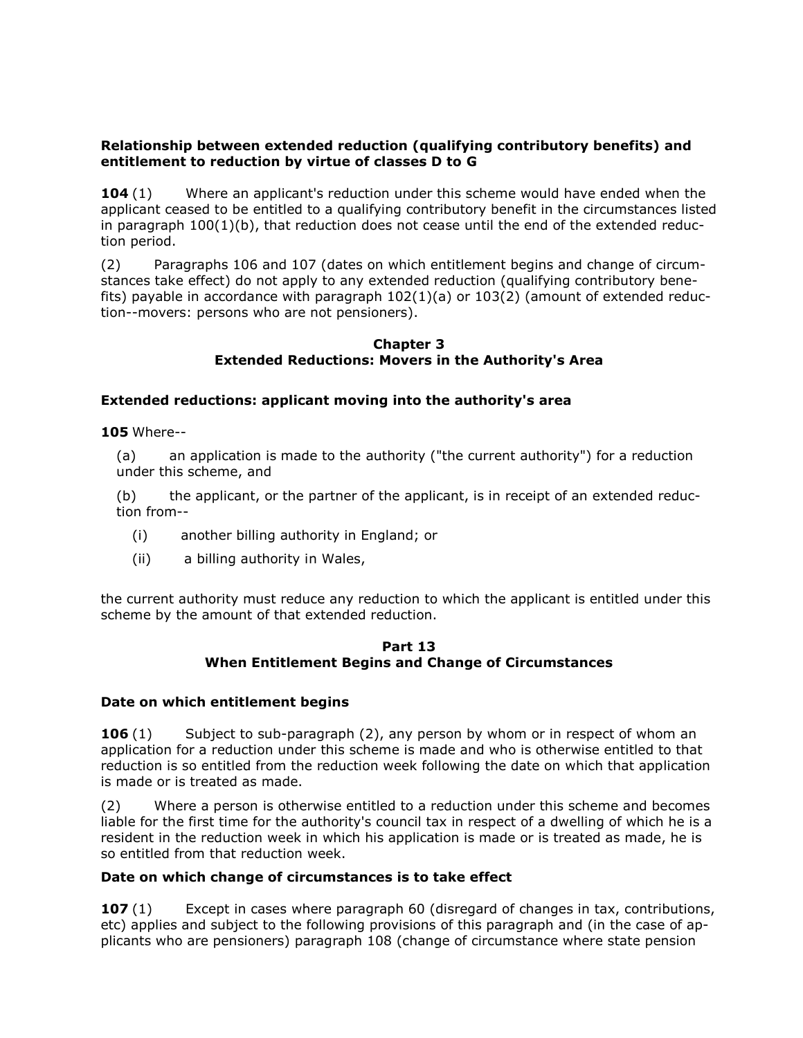## **Relationship between extended reduction (qualifying contributory benefits) and entitlement to reduction by virtue of classes D to G**

**104** (1) Where an applicant's reduction under this scheme would have ended when the applicant ceased to be entitled to a qualifying contributory benefit in the circumstances listed in paragraph 100(1)(b), that reduction does not cease until the end of the extended reduction period.

(2) Paragraphs 106 and 107 (dates on which entitlement begins and change of circumstances take effect) do not apply to any extended reduction (qualifying contributory benefits) payable in accordance with paragraph 102(1)(a) or 103(2) (amount of extended reduction--movers: persons who are not pensioners).

#### **Chapter 3 Extended Reductions: Movers in the Authority's Area**

# **Extended reductions: applicant moving into the authority's area**

**105** Where--

(a) an application is made to the authority ("the current authority") for a reduction under this scheme, and

(b) the applicant, or the partner of the applicant, is in receipt of an extended reduction from--

- (i) another billing authority in England; or
- (ii) a billing authority in Wales,

the current authority must reduce any reduction to which the applicant is entitled under this scheme by the amount of that extended reduction.

#### **Part 13 When Entitlement Begins and Change of Circumstances**

## **Date on which entitlement begins**

**106** (1) Subject to sub-paragraph (2), any person by whom or in respect of whom an application for a reduction under this scheme is made and who is otherwise entitled to that reduction is so entitled from the reduction week following the date on which that application is made or is treated as made.

(2) Where a person is otherwise entitled to a reduction under this scheme and becomes liable for the first time for the authority's council tax in respect of a dwelling of which he is a resident in the reduction week in which his application is made or is treated as made, he is so entitled from that reduction week.

## **Date on which change of circumstances is to take effect**

**107** (1) Except in cases where paragraph 60 (disregard of changes in tax, contributions, etc) applies and subject to the following provisions of this paragraph and (in the case of applicants who are pensioners) paragraph 108 (change of circumstance where state pension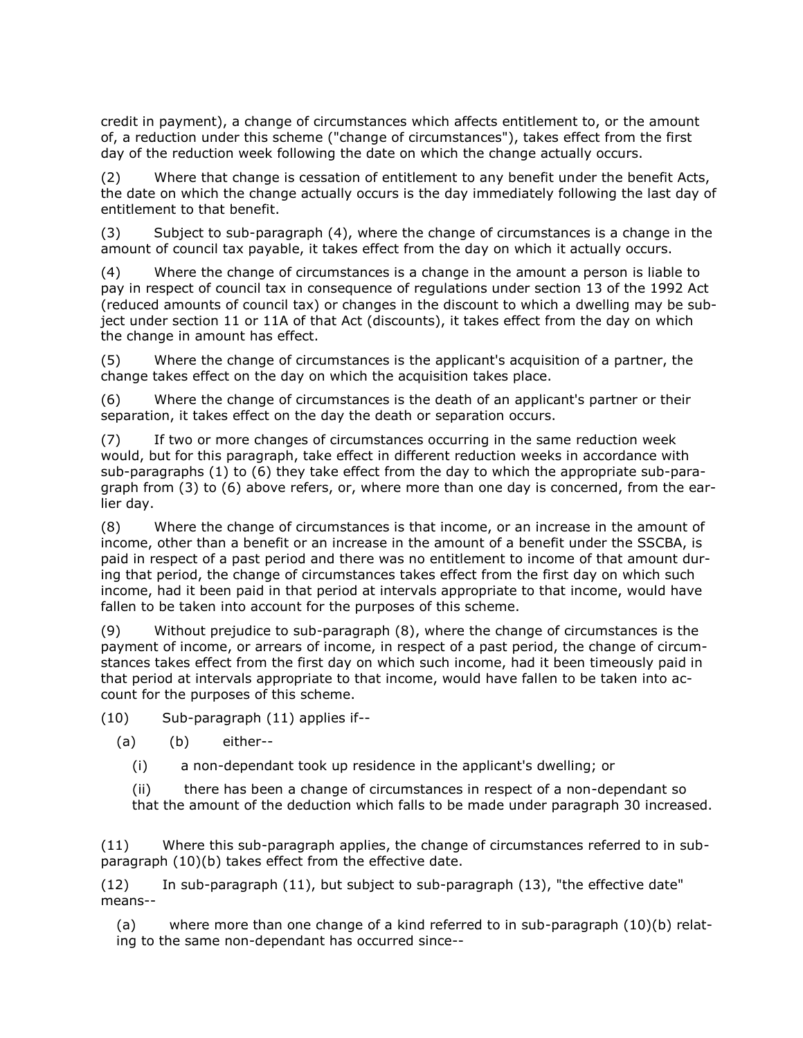credit in payment), a change of circumstances which affects entitlement to, or the amount of, a reduction under this scheme ("change of circumstances"), takes effect from the first day of the reduction week following the date on which the change actually occurs.

(2) Where that change is cessation of entitlement to any benefit under the benefit Acts, the date on which the change actually occurs is the day immediately following the last day of entitlement to that benefit.

(3) Subject to sub-paragraph (4), where the change of circumstances is a change in the amount of council tax payable, it takes effect from the day on which it actually occurs.

(4) Where the change of circumstances is a change in the amount a person is liable to pay in respect of council tax in consequence of regulations under section 13 of the 1992 Act (reduced amounts of council tax) or changes in the discount to which a dwelling may be subject under section 11 or 11A of that Act (discounts), it takes effect from the day on which the change in amount has effect.

(5) Where the change of circumstances is the applicant's acquisition of a partner, the change takes effect on the day on which the acquisition takes place.

(6) Where the change of circumstances is the death of an applicant's partner or their separation, it takes effect on the day the death or separation occurs.

(7) If two or more changes of circumstances occurring in the same reduction week would, but for this paragraph, take effect in different reduction weeks in accordance with sub-paragraphs (1) to (6) they take effect from the day to which the appropriate sub-paragraph from (3) to (6) above refers, or, where more than one day is concerned, from the earlier day.

(8) Where the change of circumstances is that income, or an increase in the amount of income, other than a benefit or an increase in the amount of a benefit under the SSCBA, is paid in respect of a past period and there was no entitlement to income of that amount during that period, the change of circumstances takes effect from the first day on which such income, had it been paid in that period at intervals appropriate to that income, would have fallen to be taken into account for the purposes of this scheme.

(9) Without prejudice to sub-paragraph (8), where the change of circumstances is the payment of income, or arrears of income, in respect of a past period, the change of circumstances takes effect from the first day on which such income, had it been timeously paid in that period at intervals appropriate to that income, would have fallen to be taken into account for the purposes of this scheme.

(10) Sub-paragraph (11) applies if--

(a) (b) either--

(i) a non-dependant took up residence in the applicant's dwelling; or

(ii) there has been a change of circumstances in respect of a non-dependant so that the amount of the deduction which falls to be made under paragraph 30 increased.

(11) Where this sub-paragraph applies, the change of circumstances referred to in subparagraph (10)(b) takes effect from the effective date.

(12) In sub-paragraph (11), but subject to sub-paragraph (13), "the effective date" means--

(a) where more than one change of a kind referred to in sub-paragraph (10)(b) relating to the same non-dependant has occurred since--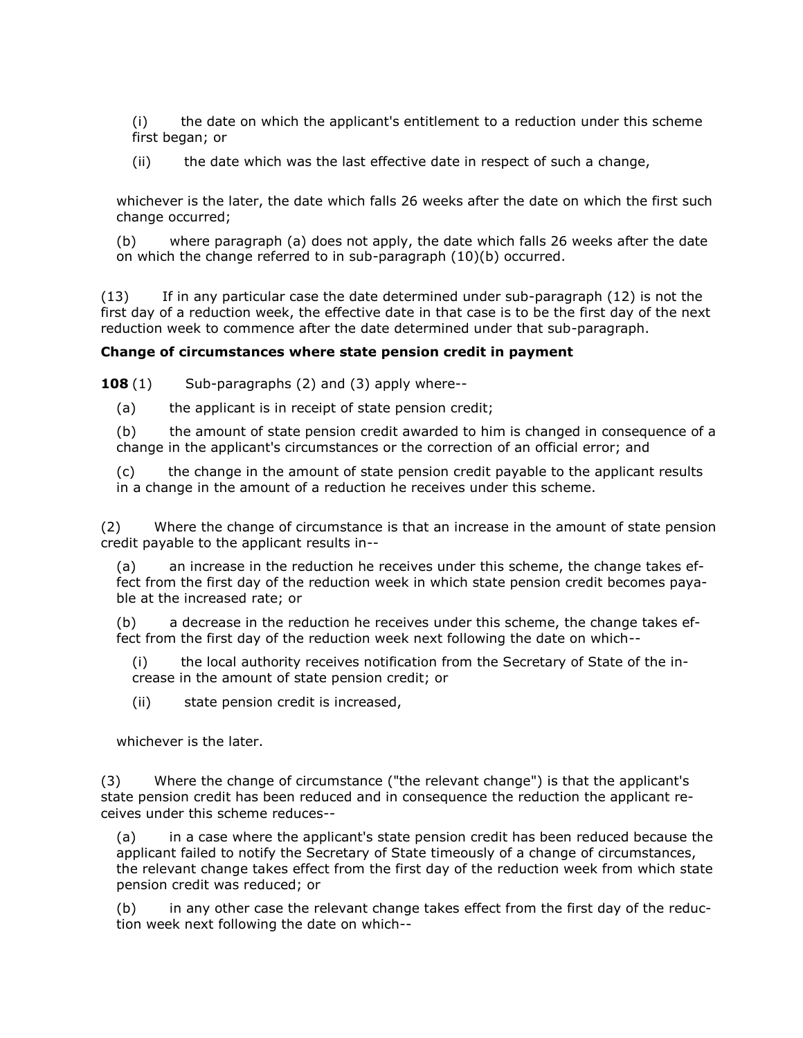(i) the date on which the applicant's entitlement to a reduction under this scheme first began; or

(ii) the date which was the last effective date in respect of such a change,

whichever is the later, the date which falls 26 weeks after the date on which the first such change occurred;

(b) where paragraph (a) does not apply, the date which falls 26 weeks after the date on which the change referred to in sub-paragraph (10)(b) occurred.

(13) If in any particular case the date determined under sub-paragraph (12) is not the first day of a reduction week, the effective date in that case is to be the first day of the next reduction week to commence after the date determined under that sub-paragraph.

## **Change of circumstances where state pension credit in payment**

**108** (1) Sub-paragraphs (2) and (3) apply where--

(a) the applicant is in receipt of state pension credit;

(b) the amount of state pension credit awarded to him is changed in consequence of a change in the applicant's circumstances or the correction of an official error; and

(c) the change in the amount of state pension credit payable to the applicant results in a change in the amount of a reduction he receives under this scheme.

(2) Where the change of circumstance is that an increase in the amount of state pension credit payable to the applicant results in--

(a) an increase in the reduction he receives under this scheme, the change takes effect from the first day of the reduction week in which state pension credit becomes payable at the increased rate; or

(b) a decrease in the reduction he receives under this scheme, the change takes effect from the first day of the reduction week next following the date on which--

(i) the local authority receives notification from the Secretary of State of the increase in the amount of state pension credit; or

(ii) state pension credit is increased,

whichever is the later.

(3) Where the change of circumstance ("the relevant change") is that the applicant's state pension credit has been reduced and in consequence the reduction the applicant receives under this scheme reduces--

(a) in a case where the applicant's state pension credit has been reduced because the applicant failed to notify the Secretary of State timeously of a change of circumstances, the relevant change takes effect from the first day of the reduction week from which state pension credit was reduced; or

(b) in any other case the relevant change takes effect from the first day of the reduction week next following the date on which--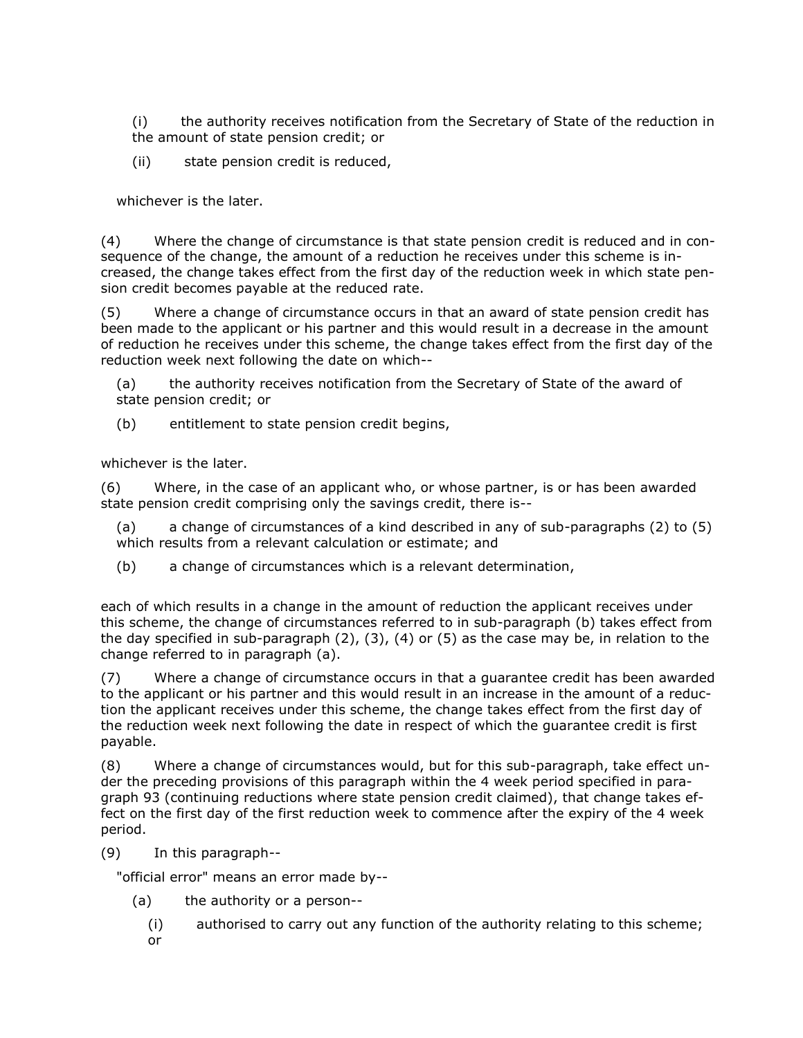(i) the authority receives notification from the Secretary of State of the reduction in the amount of state pension credit; or

(ii) state pension credit is reduced,

whichever is the later.

(4) Where the change of circumstance is that state pension credit is reduced and in consequence of the change, the amount of a reduction he receives under this scheme is increased, the change takes effect from the first day of the reduction week in which state pension credit becomes payable at the reduced rate.

(5) Where a change of circumstance occurs in that an award of state pension credit has been made to the applicant or his partner and this would result in a decrease in the amount of reduction he receives under this scheme, the change takes effect from the first day of the reduction week next following the date on which--

(a) the authority receives notification from the Secretary of State of the award of state pension credit; or

(b) entitlement to state pension credit begins,

whichever is the later.

(6) Where, in the case of an applicant who, or whose partner, is or has been awarded state pension credit comprising only the savings credit, there is--

(a) a change of circumstances of a kind described in any of sub-paragraphs (2) to (5) which results from a relevant calculation or estimate; and

(b) a change of circumstances which is a relevant determination,

each of which results in a change in the amount of reduction the applicant receives under this scheme, the change of circumstances referred to in sub-paragraph (b) takes effect from the day specified in sub-paragraph  $(2)$ ,  $(3)$ ,  $(4)$  or  $(5)$  as the case may be, in relation to the change referred to in paragraph (a).

(7) Where a change of circumstance occurs in that a guarantee credit has been awarded to the applicant or his partner and this would result in an increase in the amount of a reduction the applicant receives under this scheme, the change takes effect from the first day of the reduction week next following the date in respect of which the guarantee credit is first payable.

(8) Where a change of circumstances would, but for this sub-paragraph, take effect under the preceding provisions of this paragraph within the 4 week period specified in paragraph 93 (continuing reductions where state pension credit claimed), that change takes effect on the first day of the first reduction week to commence after the expiry of the 4 week period.

(9) In this paragraph--

"official error" means an error made by--

- (a) the authority or a person--
	- (i) authorised to carry out any function of the authority relating to this scheme; or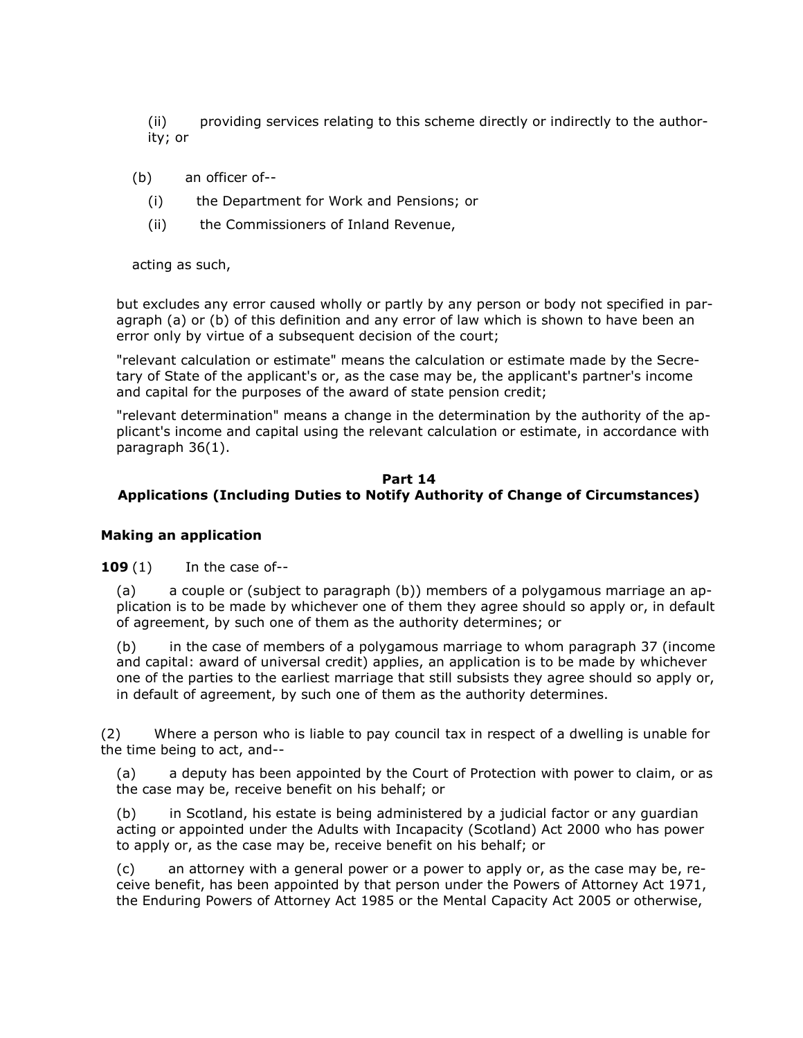(ii) providing services relating to this scheme directly or indirectly to the authority; or

- (b) an officer of--
	- (i) the Department for Work and Pensions; or
	- (ii) the Commissioners of Inland Revenue,

acting as such,

but excludes any error caused wholly or partly by any person or body not specified in paragraph (a) or (b) of this definition and any error of law which is shown to have been an error only by virtue of a subsequent decision of the court;

"relevant calculation or estimate" means the calculation or estimate made by the Secretary of State of the applicant's or, as the case may be, the applicant's partner's income and capital for the purposes of the award of state pension credit;

"relevant determination" means a change in the determination by the authority of the applicant's income and capital using the relevant calculation or estimate, in accordance with paragraph 36(1).

#### **Part 14**

# **Applications (Including Duties to Notify Authority of Change of Circumstances)**

## **Making an application**

**109** (1) In the case of--

(a) a couple or (subject to paragraph (b)) members of a polygamous marriage an application is to be made by whichever one of them they agree should so apply or, in default of agreement, by such one of them as the authority determines; or

(b) in the case of members of a polygamous marriage to whom paragraph 37 (income and capital: award of universal credit) applies, an application is to be made by whichever one of the parties to the earliest marriage that still subsists they agree should so apply or, in default of agreement, by such one of them as the authority determines.

(2) Where a person who is liable to pay council tax in respect of a dwelling is unable for the time being to act, and--

(a) a deputy has been appointed by the Court of Protection with power to claim, or as the case may be, receive benefit on his behalf; or

(b) in Scotland, his estate is being administered by a judicial factor or any guardian acting or appointed under the Adults with Incapacity (Scotland) Act 2000 who has power to apply or, as the case may be, receive benefit on his behalf; or

(c) an attorney with a general power or a power to apply or, as the case may be, receive benefit, has been appointed by that person under the Powers of Attorney Act 1971, the Enduring Powers of Attorney Act 1985 or the Mental Capacity Act 2005 or otherwise,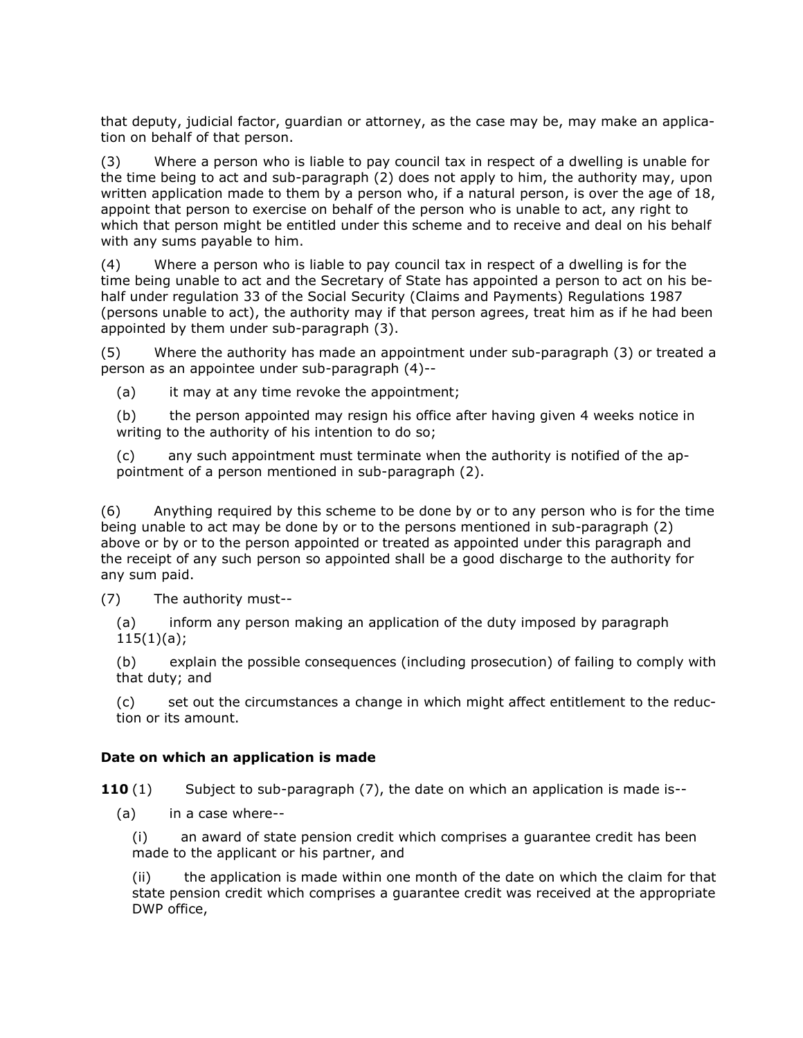that deputy, judicial factor, guardian or attorney, as the case may be, may make an application on behalf of that person.

(3) Where a person who is liable to pay council tax in respect of a dwelling is unable for the time being to act and sub-paragraph (2) does not apply to him, the authority may, upon written application made to them by a person who, if a natural person, is over the age of 18, appoint that person to exercise on behalf of the person who is unable to act, any right to which that person might be entitled under this scheme and to receive and deal on his behalf with any sums payable to him.

(4) Where a person who is liable to pay council tax in respect of a dwelling is for the time being unable to act and the Secretary of State has appointed a person to act on his behalf under regulation 33 of the Social Security (Claims and Payments) Regulations 1987 (persons unable to act), the authority may if that person agrees, treat him as if he had been appointed by them under sub-paragraph (3).

(5) Where the authority has made an appointment under sub-paragraph (3) or treated a person as an appointee under sub-paragraph (4)--

(a) it may at any time revoke the appointment;

(b) the person appointed may resign his office after having given 4 weeks notice in writing to the authority of his intention to do so;

(c) any such appointment must terminate when the authority is notified of the appointment of a person mentioned in sub-paragraph (2).

(6) Anything required by this scheme to be done by or to any person who is for the time being unable to act may be done by or to the persons mentioned in sub-paragraph (2) above or by or to the person appointed or treated as appointed under this paragraph and the receipt of any such person so appointed shall be a good discharge to the authority for any sum paid.

(7) The authority must--

(a) inform any person making an application of the duty imposed by paragraph  $115(1)(a);$ 

(b) explain the possible consequences (including prosecution) of failing to comply with that duty; and

(c) set out the circumstances a change in which might affect entitlement to the reduction or its amount.

## **Date on which an application is made**

**110** (1) Subject to sub-paragraph (7), the date on which an application is made is--

(a) in a case where--

(i) an award of state pension credit which comprises a guarantee credit has been made to the applicant or his partner, and

(ii) the application is made within one month of the date on which the claim for that state pension credit which comprises a guarantee credit was received at the appropriate DWP office,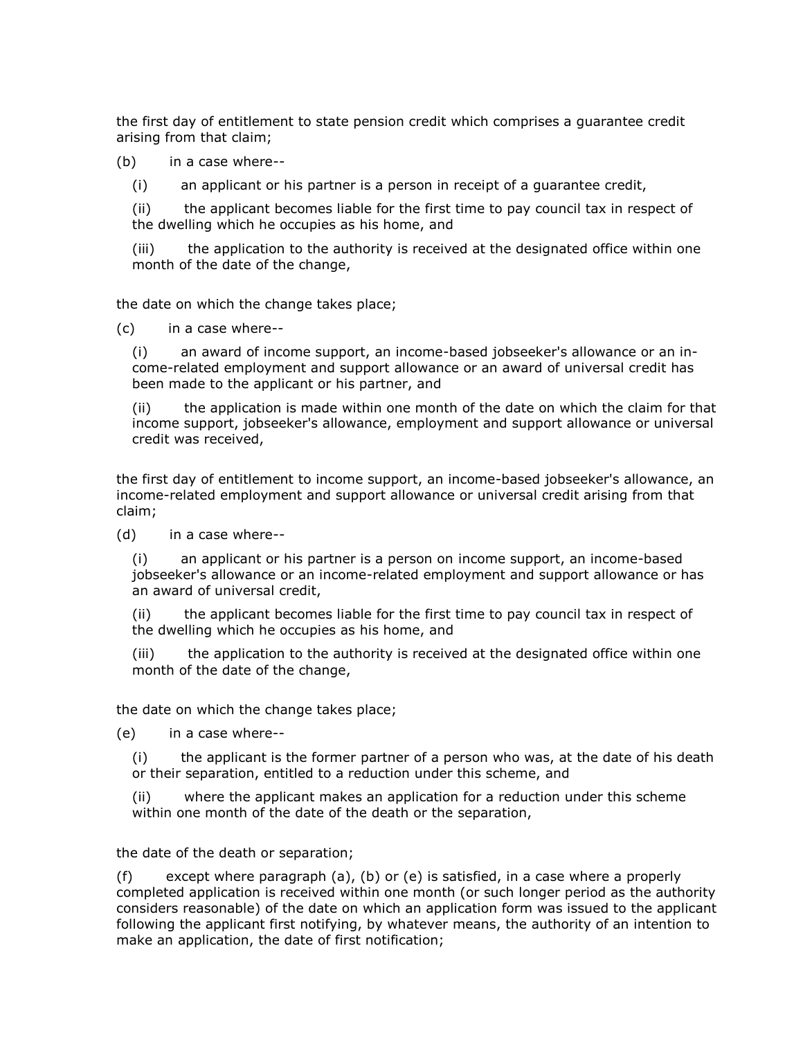the first day of entitlement to state pension credit which comprises a guarantee credit arising from that claim;

(b) in a case where--

(i) an applicant or his partner is a person in receipt of a guarantee credit,

(ii) the applicant becomes liable for the first time to pay council tax in respect of the dwelling which he occupies as his home, and

(iii) the application to the authority is received at the designated office within one month of the date of the change,

the date on which the change takes place;

(c) in a case where--

(i) an award of income support, an income-based jobseeker's allowance or an income-related employment and support allowance or an award of universal credit has been made to the applicant or his partner, and

(ii) the application is made within one month of the date on which the claim for that income support, jobseeker's allowance, employment and support allowance or universal credit was received,

the first day of entitlement to income support, an income-based jobseeker's allowance, an income-related employment and support allowance or universal credit arising from that claim;

(d) in a case where--

(i) an applicant or his partner is a person on income support, an income-based jobseeker's allowance or an income-related employment and support allowance or has an award of universal credit,

(ii) the applicant becomes liable for the first time to pay council tax in respect of the dwelling which he occupies as his home, and

(iii) the application to the authority is received at the designated office within one month of the date of the change,

the date on which the change takes place;

(e) in a case where--

(i) the applicant is the former partner of a person who was, at the date of his death or their separation, entitled to a reduction under this scheme, and

(ii) where the applicant makes an application for a reduction under this scheme within one month of the date of the death or the separation,

the date of the death or separation;

(f) except where paragraph (a), (b) or (e) is satisfied, in a case where a properly completed application is received within one month (or such longer period as the authority considers reasonable) of the date on which an application form was issued to the applicant following the applicant first notifying, by whatever means, the authority of an intention to make an application, the date of first notification;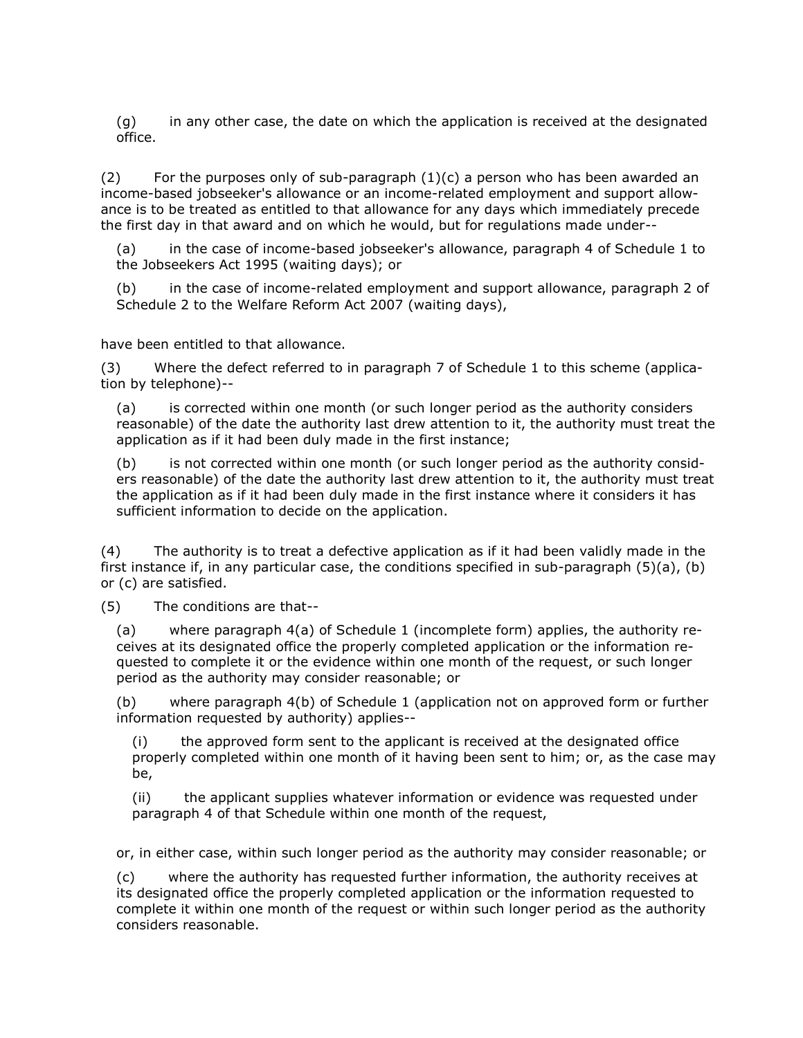(g) in any other case, the date on which the application is received at the designated office.

(2) For the purposes only of sub-paragraph  $(1)(c)$  a person who has been awarded an income-based jobseeker's allowance or an income-related employment and support allowance is to be treated as entitled to that allowance for any days which immediately precede the first day in that award and on which he would, but for regulations made under--

(a) in the case of income-based jobseeker's allowance, paragraph 4 of Schedule 1 to the Jobseekers Act 1995 (waiting days); or

(b) in the case of income-related employment and support allowance, paragraph 2 of Schedule 2 to the Welfare Reform Act 2007 (waiting days),

have been entitled to that allowance.

(3) Where the defect referred to in paragraph 7 of Schedule 1 to this scheme (application by telephone)--

(a) is corrected within one month (or such longer period as the authority considers reasonable) of the date the authority last drew attention to it, the authority must treat the application as if it had been duly made in the first instance;

(b) is not corrected within one month (or such longer period as the authority considers reasonable) of the date the authority last drew attention to it, the authority must treat the application as if it had been duly made in the first instance where it considers it has sufficient information to decide on the application.

(4) The authority is to treat a defective application as if it had been validly made in the first instance if, in any particular case, the conditions specified in sub-paragraph (5)(a), (b) or (c) are satisfied.

(5) The conditions are that--

(a) where paragraph 4(a) of Schedule 1 (incomplete form) applies, the authority receives at its designated office the properly completed application or the information requested to complete it or the evidence within one month of the request, or such longer period as the authority may consider reasonable; or

(b) where paragraph 4(b) of Schedule 1 (application not on approved form or further information requested by authority) applies--

(i) the approved form sent to the applicant is received at the designated office properly completed within one month of it having been sent to him; or, as the case may be,

(ii) the applicant supplies whatever information or evidence was requested under paragraph 4 of that Schedule within one month of the request,

or, in either case, within such longer period as the authority may consider reasonable; or

(c) where the authority has requested further information, the authority receives at its designated office the properly completed application or the information requested to complete it within one month of the request or within such longer period as the authority considers reasonable.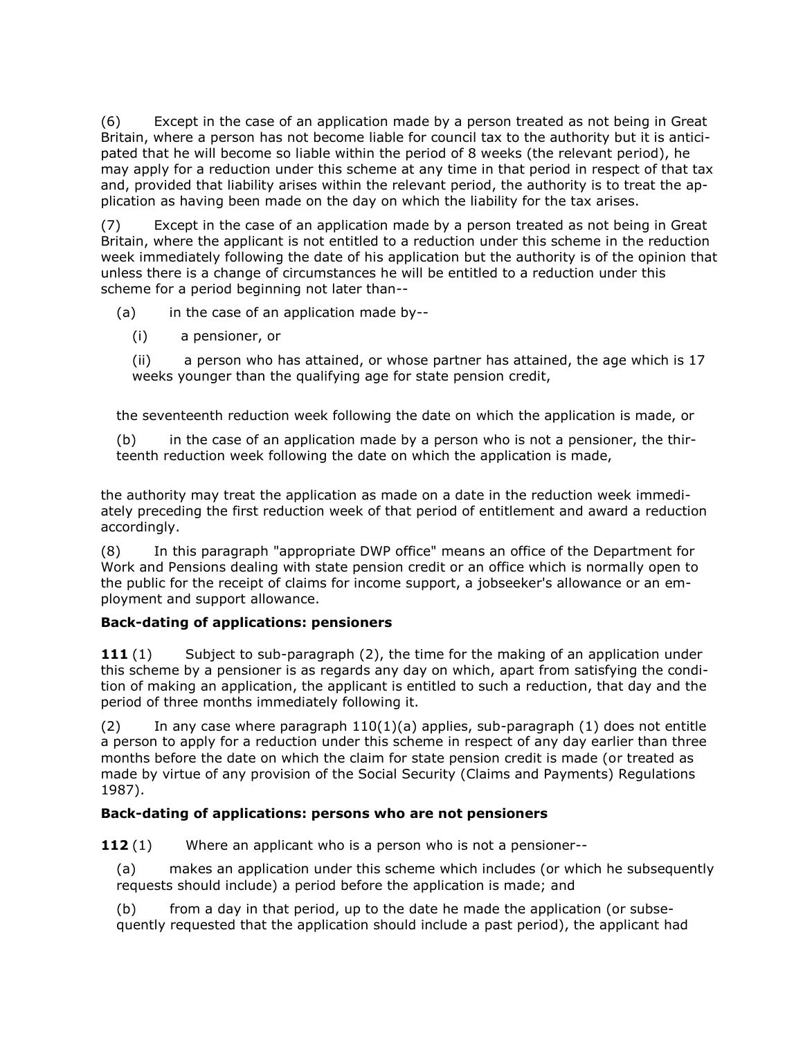(6) Except in the case of an application made by a person treated as not being in Great Britain, where a person has not become liable for council tax to the authority but it is anticipated that he will become so liable within the period of 8 weeks (the relevant period), he may apply for a reduction under this scheme at any time in that period in respect of that tax and, provided that liability arises within the relevant period, the authority is to treat the application as having been made on the day on which the liability for the tax arises.

(7) Except in the case of an application made by a person treated as not being in Great Britain, where the applicant is not entitled to a reduction under this scheme in the reduction week immediately following the date of his application but the authority is of the opinion that unless there is a change of circumstances he will be entitled to a reduction under this scheme for a period beginning not later than--

(a) in the case of an application made by--

(i) a pensioner, or

(ii) a person who has attained, or whose partner has attained, the age which is 17 weeks younger than the qualifying age for state pension credit,

the seventeenth reduction week following the date on which the application is made, or

(b) in the case of an application made by a person who is not a pensioner, the thirteenth reduction week following the date on which the application is made,

the authority may treat the application as made on a date in the reduction week immediately preceding the first reduction week of that period of entitlement and award a reduction accordingly.

(8) In this paragraph "appropriate DWP office" means an office of the Department for Work and Pensions dealing with state pension credit or an office which is normally open to the public for the receipt of claims for income support, a jobseeker's allowance or an employment and support allowance.

# **Back-dating of applications: pensioners**

**111** (1) Subject to sub-paragraph (2), the time for the making of an application under this scheme by a pensioner is as regards any day on which, apart from satisfying the condition of making an application, the applicant is entitled to such a reduction, that day and the period of three months immediately following it.

(2) In any case where paragraph  $110(1)(a)$  applies, sub-paragraph (1) does not entitle a person to apply for a reduction under this scheme in respect of any day earlier than three months before the date on which the claim for state pension credit is made (or treated as made by virtue of any provision of the Social Security (Claims and Payments) Regulations 1987).

# **Back-dating of applications: persons who are not pensioners**

**112** (1) Where an applicant who is a person who is not a pensioner--

(a) makes an application under this scheme which includes (or which he subsequently requests should include) a period before the application is made; and

(b) from a day in that period, up to the date he made the application (or subsequently requested that the application should include a past period), the applicant had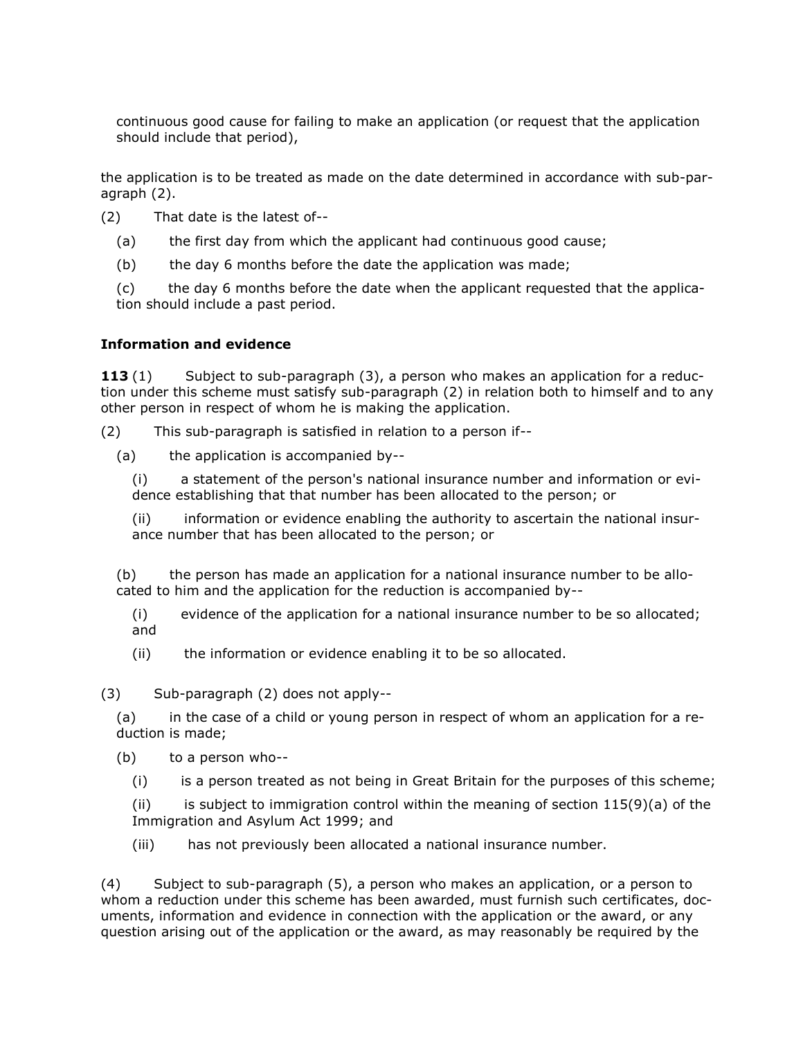continuous good cause for failing to make an application (or request that the application should include that period),

the application is to be treated as made on the date determined in accordance with sub-paragraph (2).

(2) That date is the latest of--

- (a) the first day from which the applicant had continuous good cause;
- (b) the day 6 months before the date the application was made;

(c) the day 6 months before the date when the applicant requested that the application should include a past period.

## **Information and evidence**

**113** (1) Subject to sub-paragraph (3), a person who makes an application for a reduction under this scheme must satisfy sub-paragraph (2) in relation both to himself and to any other person in respect of whom he is making the application.

(2) This sub-paragraph is satisfied in relation to a person if--

 $(a)$  the application is accompanied by--

(i) a statement of the person's national insurance number and information or evidence establishing that that number has been allocated to the person; or

(ii) information or evidence enabling the authority to ascertain the national insurance number that has been allocated to the person; or

(b) the person has made an application for a national insurance number to be allocated to him and the application for the reduction is accompanied by--

(i) evidence of the application for a national insurance number to be so allocated; and

(ii) the information or evidence enabling it to be so allocated.

(3) Sub-paragraph (2) does not apply--

(a) in the case of a child or young person in respect of whom an application for a reduction is made;

- (b) to a person who--
	- (i) is a person treated as not being in Great Britain for the purposes of this scheme;

(ii) is subject to immigration control within the meaning of section  $115(9)(a)$  of the Immigration and Asylum Act 1999; and

(iii) has not previously been allocated a national insurance number.

(4) Subject to sub-paragraph (5), a person who makes an application, or a person to whom a reduction under this scheme has been awarded, must furnish such certificates, documents, information and evidence in connection with the application or the award, or any question arising out of the application or the award, as may reasonably be required by the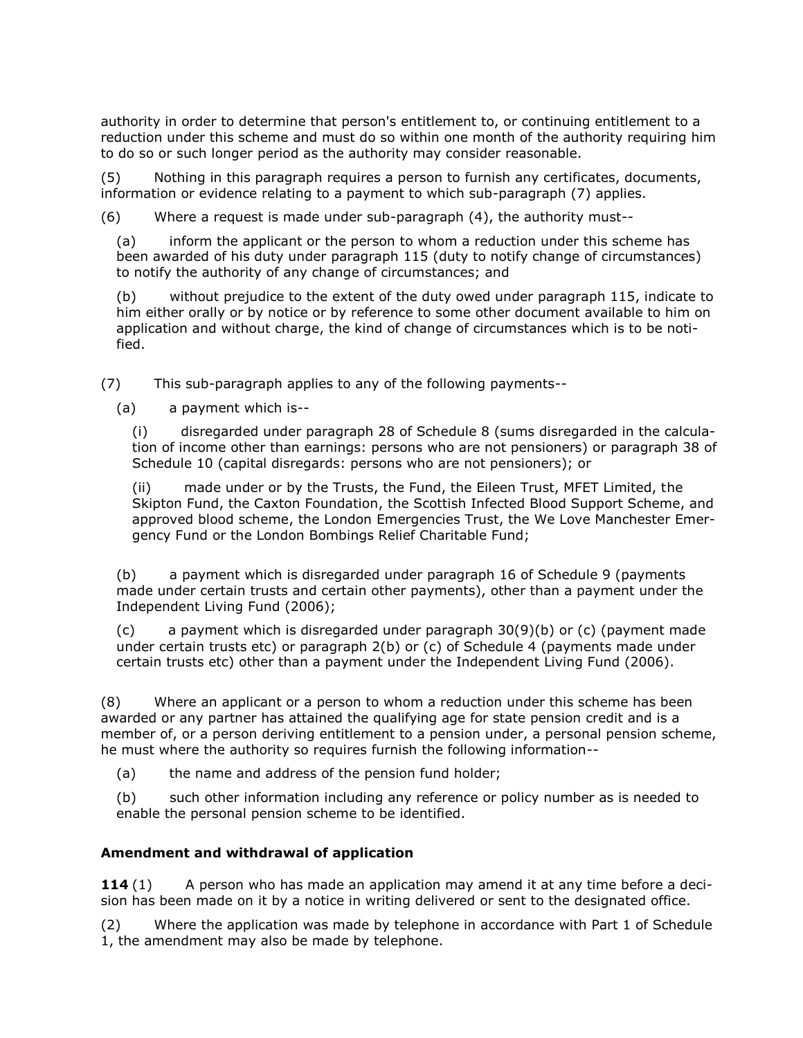authority in order to determine that person's entitlement to, or continuing entitlement to a reduction under this scheme and must do so within one month of the authority requiring him to do so or such longer period as the authority may consider reasonable.

(5) Nothing in this paragraph requires a person to furnish any certificates, documents, information or evidence relating to a payment to which sub-paragraph (7) applies.

(6) Where a request is made under sub-paragraph (4), the authority must--

(a) inform the applicant or the person to whom a reduction under this scheme has been awarded of his duty under paragraph 115 (duty to notify change of circumstances) to notify the authority of any change of circumstances; and

(b) without prejudice to the extent of the duty owed under paragraph 115, indicate to him either orally or by notice or by reference to some other document available to him on application and without charge, the kind of change of circumstances which is to be notified.

(7) This sub-paragraph applies to any of the following payments--

(a) a payment which is--

(i) disregarded under paragraph 28 of Schedule 8 (sums disregarded in the calculation of income other than earnings: persons who are not pensioners) or paragraph 38 of Schedule 10 (capital disregards: persons who are not pensioners); or

(ii) made under or by the Trusts, the Fund, the Eileen Trust, MFET Limited, the Skipton Fund, the Caxton Foundation, the Scottish Infected Blood Support Scheme, and approved blood scheme, the London Emergencies Trust, the We Love Manchester Emergency Fund or the London Bombings Relief Charitable Fund;

(b) a payment which is disregarded under paragraph 16 of Schedule 9 (payments made under certain trusts and certain other payments), other than a payment under the Independent Living Fund (2006);

(c) a payment which is disregarded under paragraph 30(9)(b) or (c) (payment made under certain trusts etc) or paragraph 2(b) or (c) of Schedule 4 (payments made under certain trusts etc) other than a payment under the Independent Living Fund (2006).

(8) Where an applicant or a person to whom a reduction under this scheme has been awarded or any partner has attained the qualifying age for state pension credit and is a member of, or a person deriving entitlement to a pension under, a personal pension scheme, he must where the authority so requires furnish the following information--

(a) the name and address of the pension fund holder;

(b) such other information including any reference or policy number as is needed to enable the personal pension scheme to be identified.

# **Amendment and withdrawal of application**

**114** (1) A person who has made an application may amend it at any time before a decision has been made on it by a notice in writing delivered or sent to the designated office.

(2) Where the application was made by telephone in accordance with Part 1 of Schedule 1, the amendment may also be made by telephone.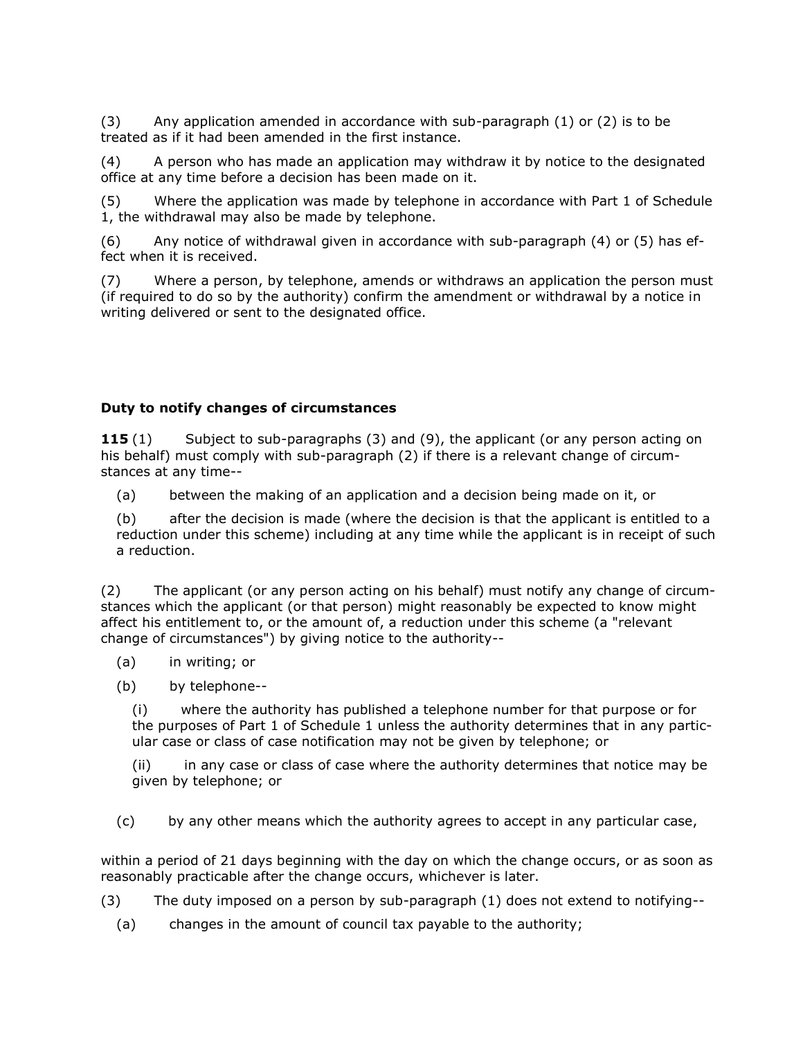(3) Any application amended in accordance with sub-paragraph (1) or (2) is to be treated as if it had been amended in the first instance.

(4) A person who has made an application may withdraw it by notice to the designated office at any time before a decision has been made on it.

(5) Where the application was made by telephone in accordance with Part 1 of Schedule 1, the withdrawal may also be made by telephone.

(6) Any notice of withdrawal given in accordance with sub-paragraph (4) or (5) has effect when it is received.

(7) Where a person, by telephone, amends or withdraws an application the person must (if required to do so by the authority) confirm the amendment or withdrawal by a notice in writing delivered or sent to the designated office.

# **Duty to notify changes of circumstances**

**115** (1) Subject to sub-paragraphs (3) and (9), the applicant (or any person acting on his behalf) must comply with sub-paragraph (2) if there is a relevant change of circumstances at any time--

(a) between the making of an application and a decision being made on it, or

(b) after the decision is made (where the decision is that the applicant is entitled to a reduction under this scheme) including at any time while the applicant is in receipt of such a reduction.

(2) The applicant (or any person acting on his behalf) must notify any change of circumstances which the applicant (or that person) might reasonably be expected to know might affect his entitlement to, or the amount of, a reduction under this scheme (a "relevant change of circumstances") by giving notice to the authority--

- (a) in writing; or
- (b) by telephone--

(i) where the authority has published a telephone number for that purpose or for the purposes of Part 1 of Schedule 1 unless the authority determines that in any particular case or class of case notification may not be given by telephone; or

(ii) in any case or class of case where the authority determines that notice may be given by telephone; or

(c) by any other means which the authority agrees to accept in any particular case,

within a period of 21 days beginning with the day on which the change occurs, or as soon as reasonably practicable after the change occurs, whichever is later.

(3) The duty imposed on a person by sub-paragraph (1) does not extend to notifying--

(a) changes in the amount of council tax payable to the authority;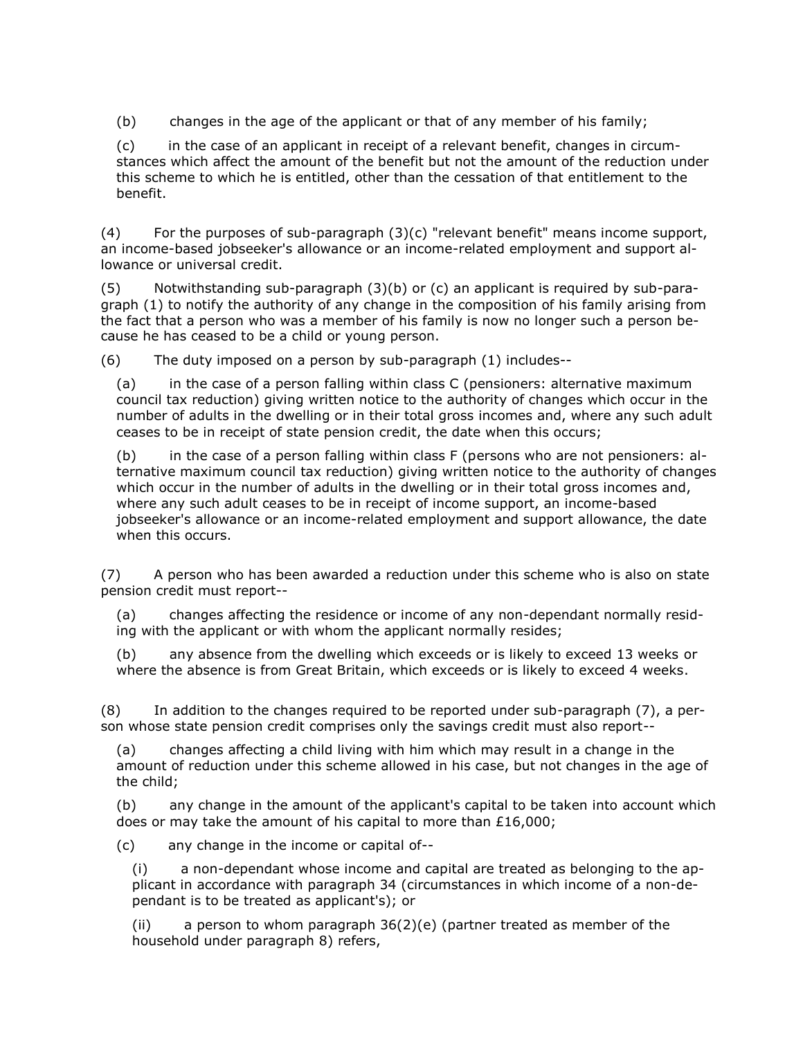(b) changes in the age of the applicant or that of any member of his family;

(c) in the case of an applicant in receipt of a relevant benefit, changes in circumstances which affect the amount of the benefit but not the amount of the reduction under this scheme to which he is entitled, other than the cessation of that entitlement to the benefit.

(4) For the purposes of sub-paragraph (3)(c) "relevant benefit" means income support, an income-based jobseeker's allowance or an income-related employment and support allowance or universal credit.

(5) Notwithstanding sub-paragraph (3)(b) or (c) an applicant is required by sub-paragraph (1) to notify the authority of any change in the composition of his family arising from the fact that a person who was a member of his family is now no longer such a person because he has ceased to be a child or young person.

(6) The duty imposed on a person by sub-paragraph (1) includes--

(a) in the case of a person falling within class C (pensioners: alternative maximum council tax reduction) giving written notice to the authority of changes which occur in the number of adults in the dwelling or in their total gross incomes and, where any such adult ceases to be in receipt of state pension credit, the date when this occurs;

(b) in the case of a person falling within class F (persons who are not pensioners: alternative maximum council tax reduction) giving written notice to the authority of changes which occur in the number of adults in the dwelling or in their total gross incomes and, where any such adult ceases to be in receipt of income support, an income-based jobseeker's allowance or an income-related employment and support allowance, the date when this occurs.

(7) A person who has been awarded a reduction under this scheme who is also on state pension credit must report--

(a) changes affecting the residence or income of any non-dependant normally residing with the applicant or with whom the applicant normally resides;

(b) any absence from the dwelling which exceeds or is likely to exceed 13 weeks or where the absence is from Great Britain, which exceeds or is likely to exceed 4 weeks.

(8) In addition to the changes required to be reported under sub-paragraph (7), a person whose state pension credit comprises only the savings credit must also report--

(a) changes affecting a child living with him which may result in a change in the amount of reduction under this scheme allowed in his case, but not changes in the age of the child;

(b) any change in the amount of the applicant's capital to be taken into account which does or may take the amount of his capital to more than £16,000;

(c) any change in the income or capital of--

(i) a non-dependant whose income and capital are treated as belonging to the applicant in accordance with paragraph 34 (circumstances in which income of a non-dependant is to be treated as applicant's); or

(ii) a person to whom paragraph  $36(2)(e)$  (partner treated as member of the household under paragraph 8) refers,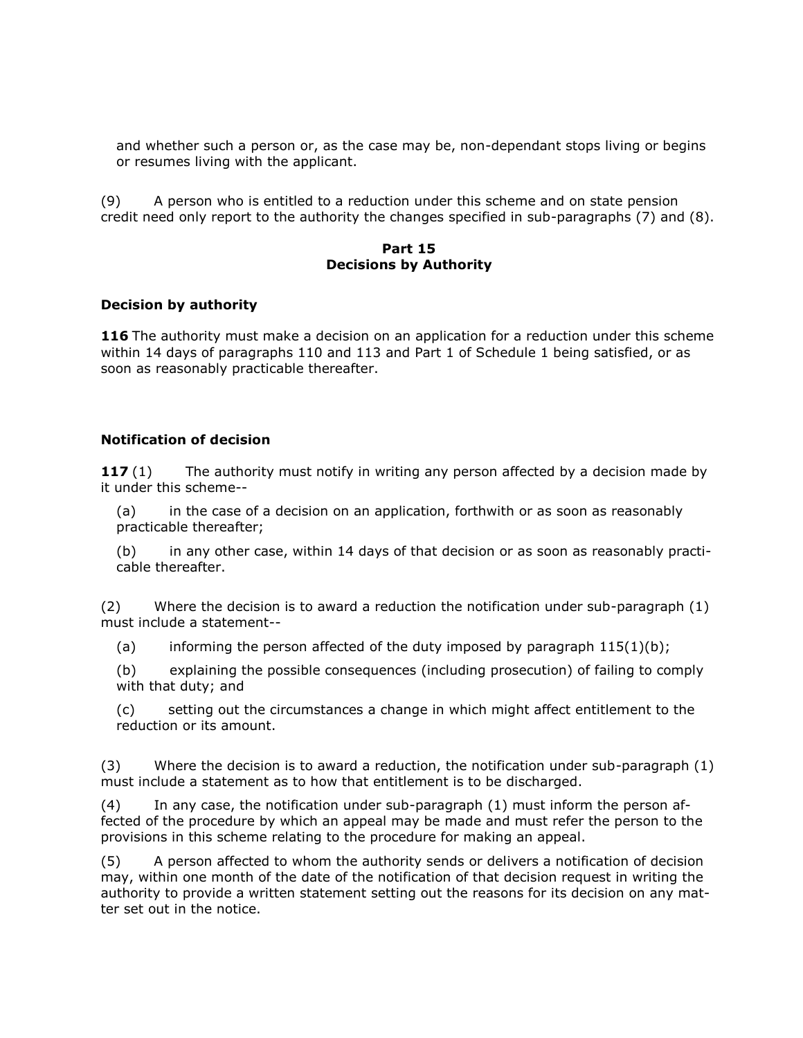and whether such a person or, as the case may be, non-dependant stops living or begins or resumes living with the applicant.

(9) A person who is entitled to a reduction under this scheme and on state pension credit need only report to the authority the changes specified in sub-paragraphs (7) and (8).

#### **Part 15 Decisions by Authority**

#### **Decision by authority**

**116** The authority must make a decision on an application for a reduction under this scheme within 14 days of paragraphs 110 and 113 and Part 1 of Schedule 1 being satisfied, or as soon as reasonably practicable thereafter.

## **Notification of decision**

**117** (1) The authority must notify in writing any person affected by a decision made by it under this scheme--

(a) in the case of a decision on an application, forthwith or as soon as reasonably practicable thereafter;

(b) in any other case, within 14 days of that decision or as soon as reasonably practicable thereafter.

(2) Where the decision is to award a reduction the notification under sub-paragraph (1) must include a statement--

(a) informing the person affected of the duty imposed by paragraph  $115(1)(b)$ ;

(b) explaining the possible consequences (including prosecution) of failing to comply with that duty; and

(c) setting out the circumstances a change in which might affect entitlement to the reduction or its amount.

(3) Where the decision is to award a reduction, the notification under sub-paragraph (1) must include a statement as to how that entitlement is to be discharged.

(4) In any case, the notification under sub-paragraph (1) must inform the person affected of the procedure by which an appeal may be made and must refer the person to the provisions in this scheme relating to the procedure for making an appeal.

(5) A person affected to whom the authority sends or delivers a notification of decision may, within one month of the date of the notification of that decision request in writing the authority to provide a written statement setting out the reasons for its decision on any matter set out in the notice.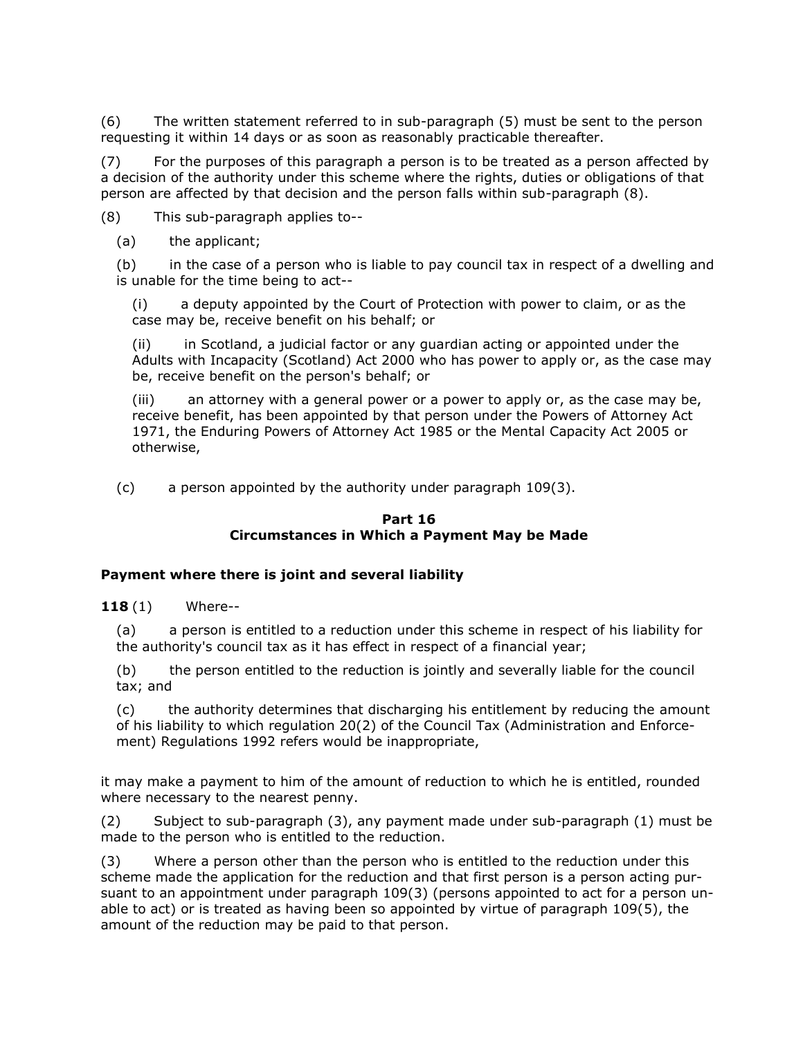(6) The written statement referred to in sub-paragraph (5) must be sent to the person requesting it within 14 days or as soon as reasonably practicable thereafter.

(7) For the purposes of this paragraph a person is to be treated as a person affected by a decision of the authority under this scheme where the rights, duties or obligations of that person are affected by that decision and the person falls within sub-paragraph (8).

(8) This sub-paragraph applies to--

(a) the applicant;

(b) in the case of a person who is liable to pay council tax in respect of a dwelling and is unable for the time being to act--

(i) a deputy appointed by the Court of Protection with power to claim, or as the case may be, receive benefit on his behalf; or

(ii) in Scotland, a judicial factor or any guardian acting or appointed under the Adults with Incapacity (Scotland) Act 2000 who has power to apply or, as the case may be, receive benefit on the person's behalf; or

(iii) an attorney with a general power or a power to apply or, as the case may be, receive benefit, has been appointed by that person under the Powers of Attorney Act 1971, the Enduring Powers of Attorney Act 1985 or the Mental Capacity Act 2005 or otherwise,

(c) a person appointed by the authority under paragraph 109(3).

#### **Part 16 Circumstances in Which a Payment May be Made**

## **Payment where there is joint and several liability**

**118** (1) Where--

(a) a person is entitled to a reduction under this scheme in respect of his liability for the authority's council tax as it has effect in respect of a financial year;

(b) the person entitled to the reduction is jointly and severally liable for the council tax; and

(c) the authority determines that discharging his entitlement by reducing the amount of his liability to which regulation 20(2) of the Council Tax (Administration and Enforcement) Regulations 1992 refers would be inappropriate,

it may make a payment to him of the amount of reduction to which he is entitled, rounded where necessary to the nearest penny.

(2) Subject to sub-paragraph (3), any payment made under sub-paragraph (1) must be made to the person who is entitled to the reduction.

(3) Where a person other than the person who is entitled to the reduction under this scheme made the application for the reduction and that first person is a person acting pursuant to an appointment under paragraph 109(3) (persons appointed to act for a person unable to act) or is treated as having been so appointed by virtue of paragraph 109(5), the amount of the reduction may be paid to that person.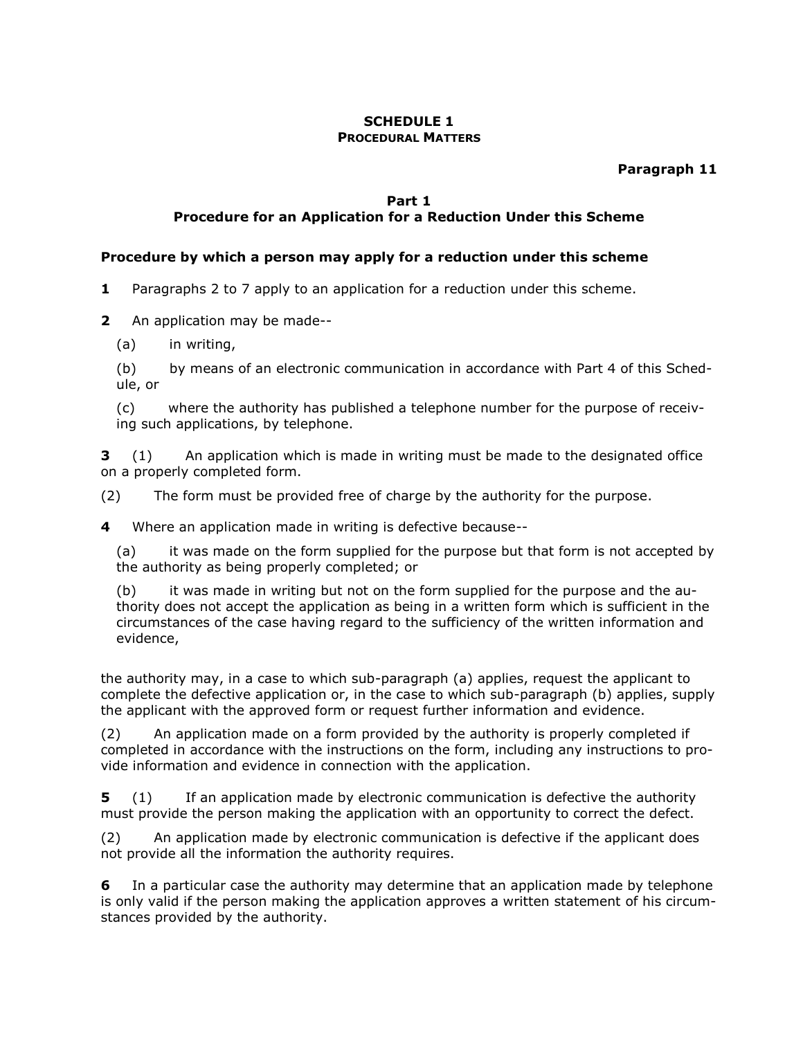## **SCHEDULE 1 PROCEDURAL MATTERS**

## **Paragraph 11**

#### **Part 1**

# **Procedure for an Application for a Reduction Under this Scheme**

## **Procedure by which a person may apply for a reduction under this scheme**

- **1** Paragraphs 2 to 7 apply to an application for a reduction under this scheme.
- **2** An application may be made--
	- (a) in writing,

(b) by means of an electronic communication in accordance with Part 4 of this Schedule, or

(c) where the authority has published a telephone number for the purpose of receiving such applications, by telephone.

**3** (1) An application which is made in writing must be made to the designated office on a properly completed form.

(2) The form must be provided free of charge by the authority for the purpose.

**4** Where an application made in writing is defective because--

(a) it was made on the form supplied for the purpose but that form is not accepted by the authority as being properly completed; or

(b) it was made in writing but not on the form supplied for the purpose and the authority does not accept the application as being in a written form which is sufficient in the circumstances of the case having regard to the sufficiency of the written information and evidence,

the authority may, in a case to which sub-paragraph (a) applies, request the applicant to complete the defective application or, in the case to which sub-paragraph (b) applies, supply the applicant with the approved form or request further information and evidence.

(2) An application made on a form provided by the authority is properly completed if completed in accordance with the instructions on the form, including any instructions to provide information and evidence in connection with the application.

**5** (1) If an application made by electronic communication is defective the authority must provide the person making the application with an opportunity to correct the defect.

(2) An application made by electronic communication is defective if the applicant does not provide all the information the authority requires.

**6** In a particular case the authority may determine that an application made by telephone is only valid if the person making the application approves a written statement of his circumstances provided by the authority.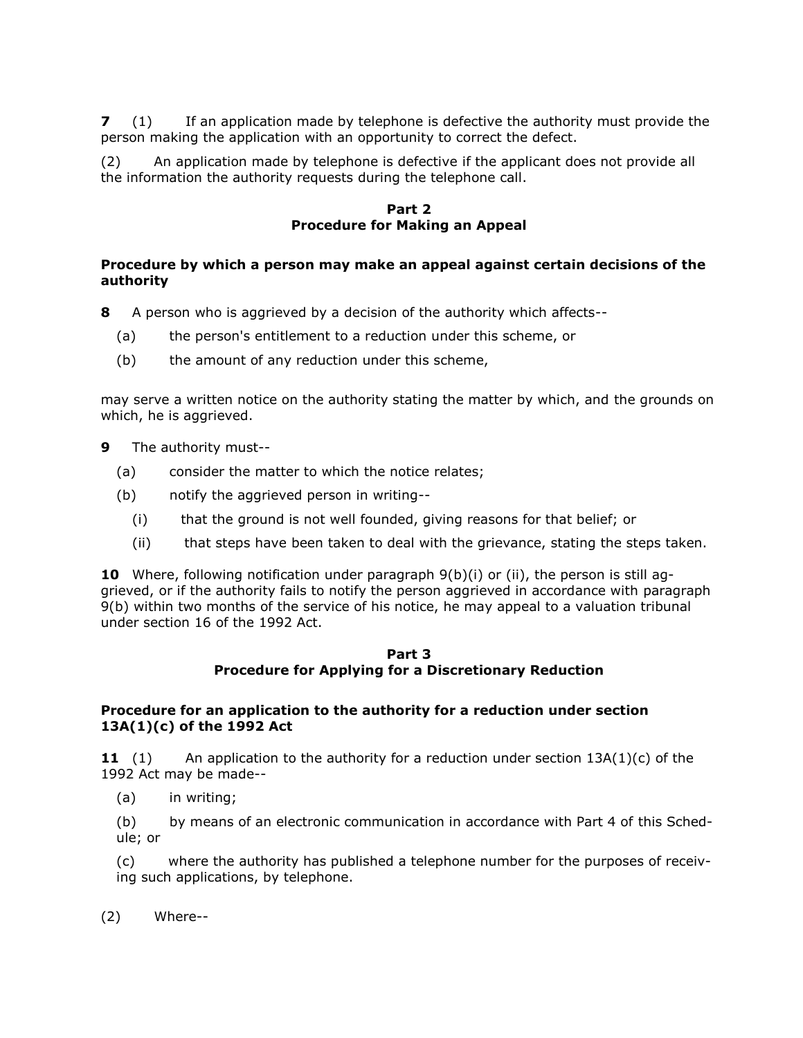**7** (1) If an application made by telephone is defective the authority must provide the person making the application with an opportunity to correct the defect.

(2) An application made by telephone is defective if the applicant does not provide all the information the authority requests during the telephone call.

#### **Part 2 Procedure for Making an Appeal**

## **Procedure by which a person may make an appeal against certain decisions of the authority**

**8** A person who is aggrieved by a decision of the authority which affects--

- (a) the person's entitlement to a reduction under this scheme, or
- (b) the amount of any reduction under this scheme,

may serve a written notice on the authority stating the matter by which, and the grounds on which, he is aggrieved.

**9** The authority must--

- (a) consider the matter to which the notice relates;
- (b) notify the aggrieved person in writing--
	- (i) that the ground is not well founded, giving reasons for that belief; or
	- (ii) that steps have been taken to deal with the grievance, stating the steps taken.

**10** Where, following notification under paragraph 9(b)(i) or (ii), the person is still aggrieved, or if the authority fails to notify the person aggrieved in accordance with paragraph 9(b) within two months of the service of his notice, he may appeal to a valuation tribunal under section 16 of the 1992 Act.

#### **Part 3 Procedure for Applying for a Discretionary Reduction**

#### **Procedure for an application to the authority for a reduction under section 13A(1)(c) of the 1992 Act**

**11** (1) An application to the authority for a reduction under section 13A(1)(c) of the 1992 Act may be made--

(a) in writing;

(b) by means of an electronic communication in accordance with Part 4 of this Schedule; or

(c) where the authority has published a telephone number for the purposes of receiving such applications, by telephone.

(2) Where--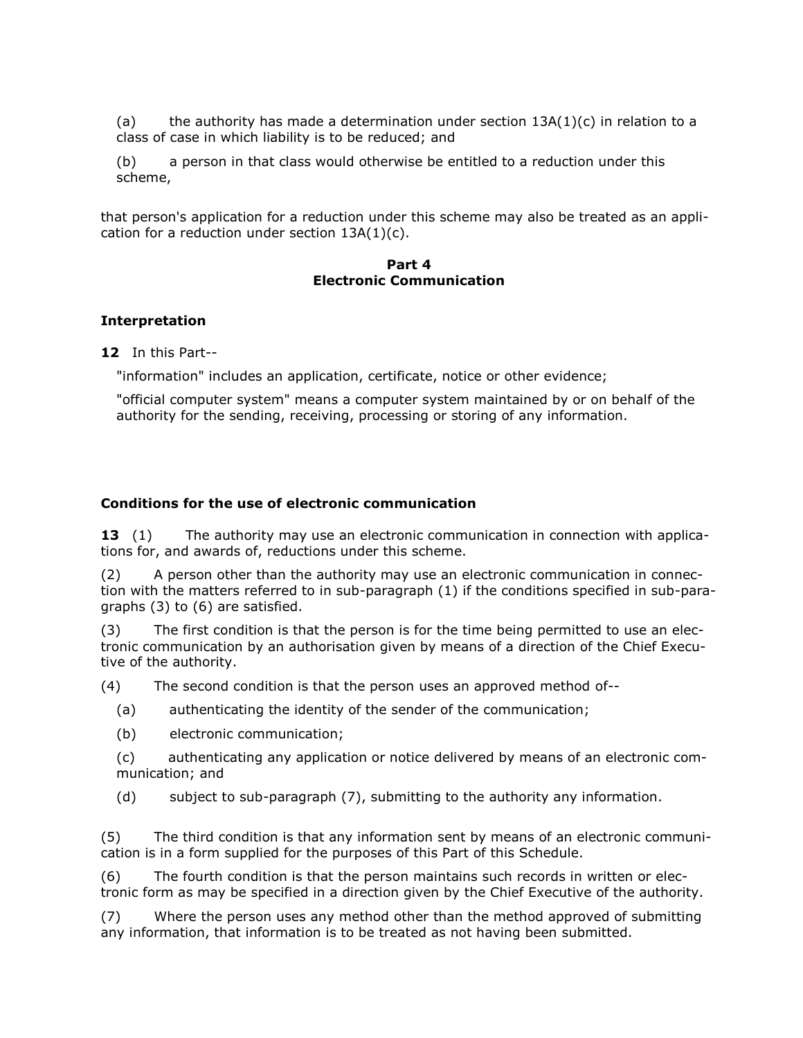(a) the authority has made a determination under section  $13A(1)(c)$  in relation to a class of case in which liability is to be reduced; and

(b) a person in that class would otherwise be entitled to a reduction under this scheme,

that person's application for a reduction under this scheme may also be treated as an application for a reduction under section  $13A(1)(c)$ .

#### **Part 4 Electronic Communication**

## **Interpretation**

**12** In this Part--

"information" includes an application, certificate, notice or other evidence;

"official computer system" means a computer system maintained by or on behalf of the authority for the sending, receiving, processing or storing of any information.

## **Conditions for the use of electronic communication**

**13** (1) The authority may use an electronic communication in connection with applications for, and awards of, reductions under this scheme.

(2) A person other than the authority may use an electronic communication in connection with the matters referred to in sub-paragraph (1) if the conditions specified in sub-paragraphs (3) to (6) are satisfied.

(3) The first condition is that the person is for the time being permitted to use an electronic communication by an authorisation given by means of a direction of the Chief Executive of the authority.

(4) The second condition is that the person uses an approved method of--

(a) authenticating the identity of the sender of the communication;

(b) electronic communication;

(c) authenticating any application or notice delivered by means of an electronic communication; and

(d) subject to sub-paragraph (7), submitting to the authority any information.

(5) The third condition is that any information sent by means of an electronic communication is in a form supplied for the purposes of this Part of this Schedule.

(6) The fourth condition is that the person maintains such records in written or electronic form as may be specified in a direction given by the Chief Executive of the authority.

(7) Where the person uses any method other than the method approved of submitting any information, that information is to be treated as not having been submitted.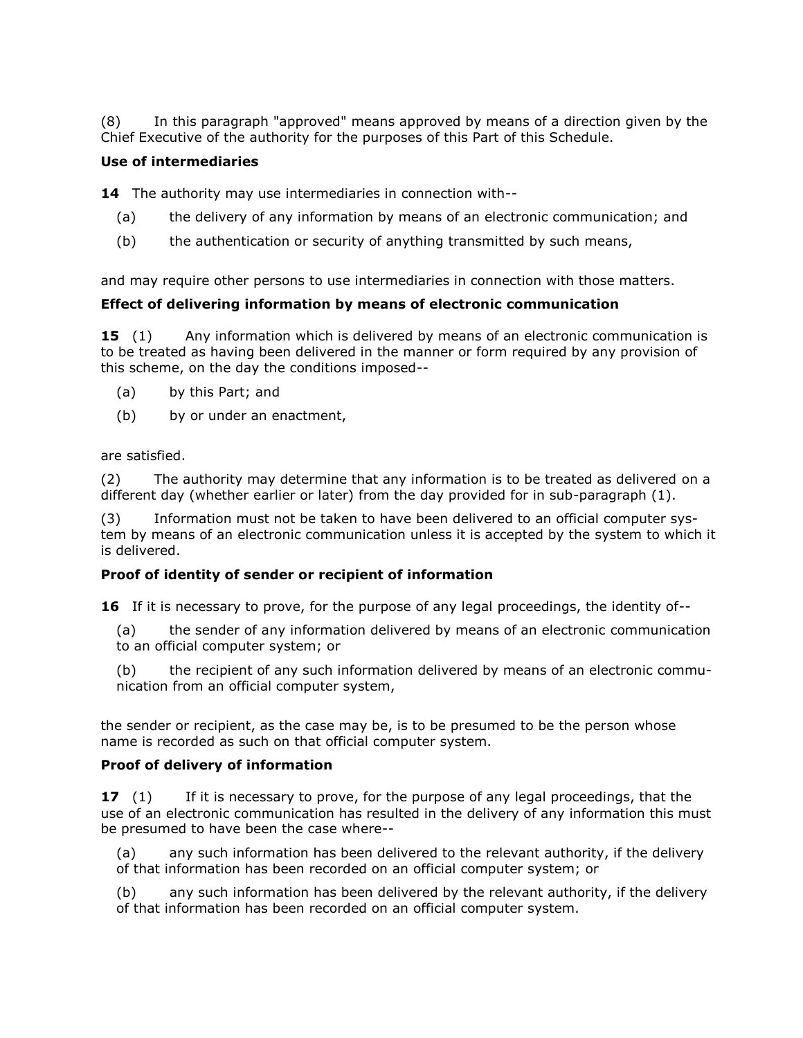(8) In this paragraph "approved" means approved by means of a direction given by the Chief Executive of the authority for the purposes of this Part of this Schedule.

## **Use of intermediaries**

**14** The authority may use intermediaries in connection with--

- (a) the delivery of any information by means of an electronic communication; and
- (b) the authentication or security of anything transmitted by such means,

and may require other persons to use intermediaries in connection with those matters.

# **Effect of delivering information by means of electronic communication**

**15** (1) Any information which is delivered by means of an electronic communication is to be treated as having been delivered in the manner or form required by any provision of this scheme, on the day the conditions imposed--

- (a) by this Part; and
- (b) by or under an enactment,

## are satisfied.

(2) The authority may determine that any information is to be treated as delivered on a different day (whether earlier or later) from the day provided for in sub-paragraph (1).

(3) Information must not be taken to have been delivered to an official computer system by means of an electronic communication unless it is accepted by the system to which it is delivered.

# **Proof of identity of sender or recipient of information**

**16** If it is necessary to prove, for the purpose of any legal proceedings, the identity of--

(a) the sender of any information delivered by means of an electronic communication to an official computer system; or

(b) the recipient of any such information delivered by means of an electronic communication from an official computer system,

the sender or recipient, as the case may be, is to be presumed to be the person whose name is recorded as such on that official computer system.

## **Proof of delivery of information**

**17** (1) If it is necessary to prove, for the purpose of any legal proceedings, that the use of an electronic communication has resulted in the delivery of any information this must be presumed to have been the case where--

(a) any such information has been delivered to the relevant authority, if the delivery of that information has been recorded on an official computer system; or

(b) any such information has been delivered by the relevant authority, if the delivery of that information has been recorded on an official computer system.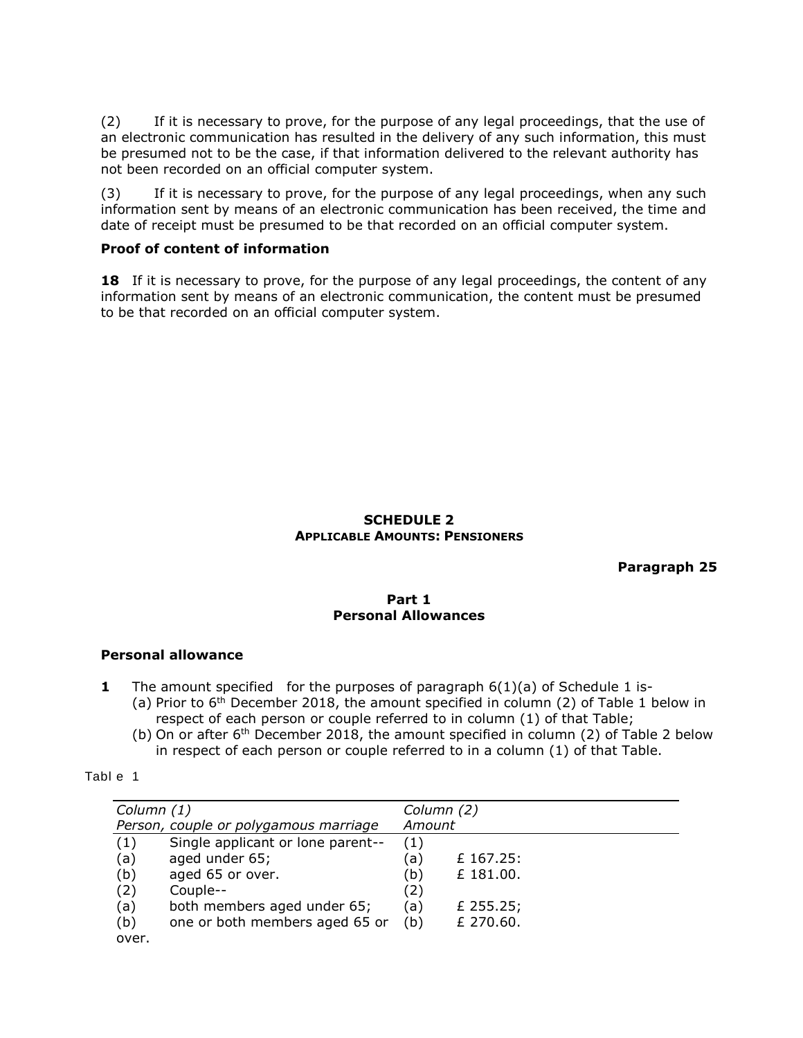(2) If it is necessary to prove, for the purpose of any legal proceedings, that the use of an electronic communication has resulted in the delivery of any such information, this must be presumed not to be the case, if that information delivered to the relevant authority has not been recorded on an official computer system.

(3) If it is necessary to prove, for the purpose of any legal proceedings, when any such information sent by means of an electronic communication has been received, the time and date of receipt must be presumed to be that recorded on an official computer system.

## **Proof of content of information**

**18** If it is necessary to prove, for the purpose of any legal proceedings, the content of any information sent by means of an electronic communication, the content must be presumed to be that recorded on an official computer system.

#### **SCHEDULE 2 APPLICABLE AMOUNTS: PENSIONERS**

**Paragraph 25**

## **Part 1 Personal Allowances**

## **Personal allowance**

- **1** The amount specified for the purposes of paragraph 6(1)(a) of Schedule 1 is-
	- (a) Prior to  $6<sup>th</sup>$  December 2018, the amount specified in column (2) of Table 1 below in respect of each person or couple referred to in column (1) of that Table;
	- (b) On or after  $6<sup>th</sup>$  December 2018, the amount specified in column (2) of Table 2 below in respect of each person or couple referred to in a column (1) of that Table.

|  | Tabl |  |  |
|--|------|--|--|
|  |      |  |  |

| Column (1) |                                       | Column (2) |           |  |
|------------|---------------------------------------|------------|-----------|--|
|            | Person, couple or polygamous marriage | Amount     |           |  |
| (1)        | Single applicant or lone parent--     | (1)        |           |  |
| (a)        | aged under 65;                        | (a         | £ 167.25: |  |
| (b)        | aged 65 or over.                      | (b)        | £ 181.00. |  |
| (2)        | Couple--                              | (2)        |           |  |
| (a)        | both members aged under 65;           | (a)        | £ 255.25; |  |
| (b)        | one or both members aged 65 or        | (b)        | £ 270.60. |  |
| over.      |                                       |            |           |  |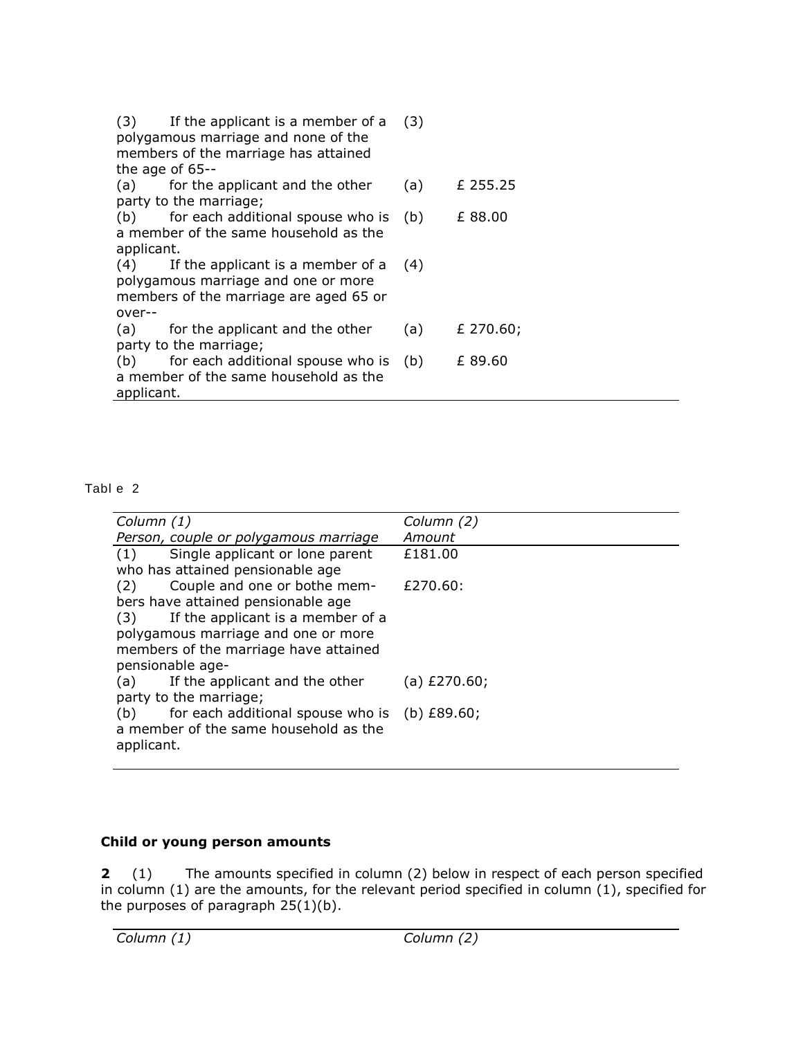| $(3)$ If the applicant is a member of a<br>(3)<br>polygamous marriage and none of the<br>members of the marriage has attained<br>the age of 65-- |     |           |  |  |
|--------------------------------------------------------------------------------------------------------------------------------------------------|-----|-----------|--|--|
| (a) for the applicant and the other                                                                                                              | (a) | £ 255.25  |  |  |
| party to the marriage;                                                                                                                           |     |           |  |  |
| (b) for each additional spouse who is                                                                                                            | (b) | £88.00    |  |  |
| a member of the same household as the                                                                                                            |     |           |  |  |
| applicant.                                                                                                                                       |     |           |  |  |
| $(4)$ If the applicant is a member of a<br>(4)<br>polygamous marriage and one or more                                                            |     |           |  |  |
| members of the marriage are aged 65 or                                                                                                           |     |           |  |  |
| over--                                                                                                                                           |     |           |  |  |
| (a) for the applicant and the other                                                                                                              | (a) | £ 270.60; |  |  |
| party to the marriage;                                                                                                                           |     |           |  |  |
| (b) for each additional spouse who is                                                                                                            | (b) | £ 89.60   |  |  |
| a member of the same household as the                                                                                                            |     |           |  |  |
| applicant.                                                                                                                                       |     |           |  |  |

## Tabl e 2

| Column (1)                                             | Column (2)     |
|--------------------------------------------------------|----------------|
| Person, couple or polygamous marriage                  | Amount         |
| Single applicant or lone parent<br>(1)                 | £181.00        |
| who has attained pensionable age                       |                |
| Couple and one or bothe mem-<br>(2)                    | £270.60:       |
| bers have attained pensionable age                     |                |
| If the applicant is a member of a<br>(3)               |                |
| polygamous marriage and one or more                    |                |
| members of the marriage have attained                  |                |
| pensionable age-                                       |                |
| (a) If the applicant and the other                     | $(a)$ £270.60; |
| party to the marriage;                                 |                |
| for each additional spouse who is $(b)$ £89.60;<br>(b) |                |
| a member of the same household as the                  |                |
| applicant.                                             |                |
|                                                        |                |

# **Child or young person amounts**

**2** (1) The amounts specified in column (2) below in respect of each person specified in column (1) are the amounts, for the relevant period specified in column (1), specified for the purposes of paragraph  $25(1)(b)$ .

*Column (1) Column (2)*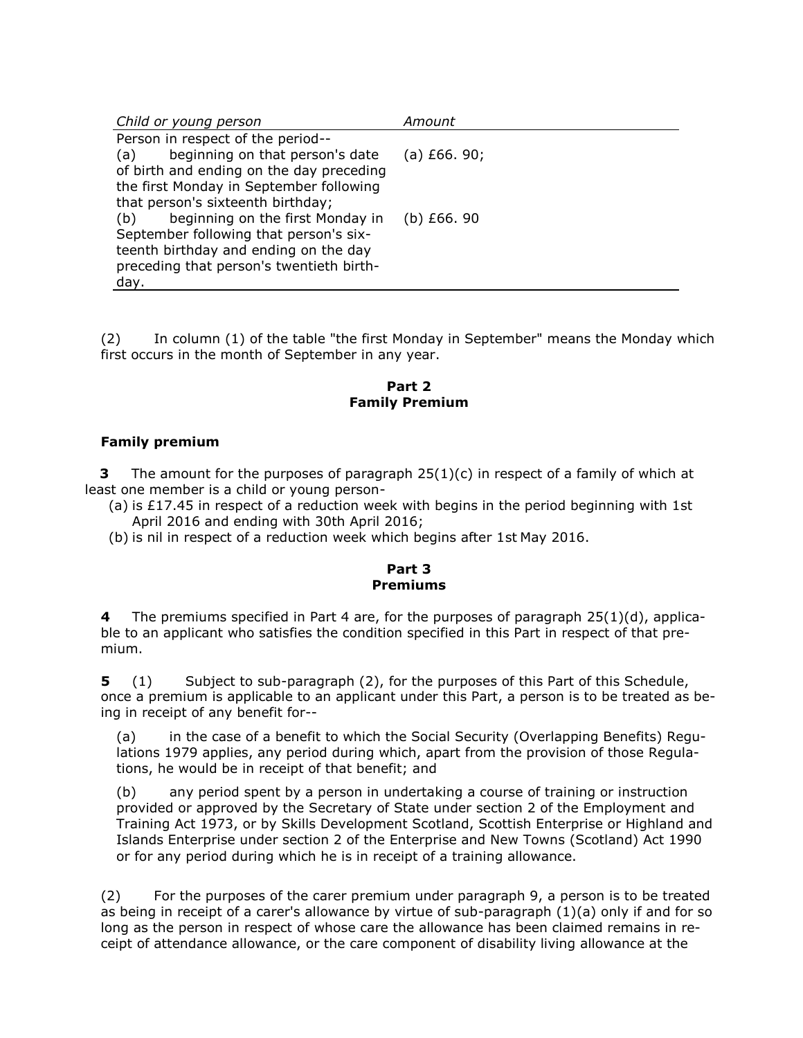| Child or young person                              | Amount         |
|----------------------------------------------------|----------------|
| Person in respect of the period--                  |                |
| beginning on that person's date<br>(a)             | $(a)$ £66. 90; |
| of birth and ending on the day preceding           |                |
| the first Monday in September following            |                |
| that person's sixteenth birthday;                  |                |
| beginning on the first Monday in (b) £66.90<br>(b) |                |
| September following that person's six-             |                |
| teenth birthday and ending on the day              |                |
| preceding that person's twentieth birth-           |                |
| day.                                               |                |

(2) In column (1) of the table "the first Monday in September" means the Monday which first occurs in the month of September in any year.

#### **Part 2 Family Premium**

## **Family premium**

**3** The amount for the purposes of paragraph 25(1)(c) in respect of a family of which at least one member is a child or young person-

- (a) is £17.45 in respect of a reduction week with begins in the period beginning with 1st April 2016 and ending with 30th April 2016;
- (b) is nil in respect of a reduction week which begins after 1st May 2016.

## **Part 3 Premiums**

**4** The premiums specified in Part 4 are, for the purposes of paragraph 25(1)(d), applicable to an applicant who satisfies the condition specified in this Part in respect of that premium.

**5** (1) Subject to sub-paragraph (2), for the purposes of this Part of this Schedule, once a premium is applicable to an applicant under this Part, a person is to be treated as being in receipt of any benefit for--

(a) in the case of a benefit to which the Social Security (Overlapping Benefits) Regulations 1979 applies, any period during which, apart from the provision of those Regulations, he would be in receipt of that benefit; and

(b) any period spent by a person in undertaking a course of training or instruction provided or approved by the Secretary of State under section 2 of the Employment and Training Act 1973, or by Skills Development Scotland, Scottish Enterprise or Highland and Islands Enterprise under section 2 of the Enterprise and New Towns (Scotland) Act 1990 or for any period during which he is in receipt of a training allowance.

(2) For the purposes of the carer premium under paragraph 9, a person is to be treated as being in receipt of a carer's allowance by virtue of sub-paragraph (1)(a) only if and for so long as the person in respect of whose care the allowance has been claimed remains in receipt of attendance allowance, or the care component of disability living allowance at the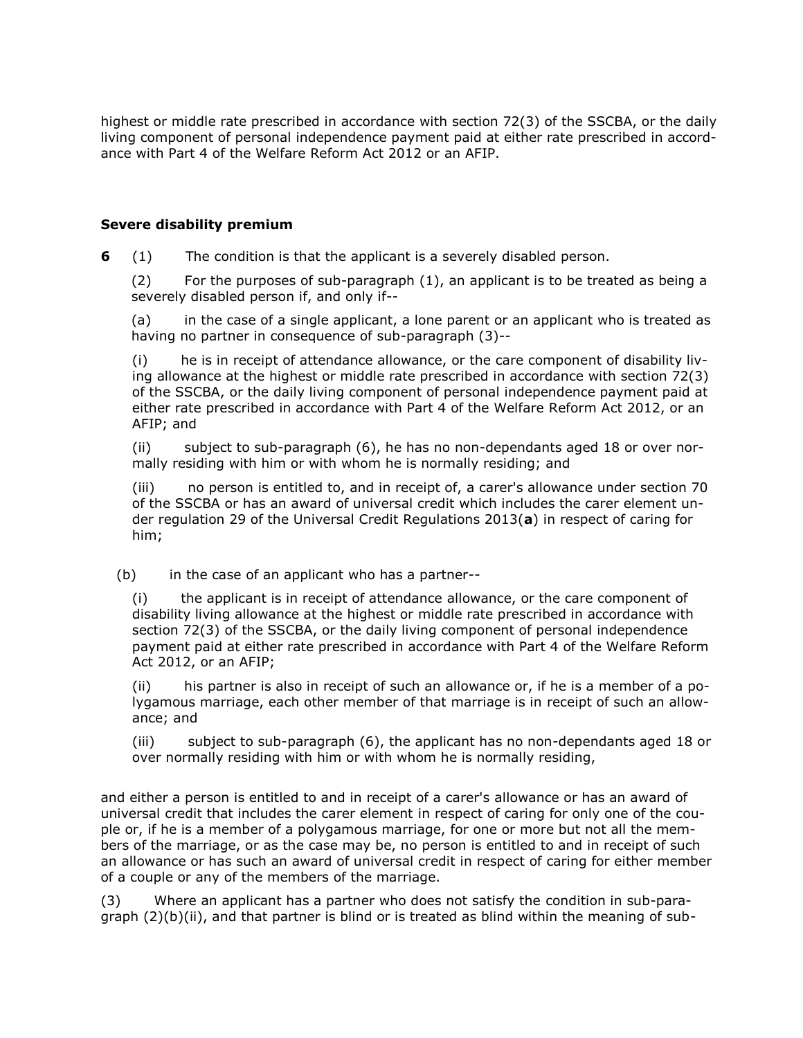highest or middle rate prescribed in accordance with section 72(3) of the SSCBA, or the daily living component of personal independence payment paid at either rate prescribed in accordance with Part 4 of the Welfare Reform Act 2012 or an AFIP.

## **Severe disability premium**

**6** (1) The condition is that the applicant is a severely disabled person.

(2) For the purposes of sub-paragraph (1), an applicant is to be treated as being a severely disabled person if, and only if--

(a) in the case of a single applicant, a lone parent or an applicant who is treated as having no partner in consequence of sub-paragraph (3)--

(i) he is in receipt of attendance allowance, or the care component of disability living allowance at the highest or middle rate prescribed in accordance with section 72(3) of the SSCBA, or the daily living component of personal independence payment paid at either rate prescribed in accordance with Part 4 of the Welfare Reform Act 2012, or an AFIP; and

(ii) subject to sub-paragraph (6), he has no non-dependants aged 18 or over normally residing with him or with whom he is normally residing; and

(iii) no person is entitled to, and in receipt of, a carer's allowance under section 70 of the SSCBA or has an award of universal credit which includes the carer element under regulation 29 of the Universal Credit Regulations 2013(**a**) in respect of caring for him;

(b) in the case of an applicant who has a partner--

(i) the applicant is in receipt of attendance allowance, or the care component of disability living allowance at the highest or middle rate prescribed in accordance with section 72(3) of the SSCBA, or the daily living component of personal independence payment paid at either rate prescribed in accordance with Part 4 of the Welfare Reform Act 2012, or an AFIP;

(ii) his partner is also in receipt of such an allowance or, if he is a member of a polygamous marriage, each other member of that marriage is in receipt of such an allowance; and

(iii) subject to sub-paragraph (6), the applicant has no non-dependants aged 18 or over normally residing with him or with whom he is normally residing,

and either a person is entitled to and in receipt of a carer's allowance or has an award of universal credit that includes the carer element in respect of caring for only one of the couple or, if he is a member of a polygamous marriage, for one or more but not all the members of the marriage, or as the case may be, no person is entitled to and in receipt of such an allowance or has such an award of universal credit in respect of caring for either member of a couple or any of the members of the marriage.

(3) Where an applicant has a partner who does not satisfy the condition in sub-paragraph (2)(b)(ii), and that partner is blind or is treated as blind within the meaning of sub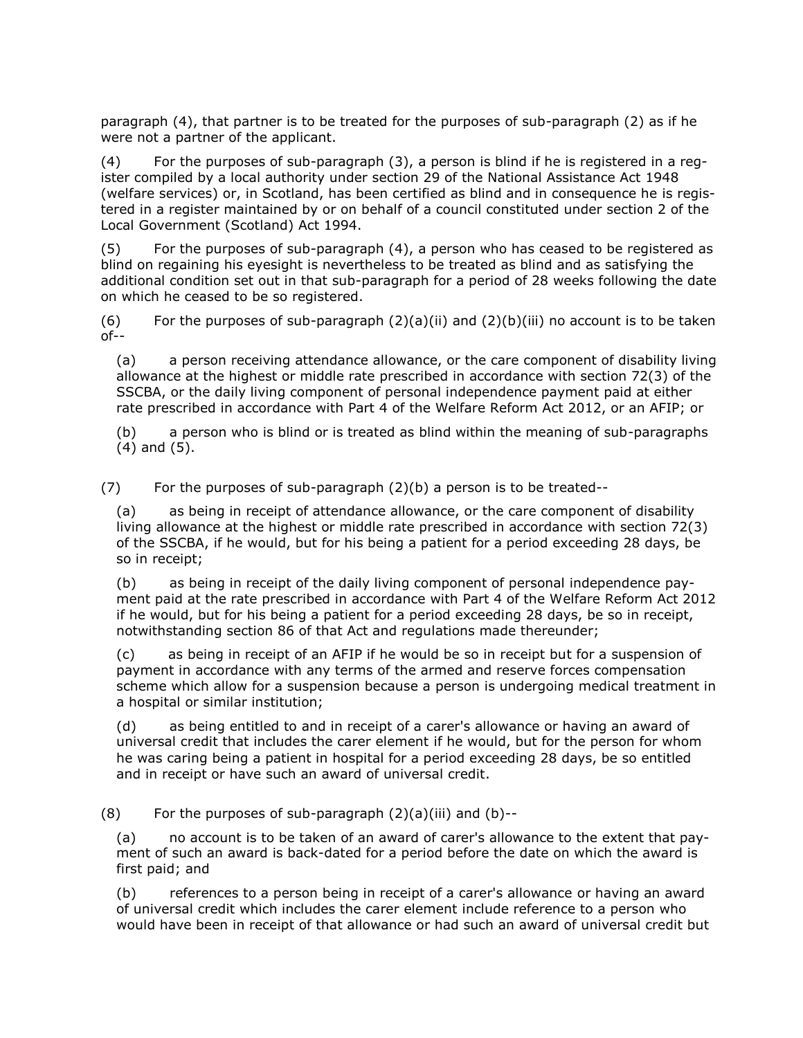paragraph (4), that partner is to be treated for the purposes of sub-paragraph (2) as if he were not a partner of the applicant.

(4) For the purposes of sub-paragraph (3), a person is blind if he is registered in a register compiled by a local authority under section 29 of the National Assistance Act 1948 (welfare services) or, in Scotland, has been certified as blind and in consequence he is registered in a register maintained by or on behalf of a council constituted under section 2 of the Local Government (Scotland) Act 1994.

(5) For the purposes of sub-paragraph (4), a person who has ceased to be registered as blind on regaining his eyesight is nevertheless to be treated as blind and as satisfying the additional condition set out in that sub-paragraph for a period of 28 weeks following the date on which he ceased to be so registered.

(6) For the purposes of sub-paragraph  $(2)(a)(ii)$  and  $(2)(b)(iii)$  no account is to be taken of--

(a) a person receiving attendance allowance, or the care component of disability living allowance at the highest or middle rate prescribed in accordance with section 72(3) of the SSCBA, or the daily living component of personal independence payment paid at either rate prescribed in accordance with Part 4 of the Welfare Reform Act 2012, or an AFIP; or

(b) a person who is blind or is treated as blind within the meaning of sub-paragraphs (4) and (5).

 $(7)$  For the purposes of sub-paragraph  $(2)(b)$  a person is to be treated--

(a) as being in receipt of attendance allowance, or the care component of disability living allowance at the highest or middle rate prescribed in accordance with section 72(3) of the SSCBA, if he would, but for his being a patient for a period exceeding 28 days, be so in receipt;

(b) as being in receipt of the daily living component of personal independence payment paid at the rate prescribed in accordance with Part 4 of the Welfare Reform Act 2012 if he would, but for his being a patient for a period exceeding 28 days, be so in receipt, notwithstanding section 86 of that Act and regulations made thereunder;

(c) as being in receipt of an AFIP if he would be so in receipt but for a suspension of payment in accordance with any terms of the armed and reserve forces compensation scheme which allow for a suspension because a person is undergoing medical treatment in a hospital or similar institution;

(d) as being entitled to and in receipt of a carer's allowance or having an award of universal credit that includes the carer element if he would, but for the person for whom he was caring being a patient in hospital for a period exceeding 28 days, be so entitled and in receipt or have such an award of universal credit.

(8) For the purposes of sub-paragraph  $(2)(a)(iii)$  and  $(b)$ --

(a) no account is to be taken of an award of carer's allowance to the extent that payment of such an award is back-dated for a period before the date on which the award is first paid; and

(b) references to a person being in receipt of a carer's allowance or having an award of universal credit which includes the carer element include reference to a person who would have been in receipt of that allowance or had such an award of universal credit but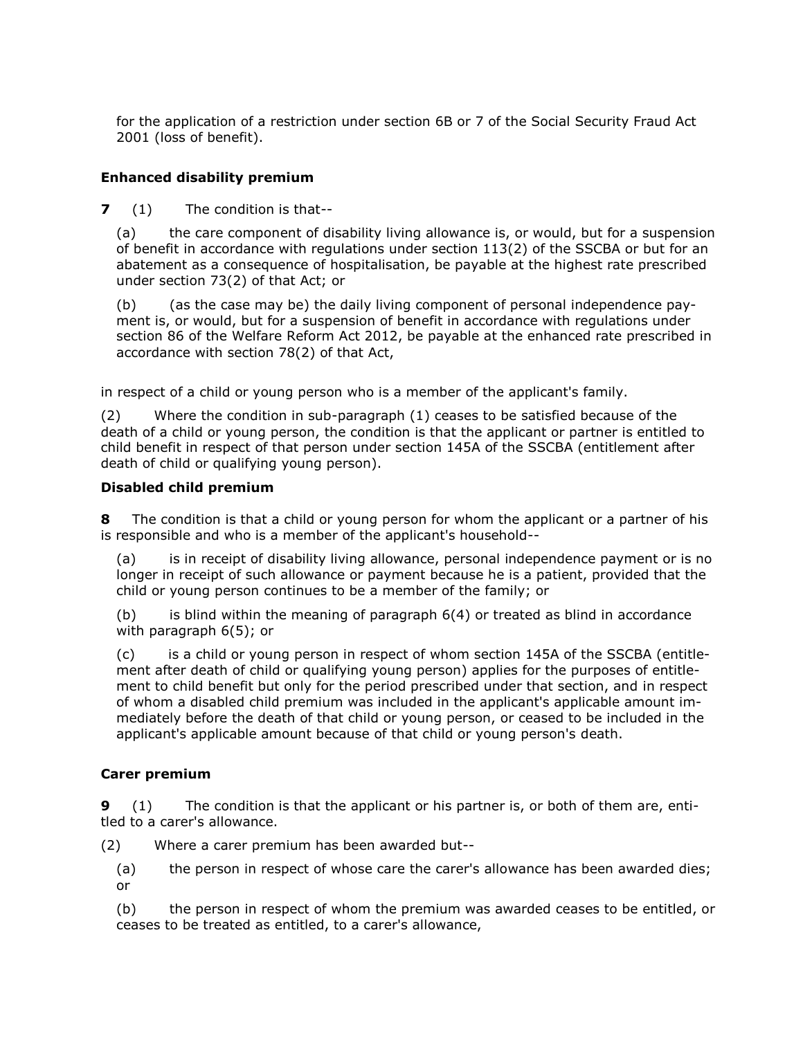for the application of a restriction under section 6B or 7 of the Social Security Fraud Act 2001 (loss of benefit).

# **Enhanced disability premium**

**7** (1) The condition is that--

(a) the care component of disability living allowance is, or would, but for a suspension of benefit in accordance with regulations under section 113(2) of the SSCBA or but for an abatement as a consequence of hospitalisation, be payable at the highest rate prescribed under section 73(2) of that Act; or

(b) (as the case may be) the daily living component of personal independence payment is, or would, but for a suspension of benefit in accordance with regulations under section 86 of the Welfare Reform Act 2012, be payable at the enhanced rate prescribed in accordance with section 78(2) of that Act,

in respect of a child or young person who is a member of the applicant's family.

(2) Where the condition in sub-paragraph (1) ceases to be satisfied because of the death of a child or young person, the condition is that the applicant or partner is entitled to child benefit in respect of that person under section 145A of the SSCBA (entitlement after death of child or qualifying young person).

## **Disabled child premium**

**8** The condition is that a child or young person for whom the applicant or a partner of his is responsible and who is a member of the applicant's household--

(a) is in receipt of disability living allowance, personal independence payment or is no longer in receipt of such allowance or payment because he is a patient, provided that the child or young person continues to be a member of the family; or

(b) is blind within the meaning of paragraph 6(4) or treated as blind in accordance with paragraph 6(5); or

(c) is a child or young person in respect of whom section 145A of the SSCBA (entitlement after death of child or qualifying young person) applies for the purposes of entitlement to child benefit but only for the period prescribed under that section, and in respect of whom a disabled child premium was included in the applicant's applicable amount immediately before the death of that child or young person, or ceased to be included in the applicant's applicable amount because of that child or young person's death.

# **Carer premium**

**9** (1) The condition is that the applicant or his partner is, or both of them are, entitled to a carer's allowance.

(2) Where a carer premium has been awarded but--

(a) the person in respect of whose care the carer's allowance has been awarded dies; or

(b) the person in respect of whom the premium was awarded ceases to be entitled, or ceases to be treated as entitled, to a carer's allowance,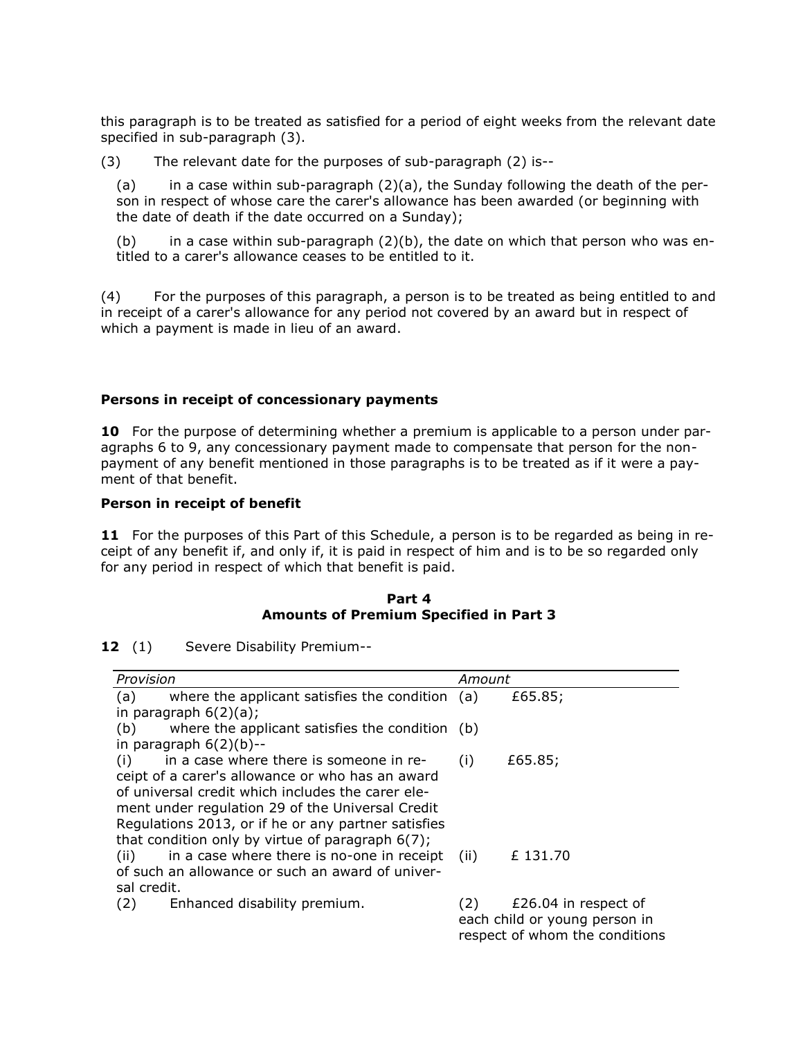this paragraph is to be treated as satisfied for a period of eight weeks from the relevant date specified in sub-paragraph (3).

(3) The relevant date for the purposes of sub-paragraph (2) is--

(a) in a case within sub-paragraph  $(2)(a)$ , the Sunday following the death of the person in respect of whose care the carer's allowance has been awarded (or beginning with the date of death if the date occurred on a Sunday);

(b) in a case within sub-paragraph  $(2)(b)$ , the date on which that person who was entitled to a carer's allowance ceases to be entitled to it.

(4) For the purposes of this paragraph, a person is to be treated as being entitled to and in receipt of a carer's allowance for any period not covered by an award but in respect of which a payment is made in lieu of an award.

## **Persons in receipt of concessionary payments**

**10** For the purpose of determining whether a premium is applicable to a person under paragraphs 6 to 9, any concessionary payment made to compensate that person for the nonpayment of any benefit mentioned in those paragraphs is to be treated as if it were a payment of that benefit.

## **Person in receipt of benefit**

**11** For the purposes of this Part of this Schedule, a person is to be regarded as being in receipt of any benefit if, and only if, it is paid in respect of him and is to be so regarded only for any period in respect of which that benefit is paid.

#### **Part 4 Amounts of Premium Specified in Part 3**

| 12 $(1)$ |  | Severe Disability Premium-- |  |
|----------|--|-----------------------------|--|
|----------|--|-----------------------------|--|

| Provision                                              |      | Amount                                                                                  |  |
|--------------------------------------------------------|------|-----------------------------------------------------------------------------------------|--|
| where the applicant satisfies the condition (a)<br>(a) |      | £65.85;                                                                                 |  |
| in paragraph $6(2)(a)$ ;                               |      |                                                                                         |  |
| where the applicant satisfies the condition (b)<br>(b) |      |                                                                                         |  |
| in paragraph $6(2)(b)$ --                              |      |                                                                                         |  |
| in a case where there is someone in re-<br>(i)         | (i)  | £65.85;                                                                                 |  |
| ceipt of a carer's allowance or who has an award       |      |                                                                                         |  |
| of universal credit which includes the carer ele-      |      |                                                                                         |  |
| ment under regulation 29 of the Universal Credit       |      |                                                                                         |  |
| Regulations 2013, or if he or any partner satisfies    |      |                                                                                         |  |
| that condition only by virtue of paragraph $6(7)$ ;    |      |                                                                                         |  |
| in a case where there is no-one in receipt<br>(ii)     | (ii) | £ 131.70                                                                                |  |
| of such an allowance or such an award of univer-       |      |                                                                                         |  |
| sal credit.                                            |      |                                                                                         |  |
| Enhanced disability premium.<br>(2)                    | (2)  | £26.04 in respect of<br>each child or young person in<br>respect of whom the conditions |  |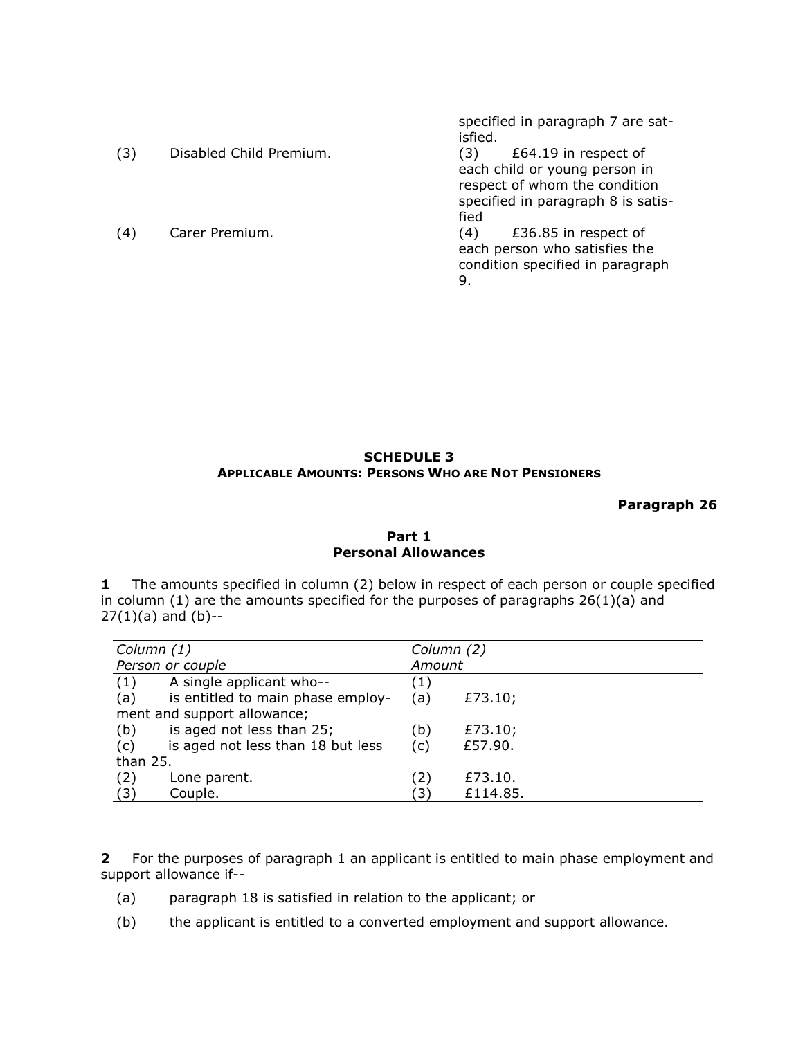| (3) | Disabled Child Premium. | specified in paragraph 7 are sat-<br>isfied.<br>£64.19 in respect of<br>(3)<br>each child or young person in<br>respect of whom the condition        |
|-----|-------------------------|------------------------------------------------------------------------------------------------------------------------------------------------------|
| (4) | Carer Premium.          | specified in paragraph 8 is satis-<br>fied<br>£36.85 in respect of<br>(4)<br>each person who satisfies the<br>condition specified in paragraph<br>9. |

#### **SCHEDULE 3 APPLICABLE AMOUNTS: PERSONS WHO ARE NOT PENSIONERS**

**Paragraph 26**

#### **Part 1 Personal Allowances**

**1** The amounts specified in column (2) below in respect of each person or couple specified in column (1) are the amounts specified for the purposes of paragraphs 26(1)(a) and  $27(1)(a)$  and  $(b)$ --

| Column (1)                  |                                   | Column (2) |          |
|-----------------------------|-----------------------------------|------------|----------|
| Person or couple            |                                   | Amount     |          |
| (1)                         | A single applicant who--          | (1)        |          |
| (a)                         | is entitled to main phase employ- | (a)        | £73.10;  |
| ment and support allowance; |                                   |            |          |
| (b)                         | is aged not less than 25;         | (b)        | £73.10;  |
| (c)                         | is aged not less than 18 but less | (c)        | £57.90.  |
| than 25.                    |                                   |            |          |
| (2)                         | Lone parent.                      | (2)        | £73.10.  |
| (3)                         | Couple.                           | 31         | £114.85. |

**2** For the purposes of paragraph 1 an applicant is entitled to main phase employment and support allowance if--

- (a) paragraph 18 is satisfied in relation to the applicant; or
- (b) the applicant is entitled to a converted employment and support allowance.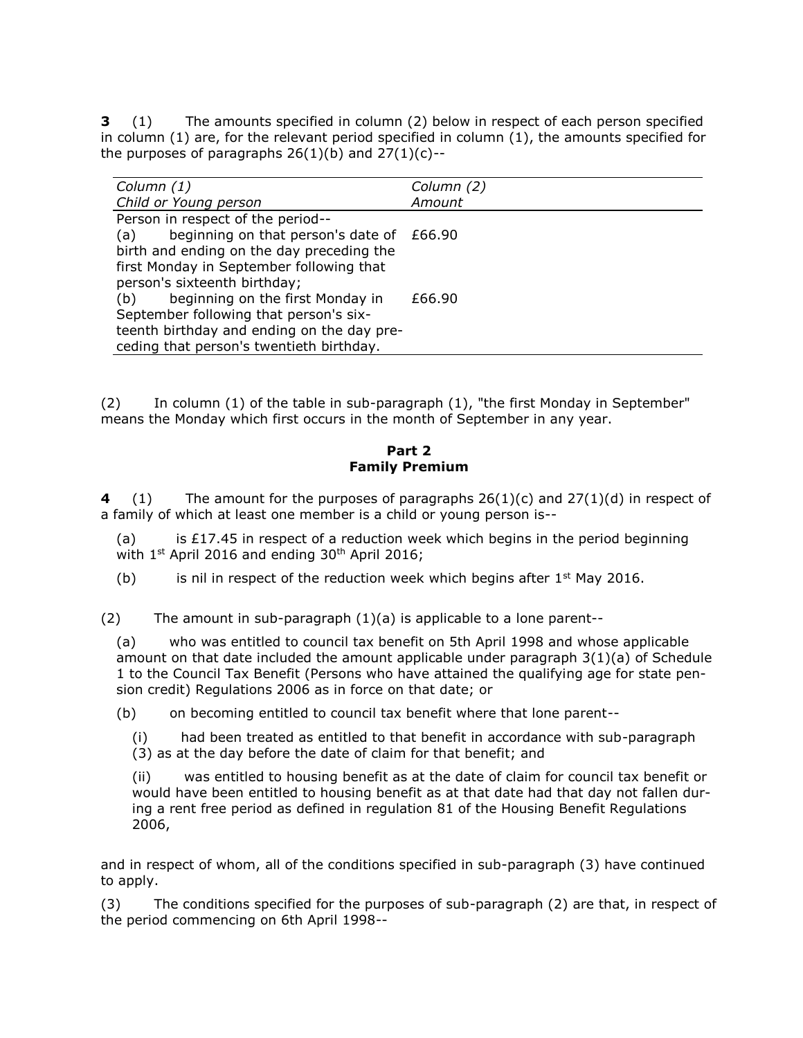**3** (1) The amounts specified in column (2) below in respect of each person specified in column (1) are, for the relevant period specified in column (1), the amounts specified for the purposes of paragraphs  $26(1)(b)$  and  $27(1)(c)$ --

| Column (1)                                       | Column (2) |  |
|--------------------------------------------------|------------|--|
| Child or Young person                            | Amount     |  |
| Person in respect of the period--                |            |  |
| beginning on that person's date of £66.90<br>(a) |            |  |
| birth and ending on the day preceding the        |            |  |
| first Monday in September following that         |            |  |
| person's sixteenth birthday;                     |            |  |
| beginning on the first Monday in<br>(b)          | £66.90     |  |
| September following that person's six-           |            |  |
| teenth birthday and ending on the day pre-       |            |  |
| ceding that person's twentieth birthday.         |            |  |
|                                                  |            |  |

(2) In column (1) of the table in sub-paragraph (1), "the first Monday in September" means the Monday which first occurs in the month of September in any year.

#### **Part 2 Family Premium**

**4** (1) The amount for the purposes of paragraphs 26(1)(c) and 27(1)(d) in respect of a family of which at least one member is a child or young person is--

(a) is  $£17.45$  in respect of a reduction week which begins in the period beginning with 1<sup>st</sup> April 2016 and ending 30<sup>th</sup> April 2016;

(b) is nil in respect of the reduction week which begins after  $1<sup>st</sup>$  May 2016.

(2) The amount in sub-paragraph  $(1)(a)$  is applicable to a lone parent--

(a) who was entitled to council tax benefit on 5th April 1998 and whose applicable amount on that date included the amount applicable under paragraph 3(1)(a) of Schedule 1 to the Council Tax Benefit (Persons who have attained the qualifying age for state pension credit) Regulations 2006 as in force on that date; or

(b) on becoming entitled to council tax benefit where that lone parent--

(i) had been treated as entitled to that benefit in accordance with sub-paragraph (3) as at the day before the date of claim for that benefit; and

(ii) was entitled to housing benefit as at the date of claim for council tax benefit or would have been entitled to housing benefit as at that date had that day not fallen during a rent free period as defined in regulation 81 of the Housing Benefit Regulations 2006,

and in respect of whom, all of the conditions specified in sub-paragraph (3) have continued to apply.

(3) The conditions specified for the purposes of sub-paragraph (2) are that, in respect of the period commencing on 6th April 1998--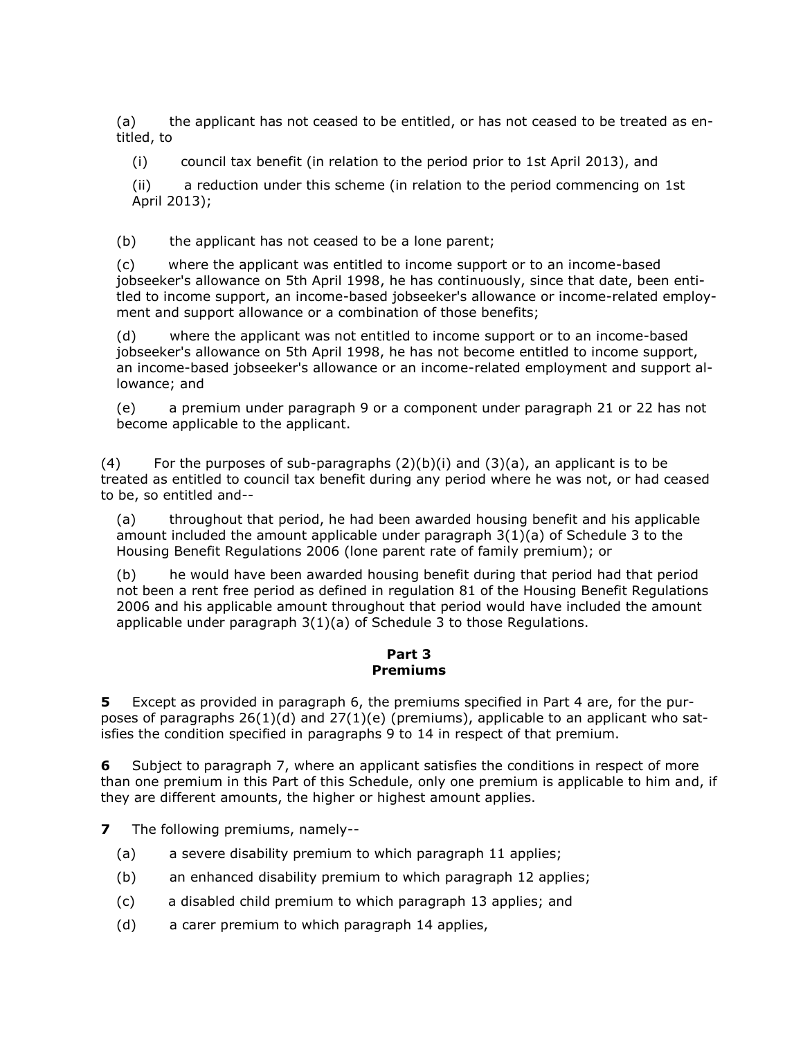(a) the applicant has not ceased to be entitled, or has not ceased to be treated as entitled, to

(i) council tax benefit (in relation to the period prior to 1st April 2013), and

(ii) a reduction under this scheme (in relation to the period commencing on 1st April 2013);

(b) the applicant has not ceased to be a lone parent;

(c) where the applicant was entitled to income support or to an income-based jobseeker's allowance on 5th April 1998, he has continuously, since that date, been entitled to income support, an income-based jobseeker's allowance or income-related employment and support allowance or a combination of those benefits;

(d) where the applicant was not entitled to income support or to an income-based jobseeker's allowance on 5th April 1998, he has not become entitled to income support, an income-based jobseeker's allowance or an income-related employment and support allowance; and

(e) a premium under paragraph 9 or a component under paragraph 21 or 22 has not become applicable to the applicant.

(4) For the purposes of sub-paragraphs  $(2)(b)(i)$  and  $(3)(a)$ , an applicant is to be treated as entitled to council tax benefit during any period where he was not, or had ceased to be, so entitled and--

(a) throughout that period, he had been awarded housing benefit and his applicable amount included the amount applicable under paragraph  $3(1)(a)$  of Schedule 3 to the Housing Benefit Regulations 2006 (lone parent rate of family premium); or

(b) he would have been awarded housing benefit during that period had that period not been a rent free period as defined in regulation 81 of the Housing Benefit Regulations 2006 and his applicable amount throughout that period would have included the amount applicable under paragraph 3(1)(a) of Schedule 3 to those Regulations.

#### **Part 3 Premiums**

**5** Except as provided in paragraph 6, the premiums specified in Part 4 are, for the purposes of paragraphs  $26(1)(d)$  and  $27(1)(e)$  (premiums), applicable to an applicant who satisfies the condition specified in paragraphs 9 to 14 in respect of that premium.

**6** Subject to paragraph 7, where an applicant satisfies the conditions in respect of more than one premium in this Part of this Schedule, only one premium is applicable to him and, if they are different amounts, the higher or highest amount applies.

**7** The following premiums, namely--

- (a) a severe disability premium to which paragraph 11 applies;
- (b) an enhanced disability premium to which paragraph 12 applies;
- (c) a disabled child premium to which paragraph 13 applies; and
- (d) a carer premium to which paragraph 14 applies,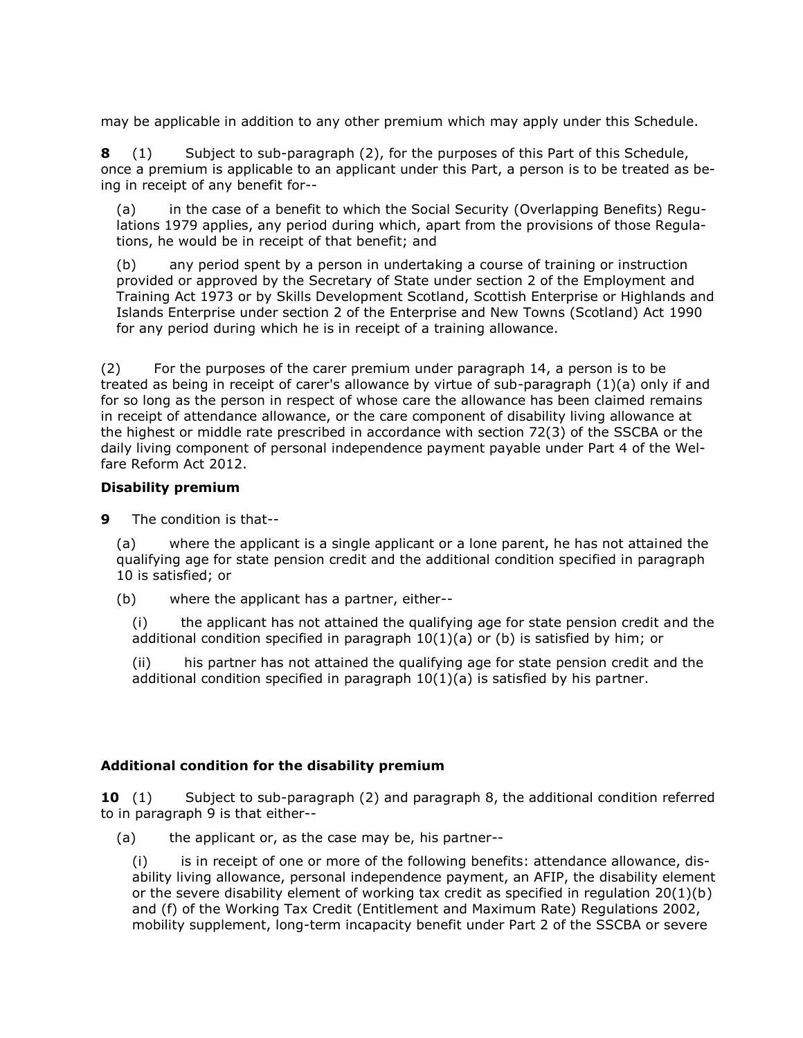may be applicable in addition to any other premium which may apply under this Schedule.

**8** (1) Subject to sub-paragraph (2), for the purposes of this Part of this Schedule, once a premium is applicable to an applicant under this Part, a person is to be treated as being in receipt of any benefit for--

(a) in the case of a benefit to which the Social Security (Overlapping Benefits) Regulations 1979 applies, any period during which, apart from the provisions of those Regulations, he would be in receipt of that benefit; and

(b) any period spent by a person in undertaking a course of training or instruction provided or approved by the Secretary of State under section 2 of the Employment and Training Act 1973 or by Skills Development Scotland, Scottish Enterprise or Highlands and Islands Enterprise under section 2 of the Enterprise and New Towns (Scotland) Act 1990 for any period during which he is in receipt of a training allowance.

(2) For the purposes of the carer premium under paragraph 14, a person is to be treated as being in receipt of carer's allowance by virtue of sub-paragraph (1)(a) only if and for so long as the person in respect of whose care the allowance has been claimed remains in receipt of attendance allowance, or the care component of disability living allowance at the highest or middle rate prescribed in accordance with section 72(3) of the SSCBA or the daily living component of personal independence payment payable under Part 4 of the Welfare Reform Act 2012.

## **Disability premium**

**9** The condition is that--

(a) where the applicant is a single applicant or a lone parent, he has not attained the qualifying age for state pension credit and the additional condition specified in paragraph 10 is satisfied; or

(b) where the applicant has a partner, either--

(i) the applicant has not attained the qualifying age for state pension credit and the additional condition specified in paragraph  $10(1)(a)$  or (b) is satisfied by him; or

(ii) his partner has not attained the qualifying age for state pension credit and the additional condition specified in paragraph  $10(1)(a)$  is satisfied by his partner.

# **Additional condition for the disability premium**

**10** (1) Subject to sub-paragraph (2) and paragraph 8, the additional condition referred to in paragraph 9 is that either--

(a) the applicant or, as the case may be, his partner--

(i) is in receipt of one or more of the following benefits: attendance allowance, disability living allowance, personal independence payment, an AFIP, the disability element or the severe disability element of working tax credit as specified in regulation  $20(1)(b)$ and (f) of the Working Tax Credit (Entitlement and Maximum Rate) Regulations 2002, mobility supplement, long-term incapacity benefit under Part 2 of the SSCBA or severe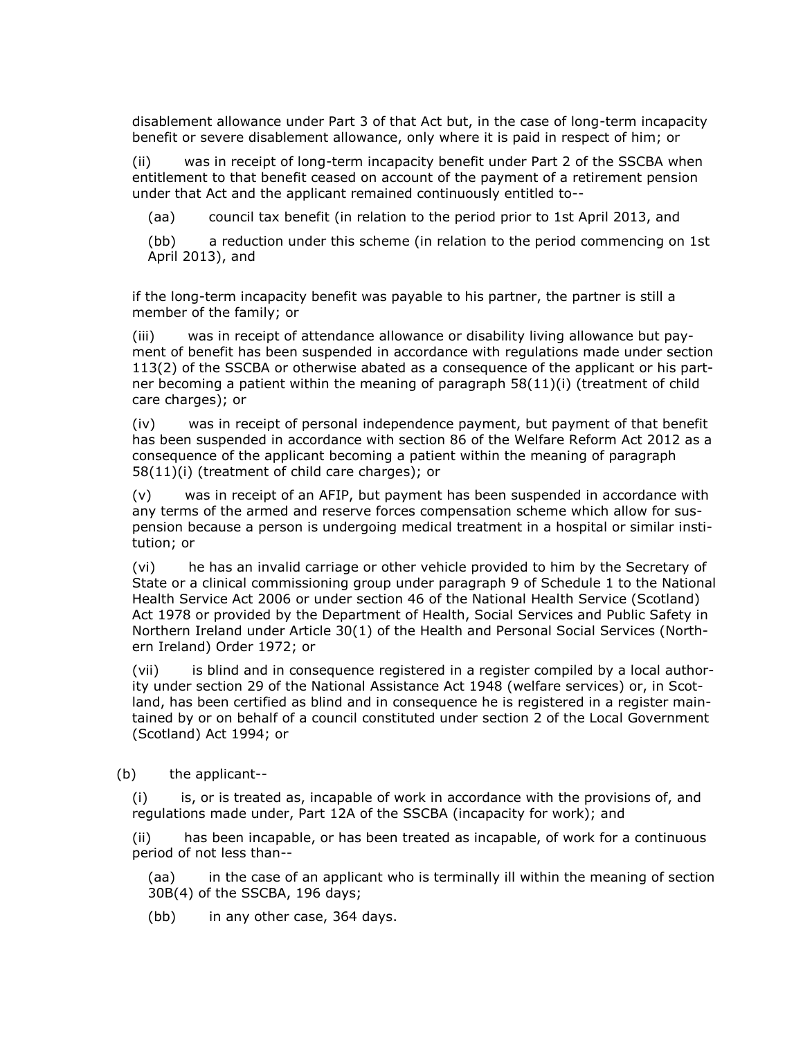disablement allowance under Part 3 of that Act but, in the case of long-term incapacity benefit or severe disablement allowance, only where it is paid in respect of him; or

(ii) was in receipt of long-term incapacity benefit under Part 2 of the SSCBA when entitlement to that benefit ceased on account of the payment of a retirement pension under that Act and the applicant remained continuously entitled to--

(aa) council tax benefit (in relation to the period prior to 1st April 2013, and

(bb) a reduction under this scheme (in relation to the period commencing on 1st April 2013), and

if the long-term incapacity benefit was payable to his partner, the partner is still a member of the family; or

(iii) was in receipt of attendance allowance or disability living allowance but payment of benefit has been suspended in accordance with regulations made under section 113(2) of the SSCBA or otherwise abated as a consequence of the applicant or his partner becoming a patient within the meaning of paragraph  $58(11)(i)$  (treatment of child care charges); or

(iv) was in receipt of personal independence payment, but payment of that benefit has been suspended in accordance with section 86 of the Welfare Reform Act 2012 as a consequence of the applicant becoming a patient within the meaning of paragraph 58(11)(i) (treatment of child care charges); or

(v) was in receipt of an AFIP, but payment has been suspended in accordance with any terms of the armed and reserve forces compensation scheme which allow for suspension because a person is undergoing medical treatment in a hospital or similar institution; or

(vi) he has an invalid carriage or other vehicle provided to him by the Secretary of State or a clinical commissioning group under paragraph 9 of Schedule 1 to the National Health Service Act 2006 or under section 46 of the National Health Service (Scotland) Act 1978 or provided by the Department of Health, Social Services and Public Safety in Northern Ireland under Article 30(1) of the Health and Personal Social Services (Northern Ireland) Order 1972; or

(vii) is blind and in consequence registered in a register compiled by a local authority under section 29 of the National Assistance Act 1948 (welfare services) or, in Scotland, has been certified as blind and in consequence he is registered in a register maintained by or on behalf of a council constituted under section 2 of the Local Government (Scotland) Act 1994; or

(b) the applicant--

(i) is, or is treated as, incapable of work in accordance with the provisions of, and regulations made under, Part 12A of the SSCBA (incapacity for work); and

(ii) has been incapable, or has been treated as incapable, of work for a continuous period of not less than--

(aa) in the case of an applicant who is terminally ill within the meaning of section 30B(4) of the SSCBA, 196 days;

(bb) in any other case, 364 days.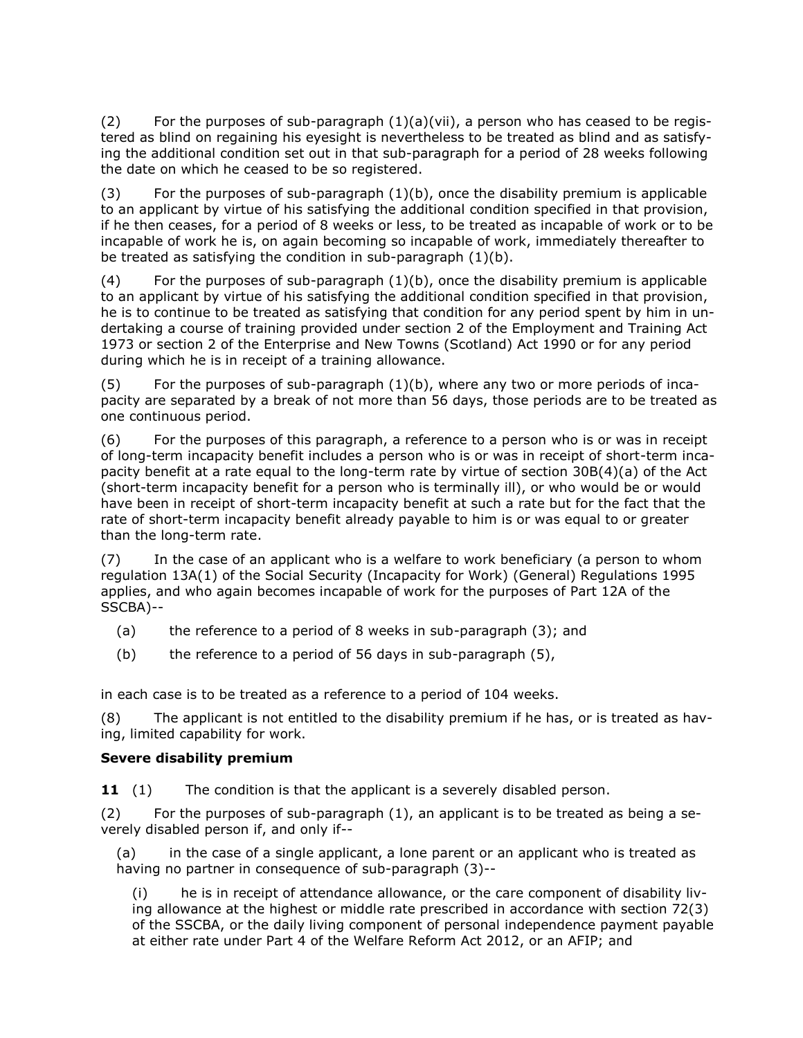(2) For the purposes of sub-paragraph  $(1)(a)(vi)$ , a person who has ceased to be registered as blind on regaining his eyesight is nevertheless to be treated as blind and as satisfying the additional condition set out in that sub-paragraph for a period of 28 weeks following the date on which he ceased to be so registered.

(3) For the purposes of sub-paragraph  $(1)(b)$ , once the disability premium is applicable to an applicant by virtue of his satisfying the additional condition specified in that provision, if he then ceases, for a period of 8 weeks or less, to be treated as incapable of work or to be incapable of work he is, on again becoming so incapable of work, immediately thereafter to be treated as satisfying the condition in sub-paragraph (1)(b).

(4) For the purposes of sub-paragraph (1)(b), once the disability premium is applicable to an applicant by virtue of his satisfying the additional condition specified in that provision, he is to continue to be treated as satisfying that condition for any period spent by him in undertaking a course of training provided under section 2 of the Employment and Training Act 1973 or section 2 of the Enterprise and New Towns (Scotland) Act 1990 or for any period during which he is in receipt of a training allowance.

 $(5)$  For the purposes of sub-paragraph  $(1)(b)$ , where any two or more periods of incapacity are separated by a break of not more than 56 days, those periods are to be treated as one continuous period.

(6) For the purposes of this paragraph, a reference to a person who is or was in receipt of long-term incapacity benefit includes a person who is or was in receipt of short-term incapacity benefit at a rate equal to the long-term rate by virtue of section 30B(4)(a) of the Act (short-term incapacity benefit for a person who is terminally ill), or who would be or would have been in receipt of short-term incapacity benefit at such a rate but for the fact that the rate of short-term incapacity benefit already payable to him is or was equal to or greater than the long-term rate.

(7) In the case of an applicant who is a welfare to work beneficiary (a person to whom regulation 13A(1) of the Social Security (Incapacity for Work) (General) Regulations 1995 applies, and who again becomes incapable of work for the purposes of Part 12A of the SSCBA)--

(a) the reference to a period of 8 weeks in sub-paragraph (3); and

(b) the reference to a period of 56 days in sub-paragraph (5),

in each case is to be treated as a reference to a period of 104 weeks.

(8) The applicant is not entitled to the disability premium if he has, or is treated as having, limited capability for work.

# **Severe disability premium**

**11** (1) The condition is that the applicant is a severely disabled person.

(2) For the purposes of sub-paragraph (1), an applicant is to be treated as being a severely disabled person if, and only if--

(a) in the case of a single applicant, a lone parent or an applicant who is treated as having no partner in consequence of sub-paragraph (3)--

(i) he is in receipt of attendance allowance, or the care component of disability living allowance at the highest or middle rate prescribed in accordance with section 72(3) of the SSCBA, or the daily living component of personal independence payment payable at either rate under Part 4 of the Welfare Reform Act 2012, or an AFIP; and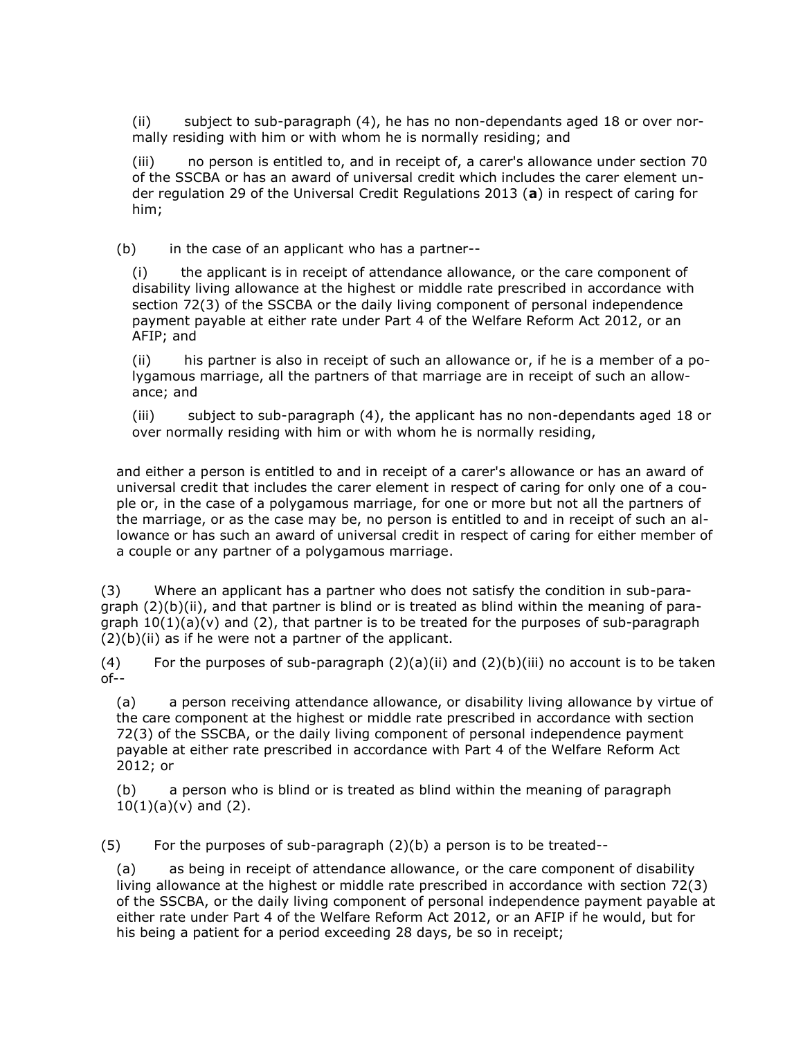(ii) subject to sub-paragraph (4), he has no non-dependants aged 18 or over normally residing with him or with whom he is normally residing; and

(iii) no person is entitled to, and in receipt of, a carer's allowance under section 70 of the SSCBA or has an award of universal credit which includes the carer element under regulation 29 of the Universal Credit Regulations 2013 (**a**) in respect of caring for him;

(b) in the case of an applicant who has a partner--

(i) the applicant is in receipt of attendance allowance, or the care component of disability living allowance at the highest or middle rate prescribed in accordance with section 72(3) of the SSCBA or the daily living component of personal independence payment payable at either rate under Part 4 of the Welfare Reform Act 2012, or an AFIP; and

(ii) his partner is also in receipt of such an allowance or, if he is a member of a polygamous marriage, all the partners of that marriage are in receipt of such an allowance; and

(iii) subject to sub-paragraph (4), the applicant has no non-dependants aged 18 or over normally residing with him or with whom he is normally residing,

and either a person is entitled to and in receipt of a carer's allowance or has an award of universal credit that includes the carer element in respect of caring for only one of a couple or, in the case of a polygamous marriage, for one or more but not all the partners of the marriage, or as the case may be, no person is entitled to and in receipt of such an allowance or has such an award of universal credit in respect of caring for either member of a couple or any partner of a polygamous marriage.

(3) Where an applicant has a partner who does not satisfy the condition in sub-para $graph (2)(b)(ii)$ , and that partner is blind or is treated as blind within the meaning of paragraph  $10(1)(a)(v)$  and (2), that partner is to be treated for the purposes of sub-paragraph  $(2)(b)(ii)$  as if he were not a partner of the applicant.

(4) For the purposes of sub-paragraph  $(2)(a)(ii)$  and  $(2)(b)(iii)$  no account is to be taken of--

(a) a person receiving attendance allowance, or disability living allowance by virtue of the care component at the highest or middle rate prescribed in accordance with section 72(3) of the SSCBA, or the daily living component of personal independence payment payable at either rate prescribed in accordance with Part 4 of the Welfare Reform Act 2012; or

(b) a person who is blind or is treated as blind within the meaning of paragraph  $10(1)(a)(v)$  and  $(2)$ .

(5) For the purposes of sub-paragraph (2)(b) a person is to be treated--

(a) as being in receipt of attendance allowance, or the care component of disability living allowance at the highest or middle rate prescribed in accordance with section 72(3) of the SSCBA, or the daily living component of personal independence payment payable at either rate under Part 4 of the Welfare Reform Act 2012, or an AFIP if he would, but for his being a patient for a period exceeding 28 days, be so in receipt;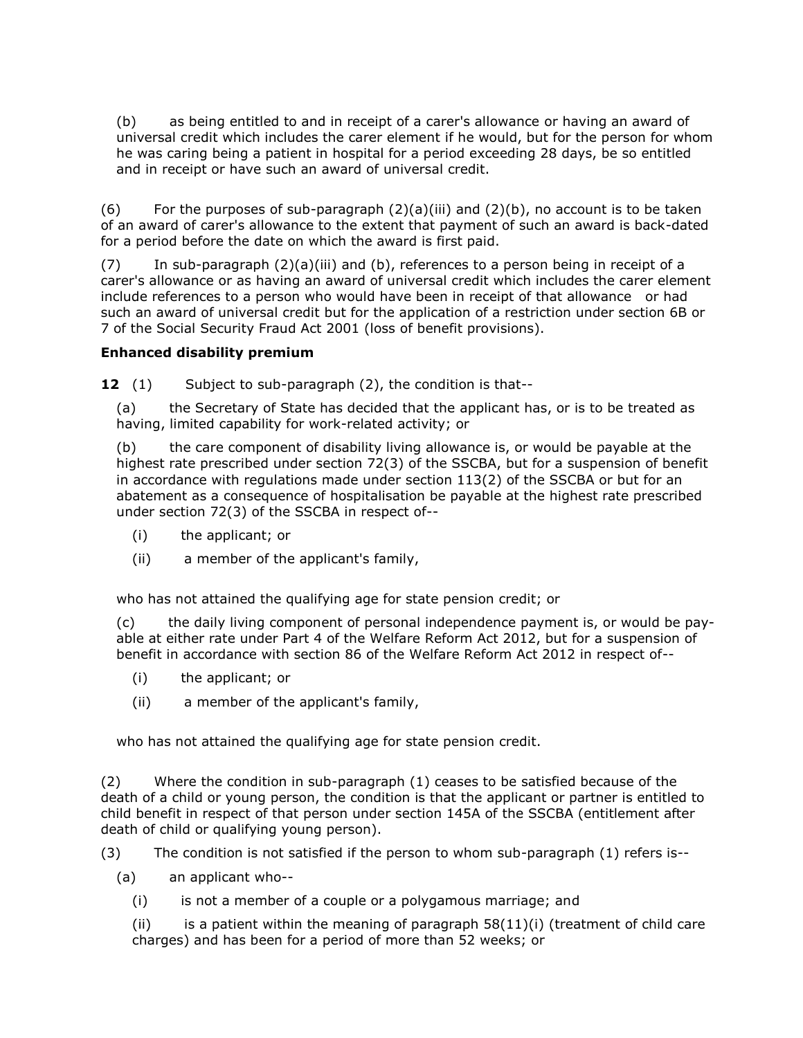(b) as being entitled to and in receipt of a carer's allowance or having an award of universal credit which includes the carer element if he would, but for the person for whom he was caring being a patient in hospital for a period exceeding 28 days, be so entitled and in receipt or have such an award of universal credit.

(6) For the purposes of sub-paragraph  $(2)(a)(iii)$  and  $(2)(b)$ , no account is to be taken of an award of carer's allowance to the extent that payment of such an award is back-dated for a period before the date on which the award is first paid.

(7) In sub-paragraph (2)(a)(iii) and (b), references to a person being in receipt of a carer's allowance or as having an award of universal credit which includes the carer element include references to a person who would have been in receipt of that allowance or had such an award of universal credit but for the application of a restriction under section 6B or 7 of the Social Security Fraud Act 2001 (loss of benefit provisions).

## **Enhanced disability premium**

**12** (1) Subject to sub-paragraph (2), the condition is that--

(a) the Secretary of State has decided that the applicant has, or is to be treated as having, limited capability for work-related activity; or

(b) the care component of disability living allowance is, or would be payable at the highest rate prescribed under section 72(3) of the SSCBA, but for a suspension of benefit in accordance with regulations made under section 113(2) of the SSCBA or but for an abatement as a consequence of hospitalisation be payable at the highest rate prescribed under section 72(3) of the SSCBA in respect of--

- (i) the applicant; or
- (ii) a member of the applicant's family,

who has not attained the qualifying age for state pension credit; or

(c) the daily living component of personal independence payment is, or would be payable at either rate under Part 4 of the Welfare Reform Act 2012, but for a suspension of benefit in accordance with section 86 of the Welfare Reform Act 2012 in respect of--

- (i) the applicant; or
- (ii) a member of the applicant's family,

who has not attained the qualifying age for state pension credit.

(2) Where the condition in sub-paragraph (1) ceases to be satisfied because of the death of a child or young person, the condition is that the applicant or partner is entitled to child benefit in respect of that person under section 145A of the SSCBA (entitlement after death of child or qualifying young person).

(3) The condition is not satisfied if the person to whom sub-paragraph (1) refers is--

- (a) an applicant who--
	- (i) is not a member of a couple or a polygamous marriage; and

(ii) is a patient within the meaning of paragraph  $58(11)(i)$  (treatment of child care charges) and has been for a period of more than 52 weeks; or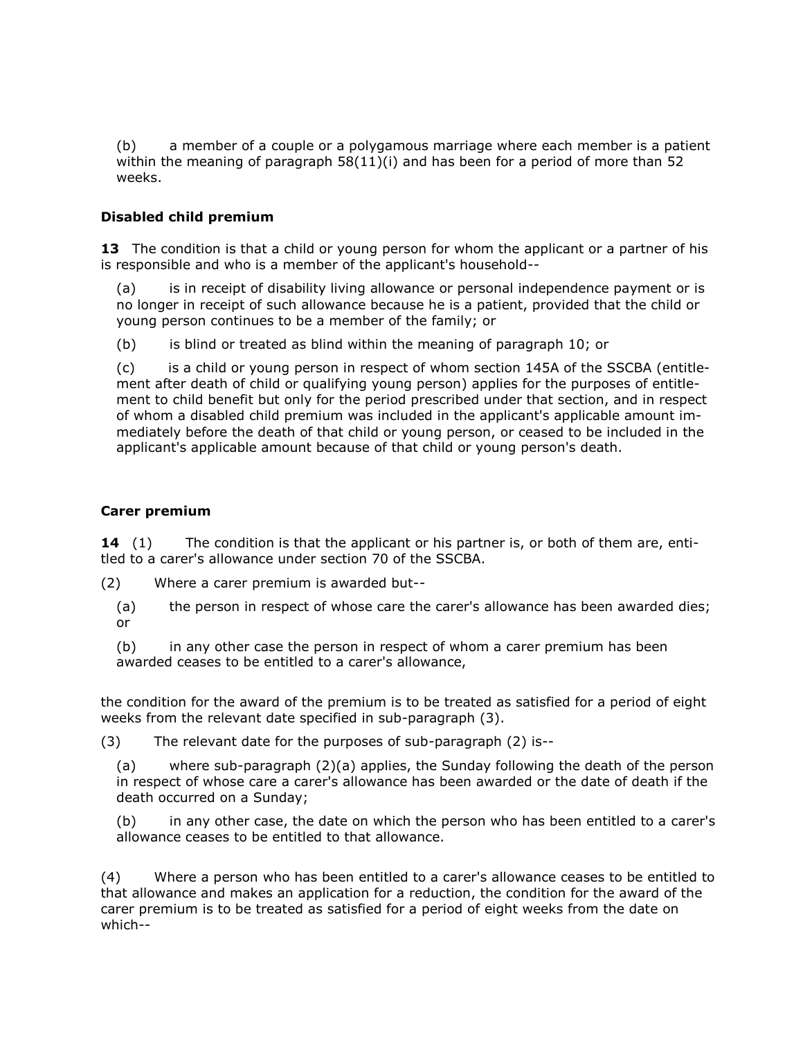(b) a member of a couple or a polygamous marriage where each member is a patient within the meaning of paragraph  $58(11)(i)$  and has been for a period of more than 52 weeks.

# **Disabled child premium**

**13** The condition is that a child or young person for whom the applicant or a partner of his is responsible and who is a member of the applicant's household--

(a) is in receipt of disability living allowance or personal independence payment or is no longer in receipt of such allowance because he is a patient, provided that the child or young person continues to be a member of the family; or

(b) is blind or treated as blind within the meaning of paragraph 10; or

(c) is a child or young person in respect of whom section 145A of the SSCBA (entitlement after death of child or qualifying young person) applies for the purposes of entitlement to child benefit but only for the period prescribed under that section, and in respect of whom a disabled child premium was included in the applicant's applicable amount immediately before the death of that child or young person, or ceased to be included in the applicant's applicable amount because of that child or young person's death.

### **Carer premium**

**14** (1) The condition is that the applicant or his partner is, or both of them are, entitled to a carer's allowance under section 70 of the SSCBA.

(2) Where a carer premium is awarded but--

(a) the person in respect of whose care the carer's allowance has been awarded dies; or

(b) in any other case the person in respect of whom a carer premium has been awarded ceases to be entitled to a carer's allowance,

the condition for the award of the premium is to be treated as satisfied for a period of eight weeks from the relevant date specified in sub-paragraph (3).

(3) The relevant date for the purposes of sub-paragraph (2) is--

(a) where sub-paragraph (2)(a) applies, the Sunday following the death of the person in respect of whose care a carer's allowance has been awarded or the date of death if the death occurred on a Sunday;

(b) in any other case, the date on which the person who has been entitled to a carer's allowance ceases to be entitled to that allowance.

(4) Where a person who has been entitled to a carer's allowance ceases to be entitled to that allowance and makes an application for a reduction, the condition for the award of the carer premium is to be treated as satisfied for a period of eight weeks from the date on which--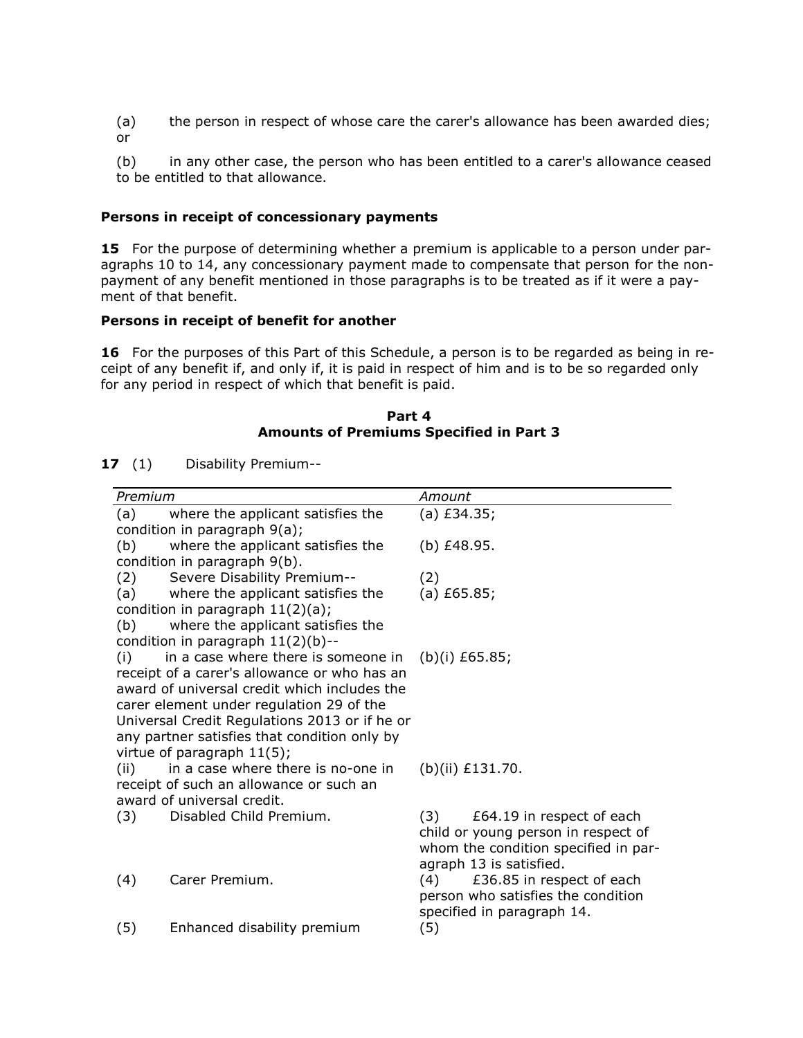(a) the person in respect of whose care the carer's allowance has been awarded dies; or

(b) in any other case, the person who has been entitled to a carer's allowance ceased to be entitled to that allowance.

#### **Persons in receipt of concessionary payments**

**15** For the purpose of determining whether a premium is applicable to a person under paragraphs 10 to 14, any concessionary payment made to compensate that person for the nonpayment of any benefit mentioned in those paragraphs is to be treated as if it were a payment of that benefit.

#### **Persons in receipt of benefit for another**

**16** For the purposes of this Part of this Schedule, a person is to be regarded as being in receipt of any benefit if, and only if, it is paid in respect of him and is to be so regarded only for any period in respect of which that benefit is paid.

### **Part 4 Amounts of Premiums Specified in Part 3**

| Premium                                                                    |                                     | Amount                               |  |
|----------------------------------------------------------------------------|-------------------------------------|--------------------------------------|--|
| (a)                                                                        | where the applicant satisfies the   | $(a)$ £34.35;                        |  |
| condition in paragraph 9(a);                                               |                                     |                                      |  |
| (b)                                                                        | where the applicant satisfies the   | (b) $£48.95.$                        |  |
| condition in paragraph 9(b).                                               |                                     |                                      |  |
| (2)                                                                        | Severe Disability Premium--         | (2)                                  |  |
| (a)                                                                        | where the applicant satisfies the   | $(a)$ £65.85;                        |  |
| condition in paragraph $11(2)(a)$ ;                                        |                                     |                                      |  |
| (b)                                                                        | where the applicant satisfies the   |                                      |  |
| condition in paragraph $11(2)(b)$ --                                       |                                     |                                      |  |
| (i)                                                                        | in a case where there is someone in | $(b)(i)$ £65.85;                     |  |
| receipt of a carer's allowance or who has an                               |                                     |                                      |  |
| award of universal credit which includes the                               |                                     |                                      |  |
| carer element under regulation 29 of the                                   |                                     |                                      |  |
| Universal Credit Regulations 2013 or if he or                              |                                     |                                      |  |
| any partner satisfies that condition only by<br>virtue of paragraph 11(5); |                                     |                                      |  |
|                                                                            |                                     |                                      |  |
| in a case where there is no-one in<br>(ii)                                 |                                     | $(b)(ii)$ £131.70.                   |  |
| receipt of such an allowance or such an<br>award of universal credit.      |                                     |                                      |  |
| (3)                                                                        | Disabled Child Premium.             | (3)<br>£64.19 in respect of each     |  |
|                                                                            |                                     | child or young person in respect of  |  |
|                                                                            |                                     | whom the condition specified in par- |  |
|                                                                            |                                     | agraph 13 is satisfied.              |  |
| (4)                                                                        | Carer Premium.                      | $(4)$ £36.85 in respect of each      |  |
|                                                                            |                                     | person who satisfies the condition   |  |
|                                                                            |                                     | specified in paragraph 14.           |  |
| (5)                                                                        | Enhanced disability premium         | (5)                                  |  |
|                                                                            |                                     |                                      |  |

17 (1) Disability Premium--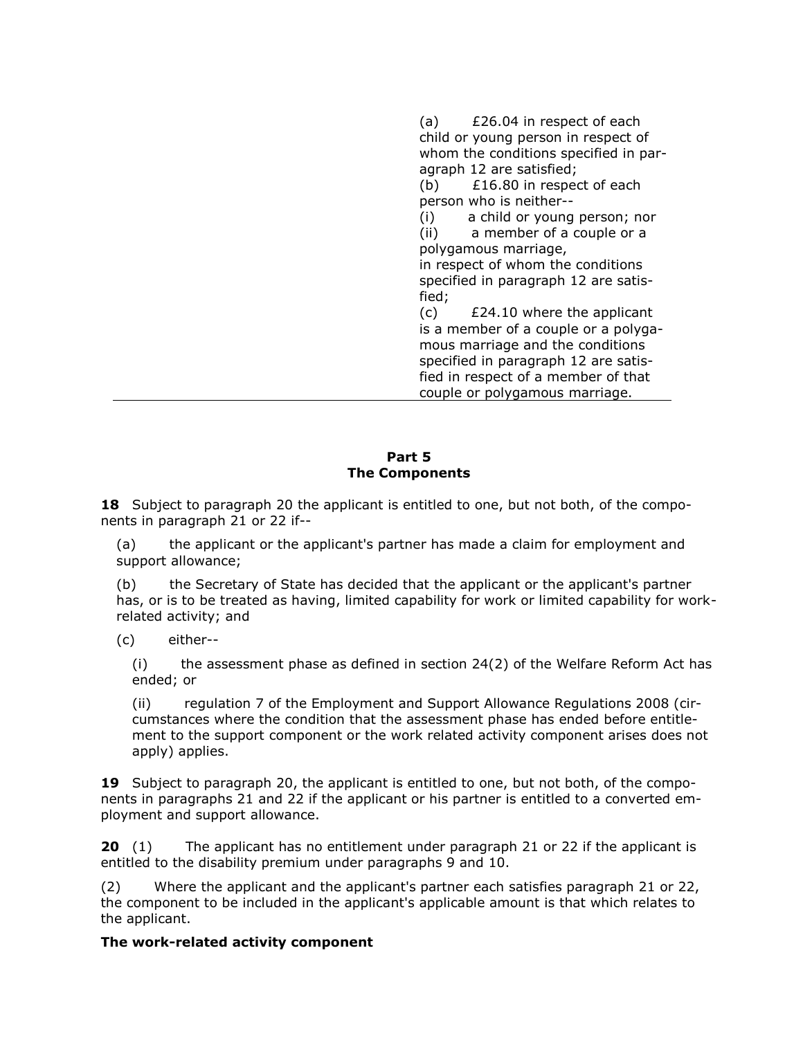(a) £26.04 in respect of each child or young person in respect of whom the conditions specified in paragraph 12 are satisfied; (b) £16.80 in respect of each person who is neither-- (i) a child or young person; nor (ii) a member of a couple or a polygamous marriage, in respect of whom the conditions specified in paragraph 12 are satisfied; (c) £24.10 where the applicant is a member of a couple or a polygamous marriage and the conditions specified in paragraph 12 are satisfied in respect of a member of that

couple or polygamous marriage.

#### **Part 5 The Components**

**18** Subject to paragraph 20 the applicant is entitled to one, but not both, of the components in paragraph 21 or 22 if--

(a) the applicant or the applicant's partner has made a claim for employment and support allowance;

(b) the Secretary of State has decided that the applicant or the applicant's partner has, or is to be treated as having, limited capability for work or limited capability for workrelated activity; and

(c) either--

(i) the assessment phase as defined in section 24(2) of the Welfare Reform Act has ended; or

(ii) regulation 7 of the Employment and Support Allowance Regulations 2008 (circumstances where the condition that the assessment phase has ended before entitlement to the support component or the work related activity component arises does not apply) applies.

**19** Subject to paragraph 20, the applicant is entitled to one, but not both, of the components in paragraphs 21 and 22 if the applicant or his partner is entitled to a converted employment and support allowance.

**20** (1) The applicant has no entitlement under paragraph 21 or 22 if the applicant is entitled to the disability premium under paragraphs 9 and 10.

(2) Where the applicant and the applicant's partner each satisfies paragraph 21 or 22, the component to be included in the applicant's applicable amount is that which relates to the applicant.

### **The work-related activity component**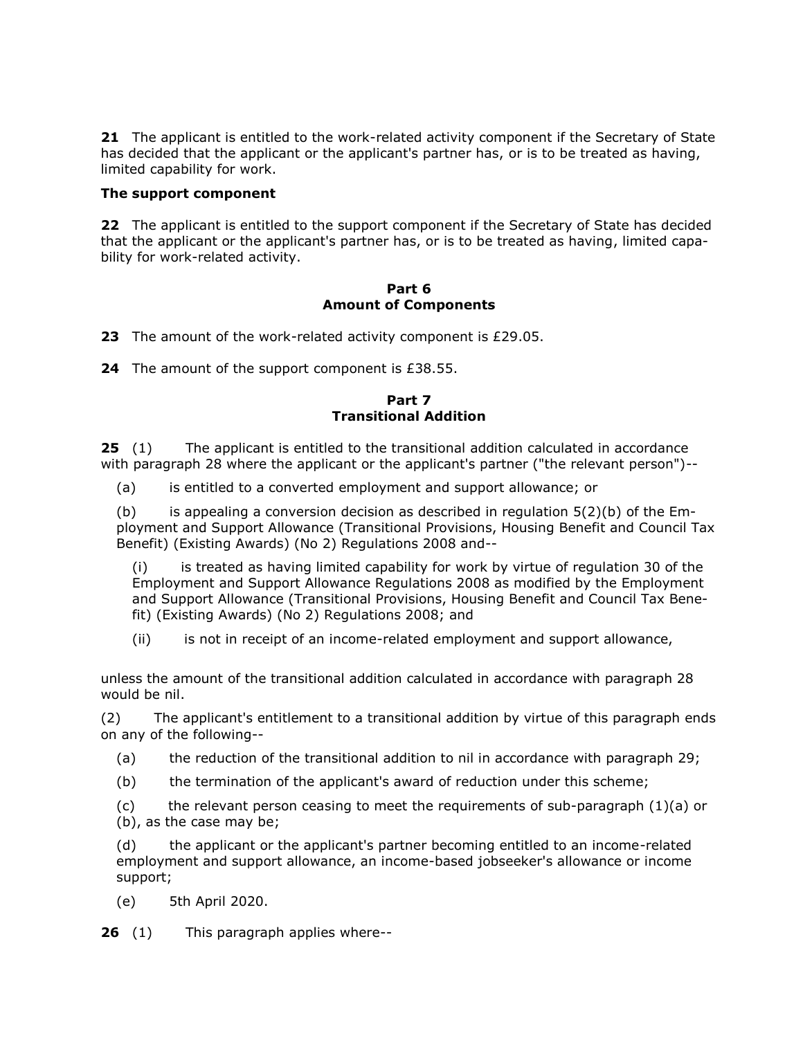**21** The applicant is entitled to the work-related activity component if the Secretary of State has decided that the applicant or the applicant's partner has, or is to be treated as having, limited capability for work.

### **The support component**

**22** The applicant is entitled to the support component if the Secretary of State has decided that the applicant or the applicant's partner has, or is to be treated as having, limited capability for work-related activity.

#### **Part 6 Amount of Components**

**23** The amount of the work-related activity component is £29.05.

**24** The amount of the support component is £38.55.

### **Part 7 Transitional Addition**

**25** (1) The applicant is entitled to the transitional addition calculated in accordance with paragraph 28 where the applicant or the applicant's partner ("the relevant person")--

(a) is entitled to a converted employment and support allowance; or

(b) is appealing a conversion decision as described in regulation  $5(2)(b)$  of the Employment and Support Allowance (Transitional Provisions, Housing Benefit and Council Tax Benefit) (Existing Awards) (No 2) Regulations 2008 and--

(i) is treated as having limited capability for work by virtue of regulation 30 of the Employment and Support Allowance Regulations 2008 as modified by the Employment and Support Allowance (Transitional Provisions, Housing Benefit and Council Tax Benefit) (Existing Awards) (No 2) Regulations 2008; and

(ii) is not in receipt of an income-related employment and support allowance,

unless the amount of the transitional addition calculated in accordance with paragraph 28 would be nil.

(2) The applicant's entitlement to a transitional addition by virtue of this paragraph ends on any of the following--

- (a) the reduction of the transitional addition to nil in accordance with paragraph 29;
- (b) the termination of the applicant's award of reduction under this scheme;

(c) the relevant person ceasing to meet the requirements of sub-paragraph  $(1)(a)$  or (b), as the case may be;

(d) the applicant or the applicant's partner becoming entitled to an income-related employment and support allowance, an income-based jobseeker's allowance or income support;

(e) 5th April 2020.

**26** (1) This paragraph applies where--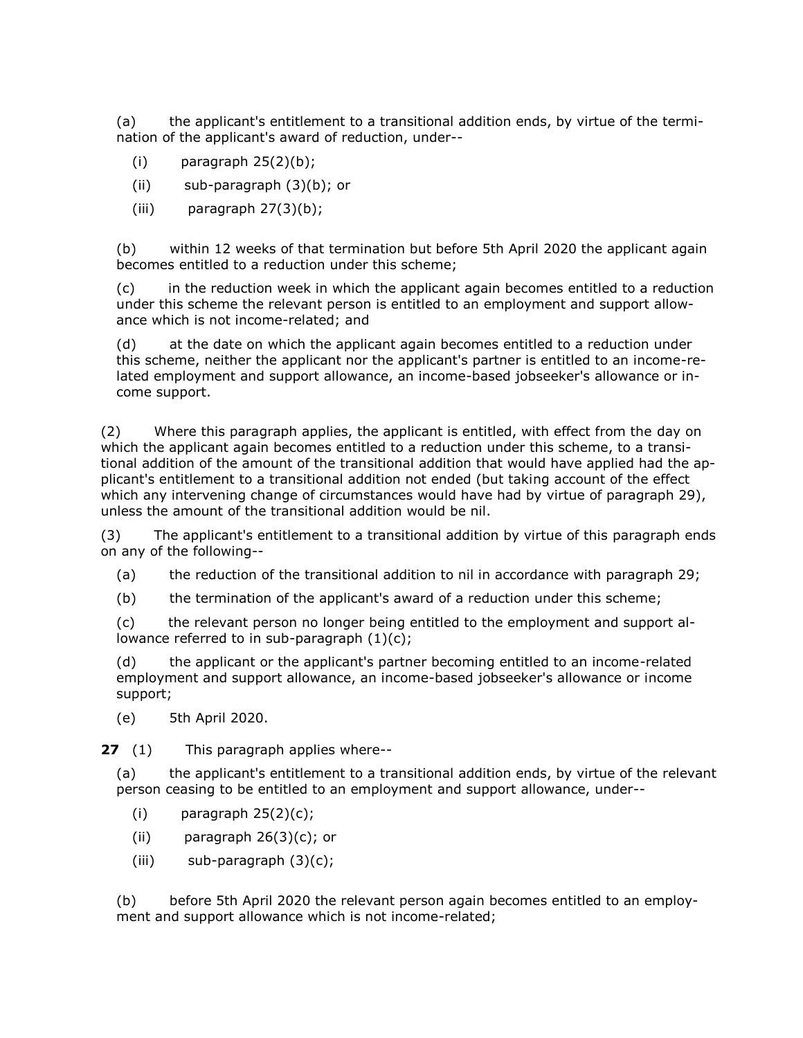(a) the applicant's entitlement to a transitional addition ends, by virtue of the termination of the applicant's award of reduction, under--

- $(i)$  paragraph  $25(2)(b)$ ;
- (ii) sub-paragraph (3)(b); or
- (iii) paragraph  $27(3)(b)$ ;

(b) within 12 weeks of that termination but before 5th April 2020 the applicant again becomes entitled to a reduction under this scheme;

(c) in the reduction week in which the applicant again becomes entitled to a reduction under this scheme the relevant person is entitled to an employment and support allowance which is not income-related; and

(d) at the date on which the applicant again becomes entitled to a reduction under this scheme, neither the applicant nor the applicant's partner is entitled to an income-related employment and support allowance, an income-based jobseeker's allowance or income support.

(2) Where this paragraph applies, the applicant is entitled, with effect from the day on which the applicant again becomes entitled to a reduction under this scheme, to a transitional addition of the amount of the transitional addition that would have applied had the applicant's entitlement to a transitional addition not ended (but taking account of the effect which any intervening change of circumstances would have had by virtue of paragraph 29), unless the amount of the transitional addition would be nil.

(3) The applicant's entitlement to a transitional addition by virtue of this paragraph ends on any of the following--

(a) the reduction of the transitional addition to nil in accordance with paragraph 29;

(b) the termination of the applicant's award of a reduction under this scheme;

(c) the relevant person no longer being entitled to the employment and support allowance referred to in sub-paragraph (1)(c);

(d) the applicant or the applicant's partner becoming entitled to an income-related employment and support allowance, an income-based jobseeker's allowance or income support;

(e) 5th April 2020.

**27** (1) This paragraph applies where--

(a) the applicant's entitlement to a transitional addition ends, by virtue of the relevant person ceasing to be entitled to an employment and support allowance, under--

- (i) paragraph  $25(2)(c)$ ;
- (ii) paragraph  $26(3)(c)$ ; or
- (iii) sub-paragraph (3)(c);

(b) before 5th April 2020 the relevant person again becomes entitled to an employment and support allowance which is not income-related;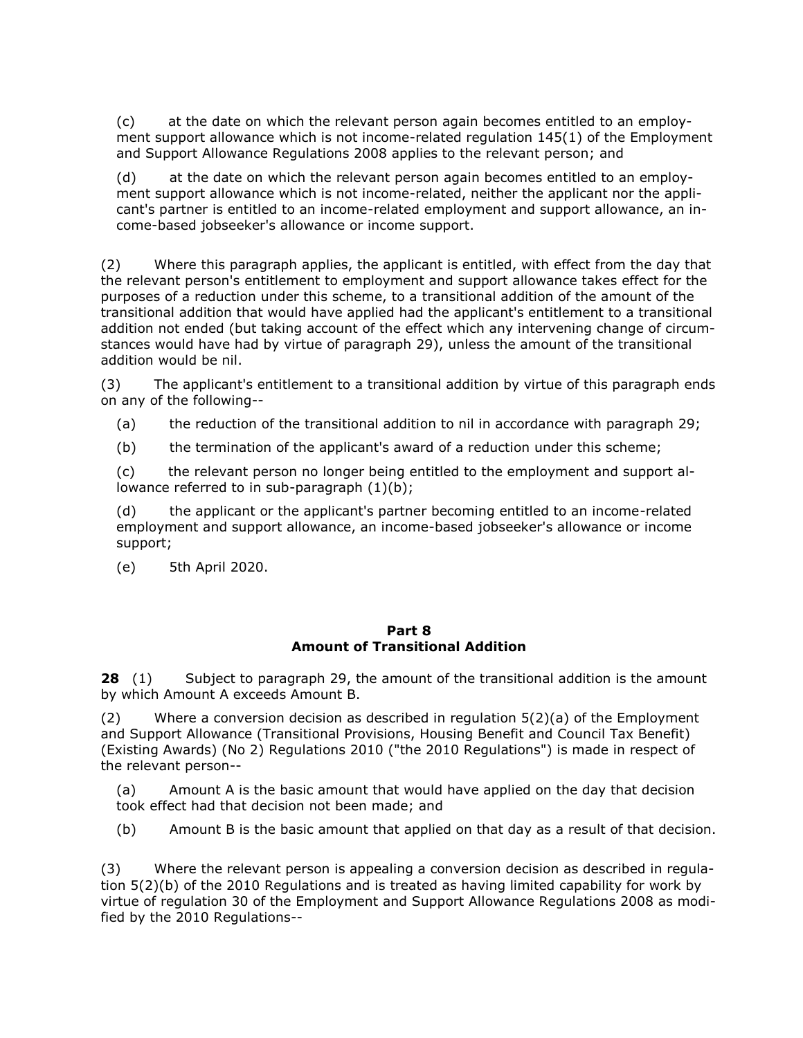(c) at the date on which the relevant person again becomes entitled to an employment support allowance which is not income-related regulation 145(1) of the Employment and Support Allowance Regulations 2008 applies to the relevant person; and

(d) at the date on which the relevant person again becomes entitled to an employment support allowance which is not income-related, neither the applicant nor the applicant's partner is entitled to an income-related employment and support allowance, an income-based jobseeker's allowance or income support.

(2) Where this paragraph applies, the applicant is entitled, with effect from the day that the relevant person's entitlement to employment and support allowance takes effect for the purposes of a reduction under this scheme, to a transitional addition of the amount of the transitional addition that would have applied had the applicant's entitlement to a transitional addition not ended (but taking account of the effect which any intervening change of circumstances would have had by virtue of paragraph 29), unless the amount of the transitional addition would be nil.

(3) The applicant's entitlement to a transitional addition by virtue of this paragraph ends on any of the following--

(a) the reduction of the transitional addition to nil in accordance with paragraph 29;

(b) the termination of the applicant's award of a reduction under this scheme;

(c) the relevant person no longer being entitled to the employment and support allowance referred to in sub-paragraph (1)(b);

(d) the applicant or the applicant's partner becoming entitled to an income-related employment and support allowance, an income-based jobseeker's allowance or income support;

(e) 5th April 2020.

### **Part 8 Amount of Transitional Addition**

**28** (1) Subject to paragraph 29, the amount of the transitional addition is the amount by which Amount A exceeds Amount B.

(2) Where a conversion decision as described in regulation  $5(2)(a)$  of the Employment and Support Allowance (Transitional Provisions, Housing Benefit and Council Tax Benefit) (Existing Awards) (No 2) Regulations 2010 ("the 2010 Regulations") is made in respect of the relevant person--

(a) Amount A is the basic amount that would have applied on the day that decision took effect had that decision not been made; and

(b) Amount B is the basic amount that applied on that day as a result of that decision.

(3) Where the relevant person is appealing a conversion decision as described in regulation 5(2)(b) of the 2010 Regulations and is treated as having limited capability for work by virtue of regulation 30 of the Employment and Support Allowance Regulations 2008 as modified by the 2010 Regulations--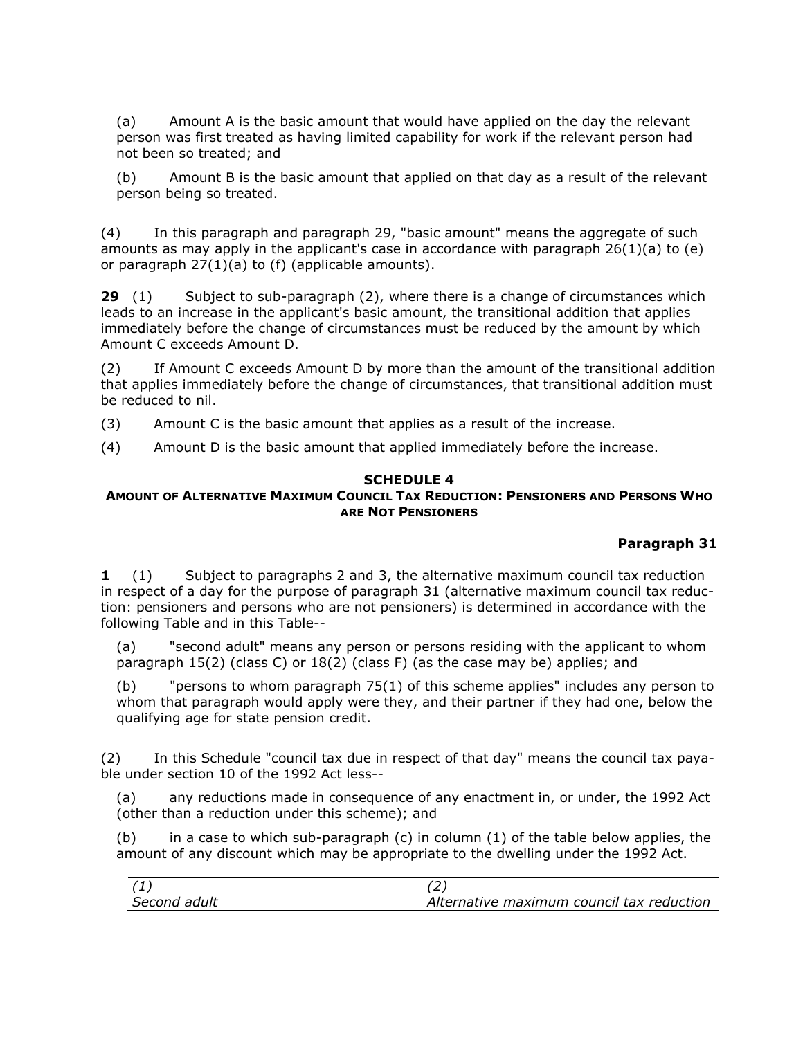(a) Amount A is the basic amount that would have applied on the day the relevant person was first treated as having limited capability for work if the relevant person had not been so treated; and

(b) Amount B is the basic amount that applied on that day as a result of the relevant person being so treated.

(4) In this paragraph and paragraph 29, "basic amount" means the aggregate of such amounts as may apply in the applicant's case in accordance with paragraph  $26(1)(a)$  to (e) or paragraph 27(1)(a) to (f) (applicable amounts).

**29** (1) Subject to sub-paragraph (2), where there is a change of circumstances which leads to an increase in the applicant's basic amount, the transitional addition that applies immediately before the change of circumstances must be reduced by the amount by which Amount C exceeds Amount D.

(2) If Amount C exceeds Amount D by more than the amount of the transitional addition that applies immediately before the change of circumstances, that transitional addition must be reduced to nil.

- (3) Amount C is the basic amount that applies as a result of the increase.
- (4) Amount D is the basic amount that applied immediately before the increase.

### **SCHEDULE 4**

### **AMOUNT OF ALTERNATIVE MAXIMUM COUNCIL TAX REDUCTION: PENSIONERS AND PERSONS WHO ARE NOT PENSIONERS**

### **Paragraph 31**

**1** (1) Subject to paragraphs 2 and 3, the alternative maximum council tax reduction in respect of a day for the purpose of paragraph 31 (alternative maximum council tax reduction: pensioners and persons who are not pensioners) is determined in accordance with the following Table and in this Table--

(a) "second adult" means any person or persons residing with the applicant to whom paragraph 15(2) (class C) or 18(2) (class F) (as the case may be) applies; and

(b) "persons to whom paragraph 75(1) of this scheme applies" includes any person to whom that paragraph would apply were they, and their partner if they had one, below the qualifying age for state pension credit.

(2) In this Schedule "council tax due in respect of that day" means the council tax payable under section 10 of the 1992 Act less--

(a) any reductions made in consequence of any enactment in, or under, the 1992 Act (other than a reduction under this scheme); and

(b) in a case to which sub-paragraph (c) in column (1) of the table below applies, the amount of any discount which may be appropriate to the dwelling under the 1992 Act.

| Second adult | Alternative maximum council tax reduction |
|--------------|-------------------------------------------|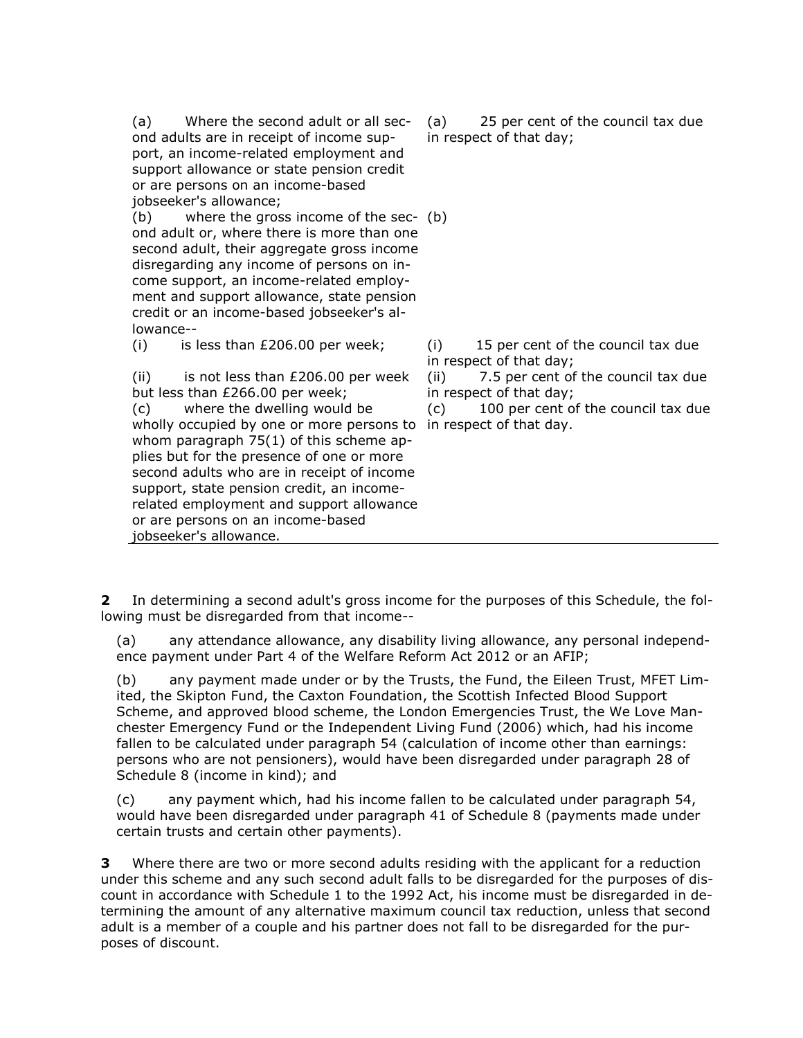(a) Where the second adult or all second adults are in receipt of income support, an income-related employment and support allowance or state pension credit or are persons on an income-based jobseeker's allowance; (b) where the gross income of the sec-(b)

ond adult or, where there is more than one second adult, their aggregate gross income disregarding any income of persons on income support, an income-related employment and support allowance, state pension credit or an income-based jobseeker's allowance--

 $(ii)$  is not less than  $£206.00$  per week but less than £266.00 per week; (c) where the dwelling would be wholly occupied by one or more persons to in respect of that day. whom paragraph 75(1) of this scheme applies but for the presence of one or more second adults who are in receipt of income support, state pension credit, an incomerelated employment and support allowance or are persons on an income-based jobseeker's allowance.

(a) 25 per cent of the council tax due in respect of that day;

(i) is less than  $£206.00$  per week; (i) 15 per cent of the council tax due in respect of that day;

(ii) 7.5 per cent of the council tax due in respect of that day;

(c) 100 per cent of the council tax due

**2** In determining a second adult's gross income for the purposes of this Schedule, the following must be disregarded from that income--

(a) any attendance allowance, any disability living allowance, any personal independence payment under Part 4 of the Welfare Reform Act 2012 or an AFIP;

(b) any payment made under or by the Trusts, the Fund, the Eileen Trust, MFET Limited, the Skipton Fund, the Caxton Foundation, the Scottish Infected Blood Support Scheme, and approved blood scheme, the London Emergencies Trust, the We Love Manchester Emergency Fund or the Independent Living Fund (2006) which, had his income fallen to be calculated under paragraph 54 (calculation of income other than earnings: persons who are not pensioners), would have been disregarded under paragraph 28 of Schedule 8 (income in kind); and

(c) any payment which, had his income fallen to be calculated under paragraph 54, would have been disregarded under paragraph 41 of Schedule 8 (payments made under certain trusts and certain other payments).

**3** Where there are two or more second adults residing with the applicant for a reduction under this scheme and any such second adult falls to be disregarded for the purposes of discount in accordance with Schedule 1 to the 1992 Act, his income must be disregarded in determining the amount of any alternative maximum council tax reduction, unless that second adult is a member of a couple and his partner does not fall to be disregarded for the purposes of discount.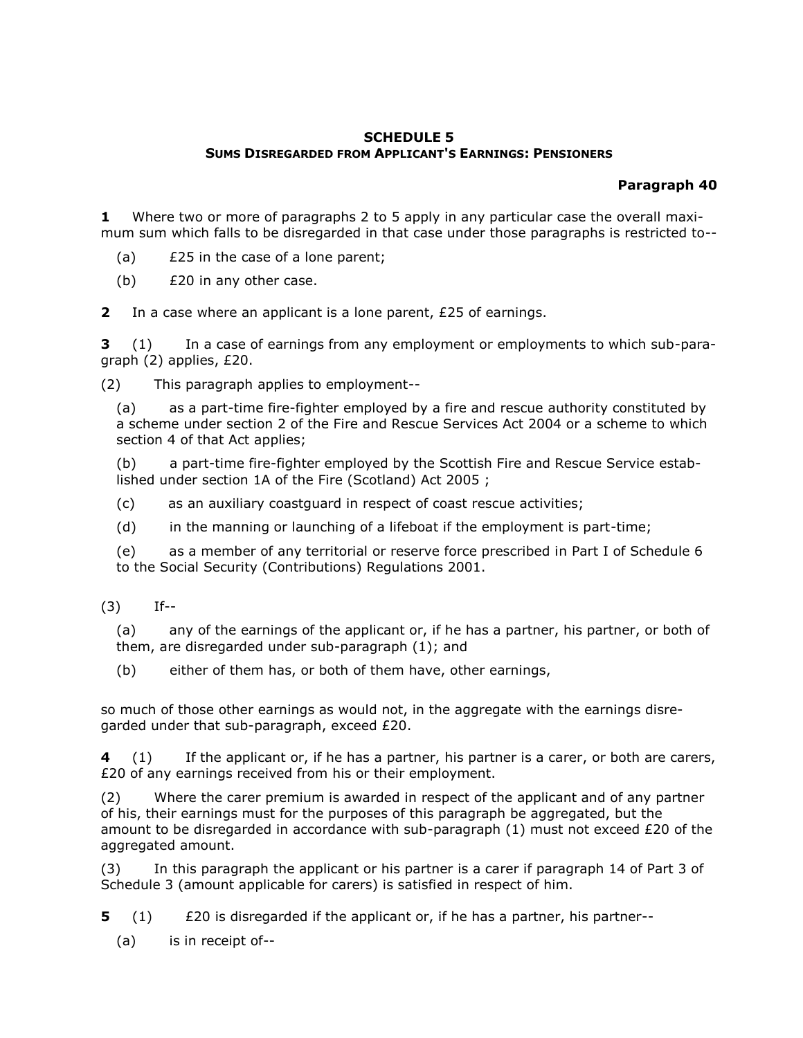### **SCHEDULE 5 SUMS DISREGARDED FROM APPLICANT'S EARNINGS: PENSIONERS**

# **Paragraph 40**

**1** Where two or more of paragraphs 2 to 5 apply in any particular case the overall maximum sum which falls to be disregarded in that case under those paragraphs is restricted to--

- (a) £25 in the case of a lone parent;
- (b) £20 in any other case.

**2** In a case where an applicant is a lone parent, £25 of earnings.

**3** (1) In a case of earnings from any employment or employments to which sub-paragraph (2) applies, £20.

(2) This paragraph applies to employment--

(a) as a part-time fire-fighter employed by a fire and rescue authority constituted by a scheme under section 2 of the Fire and Rescue Services Act 2004 or a scheme to which section 4 of that Act applies;

(b) a part-time fire-fighter employed by the Scottish Fire and Rescue Service established under section 1A of the Fire (Scotland) Act 2005 ;

(c) as an auxiliary coastguard in respect of coast rescue activities;

(d) in the manning or launching of a lifeboat if the employment is part-time;

(e) as a member of any territorial or reserve force prescribed in Part I of Schedule 6 to the Social Security (Contributions) Regulations 2001.

(3) If--

(a) any of the earnings of the applicant or, if he has a partner, his partner, or both of them, are disregarded under sub-paragraph (1); and

(b) either of them has, or both of them have, other earnings,

so much of those other earnings as would not, in the aggregate with the earnings disregarded under that sub-paragraph, exceed £20.

**4** (1) If the applicant or, if he has a partner, his partner is a carer, or both are carers, £20 of any earnings received from his or their employment.

(2) Where the carer premium is awarded in respect of the applicant and of any partner of his, their earnings must for the purposes of this paragraph be aggregated, but the amount to be disregarded in accordance with sub-paragraph (1) must not exceed £20 of the aggregated amount.

(3) In this paragraph the applicant or his partner is a carer if paragraph 14 of Part 3 of Schedule 3 (amount applicable for carers) is satisfied in respect of him.

**5** (1) £20 is disregarded if the applicant or, if he has a partner, his partner--

(a) is in receipt of--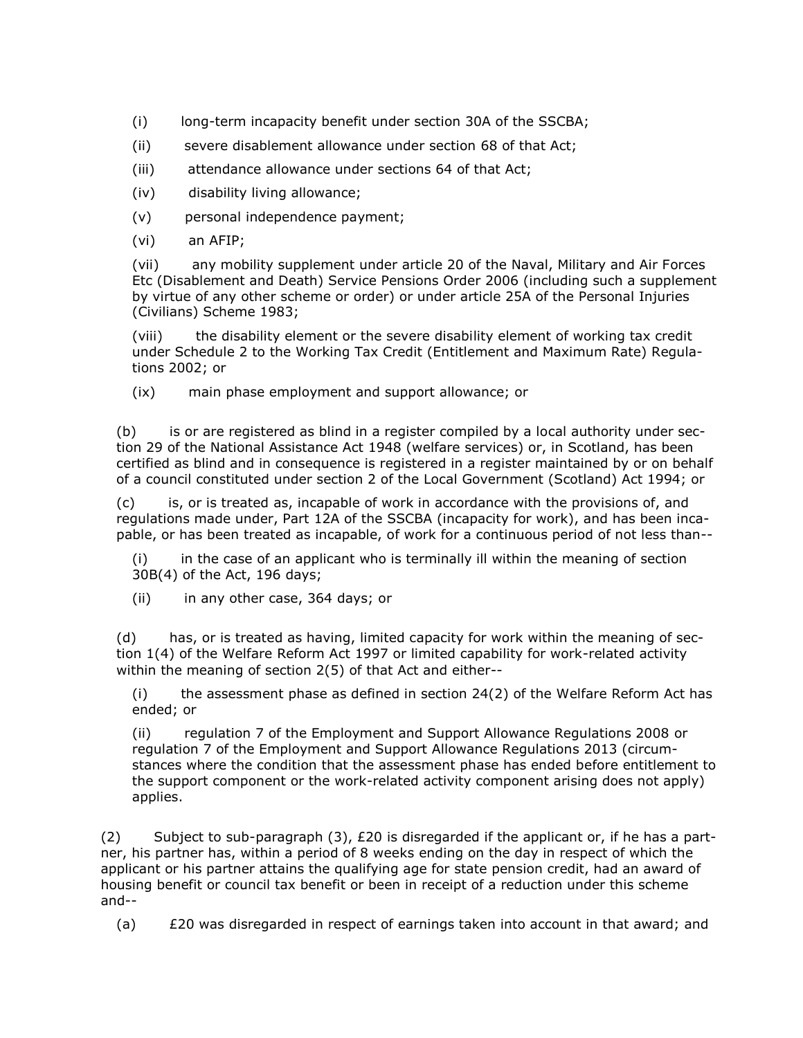- (i) long-term incapacity benefit under section 30A of the SSCBA;
- (ii) severe disablement allowance under section 68 of that Act;
- (iii) attendance allowance under sections 64 of that Act;
- (iv) disability living allowance;
- (v) personal independence payment;
- (vi) an AFIP;

(vii) any mobility supplement under article 20 of the Naval, Military and Air Forces Etc (Disablement and Death) Service Pensions Order 2006 (including such a supplement by virtue of any other scheme or order) or under article 25A of the Personal Injuries (Civilians) Scheme 1983;

(viii) the disability element or the severe disability element of working tax credit under Schedule 2 to the Working Tax Credit (Entitlement and Maximum Rate) Regulations 2002; or

(ix) main phase employment and support allowance; or

(b) is or are registered as blind in a register compiled by a local authority under section 29 of the National Assistance Act 1948 (welfare services) or, in Scotland, has been certified as blind and in consequence is registered in a register maintained by or on behalf of a council constituted under section 2 of the Local Government (Scotland) Act 1994; or

(c) is, or is treated as, incapable of work in accordance with the provisions of, and regulations made under, Part 12A of the SSCBA (incapacity for work), and has been incapable, or has been treated as incapable, of work for a continuous period of not less than--

(i) in the case of an applicant who is terminally ill within the meaning of section 30B(4) of the Act, 196 days;

(ii) in any other case, 364 days; or

(d) has, or is treated as having, limited capacity for work within the meaning of section 1(4) of the Welfare Reform Act 1997 or limited capability for work-related activity within the meaning of section 2(5) of that Act and either--

 $(i)$  the assessment phase as defined in section 24(2) of the Welfare Reform Act has ended; or

(ii) regulation 7 of the Employment and Support Allowance Regulations 2008 or regulation 7 of the Employment and Support Allowance Regulations 2013 (circumstances where the condition that the assessment phase has ended before entitlement to the support component or the work-related activity component arising does not apply) applies.

(2) Subject to sub-paragraph (3),  $E20$  is disregarded if the applicant or, if he has a partner, his partner has, within a period of 8 weeks ending on the day in respect of which the applicant or his partner attains the qualifying age for state pension credit, had an award of housing benefit or council tax benefit or been in receipt of a reduction under this scheme and--

(a) £20 was disregarded in respect of earnings taken into account in that award; and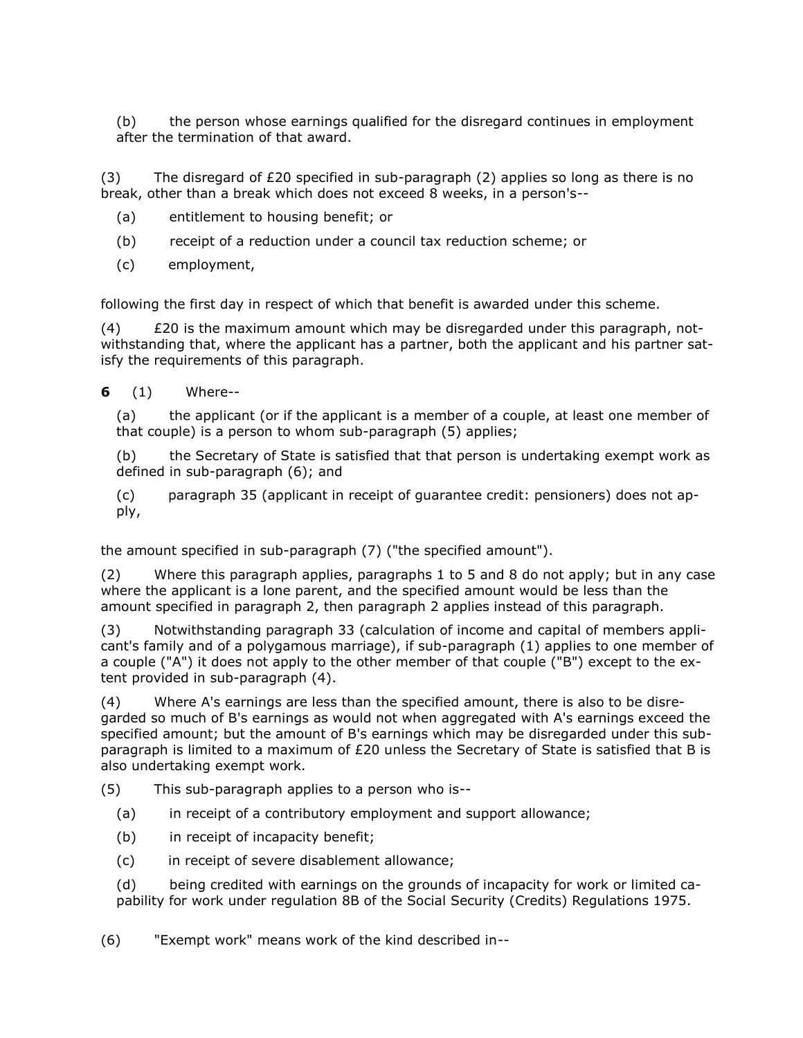(b) the person whose earnings qualified for the disregard continues in employment after the termination of that award.

(3) The disregard of  $E20$  specified in sub-paragraph (2) applies so long as there is no break, other than a break which does not exceed 8 weeks, in a person's--

- (a) entitlement to housing benefit; or
- (b) receipt of a reduction under a council tax reduction scheme; or
- (c) employment,

following the first day in respect of which that benefit is awarded under this scheme.

 $(4)$   $\pm$  20 is the maximum amount which may be disregarded under this paragraph, notwithstanding that, where the applicant has a partner, both the applicant and his partner satisfy the requirements of this paragraph.

**6** (1) Where--

(a) the applicant (or if the applicant is a member of a couple, at least one member of that couple) is a person to whom sub-paragraph (5) applies;

(b) the Secretary of State is satisfied that that person is undertaking exempt work as defined in sub-paragraph (6); and

(c) paragraph 35 (applicant in receipt of guarantee credit: pensioners) does not apply,

the amount specified in sub-paragraph (7) ("the specified amount").

(2) Where this paragraph applies, paragraphs 1 to 5 and 8 do not apply; but in any case where the applicant is a lone parent, and the specified amount would be less than the amount specified in paragraph 2, then paragraph 2 applies instead of this paragraph.

(3) Notwithstanding paragraph 33 (calculation of income and capital of members applicant's family and of a polygamous marriage), if sub-paragraph (1) applies to one member of a couple ("A") it does not apply to the other member of that couple ("B") except to the extent provided in sub-paragraph (4).

(4) Where A's earnings are less than the specified amount, there is also to be disregarded so much of B's earnings as would not when aggregated with A's earnings exceed the specified amount; but the amount of B's earnings which may be disregarded under this subparagraph is limited to a maximum of £20 unless the Secretary of State is satisfied that B is also undertaking exempt work.

(5) This sub-paragraph applies to a person who is--

- (a) in receipt of a contributory employment and support allowance;
- (b) in receipt of incapacity benefit;
- (c) in receipt of severe disablement allowance;

(d) being credited with earnings on the grounds of incapacity for work or limited capability for work under regulation 8B of the Social Security (Credits) Regulations 1975.

(6) "Exempt work" means work of the kind described in--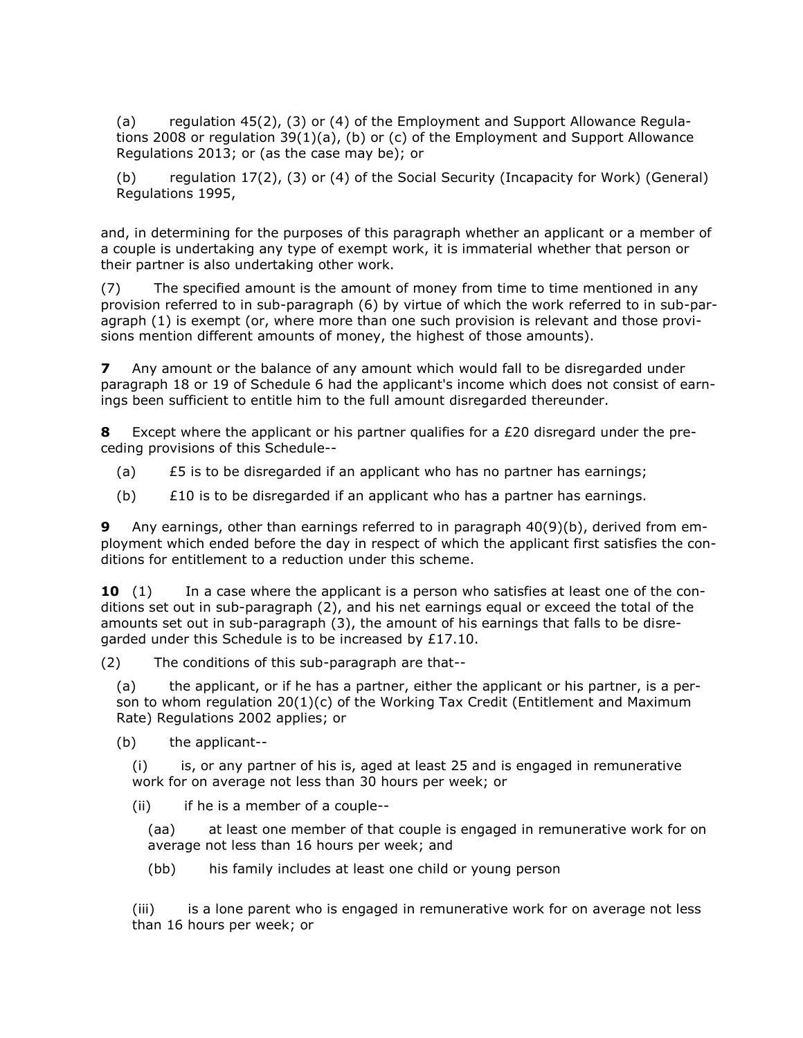(a) regulation 45(2), (3) or (4) of the Employment and Support Allowance Regulations 2008 or regulation 39(1)(a), (b) or (c) of the Employment and Support Allowance Regulations 2013; or (as the case may be); or

(b) regulation 17(2), (3) or (4) of the Social Security (Incapacity for Work) (General) Regulations 1995,

and, in determining for the purposes of this paragraph whether an applicant or a member of a couple is undertaking any type of exempt work, it is immaterial whether that person or their partner is also undertaking other work.

(7) The specified amount is the amount of money from time to time mentioned in any provision referred to in sub-paragraph (6) by virtue of which the work referred to in sub-paragraph (1) is exempt (or, where more than one such provision is relevant and those provisions mention different amounts of money, the highest of those amounts).

**7** Any amount or the balance of any amount which would fall to be disregarded under paragraph 18 or 19 of Schedule 6 had the applicant's income which does not consist of earnings been sufficient to entitle him to the full amount disregarded thereunder.

**8** Except where the applicant or his partner qualifies for a £20 disregard under the preceding provisions of this Schedule--

- (a) £5 is to be disregarded if an applicant who has no partner has earnings;
- $(b)$   $E10$  is to be disregarded if an applicant who has a partner has earnings.

**9** Any earnings, other than earnings referred to in paragraph 40(9)(b), derived from employment which ended before the day in respect of which the applicant first satisfies the conditions for entitlement to a reduction under this scheme.

**10** (1) In a case where the applicant is a person who satisfies at least one of the conditions set out in sub-paragraph (2), and his net earnings equal or exceed the total of the amounts set out in sub-paragraph (3), the amount of his earnings that falls to be disregarded under this Schedule is to be increased by £17.10.

(2) The conditions of this sub-paragraph are that--

(a) the applicant, or if he has a partner, either the applicant or his partner, is a person to whom regulation 20(1)(c) of the Working Tax Credit (Entitlement and Maximum Rate) Regulations 2002 applies; or

(b) the applicant--

(i) is, or any partner of his is, aged at least 25 and is engaged in remunerative work for on average not less than 30 hours per week; or

 $(ii)$  if he is a member of a couple--

(aa) at least one member of that couple is engaged in remunerative work for on average not less than 16 hours per week; and

(bb) his family includes at least one child or young person

(iii) is a lone parent who is engaged in remunerative work for on average not less than 16 hours per week; or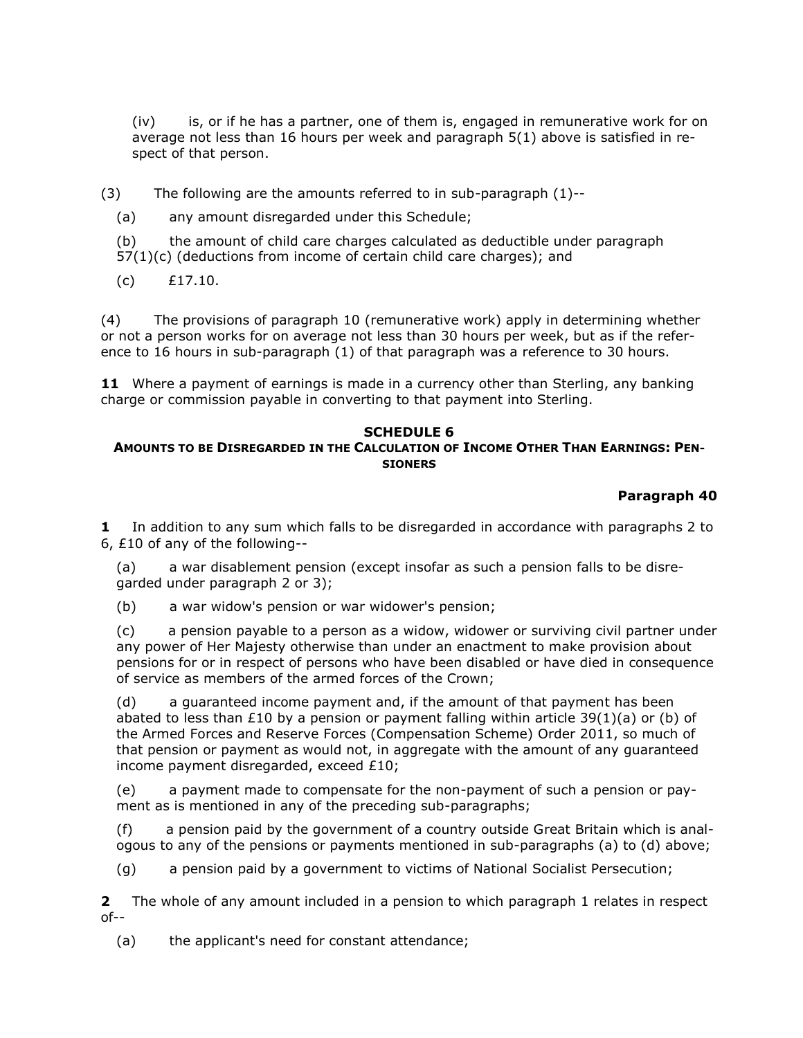(iv) is, or if he has a partner, one of them is, engaged in remunerative work for on average not less than 16 hours per week and paragraph 5(1) above is satisfied in respect of that person.

 $(3)$  The following are the amounts referred to in sub-paragraph  $(1)$ --

- (a) any amount disregarded under this Schedule;
- (b) the amount of child care charges calculated as deductible under paragraph 57(1)(c) (deductions from income of certain child care charges); and
- (c) £17.10.

(4) The provisions of paragraph 10 (remunerative work) apply in determining whether or not a person works for on average not less than 30 hours per week, but as if the reference to 16 hours in sub-paragraph (1) of that paragraph was a reference to 30 hours.

**11** Where a payment of earnings is made in a currency other than Sterling, any banking charge or commission payable in converting to that payment into Sterling.

### **SCHEDULE 6**

### **AMOUNTS TO BE DISREGARDED IN THE CALCULATION OF INCOME OTHER THAN EARNINGS: PEN-SIONERS**

### **Paragraph 40**

**1** In addition to any sum which falls to be disregarded in accordance with paragraphs 2 to 6, £10 of any of the following--

(a) a war disablement pension (except insofar as such a pension falls to be disregarded under paragraph 2 or 3);

(b) a war widow's pension or war widower's pension;

(c) a pension payable to a person as a widow, widower or surviving civil partner under any power of Her Majesty otherwise than under an enactment to make provision about pensions for or in respect of persons who have been disabled or have died in consequence of service as members of the armed forces of the Crown;

(d) a guaranteed income payment and, if the amount of that payment has been abated to less than £10 by a pension or payment falling within article 39(1)(a) or (b) of the Armed Forces and Reserve Forces (Compensation Scheme) Order 2011, so much of that pension or payment as would not, in aggregate with the amount of any guaranteed income payment disregarded, exceed £10;

(e) a payment made to compensate for the non-payment of such a pension or payment as is mentioned in any of the preceding sub-paragraphs;

(f) a pension paid by the government of a country outside Great Britain which is analogous to any of the pensions or payments mentioned in sub-paragraphs (a) to (d) above;

(g) a pension paid by a government to victims of National Socialist Persecution;

**2** The whole of any amount included in a pension to which paragraph 1 relates in respect of--

(a) the applicant's need for constant attendance;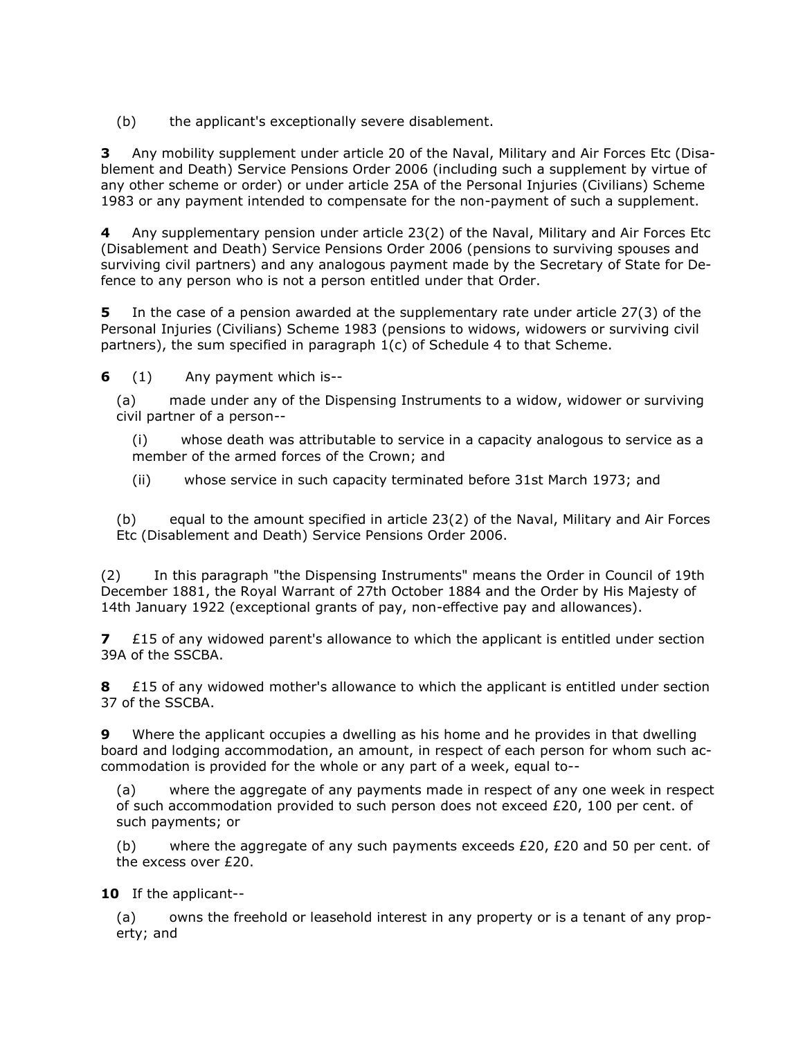(b) the applicant's exceptionally severe disablement.

**3** Any mobility supplement under article 20 of the Naval, Military and Air Forces Etc (Disablement and Death) Service Pensions Order 2006 (including such a supplement by virtue of any other scheme or order) or under article 25A of the Personal Injuries (Civilians) Scheme 1983 or any payment intended to compensate for the non-payment of such a supplement.

**4** Any supplementary pension under article 23(2) of the Naval, Military and Air Forces Etc (Disablement and Death) Service Pensions Order 2006 (pensions to surviving spouses and surviving civil partners) and any analogous payment made by the Secretary of State for Defence to any person who is not a person entitled under that Order.

**5** In the case of a pension awarded at the supplementary rate under article 27(3) of the Personal Injuries (Civilians) Scheme 1983 (pensions to widows, widowers or surviving civil partners), the sum specified in paragraph  $1(c)$  of Schedule 4 to that Scheme.

**6** (1) Any payment which is--

(a) made under any of the Dispensing Instruments to a widow, widower or surviving civil partner of a person--

(i) whose death was attributable to service in a capacity analogous to service as a member of the armed forces of the Crown; and

(ii) whose service in such capacity terminated before 31st March 1973; and

(b) equal to the amount specified in article 23(2) of the Naval, Military and Air Forces Etc (Disablement and Death) Service Pensions Order 2006.

(2) In this paragraph "the Dispensing Instruments" means the Order in Council of 19th December 1881, the Royal Warrant of 27th October 1884 and the Order by His Majesty of 14th January 1922 (exceptional grants of pay, non-effective pay and allowances).

**7** E15 of any widowed parent's allowance to which the applicant is entitled under section 39A of the SSCBA.

**8** £15 of any widowed mother's allowance to which the applicant is entitled under section 37 of the SSCBA.

**9** Where the applicant occupies a dwelling as his home and he provides in that dwelling board and lodging accommodation, an amount, in respect of each person for whom such accommodation is provided for the whole or any part of a week, equal to--

(a) where the aggregate of any payments made in respect of any one week in respect of such accommodation provided to such person does not exceed  $E20$ , 100 per cent. of such payments; or

(b) where the aggregate of any such payments exceeds  $E20$ ,  $E20$  and 50 per cent. of the excess over £20.

**10** If the applicant--

(a) owns the freehold or leasehold interest in any property or is a tenant of any property; and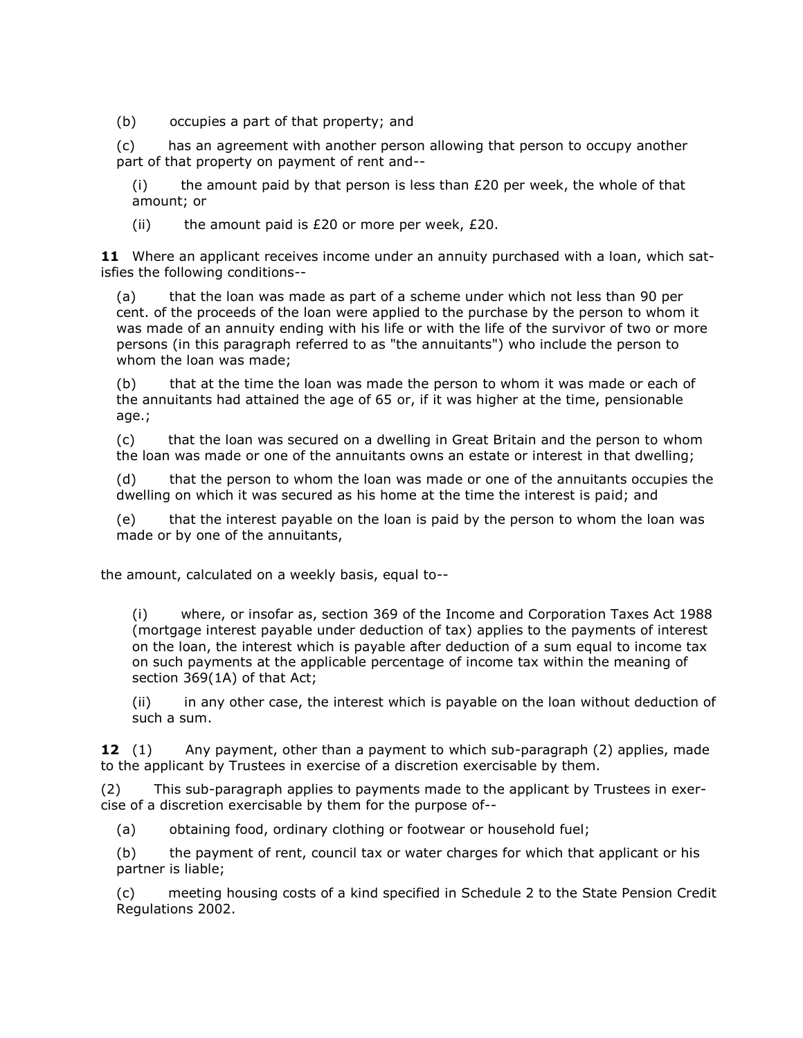(b) occupies a part of that property; and

(c) has an agreement with another person allowing that person to occupy another part of that property on payment of rent and--

(i) the amount paid by that person is less than  $E20$  per week, the whole of that amount; or

(ii) the amount paid is  $£20$  or more per week,  $£20$ .

**11** Where an applicant receives income under an annuity purchased with a loan, which satisfies the following conditions--

(a) that the loan was made as part of a scheme under which not less than 90 per cent. of the proceeds of the loan were applied to the purchase by the person to whom it was made of an annuity ending with his life or with the life of the survivor of two or more persons (in this paragraph referred to as "the annuitants") who include the person to whom the loan was made;

(b) that at the time the loan was made the person to whom it was made or each of the annuitants had attained the age of 65 or, if it was higher at the time, pensionable age.;

(c) that the loan was secured on a dwelling in Great Britain and the person to whom the loan was made or one of the annuitants owns an estate or interest in that dwelling;

(d) that the person to whom the loan was made or one of the annuitants occupies the dwelling on which it was secured as his home at the time the interest is paid; and

(e) that the interest payable on the loan is paid by the person to whom the loan was made or by one of the annuitants,

the amount, calculated on a weekly basis, equal to--

(i) where, or insofar as, section 369 of the Income and Corporation Taxes Act 1988 (mortgage interest payable under deduction of tax) applies to the payments of interest on the loan, the interest which is payable after deduction of a sum equal to income tax on such payments at the applicable percentage of income tax within the meaning of section 369(1A) of that Act;

(ii) in any other case, the interest which is payable on the loan without deduction of such a sum.

**12** (1) Any payment, other than a payment to which sub-paragraph (2) applies, made to the applicant by Trustees in exercise of a discretion exercisable by them.

(2) This sub-paragraph applies to payments made to the applicant by Trustees in exercise of a discretion exercisable by them for the purpose of--

(a) obtaining food, ordinary clothing or footwear or household fuel;

(b) the payment of rent, council tax or water charges for which that applicant or his partner is liable;

(c) meeting housing costs of a kind specified in Schedule 2 to the State Pension Credit Regulations 2002.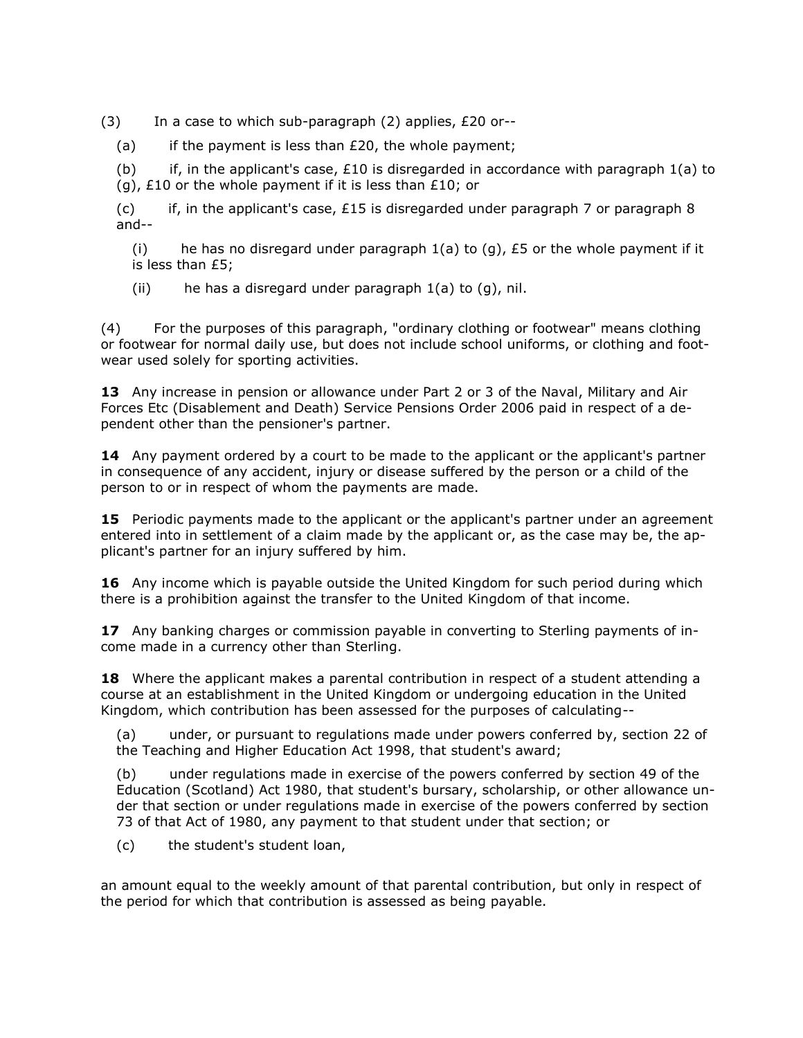(3) In a case to which sub-paragraph (2) applies, £20 or--

(a) if the payment is less than  $E20$ , the whole payment;

(b) if, in the applicant's case,  $£10$  is disregarded in accordance with paragraph  $1(a)$  to (g), £10 or the whole payment if it is less than £10; or

(c) if, in the applicant's case,  $£15$  is disregarded under paragraph 7 or paragraph 8 and--

(i) he has no disregard under paragraph  $1(a)$  to  $(q)$ ,  $E5$  or the whole payment if it is less than £5;

(ii) he has a disregard under paragraph 1(a) to (g), nil.

(4) For the purposes of this paragraph, "ordinary clothing or footwear" means clothing or footwear for normal daily use, but does not include school uniforms, or clothing and footwear used solely for sporting activities.

**13** Any increase in pension or allowance under Part 2 or 3 of the Naval, Military and Air Forces Etc (Disablement and Death) Service Pensions Order 2006 paid in respect of a dependent other than the pensioner's partner.

**14** Any payment ordered by a court to be made to the applicant or the applicant's partner in consequence of any accident, injury or disease suffered by the person or a child of the person to or in respect of whom the payments are made.

15 Periodic payments made to the applicant or the applicant's partner under an agreement entered into in settlement of a claim made by the applicant or, as the case may be, the applicant's partner for an injury suffered by him.

16 Any income which is payable outside the United Kingdom for such period during which there is a prohibition against the transfer to the United Kingdom of that income.

**17** Any banking charges or commission payable in converting to Sterling payments of income made in a currency other than Sterling.

**18** Where the applicant makes a parental contribution in respect of a student attending a course at an establishment in the United Kingdom or undergoing education in the United Kingdom, which contribution has been assessed for the purposes of calculating--

(a) under, or pursuant to regulations made under powers conferred by, section 22 of the Teaching and Higher Education Act 1998, that student's award;

(b) under regulations made in exercise of the powers conferred by section 49 of the Education (Scotland) Act 1980, that student's bursary, scholarship, or other allowance under that section or under regulations made in exercise of the powers conferred by section 73 of that Act of 1980, any payment to that student under that section; or

(c) the student's student loan,

an amount equal to the weekly amount of that parental contribution, but only in respect of the period for which that contribution is assessed as being payable.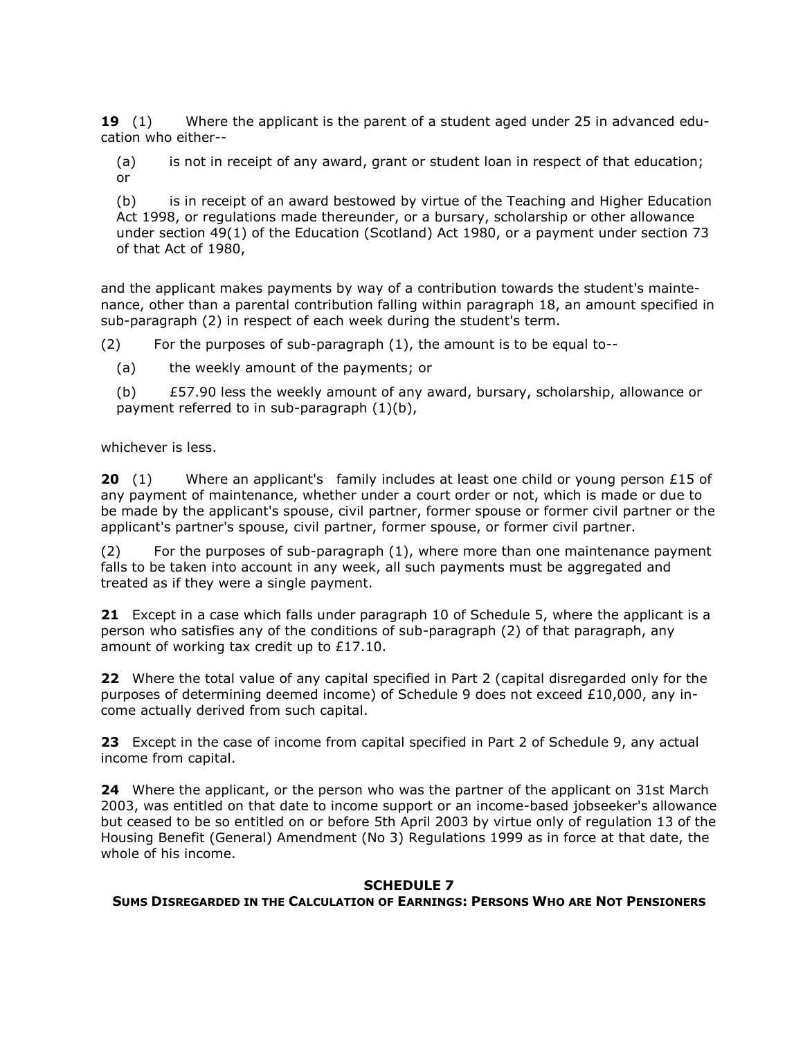**19** (1) Where the applicant is the parent of a student aged under 25 in advanced education who either--

(a) is not in receipt of any award, grant or student loan in respect of that education; or

(b) is in receipt of an award bestowed by virtue of the Teaching and Higher Education Act 1998, or regulations made thereunder, or a bursary, scholarship or other allowance under section 49(1) of the Education (Scotland) Act 1980, or a payment under section 73 of that Act of 1980,

and the applicant makes payments by way of a contribution towards the student's maintenance, other than a parental contribution falling within paragraph 18, an amount specified in sub-paragraph (2) in respect of each week during the student's term.

(2) For the purposes of sub-paragraph (1), the amount is to be equal to--

(a) the weekly amount of the payments; or

(b) £57.90 less the weekly amount of any award, bursary, scholarship, allowance or payment referred to in sub-paragraph (1)(b),

whichever is less.

**20** (1) Where an applicant's family includes at least one child or young person £15 of any payment of maintenance, whether under a court order or not, which is made or due to be made by the applicant's spouse, civil partner, former spouse or former civil partner or the applicant's partner's spouse, civil partner, former spouse, or former civil partner.

(2) For the purposes of sub-paragraph (1), where more than one maintenance payment falls to be taken into account in any week, all such payments must be aggregated and treated as if they were a single payment.

**21** Except in a case which falls under paragraph 10 of Schedule 5, where the applicant is a person who satisfies any of the conditions of sub-paragraph (2) of that paragraph, any amount of working tax credit up to £17.10.

**22** Where the total value of any capital specified in Part 2 (capital disregarded only for the purposes of determining deemed income) of Schedule 9 does not exceed £10,000, any income actually derived from such capital.

**23** Except in the case of income from capital specified in Part 2 of Schedule 9, any actual income from capital.

**24** Where the applicant, or the person who was the partner of the applicant on 31st March 2003, was entitled on that date to income support or an income-based jobseeker's allowance but ceased to be so entitled on or before 5th April 2003 by virtue only of regulation 13 of the Housing Benefit (General) Amendment (No 3) Regulations 1999 as in force at that date, the whole of his income.

### **SCHEDULE 7**

**SUMS DISREGARDED IN THE CALCULATION OF EARNINGS: PERSONS WHO ARE NOT PENSIONERS**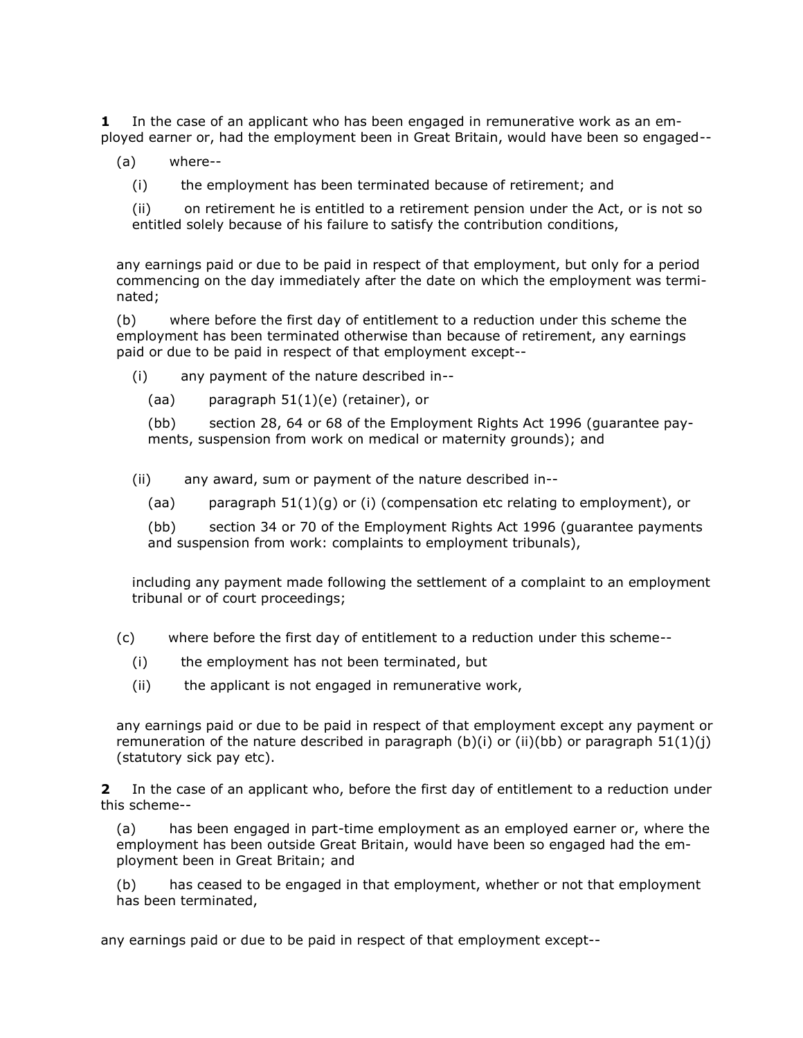**1** In the case of an applicant who has been engaged in remunerative work as an employed earner or, had the employment been in Great Britain, would have been so engaged--

- (a) where--
	- (i) the employment has been terminated because of retirement; and

(ii) on retirement he is entitled to a retirement pension under the Act, or is not so entitled solely because of his failure to satisfy the contribution conditions,

any earnings paid or due to be paid in respect of that employment, but only for a period commencing on the day immediately after the date on which the employment was terminated;

(b) where before the first day of entitlement to a reduction under this scheme the employment has been terminated otherwise than because of retirement, any earnings paid or due to be paid in respect of that employment except--

(i) any payment of the nature described in--

(aa) paragraph 51(1)(e) (retainer), or

(bb) section 28, 64 or 68 of the Employment Rights Act 1996 (guarantee payments, suspension from work on medical or maternity grounds); and

(ii) any award, sum or payment of the nature described in--

(aa) paragraph 51(1)(g) or (i) (compensation etc relating to employment), or

(bb) section 34 or 70 of the Employment Rights Act 1996 (guarantee payments and suspension from work: complaints to employment tribunals),

including any payment made following the settlement of a complaint to an employment tribunal or of court proceedings;

(c) where before the first day of entitlement to a reduction under this scheme--

- (i) the employment has not been terminated, but
- (ii) the applicant is not engaged in remunerative work,

any earnings paid or due to be paid in respect of that employment except any payment or remuneration of the nature described in paragraph  $(b)(i)$  or  $(ii)(bb)$  or paragraph  $51(1)(j)$ (statutory sick pay etc).

**2** In the case of an applicant who, before the first day of entitlement to a reduction under this scheme--

(a) has been engaged in part-time employment as an employed earner or, where the employment has been outside Great Britain, would have been so engaged had the employment been in Great Britain; and

(b) has ceased to be engaged in that employment, whether or not that employment has been terminated,

any earnings paid or due to be paid in respect of that employment except--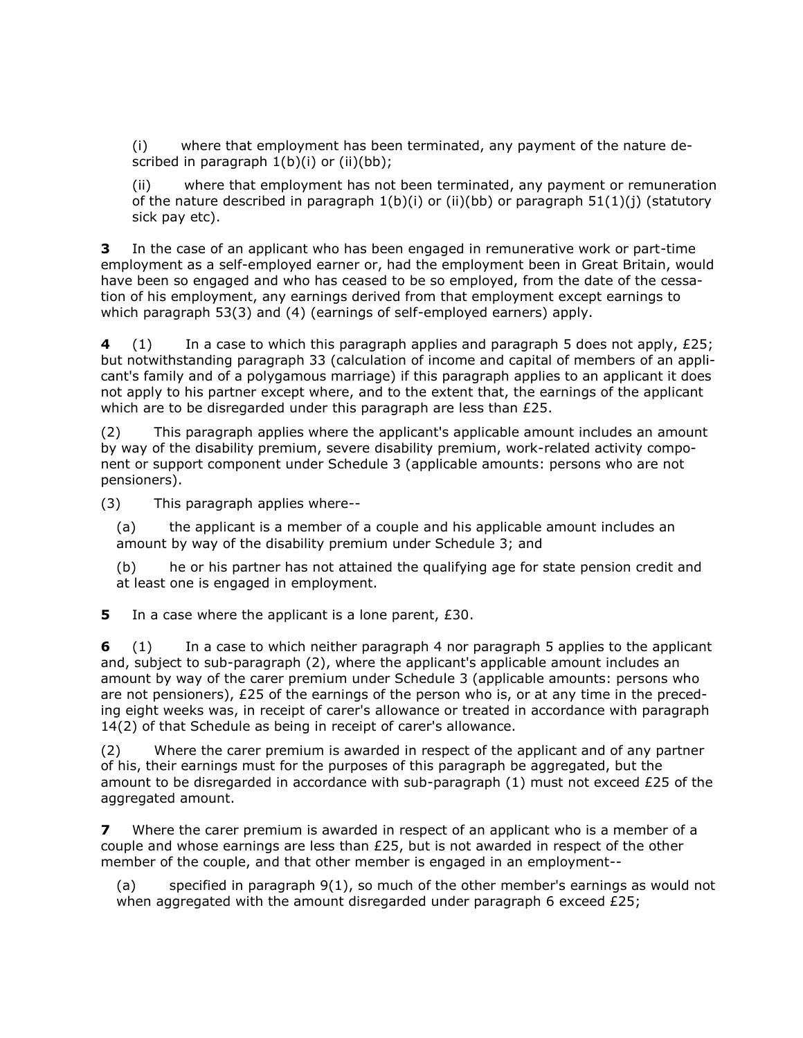(i) where that employment has been terminated, any payment of the nature described in paragraph  $1(b)(i)$  or  $(ii)(bb)$ ;

(ii) where that employment has not been terminated, any payment or remuneration of the nature described in paragraph  $1(b)(i)$  or (ii)(bb) or paragraph  $51(1)(i)$  (statutory sick pay etc).

**3** In the case of an applicant who has been engaged in remunerative work or part-time employment as a self-employed earner or, had the employment been in Great Britain, would have been so engaged and who has ceased to be so employed, from the date of the cessation of his employment, any earnings derived from that employment except earnings to which paragraph 53(3) and (4) (earnings of self-employed earners) apply.

**4** (1) In a case to which this paragraph applies and paragraph 5 does not apply, £25; but notwithstanding paragraph 33 (calculation of income and capital of members of an applicant's family and of a polygamous marriage) if this paragraph applies to an applicant it does not apply to his partner except where, and to the extent that, the earnings of the applicant which are to be disregarded under this paragraph are less than £25.

(2) This paragraph applies where the applicant's applicable amount includes an amount by way of the disability premium, severe disability premium, work-related activity component or support component under Schedule 3 (applicable amounts: persons who are not pensioners).

(3) This paragraph applies where--

(a) the applicant is a member of a couple and his applicable amount includes an amount by way of the disability premium under Schedule 3; and

(b) he or his partner has not attained the qualifying age for state pension credit and at least one is engaged in employment.

**5** In a case where the applicant is a lone parent, £30.

**6** (1) In a case to which neither paragraph 4 nor paragraph 5 applies to the applicant and, subject to sub-paragraph (2), where the applicant's applicable amount includes an amount by way of the carer premium under Schedule 3 (applicable amounts: persons who are not pensioners), £25 of the earnings of the person who is, or at any time in the preceding eight weeks was, in receipt of carer's allowance or treated in accordance with paragraph 14(2) of that Schedule as being in receipt of carer's allowance.

(2) Where the carer premium is awarded in respect of the applicant and of any partner of his, their earnings must for the purposes of this paragraph be aggregated, but the amount to be disregarded in accordance with sub-paragraph (1) must not exceed £25 of the aggregated amount.

**7** Where the carer premium is awarded in respect of an applicant who is a member of a couple and whose earnings are less than £25, but is not awarded in respect of the other member of the couple, and that other member is engaged in an employment--

(a) specified in paragraph 9(1), so much of the other member's earnings as would not when aggregated with the amount disregarded under paragraph 6 exceed £25;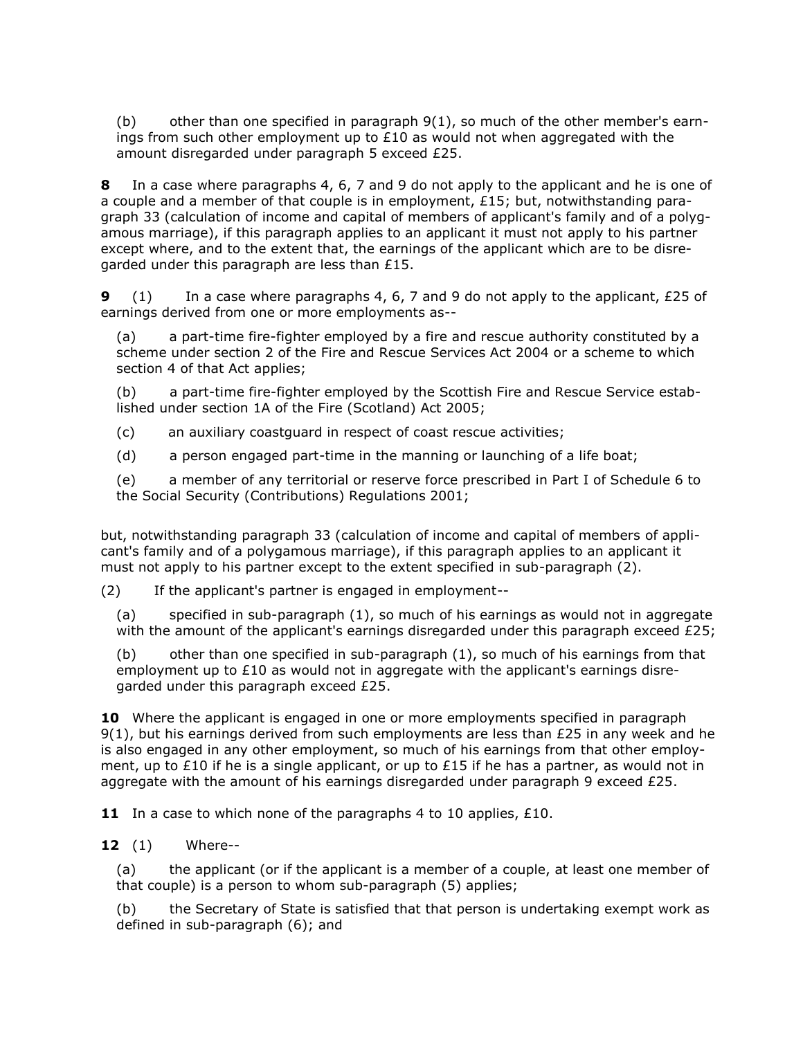(b) other than one specified in paragraph 9(1), so much of the other member's earnings from such other employment up to  $£10$  as would not when aggregated with the amount disregarded under paragraph 5 exceed £25.

**8** In a case where paragraphs 4, 6, 7 and 9 do not apply to the applicant and he is one of a couple and a member of that couple is in employment,  $£15;$  but, notwithstanding paragraph 33 (calculation of income and capital of members of applicant's family and of a polygamous marriage), if this paragraph applies to an applicant it must not apply to his partner except where, and to the extent that, the earnings of the applicant which are to be disregarded under this paragraph are less than £15.

**9** (1) In a case where paragraphs 4, 6, 7 and 9 do not apply to the applicant,  $£25$  of earnings derived from one or more employments as--

(a) a part-time fire-fighter employed by a fire and rescue authority constituted by a scheme under section 2 of the Fire and Rescue Services Act 2004 or a scheme to which section 4 of that Act applies;

(b) a part-time fire-fighter employed by the Scottish Fire and Rescue Service established under section 1A of the Fire (Scotland) Act 2005;

- (c) an auxiliary coastguard in respect of coast rescue activities;
- (d) a person engaged part-time in the manning or launching of a life boat;

(e) a member of any territorial or reserve force prescribed in Part I of Schedule 6 to the Social Security (Contributions) Regulations 2001;

but, notwithstanding paragraph 33 (calculation of income and capital of members of applicant's family and of a polygamous marriage), if this paragraph applies to an applicant it must not apply to his partner except to the extent specified in sub-paragraph (2).

(2) If the applicant's partner is engaged in employment--

(a) specified in sub-paragraph (1), so much of his earnings as would not in aggregate with the amount of the applicant's earnings disregarded under this paragraph exceed  $£25;$ 

(b) other than one specified in sub-paragraph (1), so much of his earnings from that employment up to £10 as would not in aggregate with the applicant's earnings disregarded under this paragraph exceed £25.

**10** Where the applicant is engaged in one or more employments specified in paragraph  $9(1)$ , but his earnings derived from such employments are less than £25 in any week and he is also engaged in any other employment, so much of his earnings from that other employment, up to £10 if he is a single applicant, or up to £15 if he has a partner, as would not in aggregate with the amount of his earnings disregarded under paragraph 9 exceed  $E25$ .

11 In a case to which none of the paragraphs 4 to 10 applies, £10.

**12** (1) Where--

(a) the applicant (or if the applicant is a member of a couple, at least one member of that couple) is a person to whom sub-paragraph (5) applies;

(b) the Secretary of State is satisfied that that person is undertaking exempt work as defined in sub-paragraph (6); and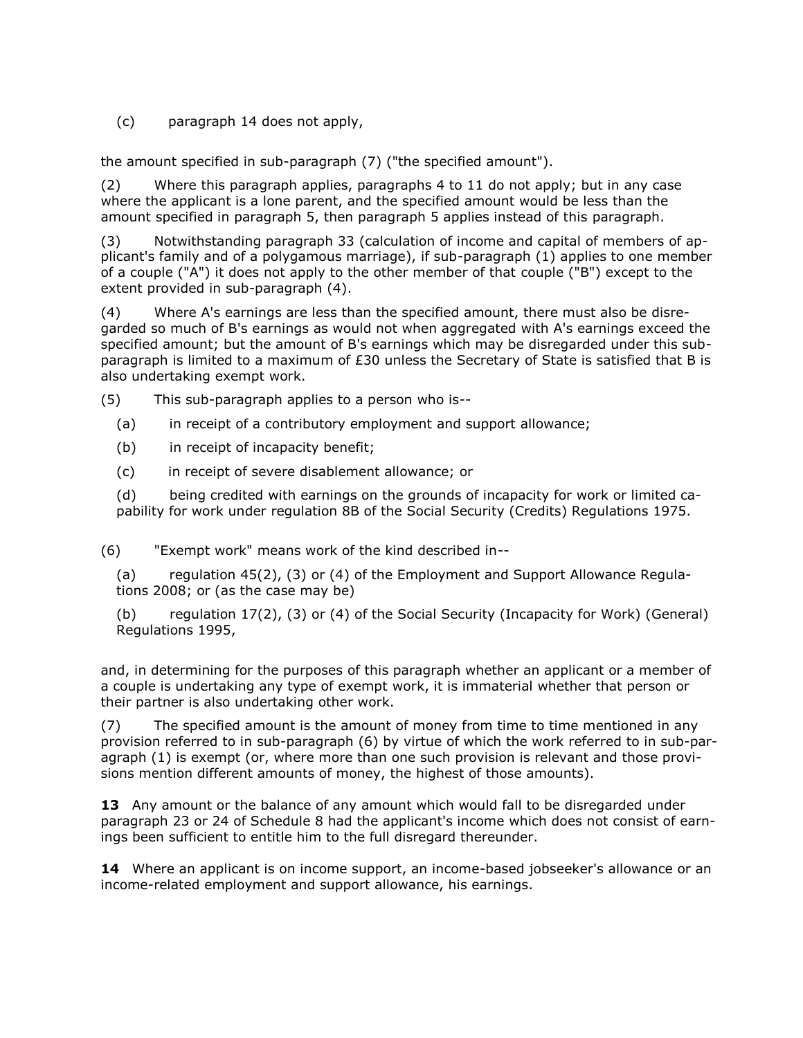(c) paragraph 14 does not apply,

the amount specified in sub-paragraph (7) ("the specified amount").

(2) Where this paragraph applies, paragraphs 4 to 11 do not apply; but in any case where the applicant is a lone parent, and the specified amount would be less than the amount specified in paragraph 5, then paragraph 5 applies instead of this paragraph.

(3) Notwithstanding paragraph 33 (calculation of income and capital of members of applicant's family and of a polygamous marriage), if sub-paragraph (1) applies to one member of a couple ("A") it does not apply to the other member of that couple ("B") except to the extent provided in sub-paragraph (4).

(4) Where A's earnings are less than the specified amount, there must also be disregarded so much of B's earnings as would not when aggregated with A's earnings exceed the specified amount; but the amount of B's earnings which may be disregarded under this subparagraph is limited to a maximum of £30 unless the Secretary of State is satisfied that B is also undertaking exempt work.

(5) This sub-paragraph applies to a person who is--

- (a) in receipt of a contributory employment and support allowance;
- (b) in receipt of incapacity benefit;
- (c) in receipt of severe disablement allowance; or

(d) being credited with earnings on the grounds of incapacity for work or limited capability for work under regulation 8B of the Social Security (Credits) Regulations 1975.

(6) "Exempt work" means work of the kind described in--

(a) regulation 45(2), (3) or (4) of the Employment and Support Allowance Regulations 2008; or (as the case may be)

(b) regulation 17(2), (3) or (4) of the Social Security (Incapacity for Work) (General) Regulations 1995,

and, in determining for the purposes of this paragraph whether an applicant or a member of a couple is undertaking any type of exempt work, it is immaterial whether that person or their partner is also undertaking other work.

(7) The specified amount is the amount of money from time to time mentioned in any provision referred to in sub-paragraph (6) by virtue of which the work referred to in sub-paragraph (1) is exempt (or, where more than one such provision is relevant and those provisions mention different amounts of money, the highest of those amounts).

**13** Any amount or the balance of any amount which would fall to be disregarded under paragraph 23 or 24 of Schedule 8 had the applicant's income which does not consist of earnings been sufficient to entitle him to the full disregard thereunder.

**14** Where an applicant is on income support, an income-based jobseeker's allowance or an income-related employment and support allowance, his earnings.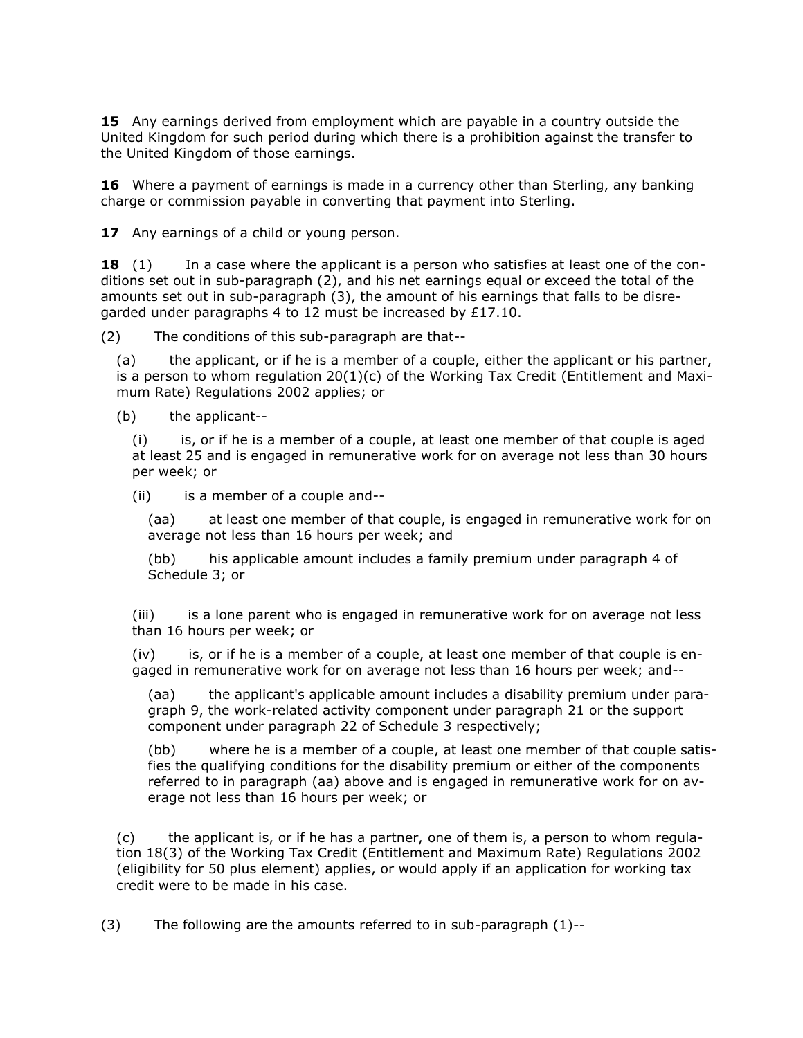**15** Any earnings derived from employment which are payable in a country outside the United Kingdom for such period during which there is a prohibition against the transfer to the United Kingdom of those earnings.

**16** Where a payment of earnings is made in a currency other than Sterling, any banking charge or commission payable in converting that payment into Sterling.

**17** Any earnings of a child or young person.

**18** (1) In a case where the applicant is a person who satisfies at least one of the conditions set out in sub-paragraph (2), and his net earnings equal or exceed the total of the amounts set out in sub-paragraph (3), the amount of his earnings that falls to be disregarded under paragraphs 4 to 12 must be increased by £17.10.

(2) The conditions of this sub-paragraph are that--

(a) the applicant, or if he is a member of a couple, either the applicant or his partner, is a person to whom regulation  $20(1)(c)$  of the Working Tax Credit (Entitlement and Maximum Rate) Regulations 2002 applies; or

(b) the applicant--

(i) is, or if he is a member of a couple, at least one member of that couple is aged at least 25 and is engaged in remunerative work for on average not less than 30 hours per week; or

(ii) is a member of a couple and--

(aa) at least one member of that couple, is engaged in remunerative work for on average not less than 16 hours per week; and

(bb) his applicable amount includes a family premium under paragraph 4 of Schedule 3; or

(iii) is a lone parent who is engaged in remunerative work for on average not less than 16 hours per week; or

(iv) is, or if he is a member of a couple, at least one member of that couple is engaged in remunerative work for on average not less than 16 hours per week; and--

(aa) the applicant's applicable amount includes a disability premium under paragraph 9, the work-related activity component under paragraph 21 or the support component under paragraph 22 of Schedule 3 respectively;

(bb) where he is a member of a couple, at least one member of that couple satisfies the qualifying conditions for the disability premium or either of the components referred to in paragraph (aa) above and is engaged in remunerative work for on average not less than 16 hours per week; or

(c) the applicant is, or if he has a partner, one of them is, a person to whom regulation 18(3) of the Working Tax Credit (Entitlement and Maximum Rate) Regulations 2002 (eligibility for 50 plus element) applies, or would apply if an application for working tax credit were to be made in his case.

 $(3)$  The following are the amounts referred to in sub-paragraph  $(1)$ --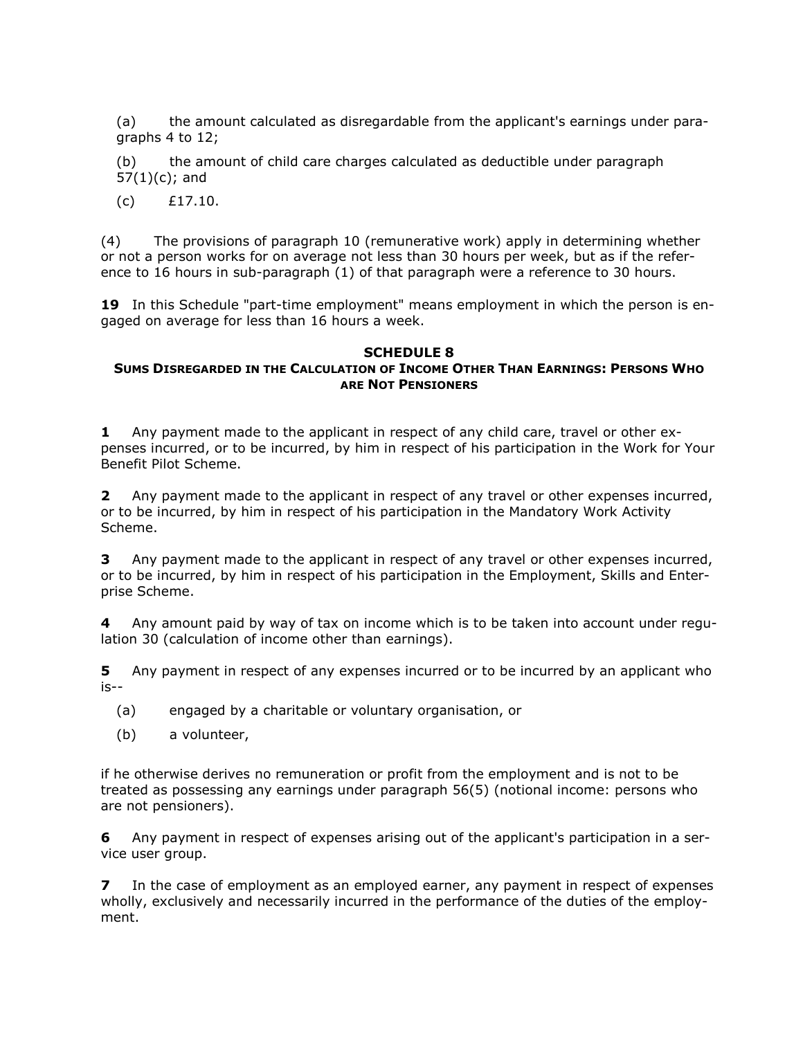(a) the amount calculated as disregardable from the applicant's earnings under paragraphs 4 to 12;

(b) the amount of child care charges calculated as deductible under paragraph 57(1)(c); and

 $f(c)$  £17.10.

(4) The provisions of paragraph 10 (remunerative work) apply in determining whether or not a person works for on average not less than 30 hours per week, but as if the reference to 16 hours in sub-paragraph (1) of that paragraph were a reference to 30 hours.

**19** In this Schedule "part-time employment" means employment in which the person is engaged on average for less than 16 hours a week.

# **SCHEDULE 8**

## **SUMS DISREGARDED IN THE CALCULATION OF INCOME OTHER THAN EARNINGS: PERSONS WHO ARE NOT PENSIONERS**

**1** Any payment made to the applicant in respect of any child care, travel or other expenses incurred, or to be incurred, by him in respect of his participation in the Work for Your Benefit Pilot Scheme.

**2** Any payment made to the applicant in respect of any travel or other expenses incurred, or to be incurred, by him in respect of his participation in the Mandatory Work Activity Scheme.

**3** Any payment made to the applicant in respect of any travel or other expenses incurred, or to be incurred, by him in respect of his participation in the Employment, Skills and Enterprise Scheme.

**4** Any amount paid by way of tax on income which is to be taken into account under regulation 30 (calculation of income other than earnings).

**5** Any payment in respect of any expenses incurred or to be incurred by an applicant who is--

- (a) engaged by a charitable or voluntary organisation, or
- (b) a volunteer,

if he otherwise derives no remuneration or profit from the employment and is not to be treated as possessing any earnings under paragraph 56(5) (notional income: persons who are not pensioners).

**6** Any payment in respect of expenses arising out of the applicant's participation in a service user group.

**7** In the case of employment as an employed earner, any payment in respect of expenses wholly, exclusively and necessarily incurred in the performance of the duties of the employment.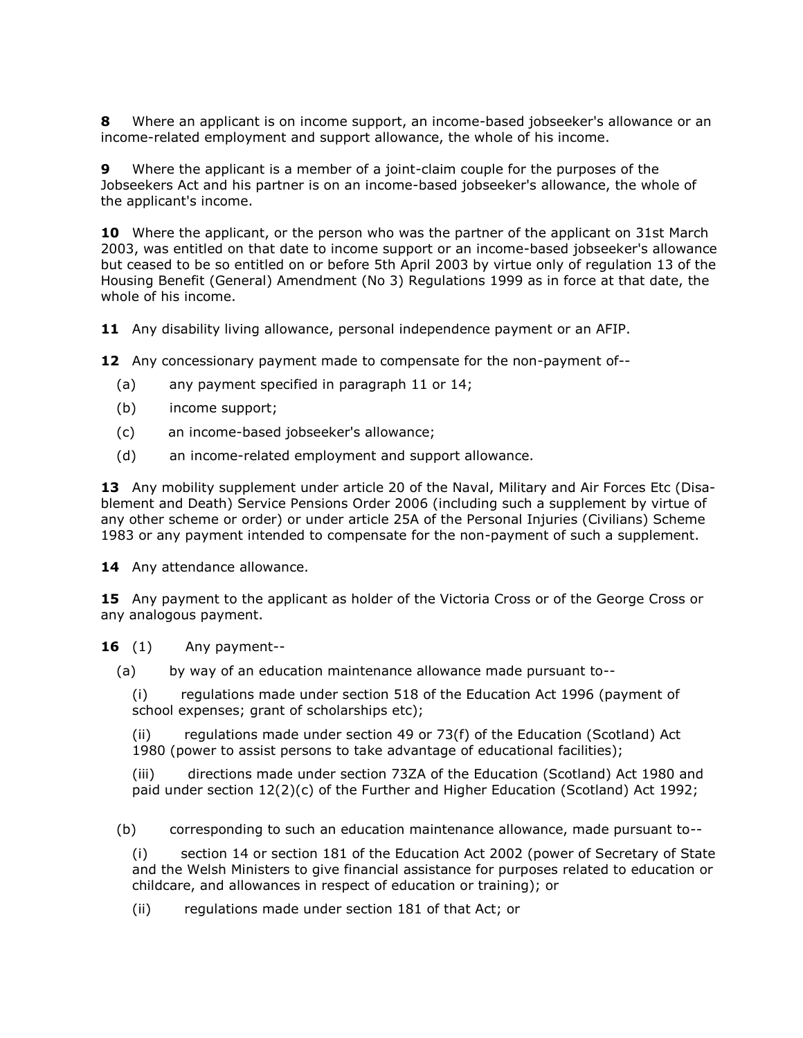**8** Where an applicant is on income support, an income-based jobseeker's allowance or an income-related employment and support allowance, the whole of his income.

**9** Where the applicant is a member of a joint-claim couple for the purposes of the Jobseekers Act and his partner is on an income-based jobseeker's allowance, the whole of the applicant's income.

**10** Where the applicant, or the person who was the partner of the applicant on 31st March 2003, was entitled on that date to income support or an income-based jobseeker's allowance but ceased to be so entitled on or before 5th April 2003 by virtue only of regulation 13 of the Housing Benefit (General) Amendment (No 3) Regulations 1999 as in force at that date, the whole of his income.

**11** Any disability living allowance, personal independence payment or an AFIP.

**12** Any concessionary payment made to compensate for the non-payment of--

- (a) any payment specified in paragraph 11 or 14;
- (b) income support;
- (c) an income-based jobseeker's allowance;
- (d) an income-related employment and support allowance.

**13** Any mobility supplement under article 20 of the Naval, Military and Air Forces Etc (Disablement and Death) Service Pensions Order 2006 (including such a supplement by virtue of any other scheme or order) or under article 25A of the Personal Injuries (Civilians) Scheme 1983 or any payment intended to compensate for the non-payment of such a supplement.

**14** Any attendance allowance.

**15** Any payment to the applicant as holder of the Victoria Cross or of the George Cross or any analogous payment.

### **16** (1) Any payment--

(a) by way of an education maintenance allowance made pursuant to--

(i) regulations made under section 518 of the Education Act 1996 (payment of school expenses; grant of scholarships etc);

(ii) regulations made under section 49 or 73(f) of the Education (Scotland) Act 1980 (power to assist persons to take advantage of educational facilities);

(iii) directions made under section 73ZA of the Education (Scotland) Act 1980 and paid under section 12(2)(c) of the Further and Higher Education (Scotland) Act 1992;

(b) corresponding to such an education maintenance allowance, made pursuant to--

(i) section 14 or section 181 of the Education Act 2002 (power of Secretary of State and the Welsh Ministers to give financial assistance for purposes related to education or childcare, and allowances in respect of education or training); or

(ii) regulations made under section 181 of that Act; or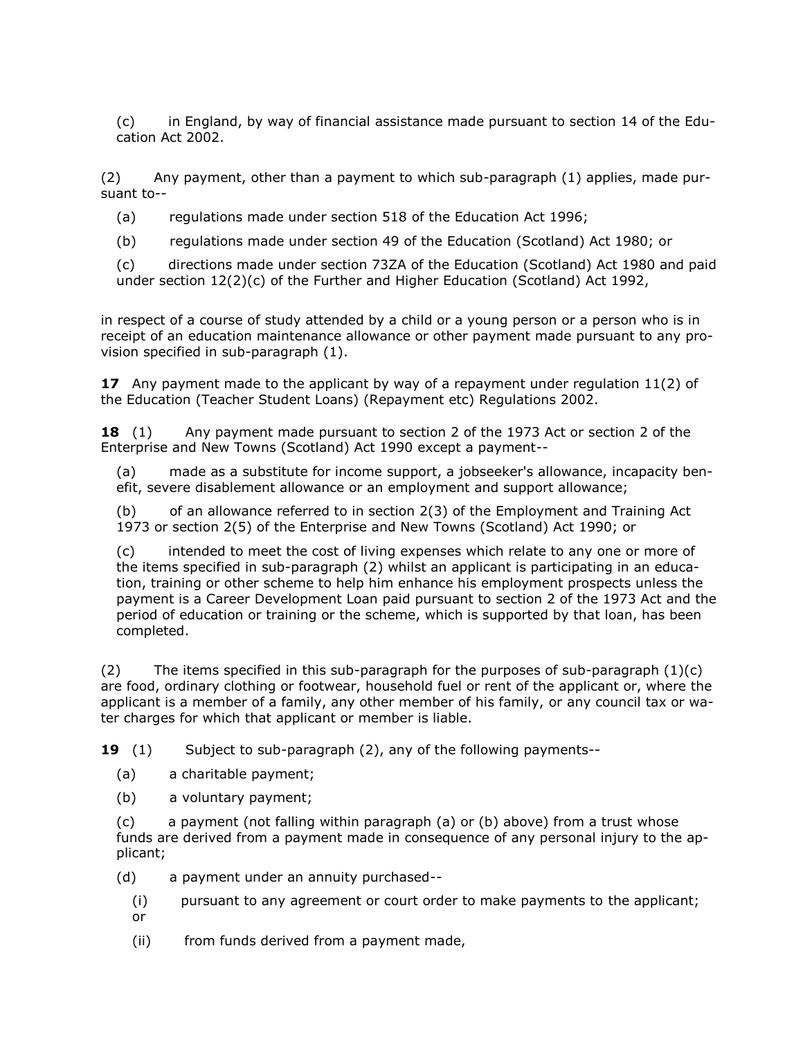(c) in England, by way of financial assistance made pursuant to section 14 of the Education Act 2002.

(2) Any payment, other than a payment to which sub-paragraph (1) applies, made pursuant to--

(a) regulations made under section 518 of the Education Act 1996;

(b) regulations made under section 49 of the Education (Scotland) Act 1980; or

(c) directions made under section 73ZA of the Education (Scotland) Act 1980 and paid under section 12(2)(c) of the Further and Higher Education (Scotland) Act 1992,

in respect of a course of study attended by a child or a young person or a person who is in receipt of an education maintenance allowance or other payment made pursuant to any provision specified in sub-paragraph (1).

**17** Any payment made to the applicant by way of a repayment under regulation 11(2) of the Education (Teacher Student Loans) (Repayment etc) Regulations 2002.

**18** (1) Any payment made pursuant to section 2 of the 1973 Act or section 2 of the Enterprise and New Towns (Scotland) Act 1990 except a payment--

(a) made as a substitute for income support, a jobseeker's allowance, incapacity benefit, severe disablement allowance or an employment and support allowance;

(b) of an allowance referred to in section 2(3) of the Employment and Training Act 1973 or section 2(5) of the Enterprise and New Towns (Scotland) Act 1990; or

(c) intended to meet the cost of living expenses which relate to any one or more of the items specified in sub-paragraph (2) whilst an applicant is participating in an education, training or other scheme to help him enhance his employment prospects unless the payment is a Career Development Loan paid pursuant to section 2 of the 1973 Act and the period of education or training or the scheme, which is supported by that loan, has been completed.

(2) The items specified in this sub-paragraph for the purposes of sub-paragraph  $(1)(c)$ are food, ordinary clothing or footwear, household fuel or rent of the applicant or, where the applicant is a member of a family, any other member of his family, or any council tax or water charges for which that applicant or member is liable.

**19** (1) Subject to sub-paragraph (2), any of the following payments--

- (a) a charitable payment;
- (b) a voluntary payment;

(c) a payment (not falling within paragraph (a) or (b) above) from a trust whose funds are derived from a payment made in consequence of any personal injury to the applicant;

- (d) a payment under an annuity purchased--
	- (i) pursuant to any agreement or court order to make payments to the applicant; or
	- (ii) from funds derived from a payment made,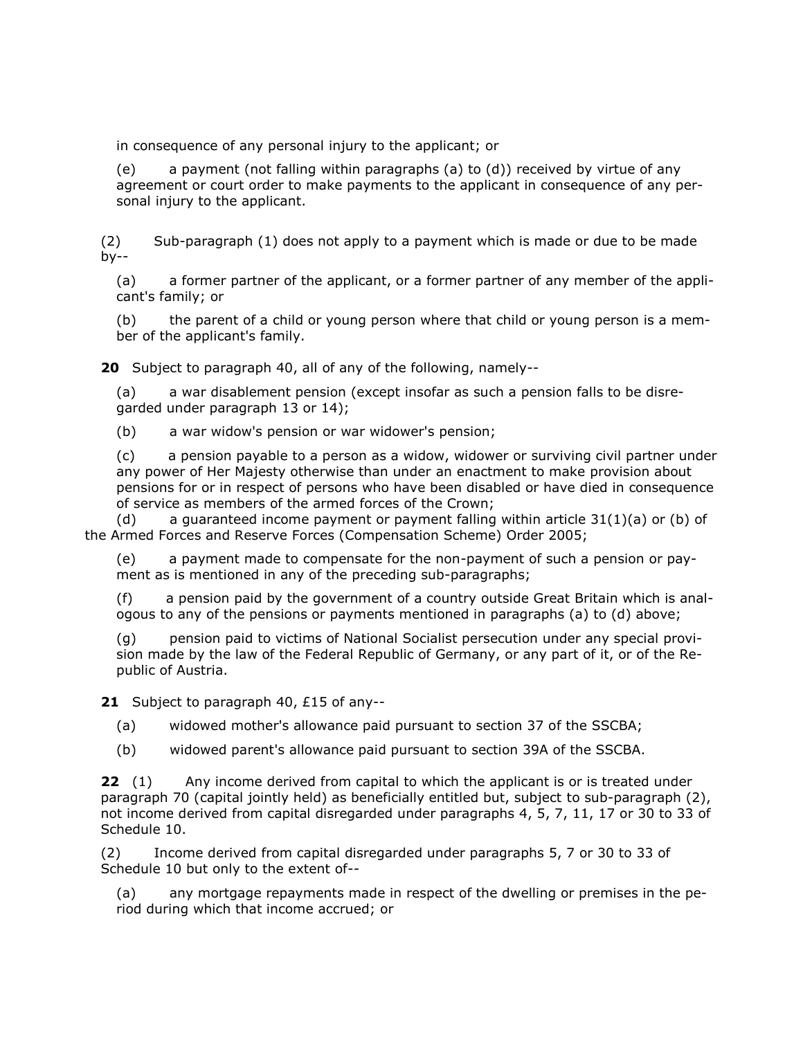in consequence of any personal injury to the applicant; or

(e) a payment (not falling within paragraphs (a) to (d)) received by virtue of any agreement or court order to make payments to the applicant in consequence of any personal injury to the applicant.

(2) Sub-paragraph (1) does not apply to a payment which is made or due to be made  $bv--$ 

(a) a former partner of the applicant, or a former partner of any member of the applicant's family; or

(b) the parent of a child or young person where that child or young person is a member of the applicant's family.

**20** Subject to paragraph 40, all of any of the following, namely--

(a) a war disablement pension (except insofar as such a pension falls to be disregarded under paragraph 13 or 14);

(b) a war widow's pension or war widower's pension;

(c) a pension payable to a person as a widow, widower or surviving civil partner under any power of Her Majesty otherwise than under an enactment to make provision about pensions for or in respect of persons who have been disabled or have died in consequence of service as members of the armed forces of the Crown;

(d) a guaranteed income payment or payment falling within article 31(1)(a) or (b) of the Armed Forces and Reserve Forces (Compensation Scheme) Order 2005;

(e) a payment made to compensate for the non-payment of such a pension or payment as is mentioned in any of the preceding sub-paragraphs;

(f) a pension paid by the government of a country outside Great Britain which is analogous to any of the pensions or payments mentioned in paragraphs (a) to (d) above;

(g) pension paid to victims of National Socialist persecution under any special provision made by the law of the Federal Republic of Germany, or any part of it, or of the Republic of Austria.

**21** Subject to paragraph 40, £15 of any--

(a) widowed mother's allowance paid pursuant to section 37 of the SSCBA;

(b) widowed parent's allowance paid pursuant to section 39A of the SSCBA.

**22** (1) Any income derived from capital to which the applicant is or is treated under paragraph 70 (capital jointly held) as beneficially entitled but, subject to sub-paragraph (2), not income derived from capital disregarded under paragraphs 4, 5, 7, 11, 17 or 30 to 33 of Schedule 10.

(2) Income derived from capital disregarded under paragraphs 5, 7 or 30 to 33 of Schedule 10 but only to the extent of--

(a) any mortgage repayments made in respect of the dwelling or premises in the period during which that income accrued; or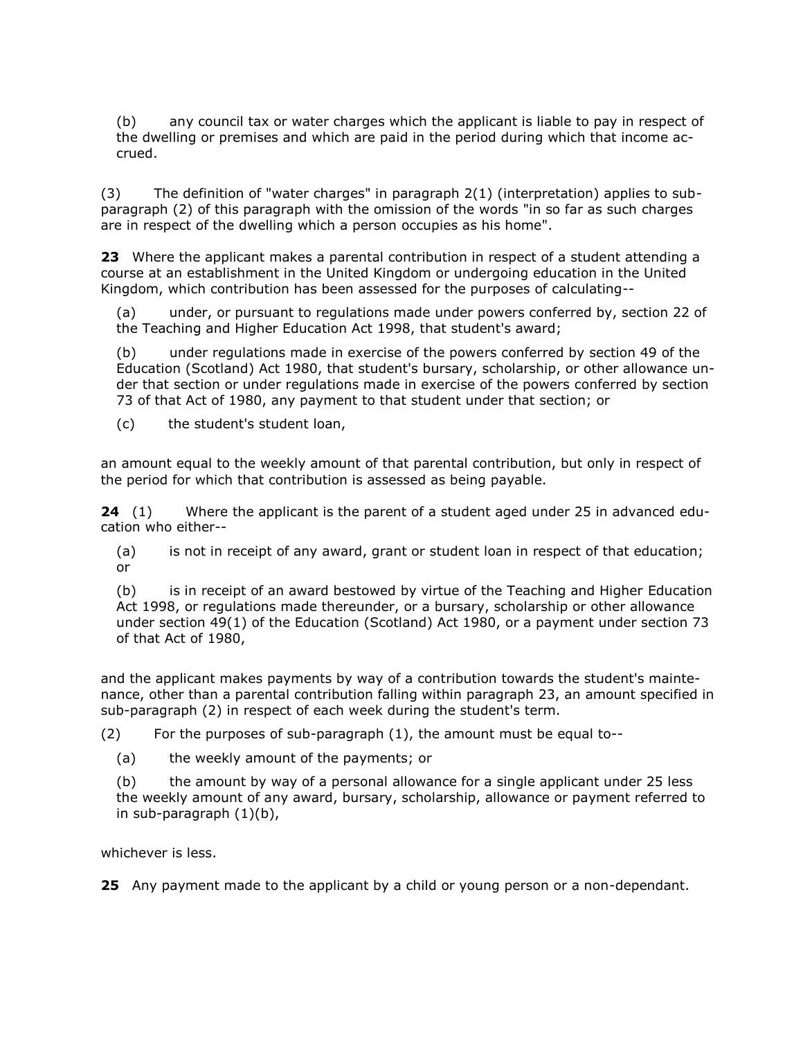(b) any council tax or water charges which the applicant is liable to pay in respect of the dwelling or premises and which are paid in the period during which that income accrued.

(3) The definition of "water charges" in paragraph 2(1) (interpretation) applies to subparagraph (2) of this paragraph with the omission of the words "in so far as such charges are in respect of the dwelling which a person occupies as his home".

**23** Where the applicant makes a parental contribution in respect of a student attending a course at an establishment in the United Kingdom or undergoing education in the United Kingdom, which contribution has been assessed for the purposes of calculating--

(a) under, or pursuant to regulations made under powers conferred by, section 22 of the Teaching and Higher Education Act 1998, that student's award;

(b) under regulations made in exercise of the powers conferred by section 49 of the Education (Scotland) Act 1980, that student's bursary, scholarship, or other allowance under that section or under regulations made in exercise of the powers conferred by section 73 of that Act of 1980, any payment to that student under that section; or

(c) the student's student loan,

an amount equal to the weekly amount of that parental contribution, but only in respect of the period for which that contribution is assessed as being payable.

**24** (1) Where the applicant is the parent of a student aged under 25 in advanced education who either--

(a) is not in receipt of any award, grant or student loan in respect of that education; or

(b) is in receipt of an award bestowed by virtue of the Teaching and Higher Education Act 1998, or regulations made thereunder, or a bursary, scholarship or other allowance under section 49(1) of the Education (Scotland) Act 1980, or a payment under section 73 of that Act of 1980,

and the applicant makes payments by way of a contribution towards the student's maintenance, other than a parental contribution falling within paragraph 23, an amount specified in sub-paragraph (2) in respect of each week during the student's term.

(2) For the purposes of sub-paragraph (1), the amount must be equal to--

(a) the weekly amount of the payments; or

(b) the amount by way of a personal allowance for a single applicant under 25 less the weekly amount of any award, bursary, scholarship, allowance or payment referred to in sub-paragraph (1)(b),

whichever is less.

**25** Any payment made to the applicant by a child or young person or a non-dependant.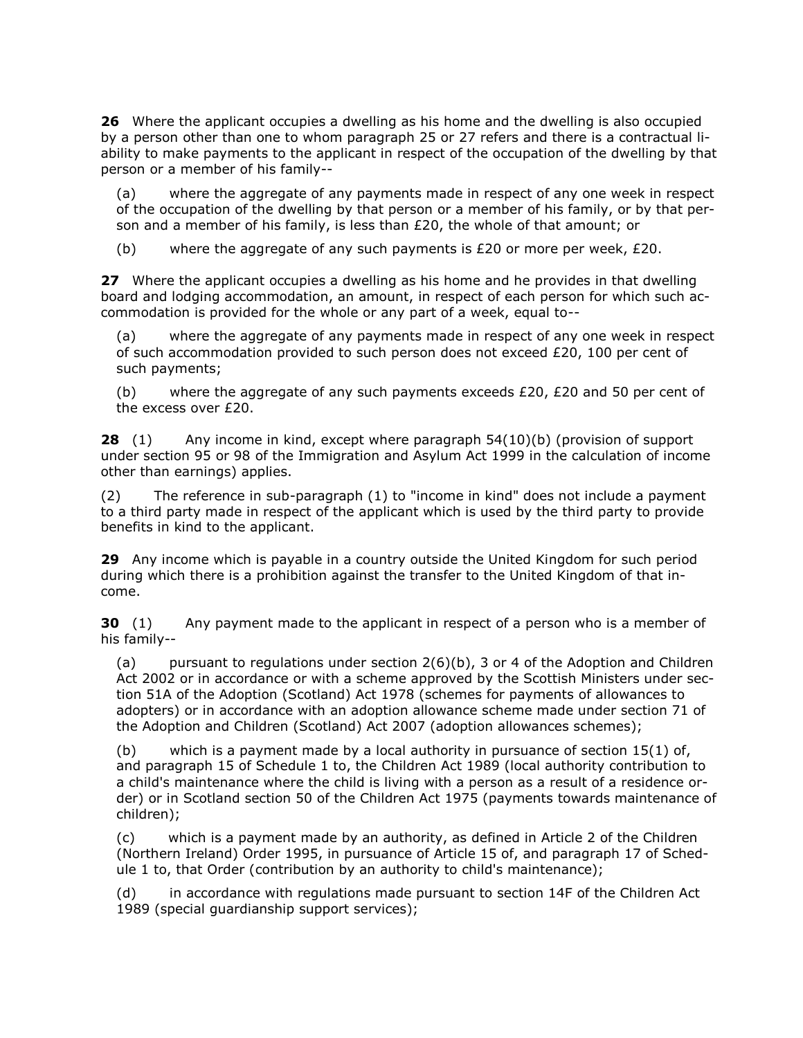**26** Where the applicant occupies a dwelling as his home and the dwelling is also occupied by a person other than one to whom paragraph 25 or 27 refers and there is a contractual liability to make payments to the applicant in respect of the occupation of the dwelling by that person or a member of his family--

(a) where the aggregate of any payments made in respect of any one week in respect of the occupation of the dwelling by that person or a member of his family, or by that person and a member of his family, is less than £20, the whole of that amount; or

(b) where the aggregate of any such payments is  $£20$  or more per week,  $£20$ .

**27** Where the applicant occupies a dwelling as his home and he provides in that dwelling board and lodging accommodation, an amount, in respect of each person for which such accommodation is provided for the whole or any part of a week, equal to--

(a) where the aggregate of any payments made in respect of any one week in respect of such accommodation provided to such person does not exceed £20, 100 per cent of such payments;

(b) where the aggregate of any such payments exceeds  $£20, £20$  and 50 per cent of the excess over £20.

**28** (1) Any income in kind, except where paragraph 54(10)(b) (provision of support under section 95 or 98 of the Immigration and Asylum Act 1999 in the calculation of income other than earnings) applies.

(2) The reference in sub-paragraph (1) to "income in kind" does not include a payment to a third party made in respect of the applicant which is used by the third party to provide benefits in kind to the applicant.

**29** Any income which is payable in a country outside the United Kingdom for such period during which there is a prohibition against the transfer to the United Kingdom of that income.

**30** (1) Any payment made to the applicant in respect of a person who is a member of his family--

(a) pursuant to regulations under section 2(6)(b), 3 or 4 of the Adoption and Children Act 2002 or in accordance or with a scheme approved by the Scottish Ministers under section 51A of the Adoption (Scotland) Act 1978 (schemes for payments of allowances to adopters) or in accordance with an adoption allowance scheme made under section 71 of the Adoption and Children (Scotland) Act 2007 (adoption allowances schemes);

(b) which is a payment made by a local authority in pursuance of section  $15(1)$  of, and paragraph 15 of Schedule 1 to, the Children Act 1989 (local authority contribution to a child's maintenance where the child is living with a person as a result of a residence order) or in Scotland section 50 of the Children Act 1975 (payments towards maintenance of children);

(c) which is a payment made by an authority, as defined in Article 2 of the Children (Northern Ireland) Order 1995, in pursuance of Article 15 of, and paragraph 17 of Schedule 1 to, that Order (contribution by an authority to child's maintenance);

(d) in accordance with regulations made pursuant to section 14F of the Children Act 1989 (special guardianship support services);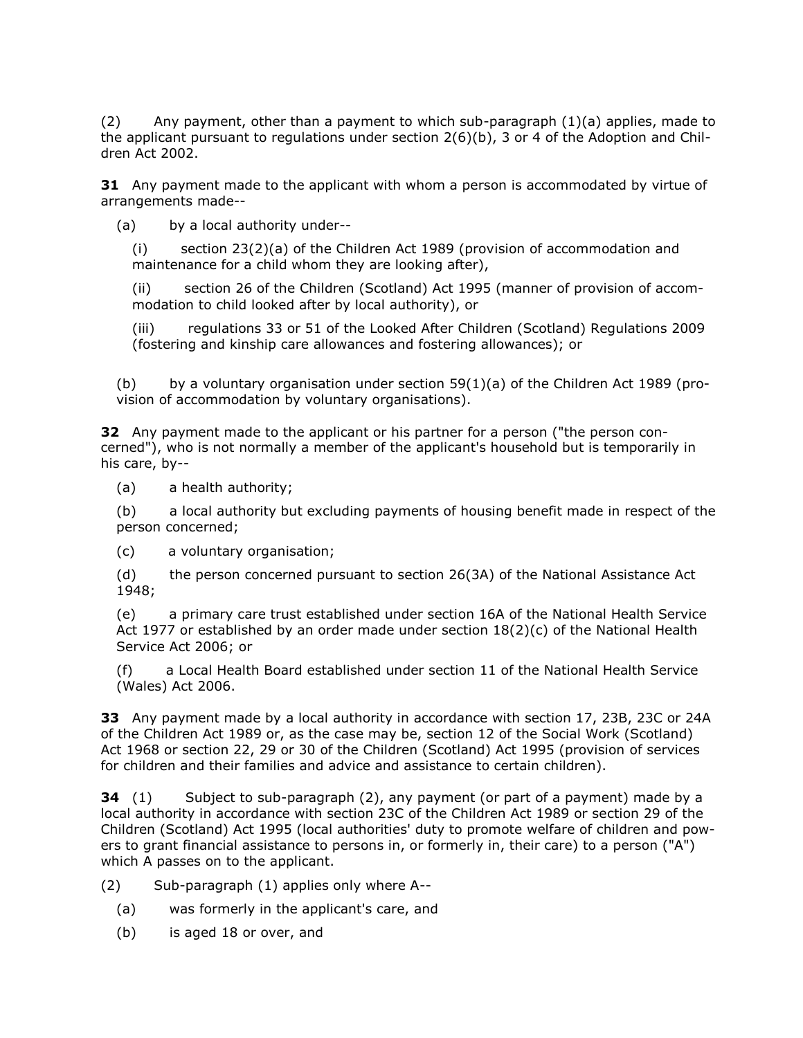(2) Any payment, other than a payment to which sub-paragraph (1)(a) applies, made to the applicant pursuant to regulations under section 2(6)(b), 3 or 4 of the Adoption and Children Act 2002.

**31** Any payment made to the applicant with whom a person is accommodated by virtue of arrangements made--

(a) by a local authority under--

(i) section 23(2)(a) of the Children Act 1989 (provision of accommodation and maintenance for a child whom they are looking after),

(ii) section 26 of the Children (Scotland) Act 1995 (manner of provision of accommodation to child looked after by local authority), or

(iii) regulations 33 or 51 of the Looked After Children (Scotland) Regulations 2009 (fostering and kinship care allowances and fostering allowances); or

(b) by a voluntary organisation under section  $59(1)(a)$  of the Children Act 1989 (provision of accommodation by voluntary organisations).

**32** Any payment made to the applicant or his partner for a person ("the person concerned"), who is not normally a member of the applicant's household but is temporarily in his care, by--

(a) a health authority;

(b) a local authority but excluding payments of housing benefit made in respect of the person concerned;

(c) a voluntary organisation;

(d) the person concerned pursuant to section 26(3A) of the National Assistance Act 1948;

(e) a primary care trust established under section 16A of the National Health Service Act 1977 or established by an order made under section 18(2)(c) of the National Health Service Act 2006; or

(f) a Local Health Board established under section 11 of the National Health Service (Wales) Act 2006.

**33** Any payment made by a local authority in accordance with section 17, 23B, 23C or 24A of the Children Act 1989 or, as the case may be, section 12 of the Social Work (Scotland) Act 1968 or section 22, 29 or 30 of the Children (Scotland) Act 1995 (provision of services for children and their families and advice and assistance to certain children).

**34** (1) Subject to sub-paragraph (2), any payment (or part of a payment) made by a local authority in accordance with section 23C of the Children Act 1989 or section 29 of the Children (Scotland) Act 1995 (local authorities' duty to promote welfare of children and powers to grant financial assistance to persons in, or formerly in, their care) to a person ("A") which A passes on to the applicant.

(2) Sub-paragraph (1) applies only where A--

- (a) was formerly in the applicant's care, and
- (b) is aged 18 or over, and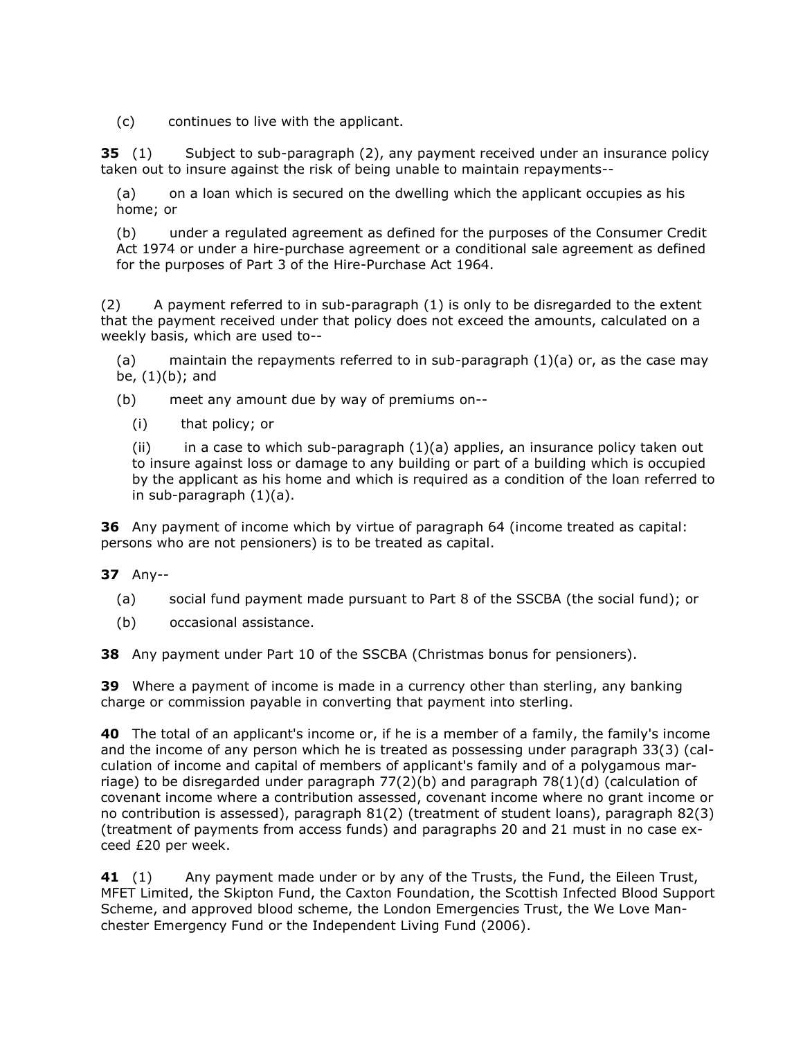(c) continues to live with the applicant.

**35** (1) Subject to sub-paragraph (2), any payment received under an insurance policy taken out to insure against the risk of being unable to maintain repayments--

(a) on a loan which is secured on the dwelling which the applicant occupies as his home; or

(b) under a regulated agreement as defined for the purposes of the Consumer Credit Act 1974 or under a hire-purchase agreement or a conditional sale agreement as defined for the purposes of Part 3 of the Hire-Purchase Act 1964.

(2) A payment referred to in sub-paragraph (1) is only to be disregarded to the extent that the payment received under that policy does not exceed the amounts, calculated on a weekly basis, which are used to--

(a) maintain the repayments referred to in sub-paragraph (1)(a) or, as the case may be,  $(1)(b)$ ; and

(b) meet any amount due by way of premiums on--

(i) that policy; or

(ii) in a case to which sub-paragraph  $(1)(a)$  applies, an insurance policy taken out to insure against loss or damage to any building or part of a building which is occupied by the applicant as his home and which is required as a condition of the loan referred to in sub-paragraph (1)(a).

**36** Any payment of income which by virtue of paragraph 64 (income treated as capital: persons who are not pensioners) is to be treated as capital.

**37** Any--

- (a) social fund payment made pursuant to Part 8 of the SSCBA (the social fund); or
- (b) occasional assistance.

**38** Any payment under Part 10 of the SSCBA (Christmas bonus for pensioners).

**39** Where a payment of income is made in a currency other than sterling, any banking charge or commission payable in converting that payment into sterling.

**40** The total of an applicant's income or, if he is a member of a family, the family's income and the income of any person which he is treated as possessing under paragraph 33(3) (calculation of income and capital of members of applicant's family and of a polygamous marriage) to be disregarded under paragraph  $77(2)(b)$  and paragraph  $78(1)(d)$  (calculation of covenant income where a contribution assessed, covenant income where no grant income or no contribution is assessed), paragraph 81(2) (treatment of student loans), paragraph 82(3) (treatment of payments from access funds) and paragraphs 20 and 21 must in no case exceed £20 per week.

**41** (1) Any payment made under or by any of the Trusts, the Fund, the Eileen Trust, MFET Limited, the Skipton Fund, the Caxton Foundation, the Scottish Infected Blood Support Scheme, and approved blood scheme, the London Emergencies Trust, the We Love Manchester Emergency Fund or the Independent Living Fund (2006).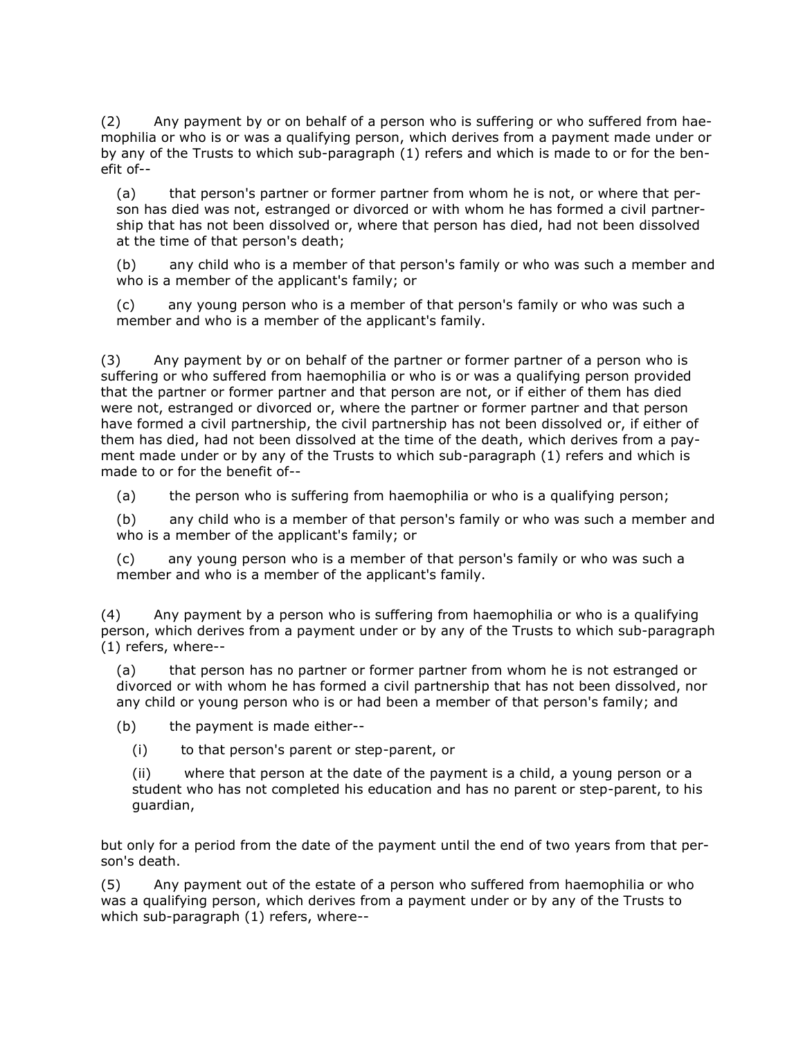(2) Any payment by or on behalf of a person who is suffering or who suffered from haemophilia or who is or was a qualifying person, which derives from a payment made under or by any of the Trusts to which sub-paragraph (1) refers and which is made to or for the benefit of--

(a) that person's partner or former partner from whom he is not, or where that person has died was not, estranged or divorced or with whom he has formed a civil partnership that has not been dissolved or, where that person has died, had not been dissolved at the time of that person's death;

(b) any child who is a member of that person's family or who was such a member and who is a member of the applicant's family; or

(c) any young person who is a member of that person's family or who was such a member and who is a member of the applicant's family.

(3) Any payment by or on behalf of the partner or former partner of a person who is suffering or who suffered from haemophilia or who is or was a qualifying person provided that the partner or former partner and that person are not, or if either of them has died were not, estranged or divorced or, where the partner or former partner and that person have formed a civil partnership, the civil partnership has not been dissolved or, if either of them has died, had not been dissolved at the time of the death, which derives from a payment made under or by any of the Trusts to which sub-paragraph (1) refers and which is made to or for the benefit of--

(a) the person who is suffering from haemophilia or who is a qualifying person;

(b) any child who is a member of that person's family or who was such a member and who is a member of the applicant's family; or

(c) any young person who is a member of that person's family or who was such a member and who is a member of the applicant's family.

(4) Any payment by a person who is suffering from haemophilia or who is a qualifying person, which derives from a payment under or by any of the Trusts to which sub-paragraph (1) refers, where--

(a) that person has no partner or former partner from whom he is not estranged or divorced or with whom he has formed a civil partnership that has not been dissolved, nor any child or young person who is or had been a member of that person's family; and

(b) the payment is made either--

(i) to that person's parent or step-parent, or

(ii) where that person at the date of the payment is a child, a young person or a student who has not completed his education and has no parent or step-parent, to his guardian,

but only for a period from the date of the payment until the end of two years from that person's death.

(5) Any payment out of the estate of a person who suffered from haemophilia or who was a qualifying person, which derives from a payment under or by any of the Trusts to which sub-paragraph (1) refers, where--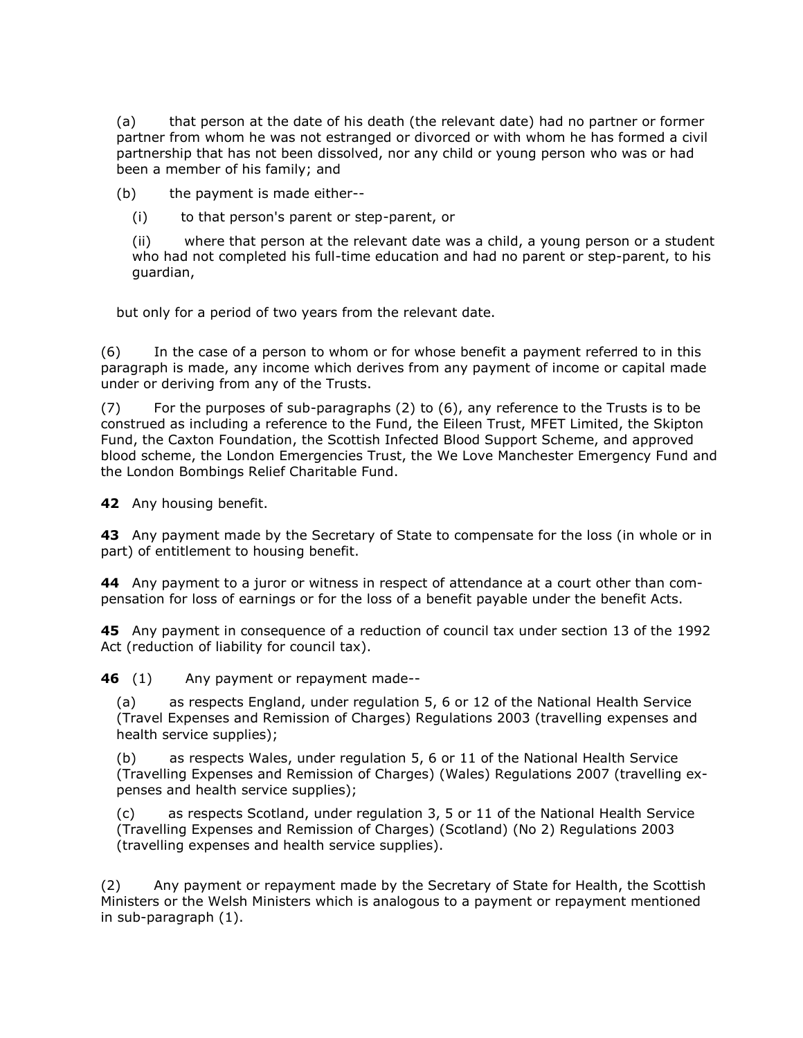(a) that person at the date of his death (the relevant date) had no partner or former partner from whom he was not estranged or divorced or with whom he has formed a civil partnership that has not been dissolved, nor any child or young person who was or had been a member of his family; and

(b) the payment is made either--

(i) to that person's parent or step-parent, or

(ii) where that person at the relevant date was a child, a young person or a student who had not completed his full-time education and had no parent or step-parent, to his guardian,

but only for a period of two years from the relevant date.

(6) In the case of a person to whom or for whose benefit a payment referred to in this paragraph is made, any income which derives from any payment of income or capital made under or deriving from any of the Trusts.

(7) For the purposes of sub-paragraphs (2) to (6), any reference to the Trusts is to be construed as including a reference to the Fund, the Eileen Trust, MFET Limited, the Skipton Fund, the Caxton Foundation, the Scottish Infected Blood Support Scheme, and approved blood scheme, the London Emergencies Trust, the We Love Manchester Emergency Fund and the London Bombings Relief Charitable Fund.

**42** Any housing benefit.

**43** Any payment made by the Secretary of State to compensate for the loss (in whole or in part) of entitlement to housing benefit.

**44** Any payment to a juror or witness in respect of attendance at a court other than compensation for loss of earnings or for the loss of a benefit payable under the benefit Acts.

**45** Any payment in consequence of a reduction of council tax under section 13 of the 1992 Act (reduction of liability for council tax).

**46** (1) Any payment or repayment made--

(a) as respects England, under regulation 5, 6 or 12 of the National Health Service (Travel Expenses and Remission of Charges) Regulations 2003 (travelling expenses and health service supplies);

(b) as respects Wales, under regulation 5, 6 or 11 of the National Health Service (Travelling Expenses and Remission of Charges) (Wales) Regulations 2007 (travelling expenses and health service supplies);

(c) as respects Scotland, under regulation 3, 5 or 11 of the National Health Service (Travelling Expenses and Remission of Charges) (Scotland) (No 2) Regulations 2003 (travelling expenses and health service supplies).

(2) Any payment or repayment made by the Secretary of State for Health, the Scottish Ministers or the Welsh Ministers which is analogous to a payment or repayment mentioned in sub-paragraph (1).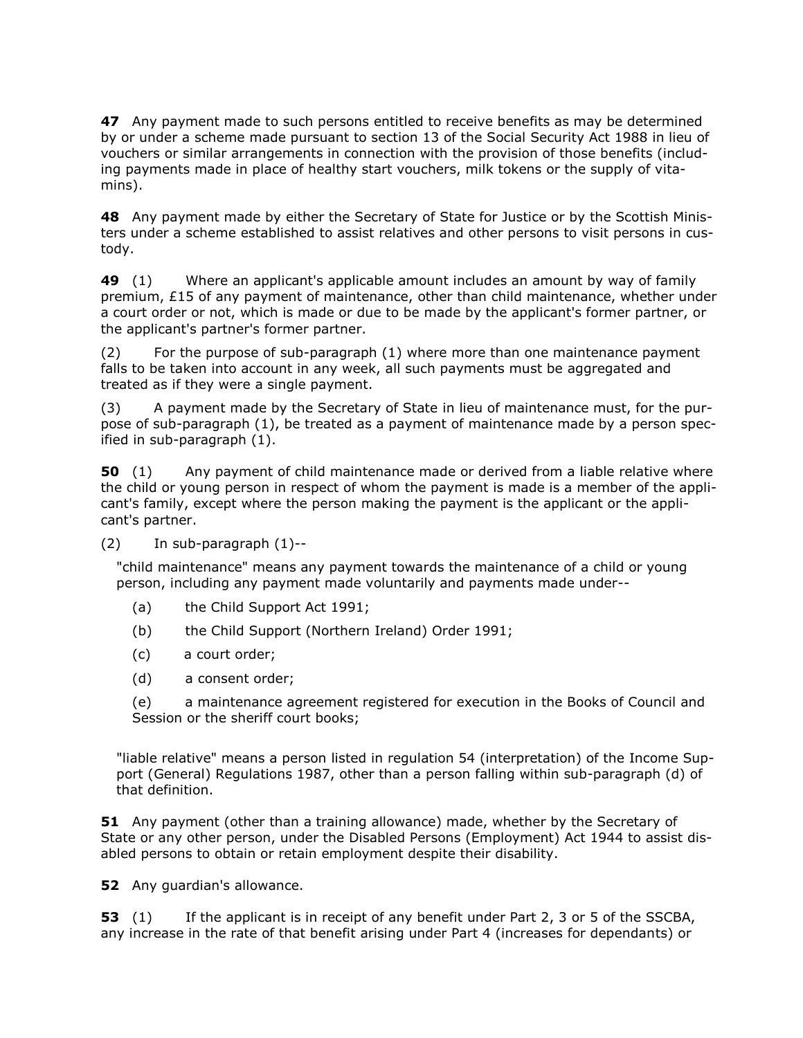**47** Any payment made to such persons entitled to receive benefits as may be determined by or under a scheme made pursuant to section 13 of the Social Security Act 1988 in lieu of vouchers or similar arrangements in connection with the provision of those benefits (including payments made in place of healthy start vouchers, milk tokens or the supply of vitamins).

**48** Any payment made by either the Secretary of State for Justice or by the Scottish Ministers under a scheme established to assist relatives and other persons to visit persons in custody.

**49** (1) Where an applicant's applicable amount includes an amount by way of family premium, £15 of any payment of maintenance, other than child maintenance, whether under a court order or not, which is made or due to be made by the applicant's former partner, or the applicant's partner's former partner.

(2) For the purpose of sub-paragraph (1) where more than one maintenance payment falls to be taken into account in any week, all such payments must be aggregated and treated as if they were a single payment.

(3) A payment made by the Secretary of State in lieu of maintenance must, for the purpose of sub-paragraph (1), be treated as a payment of maintenance made by a person specified in sub-paragraph (1).

**50** (1) Any payment of child maintenance made or derived from a liable relative where the child or young person in respect of whom the payment is made is a member of the applicant's family, except where the person making the payment is the applicant or the applicant's partner.

(2) In sub-paragraph (1)--

"child maintenance" means any payment towards the maintenance of a child or young person, including any payment made voluntarily and payments made under--

- (a) the Child Support Act 1991;
- (b) the Child Support (Northern Ireland) Order 1991;
- (c) a court order;
- (d) a consent order;

(e) a maintenance agreement registered for execution in the Books of Council and Session or the sheriff court books;

"liable relative" means a person listed in regulation 54 (interpretation) of the Income Support (General) Regulations 1987, other than a person falling within sub-paragraph (d) of that definition.

**51** Any payment (other than a training allowance) made, whether by the Secretary of State or any other person, under the Disabled Persons (Employment) Act 1944 to assist disabled persons to obtain or retain employment despite their disability.

**52** Any guardian's allowance.

**53** (1) If the applicant is in receipt of any benefit under Part 2, 3 or 5 of the SSCBA, any increase in the rate of that benefit arising under Part 4 (increases for dependants) or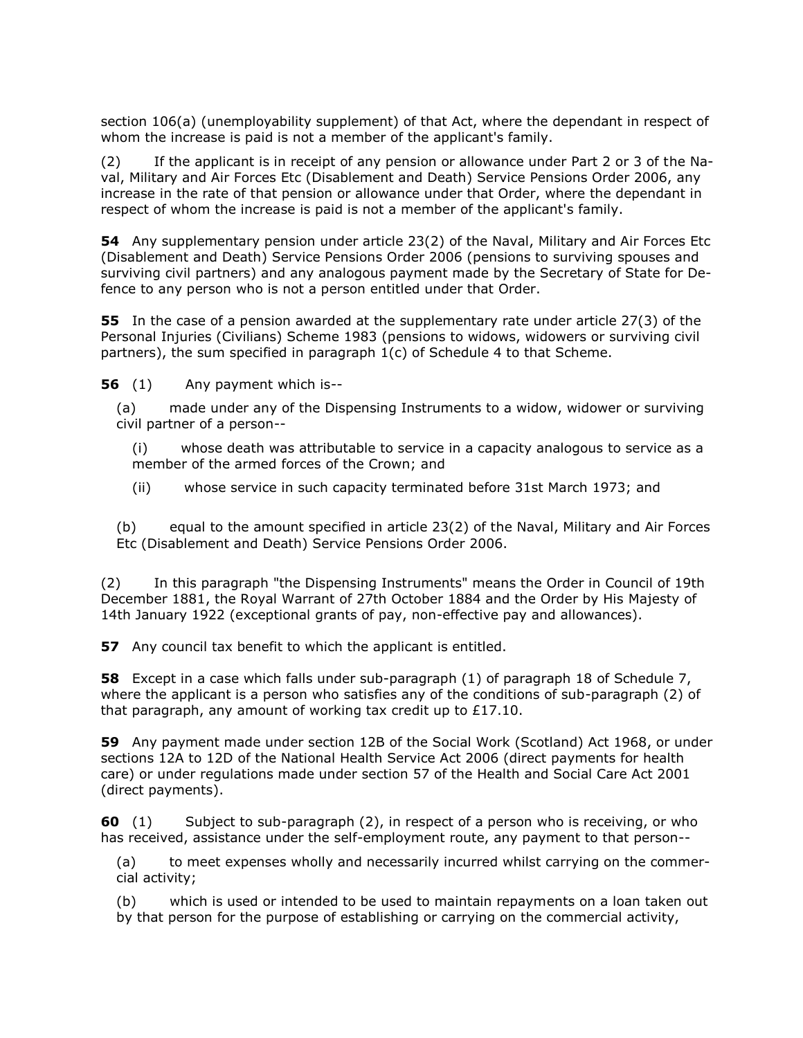section 106(a) (unemployability supplement) of that Act, where the dependant in respect of whom the increase is paid is not a member of the applicant's family.

(2) If the applicant is in receipt of any pension or allowance under Part 2 or 3 of the Naval, Military and Air Forces Etc (Disablement and Death) Service Pensions Order 2006, any increase in the rate of that pension or allowance under that Order, where the dependant in respect of whom the increase is paid is not a member of the applicant's family.

**54** Any supplementary pension under article 23(2) of the Naval, Military and Air Forces Etc (Disablement and Death) Service Pensions Order 2006 (pensions to surviving spouses and surviving civil partners) and any analogous payment made by the Secretary of State for Defence to any person who is not a person entitled under that Order.

**55** In the case of a pension awarded at the supplementary rate under article 27(3) of the Personal Injuries (Civilians) Scheme 1983 (pensions to widows, widowers or surviving civil partners), the sum specified in paragraph  $1(c)$  of Schedule 4 to that Scheme.

**56** (1) Any payment which is--

(a) made under any of the Dispensing Instruments to a widow, widower or surviving civil partner of a person--

(i) whose death was attributable to service in a capacity analogous to service as a member of the armed forces of the Crown; and

(ii) whose service in such capacity terminated before 31st March 1973; and

(b) equal to the amount specified in article 23(2) of the Naval, Military and Air Forces Etc (Disablement and Death) Service Pensions Order 2006.

(2) In this paragraph "the Dispensing Instruments" means the Order in Council of 19th December 1881, the Royal Warrant of 27th October 1884 and the Order by His Majesty of 14th January 1922 (exceptional grants of pay, non-effective pay and allowances).

**57** Any council tax benefit to which the applicant is entitled.

**58** Except in a case which falls under sub-paragraph (1) of paragraph 18 of Schedule 7, where the applicant is a person who satisfies any of the conditions of sub-paragraph (2) of that paragraph, any amount of working tax credit up to £17.10.

**59** Any payment made under section 12B of the Social Work (Scotland) Act 1968, or under sections 12A to 12D of the National Health Service Act 2006 (direct payments for health care) or under regulations made under section 57 of the Health and Social Care Act 2001 (direct payments).

**60** (1) Subject to sub-paragraph (2), in respect of a person who is receiving, or who has received, assistance under the self-employment route, any payment to that person--

(a) to meet expenses wholly and necessarily incurred whilst carrying on the commercial activity;

(b) which is used or intended to be used to maintain repayments on a loan taken out by that person for the purpose of establishing or carrying on the commercial activity,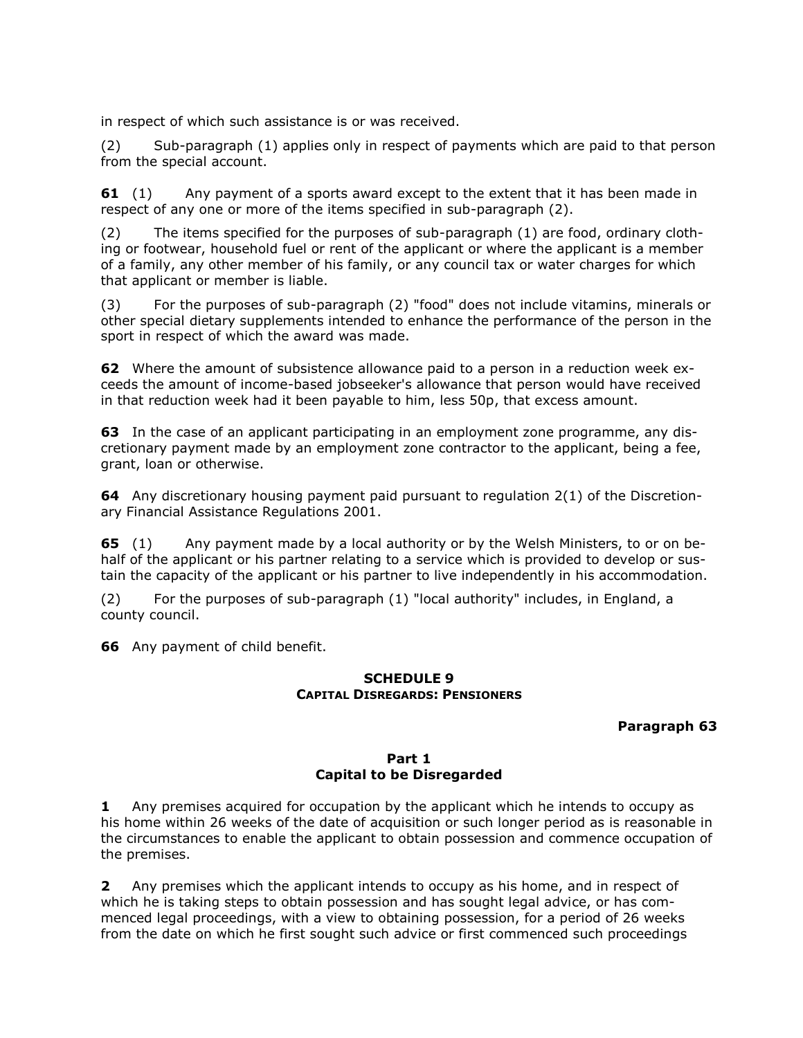in respect of which such assistance is or was received.

(2) Sub-paragraph (1) applies only in respect of payments which are paid to that person from the special account.

**61** (1) Any payment of a sports award except to the extent that it has been made in respect of any one or more of the items specified in sub-paragraph (2).

(2) The items specified for the purposes of sub-paragraph (1) are food, ordinary clothing or footwear, household fuel or rent of the applicant or where the applicant is a member of a family, any other member of his family, or any council tax or water charges for which that applicant or member is liable.

(3) For the purposes of sub-paragraph (2) "food" does not include vitamins, minerals or other special dietary supplements intended to enhance the performance of the person in the sport in respect of which the award was made.

**62** Where the amount of subsistence allowance paid to a person in a reduction week exceeds the amount of income-based jobseeker's allowance that person would have received in that reduction week had it been payable to him, less 50p, that excess amount.

**63** In the case of an applicant participating in an employment zone programme, any discretionary payment made by an employment zone contractor to the applicant, being a fee, grant, loan or otherwise.

**64** Any discretionary housing payment paid pursuant to regulation 2(1) of the Discretionary Financial Assistance Regulations 2001.

**65** (1) Any payment made by a local authority or by the Welsh Ministers, to or on behalf of the applicant or his partner relating to a service which is provided to develop or sustain the capacity of the applicant or his partner to live independently in his accommodation.

(2) For the purposes of sub-paragraph (1) "local authority" includes, in England, a county council.

**66** Any payment of child benefit.

### **SCHEDULE 9 CAPITAL DISREGARDS: PENSIONERS**

#### **Paragraph 63**

#### **Part 1 Capital to be Disregarded**

**1** Any premises acquired for occupation by the applicant which he intends to occupy as his home within 26 weeks of the date of acquisition or such longer period as is reasonable in the circumstances to enable the applicant to obtain possession and commence occupation of the premises.

**2** Any premises which the applicant intends to occupy as his home, and in respect of which he is taking steps to obtain possession and has sought legal advice, or has commenced legal proceedings, with a view to obtaining possession, for a period of 26 weeks from the date on which he first sought such advice or first commenced such proceedings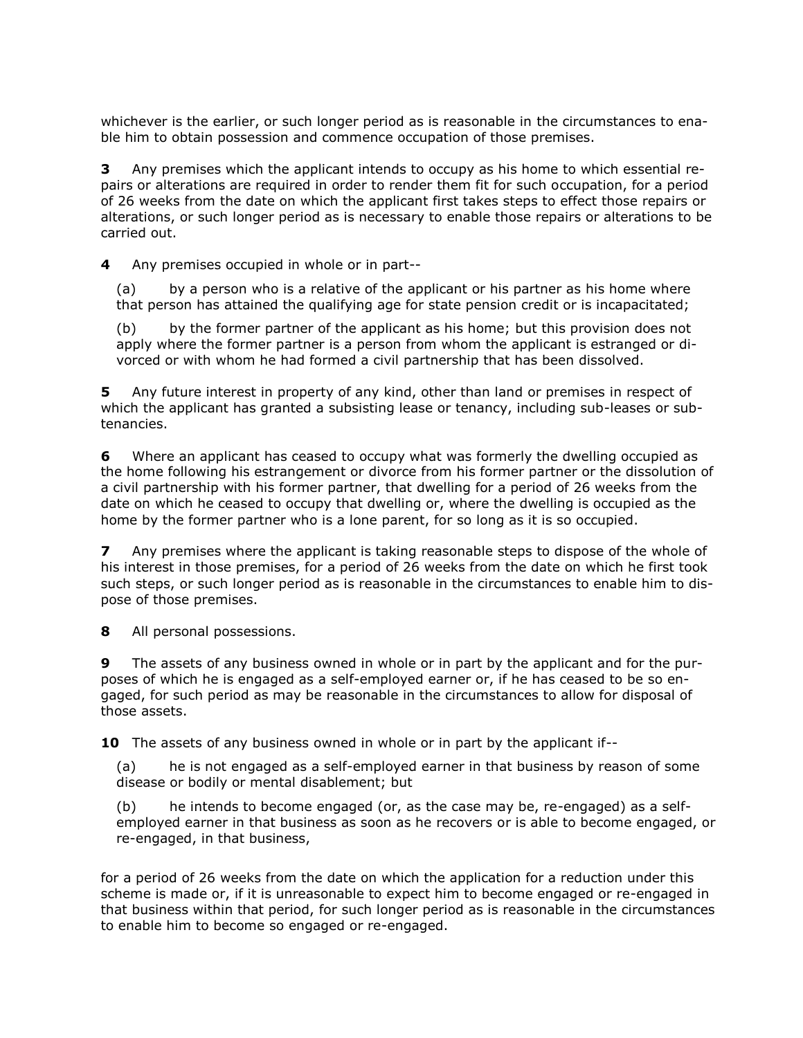whichever is the earlier, or such longer period as is reasonable in the circumstances to enable him to obtain possession and commence occupation of those premises.

**3** Any premises which the applicant intends to occupy as his home to which essential repairs or alterations are required in order to render them fit for such occupation, for a period of 26 weeks from the date on which the applicant first takes steps to effect those repairs or alterations, or such longer period as is necessary to enable those repairs or alterations to be carried out.

**4** Any premises occupied in whole or in part--

(a) by a person who is a relative of the applicant or his partner as his home where that person has attained the qualifying age for state pension credit or is incapacitated;

(b) by the former partner of the applicant as his home; but this provision does not apply where the former partner is a person from whom the applicant is estranged or divorced or with whom he had formed a civil partnership that has been dissolved.

**5** Any future interest in property of any kind, other than land or premises in respect of which the applicant has granted a subsisting lease or tenancy, including sub-leases or subtenancies.

**6** Where an applicant has ceased to occupy what was formerly the dwelling occupied as the home following his estrangement or divorce from his former partner or the dissolution of a civil partnership with his former partner, that dwelling for a period of 26 weeks from the date on which he ceased to occupy that dwelling or, where the dwelling is occupied as the home by the former partner who is a lone parent, for so long as it is so occupied.

**7** Any premises where the applicant is taking reasonable steps to dispose of the whole of his interest in those premises, for a period of 26 weeks from the date on which he first took such steps, or such longer period as is reasonable in the circumstances to enable him to dispose of those premises.

**8** All personal possessions.

**9** The assets of any business owned in whole or in part by the applicant and for the purposes of which he is engaged as a self-employed earner or, if he has ceased to be so engaged, for such period as may be reasonable in the circumstances to allow for disposal of those assets.

**10** The assets of any business owned in whole or in part by the applicant if--

(a) he is not engaged as a self-employed earner in that business by reason of some disease or bodily or mental disablement; but

(b) he intends to become engaged (or, as the case may be, re-engaged) as a selfemployed earner in that business as soon as he recovers or is able to become engaged, or re-engaged, in that business,

for a period of 26 weeks from the date on which the application for a reduction under this scheme is made or, if it is unreasonable to expect him to become engaged or re-engaged in that business within that period, for such longer period as is reasonable in the circumstances to enable him to become so engaged or re-engaged.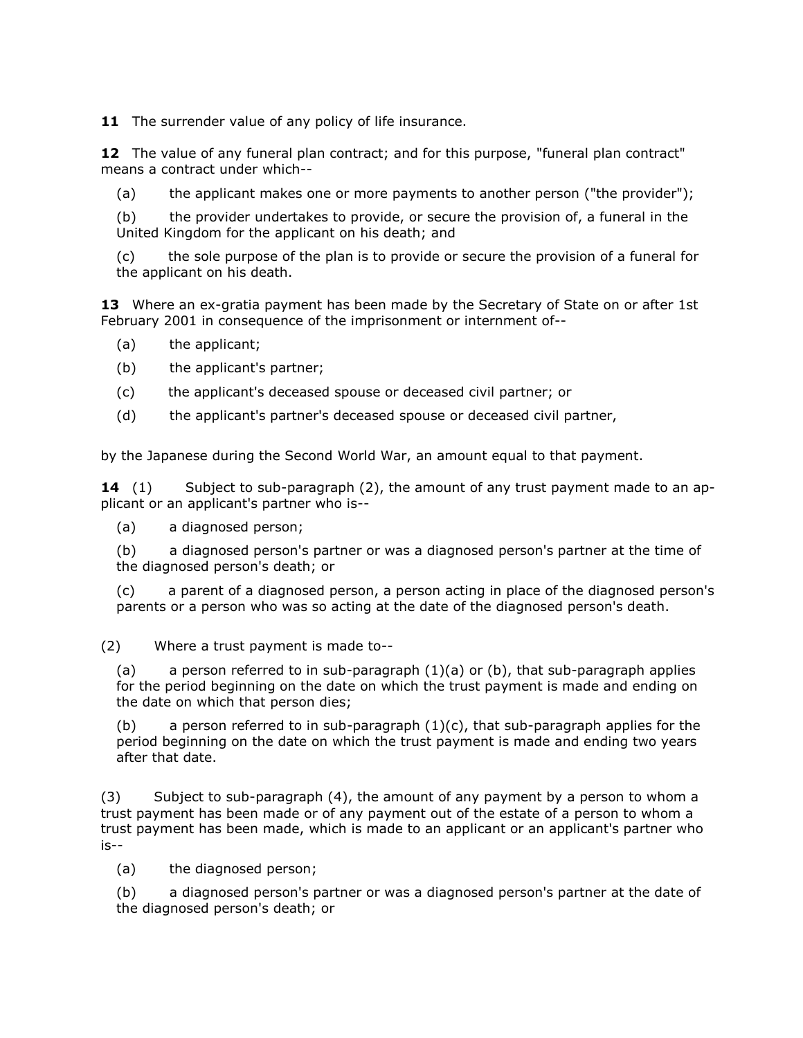**11** The surrender value of any policy of life insurance.

**12** The value of any funeral plan contract; and for this purpose, "funeral plan contract" means a contract under which--

(a) the applicant makes one or more payments to another person ("the provider");

(b) the provider undertakes to provide, or secure the provision of, a funeral in the United Kingdom for the applicant on his death; and

(c) the sole purpose of the plan is to provide or secure the provision of a funeral for the applicant on his death.

**13** Where an ex-gratia payment has been made by the Secretary of State on or after 1st February 2001 in consequence of the imprisonment or internment of--

- (a) the applicant;
- (b) the applicant's partner;
- (c) the applicant's deceased spouse or deceased civil partner; or
- (d) the applicant's partner's deceased spouse or deceased civil partner,

by the Japanese during the Second World War, an amount equal to that payment.

**14** (1) Subject to sub-paragraph (2), the amount of any trust payment made to an applicant or an applicant's partner who is--

(a) a diagnosed person;

(b) a diagnosed person's partner or was a diagnosed person's partner at the time of the diagnosed person's death; or

(c) a parent of a diagnosed person, a person acting in place of the diagnosed person's parents or a person who was so acting at the date of the diagnosed person's death.

(2) Where a trust payment is made to--

(a) a person referred to in sub-paragraph (1)(a) or (b), that sub-paragraph applies for the period beginning on the date on which the trust payment is made and ending on the date on which that person dies;

(b) a person referred to in sub-paragraph  $(1)(c)$ , that sub-paragraph applies for the period beginning on the date on which the trust payment is made and ending two years after that date.

(3) Subject to sub-paragraph (4), the amount of any payment by a person to whom a trust payment has been made or of any payment out of the estate of a person to whom a trust payment has been made, which is made to an applicant or an applicant's partner who is--

(a) the diagnosed person;

(b) a diagnosed person's partner or was a diagnosed person's partner at the date of the diagnosed person's death; or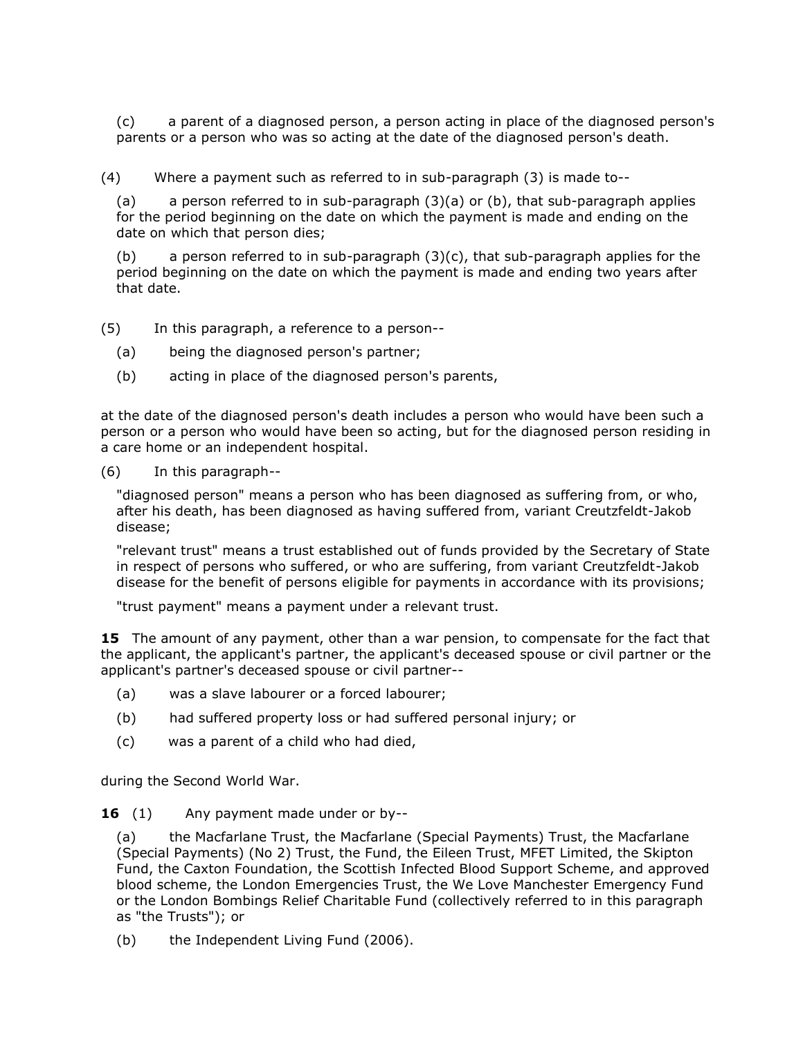(c) a parent of a diagnosed person, a person acting in place of the diagnosed person's parents or a person who was so acting at the date of the diagnosed person's death.

(4) Where a payment such as referred to in sub-paragraph (3) is made to--

(a) a person referred to in sub-paragraph (3)(a) or (b), that sub-paragraph applies for the period beginning on the date on which the payment is made and ending on the date on which that person dies;

(b) a person referred to in sub-paragraph  $(3)(c)$ , that sub-paragraph applies for the period beginning on the date on which the payment is made and ending two years after that date.

- (5) In this paragraph, a reference to a person--
	- (a) being the diagnosed person's partner;
	- (b) acting in place of the diagnosed person's parents,

at the date of the diagnosed person's death includes a person who would have been such a person or a person who would have been so acting, but for the diagnosed person residing in a care home or an independent hospital.

(6) In this paragraph--

"diagnosed person" means a person who has been diagnosed as suffering from, or who, after his death, has been diagnosed as having suffered from, variant Creutzfeldt-Jakob disease;

"relevant trust" means a trust established out of funds provided by the Secretary of State in respect of persons who suffered, or who are suffering, from variant Creutzfeldt-Jakob disease for the benefit of persons eligible for payments in accordance with its provisions;

"trust payment" means a payment under a relevant trust.

**15** The amount of any payment, other than a war pension, to compensate for the fact that the applicant, the applicant's partner, the applicant's deceased spouse or civil partner or the applicant's partner's deceased spouse or civil partner--

- (a) was a slave labourer or a forced labourer;
- (b) had suffered property loss or had suffered personal injury; or
- (c) was a parent of a child who had died,

during the Second World War.

16 (1) Any payment made under or by--

(a) the Macfarlane Trust, the Macfarlane (Special Payments) Trust, the Macfarlane (Special Payments) (No 2) Trust, the Fund, the Eileen Trust, MFET Limited, the Skipton Fund, the Caxton Foundation, the Scottish Infected Blood Support Scheme, and approved blood scheme, the London Emergencies Trust, the We Love Manchester Emergency Fund or the London Bombings Relief Charitable Fund (collectively referred to in this paragraph as "the Trusts"); or

(b) the Independent Living Fund (2006).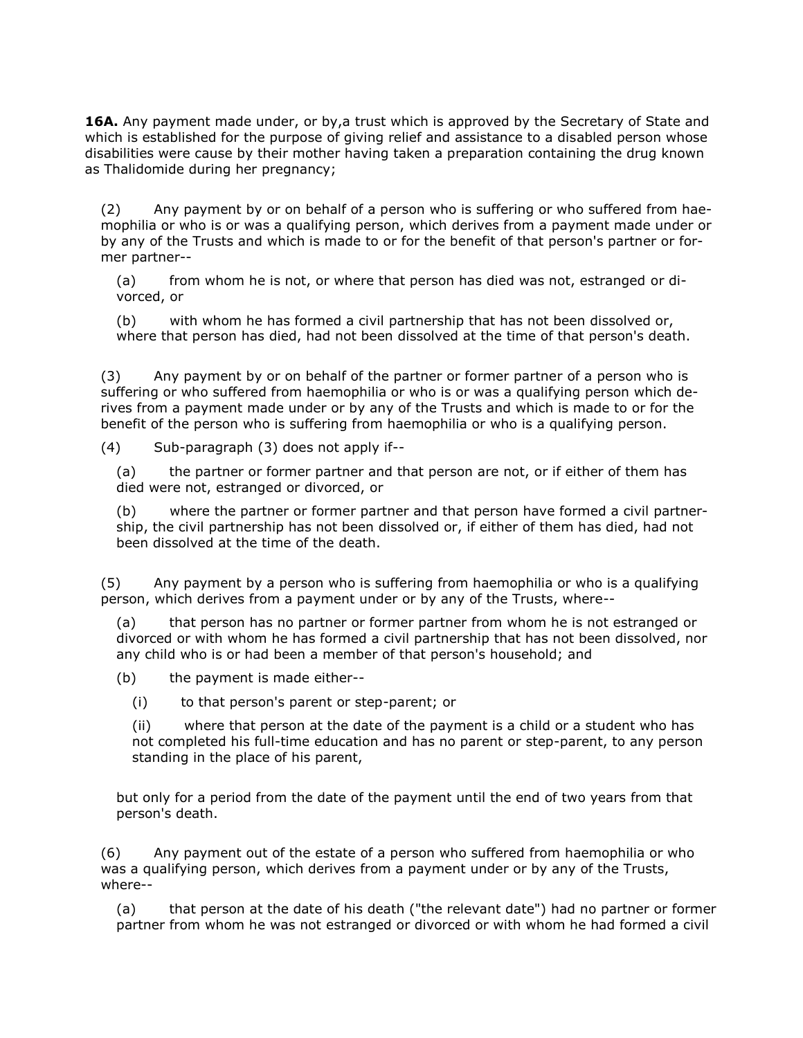16A. Any payment made under, or by, a trust which is approved by the Secretary of State and which is established for the purpose of giving relief and assistance to a disabled person whose disabilities were cause by their mother having taken a preparation containing the drug known as Thalidomide during her pregnancy;

(2) Any payment by or on behalf of a person who is suffering or who suffered from haemophilia or who is or was a qualifying person, which derives from a payment made under or by any of the Trusts and which is made to or for the benefit of that person's partner or former partner--

(a) from whom he is not, or where that person has died was not, estranged or divorced, or

(b) with whom he has formed a civil partnership that has not been dissolved or, where that person has died, had not been dissolved at the time of that person's death.

(3) Any payment by or on behalf of the partner or former partner of a person who is suffering or who suffered from haemophilia or who is or was a qualifying person which derives from a payment made under or by any of the Trusts and which is made to or for the benefit of the person who is suffering from haemophilia or who is a qualifying person.

(4) Sub-paragraph (3) does not apply if--

(a) the partner or former partner and that person are not, or if either of them has died were not, estranged or divorced, or

(b) where the partner or former partner and that person have formed a civil partnership, the civil partnership has not been dissolved or, if either of them has died, had not been dissolved at the time of the death.

(5) Any payment by a person who is suffering from haemophilia or who is a qualifying person, which derives from a payment under or by any of the Trusts, where--

(a) that person has no partner or former partner from whom he is not estranged or divorced or with whom he has formed a civil partnership that has not been dissolved, nor any child who is or had been a member of that person's household; and

(b) the payment is made either--

(i) to that person's parent or step-parent; or

(ii) where that person at the date of the payment is a child or a student who has not completed his full-time education and has no parent or step-parent, to any person standing in the place of his parent,

but only for a period from the date of the payment until the end of two years from that person's death.

(6) Any payment out of the estate of a person who suffered from haemophilia or who was a qualifying person, which derives from a payment under or by any of the Trusts, where--

(a) that person at the date of his death ("the relevant date") had no partner or former partner from whom he was not estranged or divorced or with whom he had formed a civil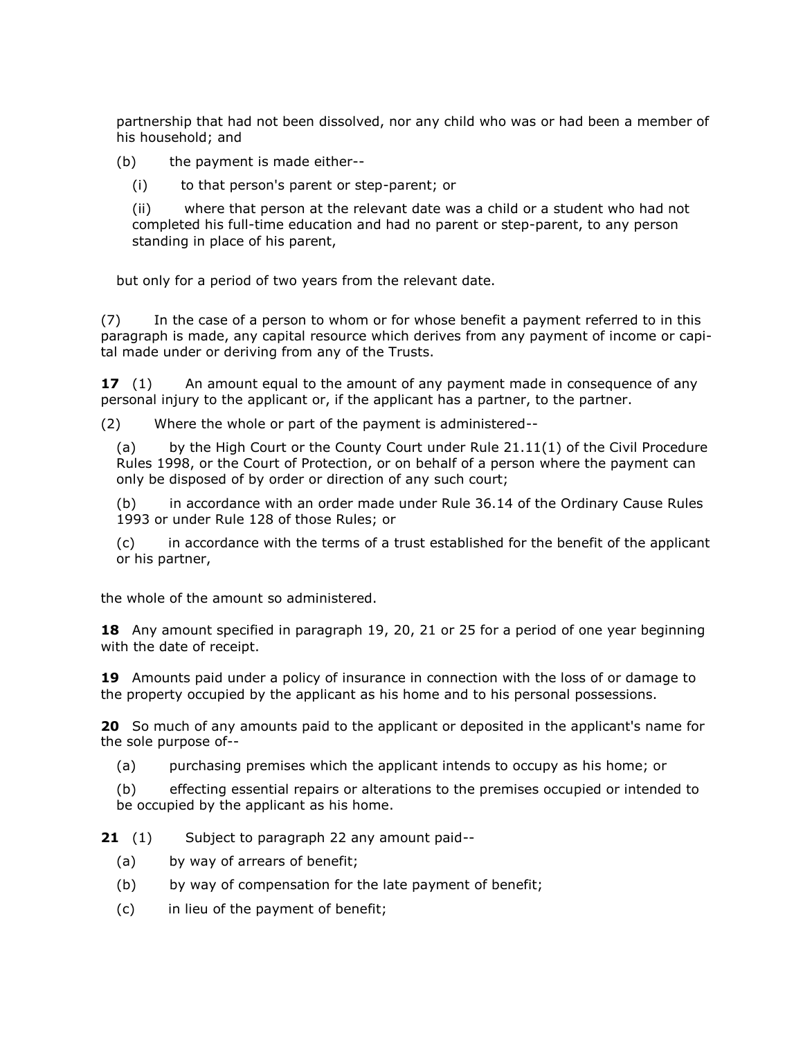partnership that had not been dissolved, nor any child who was or had been a member of his household; and

(b) the payment is made either--

(i) to that person's parent or step-parent; or

(ii) where that person at the relevant date was a child or a student who had not completed his full-time education and had no parent or step-parent, to any person standing in place of his parent,

but only for a period of two years from the relevant date.

(7) In the case of a person to whom or for whose benefit a payment referred to in this paragraph is made, any capital resource which derives from any payment of income or capital made under or deriving from any of the Trusts.

**17** (1) An amount equal to the amount of any payment made in consequence of any personal injury to the applicant or, if the applicant has a partner, to the partner.

(2) Where the whole or part of the payment is administered--

(a) by the High Court or the County Court under Rule 21.11(1) of the Civil Procedure Rules 1998, or the Court of Protection, or on behalf of a person where the payment can only be disposed of by order or direction of any such court;

(b) in accordance with an order made under Rule 36.14 of the Ordinary Cause Rules 1993 or under Rule 128 of those Rules; or

(c) in accordance with the terms of a trust established for the benefit of the applicant or his partner,

the whole of the amount so administered.

**18** Any amount specified in paragraph 19, 20, 21 or 25 for a period of one year beginning with the date of receipt.

**19** Amounts paid under a policy of insurance in connection with the loss of or damage to the property occupied by the applicant as his home and to his personal possessions.

**20** So much of any amounts paid to the applicant or deposited in the applicant's name for the sole purpose of--

(a) purchasing premises which the applicant intends to occupy as his home; or

(b) effecting essential repairs or alterations to the premises occupied or intended to be occupied by the applicant as his home.

**21** (1) Subject to paragraph 22 any amount paid--

- (a) by way of arrears of benefit;
- (b) by way of compensation for the late payment of benefit;
- (c) in lieu of the payment of benefit;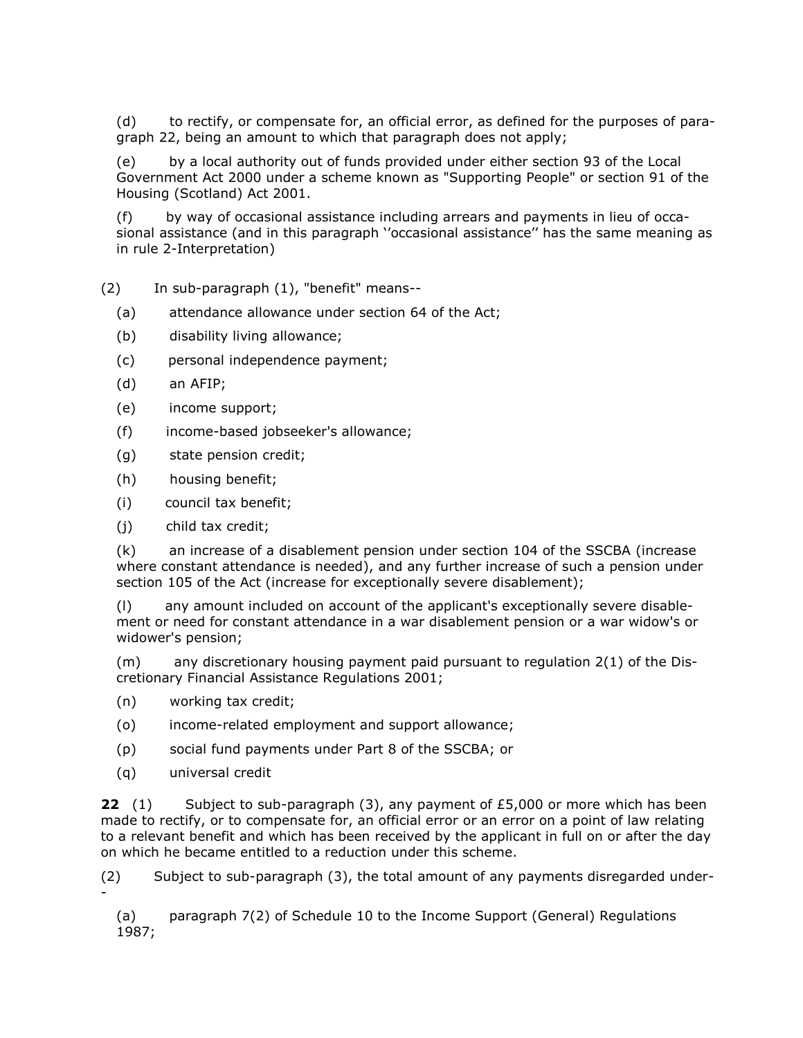(d) to rectify, or compensate for, an official error, as defined for the purposes of paragraph 22, being an amount to which that paragraph does not apply;

(e) by a local authority out of funds provided under either section 93 of the Local Government Act 2000 under a scheme known as "Supporting People" or section 91 of the Housing (Scotland) Act 2001.

(f) by way of occasional assistance including arrears and payments in lieu of occasional assistance (and in this paragraph ''occasional assistance'' has the same meaning as in rule 2-Interpretation)

(2) In sub-paragraph (1), "benefit" means--

- (a) attendance allowance under section 64 of the Act;
- (b) disability living allowance;
- (c) personal independence payment;
- (d) an AFIP;
- (e) income support;
- (f) income-based jobseeker's allowance;
- (g) state pension credit;
- (h) housing benefit;
- (i) council tax benefit;
- (j) child tax credit;

(k) an increase of a disablement pension under section 104 of the SSCBA (increase where constant attendance is needed), and any further increase of such a pension under section 105 of the Act (increase for exceptionally severe disablement);

(l) any amount included on account of the applicant's exceptionally severe disablement or need for constant attendance in a war disablement pension or a war widow's or widower's pension;

(m) any discretionary housing payment paid pursuant to regulation 2(1) of the Discretionary Financial Assistance Regulations 2001;

- (n) working tax credit;
- (o) income-related employment and support allowance;
- (p) social fund payments under Part 8 of the SSCBA; or
- (q) universal credit

**22** (1) Subject to sub-paragraph (3), any payment of £5,000 or more which has been made to rectify, or to compensate for, an official error or an error on a point of law relating to a relevant benefit and which has been received by the applicant in full on or after the day on which he became entitled to a reduction under this scheme.

(2) Subject to sub-paragraph (3), the total amount of any payments disregarded under- -

(a) paragraph 7(2) of Schedule 10 to the Income Support (General) Regulations 1987;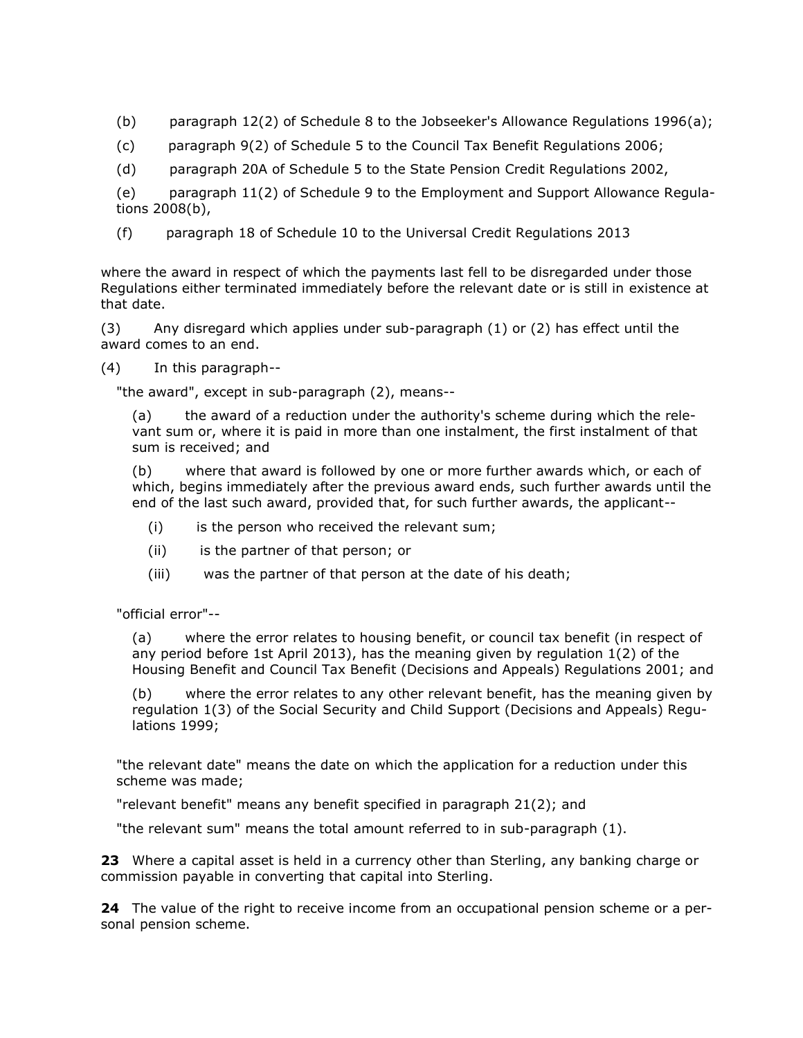(b) paragraph 12(2) of Schedule 8 to the Jobseeker's Allowance Regulations 1996(a);

- (c) paragraph 9(2) of Schedule 5 to the Council Tax Benefit Regulations 2006;
- (d) paragraph 20A of Schedule 5 to the State Pension Credit Regulations 2002,

(e) paragraph 11(2) of Schedule 9 to the Employment and Support Allowance Regulations 2008(b),

(f) paragraph 18 of Schedule 10 to the Universal Credit Regulations 2013

where the award in respect of which the payments last fell to be disregarded under those Regulations either terminated immediately before the relevant date or is still in existence at that date.

(3) Any disregard which applies under sub-paragraph (1) or (2) has effect until the award comes to an end.

(4) In this paragraph--

"the award", except in sub-paragraph (2), means--

(a) the award of a reduction under the authority's scheme during which the relevant sum or, where it is paid in more than one instalment, the first instalment of that sum is received; and

(b) where that award is followed by one or more further awards which, or each of which, begins immediately after the previous award ends, such further awards until the end of the last such award, provided that, for such further awards, the applicant--

- (i) is the person who received the relevant sum;
- (ii) is the partner of that person; or
- (iii) was the partner of that person at the date of his death;

"official error"--

(a) where the error relates to housing benefit, or council tax benefit (in respect of any period before 1st April 2013), has the meaning given by regulation 1(2) of the Housing Benefit and Council Tax Benefit (Decisions and Appeals) Regulations 2001; and

(b) where the error relates to any other relevant benefit, has the meaning given by regulation 1(3) of the Social Security and Child Support (Decisions and Appeals) Regulations 1999;

"the relevant date" means the date on which the application for a reduction under this scheme was made;

"relevant benefit" means any benefit specified in paragraph 21(2); and

"the relevant sum" means the total amount referred to in sub-paragraph (1).

**23** Where a capital asset is held in a currency other than Sterling, any banking charge or commission payable in converting that capital into Sterling.

**24** The value of the right to receive income from an occupational pension scheme or a personal pension scheme.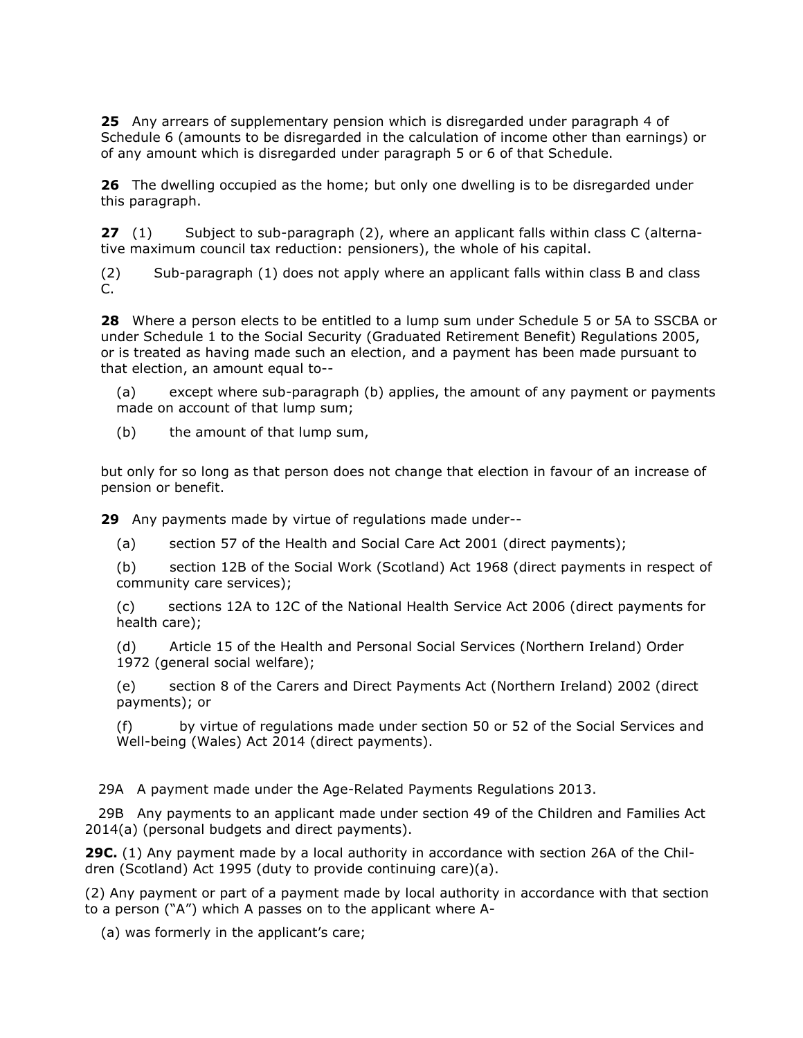**25** Any arrears of supplementary pension which is disregarded under paragraph 4 of Schedule 6 (amounts to be disregarded in the calculation of income other than earnings) or of any amount which is disregarded under paragraph 5 or 6 of that Schedule.

**26** The dwelling occupied as the home; but only one dwelling is to be disregarded under this paragraph.

**27** (1) Subject to sub-paragraph (2), where an applicant falls within class C (alternative maximum council tax reduction: pensioners), the whole of his capital.

(2) Sub-paragraph (1) does not apply where an applicant falls within class B and class C.

**28** Where a person elects to be entitled to a lump sum under Schedule 5 or 5A to SSCBA or under Schedule 1 to the Social Security (Graduated Retirement Benefit) Regulations 2005, or is treated as having made such an election, and a payment has been made pursuant to that election, an amount equal to--

(a) except where sub-paragraph (b) applies, the amount of any payment or payments made on account of that lump sum;

(b) the amount of that lump sum,

but only for so long as that person does not change that election in favour of an increase of pension or benefit.

**29** Any payments made by virtue of regulations made under--

(a) section 57 of the Health and Social Care Act 2001 (direct payments);

(b) section 12B of the Social Work (Scotland) Act 1968 (direct payments in respect of community care services);

(c) sections 12A to 12C of the National Health Service Act 2006 (direct payments for health care);

(d) Article 15 of the Health and Personal Social Services (Northern Ireland) Order 1972 (general social welfare);

(e) section 8 of the Carers and Direct Payments Act (Northern Ireland) 2002 (direct payments); or

(f) by virtue of regulations made under section 50 or 52 of the Social Services and Well-being (Wales) Act 2014 (direct payments).

29A A payment made under the Age-Related Payments Regulations 2013.

 29B Any payments to an applicant made under section 49 of the Children and Families Act 2014(a) (personal budgets and direct payments).

**29C.** (1) Any payment made by a local authority in accordance with section 26A of the Children (Scotland) Act 1995 (duty to provide continuing care)(a).

(2) Any payment or part of a payment made by local authority in accordance with that section to a person ("A") which A passes on to the applicant where A-

(a) was formerly in the applicant's care;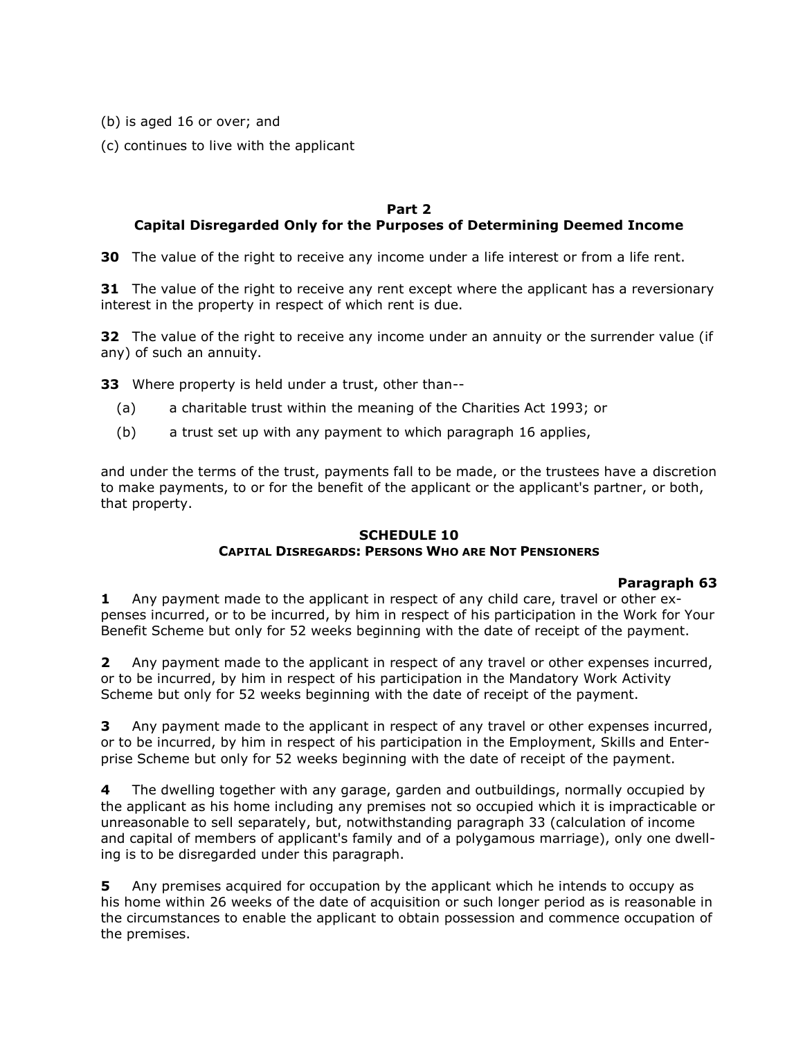- (b) is aged 16 or over; and
- (c) continues to live with the applicant

### **Part 2 Capital Disregarded Only for the Purposes of Determining Deemed Income**

**30** The value of the right to receive any income under a life interest or from a life rent.

**31** The value of the right to receive any rent except where the applicant has a reversionary interest in the property in respect of which rent is due.

**32** The value of the right to receive any income under an annuity or the surrender value (if any) of such an annuity.

**33** Where property is held under a trust, other than--

- (a) a charitable trust within the meaning of the Charities Act 1993; or
- (b) a trust set up with any payment to which paragraph 16 applies,

and under the terms of the trust, payments fall to be made, or the trustees have a discretion to make payments, to or for the benefit of the applicant or the applicant's partner, or both, that property.

#### **SCHEDULE 10 CAPITAL DISREGARDS: PERSONS WHO ARE NOT PENSIONERS**

## **Paragraph 63**

**1** Any payment made to the applicant in respect of any child care, travel or other expenses incurred, or to be incurred, by him in respect of his participation in the Work for Your Benefit Scheme but only for 52 weeks beginning with the date of receipt of the payment.

**2** Any payment made to the applicant in respect of any travel or other expenses incurred, or to be incurred, by him in respect of his participation in the Mandatory Work Activity Scheme but only for 52 weeks beginning with the date of receipt of the payment.

**3** Any payment made to the applicant in respect of any travel or other expenses incurred, or to be incurred, by him in respect of his participation in the Employment, Skills and Enterprise Scheme but only for 52 weeks beginning with the date of receipt of the payment.

**4** The dwelling together with any garage, garden and outbuildings, normally occupied by the applicant as his home including any premises not so occupied which it is impracticable or unreasonable to sell separately, but, notwithstanding paragraph 33 (calculation of income and capital of members of applicant's family and of a polygamous marriage), only one dwelling is to be disregarded under this paragraph.

**5** Any premises acquired for occupation by the applicant which he intends to occupy as his home within 26 weeks of the date of acquisition or such longer period as is reasonable in the circumstances to enable the applicant to obtain possession and commence occupation of the premises.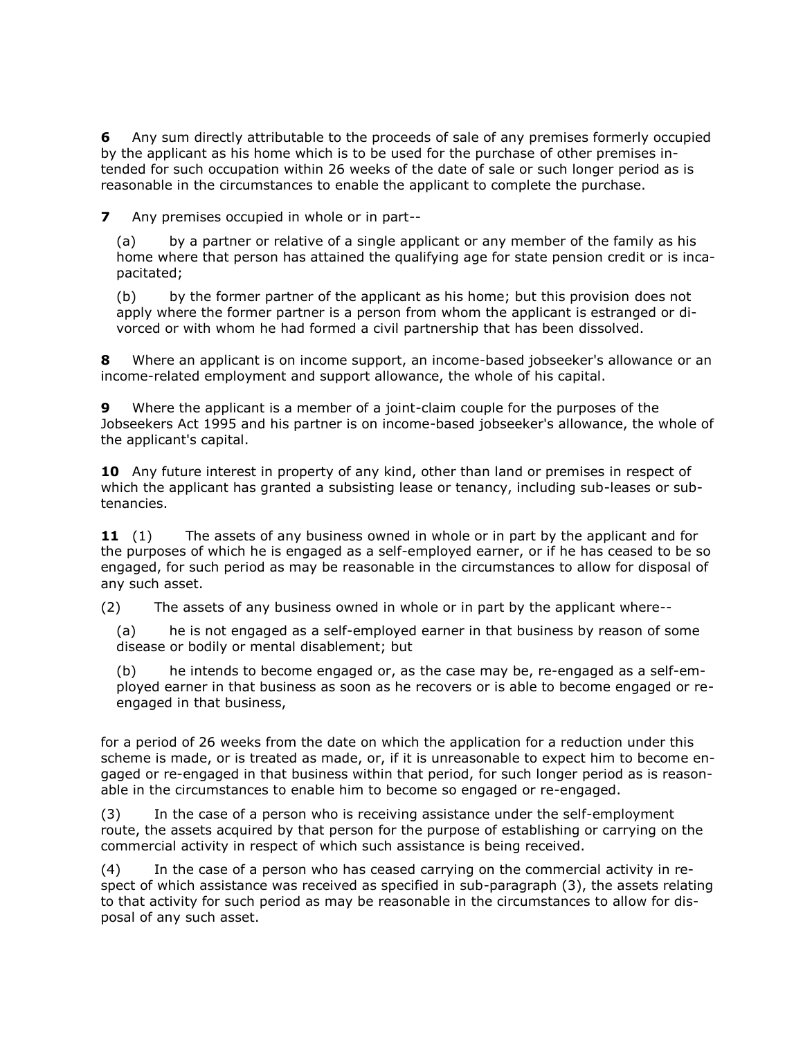**6** Any sum directly attributable to the proceeds of sale of any premises formerly occupied by the applicant as his home which is to be used for the purchase of other premises intended for such occupation within 26 weeks of the date of sale or such longer period as is reasonable in the circumstances to enable the applicant to complete the purchase.

**7** Any premises occupied in whole or in part--

(a) by a partner or relative of a single applicant or any member of the family as his home where that person has attained the qualifying age for state pension credit or is incapacitated;

(b) by the former partner of the applicant as his home; but this provision does not apply where the former partner is a person from whom the applicant is estranged or divorced or with whom he had formed a civil partnership that has been dissolved.

**8** Where an applicant is on income support, an income-based jobseeker's allowance or an income-related employment and support allowance, the whole of his capital.

**9** Where the applicant is a member of a joint-claim couple for the purposes of the Jobseekers Act 1995 and his partner is on income-based jobseeker's allowance, the whole of the applicant's capital.

**10** Any future interest in property of any kind, other than land or premises in respect of which the applicant has granted a subsisting lease or tenancy, including sub-leases or subtenancies.

**11** (1) The assets of any business owned in whole or in part by the applicant and for the purposes of which he is engaged as a self-employed earner, or if he has ceased to be so engaged, for such period as may be reasonable in the circumstances to allow for disposal of any such asset.

(2) The assets of any business owned in whole or in part by the applicant where--

(a) he is not engaged as a self-employed earner in that business by reason of some disease or bodily or mental disablement; but

(b) he intends to become engaged or, as the case may be, re-engaged as a self-employed earner in that business as soon as he recovers or is able to become engaged or reengaged in that business,

for a period of 26 weeks from the date on which the application for a reduction under this scheme is made, or is treated as made, or, if it is unreasonable to expect him to become engaged or re-engaged in that business within that period, for such longer period as is reasonable in the circumstances to enable him to become so engaged or re-engaged.

(3) In the case of a person who is receiving assistance under the self-employment route, the assets acquired by that person for the purpose of establishing or carrying on the commercial activity in respect of which such assistance is being received.

(4) In the case of a person who has ceased carrying on the commercial activity in respect of which assistance was received as specified in sub-paragraph (3), the assets relating to that activity for such period as may be reasonable in the circumstances to allow for disposal of any such asset.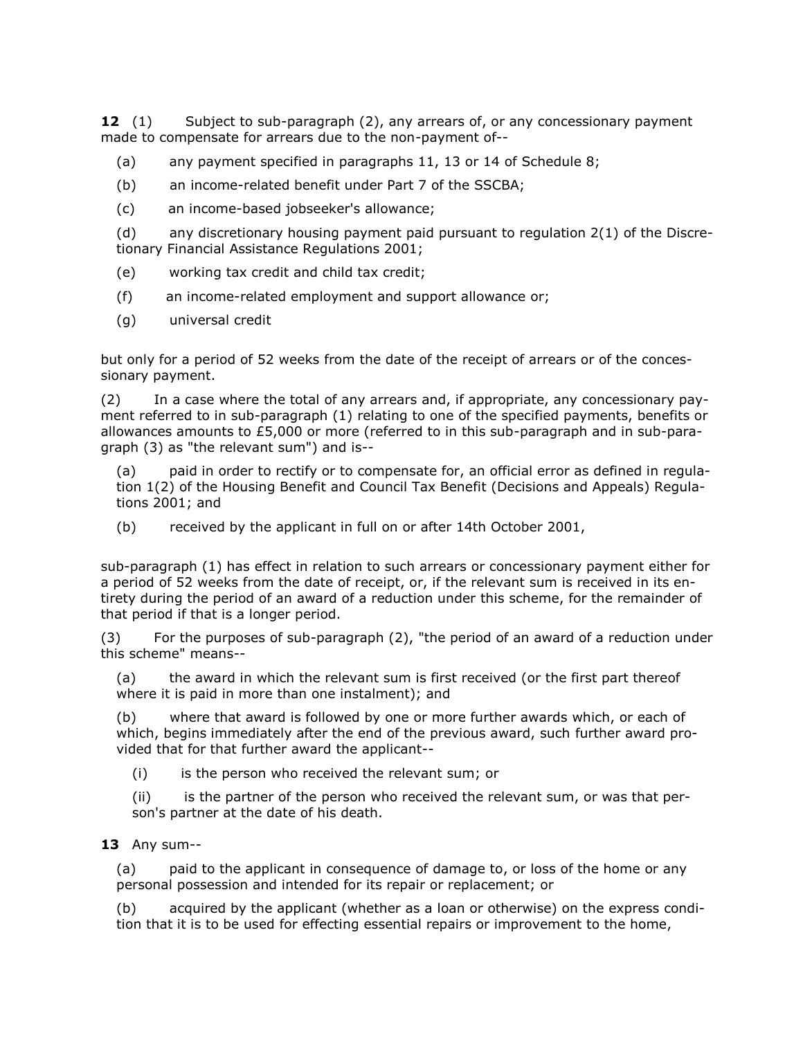**12** (1) Subject to sub-paragraph (2), any arrears of, or any concessionary payment made to compensate for arrears due to the non-payment of--

- (a) any payment specified in paragraphs 11, 13 or 14 of Schedule 8;
- (b) an income-related benefit under Part 7 of the SSCBA;
- (c) an income-based jobseeker's allowance;

(d) any discretionary housing payment paid pursuant to regulation 2(1) of the Discretionary Financial Assistance Regulations 2001;

- (e) working tax credit and child tax credit;
- (f) an income-related employment and support allowance or;
- (g) universal credit

but only for a period of 52 weeks from the date of the receipt of arrears or of the concessionary payment.

(2) In a case where the total of any arrears and, if appropriate, any concessionary payment referred to in sub-paragraph (1) relating to one of the specified payments, benefits or allowances amounts to  $£5,000$  or more (referred to in this sub-paragraph and in sub-paragraph (3) as "the relevant sum") and is--

(a) paid in order to rectify or to compensate for, an official error as defined in regulation 1(2) of the Housing Benefit and Council Tax Benefit (Decisions and Appeals) Regulations 2001; and

(b) received by the applicant in full on or after 14th October 2001,

sub-paragraph (1) has effect in relation to such arrears or concessionary payment either for a period of 52 weeks from the date of receipt, or, if the relevant sum is received in its entirety during the period of an award of a reduction under this scheme, for the remainder of that period if that is a longer period.

(3) For the purposes of sub-paragraph (2), "the period of an award of a reduction under this scheme" means--

(a) the award in which the relevant sum is first received (or the first part thereof where it is paid in more than one instalment); and

(b) where that award is followed by one or more further awards which, or each of which, begins immediately after the end of the previous award, such further award provided that for that further award the applicant--

(i) is the person who received the relevant sum; or

(ii) is the partner of the person who received the relevant sum, or was that person's partner at the date of his death.

## **13** Any sum--

(a) paid to the applicant in consequence of damage to, or loss of the home or any personal possession and intended for its repair or replacement; or

(b) acquired by the applicant (whether as a loan or otherwise) on the express condition that it is to be used for effecting essential repairs or improvement to the home,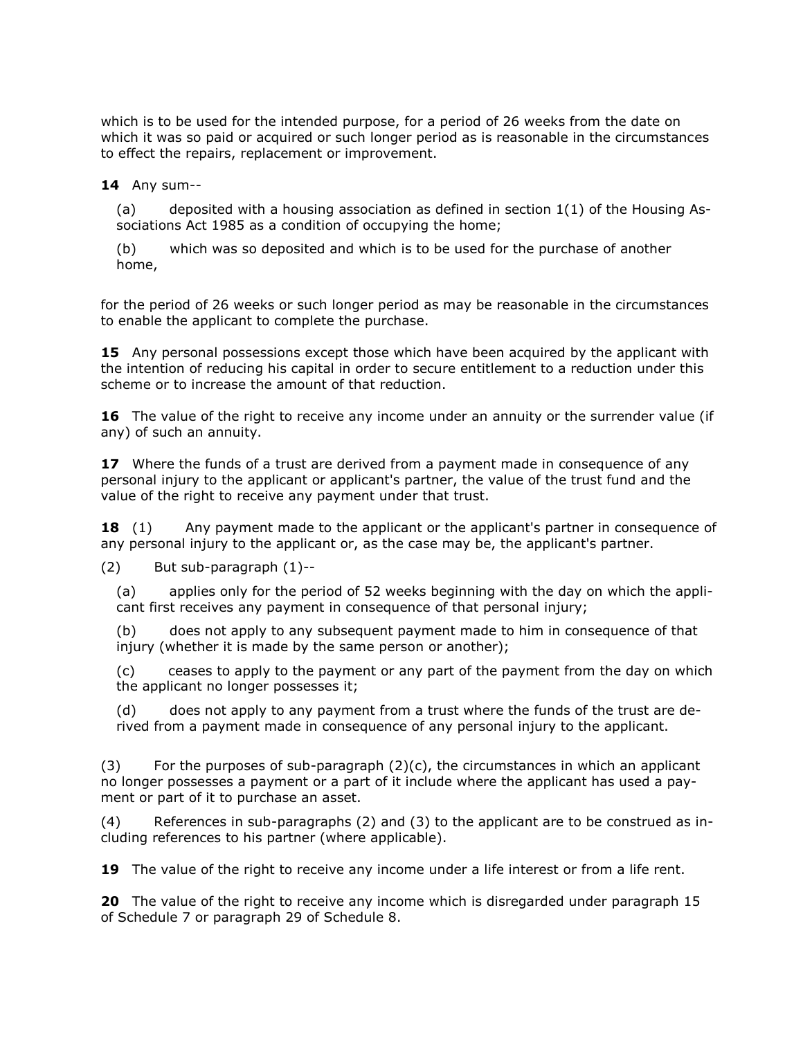which is to be used for the intended purpose, for a period of 26 weeks from the date on which it was so paid or acquired or such longer period as is reasonable in the circumstances to effect the repairs, replacement or improvement.

**14** Any sum--

(a) deposited with a housing association as defined in section  $1(1)$  of the Housing Associations Act 1985 as a condition of occupying the home;

(b) which was so deposited and which is to be used for the purchase of another home,

for the period of 26 weeks or such longer period as may be reasonable in the circumstances to enable the applicant to complete the purchase.

**15** Any personal possessions except those which have been acquired by the applicant with the intention of reducing his capital in order to secure entitlement to a reduction under this scheme or to increase the amount of that reduction.

**16** The value of the right to receive any income under an annuity or the surrender value (if any) of such an annuity.

**17** Where the funds of a trust are derived from a payment made in consequence of any personal injury to the applicant or applicant's partner, the value of the trust fund and the value of the right to receive any payment under that trust.

**18** (1) Any payment made to the applicant or the applicant's partner in consequence of any personal injury to the applicant or, as the case may be, the applicant's partner.

(2) But sub-paragraph (1)--

(a) applies only for the period of 52 weeks beginning with the day on which the applicant first receives any payment in consequence of that personal injury;

(b) does not apply to any subsequent payment made to him in consequence of that injury (whether it is made by the same person or another);

(c) ceases to apply to the payment or any part of the payment from the day on which the applicant no longer possesses it;

(d) does not apply to any payment from a trust where the funds of the trust are derived from a payment made in consequence of any personal injury to the applicant.

(3) For the purposes of sub-paragraph  $(2)(c)$ , the circumstances in which an applicant no longer possesses a payment or a part of it include where the applicant has used a payment or part of it to purchase an asset.

(4) References in sub-paragraphs (2) and (3) to the applicant are to be construed as including references to his partner (where applicable).

**19** The value of the right to receive any income under a life interest or from a life rent.

**20** The value of the right to receive any income which is disregarded under paragraph 15 of Schedule 7 or paragraph 29 of Schedule 8.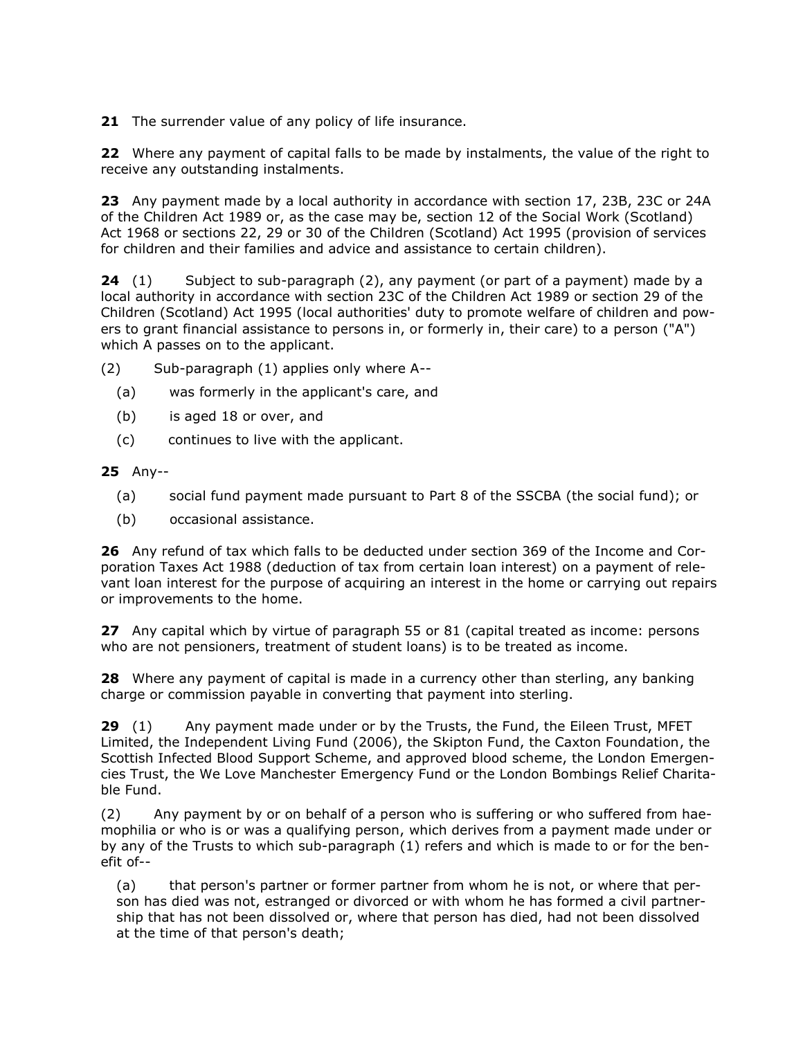**21** The surrender value of any policy of life insurance.

**22** Where any payment of capital falls to be made by instalments, the value of the right to receive any outstanding instalments.

**23** Any payment made by a local authority in accordance with section 17, 23B, 23C or 24A of the Children Act 1989 or, as the case may be, section 12 of the Social Work (Scotland) Act 1968 or sections 22, 29 or 30 of the Children (Scotland) Act 1995 (provision of services for children and their families and advice and assistance to certain children).

**24** (1) Subject to sub-paragraph (2), any payment (or part of a payment) made by a local authority in accordance with section 23C of the Children Act 1989 or section 29 of the Children (Scotland) Act 1995 (local authorities' duty to promote welfare of children and powers to grant financial assistance to persons in, or formerly in, their care) to a person ("A") which A passes on to the applicant.

(2) Sub-paragraph (1) applies only where A--

- (a) was formerly in the applicant's care, and
- (b) is aged 18 or over, and
- (c) continues to live with the applicant.

**25** Any--

- (a) social fund payment made pursuant to Part 8 of the SSCBA (the social fund); or
- (b) occasional assistance.

**26** Any refund of tax which falls to be deducted under section 369 of the Income and Corporation Taxes Act 1988 (deduction of tax from certain loan interest) on a payment of relevant loan interest for the purpose of acquiring an interest in the home or carrying out repairs or improvements to the home.

**27** Any capital which by virtue of paragraph 55 or 81 (capital treated as income: persons who are not pensioners, treatment of student loans) is to be treated as income.

**28** Where any payment of capital is made in a currency other than sterling, any banking charge or commission payable in converting that payment into sterling.

**29** (1) Any payment made under or by the Trusts, the Fund, the Eileen Trust, MFET Limited, the Independent Living Fund (2006), the Skipton Fund, the Caxton Foundation, the Scottish Infected Blood Support Scheme, and approved blood scheme, the London Emergencies Trust, the We Love Manchester Emergency Fund or the London Bombings Relief Charitable Fund.

(2) Any payment by or on behalf of a person who is suffering or who suffered from haemophilia or who is or was a qualifying person, which derives from a payment made under or by any of the Trusts to which sub-paragraph (1) refers and which is made to or for the benefit of--

(a) that person's partner or former partner from whom he is not, or where that person has died was not, estranged or divorced or with whom he has formed a civil partnership that has not been dissolved or, where that person has died, had not been dissolved at the time of that person's death;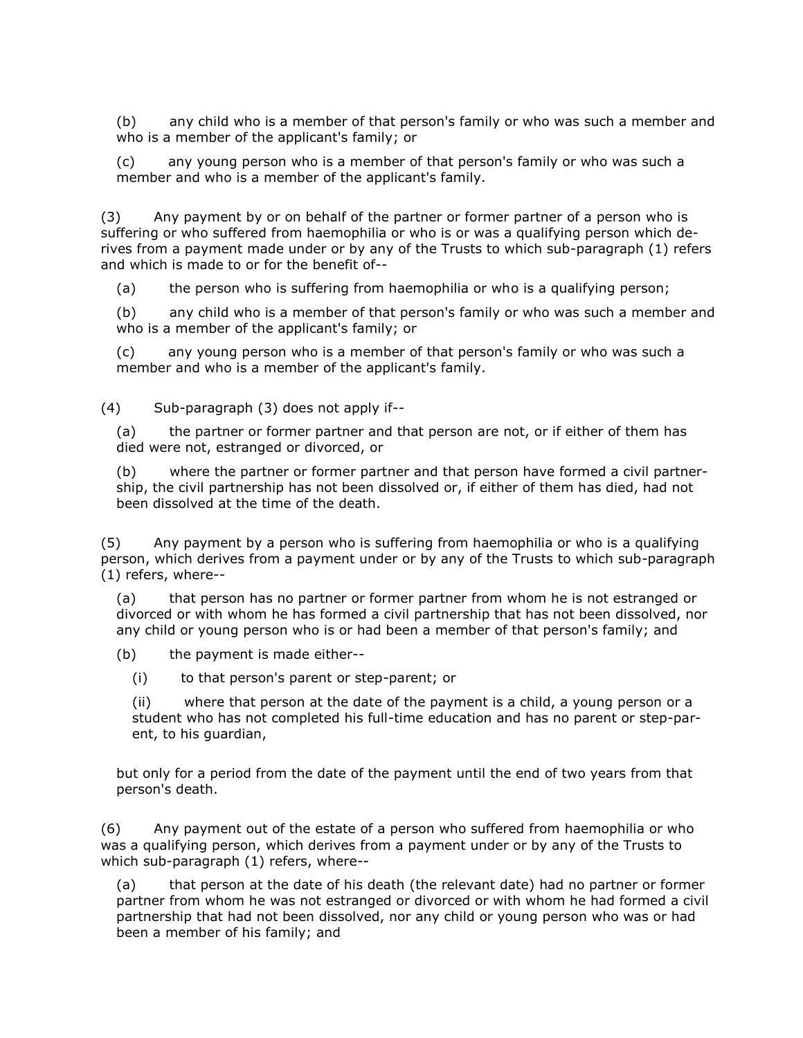(b) any child who is a member of that person's family or who was such a member and who is a member of the applicant's family; or

(c) any young person who is a member of that person's family or who was such a member and who is a member of the applicant's family.

(3) Any payment by or on behalf of the partner or former partner of a person who is suffering or who suffered from haemophilia or who is or was a qualifying person which derives from a payment made under or by any of the Trusts to which sub-paragraph (1) refers and which is made to or for the benefit of--

(a) the person who is suffering from haemophilia or who is a qualifying person;

(b) any child who is a member of that person's family or who was such a member and who is a member of the applicant's family; or

(c) any young person who is a member of that person's family or who was such a member and who is a member of the applicant's family.

(4) Sub-paragraph (3) does not apply if--

(a) the partner or former partner and that person are not, or if either of them has died were not, estranged or divorced, or

(b) where the partner or former partner and that person have formed a civil partnership, the civil partnership has not been dissolved or, if either of them has died, had not been dissolved at the time of the death.

(5) Any payment by a person who is suffering from haemophilia or who is a qualifying person, which derives from a payment under or by any of the Trusts to which sub-paragraph (1) refers, where--

(a) that person has no partner or former partner from whom he is not estranged or divorced or with whom he has formed a civil partnership that has not been dissolved, nor any child or young person who is or had been a member of that person's family; and

(b) the payment is made either--

(i) to that person's parent or step-parent; or

(ii) where that person at the date of the payment is a child, a young person or a student who has not completed his full-time education and has no parent or step-parent, to his guardian,

but only for a period from the date of the payment until the end of two years from that person's death.

(6) Any payment out of the estate of a person who suffered from haemophilia or who was a qualifying person, which derives from a payment under or by any of the Trusts to which sub-paragraph (1) refers, where--

(a) that person at the date of his death (the relevant date) had no partner or former partner from whom he was not estranged or divorced or with whom he had formed a civil partnership that had not been dissolved, nor any child or young person who was or had been a member of his family; and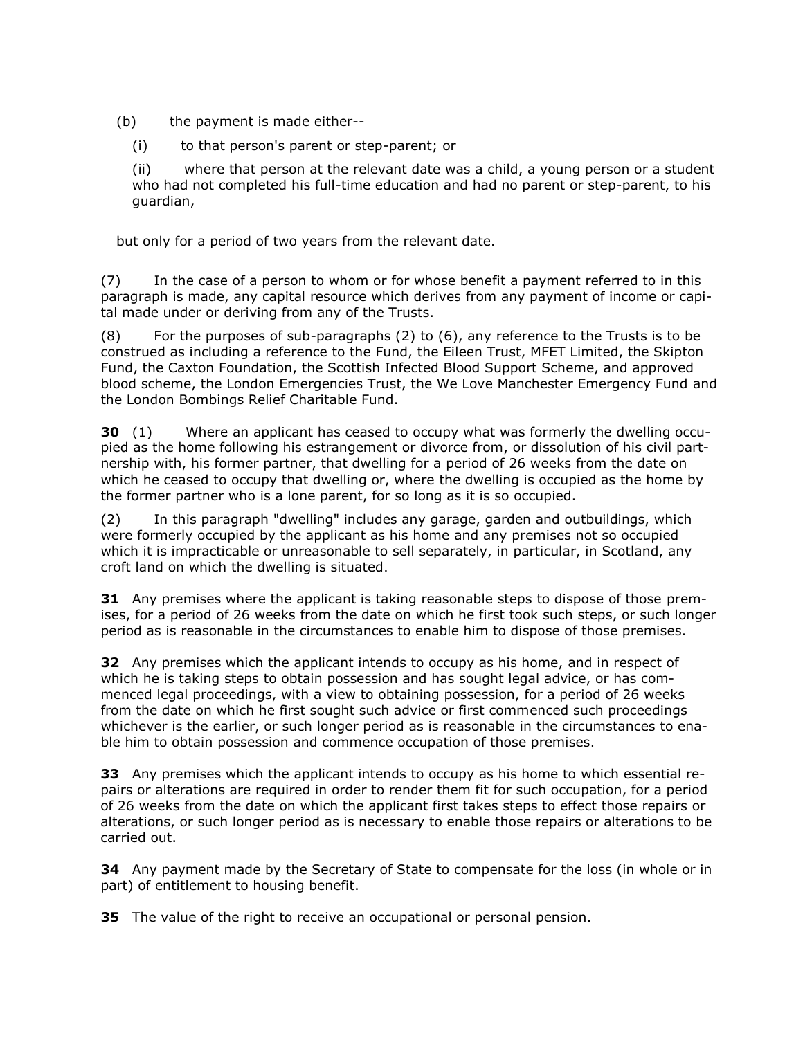(b) the payment is made either--

(i) to that person's parent or step-parent; or

(ii) where that person at the relevant date was a child, a young person or a student who had not completed his full-time education and had no parent or step-parent, to his guardian,

but only for a period of two years from the relevant date.

(7) In the case of a person to whom or for whose benefit a payment referred to in this paragraph is made, any capital resource which derives from any payment of income or capital made under or deriving from any of the Trusts.

(8) For the purposes of sub-paragraphs (2) to (6), any reference to the Trusts is to be construed as including a reference to the Fund, the Eileen Trust, MFET Limited, the Skipton Fund, the Caxton Foundation, the Scottish Infected Blood Support Scheme, and approved blood scheme, the London Emergencies Trust, the We Love Manchester Emergency Fund and the London Bombings Relief Charitable Fund.

**30** (1) Where an applicant has ceased to occupy what was formerly the dwelling occupied as the home following his estrangement or divorce from, or dissolution of his civil partnership with, his former partner, that dwelling for a period of 26 weeks from the date on which he ceased to occupy that dwelling or, where the dwelling is occupied as the home by the former partner who is a lone parent, for so long as it is so occupied.

(2) In this paragraph "dwelling" includes any garage, garden and outbuildings, which were formerly occupied by the applicant as his home and any premises not so occupied which it is impracticable or unreasonable to sell separately, in particular, in Scotland, any croft land on which the dwelling is situated.

**31** Any premises where the applicant is taking reasonable steps to dispose of those premises, for a period of 26 weeks from the date on which he first took such steps, or such longer period as is reasonable in the circumstances to enable him to dispose of those premises.

**32** Any premises which the applicant intends to occupy as his home, and in respect of which he is taking steps to obtain possession and has sought legal advice, or has commenced legal proceedings, with a view to obtaining possession, for a period of 26 weeks from the date on which he first sought such advice or first commenced such proceedings whichever is the earlier, or such longer period as is reasonable in the circumstances to enable him to obtain possession and commence occupation of those premises.

**33** Any premises which the applicant intends to occupy as his home to which essential repairs or alterations are required in order to render them fit for such occupation, for a period of 26 weeks from the date on which the applicant first takes steps to effect those repairs or alterations, or such longer period as is necessary to enable those repairs or alterations to be carried out.

**34** Any payment made by the Secretary of State to compensate for the loss (in whole or in part) of entitlement to housing benefit.

**35** The value of the right to receive an occupational or personal pension.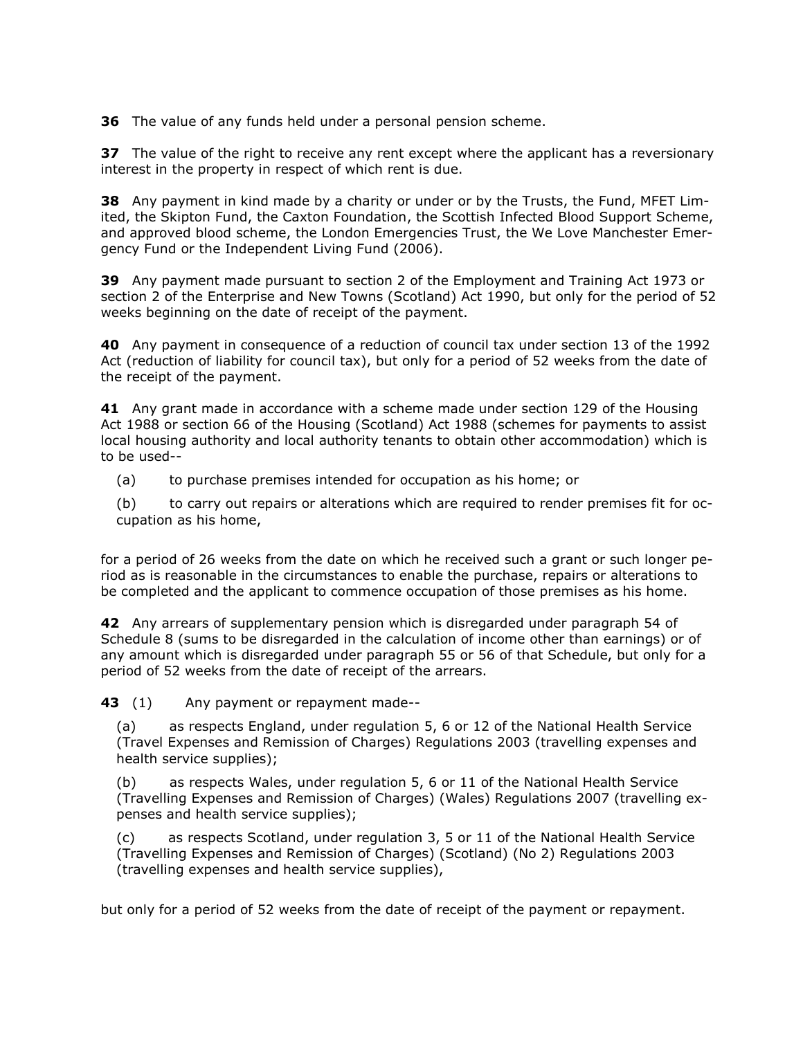**36** The value of any funds held under a personal pension scheme.

**37** The value of the right to receive any rent except where the applicant has a reversionary interest in the property in respect of which rent is due.

**38** Any payment in kind made by a charity or under or by the Trusts, the Fund, MFET Limited, the Skipton Fund, the Caxton Foundation, the Scottish Infected Blood Support Scheme, and approved blood scheme, the London Emergencies Trust, the We Love Manchester Emergency Fund or the Independent Living Fund (2006).

**39** Any payment made pursuant to section 2 of the Employment and Training Act 1973 or section 2 of the Enterprise and New Towns (Scotland) Act 1990, but only for the period of 52 weeks beginning on the date of receipt of the payment.

**40** Any payment in consequence of a reduction of council tax under section 13 of the 1992 Act (reduction of liability for council tax), but only for a period of 52 weeks from the date of the receipt of the payment.

**41** Any grant made in accordance with a scheme made under section 129 of the Housing Act 1988 or section 66 of the Housing (Scotland) Act 1988 (schemes for payments to assist local housing authority and local authority tenants to obtain other accommodation) which is to be used--

(a) to purchase premises intended for occupation as his home; or

(b) to carry out repairs or alterations which are required to render premises fit for occupation as his home,

for a period of 26 weeks from the date on which he received such a grant or such longer period as is reasonable in the circumstances to enable the purchase, repairs or alterations to be completed and the applicant to commence occupation of those premises as his home.

**42** Any arrears of supplementary pension which is disregarded under paragraph 54 of Schedule 8 (sums to be disregarded in the calculation of income other than earnings) or of any amount which is disregarded under paragraph 55 or 56 of that Schedule, but only for a period of 52 weeks from the date of receipt of the arrears.

**43** (1) Any payment or repayment made--

(a) as respects England, under regulation 5, 6 or 12 of the National Health Service (Travel Expenses and Remission of Charges) Regulations 2003 (travelling expenses and health service supplies);

(b) as respects Wales, under regulation 5, 6 or 11 of the National Health Service (Travelling Expenses and Remission of Charges) (Wales) Regulations 2007 (travelling expenses and health service supplies);

(c) as respects Scotland, under regulation 3, 5 or 11 of the National Health Service (Travelling Expenses and Remission of Charges) (Scotland) (No 2) Regulations 2003 (travelling expenses and health service supplies),

but only for a period of 52 weeks from the date of receipt of the payment or repayment.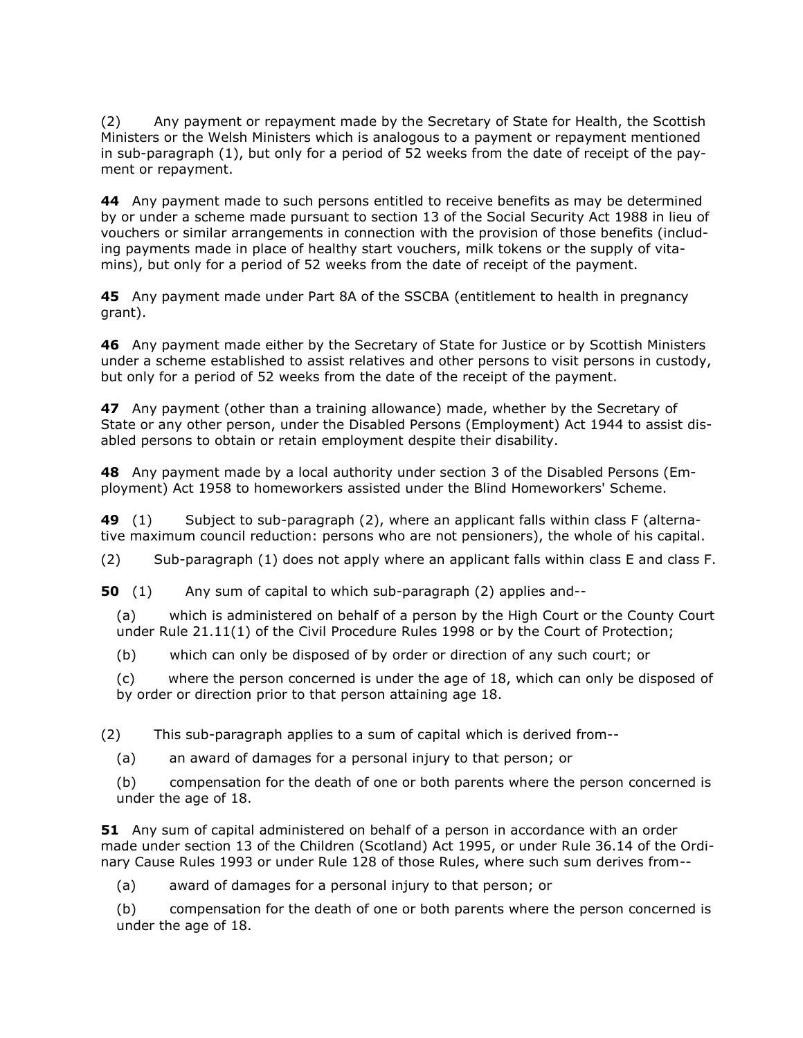(2) Any payment or repayment made by the Secretary of State for Health, the Scottish Ministers or the Welsh Ministers which is analogous to a payment or repayment mentioned in sub-paragraph (1), but only for a period of 52 weeks from the date of receipt of the payment or repayment.

**44** Any payment made to such persons entitled to receive benefits as may be determined by or under a scheme made pursuant to section 13 of the Social Security Act 1988 in lieu of vouchers or similar arrangements in connection with the provision of those benefits (including payments made in place of healthy start vouchers, milk tokens or the supply of vitamins), but only for a period of 52 weeks from the date of receipt of the payment.

**45** Any payment made under Part 8A of the SSCBA (entitlement to health in pregnancy grant).

**46** Any payment made either by the Secretary of State for Justice or by Scottish Ministers under a scheme established to assist relatives and other persons to visit persons in custody, but only for a period of 52 weeks from the date of the receipt of the payment.

**47** Any payment (other than a training allowance) made, whether by the Secretary of State or any other person, under the Disabled Persons (Employment) Act 1944 to assist disabled persons to obtain or retain employment despite their disability.

**48** Any payment made by a local authority under section 3 of the Disabled Persons (Employment) Act 1958 to homeworkers assisted under the Blind Homeworkers' Scheme.

**49** (1) Subject to sub-paragraph (2), where an applicant falls within class F (alternative maximum council reduction: persons who are not pensioners), the whole of his capital.

(2) Sub-paragraph (1) does not apply where an applicant falls within class E and class F.

**50** (1) Any sum of capital to which sub-paragraph (2) applies and--

(a) which is administered on behalf of a person by the High Court or the County Court under Rule 21.11(1) of the Civil Procedure Rules 1998 or by the Court of Protection;

(b) which can only be disposed of by order or direction of any such court; or

(c) where the person concerned is under the age of 18, which can only be disposed of by order or direction prior to that person attaining age 18.

(2) This sub-paragraph applies to a sum of capital which is derived from--

(a) an award of damages for a personal injury to that person; or

(b) compensation for the death of one or both parents where the person concerned is under the age of 18.

**51** Any sum of capital administered on behalf of a person in accordance with an order made under section 13 of the Children (Scotland) Act 1995, or under Rule 36.14 of the Ordinary Cause Rules 1993 or under Rule 128 of those Rules, where such sum derives from--

(a) award of damages for a personal injury to that person; or

(b) compensation for the death of one or both parents where the person concerned is under the age of 18.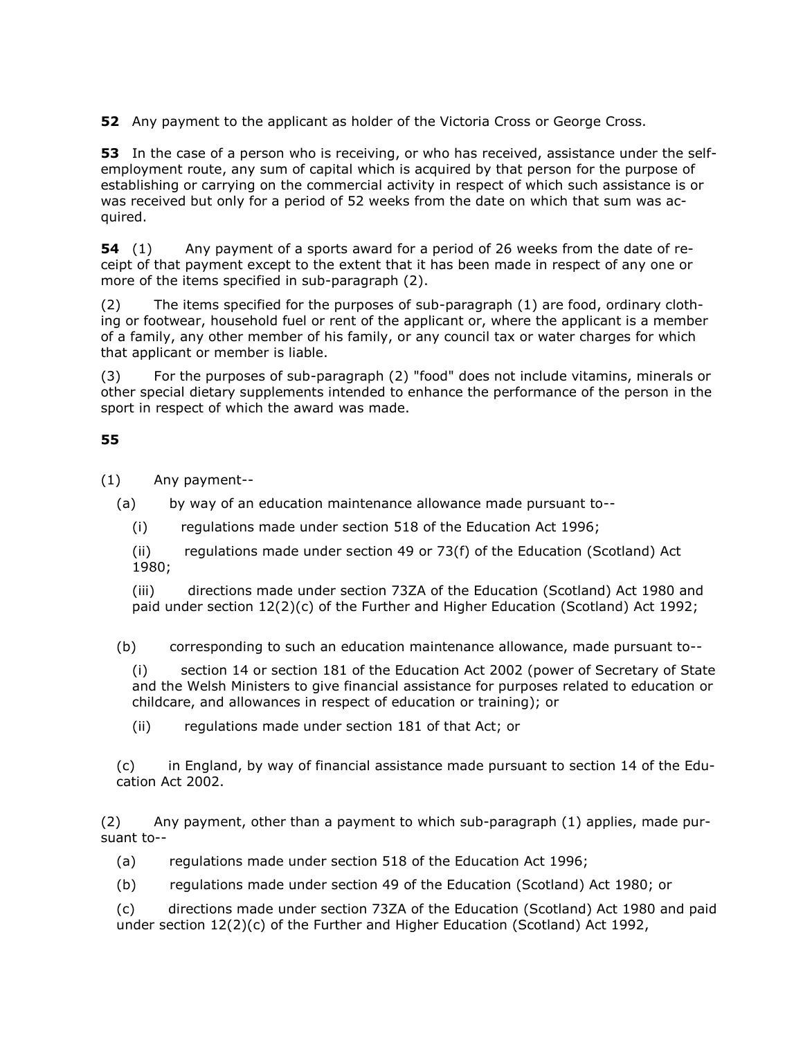**52** Any payment to the applicant as holder of the Victoria Cross or George Cross.

**53** In the case of a person who is receiving, or who has received, assistance under the selfemployment route, any sum of capital which is acquired by that person for the purpose of establishing or carrying on the commercial activity in respect of which such assistance is or was received but only for a period of 52 weeks from the date on which that sum was acquired.

**54** (1) Any payment of a sports award for a period of 26 weeks from the date of receipt of that payment except to the extent that it has been made in respect of any one or more of the items specified in sub-paragraph (2).

(2) The items specified for the purposes of sub-paragraph (1) are food, ordinary clothing or footwear, household fuel or rent of the applicant or, where the applicant is a member of a family, any other member of his family, or any council tax or water charges for which that applicant or member is liable.

(3) For the purposes of sub-paragraph (2) "food" does not include vitamins, minerals or other special dietary supplements intended to enhance the performance of the person in the sport in respect of which the award was made.

# **55**

(1) Any payment--

(a) by way of an education maintenance allowance made pursuant to--

(i) regulations made under section 518 of the Education Act 1996;

(ii) regulations made under section 49 or  $73(f)$  of the Education (Scotland) Act 1980;

(iii) directions made under section 73ZA of the Education (Scotland) Act 1980 and paid under section 12(2)(c) of the Further and Higher Education (Scotland) Act 1992;

(b) corresponding to such an education maintenance allowance, made pursuant to--

(i) section 14 or section 181 of the Education Act 2002 (power of Secretary of State and the Welsh Ministers to give financial assistance for purposes related to education or childcare, and allowances in respect of education or training); or

(ii) regulations made under section 181 of that Act; or

(c) in England, by way of financial assistance made pursuant to section 14 of the Education Act 2002.

(2) Any payment, other than a payment to which sub-paragraph (1) applies, made pursuant to--

(a) regulations made under section 518 of the Education Act 1996;

(b) regulations made under section 49 of the Education (Scotland) Act 1980; or

(c) directions made under section 73ZA of the Education (Scotland) Act 1980 and paid under section 12(2)(c) of the Further and Higher Education (Scotland) Act 1992,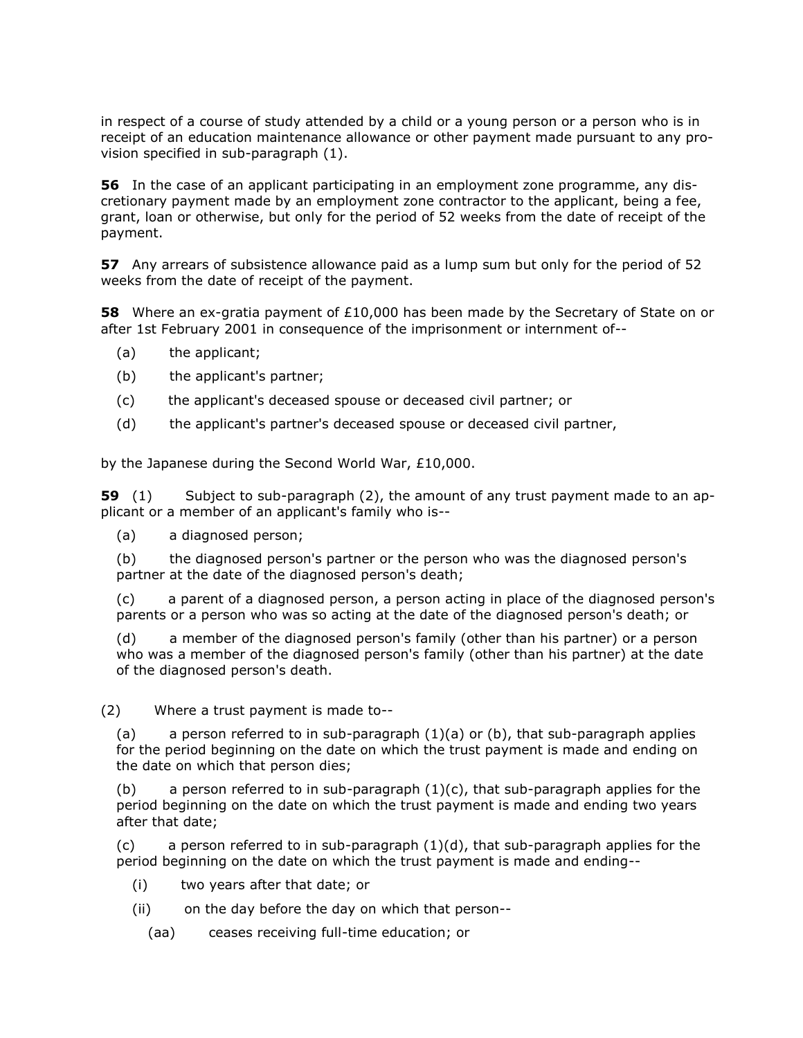in respect of a course of study attended by a child or a young person or a person who is in receipt of an education maintenance allowance or other payment made pursuant to any provision specified in sub-paragraph (1).

**56** In the case of an applicant participating in an employment zone programme, any discretionary payment made by an employment zone contractor to the applicant, being a fee, grant, loan or otherwise, but only for the period of 52 weeks from the date of receipt of the payment.

**57** Any arrears of subsistence allowance paid as a lump sum but only for the period of 52 weeks from the date of receipt of the payment.

**58** Where an ex-gratia payment of £10,000 has been made by the Secretary of State on or after 1st February 2001 in consequence of the imprisonment or internment of--

- (a) the applicant;
- (b) the applicant's partner;
- (c) the applicant's deceased spouse or deceased civil partner; or
- (d) the applicant's partner's deceased spouse or deceased civil partner,

by the Japanese during the Second World War, £10,000.

**59** (1) Subject to sub-paragraph (2), the amount of any trust payment made to an applicant or a member of an applicant's family who is--

(a) a diagnosed person;

(b) the diagnosed person's partner or the person who was the diagnosed person's partner at the date of the diagnosed person's death;

(c) a parent of a diagnosed person, a person acting in place of the diagnosed person's parents or a person who was so acting at the date of the diagnosed person's death; or

(d) a member of the diagnosed person's family (other than his partner) or a person who was a member of the diagnosed person's family (other than his partner) at the date of the diagnosed person's death.

(2) Where a trust payment is made to--

(a) a person referred to in sub-paragraph (1)(a) or (b), that sub-paragraph applies for the period beginning on the date on which the trust payment is made and ending on the date on which that person dies;

(b) a person referred to in sub-paragraph  $(1)(c)$ , that sub-paragraph applies for the period beginning on the date on which the trust payment is made and ending two years after that date;

 $(c)$  a person referred to in sub-paragraph  $(1)(d)$ , that sub-paragraph applies for the period beginning on the date on which the trust payment is made and ending--

- (i) two years after that date; or
- (ii) on the day before the day on which that person--
	- (aa) ceases receiving full-time education; or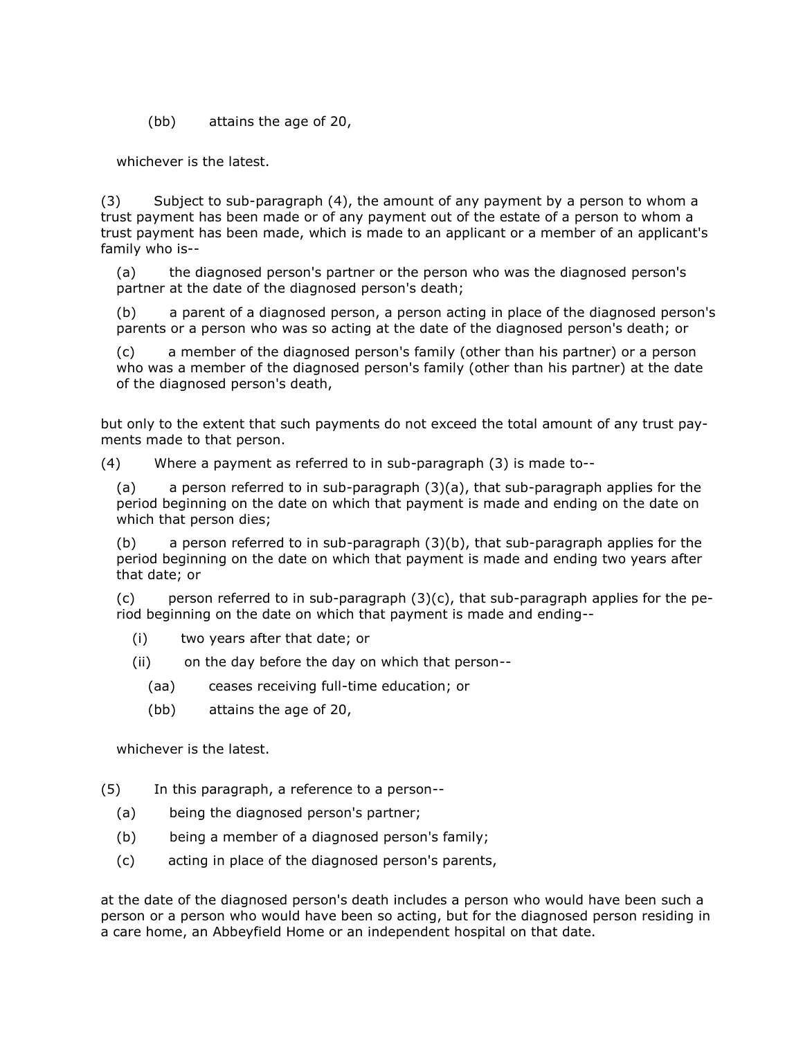(bb) attains the age of 20,

whichever is the latest.

(3) Subject to sub-paragraph (4), the amount of any payment by a person to whom a trust payment has been made or of any payment out of the estate of a person to whom a trust payment has been made, which is made to an applicant or a member of an applicant's family who is--

(a) the diagnosed person's partner or the person who was the diagnosed person's partner at the date of the diagnosed person's death;

(b) a parent of a diagnosed person, a person acting in place of the diagnosed person's parents or a person who was so acting at the date of the diagnosed person's death; or

(c) a member of the diagnosed person's family (other than his partner) or a person who was a member of the diagnosed person's family (other than his partner) at the date of the diagnosed person's death,

but only to the extent that such payments do not exceed the total amount of any trust payments made to that person.

(4) Where a payment as referred to in sub-paragraph (3) is made to--

(a) a person referred to in sub-paragraph (3)(a), that sub-paragraph applies for the period beginning on the date on which that payment is made and ending on the date on which that person dies;

(b) a person referred to in sub-paragraph (3)(b), that sub-paragraph applies for the period beginning on the date on which that payment is made and ending two years after that date; or

 $(c)$  person referred to in sub-paragraph  $(3)(c)$ , that sub-paragraph applies for the period beginning on the date on which that payment is made and ending--

- (i) two years after that date; or
- (ii) on the day before the day on which that person--
	- (aa) ceases receiving full-time education; or
	- (bb) attains the age of 20,

whichever is the latest.

- (5) In this paragraph, a reference to a person--
	- (a) being the diagnosed person's partner;
	- (b) being a member of a diagnosed person's family;
	- (c) acting in place of the diagnosed person's parents,

at the date of the diagnosed person's death includes a person who would have been such a person or a person who would have been so acting, but for the diagnosed person residing in a care home, an Abbeyfield Home or an independent hospital on that date.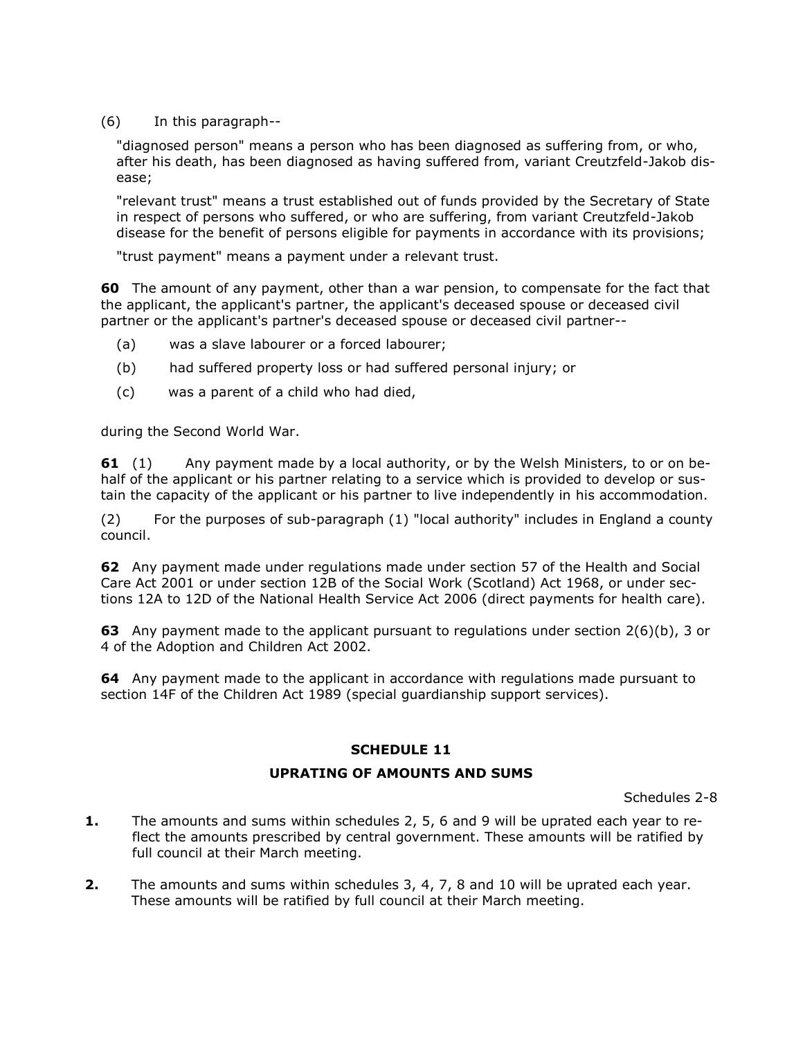(6) In this paragraph--

"diagnosed person" means a person who has been diagnosed as suffering from, or who, after his death, has been diagnosed as having suffered from, variant Creutzfeld-Jakob disease;

"relevant trust" means a trust established out of funds provided by the Secretary of State in respect of persons who suffered, or who are suffering, from variant Creutzfeld-Jakob disease for the benefit of persons eligible for payments in accordance with its provisions;

"trust payment" means a payment under a relevant trust.

**60** The amount of any payment, other than a war pension, to compensate for the fact that the applicant, the applicant's partner, the applicant's deceased spouse or deceased civil partner or the applicant's partner's deceased spouse or deceased civil partner--

- (a) was a slave labourer or a forced labourer;
- (b) had suffered property loss or had suffered personal injury; or
- (c) was a parent of a child who had died,

during the Second World War.

**61** (1) Any payment made by a local authority, or by the Welsh Ministers, to or on behalf of the applicant or his partner relating to a service which is provided to develop or sustain the capacity of the applicant or his partner to live independently in his accommodation.

(2) For the purposes of sub-paragraph (1) "local authority" includes in England a county council.

**62** Any payment made under regulations made under section 57 of the Health and Social Care Act 2001 or under section 12B of the Social Work (Scotland) Act 1968, or under sections 12A to 12D of the National Health Service Act 2006 (direct payments for health care).

**63** Any payment made to the applicant pursuant to regulations under section 2(6)(b), 3 or 4 of the Adoption and Children Act 2002.

**64** Any payment made to the applicant in accordance with regulations made pursuant to section 14F of the Children Act 1989 (special guardianship support services).

# **SCHEDULE 11**

# **UPRATING OF AMOUNTS AND SUMS**

Schedules 2-8

- **1.** The amounts and sums within schedules 2, 5, 6 and 9 will be uprated each year to reflect the amounts prescribed by central government. These amounts will be ratified by full council at their March meeting.
- **2.** The amounts and sums within schedules 3, 4, 7, 8 and 10 will be uprated each year. These amounts will be ratified by full council at their March meeting.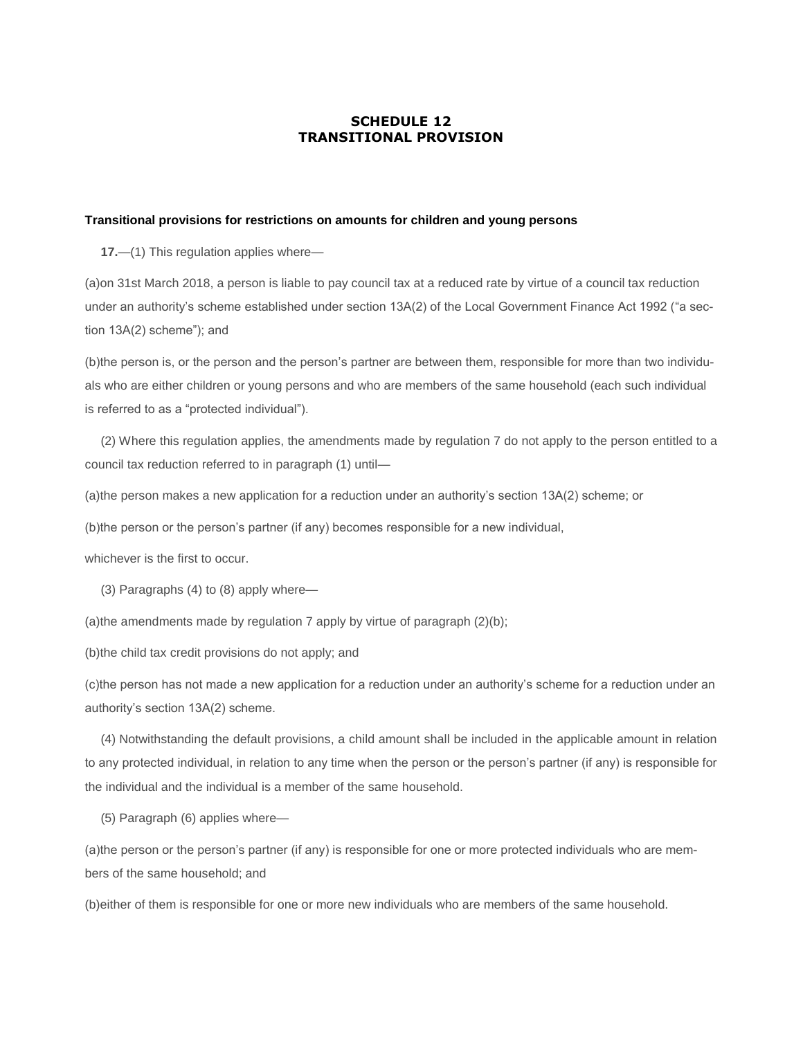#### **SCHEDULE 12 TRANSITIONAL PROVISION**

#### **Transitional provisions for restrictions on amounts for children and young persons**

**17.**—(1) This regulation applies where—

(a)on 31st March 2018, a person is liable to pay council tax at a reduced rate by virtue of a council tax reduction under an authority's scheme established under section 13A(2) of the Local Government Finance Act 1992 ("a section 13A(2) scheme"); and

(b)the person is, or the person and the person's partner are between them, responsible for more than two individuals who are either children or young persons and who are members of the same household (each such individual is referred to as a "protected individual").

(2) Where this regulation applies, the amendments made by regulation 7 do not apply to the person entitled to a council tax reduction referred to in paragraph (1) until—

(a)the person makes a new application for a reduction under an authority's section 13A(2) scheme; or

(b)the person or the person's partner (if any) becomes responsible for a new individual,

whichever is the first to occur.

(3) Paragraphs (4) to (8) apply where—

(a)the amendments made by regulation 7 apply by virtue of paragraph (2)(b);

(b)the child tax credit provisions do not apply; and

(c)the person has not made a new application for a reduction under an authority's scheme for a reduction under an authority's section 13A(2) scheme.

(4) Notwithstanding the default provisions, a child amount shall be included in the applicable amount in relation to any protected individual, in relation to any time when the person or the person's partner (if any) is responsible for the individual and the individual is a member of the same household.

(5) Paragraph (6) applies where—

(a)the person or the person's partner (if any) is responsible for one or more protected individuals who are members of the same household; and

(b)either of them is responsible for one or more new individuals who are members of the same household.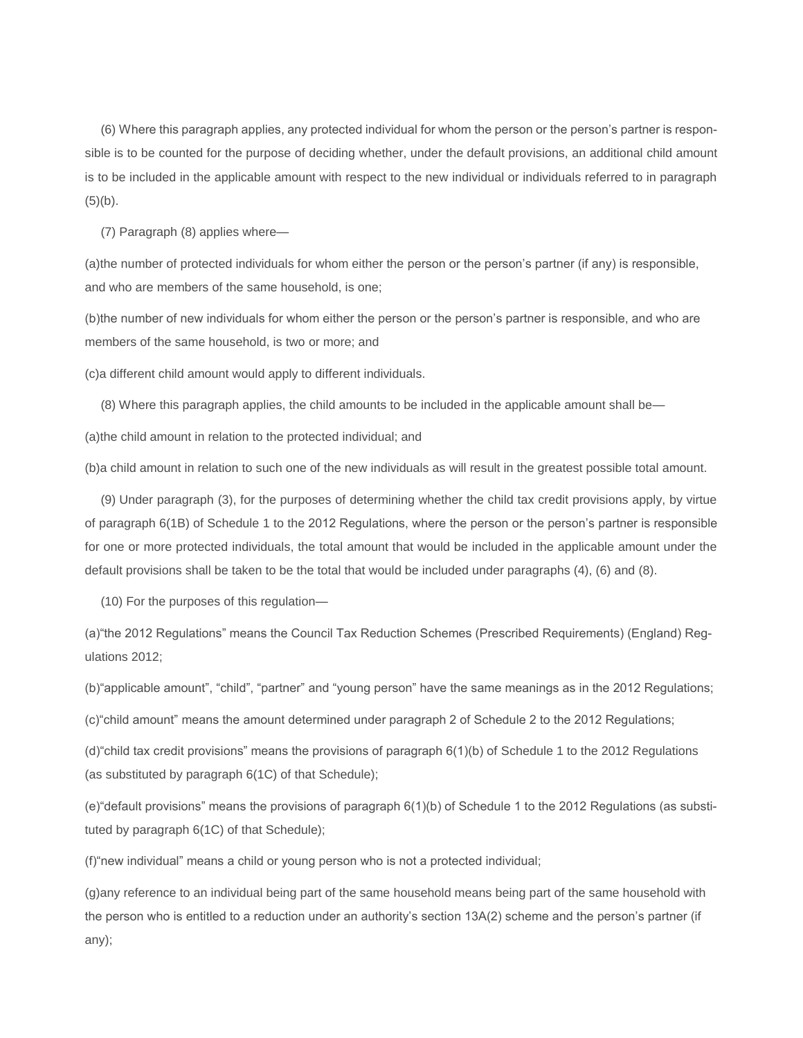(6) Where this paragraph applies, any protected individual for whom the person or the person's partner is responsible is to be counted for the purpose of deciding whether, under the default provisions, an additional child amount is to be included in the applicable amount with respect to the new individual or individuals referred to in paragraph  $(5)(b).$ 

(7) Paragraph (8) applies where—

(a)the number of protected individuals for whom either the person or the person's partner (if any) is responsible, and who are members of the same household, is one;

(b)the number of new individuals for whom either the person or the person's partner is responsible, and who are members of the same household, is two or more; and

(c)a different child amount would apply to different individuals.

(8) Where this paragraph applies, the child amounts to be included in the applicable amount shall be—

(a)the child amount in relation to the protected individual; and

(b)a child amount in relation to such one of the new individuals as will result in the greatest possible total amount.

(9) Under paragraph (3), for the purposes of determining whether the child tax credit provisions apply, by virtue of paragraph 6(1B) of Schedule 1 to the 2012 Regulations, where the person or the person's partner is responsible for one or more protected individuals, the total amount that would be included in the applicable amount under the default provisions shall be taken to be the total that would be included under paragraphs (4), (6) and (8).

(10) For the purposes of this regulation—

(a)"the 2012 Regulations" means the Council Tax Reduction Schemes (Prescribed Requirements) (England) Regulations 2012;

(b)"applicable amount", "child", "partner" and "young person" have the same meanings as in the 2012 Regulations;

(c)"child amount" means the amount determined under paragraph 2 of Schedule 2 to the 2012 Regulations;

(d)"child tax credit provisions" means the provisions of paragraph 6(1)(b) of Schedule 1 to the 2012 Regulations (as substituted by paragraph 6(1C) of that Schedule);

(e)"default provisions" means the provisions of paragraph 6(1)(b) of Schedule 1 to the 2012 Regulations (as substituted by paragraph 6(1C) of that Schedule);

(f)"new individual" means a child or young person who is not a protected individual;

(g)any reference to an individual being part of the same household means being part of the same household with the person who is entitled to a reduction under an authority's section 13A(2) scheme and the person's partner (if any);